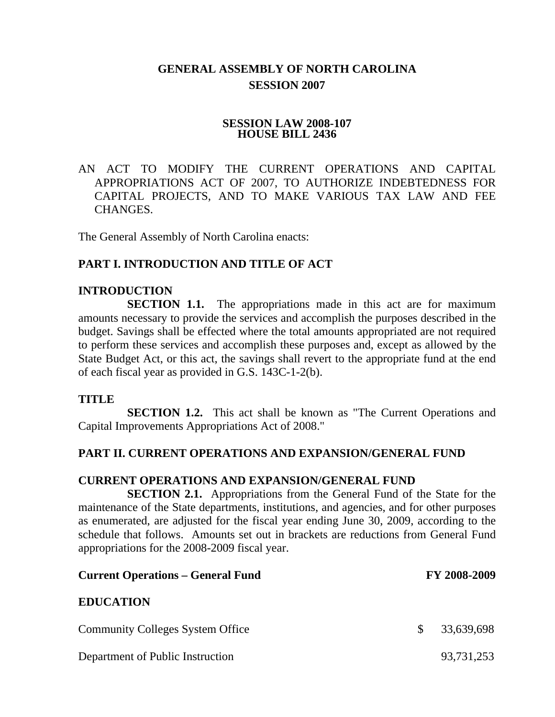# **GENERAL ASSEMBLY OF NORTH CAROLINA SESSION 2007**

#### **SESSION LAW 2008-107 HOUSE BILL 2436**

AN ACT TO MODIFY THE CURRENT OPERATIONS AND CAPITAL APPROPRIATIONS ACT OF 2007, TO AUTHORIZE INDEBTEDNESS FOR CAPITAL PROJECTS, AND TO MAKE VARIOUS TAX LAW AND FEE CHANGES.

The General Assembly of North Carolina enacts:

#### **PART I. INTRODUCTION AND TITLE OF ACT**

#### **INTRODUCTION**

**SECTION 1.1.** The appropriations made in this act are for maximum amounts necessary to provide the services and accomplish the purposes described in the budget. Savings shall be effected where the total amounts appropriated are not required to perform these services and accomplish these purposes and, except as allowed by the State Budget Act, or this act, the savings shall revert to the appropriate fund at the end of each fiscal year as provided in G.S. 143C-1-2(b).

#### **TITLE**

**SECTION 1.2.** This act shall be known as "The Current Operations and Capital Improvements Appropriations Act of 2008."

#### **PART II. CURRENT OPERATIONS AND EXPANSION/GENERAL FUND**

#### **CURRENT OPERATIONS AND EXPANSION/GENERAL FUND**

**SECTION 2.1.** Appropriations from the General Fund of the State for the maintenance of the State departments, institutions, and agencies, and for other purposes as enumerated, are adjusted for the fiscal year ending June 30, 2009, according to the schedule that follows. Amounts set out in brackets are reductions from General Fund appropriations for the 2008-2009 fiscal year.

| <b>Current Operations – General Fund</b> |     | FY 2008-2009 |
|------------------------------------------|-----|--------------|
| <b>EDUCATION</b>                         |     |              |
| <b>Community Colleges System Office</b>  | SS. | 33,639,698   |
| Department of Public Instruction         |     | 93,731,253   |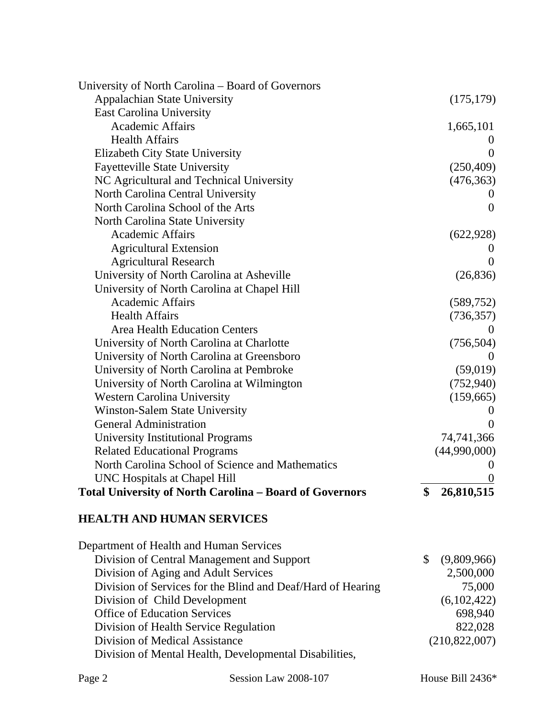| University of North Carolina – Board of Governors              |                   |
|----------------------------------------------------------------|-------------------|
| <b>Appalachian State University</b>                            | (175, 179)        |
| <b>East Carolina University</b>                                |                   |
| <b>Academic Affairs</b>                                        | 1,665,101         |
| <b>Health Affairs</b>                                          |                   |
| Elizabeth City State University                                | $\theta$          |
| <b>Fayetteville State University</b>                           | (250, 409)        |
| NC Agricultural and Technical University                       | (476, 363)        |
| North Carolina Central University                              |                   |
| North Carolina School of the Arts                              | $\theta$          |
| North Carolina State University                                |                   |
| <b>Academic Affairs</b>                                        | (622, 928)        |
| <b>Agricultural Extension</b>                                  |                   |
| <b>Agricultural Research</b>                                   | $\Omega$          |
| University of North Carolina at Asheville                      | (26, 836)         |
| University of North Carolina at Chapel Hill                    |                   |
| <b>Academic Affairs</b>                                        | (589, 752)        |
| <b>Health Affairs</b>                                          | (736, 357)        |
| <b>Area Health Education Centers</b>                           | $\theta$          |
| University of North Carolina at Charlotte                      | (756, 504)        |
| University of North Carolina at Greensboro                     | $\theta$          |
| University of North Carolina at Pembroke                       | (59,019)          |
| University of North Carolina at Wilmington                     | (752, 940)        |
| <b>Western Carolina University</b>                             | (159,665)         |
| Winston-Salem State University                                 |                   |
| <b>General Administration</b>                                  | $\theta$          |
| <b>University Institutional Programs</b>                       | 74,741,366        |
| <b>Related Educational Programs</b>                            | (44,990,000)      |
| North Carolina School of Science and Mathematics               | $\theta$          |
| UNC Hospitals at Chapel Hill                                   | $\boldsymbol{0}$  |
| <b>Total University of North Carolina - Board of Governors</b> | \$<br>26,810,515  |
| <b>HEALTH AND HUMAN SERVICES</b>                               |                   |
| Department of Health and Human Services                        |                   |
| Division of Central Management and Support                     | \$<br>(9,809,966) |
| Division of Aging and Adult Services                           | 2,500,000         |
| Division of Services for the Blind and Deaf/Hard of Hearing    | 75,000            |
| Division of Child Development                                  | (6,102,422)       |
| <b>Office of Education Services</b>                            | 698,940           |
| Division of Health Service Regulation                          | 822,028           |
| Division of Medical Assistance                                 | (210,822,007)     |
| Division of Mental Health, Developmental Disabilities,         |                   |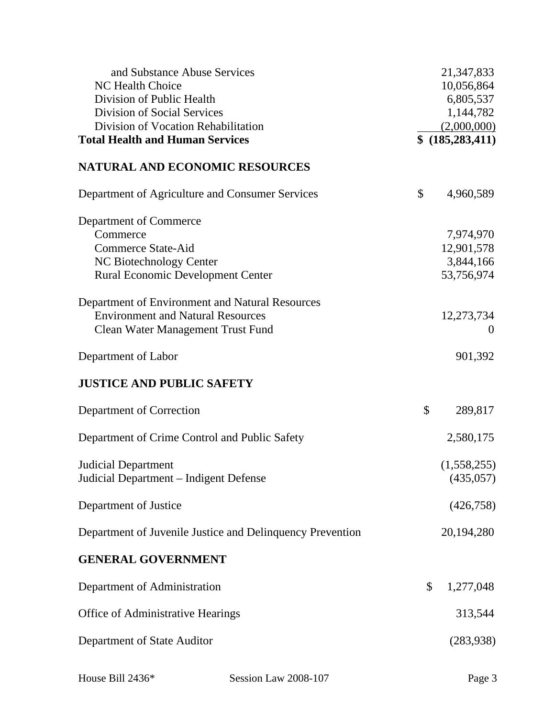| and Substance Abuse Services                              | 21,347,833         |
|-----------------------------------------------------------|--------------------|
| <b>NC Health Choice</b>                                   | 10,056,864         |
| Division of Public Health                                 | 6,805,537          |
| <b>Division of Social Services</b>                        | 1,144,782          |
| Division of Vocation Rehabilitation                       | (2,000,000)        |
| <b>Total Health and Human Services</b>                    | \$ (185, 283, 411) |
| <b>NATURAL AND ECONOMIC RESOURCES</b>                     |                    |
| Department of Agriculture and Consumer Services           | \$<br>4,960,589    |
| Department of Commerce                                    |                    |
| Commerce                                                  | 7,974,970          |
| <b>Commerce State-Aid</b>                                 | 12,901,578         |
| NC Biotechnology Center                                   | 3,844,166          |
| <b>Rural Economic Development Center</b>                  | 53,756,974         |
| Department of Environment and Natural Resources           |                    |
| <b>Environment and Natural Resources</b>                  | 12,273,734         |
| <b>Clean Water Management Trust Fund</b>                  | $\theta$           |
| Department of Labor                                       | 901,392            |
| <b>JUSTICE AND PUBLIC SAFETY</b>                          |                    |
| Department of Correction                                  | \$<br>289,817      |
| Department of Crime Control and Public Safety             | 2,580,175          |
| <b>Judicial Department</b>                                | (1,558,255)        |
| Judicial Department - Indigent Defense                    | (435,057)          |
| Department of Justice                                     | (426, 758)         |
| Department of Juvenile Justice and Delinquency Prevention | 20, 194, 280       |
| <b>GENERAL GOVERNMENT</b>                                 |                    |
| Department of Administration                              | \$<br>1,277,048    |
| Office of Administrative Hearings                         | 313,544            |
| Department of State Auditor                               | (283,938)          |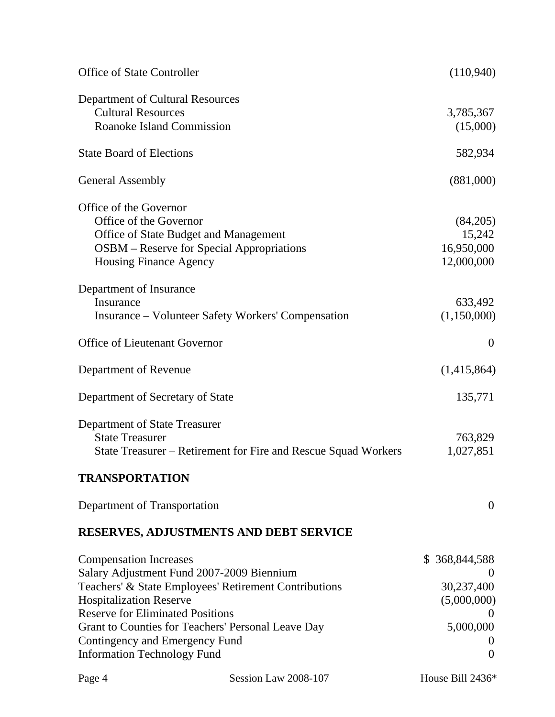| <b>Office of State Controller</b>                                                                                                                                                                                                                                                                                                              | (110,940)                                                                                                                   |
|------------------------------------------------------------------------------------------------------------------------------------------------------------------------------------------------------------------------------------------------------------------------------------------------------------------------------------------------|-----------------------------------------------------------------------------------------------------------------------------|
| Department of Cultural Resources<br><b>Cultural Resources</b><br><b>Roanoke Island Commission</b>                                                                                                                                                                                                                                              | 3,785,367<br>(15,000)                                                                                                       |
| <b>State Board of Elections</b>                                                                                                                                                                                                                                                                                                                | 582,934                                                                                                                     |
| <b>General Assembly</b>                                                                                                                                                                                                                                                                                                                        | (881,000)                                                                                                                   |
| Office of the Governor<br>Office of the Governor<br>Office of State Budget and Management<br><b>OSBM</b> – Reserve for Special Appropriations<br><b>Housing Finance Agency</b>                                                                                                                                                                 | (84,205)<br>15,242<br>16,950,000<br>12,000,000                                                                              |
| Department of Insurance<br>Insurance<br><b>Insurance – Volunteer Safety Workers' Compensation</b>                                                                                                                                                                                                                                              | 633,492<br>(1,150,000)                                                                                                      |
| <b>Office of Lieutenant Governor</b>                                                                                                                                                                                                                                                                                                           | $\overline{0}$                                                                                                              |
| Department of Revenue                                                                                                                                                                                                                                                                                                                          | (1,415,864)                                                                                                                 |
| Department of Secretary of State                                                                                                                                                                                                                                                                                                               | 135,771                                                                                                                     |
| Department of State Treasurer<br><b>State Treasurer</b><br>State Treasurer - Retirement for Fire and Rescue Squad Workers                                                                                                                                                                                                                      | 763,829<br>1,027,851                                                                                                        |
| <b>TRANSPORTATION</b>                                                                                                                                                                                                                                                                                                                          |                                                                                                                             |
| Department of Transportation                                                                                                                                                                                                                                                                                                                   | $\theta$                                                                                                                    |
| <b>RESERVES, ADJUSTMENTS AND DEBT SERVICE</b>                                                                                                                                                                                                                                                                                                  |                                                                                                                             |
| <b>Compensation Increases</b><br>Salary Adjustment Fund 2007-2009 Biennium<br>Teachers' & State Employees' Retirement Contributions<br><b>Hospitalization Reserve</b><br><b>Reserve for Eliminated Positions</b><br>Grant to Counties for Teachers' Personal Leave Day<br>Contingency and Emergency Fund<br><b>Information Technology Fund</b> | $\mathbb{S}$<br>368,844,588<br>$\theta$<br>30,237,400<br>(5,000,000)<br>$\theta$<br>5,000,000<br>$\theta$<br>$\overline{0}$ |

Page 4 Session Law 2008-107 House Bill 2436\*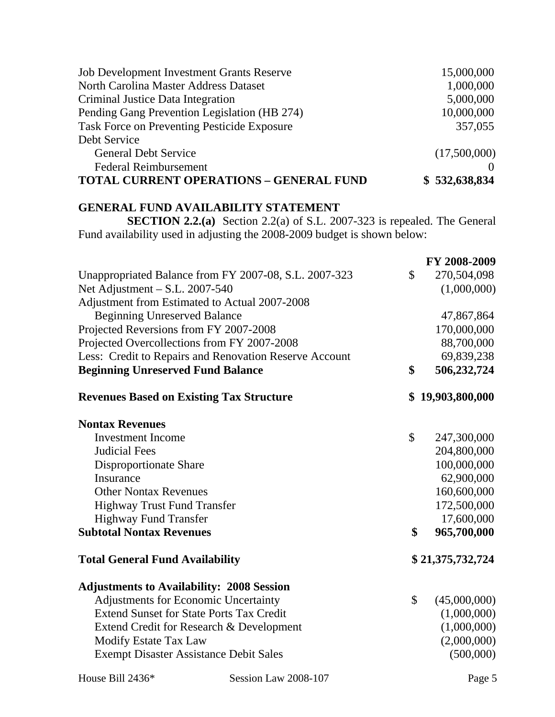| <b>Job Development Investment Grants Reserve</b>   | 15,000,000    |
|----------------------------------------------------|---------------|
| North Carolina Master Address Dataset              | 1,000,000     |
| Criminal Justice Data Integration                  | 5,000,000     |
| Pending Gang Prevention Legislation (HB 274)       | 10,000,000    |
| <b>Task Force on Preventing Pesticide Exposure</b> | 357,055       |
| Debt Service                                       |               |
| <b>General Debt Service</b>                        | (17,500,000)  |
| <b>Federal Reimbursement</b>                       |               |
| <b>TOTAL CURRENT OPERATIONS - GENERAL FUND</b>     | \$532,638,834 |

#### **GENERAL FUND AVAILABILITY STATEMENT**

**SECTION 2.2.(a)** Section 2.2(a) of S.L. 2007-323 is repealed. The General Fund availability used in adjusting the 2008-2009 budget is shown below:

|                                                        | FY 2008-2009       |
|--------------------------------------------------------|--------------------|
| Unappropriated Balance from FY 2007-08, S.L. 2007-323  | \$<br>270,504,098  |
| Net Adjustment - S.L. 2007-540                         | (1,000,000)        |
| Adjustment from Estimated to Actual 2007-2008          |                    |
| <b>Beginning Unreserved Balance</b>                    | 47,867,864         |
| Projected Reversions from FY 2007-2008                 | 170,000,000        |
| Projected Overcollections from FY 2007-2008            | 88,700,000         |
| Less: Credit to Repairs and Renovation Reserve Account | 69,839,238         |
| <b>Beginning Unreserved Fund Balance</b>               | \$<br>506,232,724  |
| <b>Revenues Based on Existing Tax Structure</b>        | \$19,903,800,000   |
| <b>Nontax Revenues</b>                                 |                    |
| <b>Investment Income</b>                               | \$<br>247,300,000  |
| <b>Judicial Fees</b>                                   | 204,800,000        |
| Disproportionate Share                                 | 100,000,000        |
| Insurance                                              | 62,900,000         |
| <b>Other Nontax Revenues</b>                           | 160,600,000        |
| <b>Highway Trust Fund Transfer</b>                     | 172,500,000        |
| <b>Highway Fund Transfer</b>                           | 17,600,000         |
| <b>Subtotal Nontax Revenues</b>                        | \$<br>965,700,000  |
| <b>Total General Fund Availability</b>                 | \$21,375,732,724   |
| <b>Adjustments to Availability: 2008 Session</b>       |                    |
| <b>Adjustments for Economic Uncertainty</b>            | \$<br>(45,000,000) |
| <b>Extend Sunset for State Ports Tax Credit</b>        | (1,000,000)        |
| Extend Credit for Research & Development               | (1,000,000)        |
| <b>Modify Estate Tax Law</b>                           | (2,000,000)        |
| <b>Exempt Disaster Assistance Debit Sales</b>          | (500,000)          |
|                                                        |                    |

House Bill 2436\* Session Law 2008-107 Page 5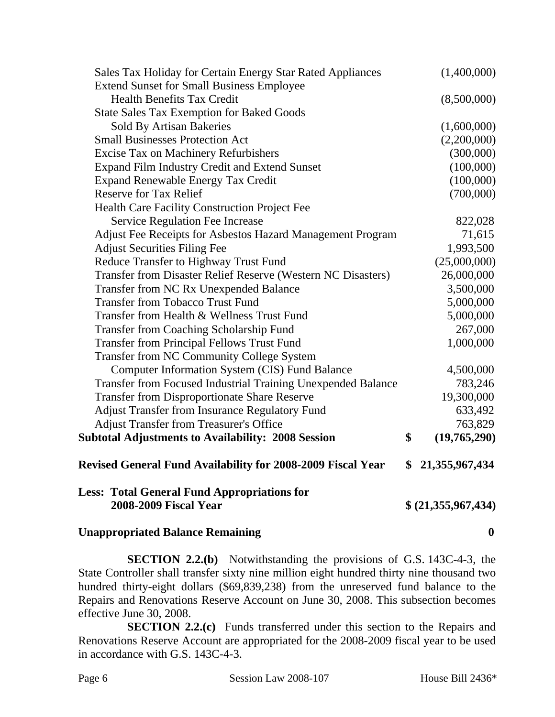| <b>Less: Total General Fund Appropriations for</b><br><b>2008-2009 Fiscal Year</b>                    | \$ (21,355,967,434)        |
|-------------------------------------------------------------------------------------------------------|----------------------------|
| <b>Revised General Fund Availability for 2008-2009 Fiscal Year</b>                                    | \$<br>21, 355, 967, 434    |
| <b>Subtotal Adjustments to Availability: 2008 Session</b>                                             | \$<br>(19,765,290)         |
| <b>Adjust Transfer from Treasurer's Office</b>                                                        | 763,829                    |
| <b>Adjust Transfer from Insurance Regulatory Fund</b>                                                 | 633,492                    |
| <b>Transfer from Disproportionate Share Reserve</b>                                                   | 19,300,000                 |
| Transfer from Focused Industrial Training Unexpended Balance                                          | 783,246                    |
| Computer Information System (CIS) Fund Balance                                                        | 4,500,000                  |
| Transfer from NC Community College System                                                             |                            |
| <b>Transfer from Principal Fellows Trust Fund</b>                                                     | 1,000,000                  |
| <b>Transfer from Coaching Scholarship Fund</b>                                                        | 267,000                    |
| Transfer from Health & Wellness Trust Fund                                                            | 5,000,000                  |
| <b>Transfer from Tobacco Trust Fund</b>                                                               | 5,000,000                  |
| Transfer from NC Rx Unexpended Balance                                                                | 3,500,000                  |
| Reduce Transfer to Highway Trust Fund<br>Transfer from Disaster Relief Reserve (Western NC Disasters) | (25,000,000)<br>26,000,000 |
| <b>Adjust Securities Filing Fee</b>                                                                   | 1,993,500                  |
| Adjust Fee Receipts for Asbestos Hazard Management Program                                            | 71,615                     |
| Service Regulation Fee Increase                                                                       | 822,028                    |
| <b>Health Care Facility Construction Project Fee</b>                                                  |                            |
| <b>Reserve for Tax Relief</b>                                                                         | (700,000)                  |
| <b>Expand Renewable Energy Tax Credit</b>                                                             | (100,000)                  |
| Expand Film Industry Credit and Extend Sunset                                                         | (100,000)                  |
| <b>Excise Tax on Machinery Refurbishers</b>                                                           | (300,000)                  |
| <b>Small Businesses Protection Act</b>                                                                | (2,200,000)                |
| Sold By Artisan Bakeries                                                                              | (1,600,000)                |
| <b>State Sales Tax Exemption for Baked Goods</b>                                                      |                            |
| <b>Health Benefits Tax Credit</b>                                                                     | (8,500,000)                |
| <b>Extend Sunset for Small Business Employee</b>                                                      |                            |
| Sales Tax Holiday for Certain Energy Star Rated Appliances                                            | (1,400,000)                |

### **Unappropriated Balance Remaining 0**

**SECTION 2.2.(b)** Notwithstanding the provisions of G.S. 143C-4-3, the State Controller shall transfer sixty nine million eight hundred thirty nine thousand two hundred thirty-eight dollars (\$69,839,238) from the unreserved fund balance to the Repairs and Renovations Reserve Account on June 30, 2008. This subsection becomes effective June 30, 2008.

**SECTION 2.2.(c)** Funds transferred under this section to the Repairs and Renovations Reserve Account are appropriated for the 2008-2009 fiscal year to be used in accordance with G.S. 143C-4-3.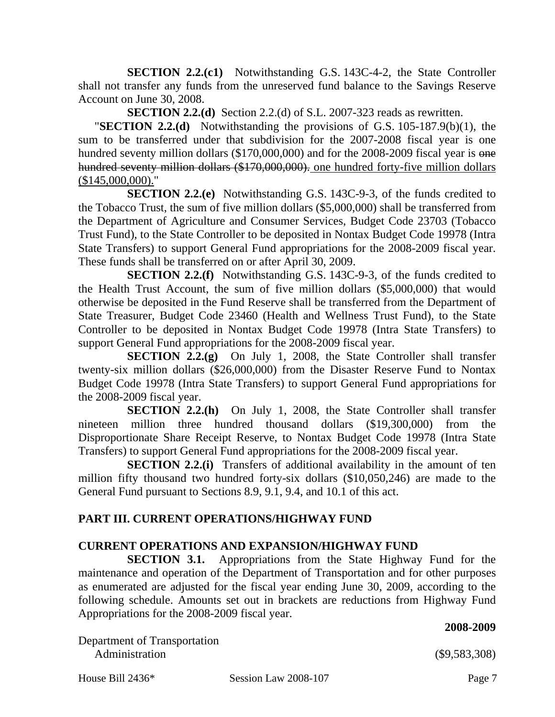**SECTION 2.2.(c1)** Notwithstanding G.S. 143C-4-2, the State Controller shall not transfer any funds from the unreserved fund balance to the Savings Reserve Account on June 30, 2008.

**SECTION 2.2.(d)** Section 2.2.(d) of S.L. 2007-323 reads as rewritten.

"**SECTION 2.2.(d)** Notwithstanding the provisions of G.S. 105-187.9(b)(1), the sum to be transferred under that subdivision for the 2007-2008 fiscal year is one hundred seventy million dollars (\$170,000,000) and for the 2008-2009 fiscal year is one hundred seventy million dollars (\$170,000,000). one hundred forty-five million dollars (\$145,000,000)."

**SECTION 2.2.(e)** Notwithstanding G.S. 143C-9-3, of the funds credited to the Tobacco Trust, the sum of five million dollars (\$5,000,000) shall be transferred from the Department of Agriculture and Consumer Services, Budget Code 23703 (Tobacco Trust Fund), to the State Controller to be deposited in Nontax Budget Code 19978 (Intra State Transfers) to support General Fund appropriations for the 2008-2009 fiscal year. These funds shall be transferred on or after April 30, 2009.

**SECTION 2.2.(f)** Notwithstanding G.S. 143C-9-3, of the funds credited to the Health Trust Account, the sum of five million dollars (\$5,000,000) that would otherwise be deposited in the Fund Reserve shall be transferred from the Department of State Treasurer, Budget Code 23460 (Health and Wellness Trust Fund), to the State Controller to be deposited in Nontax Budget Code 19978 (Intra State Transfers) to support General Fund appropriations for the 2008-2009 fiscal year.

**SECTION 2.2.(g)** On July 1, 2008, the State Controller shall transfer twenty-six million dollars (\$26,000,000) from the Disaster Reserve Fund to Nontax Budget Code 19978 (Intra State Transfers) to support General Fund appropriations for the 2008-2009 fiscal year.

**SECTION 2.2.(h)** On July 1, 2008, the State Controller shall transfer nineteen million three hundred thousand dollars (\$19,300,000) from the Disproportionate Share Receipt Reserve, to Nontax Budget Code 19978 (Intra State Transfers) to support General Fund appropriations for the 2008-2009 fiscal year.

**SECTION 2.2.(i)** Transfers of additional availability in the amount of ten million fifty thousand two hundred forty-six dollars (\$10,050,246) are made to the General Fund pursuant to Sections 8.9, 9.1, 9.4, and 10.1 of this act.

## **PART III. CURRENT OPERATIONS/HIGHWAY FUND**

### **CURRENT OPERATIONS AND EXPANSION/HIGHWAY FUND**

**SECTION 3.1.** Appropriations from the State Highway Fund for the maintenance and operation of the Department of Transportation and for other purposes as enumerated are adjusted for the fiscal year ending June 30, 2009, according to the following schedule. Amounts set out in brackets are reductions from Highway Fund Appropriations for the 2008-2009 fiscal year.

Department of Transportation Administration (\$9,583,308)

House Bill 2436\* Session Law 2008-107 Page 7

 **2008-2009**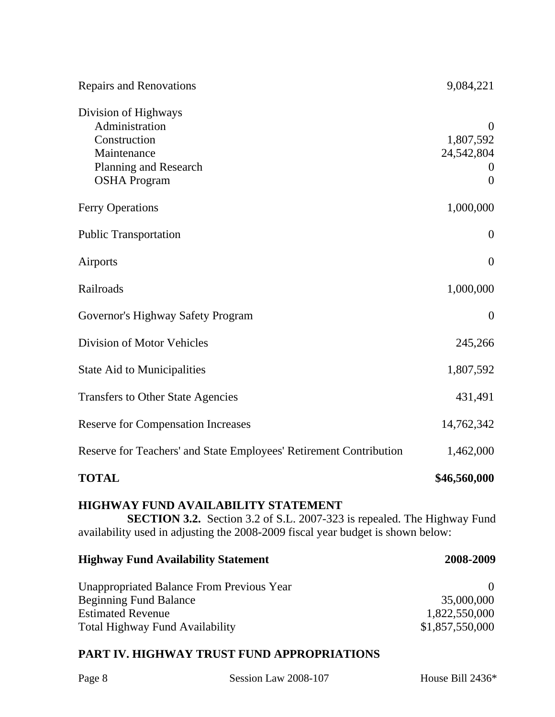| <b>Repairs and Renovations</b>                                                                                               | 9,084,221                                                                  |
|------------------------------------------------------------------------------------------------------------------------------|----------------------------------------------------------------------------|
| Division of Highways<br>Administration<br>Construction<br>Maintenance<br><b>Planning and Research</b><br><b>OSHA</b> Program | $\overline{0}$<br>1,807,592<br>24,542,804<br>$\mathbf 0$<br>$\overline{0}$ |
| <b>Ferry Operations</b>                                                                                                      | 1,000,000                                                                  |
| <b>Public Transportation</b>                                                                                                 | $\theta$                                                                   |
| Airports                                                                                                                     | $\overline{0}$                                                             |
| Railroads                                                                                                                    | 1,000,000                                                                  |
| Governor's Highway Safety Program                                                                                            | $\theta$                                                                   |
| Division of Motor Vehicles                                                                                                   | 245,266                                                                    |
| <b>State Aid to Municipalities</b>                                                                                           | 1,807,592                                                                  |
| <b>Transfers to Other State Agencies</b>                                                                                     | 431,491                                                                    |
| <b>Reserve for Compensation Increases</b>                                                                                    | 14,762,342                                                                 |
| Reserve for Teachers' and State Employees' Retirement Contribution                                                           | 1,462,000                                                                  |
| <b>TOTAL</b>                                                                                                                 | \$46,560,000                                                               |
| <b>HIGHWAY FUND AVAILABILITY STATEMENT</b>                                                                                   |                                                                            |

**SECTION 3.2.** Section 3.2 of S.L. 2007-323 is repealed. The Highway Fund availability used in adjusting the 2008-2009 fiscal year budget is shown below:

| <b>Highway Fund Availability Statement</b> | 2008-2009       |
|--------------------------------------------|-----------------|
| Unappropriated Balance From Previous Year  |                 |
| <b>Beginning Fund Balance</b>              | 35,000,000      |
| <b>Estimated Revenue</b>                   | 1,822,550,000   |
| <b>Total Highway Fund Availability</b>     | \$1,857,550,000 |

# **PART IV. HIGHWAY TRUST FUND APPROPRIATIONS**

Page 8 Session Law 2008-107 House Bill 2436\*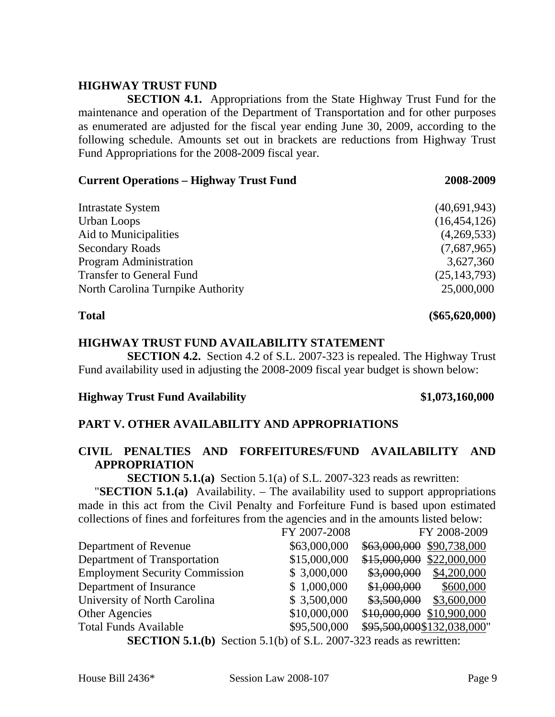#### **HIGHWAY TRUST FUND**

**SECTION 4.1.** Appropriations from the State Highway Trust Fund for the maintenance and operation of the Department of Transportation and for other purposes as enumerated are adjusted for the fiscal year ending June 30, 2009, according to the following schedule. Amounts set out in brackets are reductions from Highway Trust Fund Appropriations for the 2008-2009 fiscal year.

#### **Current Operations – Highway Trust Fund 2008-2009**

| <b>Intrastate System</b>          | (40,691,943)   |
|-----------------------------------|----------------|
| Urban Loops                       | (16, 454, 126) |
| Aid to Municipalities             | (4,269,533)    |
| <b>Secondary Roads</b>            | (7,687,965)    |
| Program Administration            | 3,627,360      |
| <b>Transfer to General Fund</b>   | (25, 143, 793) |
| North Carolina Turnpike Authority | 25,000,000     |
|                                   |                |

# **Total (\$65,620,000)**

#### **HIGHWAY TRUST FUND AVAILABILITY STATEMENT**

**SECTION 4.2.** Section 4.2 of S.L. 2007-323 is repealed. The Highway Trust Fund availability used in adjusting the 2008-2009 fiscal year budget is shown below:

#### **Highway Trust Fund Availability \$1,073,160,000**

### **PART V. OTHER AVAILABILITY AND APPROPRIATIONS**

#### **CIVIL PENALTIES AND FORFEITURES/FUND AVAILABILITY AND APPROPRIATION**

**SECTION 5.1.(a)** Section 5.1(a) of S.L. 2007-323 reads as rewritten:

"**SECTION 5.1.(a)** Availability. – The availability used to support appropriations made in this act from the Civil Penalty and Forfeiture Fund is based upon estimated collections of fines and forfeitures from the agencies and in the amounts listed below:

|                                                                            | FY 2007-2008 | FY 2008-2009                 |
|----------------------------------------------------------------------------|--------------|------------------------------|
| Department of Revenue                                                      | \$63,000,000 | \$63,000,000<br>\$90,738,000 |
| Department of Transportation                                               | \$15,000,000 | \$15,000,000<br>\$22,000,000 |
| <b>Employment Security Commission</b>                                      | \$3,000,000  | \$3,000,000<br>\$4,200,000   |
| Department of Insurance                                                    | \$1,000,000  | \$1,000,000<br>\$600,000     |
| University of North Carolina                                               | \$3,500,000  | \$3,500,000<br>\$3,600,000   |
| <b>Other Agencies</b>                                                      | \$10,000,000 | \$10,000,000<br>\$10,900,000 |
| <b>Total Funds Available</b>                                               | \$95,500,000 | \$95,500,000\$132,038,000"   |
| <b>SECTION 5.1 (b)</b> Section 5.1(b) of S.I. 2007-323 reads as rewritten: |              |                              |

**SECTION 5.1(b)** OI S.L. 2007-323 reads as rewritten: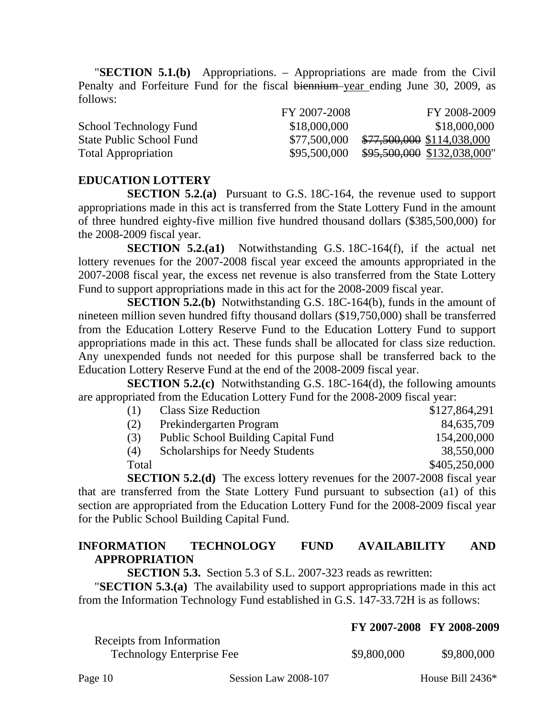"**SECTION 5.1.(b)** Appropriations. – Appropriations are made from the Civil Penalty and Forfeiture Fund for the fiscal biennium year ending June 30, 2009, as follows:

|                                 | FY 2007-2008 | FY 2008-2009                |
|---------------------------------|--------------|-----------------------------|
| School Technology Fund          | \$18,000,000 | \$18,000,000                |
| <b>State Public School Fund</b> | \$77,500,000 | \$77,500,000 \$114,038,000  |
| <b>Total Appropriation</b>      | \$95,500,000 | \$95,500,000 \$132,038,000" |

#### **EDUCATION LOTTERY**

**SECTION 5.2.(a)** Pursuant to G.S. 18C-164, the revenue used to support appropriations made in this act is transferred from the State Lottery Fund in the amount of three hundred eighty-five million five hundred thousand dollars (\$385,500,000) for the 2008-2009 fiscal year.

**SECTION 5.2.(a1)** Notwithstanding G.S. 18C-164(f), if the actual net lottery revenues for the 2007-2008 fiscal year exceed the amounts appropriated in the 2007-2008 fiscal year, the excess net revenue is also transferred from the State Lottery Fund to support appropriations made in this act for the 2008-2009 fiscal year.

**SECTION 5.2.(b)** Notwithstanding G.S. 18C-164(b), funds in the amount of nineteen million seven hundred fifty thousand dollars (\$19,750,000) shall be transferred from the Education Lottery Reserve Fund to the Education Lottery Fund to support appropriations made in this act. These funds shall be allocated for class size reduction. Any unexpended funds not needed for this purpose shall be transferred back to the Education Lottery Reserve Fund at the end of the 2008-2009 fiscal year.

**SECTION 5.2.(c)** Notwithstanding G.S. 18C-164(d), the following amounts are appropriated from the Education Lottery Fund for the 2008-2009 fiscal year:

| (1)   | <b>Class Size Reduction</b>                | \$127,864,291 |
|-------|--------------------------------------------|---------------|
| (2)   | Prekindergarten Program                    | 84,635,709    |
| (3)   | <b>Public School Building Capital Fund</b> | 154,200,000   |
| (4)   | <b>Scholarships for Needy Students</b>     | 38,550,000    |
| Total |                                            | \$405,250,000 |
|       |                                            |               |

**SECTION 5.2.(d)** The excess lottery revenues for the 2007-2008 fiscal year that are transferred from the State Lottery Fund pursuant to subsection (a1) of this section are appropriated from the Education Lottery Fund for the 2008-2009 fiscal year for the Public School Building Capital Fund.

## **INFORMATION TECHNOLOGY FUND AVAILABILITY AND APPROPRIATION**

**SECTION 5.3.** Section 5.3 of S.L. 2007-323 reads as rewritten:

"**SECTION 5.3.(a)** The availability used to support appropriations made in this act from the Information Technology Fund established in G.S. 147-33.72H is as follows:

|                                  | $11.4001 - 2000$ $11.2000 - 2002$ |             |
|----------------------------------|-----------------------------------|-------------|
| Receipts from Information        |                                   |             |
| <b>Technology Enterprise Fee</b> | \$9,800,000                       | \$9,800,000 |
|                                  |                                   |             |

Page 10 Session Law 2008-107 House Bill 2436\*

**FY 2007-2008 FY 2008-2009**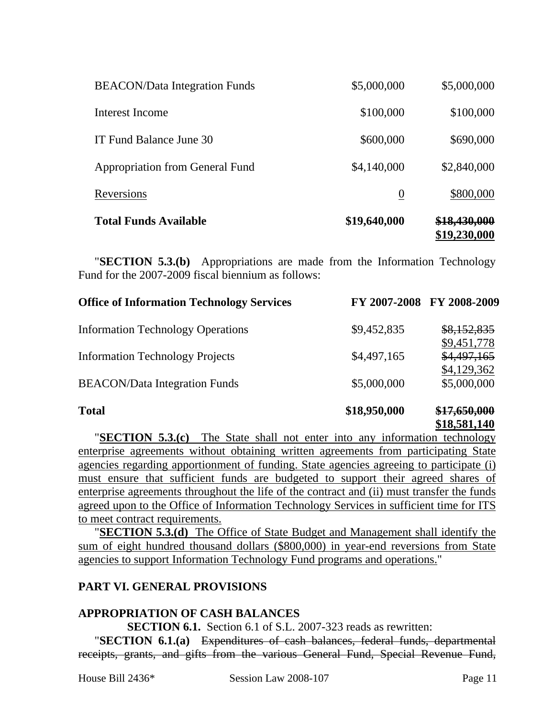| <b>Total Funds Available</b>         | \$19,640,000   | <del>\$18,430,000</del><br>\$19,230,000 |
|--------------------------------------|----------------|-----------------------------------------|
| Reversions                           | $\overline{0}$ | \$800,000                               |
| Appropriation from General Fund      | \$4,140,000    | \$2,840,000                             |
| IT Fund Balance June 30              | \$600,000      | \$690,000                               |
| Interest Income                      | \$100,000      | \$100,000                               |
| <b>BEACON/Data Integration Funds</b> | \$5,000,000    | \$5,000,000                             |

"**SECTION 5.3.(b)** Appropriations are made from the Information Technology Fund for the 2007-2009 fiscal biennium as follows:

| <b>Office of Information Technology Services</b> |              | FY 2007-2008 FY 2008-2009  |
|--------------------------------------------------|--------------|----------------------------|
| <b>Information Technology Operations</b>         | \$9,452,835  | \$8,152,835                |
| <b>Information Technology Projects</b>           | \$4,497,165  | \$9,451,778<br>\$4,497,165 |
|                                                  |              | \$4,129,362                |
| <b>BEACON/Data Integration Funds</b>             | \$5,000,000  | \$5,000,000                |
| <b>Total</b>                                     | \$18,950,000 | \$17,650,000               |

#### **\$18,581,140**

"**SECTION 5.3.(c)** The State shall not enter into any information technology enterprise agreements without obtaining written agreements from participating State agencies regarding apportionment of funding. State agencies agreeing to participate (i) must ensure that sufficient funds are budgeted to support their agreed shares of enterprise agreements throughout the life of the contract and (ii) must transfer the funds agreed upon to the Office of Information Technology Services in sufficient time for ITS to meet contract requirements.

"**SECTION 5.3.(d)** The Office of State Budget and Management shall identify the sum of eight hundred thousand dollars (\$800,000) in year-end reversions from State agencies to support Information Technology Fund programs and operations."

### **PART VI. GENERAL PROVISIONS**

#### **APPROPRIATION OF CASH BALANCES**

**SECTION 6.1.** Section 6.1 of S.L. 2007-323 reads as rewritten:

"**SECTION 6.1.(a)** Expenditures of cash balances, federal funds, departmental receipts, grants, and gifts from the various General Fund, Special Revenue Fund,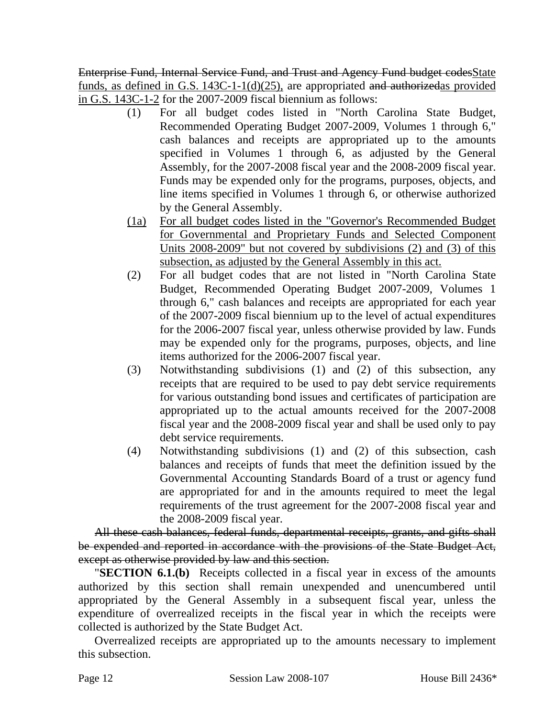Enterprise Fund, Internal Service Fund, and Trust and Agency Fund budget codesState funds, as defined in G.S. 143C-1-1(d)(25), are appropriated and authorizedas provided in G.S. 143C-1-2 for the 2007-2009 fiscal biennium as follows:

- (1) For all budget codes listed in "North Carolina State Budget, Recommended Operating Budget 2007-2009, Volumes 1 through 6," cash balances and receipts are appropriated up to the amounts specified in Volumes 1 through 6, as adjusted by the General Assembly, for the 2007-2008 fiscal year and the 2008-2009 fiscal year. Funds may be expended only for the programs, purposes, objects, and line items specified in Volumes 1 through 6, or otherwise authorized by the General Assembly.
- (1a) For all budget codes listed in the "Governor's Recommended Budget for Governmental and Proprietary Funds and Selected Component Units 2008-2009" but not covered by subdivisions (2) and (3) of this subsection, as adjusted by the General Assembly in this act.
- (2) For all budget codes that are not listed in "North Carolina State Budget, Recommended Operating Budget 2007-2009, Volumes 1 through 6," cash balances and receipts are appropriated for each year of the 2007-2009 fiscal biennium up to the level of actual expenditures for the 2006-2007 fiscal year, unless otherwise provided by law. Funds may be expended only for the programs, purposes, objects, and line items authorized for the 2006-2007 fiscal year.
- (3) Notwithstanding subdivisions (1) and (2) of this subsection, any receipts that are required to be used to pay debt service requirements for various outstanding bond issues and certificates of participation are appropriated up to the actual amounts received for the 2007-2008 fiscal year and the 2008-2009 fiscal year and shall be used only to pay debt service requirements.
- (4) Notwithstanding subdivisions (1) and (2) of this subsection, cash balances and receipts of funds that meet the definition issued by the Governmental Accounting Standards Board of a trust or agency fund are appropriated for and in the amounts required to meet the legal requirements of the trust agreement for the 2007-2008 fiscal year and the 2008-2009 fiscal year.

All these cash balances, federal funds, departmental receipts, grants, and gifts shall be expended and reported in accordance with the provisions of the State Budget Act, except as otherwise provided by law and this section.

"**SECTION 6.1.(b)** Receipts collected in a fiscal year in excess of the amounts authorized by this section shall remain unexpended and unencumbered until appropriated by the General Assembly in a subsequent fiscal year, unless the expenditure of overrealized receipts in the fiscal year in which the receipts were collected is authorized by the State Budget Act.

Overrealized receipts are appropriated up to the amounts necessary to implement this subsection.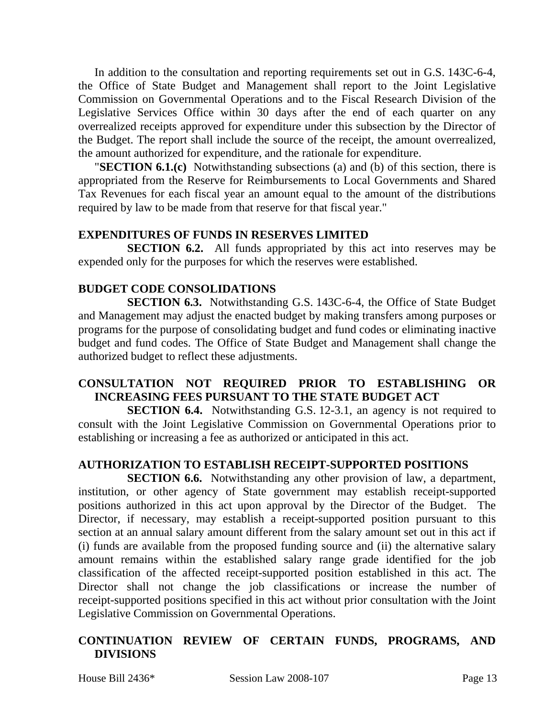In addition to the consultation and reporting requirements set out in G.S. 143C-6-4, the Office of State Budget and Management shall report to the Joint Legislative Commission on Governmental Operations and to the Fiscal Research Division of the Legislative Services Office within 30 days after the end of each quarter on any overrealized receipts approved for expenditure under this subsection by the Director of the Budget. The report shall include the source of the receipt, the amount overrealized, the amount authorized for expenditure, and the rationale for expenditure.

"**SECTION 6.1.(c)** Notwithstanding subsections (a) and (b) of this section, there is appropriated from the Reserve for Reimbursements to Local Governments and Shared Tax Revenues for each fiscal year an amount equal to the amount of the distributions required by law to be made from that reserve for that fiscal year."

#### **EXPENDITURES OF FUNDS IN RESERVES LIMITED**

**SECTION 6.2.** All funds appropriated by this act into reserves may be expended only for the purposes for which the reserves were established.

#### **BUDGET CODE CONSOLIDATIONS**

**SECTION 6.3.** Notwithstanding G.S. 143C-6-4, the Office of State Budget and Management may adjust the enacted budget by making transfers among purposes or programs for the purpose of consolidating budget and fund codes or eliminating inactive budget and fund codes. The Office of State Budget and Management shall change the authorized budget to reflect these adjustments.

### **CONSULTATION NOT REQUIRED PRIOR TO ESTABLISHING OR INCREASING FEES PURSUANT TO THE STATE BUDGET ACT**

**SECTION 6.4.** Notwithstanding G.S. 12-3.1, an agency is not required to consult with the Joint Legislative Commission on Governmental Operations prior to establishing or increasing a fee as authorized or anticipated in this act.

### **AUTHORIZATION TO ESTABLISH RECEIPT-SUPPORTED POSITIONS**

**SECTION 6.6.** Notwithstanding any other provision of law, a department, institution, or other agency of State government may establish receipt-supported positions authorized in this act upon approval by the Director of the Budget. The Director, if necessary, may establish a receipt-supported position pursuant to this section at an annual salary amount different from the salary amount set out in this act if (i) funds are available from the proposed funding source and (ii) the alternative salary amount remains within the established salary range grade identified for the job classification of the affected receipt-supported position established in this act. The Director shall not change the job classifications or increase the number of receipt-supported positions specified in this act without prior consultation with the Joint Legislative Commission on Governmental Operations.

### **CONTINUATION REVIEW OF CERTAIN FUNDS, PROGRAMS, AND DIVISIONS**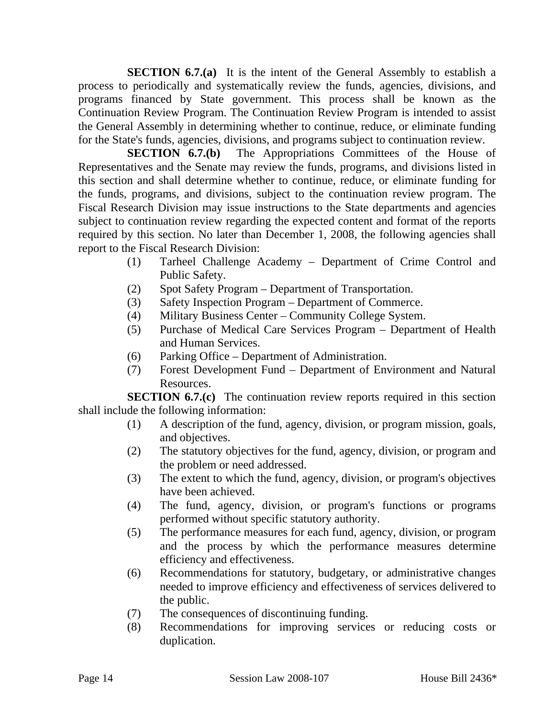**SECTION 6.7.(a)** It is the intent of the General Assembly to establish a process to periodically and systematically review the funds, agencies, divisions, and programs financed by State government. This process shall be known as the Continuation Review Program. The Continuation Review Program is intended to assist the General Assembly in determining whether to continue, reduce, or eliminate funding for the State's funds, agencies, divisions, and programs subject to continuation review.

**SECTION 6.7.(b)** The Appropriations Committees of the House of Representatives and the Senate may review the funds, programs, and divisions listed in this section and shall determine whether to continue, reduce, or eliminate funding for the funds, programs, and divisions, subject to the continuation review program. The Fiscal Research Division may issue instructions to the State departments and agencies subject to continuation review regarding the expected content and format of the reports required by this section. No later than December 1, 2008, the following agencies shall report to the Fiscal Research Division:

- (1) Tarheel Challenge Academy Department of Crime Control and Public Safety.
- (2) Spot Safety Program Department of Transportation.
- (3) Safety Inspection Program Department of Commerce.
- (4) Military Business Center Community College System.
- (5) Purchase of Medical Care Services Program Department of Health and Human Services.
- (6) Parking Office Department of Administration.
- (7) Forest Development Fund Department of Environment and Natural Resources.

**SECTION 6.7.(c)** The continuation review reports required in this section shall include the following information:

- (1) A description of the fund, agency, division, or program mission, goals, and objectives.
- (2) The statutory objectives for the fund, agency, division, or program and the problem or need addressed.
- (3) The extent to which the fund, agency, division, or program's objectives have been achieved.
- (4) The fund, agency, division, or program's functions or programs performed without specific statutory authority.
- (5) The performance measures for each fund, agency, division, or program and the process by which the performance measures determine efficiency and effectiveness.
- (6) Recommendations for statutory, budgetary, or administrative changes needed to improve efficiency and effectiveness of services delivered to the public.
- (7) The consequences of discontinuing funding.
- (8) Recommendations for improving services or reducing costs or duplication.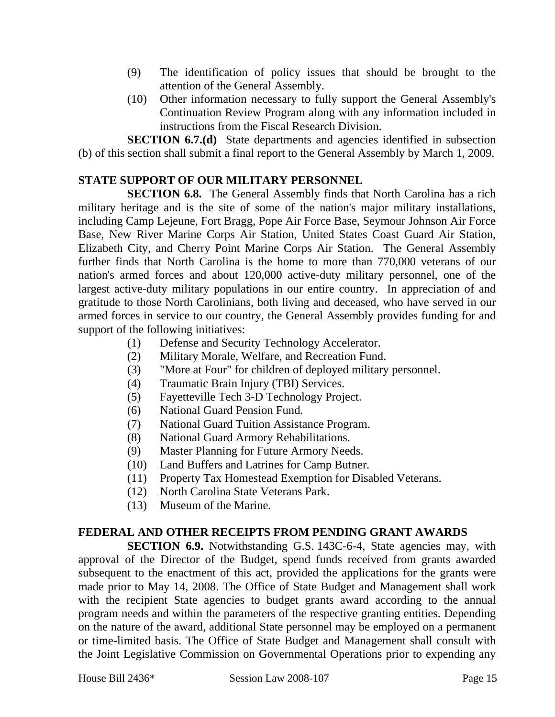- (9) The identification of policy issues that should be brought to the attention of the General Assembly.
- (10) Other information necessary to fully support the General Assembly's Continuation Review Program along with any information included in instructions from the Fiscal Research Division.

**SECTION 6.7.(d)** State departments and agencies identified in subsection (b) of this section shall submit a final report to the General Assembly by March 1, 2009.

## **STATE SUPPORT OF OUR MILITARY PERSONNEL**

**SECTION 6.8.** The General Assembly finds that North Carolina has a rich military heritage and is the site of some of the nation's major military installations, including Camp Lejeune, Fort Bragg, Pope Air Force Base, Seymour Johnson Air Force Base, New River Marine Corps Air Station, United States Coast Guard Air Station, Elizabeth City, and Cherry Point Marine Corps Air Station. The General Assembly further finds that North Carolina is the home to more than 770,000 veterans of our nation's armed forces and about 120,000 active-duty military personnel, one of the largest active-duty military populations in our entire country. In appreciation of and gratitude to those North Carolinians, both living and deceased, who have served in our armed forces in service to our country, the General Assembly provides funding for and support of the following initiatives:

- (1) Defense and Security Technology Accelerator.
- (2) Military Morale, Welfare, and Recreation Fund.
- (3) "More at Four" for children of deployed military personnel.
- (4) Traumatic Brain Injury (TBI) Services.
- (5) Fayetteville Tech 3-D Technology Project.
- (6) National Guard Pension Fund.
- (7) National Guard Tuition Assistance Program.
- (8) National Guard Armory Rehabilitations.
- (9) Master Planning for Future Armory Needs.
- (10) Land Buffers and Latrines for Camp Butner.
- (11) Property Tax Homestead Exemption for Disabled Veterans.
- (12) North Carolina State Veterans Park.
- (13) Museum of the Marine.

### **FEDERAL AND OTHER RECEIPTS FROM PENDING GRANT AWARDS**

**SECTION 6.9.** Notwithstanding G.S. 143C-6-4, State agencies may, with approval of the Director of the Budget, spend funds received from grants awarded subsequent to the enactment of this act, provided the applications for the grants were made prior to May 14, 2008. The Office of State Budget and Management shall work with the recipient State agencies to budget grants award according to the annual program needs and within the parameters of the respective granting entities. Depending on the nature of the award, additional State personnel may be employed on a permanent or time-limited basis. The Office of State Budget and Management shall consult with the Joint Legislative Commission on Governmental Operations prior to expending any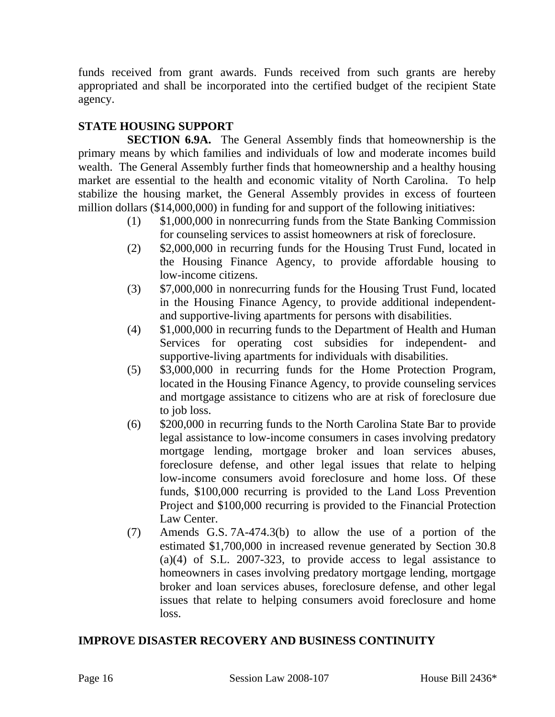funds received from grant awards. Funds received from such grants are hereby appropriated and shall be incorporated into the certified budget of the recipient State agency.

## **STATE HOUSING SUPPORT**

**SECTION 6.9A.** The General Assembly finds that homeownership is the primary means by which families and individuals of low and moderate incomes build wealth. The General Assembly further finds that homeownership and a healthy housing market are essential to the health and economic vitality of North Carolina. To help stabilize the housing market, the General Assembly provides in excess of fourteen million dollars (\$14,000,000) in funding for and support of the following initiatives:

- (1) \$1,000,000 in nonrecurring funds from the State Banking Commission for counseling services to assist homeowners at risk of foreclosure.
- (2) \$2,000,000 in recurring funds for the Housing Trust Fund, located in the Housing Finance Agency, to provide affordable housing to low-income citizens.
- (3) \$7,000,000 in nonrecurring funds for the Housing Trust Fund, located in the Housing Finance Agency, to provide additional independentand supportive-living apartments for persons with disabilities.
- (4) \$1,000,000 in recurring funds to the Department of Health and Human Services for operating cost subsidies for independent- and supportive-living apartments for individuals with disabilities.
- (5) \$3,000,000 in recurring funds for the Home Protection Program, located in the Housing Finance Agency, to provide counseling services and mortgage assistance to citizens who are at risk of foreclosure due to job loss.
- (6) \$200,000 in recurring funds to the North Carolina State Bar to provide legal assistance to low-income consumers in cases involving predatory mortgage lending, mortgage broker and loan services abuses, foreclosure defense, and other legal issues that relate to helping low-income consumers avoid foreclosure and home loss. Of these funds, \$100,000 recurring is provided to the Land Loss Prevention Project and \$100,000 recurring is provided to the Financial Protection Law Center.
- (7) Amends G.S. 7A-474.3(b) to allow the use of a portion of the estimated \$1,700,000 in increased revenue generated by Section 30.8 (a)(4) of S.L. 2007-323, to provide access to legal assistance to homeowners in cases involving predatory mortgage lending, mortgage broker and loan services abuses, foreclosure defense, and other legal issues that relate to helping consumers avoid foreclosure and home loss.

## **IMPROVE DISASTER RECOVERY AND BUSINESS CONTINUITY**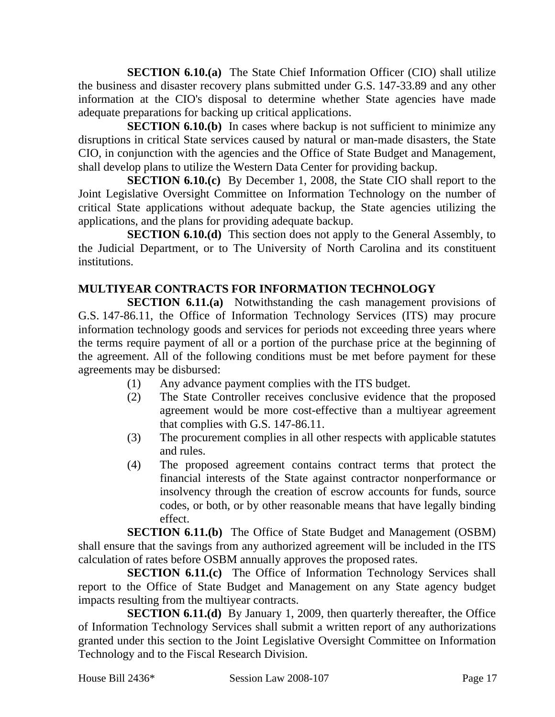**SECTION 6.10.(a)** The State Chief Information Officer (CIO) shall utilize the business and disaster recovery plans submitted under G.S. 147-33.89 and any other information at the CIO's disposal to determine whether State agencies have made adequate preparations for backing up critical applications.

**SECTION 6.10.(b)** In cases where backup is not sufficient to minimize any disruptions in critical State services caused by natural or man-made disasters, the State CIO, in conjunction with the agencies and the Office of State Budget and Management, shall develop plans to utilize the Western Data Center for providing backup.

**SECTION 6.10.(c)** By December 1, 2008, the State CIO shall report to the Joint Legislative Oversight Committee on Information Technology on the number of critical State applications without adequate backup, the State agencies utilizing the applications, and the plans for providing adequate backup.

**SECTION 6.10.(d)** This section does not apply to the General Assembly, to the Judicial Department, or to The University of North Carolina and its constituent institutions.

## **MULTIYEAR CONTRACTS FOR INFORMATION TECHNOLOGY**

**SECTION 6.11.(a)** Notwithstanding the cash management provisions of G.S. 147-86.11, the Office of Information Technology Services (ITS) may procure information technology goods and services for periods not exceeding three years where the terms require payment of all or a portion of the purchase price at the beginning of the agreement. All of the following conditions must be met before payment for these agreements may be disbursed:

- (1) Any advance payment complies with the ITS budget.
- (2) The State Controller receives conclusive evidence that the proposed agreement would be more cost-effective than a multiyear agreement that complies with G.S. 147-86.11.
- (3) The procurement complies in all other respects with applicable statutes and rules.
- (4) The proposed agreement contains contract terms that protect the financial interests of the State against contractor nonperformance or insolvency through the creation of escrow accounts for funds, source codes, or both, or by other reasonable means that have legally binding effect.

**SECTION 6.11.(b)** The Office of State Budget and Management (OSBM) shall ensure that the savings from any authorized agreement will be included in the ITS calculation of rates before OSBM annually approves the proposed rates.

**SECTION 6.11.(c)** The Office of Information Technology Services shall report to the Office of State Budget and Management on any State agency budget impacts resulting from the multiyear contracts.

**SECTION 6.11.(d)** By January 1, 2009, then quarterly thereafter, the Office of Information Technology Services shall submit a written report of any authorizations granted under this section to the Joint Legislative Oversight Committee on Information Technology and to the Fiscal Research Division.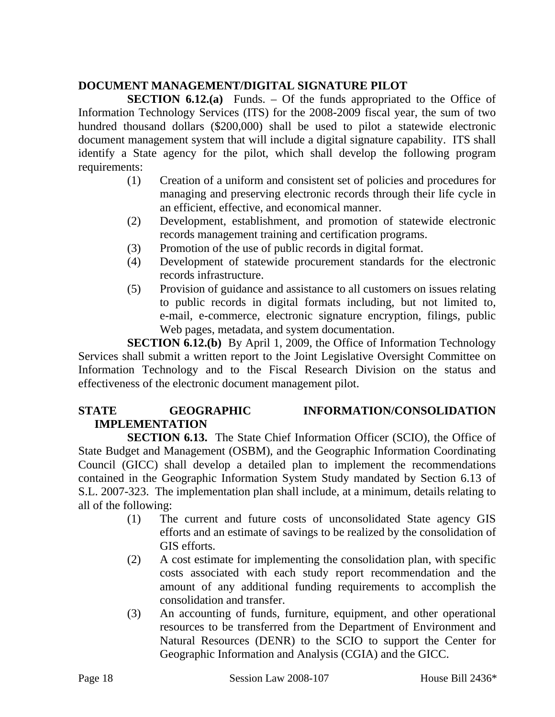## **DOCUMENT MANAGEMENT/DIGITAL SIGNATURE PILOT**

**SECTION 6.12.(a)** Funds. – Of the funds appropriated to the Office of Information Technology Services (ITS) for the 2008-2009 fiscal year, the sum of two hundred thousand dollars (\$200,000) shall be used to pilot a statewide electronic document management system that will include a digital signature capability. ITS shall identify a State agency for the pilot, which shall develop the following program requirements:

- (1) Creation of a uniform and consistent set of policies and procedures for managing and preserving electronic records through their life cycle in an efficient, effective, and economical manner.
- (2) Development, establishment, and promotion of statewide electronic records management training and certification programs.
- (3) Promotion of the use of public records in digital format.
- (4) Development of statewide procurement standards for the electronic records infrastructure.
- (5) Provision of guidance and assistance to all customers on issues relating to public records in digital formats including, but not limited to, e-mail, e-commerce, electronic signature encryption, filings, public Web pages, metadata, and system documentation.

**SECTION 6.12.(b)** By April 1, 2009, the Office of Information Technology Services shall submit a written report to the Joint Legislative Oversight Committee on Information Technology and to the Fiscal Research Division on the status and effectiveness of the electronic document management pilot.

## STATE **GEOGRAPHIC INFORMATION/CONSOLIDATION IMPLEMENTATION**

**SECTION 6.13.** The State Chief Information Officer (SCIO), the Office of State Budget and Management (OSBM), and the Geographic Information Coordinating Council (GICC) shall develop a detailed plan to implement the recommendations contained in the Geographic Information System Study mandated by Section 6.13 of S.L. 2007-323. The implementation plan shall include, at a minimum, details relating to all of the following:

- (1) The current and future costs of unconsolidated State agency GIS efforts and an estimate of savings to be realized by the consolidation of GIS efforts.
- (2) A cost estimate for implementing the consolidation plan, with specific costs associated with each study report recommendation and the amount of any additional funding requirements to accomplish the consolidation and transfer.
- (3) An accounting of funds, furniture, equipment, and other operational resources to be transferred from the Department of Environment and Natural Resources (DENR) to the SCIO to support the Center for Geographic Information and Analysis (CGIA) and the GICC.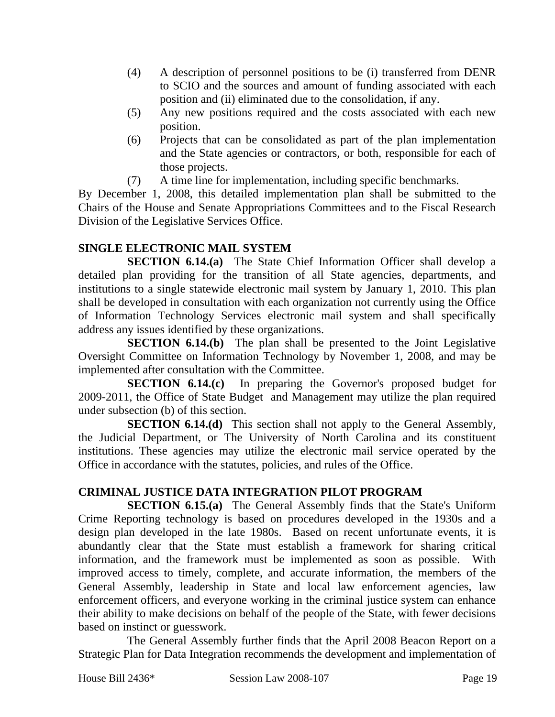- (4) A description of personnel positions to be (i) transferred from DENR to SCIO and the sources and amount of funding associated with each position and (ii) eliminated due to the consolidation, if any.
- (5) Any new positions required and the costs associated with each new position.
- (6) Projects that can be consolidated as part of the plan implementation and the State agencies or contractors, or both, responsible for each of those projects.
- (7) A time line for implementation, including specific benchmarks.

By December 1, 2008, this detailed implementation plan shall be submitted to the Chairs of the House and Senate Appropriations Committees and to the Fiscal Research Division of the Legislative Services Office.

## **SINGLE ELECTRONIC MAIL SYSTEM**

**SECTION 6.14.(a)** The State Chief Information Officer shall develop a detailed plan providing for the transition of all State agencies, departments, and institutions to a single statewide electronic mail system by January 1, 2010. This plan shall be developed in consultation with each organization not currently using the Office of Information Technology Services electronic mail system and shall specifically address any issues identified by these organizations.

**SECTION 6.14.(b)** The plan shall be presented to the Joint Legislative Oversight Committee on Information Technology by November 1, 2008, and may be implemented after consultation with the Committee.

**SECTION 6.14.(c)** In preparing the Governor's proposed budget for 2009-2011, the Office of State Budget and Management may utilize the plan required under subsection (b) of this section.

**SECTION 6.14.(d)** This section shall not apply to the General Assembly, the Judicial Department, or The University of North Carolina and its constituent institutions. These agencies may utilize the electronic mail service operated by the Office in accordance with the statutes, policies, and rules of the Office.

# **CRIMINAL JUSTICE DATA INTEGRATION PILOT PROGRAM**

**SECTION 6.15.(a)** The General Assembly finds that the State's Uniform Crime Reporting technology is based on procedures developed in the 1930s and a design plan developed in the late 1980s. Based on recent unfortunate events, it is abundantly clear that the State must establish a framework for sharing critical information, and the framework must be implemented as soon as possible. With improved access to timely, complete, and accurate information, the members of the General Assembly, leadership in State and local law enforcement agencies, law enforcement officers, and everyone working in the criminal justice system can enhance their ability to make decisions on behalf of the people of the State, with fewer decisions based on instinct or guesswork.

The General Assembly further finds that the April 2008 Beacon Report on a Strategic Plan for Data Integration recommends the development and implementation of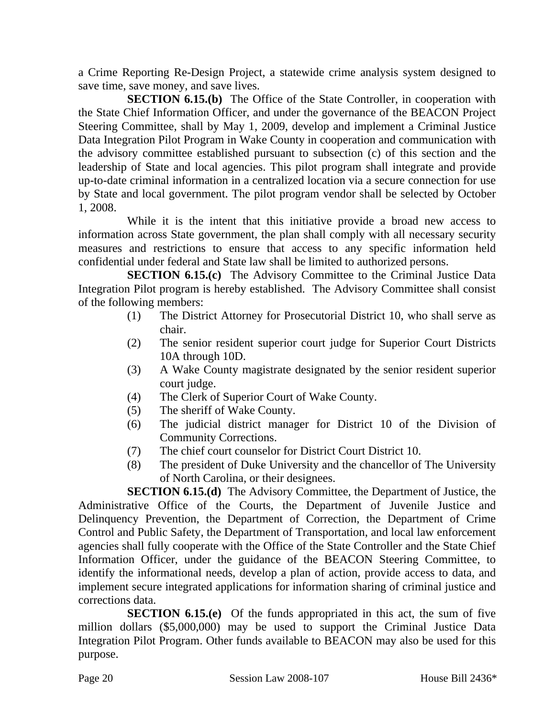a Crime Reporting Re-Design Project, a statewide crime analysis system designed to save time, save money, and save lives.

**SECTION 6.15.(b)** The Office of the State Controller, in cooperation with the State Chief Information Officer, and under the governance of the BEACON Project Steering Committee, shall by May 1, 2009, develop and implement a Criminal Justice Data Integration Pilot Program in Wake County in cooperation and communication with the advisory committee established pursuant to subsection (c) of this section and the leadership of State and local agencies. This pilot program shall integrate and provide up-to-date criminal information in a centralized location via a secure connection for use by State and local government. The pilot program vendor shall be selected by October 1, 2008.

While it is the intent that this initiative provide a broad new access to information across State government, the plan shall comply with all necessary security measures and restrictions to ensure that access to any specific information held confidential under federal and State law shall be limited to authorized persons.

**SECTION 6.15.(c)** The Advisory Committee to the Criminal Justice Data Integration Pilot program is hereby established. The Advisory Committee shall consist of the following members:

- (1) The District Attorney for Prosecutorial District 10, who shall serve as chair.
- (2) The senior resident superior court judge for Superior Court Districts 10A through 10D.
- (3) A Wake County magistrate designated by the senior resident superior court judge.
- (4) The Clerk of Superior Court of Wake County.
- (5) The sheriff of Wake County.
- (6) The judicial district manager for District 10 of the Division of Community Corrections.
- (7) The chief court counselor for District Court District 10.
- (8) The president of Duke University and the chancellor of The University of North Carolina, or their designees.

**SECTION 6.15.(d)** The Advisory Committee, the Department of Justice, the Administrative Office of the Courts, the Department of Juvenile Justice and Delinquency Prevention, the Department of Correction, the Department of Crime Control and Public Safety, the Department of Transportation, and local law enforcement agencies shall fully cooperate with the Office of the State Controller and the State Chief Information Officer, under the guidance of the BEACON Steering Committee, to identify the informational needs, develop a plan of action, provide access to data, and implement secure integrated applications for information sharing of criminal justice and corrections data.

**SECTION 6.15.(e)** Of the funds appropriated in this act, the sum of five million dollars (\$5,000,000) may be used to support the Criminal Justice Data Integration Pilot Program. Other funds available to BEACON may also be used for this purpose.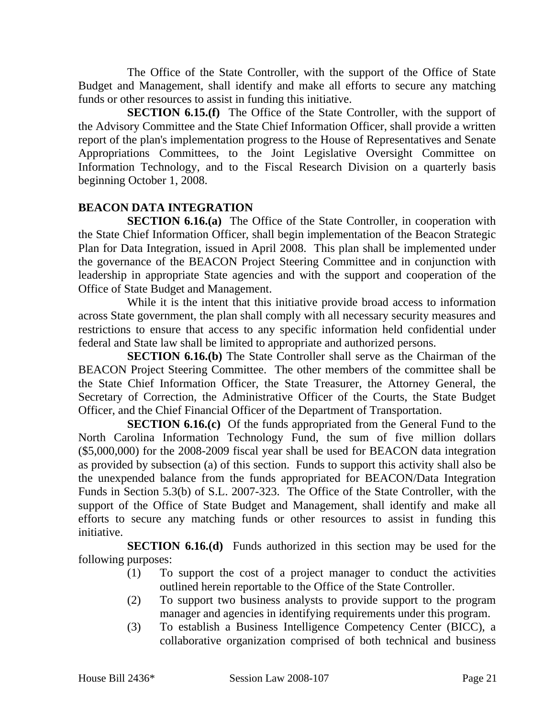The Office of the State Controller, with the support of the Office of State Budget and Management, shall identify and make all efforts to secure any matching funds or other resources to assist in funding this initiative.

**SECTION 6.15.(f)** The Office of the State Controller, with the support of the Advisory Committee and the State Chief Information Officer, shall provide a written report of the plan's implementation progress to the House of Representatives and Senate Appropriations Committees, to the Joint Legislative Oversight Committee on Information Technology, and to the Fiscal Research Division on a quarterly basis beginning October 1, 2008.

## **BEACON DATA INTEGRATION**

**SECTION 6.16.(a)** The Office of the State Controller, in cooperation with the State Chief Information Officer, shall begin implementation of the Beacon Strategic Plan for Data Integration, issued in April 2008. This plan shall be implemented under the governance of the BEACON Project Steering Committee and in conjunction with leadership in appropriate State agencies and with the support and cooperation of the Office of State Budget and Management.

While it is the intent that this initiative provide broad access to information across State government, the plan shall comply with all necessary security measures and restrictions to ensure that access to any specific information held confidential under federal and State law shall be limited to appropriate and authorized persons.

**SECTION 6.16.(b)** The State Controller shall serve as the Chairman of the BEACON Project Steering Committee. The other members of the committee shall be the State Chief Information Officer, the State Treasurer, the Attorney General, the Secretary of Correction, the Administrative Officer of the Courts, the State Budget Officer, and the Chief Financial Officer of the Department of Transportation.

**SECTION 6.16.(c)** Of the funds appropriated from the General Fund to the North Carolina Information Technology Fund, the sum of five million dollars (\$5,000,000) for the 2008-2009 fiscal year shall be used for BEACON data integration as provided by subsection (a) of this section. Funds to support this activity shall also be the unexpended balance from the funds appropriated for BEACON/Data Integration Funds in Section 5.3(b) of S.L. 2007-323. The Office of the State Controller, with the support of the Office of State Budget and Management, shall identify and make all efforts to secure any matching funds or other resources to assist in funding this initiative.

**SECTION 6.16.(d)** Funds authorized in this section may be used for the following purposes:

- (1) To support the cost of a project manager to conduct the activities outlined herein reportable to the Office of the State Controller.
- (2) To support two business analysts to provide support to the program manager and agencies in identifying requirements under this program.
- (3) To establish a Business Intelligence Competency Center (BICC), a collaborative organization comprised of both technical and business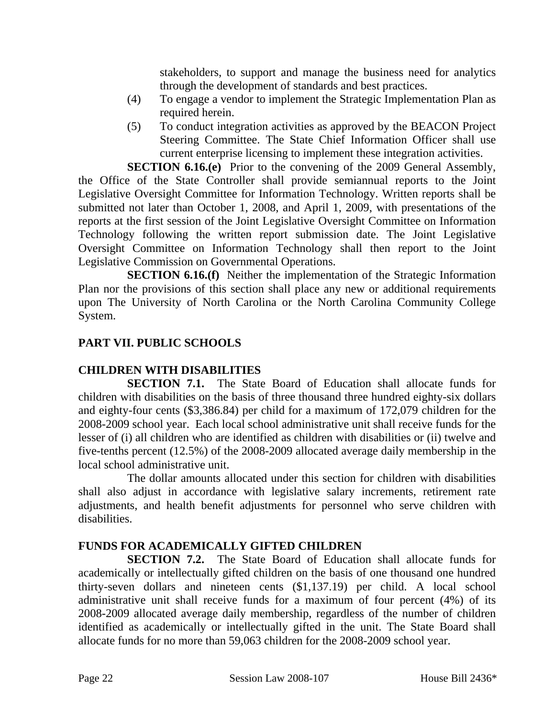stakeholders, to support and manage the business need for analytics through the development of standards and best practices.

- (4) To engage a vendor to implement the Strategic Implementation Plan as required herein.
- (5) To conduct integration activities as approved by the BEACON Project Steering Committee. The State Chief Information Officer shall use current enterprise licensing to implement these integration activities.

**SECTION 6.16.(e)** Prior to the convening of the 2009 General Assembly, the Office of the State Controller shall provide semiannual reports to the Joint Legislative Oversight Committee for Information Technology. Written reports shall be submitted not later than October 1, 2008, and April 1, 2009, with presentations of the reports at the first session of the Joint Legislative Oversight Committee on Information Technology following the written report submission date. The Joint Legislative Oversight Committee on Information Technology shall then report to the Joint Legislative Commission on Governmental Operations.

**SECTION 6.16.(f)** Neither the implementation of the Strategic Information Plan nor the provisions of this section shall place any new or additional requirements upon The University of North Carolina or the North Carolina Community College System.

## **PART VII. PUBLIC SCHOOLS**

### **CHILDREN WITH DISABILITIES**

**SECTION 7.1.** The State Board of Education shall allocate funds for children with disabilities on the basis of three thousand three hundred eighty-six dollars and eighty-four cents (\$3,386.84) per child for a maximum of 172,079 children for the 2008-2009 school year. Each local school administrative unit shall receive funds for the lesser of (i) all children who are identified as children with disabilities or (ii) twelve and five-tenths percent (12.5%) of the 2008-2009 allocated average daily membership in the local school administrative unit.

The dollar amounts allocated under this section for children with disabilities shall also adjust in accordance with legislative salary increments, retirement rate adjustments, and health benefit adjustments for personnel who serve children with disabilities.

## **FUNDS FOR ACADEMICALLY GIFTED CHILDREN**

**SECTION 7.2.** The State Board of Education shall allocate funds for academically or intellectually gifted children on the basis of one thousand one hundred thirty-seven dollars and nineteen cents (\$1,137.19) per child. A local school administrative unit shall receive funds for a maximum of four percent (4%) of its 2008-2009 allocated average daily membership, regardless of the number of children identified as academically or intellectually gifted in the unit. The State Board shall allocate funds for no more than 59,063 children for the 2008-2009 school year.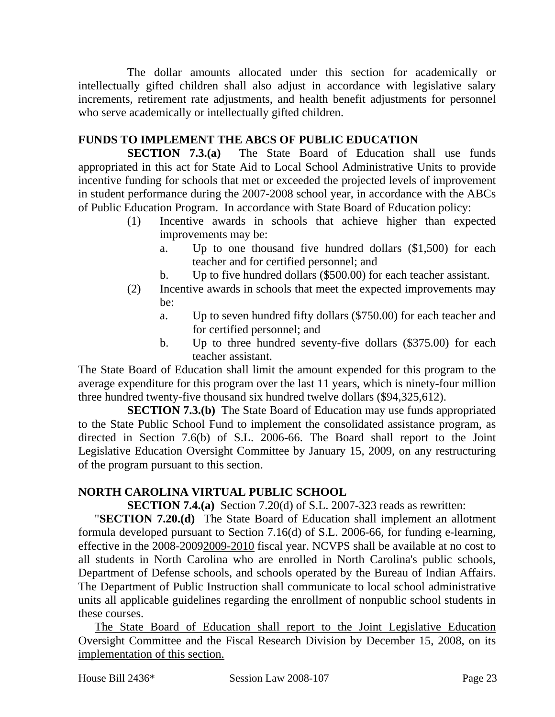The dollar amounts allocated under this section for academically or intellectually gifted children shall also adjust in accordance with legislative salary increments, retirement rate adjustments, and health benefit adjustments for personnel who serve academically or intellectually gifted children.

## **FUNDS TO IMPLEMENT THE ABCS OF PUBLIC EDUCATION**

**SECTION 7.3.(a)** The State Board of Education shall use funds appropriated in this act for State Aid to Local School Administrative Units to provide incentive funding for schools that met or exceeded the projected levels of improvement in student performance during the 2007-2008 school year, in accordance with the ABCs of Public Education Program. In accordance with State Board of Education policy:

- (1) Incentive awards in schools that achieve higher than expected improvements may be:
	- a. Up to one thousand five hundred dollars (\$1,500) for each teacher and for certified personnel; and
	- b. Up to five hundred dollars (\$500.00) for each teacher assistant.
- (2) Incentive awards in schools that meet the expected improvements may be:
	- a. Up to seven hundred fifty dollars (\$750.00) for each teacher and for certified personnel; and
	- b. Up to three hundred seventy-five dollars (\$375.00) for each teacher assistant.

The State Board of Education shall limit the amount expended for this program to the average expenditure for this program over the last 11 years, which is ninety-four million three hundred twenty-five thousand six hundred twelve dollars (\$94,325,612).

**SECTION 7.3.(b)** The State Board of Education may use funds appropriated to the State Public School Fund to implement the consolidated assistance program, as directed in Section 7.6(b) of S.L. 2006-66. The Board shall report to the Joint Legislative Education Oversight Committee by January 15, 2009, on any restructuring of the program pursuant to this section.

## **NORTH CAROLINA VIRTUAL PUBLIC SCHOOL**

**SECTION 7.4.(a)** Section 7.20(d) of S.L. 2007-323 reads as rewritten:

"**SECTION 7.20.(d)** The State Board of Education shall implement an allotment formula developed pursuant to Section 7.16(d) of S.L. 2006-66, for funding e-learning, effective in the 2008-20092009-2010 fiscal year. NCVPS shall be available at no cost to all students in North Carolina who are enrolled in North Carolina's public schools, Department of Defense schools, and schools operated by the Bureau of Indian Affairs. The Department of Public Instruction shall communicate to local school administrative units all applicable guidelines regarding the enrollment of nonpublic school students in these courses.

The State Board of Education shall report to the Joint Legislative Education Oversight Committee and the Fiscal Research Division by December 15, 2008, on its implementation of this section.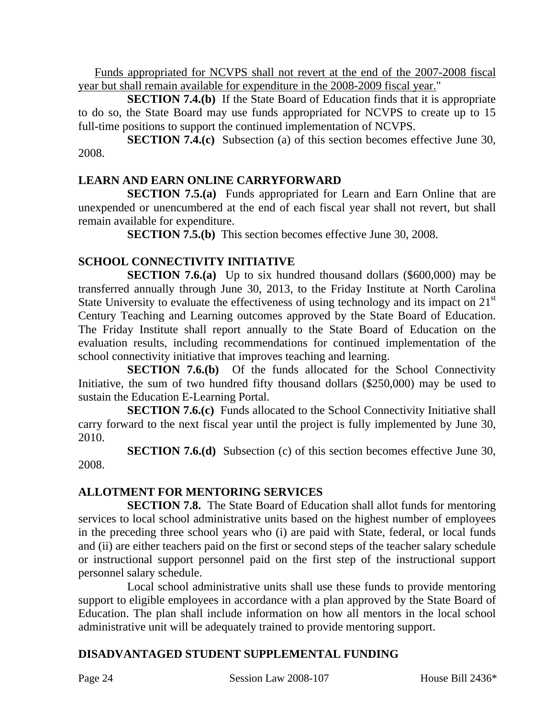Funds appropriated for NCVPS shall not revert at the end of the 2007-2008 fiscal year but shall remain available for expenditure in the 2008-2009 fiscal year."

**SECTION 7.4.(b)** If the State Board of Education finds that it is appropriate to do so, the State Board may use funds appropriated for NCVPS to create up to 15 full-time positions to support the continued implementation of NCVPS.

**SECTION 7.4.(c)** Subsection (a) of this section becomes effective June 30, 2008.

## **LEARN AND EARN ONLINE CARRYFORWARD**

**SECTION 7.5.(a)** Funds appropriated for Learn and Earn Online that are unexpended or unencumbered at the end of each fiscal year shall not revert, but shall remain available for expenditure.

**SECTION 7.5.(b)** This section becomes effective June 30, 2008.

# **SCHOOL CONNECTIVITY INITIATIVE**

**SECTION 7.6.(a)** Up to six hundred thousand dollars (\$600,000) may be transferred annually through June 30, 2013, to the Friday Institute at North Carolina State University to evaluate the effectiveness of using technology and its impact on 21<sup>st</sup> Century Teaching and Learning outcomes approved by the State Board of Education. The Friday Institute shall report annually to the State Board of Education on the evaluation results, including recommendations for continued implementation of the school connectivity initiative that improves teaching and learning.

**SECTION 7.6.(b)** Of the funds allocated for the School Connectivity Initiative, the sum of two hundred fifty thousand dollars (\$250,000) may be used to sustain the Education E-Learning Portal.

**SECTION 7.6.(c)** Funds allocated to the School Connectivity Initiative shall carry forward to the next fiscal year until the project is fully implemented by June 30, 2010.

**SECTION 7.6.(d)** Subsection (c) of this section becomes effective June 30, 2008.

## **ALLOTMENT FOR MENTORING SERVICES**

**SECTION 7.8.** The State Board of Education shall allot funds for mentoring services to local school administrative units based on the highest number of employees in the preceding three school years who (i) are paid with State, federal, or local funds and (ii) are either teachers paid on the first or second steps of the teacher salary schedule or instructional support personnel paid on the first step of the instructional support personnel salary schedule.

Local school administrative units shall use these funds to provide mentoring support to eligible employees in accordance with a plan approved by the State Board of Education. The plan shall include information on how all mentors in the local school administrative unit will be adequately trained to provide mentoring support.

# **DISADVANTAGED STUDENT SUPPLEMENTAL FUNDING**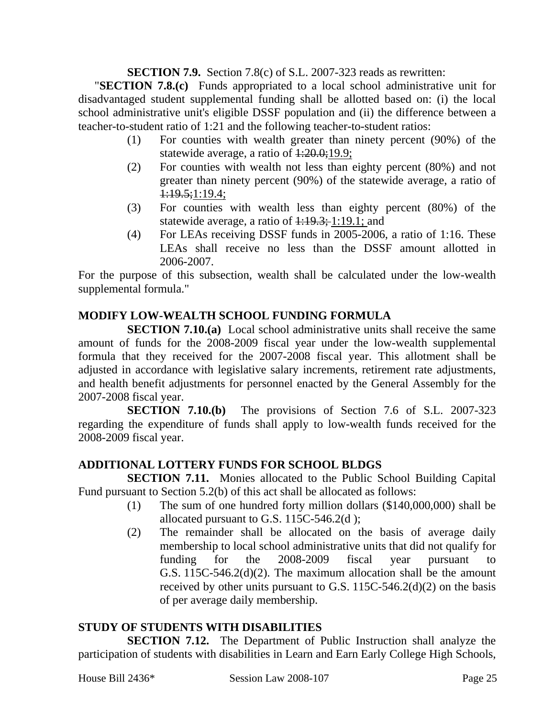**SECTION 7.9.** Section 7.8(c) of S.L. 2007-323 reads as rewritten:

"**SECTION 7.8.(c)** Funds appropriated to a local school administrative unit for disadvantaged student supplemental funding shall be allotted based on: (i) the local school administrative unit's eligible DSSF population and (ii) the difference between a teacher-to-student ratio of 1:21 and the following teacher-to-student ratios:

- (1) For counties with wealth greater than ninety percent (90%) of the statewide average, a ratio of  $1:20.0;19.9;$
- (2) For counties with wealth not less than eighty percent (80%) and not greater than ninety percent (90%) of the statewide average, a ratio of  $1:19.5;1:19.4;$
- (3) For counties with wealth less than eighty percent (80%) of the statewide average, a ratio of  $1:19.3; 1:19.1;$  and
- (4) For LEAs receiving DSSF funds in 2005-2006, a ratio of 1:16. These LEAs shall receive no less than the DSSF amount allotted in 2006-2007.

For the purpose of this subsection, wealth shall be calculated under the low-wealth supplemental formula."

# **MODIFY LOW-WEALTH SCHOOL FUNDING FORMULA**

**SECTION 7.10.(a)** Local school administrative units shall receive the same amount of funds for the 2008-2009 fiscal year under the low-wealth supplemental formula that they received for the 2007-2008 fiscal year. This allotment shall be adjusted in accordance with legislative salary increments, retirement rate adjustments, and health benefit adjustments for personnel enacted by the General Assembly for the 2007-2008 fiscal year.

**SECTION 7.10.(b)** The provisions of Section 7.6 of S.L. 2007-323 regarding the expenditure of funds shall apply to low-wealth funds received for the 2008-2009 fiscal year.

## **ADDITIONAL LOTTERY FUNDS FOR SCHOOL BLDGS**

**SECTION 7.11.** Monies allocated to the Public School Building Capital Fund pursuant to Section 5.2(b) of this act shall be allocated as follows:

- (1) The sum of one hundred forty million dollars (\$140,000,000) shall be allocated pursuant to G.S. 115C-546.2(d );
- (2) The remainder shall be allocated on the basis of average daily membership to local school administrative units that did not qualify for funding for the 2008-2009 fiscal year pursuant to G.S. 115C-546.2(d)(2). The maximum allocation shall be the amount received by other units pursuant to G.S.  $115C-546.2(d)(2)$  on the basis of per average daily membership.

### **STUDY OF STUDENTS WITH DISABILITIES**

**SECTION 7.12.** The Department of Public Instruction shall analyze the participation of students with disabilities in Learn and Earn Early College High Schools,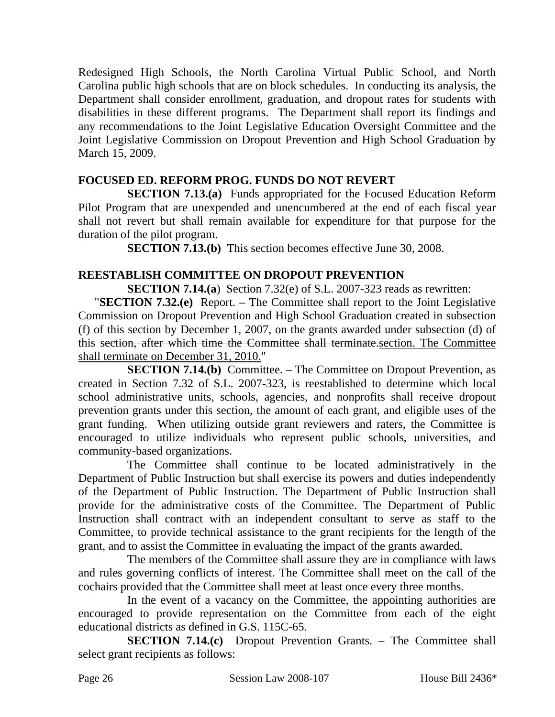Redesigned High Schools, the North Carolina Virtual Public School, and North Carolina public high schools that are on block schedules. In conducting its analysis, the Department shall consider enrollment, graduation, and dropout rates for students with disabilities in these different programs. The Department shall report its findings and any recommendations to the Joint Legislative Education Oversight Committee and the Joint Legislative Commission on Dropout Prevention and High School Graduation by March 15, 2009.

## **FOCUSED ED. REFORM PROG. FUNDS DO NOT REVERT**

**SECTION 7.13.(a)** Funds appropriated for the Focused Education Reform Pilot Program that are unexpended and unencumbered at the end of each fiscal year shall not revert but shall remain available for expenditure for that purpose for the duration of the pilot program.

**SECTION 7.13.(b)** This section becomes effective June 30, 2008.

## **REESTABLISH COMMITTEE ON DROPOUT PREVENTION**

**SECTION 7.14.(a**) Section 7.32(e) of S.L. 2007-323 reads as rewritten:

"**SECTION 7.32.(e)** Report. – The Committee shall report to the Joint Legislative Commission on Dropout Prevention and High School Graduation created in subsection (f) of this section by December 1, 2007, on the grants awarded under subsection (d) of this section, after which time the Committee shall terminate.section. The Committee shall terminate on December 31, 2010."

**SECTION 7.14.(b)** Committee. – The Committee on Dropout Prevention, as created in Section 7.32 of S.L. 2007-323, is reestablished to determine which local school administrative units, schools, agencies, and nonprofits shall receive dropout prevention grants under this section, the amount of each grant, and eligible uses of the grant funding. When utilizing outside grant reviewers and raters, the Committee is encouraged to utilize individuals who represent public schools, universities, and community-based organizations.

The Committee shall continue to be located administratively in the Department of Public Instruction but shall exercise its powers and duties independently of the Department of Public Instruction. The Department of Public Instruction shall provide for the administrative costs of the Committee. The Department of Public Instruction shall contract with an independent consultant to serve as staff to the Committee, to provide technical assistance to the grant recipients for the length of the grant, and to assist the Committee in evaluating the impact of the grants awarded.

The members of the Committee shall assure they are in compliance with laws and rules governing conflicts of interest. The Committee shall meet on the call of the cochairs provided that the Committee shall meet at least once every three months.

In the event of a vacancy on the Committee, the appointing authorities are encouraged to provide representation on the Committee from each of the eight educational districts as defined in G.S. 115C-65.

**SECTION 7.14.(c)** Dropout Prevention Grants. – The Committee shall select grant recipients as follows: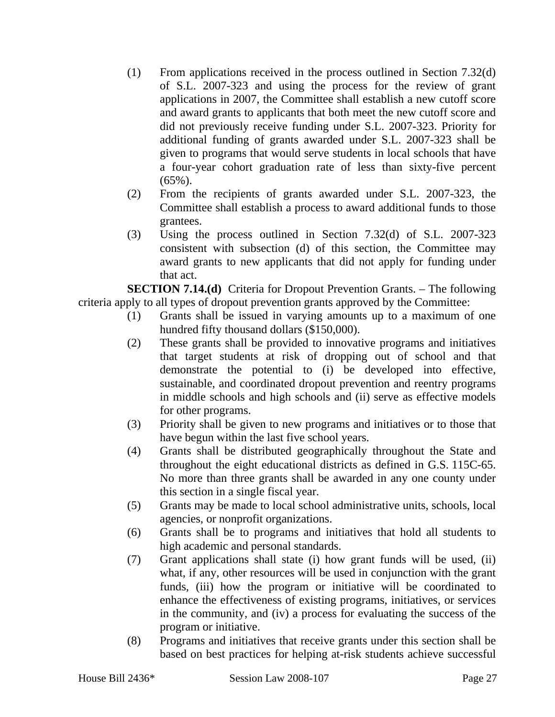- (1) From applications received in the process outlined in Section 7.32(d) of S.L. 2007-323 and using the process for the review of grant applications in 2007, the Committee shall establish a new cutoff score and award grants to applicants that both meet the new cutoff score and did not previously receive funding under S.L. 2007-323. Priority for additional funding of grants awarded under S.L. 2007-323 shall be given to programs that would serve students in local schools that have a four-year cohort graduation rate of less than sixty-five percent  $(65\%)$ .
- (2) From the recipients of grants awarded under S.L. 2007-323, the Committee shall establish a process to award additional funds to those grantees.
- (3) Using the process outlined in Section 7.32(d) of S.L. 2007-323 consistent with subsection (d) of this section, the Committee may award grants to new applicants that did not apply for funding under that act.

**SECTION 7.14.(d)** Criteria for Dropout Prevention Grants. – The following criteria apply to all types of dropout prevention grants approved by the Committee:

- (1) Grants shall be issued in varying amounts up to a maximum of one hundred fifty thousand dollars (\$150,000).
- (2) These grants shall be provided to innovative programs and initiatives that target students at risk of dropping out of school and that demonstrate the potential to (i) be developed into effective, sustainable, and coordinated dropout prevention and reentry programs in middle schools and high schools and (ii) serve as effective models for other programs.
- (3) Priority shall be given to new programs and initiatives or to those that have begun within the last five school years.
- (4) Grants shall be distributed geographically throughout the State and throughout the eight educational districts as defined in G.S. 115C-65. No more than three grants shall be awarded in any one county under this section in a single fiscal year.
- (5) Grants may be made to local school administrative units, schools, local agencies, or nonprofit organizations.
- (6) Grants shall be to programs and initiatives that hold all students to high academic and personal standards.
- (7) Grant applications shall state (i) how grant funds will be used, (ii) what, if any, other resources will be used in conjunction with the grant funds, (iii) how the program or initiative will be coordinated to enhance the effectiveness of existing programs, initiatives, or services in the community, and (iv) a process for evaluating the success of the program or initiative.
- (8) Programs and initiatives that receive grants under this section shall be based on best practices for helping at-risk students achieve successful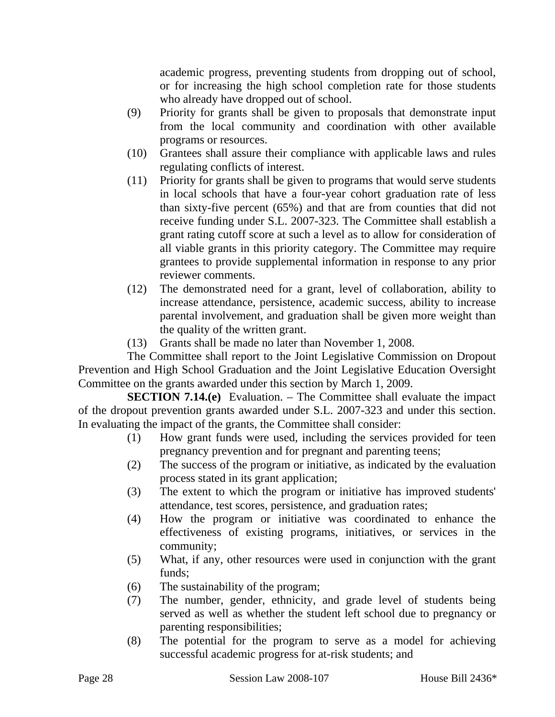academic progress, preventing students from dropping out of school, or for increasing the high school completion rate for those students who already have dropped out of school.

- (9) Priority for grants shall be given to proposals that demonstrate input from the local community and coordination with other available programs or resources.
- (10) Grantees shall assure their compliance with applicable laws and rules regulating conflicts of interest.
- (11) Priority for grants shall be given to programs that would serve students in local schools that have a four-year cohort graduation rate of less than sixty-five percent (65%) and that are from counties that did not receive funding under S.L. 2007-323. The Committee shall establish a grant rating cutoff score at such a level as to allow for consideration of all viable grants in this priority category. The Committee may require grantees to provide supplemental information in response to any prior reviewer comments.
- (12) The demonstrated need for a grant, level of collaboration, ability to increase attendance, persistence, academic success, ability to increase parental involvement, and graduation shall be given more weight than the quality of the written grant.
- (13) Grants shall be made no later than November 1, 2008.

The Committee shall report to the Joint Legislative Commission on Dropout Prevention and High School Graduation and the Joint Legislative Education Oversight Committee on the grants awarded under this section by March 1, 2009.

**SECTION 7.14.(e)** Evaluation. – The Committee shall evaluate the impact of the dropout prevention grants awarded under S.L. 2007-323 and under this section. In evaluating the impact of the grants, the Committee shall consider:

- (1) How grant funds were used, including the services provided for teen pregnancy prevention and for pregnant and parenting teens;
- (2) The success of the program or initiative, as indicated by the evaluation process stated in its grant application;
- (3) The extent to which the program or initiative has improved students' attendance, test scores, persistence, and graduation rates;
- (4) How the program or initiative was coordinated to enhance the effectiveness of existing programs, initiatives, or services in the community;
- (5) What, if any, other resources were used in conjunction with the grant funds;
- (6) The sustainability of the program;
- (7) The number, gender, ethnicity, and grade level of students being served as well as whether the student left school due to pregnancy or parenting responsibilities;
- (8) The potential for the program to serve as a model for achieving successful academic progress for at-risk students; and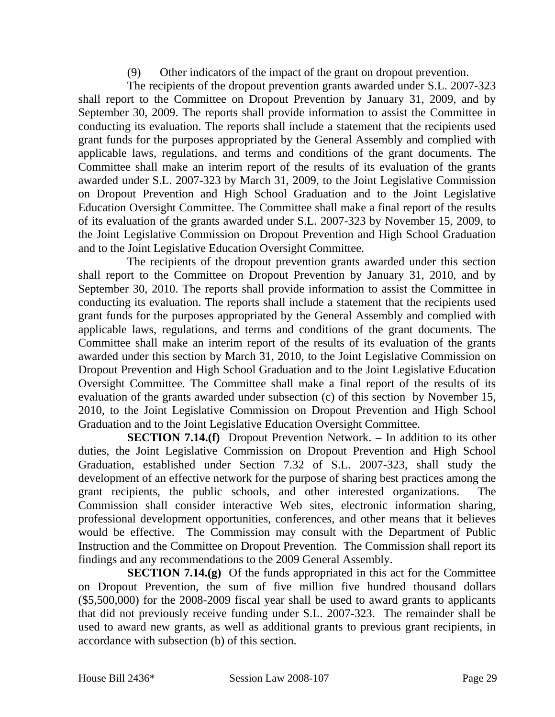(9) Other indicators of the impact of the grant on dropout prevention.

The recipients of the dropout prevention grants awarded under S.L. 2007-323 shall report to the Committee on Dropout Prevention by January 31, 2009, and by September 30, 2009. The reports shall provide information to assist the Committee in conducting its evaluation. The reports shall include a statement that the recipients used grant funds for the purposes appropriated by the General Assembly and complied with applicable laws, regulations, and terms and conditions of the grant documents. The Committee shall make an interim report of the results of its evaluation of the grants awarded under S.L. 2007-323 by March 31, 2009, to the Joint Legislative Commission on Dropout Prevention and High School Graduation and to the Joint Legislative Education Oversight Committee. The Committee shall make a final report of the results of its evaluation of the grants awarded under S.L. 2007-323 by November 15, 2009, to the Joint Legislative Commission on Dropout Prevention and High School Graduation and to the Joint Legislative Education Oversight Committee.

The recipients of the dropout prevention grants awarded under this section shall report to the Committee on Dropout Prevention by January 31, 2010, and by September 30, 2010. The reports shall provide information to assist the Committee in conducting its evaluation. The reports shall include a statement that the recipients used grant funds for the purposes appropriated by the General Assembly and complied with applicable laws, regulations, and terms and conditions of the grant documents. The Committee shall make an interim report of the results of its evaluation of the grants awarded under this section by March 31, 2010, to the Joint Legislative Commission on Dropout Prevention and High School Graduation and to the Joint Legislative Education Oversight Committee. The Committee shall make a final report of the results of its evaluation of the grants awarded under subsection (c) of this section by November 15, 2010, to the Joint Legislative Commission on Dropout Prevention and High School Graduation and to the Joint Legislative Education Oversight Committee.

**SECTION 7.14.(f)** Dropout Prevention Network. – In addition to its other duties, the Joint Legislative Commission on Dropout Prevention and High School Graduation, established under Section 7.32 of S.L. 2007-323, shall study the development of an effective network for the purpose of sharing best practices among the grant recipients, the public schools, and other interested organizations. The Commission shall consider interactive Web sites, electronic information sharing, professional development opportunities, conferences, and other means that it believes would be effective. The Commission may consult with the Department of Public Instruction and the Committee on Dropout Prevention. The Commission shall report its findings and any recommendations to the 2009 General Assembly.

**SECTION 7.14.(g)** Of the funds appropriated in this act for the Committee on Dropout Prevention, the sum of five million five hundred thousand dollars (\$5,500,000) for the 2008-2009 fiscal year shall be used to award grants to applicants that did not previously receive funding under S.L. 2007-323. The remainder shall be used to award new grants, as well as additional grants to previous grant recipients, in accordance with subsection (b) of this section.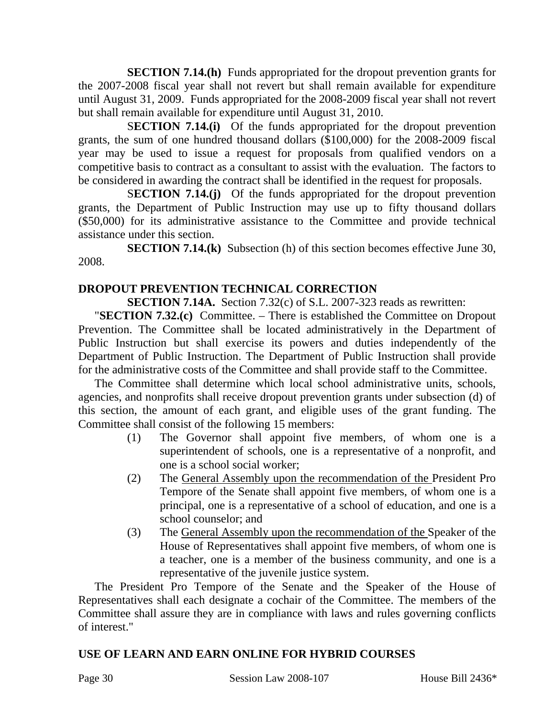**SECTION 7.14.(h)** Funds appropriated for the dropout prevention grants for the 2007-2008 fiscal year shall not revert but shall remain available for expenditure until August 31, 2009. Funds appropriated for the 2008-2009 fiscal year shall not revert but shall remain available for expenditure until August 31, 2010.

S**ECTION 7.14.(i)** Of the funds appropriated for the dropout prevention grants, the sum of one hundred thousand dollars (\$100,000) for the 2008-2009 fiscal year may be used to issue a request for proposals from qualified vendors on a competitive basis to contract as a consultant to assist with the evaluation. The factors to be considered in awarding the contract shall be identified in the request for proposals.

S**ECTION 7.14.(j)** Of the funds appropriated for the dropout prevention grants, the Department of Public Instruction may use up to fifty thousand dollars (\$50,000) for its administrative assistance to the Committee and provide technical assistance under this section.

**SECTION 7.14.(k)** Subsection (h) of this section becomes effective June 30, 2008.

## **DROPOUT PREVENTION TECHNICAL CORRECTION**

**SECTION 7.14A.** Section 7.32(c) of S.L. 2007-323 reads as rewritten:

"**SECTION 7.32.(c)** Committee. – There is established the Committee on Dropout Prevention. The Committee shall be located administratively in the Department of Public Instruction but shall exercise its powers and duties independently of the Department of Public Instruction. The Department of Public Instruction shall provide for the administrative costs of the Committee and shall provide staff to the Committee.

The Committee shall determine which local school administrative units, schools, agencies, and nonprofits shall receive dropout prevention grants under subsection (d) of this section, the amount of each grant, and eligible uses of the grant funding. The Committee shall consist of the following 15 members:

- (1) The Governor shall appoint five members, of whom one is a superintendent of schools, one is a representative of a nonprofit, and one is a school social worker;
- (2) The General Assembly upon the recommendation of the President Pro Tempore of the Senate shall appoint five members, of whom one is a principal, one is a representative of a school of education, and one is a school counselor; and
- (3) The General Assembly upon the recommendation of the Speaker of the House of Representatives shall appoint five members, of whom one is a teacher, one is a member of the business community, and one is a representative of the juvenile justice system.

The President Pro Tempore of the Senate and the Speaker of the House of Representatives shall each designate a cochair of the Committee. The members of the Committee shall assure they are in compliance with laws and rules governing conflicts of interest."

## **USE OF LEARN AND EARN ONLINE FOR HYBRID COURSES**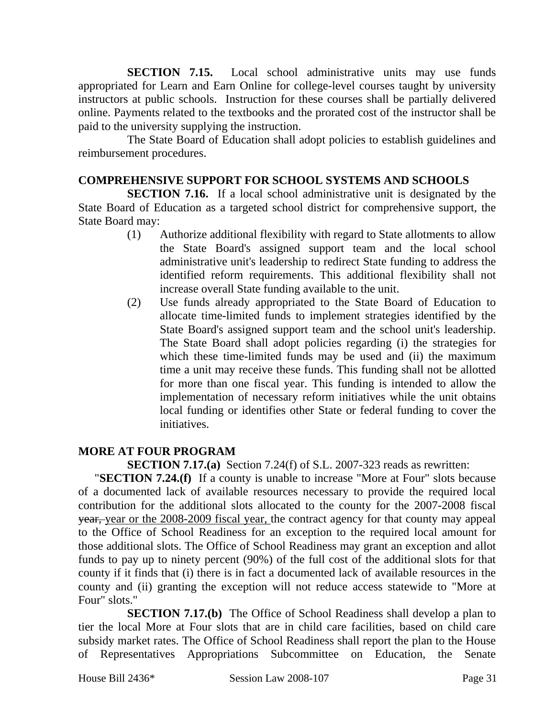**SECTION 7.15.** Local school administrative units may use funds appropriated for Learn and Earn Online for college-level courses taught by university instructors at public schools. Instruction for these courses shall be partially delivered online. Payments related to the textbooks and the prorated cost of the instructor shall be paid to the university supplying the instruction.

The State Board of Education shall adopt policies to establish guidelines and reimbursement procedures.

### **COMPREHENSIVE SUPPORT FOR SCHOOL SYSTEMS AND SCHOOLS**

**SECTION 7.16.** If a local school administrative unit is designated by the State Board of Education as a targeted school district for comprehensive support, the State Board may:

- (1) Authorize additional flexibility with regard to State allotments to allow the State Board's assigned support team and the local school administrative unit's leadership to redirect State funding to address the identified reform requirements. This additional flexibility shall not increase overall State funding available to the unit.
- (2) Use funds already appropriated to the State Board of Education to allocate time-limited funds to implement strategies identified by the State Board's assigned support team and the school unit's leadership. The State Board shall adopt policies regarding (i) the strategies for which these time-limited funds may be used and (ii) the maximum time a unit may receive these funds. This funding shall not be allotted for more than one fiscal year. This funding is intended to allow the implementation of necessary reform initiatives while the unit obtains local funding or identifies other State or federal funding to cover the initiatives.

### **MORE AT FOUR PROGRAM**

**SECTION 7.17.(a)** Section 7.24(f) of S.L. 2007-323 reads as rewritten:

"**SECTION 7.24.(f)** If a county is unable to increase "More at Four" slots because of a documented lack of available resources necessary to provide the required local contribution for the additional slots allocated to the county for the 2007-2008 fiscal year, year or the 2008-2009 fiscal year, the contract agency for that county may appeal to the Office of School Readiness for an exception to the required local amount for those additional slots. The Office of School Readiness may grant an exception and allot funds to pay up to ninety percent (90%) of the full cost of the additional slots for that county if it finds that (i) there is in fact a documented lack of available resources in the county and (ii) granting the exception will not reduce access statewide to "More at Four" slots."

**SECTION 7.17.(b)** The Office of School Readiness shall develop a plan to tier the local More at Four slots that are in child care facilities, based on child care subsidy market rates. The Office of School Readiness shall report the plan to the House of Representatives Appropriations Subcommittee on Education, the Senate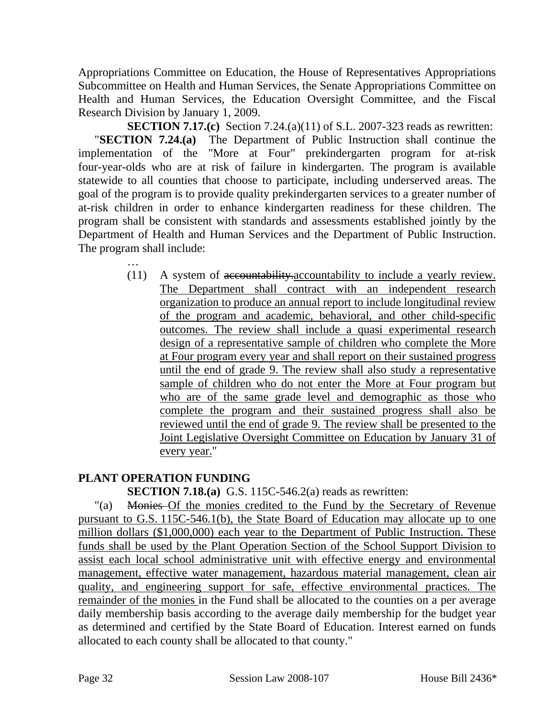Appropriations Committee on Education, the House of Representatives Appropriations Subcommittee on Health and Human Services, the Senate Appropriations Committee on Health and Human Services, the Education Oversight Committee, and the Fiscal Research Division by January 1, 2009.

**SECTION 7.17.(c)** Section 7.24.(a)(11) of S.L. 2007-323 reads as rewritten: "**SECTION 7.24.(a)** The Department of Public Instruction shall continue the implementation of the "More at Four" prekindergarten program for at-risk four-year-olds who are at risk of failure in kindergarten. The program is available statewide to all counties that choose to participate, including underserved areas. The goal of the program is to provide quality prekindergarten services to a greater number of at-risk children in order to enhance kindergarten readiness for these children. The program shall be consistent with standards and assessments established jointly by the Department of Health and Human Services and the Department of Public Instruction. The program shall include:

> (11) A system of accountability.accountability to include a yearly review. The Department shall contract with an independent research organization to produce an annual report to include longitudinal review of the program and academic, behavioral, and other child-specific outcomes. The review shall include a quasi experimental research design of a representative sample of children who complete the More at Four program every year and shall report on their sustained progress until the end of grade 9. The review shall also study a representative sample of children who do not enter the More at Four program but who are of the same grade level and demographic as those who complete the program and their sustained progress shall also be reviewed until the end of grade 9. The review shall be presented to the Joint Legislative Oversight Committee on Education by January 31 of every year."

## **PLANT OPERATION FUNDING**

…

## **SECTION 7.18.(a)** G.S. 115C-546.2(a) reads as rewritten:

"(a) Monies Of the monies credited to the Fund by the Secretary of Revenue pursuant to G.S. 115C-546.1(b), the State Board of Education may allocate up to one million dollars (\$1,000,000) each year to the Department of Public Instruction. These funds shall be used by the Plant Operation Section of the School Support Division to assist each local school administrative unit with effective energy and environmental management, effective water management, hazardous material management, clean air quality, and engineering support for safe, effective environmental practices. The remainder of the monies in the Fund shall be allocated to the counties on a per average daily membership basis according to the average daily membership for the budget year as determined and certified by the State Board of Education. Interest earned on funds allocated to each county shall be allocated to that county."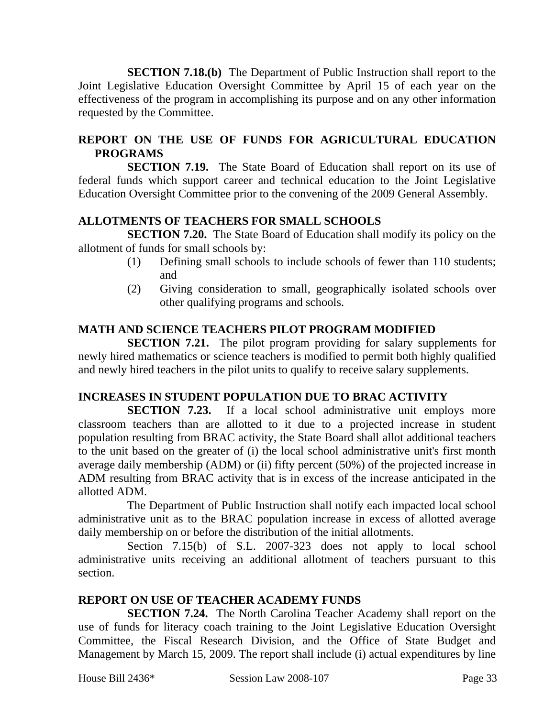**SECTION 7.18.(b)** The Department of Public Instruction shall report to the Joint Legislative Education Oversight Committee by April 15 of each year on the effectiveness of the program in accomplishing its purpose and on any other information requested by the Committee.

## **REPORT ON THE USE OF FUNDS FOR AGRICULTURAL EDUCATION PROGRAMS**

**SECTION 7.19.** The State Board of Education shall report on its use of federal funds which support career and technical education to the Joint Legislative Education Oversight Committee prior to the convening of the 2009 General Assembly.

## **ALLOTMENTS OF TEACHERS FOR SMALL SCHOOLS**

**SECTION 7.20.** The State Board of Education shall modify its policy on the allotment of funds for small schools by:

- (1) Defining small schools to include schools of fewer than 110 students; and
- (2) Giving consideration to small, geographically isolated schools over other qualifying programs and schools.

## **MATH AND SCIENCE TEACHERS PILOT PROGRAM MODIFIED**

**SECTION 7.21.** The pilot program providing for salary supplements for newly hired mathematics or science teachers is modified to permit both highly qualified and newly hired teachers in the pilot units to qualify to receive salary supplements.

## **INCREASES IN STUDENT POPULATION DUE TO BRAC ACTIVITY**

**SECTION 7.23.** If a local school administrative unit employs more classroom teachers than are allotted to it due to a projected increase in student population resulting from BRAC activity, the State Board shall allot additional teachers to the unit based on the greater of (i) the local school administrative unit's first month average daily membership (ADM) or (ii) fifty percent (50%) of the projected increase in ADM resulting from BRAC activity that is in excess of the increase anticipated in the allotted ADM.

The Department of Public Instruction shall notify each impacted local school administrative unit as to the BRAC population increase in excess of allotted average daily membership on or before the distribution of the initial allotments.

Section 7.15(b) of S.L. 2007-323 does not apply to local school administrative units receiving an additional allotment of teachers pursuant to this section.

### **REPORT ON USE OF TEACHER ACADEMY FUNDS**

**SECTION 7.24.** The North Carolina Teacher Academy shall report on the use of funds for literacy coach training to the Joint Legislative Education Oversight Committee, the Fiscal Research Division, and the Office of State Budget and Management by March 15, 2009. The report shall include (i) actual expenditures by line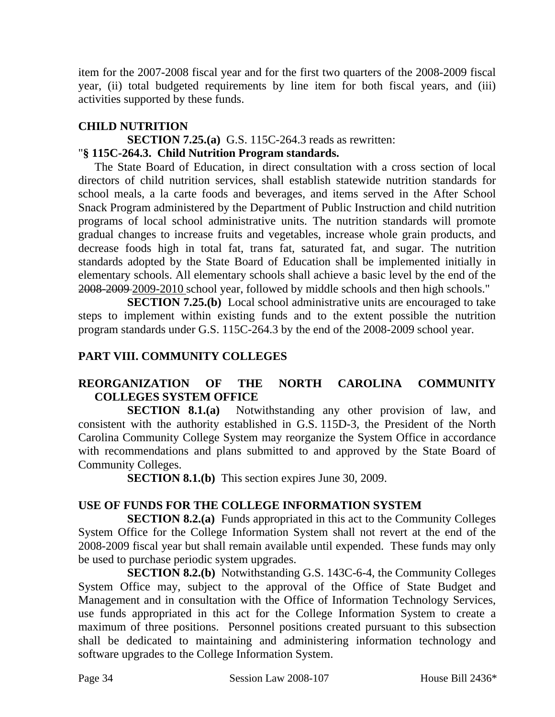item for the 2007-2008 fiscal year and for the first two quarters of the 2008-2009 fiscal year, (ii) total budgeted requirements by line item for both fiscal years, and (iii) activities supported by these funds.

## **CHILD NUTRITION**

### **SECTION 7.25.(a)** G.S. 115C-264.3 reads as rewritten: "**§ 115C-264.3. Child Nutrition Program standards.**

The State Board of Education, in direct consultation with a cross section of local directors of child nutrition services, shall establish statewide nutrition standards for school meals, a la carte foods and beverages, and items served in the After School Snack Program administered by the Department of Public Instruction and child nutrition programs of local school administrative units. The nutrition standards will promote gradual changes to increase fruits and vegetables, increase whole grain products, and decrease foods high in total fat, trans fat, saturated fat, and sugar. The nutrition standards adopted by the State Board of Education shall be implemented initially in elementary schools. All elementary schools shall achieve a basic level by the end of the 2008-2009 2009-2010 school year, followed by middle schools and then high schools."

**SECTION 7.25.(b)** Local school administrative units are encouraged to take steps to implement within existing funds and to the extent possible the nutrition program standards under G.S. 115C-264.3 by the end of the 2008-2009 school year.

## **PART VIII. COMMUNITY COLLEGES**

## **REORGANIZATION OF THE NORTH CAROLINA COMMUNITY COLLEGES SYSTEM OFFICE**

**SECTION 8.1.(a)** Notwithstanding any other provision of law, and consistent with the authority established in G.S. 115D-3, the President of the North Carolina Community College System may reorganize the System Office in accordance with recommendations and plans submitted to and approved by the State Board of Community Colleges.

**SECTION 8.1.(b)** This section expires June 30, 2009.

## **USE OF FUNDS FOR THE COLLEGE INFORMATION SYSTEM**

**SECTION 8.2.(a)** Funds appropriated in this act to the Community Colleges System Office for the College Information System shall not revert at the end of the 2008-2009 fiscal year but shall remain available until expended. These funds may only be used to purchase periodic system upgrades.

**SECTION 8.2.(b)** Notwithstanding G.S. 143C-6-4, the Community Colleges System Office may, subject to the approval of the Office of State Budget and Management and in consultation with the Office of Information Technology Services, use funds appropriated in this act for the College Information System to create a maximum of three positions. Personnel positions created pursuant to this subsection shall be dedicated to maintaining and administering information technology and software upgrades to the College Information System.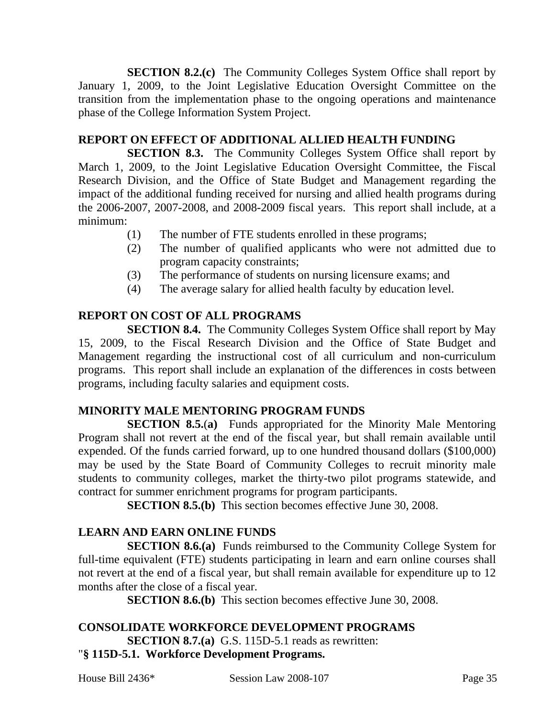**SECTION 8.2.(c)** The Community Colleges System Office shall report by January 1, 2009, to the Joint Legislative Education Oversight Committee on the transition from the implementation phase to the ongoing operations and maintenance phase of the College Information System Project.

## **REPORT ON EFFECT OF ADDITIONAL ALLIED HEALTH FUNDING**

**SECTION 8.3.** The Community Colleges System Office shall report by March 1, 2009, to the Joint Legislative Education Oversight Committee, the Fiscal Research Division, and the Office of State Budget and Management regarding the impact of the additional funding received for nursing and allied health programs during the 2006-2007, 2007-2008, and 2008-2009 fiscal years. This report shall include, at a minimum:

- (1) The number of FTE students enrolled in these programs;
- (2) The number of qualified applicants who were not admitted due to program capacity constraints;
- (3) The performance of students on nursing licensure exams; and
- (4) The average salary for allied health faculty by education level.

## **REPORT ON COST OF ALL PROGRAMS**

**SECTION 8.4.** The Community Colleges System Office shall report by May 15, 2009, to the Fiscal Research Division and the Office of State Budget and Management regarding the instructional cost of all curriculum and non-curriculum programs. This report shall include an explanation of the differences in costs between programs, including faculty salaries and equipment costs.

## **MINORITY MALE MENTORING PROGRAM FUNDS**

**SECTION 8.5.**(**a)** Funds appropriated for the Minority Male Mentoring Program shall not revert at the end of the fiscal year, but shall remain available until expended. Of the funds carried forward, up to one hundred thousand dollars (\$100,000) may be used by the State Board of Community Colleges to recruit minority male students to community colleges, market the thirty-two pilot programs statewide, and contract for summer enrichment programs for program participants.

**SECTION 8.5.(b)** This section becomes effective June 30, 2008.

## **LEARN AND EARN ONLINE FUNDS**

**SECTION 8.6.(a)** Funds reimbursed to the Community College System for full-time equivalent (FTE) students participating in learn and earn online courses shall not revert at the end of a fiscal year, but shall remain available for expenditure up to 12 months after the close of a fiscal year.

**SECTION 8.6.(b)** This section becomes effective June 30, 2008.

#### **CONSOLIDATE WORKFORCE DEVELOPMENT PROGRAMS SECTION 8.7.(a)** G.S. 115D-5.1 reads as rewritten: "**§ 115D-5.1. Workforce Development Programs.**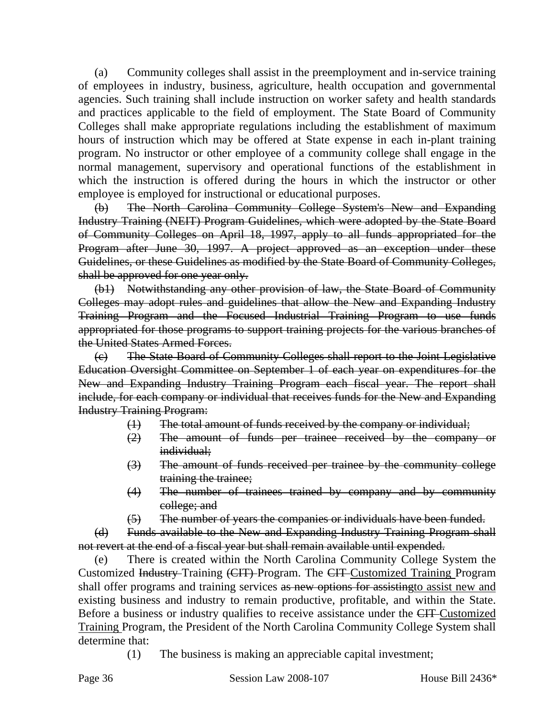(a) Community colleges shall assist in the preemployment and in-service training of employees in industry, business, agriculture, health occupation and governmental agencies. Such training shall include instruction on worker safety and health standards and practices applicable to the field of employment. The State Board of Community Colleges shall make appropriate regulations including the establishment of maximum hours of instruction which may be offered at State expense in each in-plant training program. No instructor or other employee of a community college shall engage in the normal management, supervisory and operational functions of the establishment in which the instruction is offered during the hours in which the instructor or other employee is employed for instructional or educational purposes.

(b) The North Carolina Community College System's New and Expanding Industry Training (NEIT) Program Guidelines, which were adopted by the State Board of Community Colleges on April 18, 1997, apply to all funds appropriated for the Program after June 30, 1997. A project approved as an exception under these Guidelines, or these Guidelines as modified by the State Board of Community Colleges, shall be approved for one year only.

(b1) Notwithstanding any other provision of law, the State Board of Community Colleges may adopt rules and guidelines that allow the New and Expanding Industry Training Program and the Focused Industrial Training Program to use funds appropriated for those programs to support training projects for the various branches of the United States Armed Forces.

(c) The State Board of Community Colleges shall report to the Joint Legislative Education Oversight Committee on September 1 of each year on expenditures for the New and Expanding Industry Training Program each fiscal year. The report shall include, for each company or individual that receives funds for the New and Expanding Industry Training Program:

- (1) The total amount of funds received by the company or individual;
- (2) The amount of funds per trainee received by the company or individual;
- (3) The amount of funds received per trainee by the community college training the trainee;
- (4) The number of trainees trained by company and by community college; and
- (5) The number of years the companies or individuals have been funded.

(d) Funds available to the New and Expanding Industry Training Program shall not revert at the end of a fiscal year but shall remain available until expended.

(e) There is created within the North Carolina Community College System the Customized Industry Training (CIT) Program. The CIT Customized Training Program shall offer programs and training services as new options for assisting to assist new and existing business and industry to remain productive, profitable, and within the State. Before a business or industry qualifies to receive assistance under the CIT Customized Training Program, the President of the North Carolina Community College System shall determine that:

(1) The business is making an appreciable capital investment;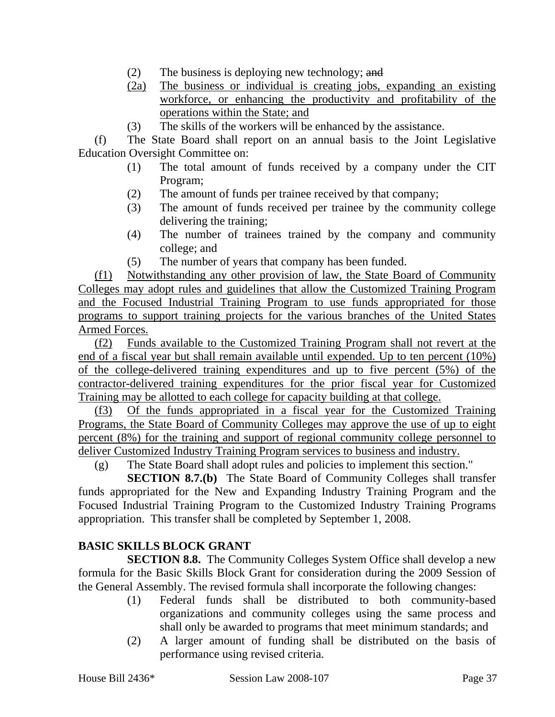- (2) The business is deploying new technology; and
- (2a) The business or individual is creating jobs, expanding an existing workforce, or enhancing the productivity and profitability of the operations within the State; and
- (3) The skills of the workers will be enhanced by the assistance.

(f) The State Board shall report on an annual basis to the Joint Legislative Education Oversight Committee on:

- (1) The total amount of funds received by a company under the CIT Program;
- (2) The amount of funds per trainee received by that company;
- (3) The amount of funds received per trainee by the community college delivering the training;
- (4) The number of trainees trained by the company and community college; and
- (5) The number of years that company has been funded.

(f1) Notwithstanding any other provision of law, the State Board of Community Colleges may adopt rules and guidelines that allow the Customized Training Program and the Focused Industrial Training Program to use funds appropriated for those programs to support training projects for the various branches of the United States Armed Forces.

(f2) Funds available to the Customized Training Program shall not revert at the end of a fiscal year but shall remain available until expended. Up to ten percent (10%) of the college-delivered training expenditures and up to five percent (5%) of the contractor-delivered training expenditures for the prior fiscal year for Customized Training may be allotted to each college for capacity building at that college.

(f3) Of the funds appropriated in a fiscal year for the Customized Training Programs, the State Board of Community Colleges may approve the use of up to eight percent (8%) for the training and support of regional community college personnel to deliver Customized Industry Training Program services to business and industry.

(g) The State Board shall adopt rules and policies to implement this section."

**SECTION 8.7.(b)** The State Board of Community Colleges shall transfer funds appropriated for the New and Expanding Industry Training Program and the Focused Industrial Training Program to the Customized Industry Training Programs appropriation. This transfer shall be completed by September 1, 2008.

### **BASIC SKILLS BLOCK GRANT**

**SECTION 8.8.** The Community Colleges System Office shall develop a new formula for the Basic Skills Block Grant for consideration during the 2009 Session of the General Assembly. The revised formula shall incorporate the following changes:

- (1) Federal funds shall be distributed to both community-based organizations and community colleges using the same process and shall only be awarded to programs that meet minimum standards; and
- (2) A larger amount of funding shall be distributed on the basis of performance using revised criteria.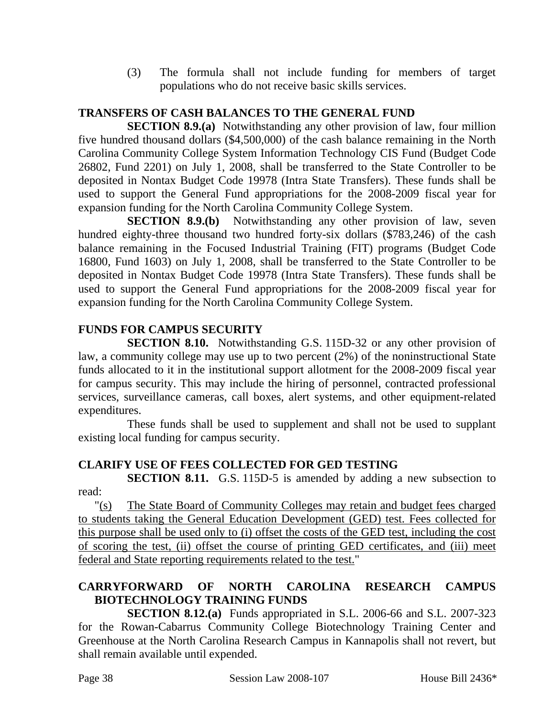(3) The formula shall not include funding for members of target populations who do not receive basic skills services.

# **TRANSFERS OF CASH BALANCES TO THE GENERAL FUND**

**SECTION 8.9.(a)** Notwithstanding any other provision of law, four million five hundred thousand dollars (\$4,500,000) of the cash balance remaining in the North Carolina Community College System Information Technology CIS Fund (Budget Code 26802, Fund 2201) on July 1, 2008, shall be transferred to the State Controller to be deposited in Nontax Budget Code 19978 (Intra State Transfers). These funds shall be used to support the General Fund appropriations for the 2008-2009 fiscal year for expansion funding for the North Carolina Community College System.

**SECTION 8.9.(b)** Notwithstanding any other provision of law, seven hundred eighty-three thousand two hundred forty-six dollars (\$783,246) of the cash balance remaining in the Focused Industrial Training (FIT) programs (Budget Code 16800, Fund 1603) on July 1, 2008, shall be transferred to the State Controller to be deposited in Nontax Budget Code 19978 (Intra State Transfers). These funds shall be used to support the General Fund appropriations for the 2008-2009 fiscal year for expansion funding for the North Carolina Community College System.

# **FUNDS FOR CAMPUS SECURITY**

**SECTION 8.10.** Notwithstanding G.S. 115D-32 or any other provision of law, a community college may use up to two percent (2%) of the noninstructional State funds allocated to it in the institutional support allotment for the 2008-2009 fiscal year for campus security. This may include the hiring of personnel, contracted professional services, surveillance cameras, call boxes, alert systems, and other equipment-related expenditures.

These funds shall be used to supplement and shall not be used to supplant existing local funding for campus security.

# **CLARIFY USE OF FEES COLLECTED FOR GED TESTING**

**SECTION 8.11.** G.S. 115D-5 is amended by adding a new subsection to read:

"(s) The State Board of Community Colleges may retain and budget fees charged to students taking the General Education Development (GED) test. Fees collected for this purpose shall be used only to (i) offset the costs of the GED test, including the cost of scoring the test, (ii) offset the course of printing GED certificates, and (iii) meet federal and State reporting requirements related to the test."

# **CARRYFORWARD OF NORTH CAROLINA RESEARCH CAMPUS BIOTECHNOLOGY TRAINING FUNDS**

**SECTION 8.12.(a)** Funds appropriated in S.L. 2006-66 and S.L. 2007-323 for the Rowan-Cabarrus Community College Biotechnology Training Center and Greenhouse at the North Carolina Research Campus in Kannapolis shall not revert, but shall remain available until expended.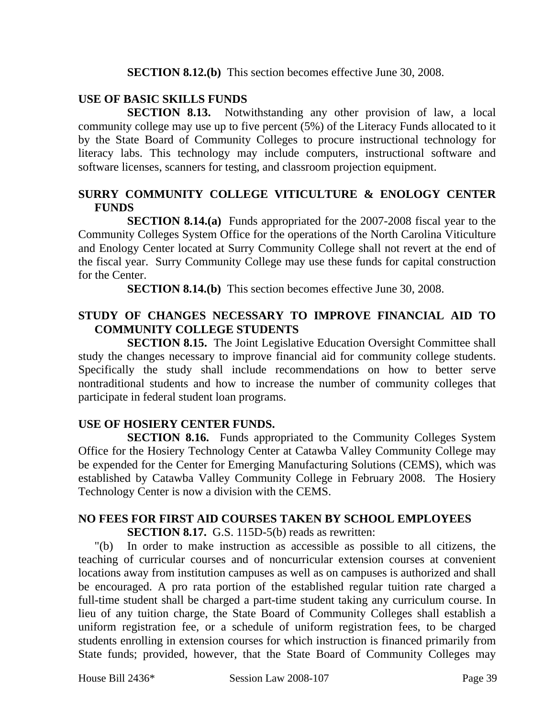**SECTION 8.12.(b)** This section becomes effective June 30, 2008.

#### **USE OF BASIC SKILLS FUNDS**

**SECTION 8.13.** Notwithstanding any other provision of law, a local community college may use up to five percent (5%) of the Literacy Funds allocated to it by the State Board of Community Colleges to procure instructional technology for literacy labs. This technology may include computers, instructional software and software licenses, scanners for testing, and classroom projection equipment.

#### **SURRY COMMUNITY COLLEGE VITICULTURE & ENOLOGY CENTER FUNDS**

**SECTION 8.14.(a)** Funds appropriated for the 2007-2008 fiscal year to the Community Colleges System Office for the operations of the North Carolina Viticulture and Enology Center located at Surry Community College shall not revert at the end of the fiscal year. Surry Community College may use these funds for capital construction for the Center.

**SECTION 8.14.(b)** This section becomes effective June 30, 2008.

### **STUDY OF CHANGES NECESSARY TO IMPROVE FINANCIAL AID TO COMMUNITY COLLEGE STUDENTS**

**SECTION 8.15.** The Joint Legislative Education Oversight Committee shall study the changes necessary to improve financial aid for community college students. Specifically the study shall include recommendations on how to better serve nontraditional students and how to increase the number of community colleges that participate in federal student loan programs.

### **USE OF HOSIERY CENTER FUNDS.**

**SECTION 8.16.** Funds appropriated to the Community Colleges System Office for the Hosiery Technology Center at Catawba Valley Community College may be expended for the Center for Emerging Manufacturing Solutions (CEMS), which was established by Catawba Valley Community College in February 2008. The Hosiery Technology Center is now a division with the CEMS.

### **NO FEES FOR FIRST AID COURSES TAKEN BY SCHOOL EMPLOYEES**

**SECTION 8.17.** G.S. 115D-5(b) reads as rewritten:

"(b) In order to make instruction as accessible as possible to all citizens, the teaching of curricular courses and of noncurricular extension courses at convenient locations away from institution campuses as well as on campuses is authorized and shall be encouraged. A pro rata portion of the established regular tuition rate charged a full-time student shall be charged a part-time student taking any curriculum course. In lieu of any tuition charge, the State Board of Community Colleges shall establish a uniform registration fee, or a schedule of uniform registration fees, to be charged students enrolling in extension courses for which instruction is financed primarily from State funds; provided, however, that the State Board of Community Colleges may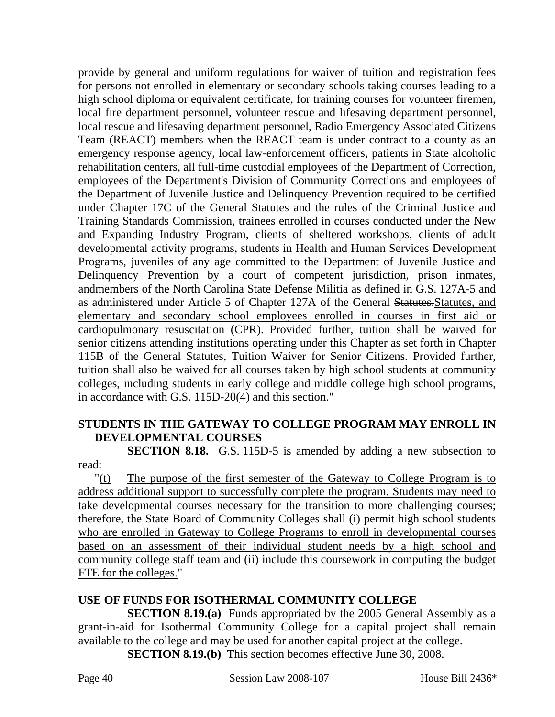provide by general and uniform regulations for waiver of tuition and registration fees for persons not enrolled in elementary or secondary schools taking courses leading to a high school diploma or equivalent certificate, for training courses for volunteer firemen, local fire department personnel, volunteer rescue and lifesaving department personnel, local rescue and lifesaving department personnel, Radio Emergency Associated Citizens Team (REACT) members when the REACT team is under contract to a county as an emergency response agency, local law-enforcement officers, patients in State alcoholic rehabilitation centers, all full-time custodial employees of the Department of Correction, employees of the Department's Division of Community Corrections and employees of the Department of Juvenile Justice and Delinquency Prevention required to be certified under Chapter 17C of the General Statutes and the rules of the Criminal Justice and Training Standards Commission, trainees enrolled in courses conducted under the New and Expanding Industry Program, clients of sheltered workshops, clients of adult developmental activity programs, students in Health and Human Services Development Programs, juveniles of any age committed to the Department of Juvenile Justice and Delinquency Prevention by a court of competent jurisdiction, prison inmates, andmembers of the North Carolina State Defense Militia as defined in G.S. 127A-5 and as administered under Article 5 of Chapter 127A of the General Statutes.Statutes, and elementary and secondary school employees enrolled in courses in first aid or cardiopulmonary resuscitation (CPR). Provided further, tuition shall be waived for senior citizens attending institutions operating under this Chapter as set forth in Chapter 115B of the General Statutes, Tuition Waiver for Senior Citizens. Provided further, tuition shall also be waived for all courses taken by high school students at community colleges, including students in early college and middle college high school programs, in accordance with G.S. 115D-20(4) and this section."

### **STUDENTS IN THE GATEWAY TO COLLEGE PROGRAM MAY ENROLL IN DEVELOPMENTAL COURSES**

**SECTION 8.18.** G.S. 115D-5 is amended by adding a new subsection to read:

"(t) The purpose of the first semester of the Gateway to College Program is to address additional support to successfully complete the program. Students may need to take developmental courses necessary for the transition to more challenging courses; therefore, the State Board of Community Colleges shall (i) permit high school students who are enrolled in Gateway to College Programs to enroll in developmental courses based on an assessment of their individual student needs by a high school and community college staff team and (ii) include this coursework in computing the budget FTE for the colleges."

### **USE OF FUNDS FOR ISOTHERMAL COMMUNITY COLLEGE**

**SECTION 8.19.(a)** Funds appropriated by the 2005 General Assembly as a grant-in-aid for Isothermal Community College for a capital project shall remain available to the college and may be used for another capital project at the college.

**SECTION 8.19.(b)** This section becomes effective June 30, 2008.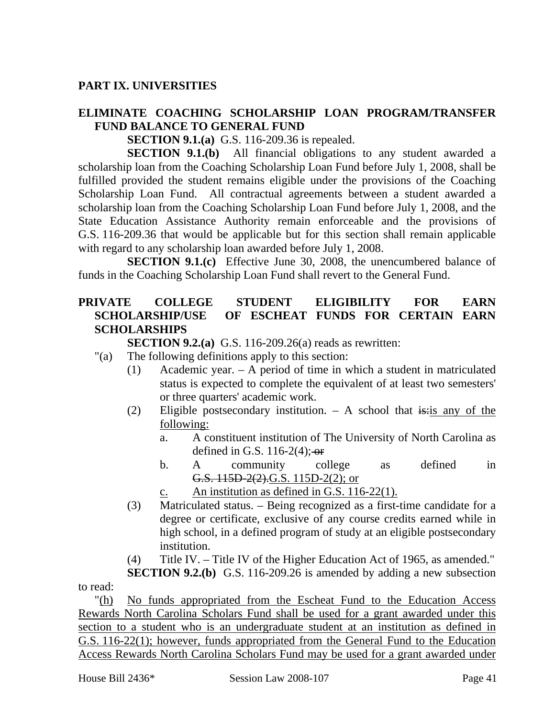### **PART IX. UNIVERSITIES**

### **ELIMINATE COACHING SCHOLARSHIP LOAN PROGRAM/TRANSFER FUND BALANCE TO GENERAL FUND**

**SECTION 9.1.(a)** G.S. 116-209.36 is repealed.

**SECTION 9.1.(b)** All financial obligations to any student awarded a scholarship loan from the Coaching Scholarship Loan Fund before July 1, 2008, shall be fulfilled provided the student remains eligible under the provisions of the Coaching Scholarship Loan Fund. All contractual agreements between a student awarded a scholarship loan from the Coaching Scholarship Loan Fund before July 1, 2008, and the State Education Assistance Authority remain enforceable and the provisions of G.S. 116-209.36 that would be applicable but for this section shall remain applicable with regard to any scholarship loan awarded before July 1, 2008.

**SECTION 9.1.(c)** Effective June 30, 2008, the unencumbered balance of funds in the Coaching Scholarship Loan Fund shall revert to the General Fund.

### **PRIVATE COLLEGE STUDENT ELIGIBILITY FOR EARN SCHOLARSHIP/USE OF ESCHEAT FUNDS FOR CERTAIN EARN SCHOLARSHIPS**

**SECTION 9.2.(a)** G.S. 116-209.26(a) reads as rewritten:

- "(a) The following definitions apply to this section:
	- (1) Academic year. A period of time in which a student in matriculated status is expected to complete the equivalent of at least two semesters' or three quarters' academic work.
	- (2) Eligible postsecondary institution.  $-$  A school that is: is any of the following:
		- a. A constituent institution of The University of North Carolina as defined in G.S. 116-2(4); $-$ or
		- b. A community college as defined in G.S. 115D-2(2).G.S. 115D-2(2); or
		- c. An institution as defined in G.S. 116-22(1).
	- (3) Matriculated status. Being recognized as a first-time candidate for a degree or certificate, exclusive of any course credits earned while in high school, in a defined program of study at an eligible postsecondary institution.
	- (4) Title IV. Title IV of the Higher Education Act of 1965, as amended."

**SECTION 9.2.(b)** G.S. 116-209.26 is amended by adding a new subsection to read:

"(h) No funds appropriated from the Escheat Fund to the Education Access Rewards North Carolina Scholars Fund shall be used for a grant awarded under this section to a student who is an undergraduate student at an institution as defined in G.S. 116-22(1); however, funds appropriated from the General Fund to the Education Access Rewards North Carolina Scholars Fund may be used for a grant awarded under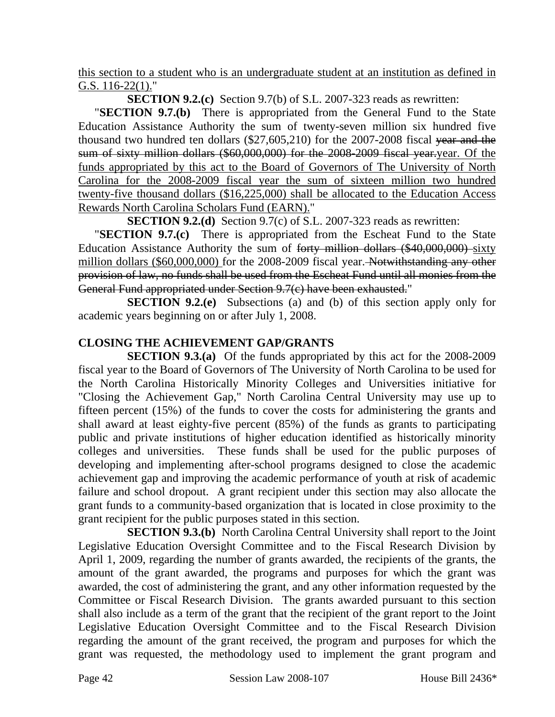this section to a student who is an undergraduate student at an institution as defined in G.S. 116-22(1)."

**SECTION 9.2.(c)** Section 9.7(b) of S.L. 2007-323 reads as rewritten:

"**SECTION 9.7.(b)** There is appropriated from the General Fund to the State Education Assistance Authority the sum of twenty-seven million six hundred five thousand two hundred ten dollars (\$27,605,210) for the 2007-2008 fiscal year and the sum of sixty million dollars (\$60,000,000) for the 2008-2009 fiscal year.year. Of the funds appropriated by this act to the Board of Governors of The University of North Carolina for the 2008-2009 fiscal year the sum of sixteen million two hundred twenty-five thousand dollars (\$16,225,000) shall be allocated to the Education Access Rewards North Carolina Scholars Fund (EARN)."

**SECTION 9.2.(d)** Section 9.7(c) of S.L. 2007-323 reads as rewritten:

"**SECTION 9.7.(c)** There is appropriated from the Escheat Fund to the State Education Assistance Authority the sum of forty million dollars (\$40,000,000) sixty million dollars (\$60,000,000) for the 2008-2009 fiscal year. Notwithstanding any other provision of law, no funds shall be used from the Escheat Fund until all monies from the General Fund appropriated under Section 9.7(c) have been exhausted."

**SECTION 9.2.(e)** Subsections (a) and (b) of this section apply only for academic years beginning on or after July 1, 2008.

# **CLOSING THE ACHIEVEMENT GAP/GRANTS**

**SECTION 9.3.(a)** Of the funds appropriated by this act for the 2008-2009 fiscal year to the Board of Governors of The University of North Carolina to be used for the North Carolina Historically Minority Colleges and Universities initiative for "Closing the Achievement Gap," North Carolina Central University may use up to fifteen percent (15%) of the funds to cover the costs for administering the grants and shall award at least eighty-five percent (85%) of the funds as grants to participating public and private institutions of higher education identified as historically minority colleges and universities. These funds shall be used for the public purposes of developing and implementing after-school programs designed to close the academic achievement gap and improving the academic performance of youth at risk of academic failure and school dropout. A grant recipient under this section may also allocate the grant funds to a community-based organization that is located in close proximity to the grant recipient for the public purposes stated in this section.

**SECTION 9.3.(b)** North Carolina Central University shall report to the Joint Legislative Education Oversight Committee and to the Fiscal Research Division by April 1, 2009, regarding the number of grants awarded, the recipients of the grants, the amount of the grant awarded, the programs and purposes for which the grant was awarded, the cost of administering the grant, and any other information requested by the Committee or Fiscal Research Division. The grants awarded pursuant to this section shall also include as a term of the grant that the recipient of the grant report to the Joint Legislative Education Oversight Committee and to the Fiscal Research Division regarding the amount of the grant received, the program and purposes for which the grant was requested, the methodology used to implement the grant program and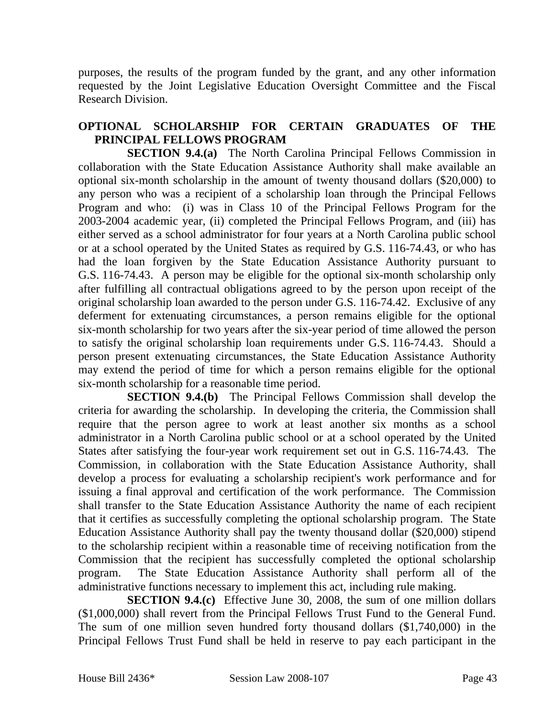purposes, the results of the program funded by the grant, and any other information requested by the Joint Legislative Education Oversight Committee and the Fiscal Research Division.

### **OPTIONAL SCHOLARSHIP FOR CERTAIN GRADUATES OF THE PRINCIPAL FELLOWS PROGRAM**

**SECTION 9.4.(a)** The North Carolina Principal Fellows Commission in collaboration with the State Education Assistance Authority shall make available an optional six-month scholarship in the amount of twenty thousand dollars (\$20,000) to any person who was a recipient of a scholarship loan through the Principal Fellows Program and who: (i) was in Class 10 of the Principal Fellows Program for the 2003-2004 academic year, (ii) completed the Principal Fellows Program, and (iii) has either served as a school administrator for four years at a North Carolina public school or at a school operated by the United States as required by G.S. 116-74.43, or who has had the loan forgiven by the State Education Assistance Authority pursuant to G.S. 116-74.43. A person may be eligible for the optional six-month scholarship only after fulfilling all contractual obligations agreed to by the person upon receipt of the original scholarship loan awarded to the person under G.S. 116-74.42. Exclusive of any deferment for extenuating circumstances, a person remains eligible for the optional six-month scholarship for two years after the six-year period of time allowed the person to satisfy the original scholarship loan requirements under G.S. 116-74.43. Should a person present extenuating circumstances, the State Education Assistance Authority may extend the period of time for which a person remains eligible for the optional six-month scholarship for a reasonable time period.

**SECTION 9.4.(b)** The Principal Fellows Commission shall develop the criteria for awarding the scholarship. In developing the criteria, the Commission shall require that the person agree to work at least another six months as a school administrator in a North Carolina public school or at a school operated by the United States after satisfying the four-year work requirement set out in G.S. 116-74.43. The Commission, in collaboration with the State Education Assistance Authority, shall develop a process for evaluating a scholarship recipient's work performance and for issuing a final approval and certification of the work performance. The Commission shall transfer to the State Education Assistance Authority the name of each recipient that it certifies as successfully completing the optional scholarship program. The State Education Assistance Authority shall pay the twenty thousand dollar (\$20,000) stipend to the scholarship recipient within a reasonable time of receiving notification from the Commission that the recipient has successfully completed the optional scholarship program. The State Education Assistance Authority shall perform all of the administrative functions necessary to implement this act, including rule making.

**SECTION 9.4.(c)** Effective June 30, 2008, the sum of one million dollars (\$1,000,000) shall revert from the Principal Fellows Trust Fund to the General Fund. The sum of one million seven hundred forty thousand dollars (\$1,740,000) in the Principal Fellows Trust Fund shall be held in reserve to pay each participant in the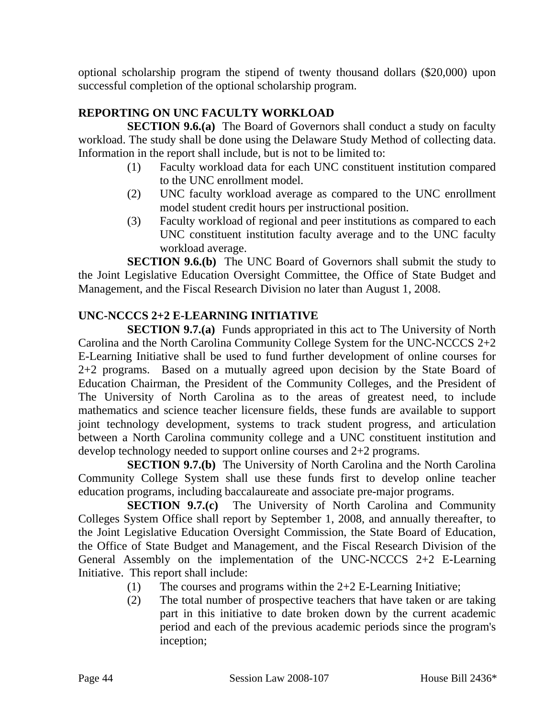optional scholarship program the stipend of twenty thousand dollars (\$20,000) upon successful completion of the optional scholarship program.

# **REPORTING ON UNC FACULTY WORKLOAD**

**SECTION 9.6.(a)** The Board of Governors shall conduct a study on faculty workload. The study shall be done using the Delaware Study Method of collecting data. Information in the report shall include, but is not to be limited to:

- (1) Faculty workload data for each UNC constituent institution compared to the UNC enrollment model.
- (2) UNC faculty workload average as compared to the UNC enrollment model student credit hours per instructional position.
- (3) Faculty workload of regional and peer institutions as compared to each UNC constituent institution faculty average and to the UNC faculty workload average.

**SECTION 9.6.(b)** The UNC Board of Governors shall submit the study to the Joint Legislative Education Oversight Committee, the Office of State Budget and Management, and the Fiscal Research Division no later than August 1, 2008.

### **UNC-NCCCS 2+2 E-LEARNING INITIATIVE**

**SECTION 9.7.(a)** Funds appropriated in this act to The University of North Carolina and the North Carolina Community College System for the UNC-NCCCS 2+2 E-Learning Initiative shall be used to fund further development of online courses for 2+2 programs. Based on a mutually agreed upon decision by the State Board of Education Chairman, the President of the Community Colleges, and the President of The University of North Carolina as to the areas of greatest need, to include mathematics and science teacher licensure fields, these funds are available to support joint technology development, systems to track student progress, and articulation between a North Carolina community college and a UNC constituent institution and develop technology needed to support online courses and 2+2 programs.

**SECTION 9.7.(b)** The University of North Carolina and the North Carolina Community College System shall use these funds first to develop online teacher education programs, including baccalaureate and associate pre-major programs.

**SECTION 9.7.(c)** The University of North Carolina and Community Colleges System Office shall report by September 1, 2008, and annually thereafter, to the Joint Legislative Education Oversight Commission, the State Board of Education, the Office of State Budget and Management, and the Fiscal Research Division of the General Assembly on the implementation of the UNC-NCCCS 2+2 E-Learning Initiative. This report shall include:

- (1) The courses and programs within the 2+2 E-Learning Initiative;
- (2) The total number of prospective teachers that have taken or are taking part in this initiative to date broken down by the current academic period and each of the previous academic periods since the program's inception;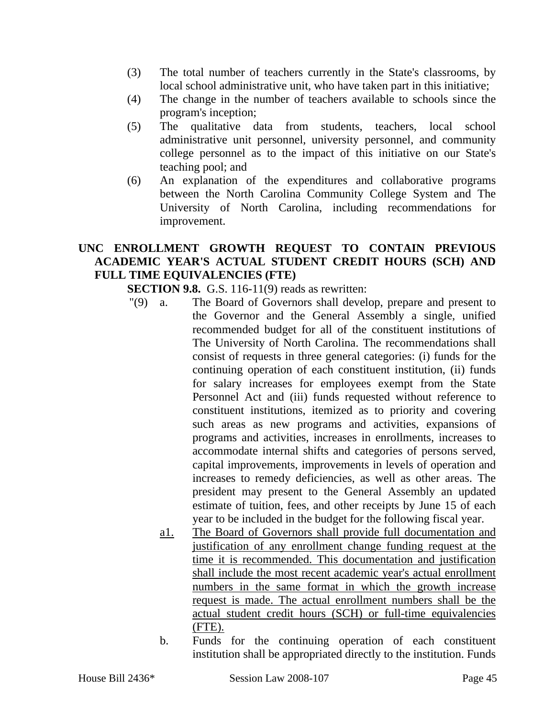- (3) The total number of teachers currently in the State's classrooms, by local school administrative unit, who have taken part in this initiative;
- (4) The change in the number of teachers available to schools since the program's inception;
- (5) The qualitative data from students, teachers, local school administrative unit personnel, university personnel, and community college personnel as to the impact of this initiative on our State's teaching pool; and
- (6) An explanation of the expenditures and collaborative programs between the North Carolina Community College System and The University of North Carolina, including recommendations for improvement.

### **UNC ENROLLMENT GROWTH REQUEST TO CONTAIN PREVIOUS ACADEMIC YEAR'S ACTUAL STUDENT CREDIT HOURS (SCH) AND FULL TIME EQUIVALENCIES (FTE)**

**SECTION 9.8.** G.S. 116-11(9) reads as rewritten:

- "(9) a. The Board of Governors shall develop, prepare and present to the Governor and the General Assembly a single, unified recommended budget for all of the constituent institutions of The University of North Carolina. The recommendations shall consist of requests in three general categories: (i) funds for the continuing operation of each constituent institution, (ii) funds for salary increases for employees exempt from the State Personnel Act and (iii) funds requested without reference to constituent institutions, itemized as to priority and covering such areas as new programs and activities, expansions of programs and activities, increases in enrollments, increases to accommodate internal shifts and categories of persons served, capital improvements, improvements in levels of operation and increases to remedy deficiencies, as well as other areas. The president may present to the General Assembly an updated estimate of tuition, fees, and other receipts by June 15 of each year to be included in the budget for the following fiscal year.
	- a1. The Board of Governors shall provide full documentation and justification of any enrollment change funding request at the time it is recommended. This documentation and justification shall include the most recent academic year's actual enrollment numbers in the same format in which the growth increase request is made. The actual enrollment numbers shall be the actual student credit hours (SCH) or full-time equivalencies (FTE).
	- b. Funds for the continuing operation of each constituent institution shall be appropriated directly to the institution. Funds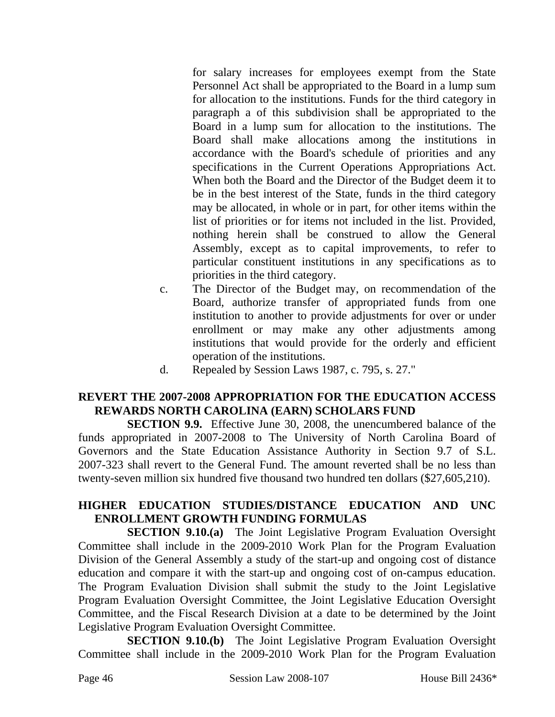for salary increases for employees exempt from the State Personnel Act shall be appropriated to the Board in a lump sum for allocation to the institutions. Funds for the third category in paragraph a of this subdivision shall be appropriated to the Board in a lump sum for allocation to the institutions. The Board shall make allocations among the institutions in accordance with the Board's schedule of priorities and any specifications in the Current Operations Appropriations Act. When both the Board and the Director of the Budget deem it to be in the best interest of the State, funds in the third category may be allocated, in whole or in part, for other items within the list of priorities or for items not included in the list. Provided, nothing herein shall be construed to allow the General Assembly, except as to capital improvements, to refer to particular constituent institutions in any specifications as to priorities in the third category.

- c. The Director of the Budget may, on recommendation of the Board, authorize transfer of appropriated funds from one institution to another to provide adjustments for over or under enrollment or may make any other adjustments among institutions that would provide for the orderly and efficient operation of the institutions.
- d. Repealed by Session Laws 1987, c. 795, s. 27."

### **REVERT THE 2007-2008 APPROPRIATION FOR THE EDUCATION ACCESS REWARDS NORTH CAROLINA (EARN) SCHOLARS FUND**

**SECTION 9.9.** Effective June 30, 2008, the unencumbered balance of the funds appropriated in 2007-2008 to The University of North Carolina Board of Governors and the State Education Assistance Authority in Section 9.7 of S.L. 2007-323 shall revert to the General Fund. The amount reverted shall be no less than twenty-seven million six hundred five thousand two hundred ten dollars (\$27,605,210).

### **HIGHER EDUCATION STUDIES/DISTANCE EDUCATION AND UNC ENROLLMENT GROWTH FUNDING FORMULAS**

**SECTION 9.10.(a)** The Joint Legislative Program Evaluation Oversight Committee shall include in the 2009-2010 Work Plan for the Program Evaluation Division of the General Assembly a study of the start-up and ongoing cost of distance education and compare it with the start-up and ongoing cost of on-campus education. The Program Evaluation Division shall submit the study to the Joint Legislative Program Evaluation Oversight Committee, the Joint Legislative Education Oversight Committee, and the Fiscal Research Division at a date to be determined by the Joint Legislative Program Evaluation Oversight Committee.

**SECTION 9.10.(b)** The Joint Legislative Program Evaluation Oversight Committee shall include in the 2009-2010 Work Plan for the Program Evaluation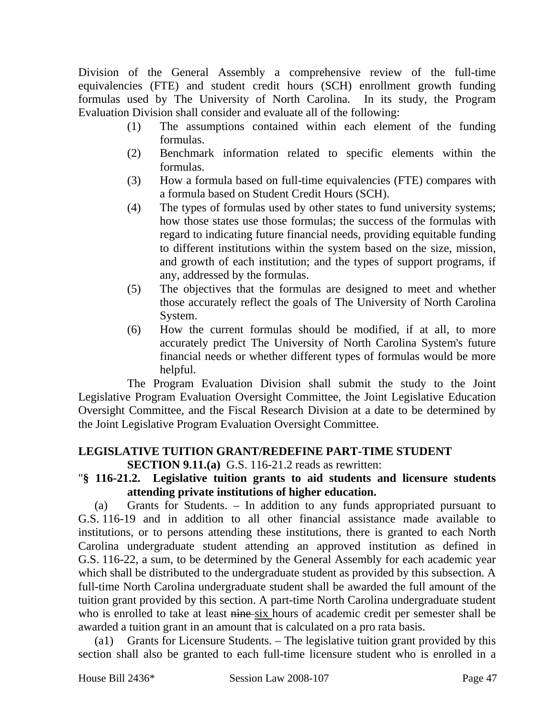Division of the General Assembly a comprehensive review of the full-time equivalencies (FTE) and student credit hours (SCH) enrollment growth funding formulas used by The University of North Carolina. In its study, the Program Evaluation Division shall consider and evaluate all of the following:

- (1) The assumptions contained within each element of the funding formulas.
- (2) Benchmark information related to specific elements within the formulas.
- (3) How a formula based on full-time equivalencies (FTE) compares with a formula based on Student Credit Hours (SCH).
- (4) The types of formulas used by other states to fund university systems; how those states use those formulas; the success of the formulas with regard to indicating future financial needs, providing equitable funding to different institutions within the system based on the size, mission, and growth of each institution; and the types of support programs, if any, addressed by the formulas.
- (5) The objectives that the formulas are designed to meet and whether those accurately reflect the goals of The University of North Carolina System.
- (6) How the current formulas should be modified, if at all, to more accurately predict The University of North Carolina System's future financial needs or whether different types of formulas would be more helpful.

The Program Evaluation Division shall submit the study to the Joint Legislative Program Evaluation Oversight Committee, the Joint Legislative Education Oversight Committee, and the Fiscal Research Division at a date to be determined by the Joint Legislative Program Evaluation Oversight Committee.

# **LEGISLATIVE TUITION GRANT/REDEFINE PART-TIME STUDENT**

### **SECTION 9.11.(a)** G.S. 116-21.2 reads as rewritten:

### "**§ 116-21.2. Legislative tuition grants to aid students and licensure students attending private institutions of higher education.**

(a) Grants for Students. – In addition to any funds appropriated pursuant to G.S. 116-19 and in addition to all other financial assistance made available to institutions, or to persons attending these institutions, there is granted to each North Carolina undergraduate student attending an approved institution as defined in G.S. 116-22, a sum, to be determined by the General Assembly for each academic year which shall be distributed to the undergraduate student as provided by this subsection. A full-time North Carolina undergraduate student shall be awarded the full amount of the tuition grant provided by this section. A part-time North Carolina undergraduate student who is enrolled to take at least nine six hours of academic credit per semester shall be awarded a tuition grant in an amount that is calculated on a pro rata basis.

(a1) Grants for Licensure Students. – The legislative tuition grant provided by this section shall also be granted to each full-time licensure student who is enrolled in a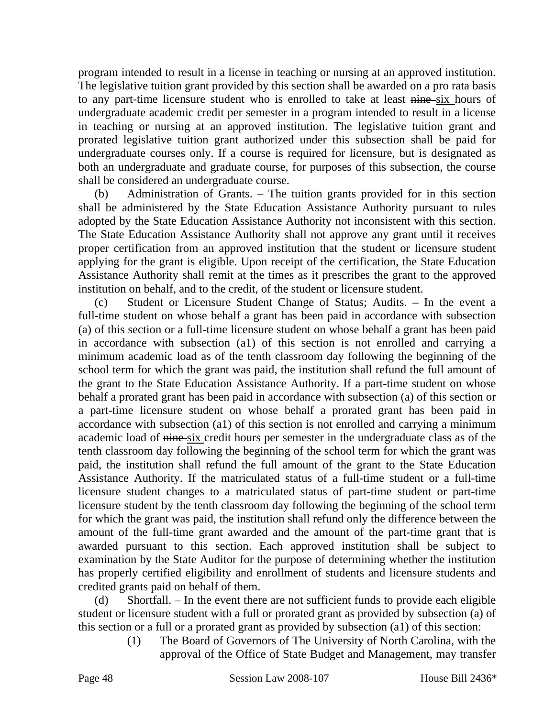program intended to result in a license in teaching or nursing at an approved institution. The legislative tuition grant provided by this section shall be awarded on a pro rata basis to any part-time licensure student who is enrolled to take at least nine six hours of undergraduate academic credit per semester in a program intended to result in a license in teaching or nursing at an approved institution. The legislative tuition grant and prorated legislative tuition grant authorized under this subsection shall be paid for undergraduate courses only. If a course is required for licensure, but is designated as both an undergraduate and graduate course, for purposes of this subsection, the course shall be considered an undergraduate course.

(b) Administration of Grants. – The tuition grants provided for in this section shall be administered by the State Education Assistance Authority pursuant to rules adopted by the State Education Assistance Authority not inconsistent with this section. The State Education Assistance Authority shall not approve any grant until it receives proper certification from an approved institution that the student or licensure student applying for the grant is eligible. Upon receipt of the certification, the State Education Assistance Authority shall remit at the times as it prescribes the grant to the approved institution on behalf, and to the credit, of the student or licensure student.

(c) Student or Licensure Student Change of Status; Audits. – In the event a full-time student on whose behalf a grant has been paid in accordance with subsection (a) of this section or a full-time licensure student on whose behalf a grant has been paid in accordance with subsection (a1) of this section is not enrolled and carrying a minimum academic load as of the tenth classroom day following the beginning of the school term for which the grant was paid, the institution shall refund the full amount of the grant to the State Education Assistance Authority. If a part-time student on whose behalf a prorated grant has been paid in accordance with subsection (a) of this section or a part-time licensure student on whose behalf a prorated grant has been paid in accordance with subsection (a1) of this section is not enrolled and carrying a minimum academic load of nine six credit hours per semester in the undergraduate class as of the tenth classroom day following the beginning of the school term for which the grant was paid, the institution shall refund the full amount of the grant to the State Education Assistance Authority. If the matriculated status of a full-time student or a full-time licensure student changes to a matriculated status of part-time student or part-time licensure student by the tenth classroom day following the beginning of the school term for which the grant was paid, the institution shall refund only the difference between the amount of the full-time grant awarded and the amount of the part-time grant that is awarded pursuant to this section. Each approved institution shall be subject to examination by the State Auditor for the purpose of determining whether the institution has properly certified eligibility and enrollment of students and licensure students and credited grants paid on behalf of them.

(d) Shortfall. – In the event there are not sufficient funds to provide each eligible student or licensure student with a full or prorated grant as provided by subsection (a) of this section or a full or a prorated grant as provided by subsection (a1) of this section:

(1) The Board of Governors of The University of North Carolina, with the approval of the Office of State Budget and Management, may transfer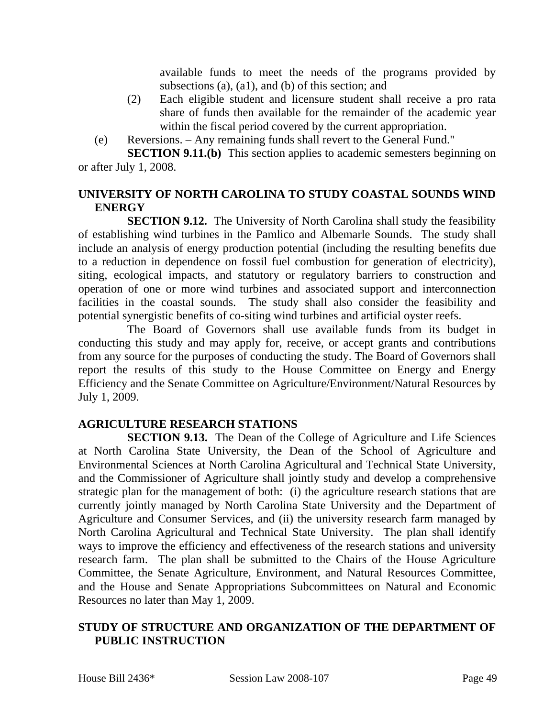available funds to meet the needs of the programs provided by subsections (a), (a1), and (b) of this section; and

- (2) Each eligible student and licensure student shall receive a pro rata share of funds then available for the remainder of the academic year within the fiscal period covered by the current appropriation.
- (e) Reversions. Any remaining funds shall revert to the General Fund."

**SECTION 9.11.(b)** This section applies to academic semesters beginning on or after July 1, 2008.

### **UNIVERSITY OF NORTH CAROLINA TO STUDY COASTAL SOUNDS WIND ENERGY**

**SECTION 9.12.** The University of North Carolina shall study the feasibility of establishing wind turbines in the Pamlico and Albemarle Sounds. The study shall include an analysis of energy production potential (including the resulting benefits due to a reduction in dependence on fossil fuel combustion for generation of electricity), siting, ecological impacts, and statutory or regulatory barriers to construction and operation of one or more wind turbines and associated support and interconnection facilities in the coastal sounds. The study shall also consider the feasibility and potential synergistic benefits of co-siting wind turbines and artificial oyster reefs.

The Board of Governors shall use available funds from its budget in conducting this study and may apply for, receive, or accept grants and contributions from any source for the purposes of conducting the study. The Board of Governors shall report the results of this study to the House Committee on Energy and Energy Efficiency and the Senate Committee on Agriculture/Environment/Natural Resources by July 1, 2009.

### **AGRICULTURE RESEARCH STATIONS**

**SECTION 9.13.** The Dean of the College of Agriculture and Life Sciences at North Carolina State University, the Dean of the School of Agriculture and Environmental Sciences at North Carolina Agricultural and Technical State University, and the Commissioner of Agriculture shall jointly study and develop a comprehensive strategic plan for the management of both: (i) the agriculture research stations that are currently jointly managed by North Carolina State University and the Department of Agriculture and Consumer Services, and (ii) the university research farm managed by North Carolina Agricultural and Technical State University. The plan shall identify ways to improve the efficiency and effectiveness of the research stations and university research farm. The plan shall be submitted to the Chairs of the House Agriculture Committee, the Senate Agriculture, Environment, and Natural Resources Committee, and the House and Senate Appropriations Subcommittees on Natural and Economic Resources no later than May 1, 2009.

### **STUDY OF STRUCTURE AND ORGANIZATION OF THE DEPARTMENT OF PUBLIC INSTRUCTION**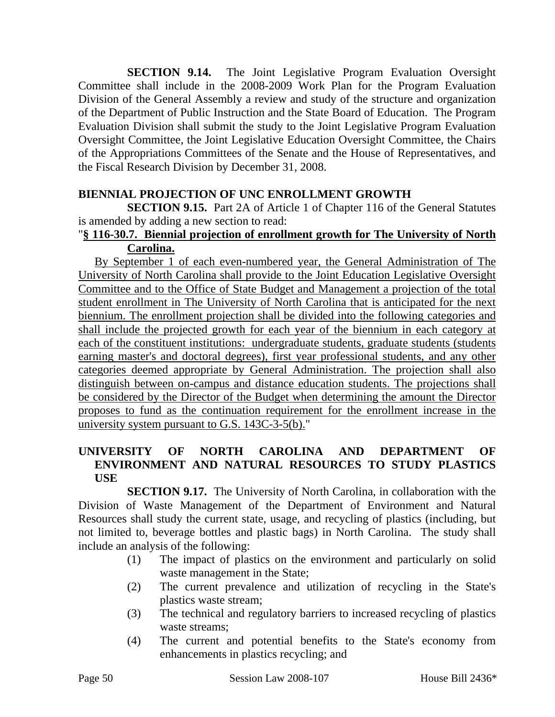**SECTION 9.14.** The Joint Legislative Program Evaluation Oversight Committee shall include in the 2008-2009 Work Plan for the Program Evaluation Division of the General Assembly a review and study of the structure and organization of the Department of Public Instruction and the State Board of Education. The Program Evaluation Division shall submit the study to the Joint Legislative Program Evaluation Oversight Committee, the Joint Legislative Education Oversight Committee, the Chairs of the Appropriations Committees of the Senate and the House of Representatives, and the Fiscal Research Division by December 31, 2008.

### **BIENNIAL PROJECTION OF UNC ENROLLMENT GROWTH**

**SECTION 9.15.** Part 2A of Article 1 of Chapter 116 of the General Statutes is amended by adding a new section to read:

### "**§ 116-30.7. Biennial projection of enrollment growth for The University of North Carolina.**

By September 1 of each even-numbered year, the General Administration of The University of North Carolina shall provide to the Joint Education Legislative Oversight Committee and to the Office of State Budget and Management a projection of the total student enrollment in The University of North Carolina that is anticipated for the next biennium. The enrollment projection shall be divided into the following categories and shall include the projected growth for each year of the biennium in each category at each of the constituent institutions: undergraduate students, graduate students (students earning master's and doctoral degrees), first year professional students, and any other categories deemed appropriate by General Administration. The projection shall also distinguish between on-campus and distance education students. The projections shall be considered by the Director of the Budget when determining the amount the Director proposes to fund as the continuation requirement for the enrollment increase in the university system pursuant to G.S. 143C-3-5(b)."

### **UNIVERSITY OF NORTH CAROLINA AND DEPARTMENT OF ENVIRONMENT AND NATURAL RESOURCES TO STUDY PLASTICS USE**

**SECTION 9.17.** The University of North Carolina, in collaboration with the Division of Waste Management of the Department of Environment and Natural Resources shall study the current state, usage, and recycling of plastics (including, but not limited to, beverage bottles and plastic bags) in North Carolina. The study shall include an analysis of the following:

- (1) The impact of plastics on the environment and particularly on solid waste management in the State;
- (2) The current prevalence and utilization of recycling in the State's plastics waste stream;
- (3) The technical and regulatory barriers to increased recycling of plastics waste streams;
- (4) The current and potential benefits to the State's economy from enhancements in plastics recycling; and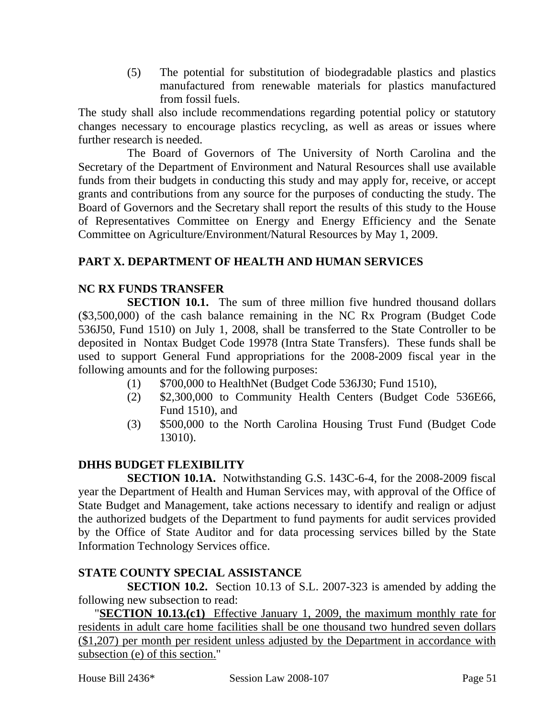(5) The potential for substitution of biodegradable plastics and plastics manufactured from renewable materials for plastics manufactured from fossil fuels.

The study shall also include recommendations regarding potential policy or statutory changes necessary to encourage plastics recycling, as well as areas or issues where further research is needed.

The Board of Governors of The University of North Carolina and the Secretary of the Department of Environment and Natural Resources shall use available funds from their budgets in conducting this study and may apply for, receive, or accept grants and contributions from any source for the purposes of conducting the study. The Board of Governors and the Secretary shall report the results of this study to the House of Representatives Committee on Energy and Energy Efficiency and the Senate Committee on Agriculture/Environment/Natural Resources by May 1, 2009.

### **PART X. DEPARTMENT OF HEALTH AND HUMAN SERVICES**

#### **NC RX FUNDS TRANSFER**

**SECTION 10.1.** The sum of three million five hundred thousand dollars (\$3,500,000) of the cash balance remaining in the NC Rx Program (Budget Code 536J50, Fund 1510) on July 1, 2008, shall be transferred to the State Controller to be deposited in Nontax Budget Code 19978 (Intra State Transfers). These funds shall be used to support General Fund appropriations for the 2008-2009 fiscal year in the following amounts and for the following purposes:

- (1) \$700,000 to HealthNet (Budget Code 536J30; Fund 1510),
- (2) \$2,300,000 to Community Health Centers (Budget Code 536E66, Fund 1510), and
- (3) \$500,000 to the North Carolina Housing Trust Fund (Budget Code 13010).

### **DHHS BUDGET FLEXIBILITY**

**SECTION 10.1A.** Notwithstanding G.S. 143C-6-4, for the 2008-2009 fiscal year the Department of Health and Human Services may, with approval of the Office of State Budget and Management, take actions necessary to identify and realign or adjust the authorized budgets of the Department to fund payments for audit services provided by the Office of State Auditor and for data processing services billed by the State Information Technology Services office.

### **STATE COUNTY SPECIAL ASSISTANCE**

**SECTION 10.2.** Section 10.13 of S.L. 2007-323 is amended by adding the following new subsection to read:

"**SECTION 10.13.(c1)** Effective January 1, 2009, the maximum monthly rate for residents in adult care home facilities shall be one thousand two hundred seven dollars (\$1,207) per month per resident unless adjusted by the Department in accordance with subsection (e) of this section."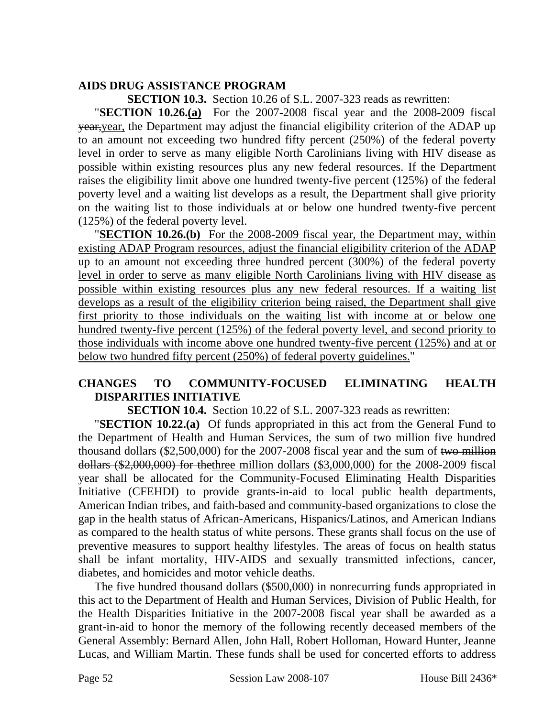### **AIDS DRUG ASSISTANCE PROGRAM**

**SECTION 10.3.** Section 10.26 of S.L. 2007-323 reads as rewritten:

"**SECTION 10.26.(a)** For the 2007-2008 fiscal year and the 2008-2009 fiscal year, year, the Department may adjust the financial eligibility criterion of the ADAP up to an amount not exceeding two hundred fifty percent (250%) of the federal poverty level in order to serve as many eligible North Carolinians living with HIV disease as possible within existing resources plus any new federal resources. If the Department raises the eligibility limit above one hundred twenty-five percent (125%) of the federal poverty level and a waiting list develops as a result, the Department shall give priority on the waiting list to those individuals at or below one hundred twenty-five percent (125%) of the federal poverty level.

"**SECTION 10.26.(b)** For the 2008-2009 fiscal year, the Department may, within existing ADAP Program resources, adjust the financial eligibility criterion of the ADAP up to an amount not exceeding three hundred percent (300%) of the federal poverty level in order to serve as many eligible North Carolinians living with HIV disease as possible within existing resources plus any new federal resources. If a waiting list develops as a result of the eligibility criterion being raised, the Department shall give first priority to those individuals on the waiting list with income at or below one hundred twenty-five percent (125%) of the federal poverty level, and second priority to those individuals with income above one hundred twenty-five percent (125%) and at or below two hundred fifty percent (250%) of federal poverty guidelines."

### **CHANGES TO COMMUNITY-FOCUSED ELIMINATING HEALTH DISPARITIES INITIATIVE**

**SECTION 10.4.** Section 10.22 of S.L. 2007-323 reads as rewritten:

"**SECTION 10.22.(a)** Of funds appropriated in this act from the General Fund to the Department of Health and Human Services, the sum of two million five hundred thousand dollars (\$2,500,000) for the 2007-2008 fiscal year and the sum of two million dollars (\$2,000,000) for thethree million dollars (\$3,000,000) for the 2008-2009 fiscal year shall be allocated for the Community-Focused Eliminating Health Disparities Initiative (CFEHDI) to provide grants-in-aid to local public health departments, American Indian tribes, and faith-based and community-based organizations to close the gap in the health status of African-Americans, Hispanics/Latinos, and American Indians as compared to the health status of white persons. These grants shall focus on the use of preventive measures to support healthy lifestyles. The areas of focus on health status shall be infant mortality, HIV-AIDS and sexually transmitted infections, cancer, diabetes, and homicides and motor vehicle deaths.

The five hundred thousand dollars (\$500,000) in nonrecurring funds appropriated in this act to the Department of Health and Human Services, Division of Public Health, for the Health Disparities Initiative in the 2007-2008 fiscal year shall be awarded as a grant-in-aid to honor the memory of the following recently deceased members of the General Assembly: Bernard Allen, John Hall, Robert Holloman, Howard Hunter, Jeanne Lucas, and William Martin. These funds shall be used for concerted efforts to address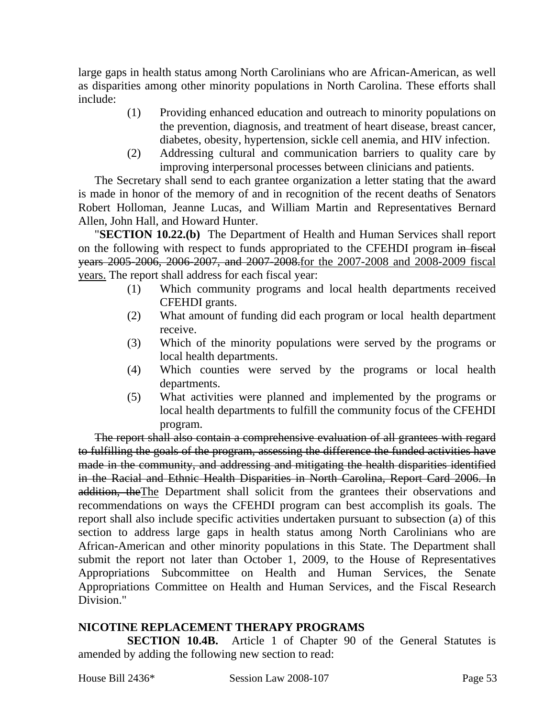large gaps in health status among North Carolinians who are African-American, as well as disparities among other minority populations in North Carolina. These efforts shall include:

- (1) Providing enhanced education and outreach to minority populations on the prevention, diagnosis, and treatment of heart disease, breast cancer, diabetes, obesity, hypertension, sickle cell anemia, and HIV infection.
- (2) Addressing cultural and communication barriers to quality care by improving interpersonal processes between clinicians and patients.

The Secretary shall send to each grantee organization a letter stating that the award is made in honor of the memory of and in recognition of the recent deaths of Senators Robert Holloman, Jeanne Lucas, and William Martin and Representatives Bernard Allen, John Hall, and Howard Hunter.

"**SECTION 10.22.(b)** The Department of Health and Human Services shall report on the following with respect to funds appropriated to the CFEHDI program in fiscal years 2005-2006, 2006-2007, and 2007-2008.for the 2007-2008 and 2008-2009 fiscal years. The report shall address for each fiscal year:

- (1) Which community programs and local health departments received CFEHDI grants.
- (2) What amount of funding did each program or local health department receive.
- (3) Which of the minority populations were served by the programs or local health departments.
- (4) Which counties were served by the programs or local health departments.
- (5) What activities were planned and implemented by the programs or local health departments to fulfill the community focus of the CFEHDI program.

The report shall also contain a comprehensive evaluation of all grantees with regard to fulfilling the goals of the program, assessing the difference the funded activities have made in the community, and addressing and mitigating the health disparities identified in the Racial and Ethnic Health Disparities in North Carolina, Report Card 2006. In addition, theThe Department shall solicit from the grantees their observations and recommendations on ways the CFEHDI program can best accomplish its goals. The report shall also include specific activities undertaken pursuant to subsection (a) of this section to address large gaps in health status among North Carolinians who are African-American and other minority populations in this State. The Department shall submit the report not later than October 1, 2009, to the House of Representatives Appropriations Subcommittee on Health and Human Services, the Senate Appropriations Committee on Health and Human Services, and the Fiscal Research Division."

### **NICOTINE REPLACEMENT THERAPY PROGRAMS**

**SECTION 10.4B.** Article 1 of Chapter 90 of the General Statutes is amended by adding the following new section to read: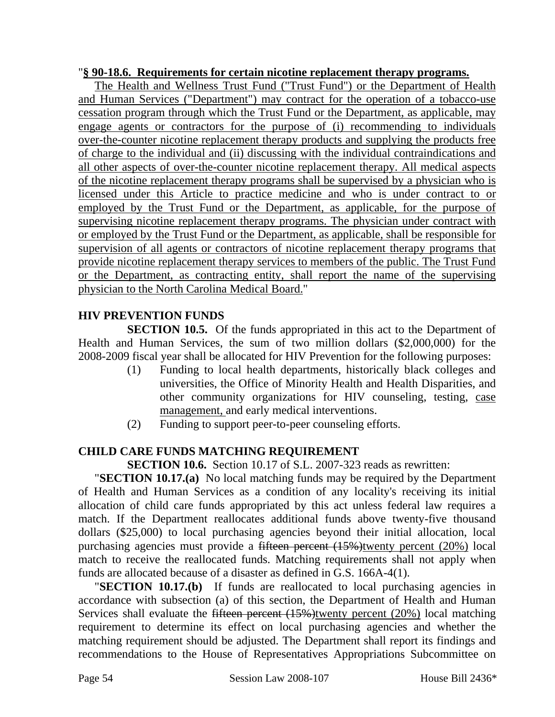#### "**§ 90-18.6. Requirements for certain nicotine replacement therapy programs.**

The Health and Wellness Trust Fund ("Trust Fund") or the Department of Health and Human Services ("Department") may contract for the operation of a tobacco-use cessation program through which the Trust Fund or the Department, as applicable, may engage agents or contractors for the purpose of (i) recommending to individuals over-the-counter nicotine replacement therapy products and supplying the products free of charge to the individual and (ii) discussing with the individual contraindications and all other aspects of over-the-counter nicotine replacement therapy. All medical aspects of the nicotine replacement therapy programs shall be supervised by a physician who is licensed under this Article to practice medicine and who is under contract to or employed by the Trust Fund or the Department, as applicable, for the purpose of supervising nicotine replacement therapy programs. The physician under contract with or employed by the Trust Fund or the Department, as applicable, shall be responsible for supervision of all agents or contractors of nicotine replacement therapy programs that provide nicotine replacement therapy services to members of the public. The Trust Fund or the Department, as contracting entity, shall report the name of the supervising physician to the North Carolina Medical Board."

### **HIV PREVENTION FUNDS**

**SECTION 10.5.** Of the funds appropriated in this act to the Department of Health and Human Services, the sum of two million dollars (\$2,000,000) for the 2008-2009 fiscal year shall be allocated for HIV Prevention for the following purposes:

- (1) Funding to local health departments, historically black colleges and universities, the Office of Minority Health and Health Disparities, and other community organizations for HIV counseling, testing, case management, and early medical interventions.
- (2) Funding to support peer-to-peer counseling efforts.

### **CHILD CARE FUNDS MATCHING REQUIREMENT**

**SECTION 10.6.** Section 10.17 of S.L. 2007-323 reads as rewritten:

"**SECTION 10.17.(a)** No local matching funds may be required by the Department of Health and Human Services as a condition of any locality's receiving its initial allocation of child care funds appropriated by this act unless federal law requires a match. If the Department reallocates additional funds above twenty-five thousand dollars (\$25,000) to local purchasing agencies beyond their initial allocation, local purchasing agencies must provide a <del>fifteen percent  $(15%)$ twenty percent  $(20%)$ </del> local match to receive the reallocated funds. Matching requirements shall not apply when funds are allocated because of a disaster as defined in G.S. 166A-4(1).

"**SECTION 10.17.(b)** If funds are reallocated to local purchasing agencies in accordance with subsection (a) of this section, the Department of Health and Human Services shall evaluate the fifteen percent  $(15%)$ twenty percent  $(20%)$  local matching requirement to determine its effect on local purchasing agencies and whether the matching requirement should be adjusted. The Department shall report its findings and recommendations to the House of Representatives Appropriations Subcommittee on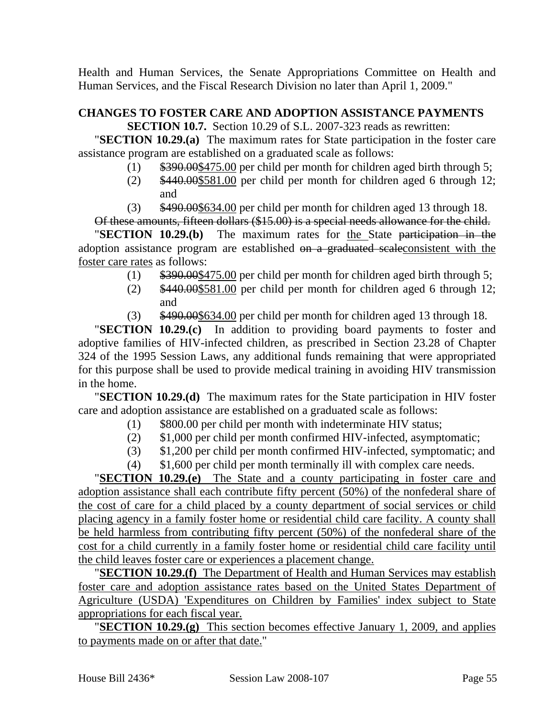Health and Human Services, the Senate Appropriations Committee on Health and Human Services, and the Fiscal Research Division no later than April 1, 2009."

# **CHANGES TO FOSTER CARE AND ADOPTION ASSISTANCE PAYMENTS**

**SECTION 10.7.** Section 10.29 of S.L. 2007-323 reads as rewritten:

"**SECTION 10.29.(a)** The maximum rates for State participation in the foster care assistance program are established on a graduated scale as follows:

- (1)  $\frac{$390.00}_{17}$  (1)  $\frac{$390.00}_{17}$  (1) per children and per month for children aged birth through 5;
- (2) \$440.00\$581.00 per child per month for children aged 6 through 12; and
- (3) \$490.00\$634.00 per child per month for children aged 13 through 18.

Of these amounts, fifteen dollars (\$15.00) is a special needs allowance for the child. "**SECTION 10.29.(b)** The maximum rates for the State participation in the adoption assistance program are established on a graduated scaleconsistent with the foster care rates as follows:

- (1) \$390.00\$475.00 per child per month for children aged birth through 5;
- (2) \$440.00\$581.00 per child per month for children aged 6 through 12; and
- (3) \$490.00\$634.00 per child per month for children aged 13 through 18.

"**SECTION 10.29.(c)** In addition to providing board payments to foster and adoptive families of HIV-infected children, as prescribed in Section 23.28 of Chapter 324 of the 1995 Session Laws, any additional funds remaining that were appropriated for this purpose shall be used to provide medical training in avoiding HIV transmission in the home.

"**SECTION 10.29.(d)** The maximum rates for the State participation in HIV foster care and adoption assistance are established on a graduated scale as follows:

- (1) \$800.00 per child per month with indeterminate HIV status;
- (2) \$1,000 per child per month confirmed HIV-infected, asymptomatic;
- (3) \$1,200 per child per month confirmed HIV-infected, symptomatic; and
- (4) \$1,600 per child per month terminally ill with complex care needs.

"**SECTION 10.29.(e)** The State and a county participating in foster care and adoption assistance shall each contribute fifty percent (50%) of the nonfederal share of the cost of care for a child placed by a county department of social services or child placing agency in a family foster home or residential child care facility. A county shall be held harmless from contributing fifty percent (50%) of the nonfederal share of the cost for a child currently in a family foster home or residential child care facility until the child leaves foster care or experiences a placement change.

"**SECTION 10.29.(f)** The Department of Health and Human Services may establish foster care and adoption assistance rates based on the United States Department of Agriculture (USDA) 'Expenditures on Children by Families' index subject to State appropriations for each fiscal year.

"**SECTION 10.29.(g)** This section becomes effective January 1, 2009, and applies to payments made on or after that date."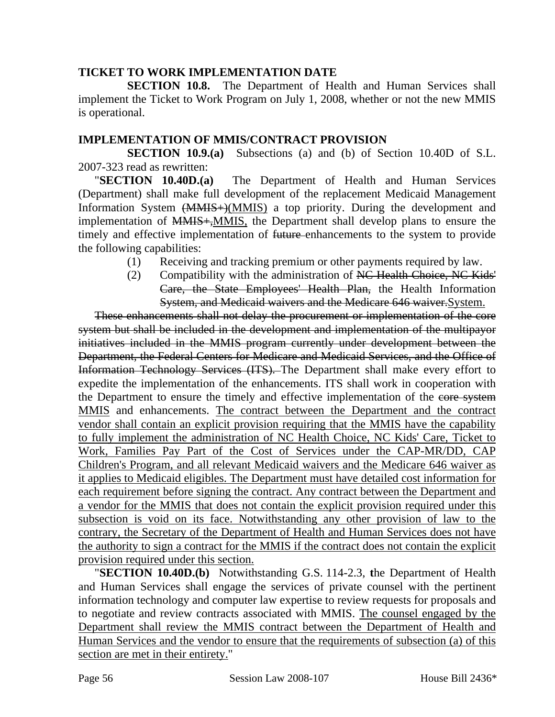### **TICKET TO WORK IMPLEMENTATION DATE**

**SECTION 10.8.** The Department of Health and Human Services shall implement the Ticket to Work Program on July 1, 2008, whether or not the new MMIS is operational.

#### **IMPLEMENTATION OF MMIS/CONTRACT PROVISION**

**SECTION 10.9.(a)** Subsections (a) and (b) of Section 10.40D of S.L. 2007-323 read as rewritten:

"**SECTION 10.40D.(a)** The Department of Health and Human Services (Department) shall make full development of the replacement Medicaid Management Information System  $\left(\frac{MMIS}{)}\right)$  (MMIS) a top priority. During the development and implementation of MMIS+,MMIS, the Department shall develop plans to ensure the timely and effective implementation of future enhancements to the system to provide the following capabilities:

- (1) Receiving and tracking premium or other payments required by law.
- (2) Compatibility with the administration of NC Health Choice, NC Kids' Care, the State Employees' Health Plan, the Health Information System, and Medicaid waivers and the Medicare 646 waiver.System.

These enhancements shall not delay the procurement or implementation of the core system but shall be included in the development and implementation of the multipayor initiatives included in the MMIS program currently under development between the Department, the Federal Centers for Medicare and Medicaid Services, and the Office of Information Technology Services (ITS). The Department shall make every effort to expedite the implementation of the enhancements. ITS shall work in cooperation with the Department to ensure the timely and effective implementation of the core system MMIS and enhancements. The contract between the Department and the contract vendor shall contain an explicit provision requiring that the MMIS have the capability to fully implement the administration of NC Health Choice, NC Kids' Care, Ticket to Work, Families Pay Part of the Cost of Services under the CAP-MR/DD, CAP Children's Program, and all relevant Medicaid waivers and the Medicare 646 waiver as it applies to Medicaid eligibles. The Department must have detailed cost information for each requirement before signing the contract. Any contract between the Department and a vendor for the MMIS that does not contain the explicit provision required under this subsection is void on its face. Notwithstanding any other provision of law to the contrary, the Secretary of the Department of Health and Human Services does not have the authority to sign a contract for the MMIS if the contract does not contain the explicit provision required under this section.

"**SECTION 10.40D.(b)** Notwithstanding G.S. 114-2.3, **t**he Department of Health and Human Services shall engage the services of private counsel with the pertinent information technology and computer law expertise to review requests for proposals and to negotiate and review contracts associated with MMIS. The counsel engaged by the Department shall review the MMIS contract between the Department of Health and Human Services and the vendor to ensure that the requirements of subsection (a) of this section are met in their entirety."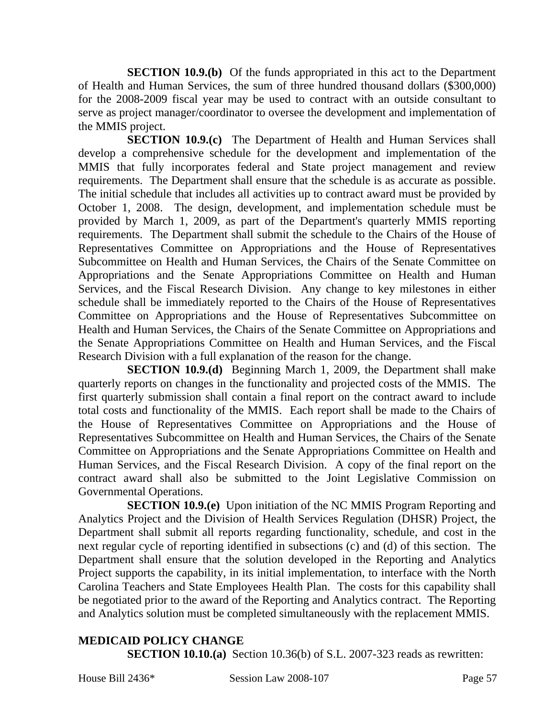**SECTION 10.9.(b)** Of the funds appropriated in this act to the Department of Health and Human Services, the sum of three hundred thousand dollars (\$300,000) for the 2008-2009 fiscal year may be used to contract with an outside consultant to serve as project manager/coordinator to oversee the development and implementation of the MMIS project.

**SECTION 10.9.(c)** The Department of Health and Human Services shall develop a comprehensive schedule for the development and implementation of the MMIS that fully incorporates federal and State project management and review requirements. The Department shall ensure that the schedule is as accurate as possible. The initial schedule that includes all activities up to contract award must be provided by October 1, 2008. The design, development, and implementation schedule must be provided by March 1, 2009, as part of the Department's quarterly MMIS reporting requirements. The Department shall submit the schedule to the Chairs of the House of Representatives Committee on Appropriations and the House of Representatives Subcommittee on Health and Human Services, the Chairs of the Senate Committee on Appropriations and the Senate Appropriations Committee on Health and Human Services, and the Fiscal Research Division. Any change to key milestones in either schedule shall be immediately reported to the Chairs of the House of Representatives Committee on Appropriations and the House of Representatives Subcommittee on Health and Human Services, the Chairs of the Senate Committee on Appropriations and the Senate Appropriations Committee on Health and Human Services, and the Fiscal Research Division with a full explanation of the reason for the change.

**SECTION 10.9.(d)** Beginning March 1, 2009, the Department shall make quarterly reports on changes in the functionality and projected costs of the MMIS. The first quarterly submission shall contain a final report on the contract award to include total costs and functionality of the MMIS. Each report shall be made to the Chairs of the House of Representatives Committee on Appropriations and the House of Representatives Subcommittee on Health and Human Services, the Chairs of the Senate Committee on Appropriations and the Senate Appropriations Committee on Health and Human Services, and the Fiscal Research Division. A copy of the final report on the contract award shall also be submitted to the Joint Legislative Commission on Governmental Operations.

**SECTION 10.9.(e)** Upon initiation of the NC MMIS Program Reporting and Analytics Project and the Division of Health Services Regulation (DHSR) Project, the Department shall submit all reports regarding functionality, schedule, and cost in the next regular cycle of reporting identified in subsections (c) and (d) of this section. The Department shall ensure that the solution developed in the Reporting and Analytics Project supports the capability, in its initial implementation, to interface with the North Carolina Teachers and State Employees Health Plan. The costs for this capability shall be negotiated prior to the award of the Reporting and Analytics contract. The Reporting and Analytics solution must be completed simultaneously with the replacement MMIS.

### **MEDICAID POLICY CHANGE**

**SECTION 10.10.(a)** Section 10.36(b) of S.L. 2007-323 reads as rewritten: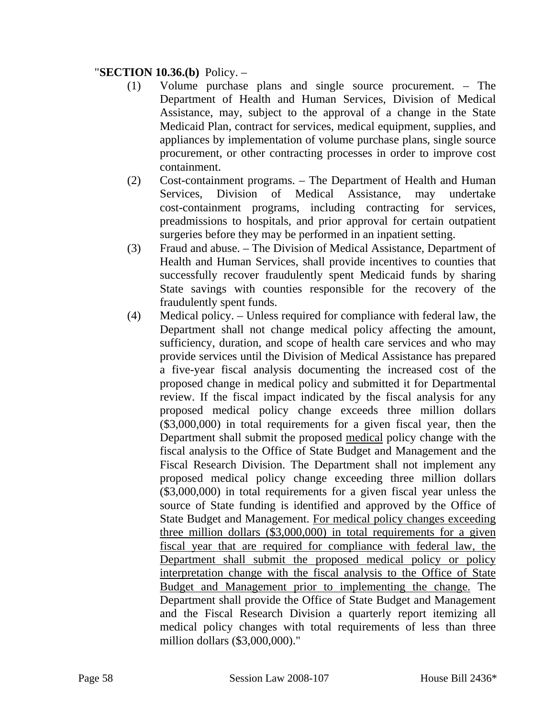### "**SECTION 10.36.(b)** Policy. –

- (1) Volume purchase plans and single source procurement. The Department of Health and Human Services, Division of Medical Assistance, may, subject to the approval of a change in the State Medicaid Plan, contract for services, medical equipment, supplies, and appliances by implementation of volume purchase plans, single source procurement, or other contracting processes in order to improve cost containment.
- (2) Cost-containment programs. The Department of Health and Human Services, Division of Medical Assistance, may undertake cost-containment programs, including contracting for services, preadmissions to hospitals, and prior approval for certain outpatient surgeries before they may be performed in an inpatient setting.
- (3) Fraud and abuse. The Division of Medical Assistance, Department of Health and Human Services, shall provide incentives to counties that successfully recover fraudulently spent Medicaid funds by sharing State savings with counties responsible for the recovery of the fraudulently spent funds.
- (4) Medical policy. Unless required for compliance with federal law, the Department shall not change medical policy affecting the amount, sufficiency, duration, and scope of health care services and who may provide services until the Division of Medical Assistance has prepared a five-year fiscal analysis documenting the increased cost of the proposed change in medical policy and submitted it for Departmental review. If the fiscal impact indicated by the fiscal analysis for any proposed medical policy change exceeds three million dollars (\$3,000,000) in total requirements for a given fiscal year, then the Department shall submit the proposed medical policy change with the fiscal analysis to the Office of State Budget and Management and the Fiscal Research Division. The Department shall not implement any proposed medical policy change exceeding three million dollars (\$3,000,000) in total requirements for a given fiscal year unless the source of State funding is identified and approved by the Office of State Budget and Management. For medical policy changes exceeding three million dollars (\$3,000,000) in total requirements for a given fiscal year that are required for compliance with federal law, the Department shall submit the proposed medical policy or policy interpretation change with the fiscal analysis to the Office of State Budget and Management prior to implementing the change. The Department shall provide the Office of State Budget and Management and the Fiscal Research Division a quarterly report itemizing all medical policy changes with total requirements of less than three million dollars (\$3,000,000)."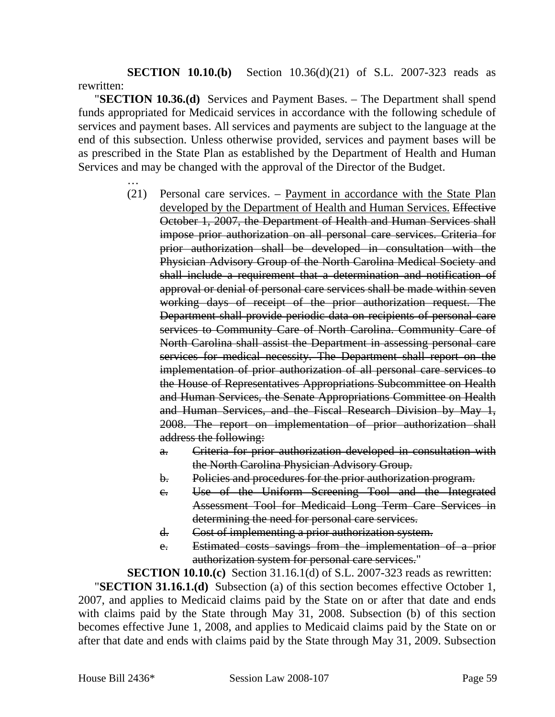**SECTION 10.10.(b)** Section 10.36(d)(21) of S.L. 2007-323 reads as rewritten:

"**SECTION 10.36.(d)** Services and Payment Bases. – The Department shall spend funds appropriated for Medicaid services in accordance with the following schedule of services and payment bases. All services and payments are subject to the language at the end of this subsection. Unless otherwise provided, services and payment bases will be as prescribed in the State Plan as established by the Department of Health and Human Services and may be changed with the approval of the Director of the Budget.

- …
- (21) Personal care services. Payment in accordance with the State Plan developed by the Department of Health and Human Services. Effective October 1, 2007, the Department of Health and Human Services shall impose prior authorization on all personal care services. Criteria for prior authorization shall be developed in consultation with the Physician Advisory Group of the North Carolina Medical Society and shall include a requirement that a determination and notification of approval or denial of personal care services shall be made within seven working days of receipt of the prior authorization request. The Department shall provide periodic data on recipients of personal care services to Community Care of North Carolina. Community Care of North Carolina shall assist the Department in assessing personal care services for medical necessity. The Department shall report on the implementation of prior authorization of all personal care services to the House of Representatives Appropriations Subcommittee on Health and Human Services, the Senate Appropriations Committee on Health and Human Services, and the Fiscal Research Division by May 1, 2008. The report on implementation of prior authorization shall address the following:
	- a. Criteria for prior authorization developed in consultation with the North Carolina Physician Advisory Group.
	- b. Policies and procedures for the prior authorization program.
	- c. Use of the Uniform Screening Tool and the Integrated Assessment Tool for Medicaid Long Term Care Services in determining the need for personal care services.
	- d. Cost of implementing a prior authorization system.
	- e. Estimated costs savings from the implementation of a prior authorization system for personal care services."

**SECTION 10.10.(c)** Section 31.16.1(d) of S.L. 2007-323 reads as rewritten:

"**SECTION 31.16.1.(d)** Subsection (a) of this section becomes effective October 1, 2007, and applies to Medicaid claims paid by the State on or after that date and ends with claims paid by the State through May 31, 2008. Subsection (b) of this section becomes effective June 1, 2008, and applies to Medicaid claims paid by the State on or after that date and ends with claims paid by the State through May 31, 2009. Subsection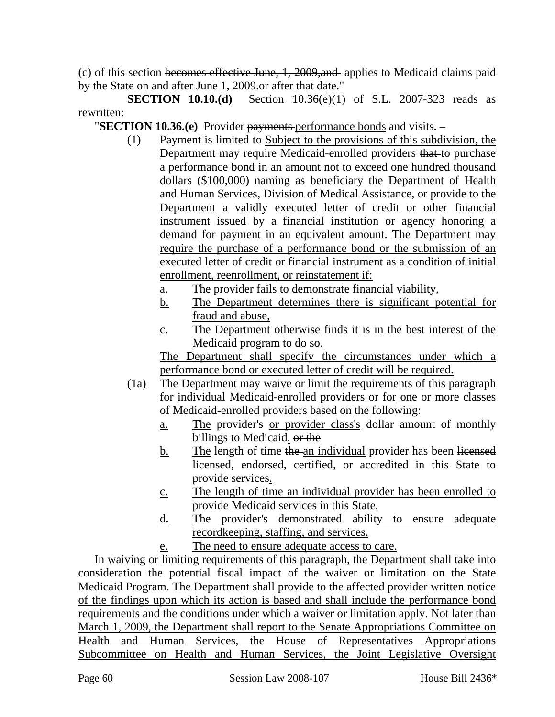(c) of this section becomes effective June, 1, 2009,and applies to Medicaid claims paid by the State on and after June 1, 2009.or after that date."

**SECTION 10.10.(d)** Section 10.36(e)(1) of S.L. 2007-323 reads as rewritten:

"**SECTION 10.36.(e)** Provider payments performance bonds and visits. –

- (1) Payment is limited to Subject to the provisions of this subdivision, the Department may require Medicaid-enrolled providers that to purchase a performance bond in an amount not to exceed one hundred thousand dollars (\$100,000) naming as beneficiary the Department of Health and Human Services, Division of Medical Assistance, or provide to the Department a validly executed letter of credit or other financial instrument issued by a financial institution or agency honoring a demand for payment in an equivalent amount. The Department may require the purchase of a performance bond or the submission of an executed letter of credit or financial instrument as a condition of initial enrollment, reenrollment, or reinstatement if:
	- a. The provider fails to demonstrate financial viability,
	- b. The Department determines there is significant potential for fraud and abuse,
	- c. The Department otherwise finds it is in the best interest of the Medicaid program to do so.

The Department shall specify the circumstances under which a performance bond or executed letter of credit will be required.

- (1a) The Department may waive or limit the requirements of this paragraph for individual Medicaid-enrolled providers or for one or more classes of Medicaid-enrolled providers based on the following:
	- a. The provider's or provider class's dollar amount of monthly billings to Medicaid. or the
	- b. The length of time the an individual provider has been licensed licensed, endorsed, certified, or accredited in this State to provide services.
	- c. The length of time an individual provider has been enrolled to provide Medicaid services in this State.
	- d. The provider's demonstrated ability to ensure adequate recordkeeping, staffing, and services.
	- e. The need to ensure adequate access to care.

In waiving or limiting requirements of this paragraph, the Department shall take into consideration the potential fiscal impact of the waiver or limitation on the State Medicaid Program. The Department shall provide to the affected provider written notice of the findings upon which its action is based and shall include the performance bond requirements and the conditions under which a waiver or limitation apply. Not later than March 1, 2009, the Department shall report to the Senate Appropriations Committee on Health and Human Services, the House of Representatives Appropriations Subcommittee on Health and Human Services, the Joint Legislative Oversight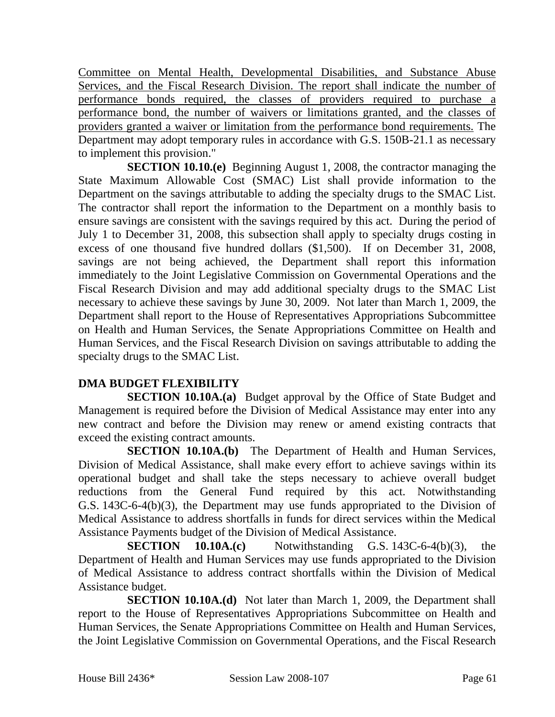Committee on Mental Health, Developmental Disabilities, and Substance Abuse Services, and the Fiscal Research Division. The report shall indicate the number of performance bonds required, the classes of providers required to purchase a performance bond, the number of waivers or limitations granted, and the classes of providers granted a waiver or limitation from the performance bond requirements. The Department may adopt temporary rules in accordance with G.S. 150B-21.1 as necessary to implement this provision."

**SECTION 10.10.(e)** Beginning August 1, 2008, the contractor managing the State Maximum Allowable Cost (SMAC) List shall provide information to the Department on the savings attributable to adding the specialty drugs to the SMAC List. The contractor shall report the information to the Department on a monthly basis to ensure savings are consistent with the savings required by this act. During the period of July 1 to December 31, 2008, this subsection shall apply to specialty drugs costing in excess of one thousand five hundred dollars (\$1,500). If on December 31, 2008, savings are not being achieved, the Department shall report this information immediately to the Joint Legislative Commission on Governmental Operations and the Fiscal Research Division and may add additional specialty drugs to the SMAC List necessary to achieve these savings by June 30, 2009. Not later than March 1, 2009, the Department shall report to the House of Representatives Appropriations Subcommittee on Health and Human Services, the Senate Appropriations Committee on Health and Human Services, and the Fiscal Research Division on savings attributable to adding the specialty drugs to the SMAC List.

### **DMA BUDGET FLEXIBILITY**

**SECTION 10.10A.(a)** Budget approval by the Office of State Budget and Management is required before the Division of Medical Assistance may enter into any new contract and before the Division may renew or amend existing contracts that exceed the existing contract amounts.

**SECTION 10.10A.(b)** The Department of Health and Human Services, Division of Medical Assistance, shall make every effort to achieve savings within its operational budget and shall take the steps necessary to achieve overall budget reductions from the General Fund required by this act. Notwithstanding G.S. 143C-6-4(b)(3), the Department may use funds appropriated to the Division of Medical Assistance to address shortfalls in funds for direct services within the Medical Assistance Payments budget of the Division of Medical Assistance.

**SECTION** 10.10A.(c) Notwithstanding G.S. 143C-6-4(b)(3), the Department of Health and Human Services may use funds appropriated to the Division of Medical Assistance to address contract shortfalls within the Division of Medical Assistance budget.

**SECTION 10.10A.(d)** Not later than March 1, 2009, the Department shall report to the House of Representatives Appropriations Subcommittee on Health and Human Services, the Senate Appropriations Committee on Health and Human Services, the Joint Legislative Commission on Governmental Operations, and the Fiscal Research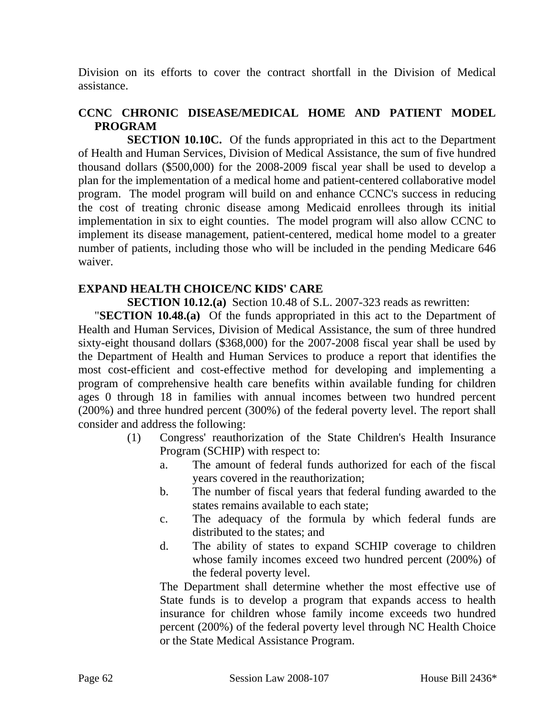Division on its efforts to cover the contract shortfall in the Division of Medical assistance.

### **CCNC CHRONIC DISEASE/MEDICAL HOME AND PATIENT MODEL PROGRAM**

**SECTION 10.10C.** Of the funds appropriated in this act to the Department of Health and Human Services, Division of Medical Assistance, the sum of five hundred thousand dollars (\$500,000) for the 2008-2009 fiscal year shall be used to develop a plan for the implementation of a medical home and patient-centered collaborative model program. The model program will build on and enhance CCNC's success in reducing the cost of treating chronic disease among Medicaid enrollees through its initial implementation in six to eight counties. The model program will also allow CCNC to implement its disease management, patient-centered, medical home model to a greater number of patients, including those who will be included in the pending Medicare 646 waiver.

#### **EXPAND HEALTH CHOICE/NC KIDS' CARE**

**SECTION 10.12.(a)** Section 10.48 of S.L. 2007-323 reads as rewritten:

"**SECTION 10.48.(a)** Of the funds appropriated in this act to the Department of Health and Human Services, Division of Medical Assistance, the sum of three hundred sixty-eight thousand dollars (\$368,000) for the 2007-2008 fiscal year shall be used by the Department of Health and Human Services to produce a report that identifies the most cost-efficient and cost-effective method for developing and implementing a program of comprehensive health care benefits within available funding for children ages 0 through 18 in families with annual incomes between two hundred percent (200%) and three hundred percent (300%) of the federal poverty level. The report shall consider and address the following:

- (1) Congress' reauthorization of the State Children's Health Insurance Program (SCHIP) with respect to:
	- a. The amount of federal funds authorized for each of the fiscal years covered in the reauthorization;
	- b. The number of fiscal years that federal funding awarded to the states remains available to each state;
	- c. The adequacy of the formula by which federal funds are distributed to the states; and
	- d. The ability of states to expand SCHIP coverage to children whose family incomes exceed two hundred percent (200%) of the federal poverty level.

The Department shall determine whether the most effective use of State funds is to develop a program that expands access to health insurance for children whose family income exceeds two hundred percent (200%) of the federal poverty level through NC Health Choice or the State Medical Assistance Program.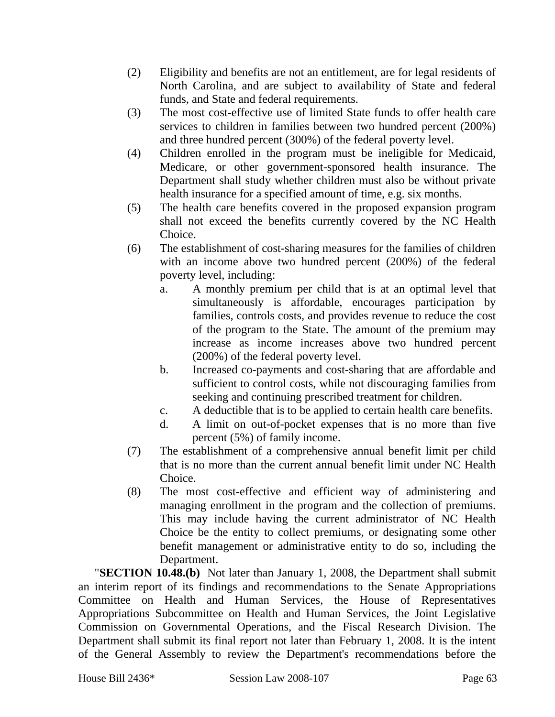- (2) Eligibility and benefits are not an entitlement, are for legal residents of North Carolina, and are subject to availability of State and federal funds, and State and federal requirements.
- (3) The most cost-effective use of limited State funds to offer health care services to children in families between two hundred percent (200%) and three hundred percent (300%) of the federal poverty level.
- (4) Children enrolled in the program must be ineligible for Medicaid, Medicare, or other government-sponsored health insurance. The Department shall study whether children must also be without private health insurance for a specified amount of time, e.g. six months.
- (5) The health care benefits covered in the proposed expansion program shall not exceed the benefits currently covered by the NC Health Choice.
- (6) The establishment of cost-sharing measures for the families of children with an income above two hundred percent (200%) of the federal poverty level, including:
	- a. A monthly premium per child that is at an optimal level that simultaneously is affordable, encourages participation by families, controls costs, and provides revenue to reduce the cost of the program to the State. The amount of the premium may increase as income increases above two hundred percent (200%) of the federal poverty level.
	- b. Increased co-payments and cost-sharing that are affordable and sufficient to control costs, while not discouraging families from seeking and continuing prescribed treatment for children.
	- c. A deductible that is to be applied to certain health care benefits.
	- d. A limit on out-of-pocket expenses that is no more than five percent (5%) of family income.
- (7) The establishment of a comprehensive annual benefit limit per child that is no more than the current annual benefit limit under NC Health Choice.
- (8) The most cost-effective and efficient way of administering and managing enrollment in the program and the collection of premiums. This may include having the current administrator of NC Health Choice be the entity to collect premiums, or designating some other benefit management or administrative entity to do so, including the Department.

"**SECTION 10.48.(b)** Not later than January 1, 2008, the Department shall submit an interim report of its findings and recommendations to the Senate Appropriations Committee on Health and Human Services, the House of Representatives Appropriations Subcommittee on Health and Human Services, the Joint Legislative Commission on Governmental Operations, and the Fiscal Research Division. The Department shall submit its final report not later than February 1, 2008. It is the intent of the General Assembly to review the Department's recommendations before the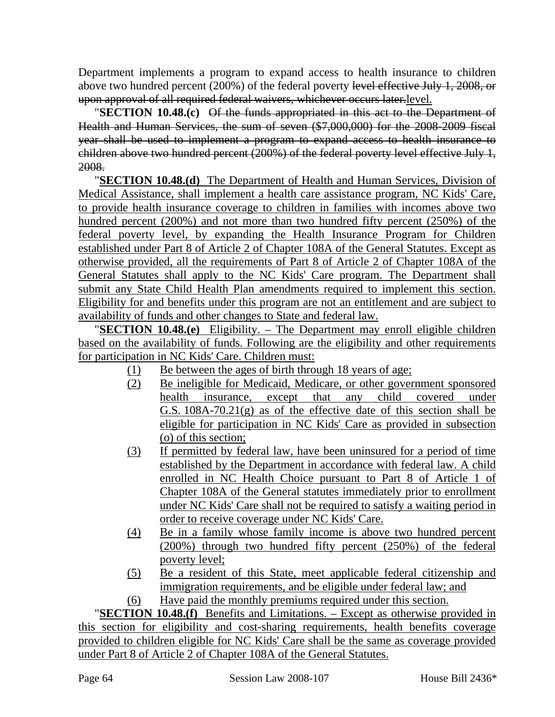Department implements a program to expand access to health insurance to children above two hundred percent (200%) of the federal poverty level effective July 1, 2008, or upon approval of all required federal waivers, whichever occurs later.level.

"**SECTION 10.48.(c)** Of the funds appropriated in this act to the Department of Health and Human Services, the sum of seven (\$7,000,000) for the 2008-2009 fiscal year shall be used to implement a program to expand access to health insurance to children above two hundred percent (200%) of the federal poverty level effective July 1, 2008.

"**SECTION 10.48.(d)** The Department of Health and Human Services, Division of Medical Assistance, shall implement a health care assistance program, NC Kids' Care, to provide health insurance coverage to children in families with incomes above two hundred percent (200%) and not more than two hundred fifty percent (250%) of the federal poverty level, by expanding the Health Insurance Program for Children established under Part 8 of Article 2 of Chapter 108A of the General Statutes. Except as otherwise provided, all the requirements of Part 8 of Article 2 of Chapter 108A of the General Statutes shall apply to the NC Kids' Care program. The Department shall submit any State Child Health Plan amendments required to implement this section. Eligibility for and benefits under this program are not an entitlement and are subject to availability of funds and other changes to State and federal law.

"**SECTION 10.48.(e)** Eligibility. – The Department may enroll eligible children based on the availability of funds. Following are the eligibility and other requirements for participation in NC Kids' Care. Children must:

- (1) Be between the ages of birth through 18 years of age;
- (2) Be ineligible for Medicaid, Medicare, or other government sponsored health insurance, except that any child covered under G.S. 108A-70.21(g) as of the effective date of this section shall be eligible for participation in NC Kids' Care as provided in subsection (o) of this section;
- (3) If permitted by federal law, have been uninsured for a period of time established by the Department in accordance with federal law. A child enrolled in NC Health Choice pursuant to Part 8 of Article 1 of Chapter 108A of the General statutes immediately prior to enrollment under NC Kids' Care shall not be required to satisfy a waiting period in order to receive coverage under NC Kids' Care.
- (4) Be in a family whose family income is above two hundred percent (200%) through two hundred fifty percent (250%) of the federal poverty level;
- (5) Be a resident of this State, meet applicable federal citizenship and immigration requirements, and be eligible under federal law; and
- (6) Have paid the monthly premiums required under this section.

"**SECTION 10.48.(f)** Benefits and Limitations. – Except as otherwise provided in this section for eligibility and cost-sharing requirements, health benefits coverage provided to children eligible for NC Kids' Care shall be the same as coverage provided under Part 8 of Article 2 of Chapter 108A of the General Statutes.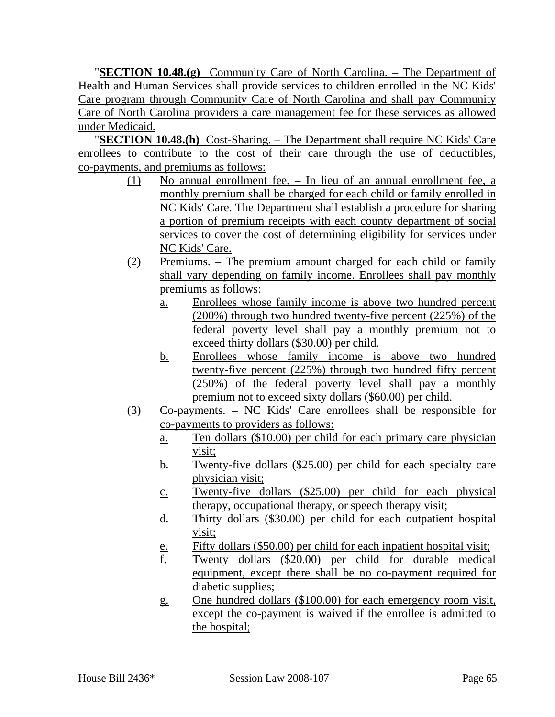"**SECTION 10.48.(g)** Community Care of North Carolina. – The Department of Health and Human Services shall provide services to children enrolled in the NC Kids' Care program through Community Care of North Carolina and shall pay Community Care of North Carolina providers a care management fee for these services as allowed under Medicaid.

"**SECTION 10.48.(h)** Cost-Sharing. – The Department shall require NC Kids' Care enrollees to contribute to the cost of their care through the use of deductibles, co-payments, and premiums as follows:

- (1) No annual enrollment fee. In lieu of an annual enrollment fee, a monthly premium shall be charged for each child or family enrolled in NC Kids' Care. The Department shall establish a procedure for sharing a portion of premium receipts with each county department of social services to cover the cost of determining eligibility for services under NC Kids' Care.
- (2) Premiums. The premium amount charged for each child or family shall vary depending on family income. Enrollees shall pay monthly premiums as follows:
	- a. Enrollees whose family income is above two hundred percent (200%) through two hundred twenty-five percent (225%) of the federal poverty level shall pay a monthly premium not to exceed thirty dollars (\$30.00) per child.
	- b. Enrollees whose family income is above two hundred twenty-five percent (225%) through two hundred fifty percent (250%) of the federal poverty level shall pay a monthly premium not to exceed sixty dollars (\$60.00) per child.
- (3) Co-payments. NC Kids' Care enrollees shall be responsible for co-payments to providers as follows:
	- a. Ten dollars (\$10.00) per child for each primary care physician visit;
	- b. Twenty-five dollars (\$25.00) per child for each specialty care physician visit;
	- c. Twenty-five dollars (\$25.00) per child for each physical therapy, occupational therapy, or speech therapy visit;
	- d. Thirty dollars (\$30.00) per child for each outpatient hospital visit;
	- e. Fifty dollars (\$50.00) per child for each inpatient hospital visit;
	- f. Twenty dollars (\$20.00) per child for durable medical equipment, except there shall be no co-payment required for diabetic supplies;
	- g. One hundred dollars (\$100.00) for each emergency room visit, except the co-payment is waived if the enrollee is admitted to the hospital;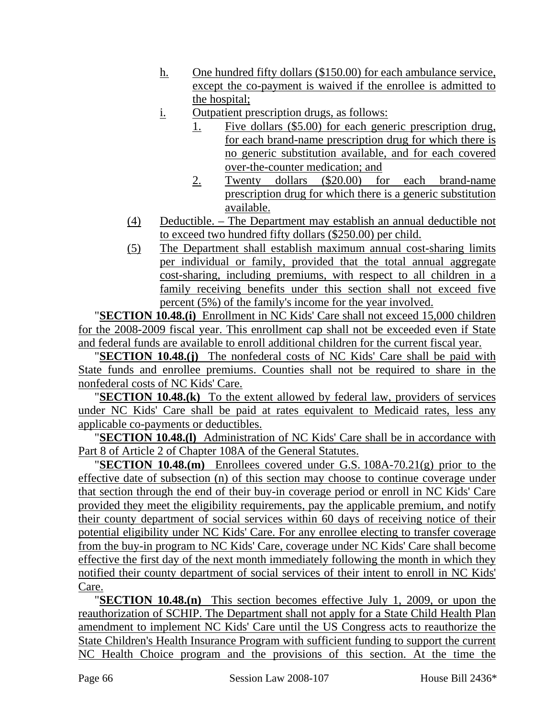- h. One hundred fifty dollars (\$150.00) for each ambulance service, except the co-payment is waived if the enrollee is admitted to the hospital;
- i. Outpatient prescription drugs, as follows:
	- 1. Five dollars (\$5.00) for each generic prescription drug, for each brand-name prescription drug for which there is no generic substitution available, and for each covered over-the-counter medication; and
	- 2. Twenty dollars (\$20.00) for each brand-name prescription drug for which there is a generic substitution available.
- (4) Deductible. The Department may establish an annual deductible not to exceed two hundred fifty dollars (\$250.00) per child.
- (5) The Department shall establish maximum annual cost-sharing limits per individual or family, provided that the total annual aggregate cost-sharing, including premiums, with respect to all children in a family receiving benefits under this section shall not exceed five percent (5%) of the family's income for the year involved.

"**SECTION 10.48.(i)** Enrollment in NC Kids' Care shall not exceed 15,000 children for the 2008-2009 fiscal year. This enrollment cap shall not be exceeded even if State and federal funds are available to enroll additional children for the current fiscal year.

"**SECTION 10.48.(j)** The nonfederal costs of NC Kids' Care shall be paid with State funds and enrollee premiums. Counties shall not be required to share in the nonfederal costs of NC Kids' Care.

"**SECTION 10.48.(k)** To the extent allowed by federal law, providers of services under NC Kids' Care shall be paid at rates equivalent to Medicaid rates, less any applicable co-payments or deductibles.

"**SECTION 10.48.(l)** Administration of NC Kids' Care shall be in accordance with Part 8 of Article 2 of Chapter 108A of the General Statutes.

"**SECTION 10.48.(m)** Enrollees covered under G.S. 108A-70.21(g) prior to the effective date of subsection (n) of this section may choose to continue coverage under that section through the end of their buy-in coverage period or enroll in NC Kids' Care provided they meet the eligibility requirements, pay the applicable premium, and notify their county department of social services within 60 days of receiving notice of their potential eligibility under NC Kids' Care. For any enrollee electing to transfer coverage from the buy-in program to NC Kids' Care, coverage under NC Kids' Care shall become effective the first day of the next month immediately following the month in which they notified their county department of social services of their intent to enroll in NC Kids' Care.

"**SECTION 10.48.(n)** This section becomes effective July 1, 2009, or upon the reauthorization of SCHIP. The Department shall not apply for a State Child Health Plan amendment to implement NC Kids' Care until the US Congress acts to reauthorize the State Children's Health Insurance Program with sufficient funding to support the current NC Health Choice program and the provisions of this section. At the time the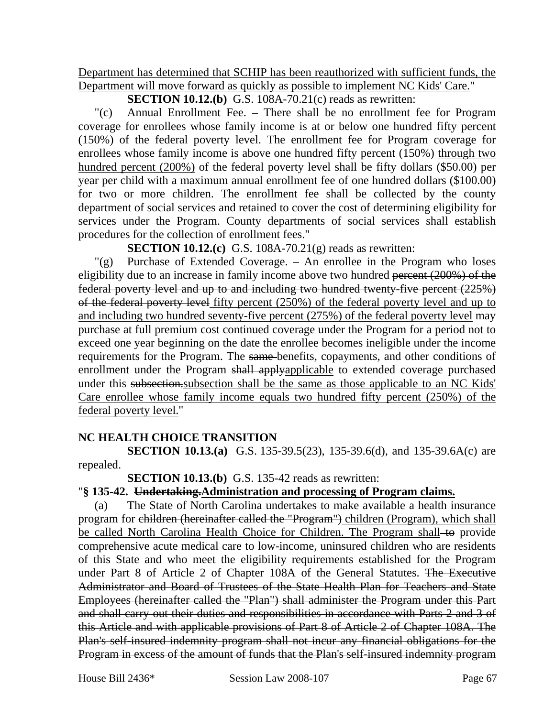Department has determined that SCHIP has been reauthorized with sufficient funds, the Department will move forward as quickly as possible to implement NC Kids' Care."

**SECTION 10.12.(b)** G.S. 108A-70.21(c) reads as rewritten:

"(c) Annual Enrollment Fee. – There shall be no enrollment fee for Program coverage for enrollees whose family income is at or below one hundred fifty percent (150%) of the federal poverty level. The enrollment fee for Program coverage for enrollees whose family income is above one hundred fifty percent (150%) through two hundred percent (200%) of the federal poverty level shall be fifty dollars (\$50.00) per year per child with a maximum annual enrollment fee of one hundred dollars (\$100.00) for two or more children. The enrollment fee shall be collected by the county department of social services and retained to cover the cost of determining eligibility for services under the Program. County departments of social services shall establish procedures for the collection of enrollment fees."

**SECTION 10.12.(c)** G.S. 108A-70.21(g) reads as rewritten:

"(g) Purchase of Extended Coverage. – An enrollee in the Program who loses eligibility due to an increase in family income above two hundred percent (200%) of the federal poverty level and up to and including two hundred twenty-five percent (225%) of the federal poverty level fifty percent (250%) of the federal poverty level and up to and including two hundred seventy-five percent (275%) of the federal poverty level may purchase at full premium cost continued coverage under the Program for a period not to exceed one year beginning on the date the enrollee becomes ineligible under the income requirements for the Program. The same benefits, copayments, and other conditions of enrollment under the Program shall applyapplicable to extended coverage purchased under this subsection.subsection shall be the same as those applicable to an NC Kids' Care enrollee whose family income equals two hundred fifty percent (250%) of the federal poverty level."

### **NC HEALTH CHOICE TRANSITION**

**SECTION 10.13.(a)** G.S. 135-39.5(23), 135-39.6(d), and 135-39.6A(c) are repealed.

**SECTION 10.13.(b)** G.S. 135-42 reads as rewritten:

### "**§ 135-42. Undertaking.Administration and processing of Program claims.**

(a) The State of North Carolina undertakes to make available a health insurance program for children (hereinafter called the "Program") children (Program), which shall be called North Carolina Health Choice for Children. The Program shall-to provide comprehensive acute medical care to low-income, uninsured children who are residents of this State and who meet the eligibility requirements established for the Program under Part 8 of Article 2 of Chapter 108A of the General Statutes. The Executive Administrator and Board of Trustees of the State Health Plan for Teachers and State Employees (hereinafter called the "Plan") shall administer the Program under this Part and shall carry out their duties and responsibilities in accordance with Parts 2 and 3 of this Article and with applicable provisions of Part 8 of Article 2 of Chapter 108A. The Plan's self-insured indemnity program shall not incur any financial obligations for the Program in excess of the amount of funds that the Plan's self-insured indemnity program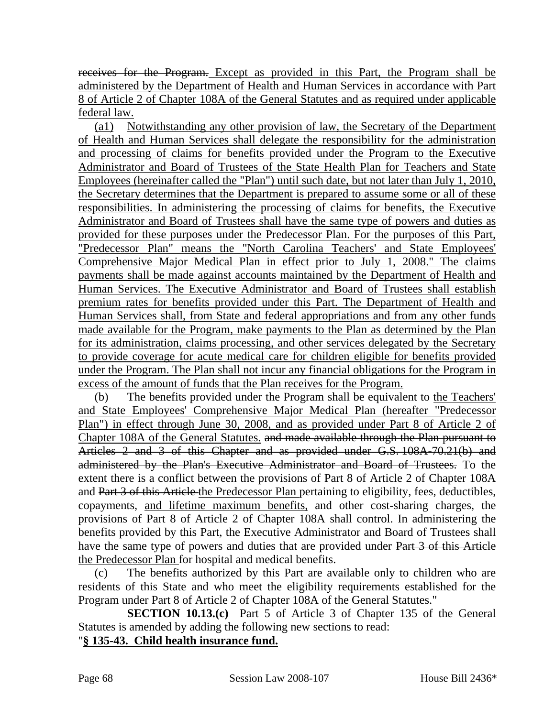receives for the Program. Except as provided in this Part, the Program shall be administered by the Department of Health and Human Services in accordance with Part 8 of Article 2 of Chapter 108A of the General Statutes and as required under applicable federal law.

(a1) Notwithstanding any other provision of law, the Secretary of the Department of Health and Human Services shall delegate the responsibility for the administration and processing of claims for benefits provided under the Program to the Executive Administrator and Board of Trustees of the State Health Plan for Teachers and State Employees (hereinafter called the "Plan") until such date, but not later than July 1, 2010, the Secretary determines that the Department is prepared to assume some or all of these responsibilities. In administering the processing of claims for benefits, the Executive Administrator and Board of Trustees shall have the same type of powers and duties as provided for these purposes under the Predecessor Plan. For the purposes of this Part, "Predecessor Plan" means the "North Carolina Teachers' and State Employees' Comprehensive Major Medical Plan in effect prior to July 1, 2008." The claims payments shall be made against accounts maintained by the Department of Health and Human Services. The Executive Administrator and Board of Trustees shall establish premium rates for benefits provided under this Part. The Department of Health and Human Services shall, from State and federal appropriations and from any other funds made available for the Program, make payments to the Plan as determined by the Plan for its administration, claims processing, and other services delegated by the Secretary to provide coverage for acute medical care for children eligible for benefits provided under the Program. The Plan shall not incur any financial obligations for the Program in excess of the amount of funds that the Plan receives for the Program.

(b) The benefits provided under the Program shall be equivalent to the Teachers' and State Employees' Comprehensive Major Medical Plan (hereafter "Predecessor Plan") in effect through June 30, 2008, and as provided under Part 8 of Article 2 of Chapter 108A of the General Statutes. and made available through the Plan pursuant to Articles 2 and 3 of this Chapter and as provided under G.S. 108A-70.21(b) and administered by the Plan's Executive Administrator and Board of Trustees. To the extent there is a conflict between the provisions of Part 8 of Article 2 of Chapter 108A and Part 3 of this Article the Predecessor Plan pertaining to eligibility, fees, deductibles, copayments, and lifetime maximum benefits, and other cost-sharing charges, the provisions of Part 8 of Article 2 of Chapter 108A shall control. In administering the benefits provided by this Part, the Executive Administrator and Board of Trustees shall have the same type of powers and duties that are provided under Part 3 of this Article the Predecessor Plan for hospital and medical benefits.

(c) The benefits authorized by this Part are available only to children who are residents of this State and who meet the eligibility requirements established for the Program under Part 8 of Article 2 of Chapter 108A of the General Statutes."

**SECTION 10.13.(c)** Part 5 of Article 3 of Chapter 135 of the General Statutes is amended by adding the following new sections to read:

### "**§ 135-43. Child health insurance fund.**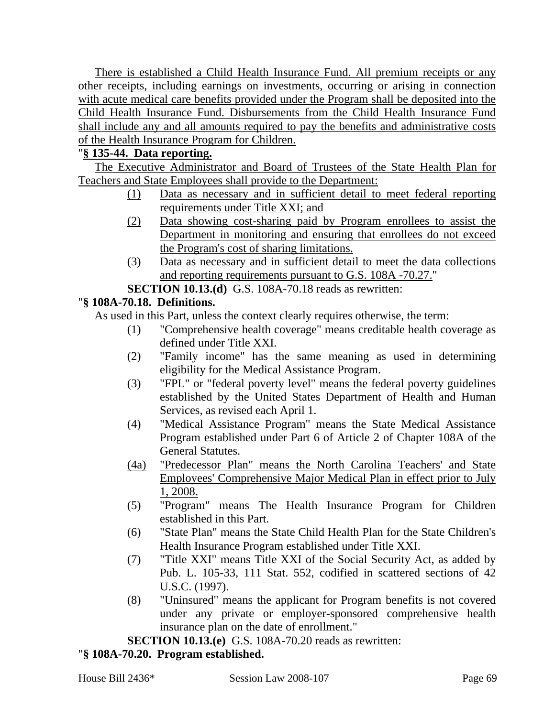There is established a Child Health Insurance Fund. All premium receipts or any other receipts, including earnings on investments, occurring or arising in connection with acute medical care benefits provided under the Program shall be deposited into the Child Health Insurance Fund. Disbursements from the Child Health Insurance Fund shall include any and all amounts required to pay the benefits and administrative costs of the Health Insurance Program for Children.

# "**§ 135-44. Data reporting.**

The Executive Administrator and Board of Trustees of the State Health Plan for Teachers and State Employees shall provide to the Department:

- (1) Data as necessary and in sufficient detail to meet federal reporting requirements under Title XXI; and
- (2) Data showing cost-sharing paid by Program enrollees to assist the Department in monitoring and ensuring that enrollees do not exceed the Program's cost of sharing limitations.
- (3) Data as necessary and in sufficient detail to meet the data collections and reporting requirements pursuant to G.S. 108A -70.27."

**SECTION 10.13.(d)** G.S. 108A-70.18 reads as rewritten:

### "**§ 108A-70.18. Definitions.**

As used in this Part, unless the context clearly requires otherwise, the term:

- (1) "Comprehensive health coverage" means creditable health coverage as defined under Title XXI.
- (2) "Family income" has the same meaning as used in determining eligibility for the Medical Assistance Program.
- (3) "FPL" or "federal poverty level" means the federal poverty guidelines established by the United States Department of Health and Human Services, as revised each April 1.
- (4) "Medical Assistance Program" means the State Medical Assistance Program established under Part 6 of Article 2 of Chapter 108A of the General Statutes.
- (4a) "Predecessor Plan" means the North Carolina Teachers' and State Employees' Comprehensive Major Medical Plan in effect prior to July 1, 2008.
- (5) "Program" means The Health Insurance Program for Children established in this Part.
- (6) "State Plan" means the State Child Health Plan for the State Children's Health Insurance Program established under Title XXI.
- (7) "Title XXI" means Title XXI of the Social Security Act, as added by Pub. L. 105-33, 111 Stat. 552, codified in scattered sections of 42 U.S.C. (1997).
- (8) "Uninsured" means the applicant for Program benefits is not covered under any private or employer-sponsored comprehensive health insurance plan on the date of enrollment."

**SECTION 10.13.(e)** G.S. 108A-70.20 reads as rewritten:

# "**§ 108A-70.20. Program established.**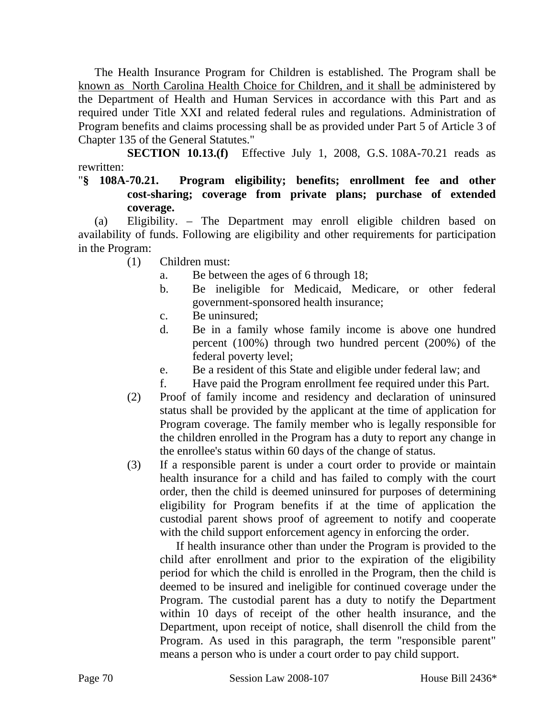The Health Insurance Program for Children is established. The Program shall be known as North Carolina Health Choice for Children, and it shall be administered by the Department of Health and Human Services in accordance with this Part and as required under Title XXI and related federal rules and regulations. Administration of Program benefits and claims processing shall be as provided under Part 5 of Article 3 of Chapter 135 of the General Statutes."

**SECTION 10.13.(f)** Effective July 1, 2008, G.S. 108A-70.21 reads as rewritten:

### "**§ 108A-70.21. Program eligibility; benefits; enrollment fee and other cost-sharing; coverage from private plans; purchase of extended coverage.**

(a) Eligibility. – The Department may enroll eligible children based on availability of funds. Following are eligibility and other requirements for participation in the Program:

- (1) Children must:
	- a. Be between the ages of 6 through 18;
	- b. Be ineligible for Medicaid, Medicare, or other federal government-sponsored health insurance;
	- c. Be uninsured;
	- d. Be in a family whose family income is above one hundred percent (100%) through two hundred percent (200%) of the federal poverty level;
	- e. Be a resident of this State and eligible under federal law; and
	- f. Have paid the Program enrollment fee required under this Part.
- (2) Proof of family income and residency and declaration of uninsured status shall be provided by the applicant at the time of application for Program coverage. The family member who is legally responsible for the children enrolled in the Program has a duty to report any change in the enrollee's status within 60 days of the change of status.
- (3) If a responsible parent is under a court order to provide or maintain health insurance for a child and has failed to comply with the court order, then the child is deemed uninsured for purposes of determining eligibility for Program benefits if at the time of application the custodial parent shows proof of agreement to notify and cooperate with the child support enforcement agency in enforcing the order.

If health insurance other than under the Program is provided to the child after enrollment and prior to the expiration of the eligibility period for which the child is enrolled in the Program, then the child is deemed to be insured and ineligible for continued coverage under the Program. The custodial parent has a duty to notify the Department within 10 days of receipt of the other health insurance, and the Department, upon receipt of notice, shall disenroll the child from the Program. As used in this paragraph, the term "responsible parent" means a person who is under a court order to pay child support.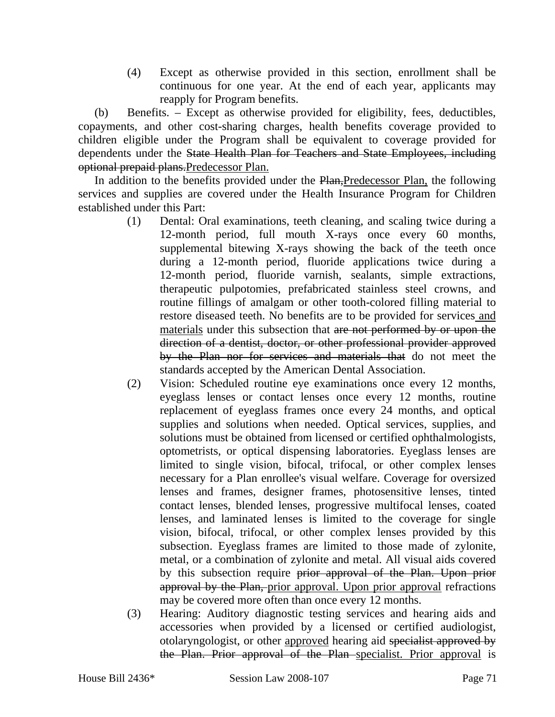(4) Except as otherwise provided in this section, enrollment shall be continuous for one year. At the end of each year, applicants may reapply for Program benefits.

(b) Benefits. – Except as otherwise provided for eligibility, fees, deductibles, copayments, and other cost-sharing charges, health benefits coverage provided to children eligible under the Program shall be equivalent to coverage provided for dependents under the State Health Plan for Teachers and State Employees, including optional prepaid plans.Predecessor Plan.

In addition to the benefits provided under the Plan, Predecessor Plan, the following services and supplies are covered under the Health Insurance Program for Children established under this Part:

- (1) Dental: Oral examinations, teeth cleaning, and scaling twice during a 12-month period, full mouth X-rays once every 60 months, supplemental bitewing X-rays showing the back of the teeth once during a 12-month period, fluoride applications twice during a 12-month period, fluoride varnish, sealants, simple extractions, therapeutic pulpotomies, prefabricated stainless steel crowns, and routine fillings of amalgam or other tooth-colored filling material to restore diseased teeth. No benefits are to be provided for services and materials under this subsection that are not performed by or upon the direction of a dentist, doctor, or other professional provider approved by the Plan nor for services and materials that do not meet the standards accepted by the American Dental Association.
- (2) Vision: Scheduled routine eye examinations once every 12 months, eyeglass lenses or contact lenses once every 12 months, routine replacement of eyeglass frames once every 24 months, and optical supplies and solutions when needed. Optical services, supplies, and solutions must be obtained from licensed or certified ophthalmologists, optometrists, or optical dispensing laboratories. Eyeglass lenses are limited to single vision, bifocal, trifocal, or other complex lenses necessary for a Plan enrollee's visual welfare. Coverage for oversized lenses and frames, designer frames, photosensitive lenses, tinted contact lenses, blended lenses, progressive multifocal lenses, coated lenses, and laminated lenses is limited to the coverage for single vision, bifocal, trifocal, or other complex lenses provided by this subsection. Eyeglass frames are limited to those made of zylonite, metal, or a combination of zylonite and metal. All visual aids covered by this subsection require prior approval of the Plan. Upon prior approval by the Plan, prior approval. Upon prior approval refractions may be covered more often than once every 12 months.
- (3) Hearing: Auditory diagnostic testing services and hearing aids and accessories when provided by a licensed or certified audiologist, otolaryngologist, or other approved hearing aid specialist approved by the Plan. Prior approval of the Plan specialist. Prior approval is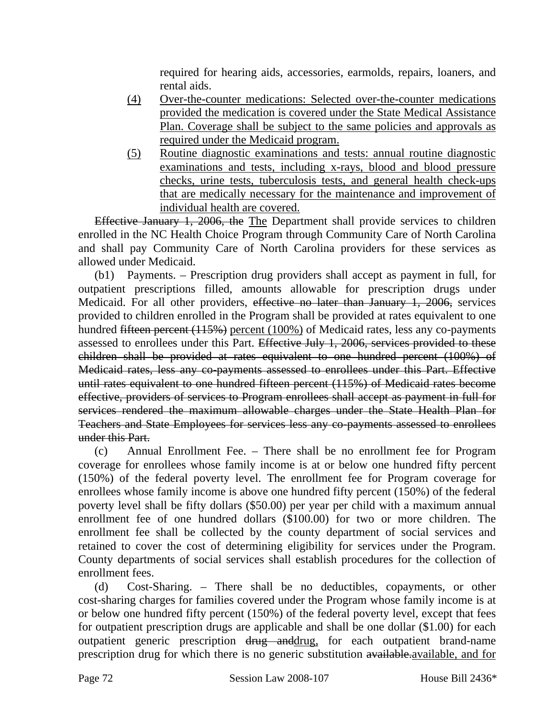required for hearing aids, accessories, earmolds, repairs, loaners, and rental aids.

- (4) Over-the-counter medications: Selected over-the-counter medications provided the medication is covered under the State Medical Assistance Plan. Coverage shall be subject to the same policies and approvals as required under the Medicaid program.
- (5) Routine diagnostic examinations and tests: annual routine diagnostic examinations and tests, including x-rays, blood and blood pressure checks, urine tests, tuberculosis tests, and general health check-ups that are medically necessary for the maintenance and improvement of individual health are covered.

Effective January 1, 2006, the The Department shall provide services to children enrolled in the NC Health Choice Program through Community Care of North Carolina and shall pay Community Care of North Carolina providers for these services as allowed under Medicaid.

(b1) Payments. – Prescription drug providers shall accept as payment in full, for outpatient prescriptions filled, amounts allowable for prescription drugs under Medicaid. For all other providers, effective no later than January 1, 2006, services provided to children enrolled in the Program shall be provided at rates equivalent to one hundred <del>fifteen percent (115%)</del> percent (100%) of Medicaid rates, less any co-payments assessed to enrollees under this Part. Effective July 1, 2006, services provided to these children shall be provided at rates equivalent to one hundred percent (100%) of Medicaid rates, less any co-payments assessed to enrollees under this Part. Effective until rates equivalent to one hundred fifteen percent (115%) of Medicaid rates become effective, providers of services to Program enrollees shall accept as payment in full for services rendered the maximum allowable charges under the State Health Plan for Teachers and State Employees for services less any co-payments assessed to enrollees under this Part.

(c) Annual Enrollment Fee. – There shall be no enrollment fee for Program coverage for enrollees whose family income is at or below one hundred fifty percent (150%) of the federal poverty level. The enrollment fee for Program coverage for enrollees whose family income is above one hundred fifty percent (150%) of the federal poverty level shall be fifty dollars (\$50.00) per year per child with a maximum annual enrollment fee of one hundred dollars (\$100.00) for two or more children. The enrollment fee shall be collected by the county department of social services and retained to cover the cost of determining eligibility for services under the Program. County departments of social services shall establish procedures for the collection of enrollment fees.

(d) Cost-Sharing. – There shall be no deductibles, copayments, or other cost-sharing charges for families covered under the Program whose family income is at or below one hundred fifty percent (150%) of the federal poverty level, except that fees for outpatient prescription drugs are applicable and shall be one dollar (\$1.00) for each outpatient generic prescription drug and drug, for each outpatient brand-name prescription drug for which there is no generic substitution available.available, and for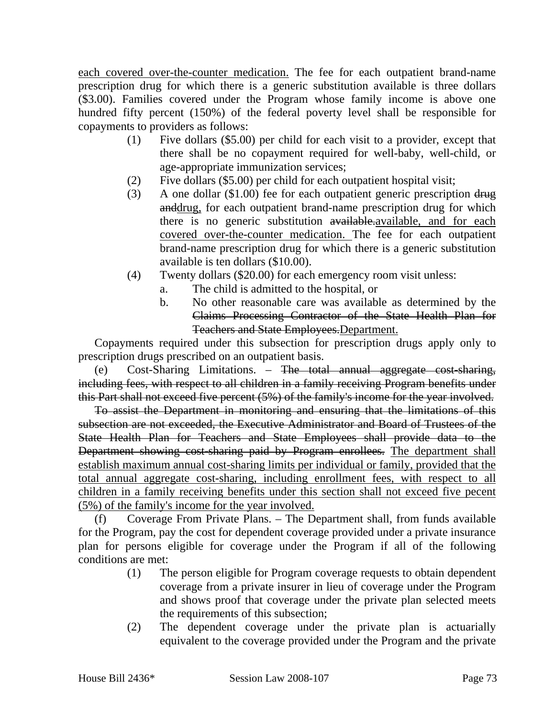each covered over-the-counter medication. The fee for each outpatient brand-name prescription drug for which there is a generic substitution available is three dollars (\$3.00). Families covered under the Program whose family income is above one hundred fifty percent (150%) of the federal poverty level shall be responsible for copayments to providers as follows:

- (1) Five dollars (\$5.00) per child for each visit to a provider, except that there shall be no copayment required for well-baby, well-child, or age-appropriate immunization services;
- (2) Five dollars (\$5.00) per child for each outpatient hospital visit;
- (3) A one dollar (\$1.00) fee for each outpatient generic prescription drug anddrug, for each outpatient brand-name prescription drug for which there is no generic substitution available. available, and for each covered over-the-counter medication. The fee for each outpatient brand-name prescription drug for which there is a generic substitution available is ten dollars (\$10.00).
- (4) Twenty dollars (\$20.00) for each emergency room visit unless:
	- a. The child is admitted to the hospital, or
	- b. No other reasonable care was available as determined by the Claims Processing Contractor of the State Health Plan for Teachers and State Employees.Department.

Copayments required under this subsection for prescription drugs apply only to prescription drugs prescribed on an outpatient basis.

(e) Cost-Sharing Limitations. – The total annual aggregate cost-sharing, including fees, with respect to all children in a family receiving Program benefits under this Part shall not exceed five percent (5%) of the family's income for the year involved.

To assist the Department in monitoring and ensuring that the limitations of this subsection are not exceeded, the Executive Administrator and Board of Trustees of the State Health Plan for Teachers and State Employees shall provide data to the Department showing cost-sharing paid by Program enrollees. The department shall establish maximum annual cost-sharing limits per individual or family, provided that the total annual aggregate cost-sharing, including enrollment fees, with respect to all children in a family receiving benefits under this section shall not exceed five pecent (5%) of the family's income for the year involved.

(f) Coverage From Private Plans. – The Department shall, from funds available for the Program, pay the cost for dependent coverage provided under a private insurance plan for persons eligible for coverage under the Program if all of the following conditions are met:

- (1) The person eligible for Program coverage requests to obtain dependent coverage from a private insurer in lieu of coverage under the Program and shows proof that coverage under the private plan selected meets the requirements of this subsection;
- (2) The dependent coverage under the private plan is actuarially equivalent to the coverage provided under the Program and the private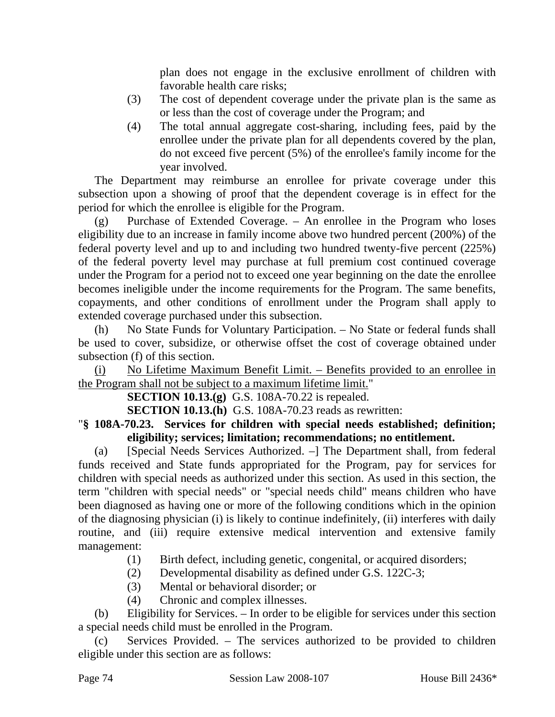plan does not engage in the exclusive enrollment of children with favorable health care risks;

- (3) The cost of dependent coverage under the private plan is the same as or less than the cost of coverage under the Program; and
- (4) The total annual aggregate cost-sharing, including fees, paid by the enrollee under the private plan for all dependents covered by the plan, do not exceed five percent (5%) of the enrollee's family income for the year involved.

The Department may reimburse an enrollee for private coverage under this subsection upon a showing of proof that the dependent coverage is in effect for the period for which the enrollee is eligible for the Program.

(g) Purchase of Extended Coverage. – An enrollee in the Program who loses eligibility due to an increase in family income above two hundred percent (200%) of the federal poverty level and up to and including two hundred twenty-five percent (225%) of the federal poverty level may purchase at full premium cost continued coverage under the Program for a period not to exceed one year beginning on the date the enrollee becomes ineligible under the income requirements for the Program. The same benefits, copayments, and other conditions of enrollment under the Program shall apply to extended coverage purchased under this subsection.

(h) No State Funds for Voluntary Participation. – No State or federal funds shall be used to cover, subsidize, or otherwise offset the cost of coverage obtained under subsection (f) of this section.

(i) No Lifetime Maximum Benefit Limit. – Benefits provided to an enrollee in the Program shall not be subject to a maximum lifetime limit."

**SECTION 10.13.(g)** G.S. 108A-70.22 is repealed.

**SECTION 10.13.(h)** G.S. 108A-70.23 reads as rewritten:

"**§ 108A-70.23. Services for children with special needs established; definition; eligibility; services; limitation; recommendations; no entitlement.** 

(a) [Special Needs Services Authorized. –] The Department shall, from federal funds received and State funds appropriated for the Program, pay for services for children with special needs as authorized under this section. As used in this section, the term "children with special needs" or "special needs child" means children who have been diagnosed as having one or more of the following conditions which in the opinion of the diagnosing physician (i) is likely to continue indefinitely, (ii) interferes with daily routine, and (iii) require extensive medical intervention and extensive family management:

- (1) Birth defect, including genetic, congenital, or acquired disorders;
- (2) Developmental disability as defined under G.S. 122C-3;
- (3) Mental or behavioral disorder; or
- (4) Chronic and complex illnesses.

(b) Eligibility for Services. – In order to be eligible for services under this section a special needs child must be enrolled in the Program.

(c) Services Provided. – The services authorized to be provided to children eligible under this section are as follows: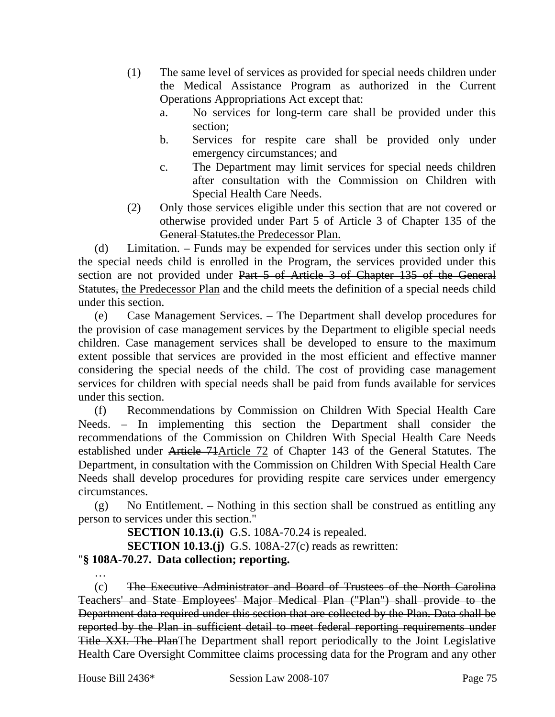- (1) The same level of services as provided for special needs children under the Medical Assistance Program as authorized in the Current Operations Appropriations Act except that:
	- a. No services for long-term care shall be provided under this section;
	- b. Services for respite care shall be provided only under emergency circumstances; and
	- c. The Department may limit services for special needs children after consultation with the Commission on Children with Special Health Care Needs.
- (2) Only those services eligible under this section that are not covered or otherwise provided under Part 5 of Article 3 of Chapter 135 of the General Statutes.the Predecessor Plan.

(d) Limitation. – Funds may be expended for services under this section only if the special needs child is enrolled in the Program, the services provided under this section are not provided under Part 5 of Article 3 of Chapter 135 of the General Statutes, the Predecessor Plan and the child meets the definition of a special needs child under this section.

(e) Case Management Services. – The Department shall develop procedures for the provision of case management services by the Department to eligible special needs children. Case management services shall be developed to ensure to the maximum extent possible that services are provided in the most efficient and effective manner considering the special needs of the child. The cost of providing case management services for children with special needs shall be paid from funds available for services under this section.

(f) Recommendations by Commission on Children With Special Health Care Needs. – In implementing this section the Department shall consider the recommendations of the Commission on Children With Special Health Care Needs established under Article 71Article 72 of Chapter 143 of the General Statutes. The Department, in consultation with the Commission on Children With Special Health Care Needs shall develop procedures for providing respite care services under emergency circumstances.

(g) No Entitlement. – Nothing in this section shall be construed as entitling any person to services under this section."

**SECTION 10.13.(i)** G.S. 108A-70.24 is repealed.

**SECTION 10.13.(j)** G.S. 108A-27(c) reads as rewritten:

# "**§ 108A-70.27. Data collection; reporting.**

(c) The Executive Administrator and Board of Trustees of the North Carolina Teachers' and State Employees' Major Medical Plan ("Plan") shall provide to the Department data required under this section that are collected by the Plan. Data shall be reported by the Plan in sufficient detail to meet federal reporting requirements under Title XXI. The PlanThe Department shall report periodically to the Joint Legislative Health Care Oversight Committee claims processing data for the Program and any other

…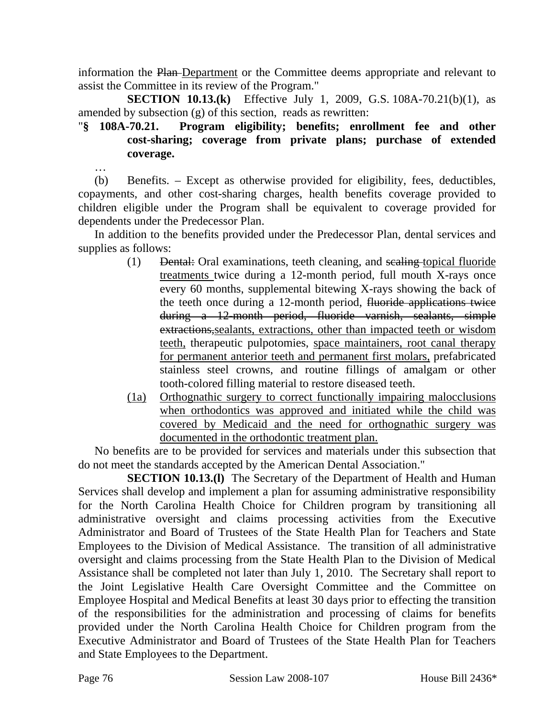information the Plan Department or the Committee deems appropriate and relevant to assist the Committee in its review of the Program."

**SECTION 10.13.(k)** Effective July 1, 2009, G.S. 108A-70.21(b)(1), as amended by subsection (g) of this section, reads as rewritten:

# "**§ 108A-70.21. Program eligibility; benefits; enrollment fee and other cost-sharing; coverage from private plans; purchase of extended coverage.**

(b) Benefits. – Except as otherwise provided for eligibility, fees, deductibles, copayments, and other cost-sharing charges, health benefits coverage provided to children eligible under the Program shall be equivalent to coverage provided for dependents under the Predecessor Plan.

In addition to the benefits provided under the Predecessor Plan, dental services and supplies as follows:

- (1) Dental: Oral examinations, teeth cleaning, and scaling topical fluoride treatments twice during a 12-month period, full mouth X-rays once every 60 months, supplemental bitewing X-rays showing the back of the teeth once during a 12-month period, fluoride applications twice during a 12-month period, fluoride varnish, sealants, simple extractions,sealants, extractions, other than impacted teeth or wisdom teeth, therapeutic pulpotomies, space maintainers, root canal therapy for permanent anterior teeth and permanent first molars, prefabricated stainless steel crowns, and routine fillings of amalgam or other tooth-colored filling material to restore diseased teeth.
- (1a) Orthognathic surgery to correct functionally impairing malocclusions when orthodontics was approved and initiated while the child was covered by Medicaid and the need for orthognathic surgery was documented in the orthodontic treatment plan.

No benefits are to be provided for services and materials under this subsection that do not meet the standards accepted by the American Dental Association."

**SECTION 10.13.(1)** The Secretary of the Department of Health and Human Services shall develop and implement a plan for assuming administrative responsibility for the North Carolina Health Choice for Children program by transitioning all administrative oversight and claims processing activities from the Executive Administrator and Board of Trustees of the State Health Plan for Teachers and State Employees to the Division of Medical Assistance. The transition of all administrative oversight and claims processing from the State Health Plan to the Division of Medical Assistance shall be completed not later than July 1, 2010. The Secretary shall report to the Joint Legislative Health Care Oversight Committee and the Committee on Employee Hospital and Medical Benefits at least 30 days prior to effecting the transition of the responsibilities for the administration and processing of claims for benefits provided under the North Carolina Health Choice for Children program from the Executive Administrator and Board of Trustees of the State Health Plan for Teachers and State Employees to the Department.

…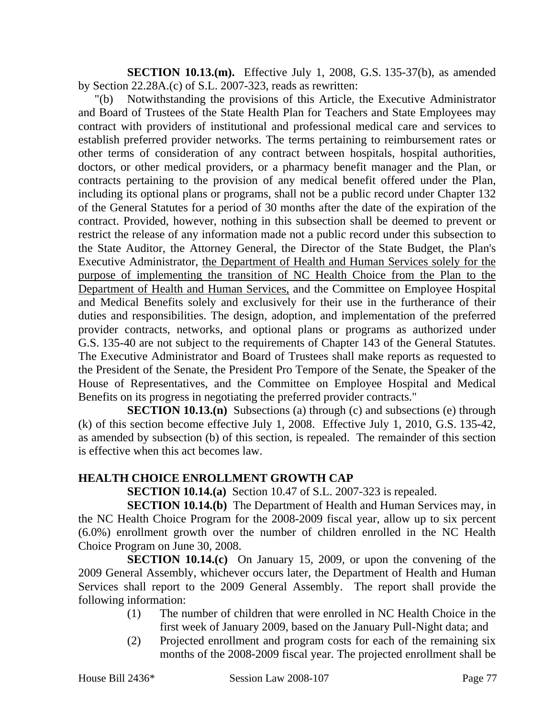**SECTION 10.13.(m).** Effective July 1, 2008, G.S. 135-37(b), as amended by Section 22.28A.(c) of S.L. 2007-323, reads as rewritten:

"(b) Notwithstanding the provisions of this Article, the Executive Administrator and Board of Trustees of the State Health Plan for Teachers and State Employees may contract with providers of institutional and professional medical care and services to establish preferred provider networks. The terms pertaining to reimbursement rates or other terms of consideration of any contract between hospitals, hospital authorities, doctors, or other medical providers, or a pharmacy benefit manager and the Plan, or contracts pertaining to the provision of any medical benefit offered under the Plan, including its optional plans or programs, shall not be a public record under Chapter 132 of the General Statutes for a period of 30 months after the date of the expiration of the contract. Provided, however, nothing in this subsection shall be deemed to prevent or restrict the release of any information made not a public record under this subsection to the State Auditor, the Attorney General, the Director of the State Budget, the Plan's Executive Administrator, the Department of Health and Human Services solely for the purpose of implementing the transition of NC Health Choice from the Plan to the Department of Health and Human Services, and the Committee on Employee Hospital and Medical Benefits solely and exclusively for their use in the furtherance of their duties and responsibilities. The design, adoption, and implementation of the preferred provider contracts, networks, and optional plans or programs as authorized under G.S. 135-40 are not subject to the requirements of Chapter 143 of the General Statutes. The Executive Administrator and Board of Trustees shall make reports as requested to the President of the Senate, the President Pro Tempore of the Senate, the Speaker of the House of Representatives, and the Committee on Employee Hospital and Medical Benefits on its progress in negotiating the preferred provider contracts."

**SECTION 10.13.(n)** Subsections (a) through (c) and subsections (e) through (k) of this section become effective July 1, 2008. Effective July 1, 2010, G.S. 135-42, as amended by subsection (b) of this section, is repealed. The remainder of this section is effective when this act becomes law.

#### **HEALTH CHOICE ENROLLMENT GROWTH CAP**

**SECTION 10.14.(a)** Section 10.47 of S.L. 2007-323 is repealed.

**SECTION 10.14.(b)** The Department of Health and Human Services may, in the NC Health Choice Program for the 2008-2009 fiscal year, allow up to six percent (6.0%) enrollment growth over the number of children enrolled in the NC Health Choice Program on June 30, 2008.

**SECTION 10.14.(c)** On January 15, 2009, or upon the convening of the 2009 General Assembly, whichever occurs later, the Department of Health and Human Services shall report to the 2009 General Assembly. The report shall provide the following information:

- (1) The number of children that were enrolled in NC Health Choice in the first week of January 2009, based on the January Pull-Night data; and
- (2) Projected enrollment and program costs for each of the remaining six months of the 2008-2009 fiscal year. The projected enrollment shall be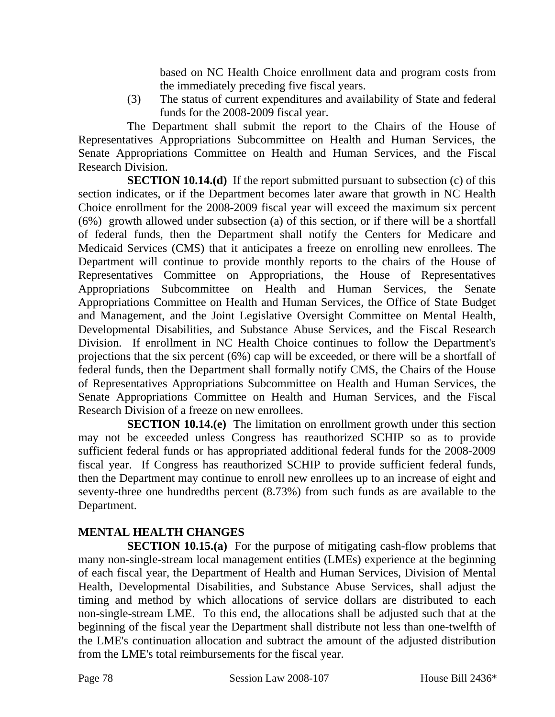based on NC Health Choice enrollment data and program costs from the immediately preceding five fiscal years.

(3) The status of current expenditures and availability of State and federal funds for the 2008-2009 fiscal year.

The Department shall submit the report to the Chairs of the House of Representatives Appropriations Subcommittee on Health and Human Services, the Senate Appropriations Committee on Health and Human Services, and the Fiscal Research Division.

**SECTION 10.14.(d)** If the report submitted pursuant to subsection (c) of this section indicates, or if the Department becomes later aware that growth in NC Health Choice enrollment for the 2008-2009 fiscal year will exceed the maximum six percent (6%) growth allowed under subsection (a) of this section, or if there will be a shortfall of federal funds, then the Department shall notify the Centers for Medicare and Medicaid Services (CMS) that it anticipates a freeze on enrolling new enrollees. The Department will continue to provide monthly reports to the chairs of the House of Representatives Committee on Appropriations, the House of Representatives Appropriations Subcommittee on Health and Human Services, the Senate Appropriations Committee on Health and Human Services, the Office of State Budget and Management, and the Joint Legislative Oversight Committee on Mental Health, Developmental Disabilities, and Substance Abuse Services, and the Fiscal Research Division. If enrollment in NC Health Choice continues to follow the Department's projections that the six percent (6%) cap will be exceeded, or there will be a shortfall of federal funds, then the Department shall formally notify CMS, the Chairs of the House of Representatives Appropriations Subcommittee on Health and Human Services, the Senate Appropriations Committee on Health and Human Services, and the Fiscal Research Division of a freeze on new enrollees.

**SECTION 10.14.(e)** The limitation on enrollment growth under this section may not be exceeded unless Congress has reauthorized SCHIP so as to provide sufficient federal funds or has appropriated additional federal funds for the 2008-2009 fiscal year. If Congress has reauthorized SCHIP to provide sufficient federal funds, then the Department may continue to enroll new enrollees up to an increase of eight and seventy-three one hundredths percent (8.73%) from such funds as are available to the Department.

# **MENTAL HEALTH CHANGES**

**SECTION 10.15.(a)** For the purpose of mitigating cash-flow problems that many non-single-stream local management entities (LMEs) experience at the beginning of each fiscal year, the Department of Health and Human Services, Division of Mental Health, Developmental Disabilities, and Substance Abuse Services, shall adjust the timing and method by which allocations of service dollars are distributed to each non-single-stream LME. To this end, the allocations shall be adjusted such that at the beginning of the fiscal year the Department shall distribute not less than one-twelfth of the LME's continuation allocation and subtract the amount of the adjusted distribution from the LME's total reimbursements for the fiscal year.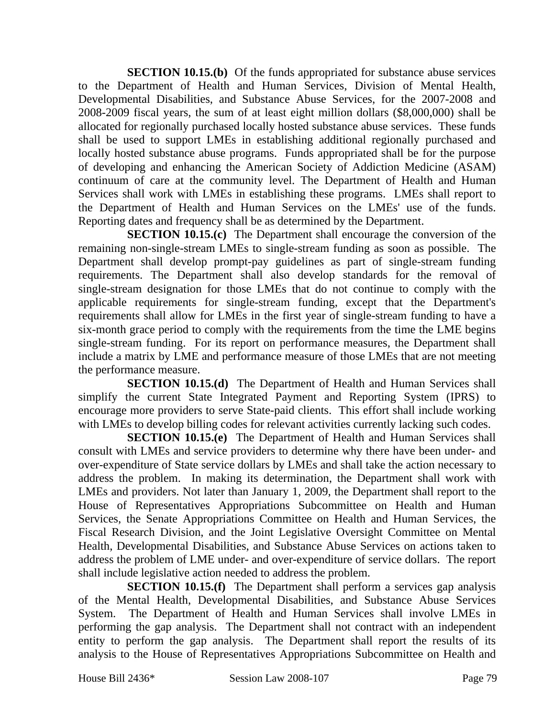**SECTION 10.15.(b)** Of the funds appropriated for substance abuse services to the Department of Health and Human Services, Division of Mental Health, Developmental Disabilities, and Substance Abuse Services, for the 2007-2008 and 2008-2009 fiscal years, the sum of at least eight million dollars (\$8,000,000) shall be allocated for regionally purchased locally hosted substance abuse services. These funds shall be used to support LMEs in establishing additional regionally purchased and locally hosted substance abuse programs. Funds appropriated shall be for the purpose of developing and enhancing the American Society of Addiction Medicine (ASAM) continuum of care at the community level. The Department of Health and Human Services shall work with LMEs in establishing these programs. LMEs shall report to the Department of Health and Human Services on the LMEs' use of the funds. Reporting dates and frequency shall be as determined by the Department.

**SECTION 10.15.(c)** The Department shall encourage the conversion of the remaining non-single-stream LMEs to single-stream funding as soon as possible. The Department shall develop prompt-pay guidelines as part of single-stream funding requirements. The Department shall also develop standards for the removal of single-stream designation for those LMEs that do not continue to comply with the applicable requirements for single-stream funding, except that the Department's requirements shall allow for LMEs in the first year of single-stream funding to have a six-month grace period to comply with the requirements from the time the LME begins single-stream funding. For its report on performance measures, the Department shall include a matrix by LME and performance measure of those LMEs that are not meeting the performance measure.

**SECTION 10.15.(d)** The Department of Health and Human Services shall simplify the current State Integrated Payment and Reporting System (IPRS) to encourage more providers to serve State-paid clients. This effort shall include working with LMEs to develop billing codes for relevant activities currently lacking such codes.

**SECTION 10.15.(e)** The Department of Health and Human Services shall consult with LMEs and service providers to determine why there have been under- and over-expenditure of State service dollars by LMEs and shall take the action necessary to address the problem. In making its determination, the Department shall work with LMEs and providers. Not later than January 1, 2009, the Department shall report to the House of Representatives Appropriations Subcommittee on Health and Human Services, the Senate Appropriations Committee on Health and Human Services, the Fiscal Research Division, and the Joint Legislative Oversight Committee on Mental Health, Developmental Disabilities, and Substance Abuse Services on actions taken to address the problem of LME under- and over-expenditure of service dollars. The report shall include legislative action needed to address the problem.

**SECTION 10.15.(f)** The Department shall perform a services gap analysis of the Mental Health, Developmental Disabilities, and Substance Abuse Services System. The Department of Health and Human Services shall involve LMEs in performing the gap analysis. The Department shall not contract with an independent entity to perform the gap analysis. The Department shall report the results of its analysis to the House of Representatives Appropriations Subcommittee on Health and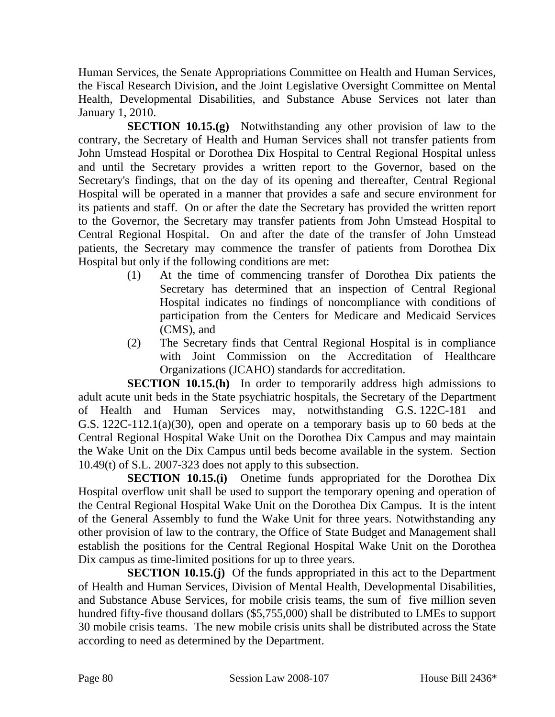Human Services, the Senate Appropriations Committee on Health and Human Services, the Fiscal Research Division, and the Joint Legislative Oversight Committee on Mental Health, Developmental Disabilities, and Substance Abuse Services not later than January 1, 2010.

**SECTION 10.15.(g)** Notwithstanding any other provision of law to the contrary, the Secretary of Health and Human Services shall not transfer patients from John Umstead Hospital or Dorothea Dix Hospital to Central Regional Hospital unless and until the Secretary provides a written report to the Governor, based on the Secretary's findings, that on the day of its opening and thereafter, Central Regional Hospital will be operated in a manner that provides a safe and secure environment for its patients and staff. On or after the date the Secretary has provided the written report to the Governor, the Secretary may transfer patients from John Umstead Hospital to Central Regional Hospital. On and after the date of the transfer of John Umstead patients, the Secretary may commence the transfer of patients from Dorothea Dix Hospital but only if the following conditions are met:

- (1) At the time of commencing transfer of Dorothea Dix patients the Secretary has determined that an inspection of Central Regional Hospital indicates no findings of noncompliance with conditions of participation from the Centers for Medicare and Medicaid Services (CMS), and
- (2) The Secretary finds that Central Regional Hospital is in compliance with Joint Commission on the Accreditation of Healthcare Organizations (JCAHO) standards for accreditation.

**SECTION 10.15.(h)** In order to temporarily address high admissions to adult acute unit beds in the State psychiatric hospitals, the Secretary of the Department of Health and Human Services may, notwithstanding G.S. 122C-181 and G.S. 122C-112.1(a)(30), open and operate on a temporary basis up to 60 beds at the Central Regional Hospital Wake Unit on the Dorothea Dix Campus and may maintain the Wake Unit on the Dix Campus until beds become available in the system. Section 10.49(t) of S.L. 2007-323 does not apply to this subsection.

**SECTION 10.15.(i)** Onetime funds appropriated for the Dorothea Dix Hospital overflow unit shall be used to support the temporary opening and operation of the Central Regional Hospital Wake Unit on the Dorothea Dix Campus. It is the intent of the General Assembly to fund the Wake Unit for three years. Notwithstanding any other provision of law to the contrary, the Office of State Budget and Management shall establish the positions for the Central Regional Hospital Wake Unit on the Dorothea Dix campus as time-limited positions for up to three years.

**SECTION 10.15.(j)** Of the funds appropriated in this act to the Department of Health and Human Services, Division of Mental Health, Developmental Disabilities, and Substance Abuse Services, for mobile crisis teams, the sum of five million seven hundred fifty-five thousand dollars (\$5,755,000) shall be distributed to LMEs to support 30 mobile crisis teams. The new mobile crisis units shall be distributed across the State according to need as determined by the Department.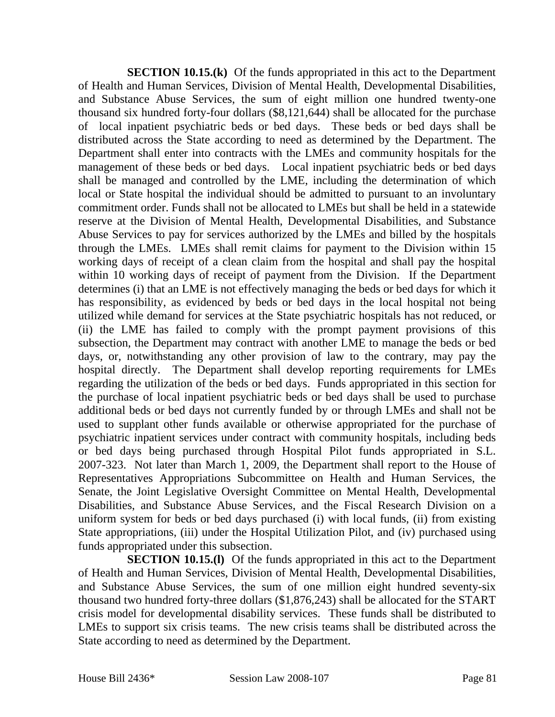**SECTION 10.15.(k)** Of the funds appropriated in this act to the Department of Health and Human Services, Division of Mental Health, Developmental Disabilities, and Substance Abuse Services, the sum of eight million one hundred twenty-one thousand six hundred forty-four dollars (\$8,121,644) shall be allocated for the purchase of local inpatient psychiatric beds or bed days. These beds or bed days shall be distributed across the State according to need as determined by the Department. The Department shall enter into contracts with the LMEs and community hospitals for the management of these beds or bed days. Local inpatient psychiatric beds or bed days shall be managed and controlled by the LME, including the determination of which local or State hospital the individual should be admitted to pursuant to an involuntary commitment order. Funds shall not be allocated to LMEs but shall be held in a statewide reserve at the Division of Mental Health, Developmental Disabilities, and Substance Abuse Services to pay for services authorized by the LMEs and billed by the hospitals through the LMEs. LMEs shall remit claims for payment to the Division within 15 working days of receipt of a clean claim from the hospital and shall pay the hospital within 10 working days of receipt of payment from the Division. If the Department determines (i) that an LME is not effectively managing the beds or bed days for which it has responsibility, as evidenced by beds or bed days in the local hospital not being utilized while demand for services at the State psychiatric hospitals has not reduced, or (ii) the LME has failed to comply with the prompt payment provisions of this subsection, the Department may contract with another LME to manage the beds or bed days, or, notwithstanding any other provision of law to the contrary, may pay the hospital directly. The Department shall develop reporting requirements for LMEs regarding the utilization of the beds or bed days. Funds appropriated in this section for the purchase of local inpatient psychiatric beds or bed days shall be used to purchase additional beds or bed days not currently funded by or through LMEs and shall not be used to supplant other funds available or otherwise appropriated for the purchase of psychiatric inpatient services under contract with community hospitals, including beds or bed days being purchased through Hospital Pilot funds appropriated in S.L. 2007-323. Not later than March 1, 2009, the Department shall report to the House of Representatives Appropriations Subcommittee on Health and Human Services, the Senate, the Joint Legislative Oversight Committee on Mental Health, Developmental Disabilities, and Substance Abuse Services, and the Fiscal Research Division on a uniform system for beds or bed days purchased (i) with local funds, (ii) from existing State appropriations, (iii) under the Hospital Utilization Pilot, and (iv) purchased using funds appropriated under this subsection.

**SECTION 10.15.(I)** Of the funds appropriated in this act to the Department of Health and Human Services, Division of Mental Health, Developmental Disabilities, and Substance Abuse Services, the sum of one million eight hundred seventy-six thousand two hundred forty-three dollars (\$1,876,243) shall be allocated for the START crisis model for developmental disability services. These funds shall be distributed to LMEs to support six crisis teams. The new crisis teams shall be distributed across the State according to need as determined by the Department.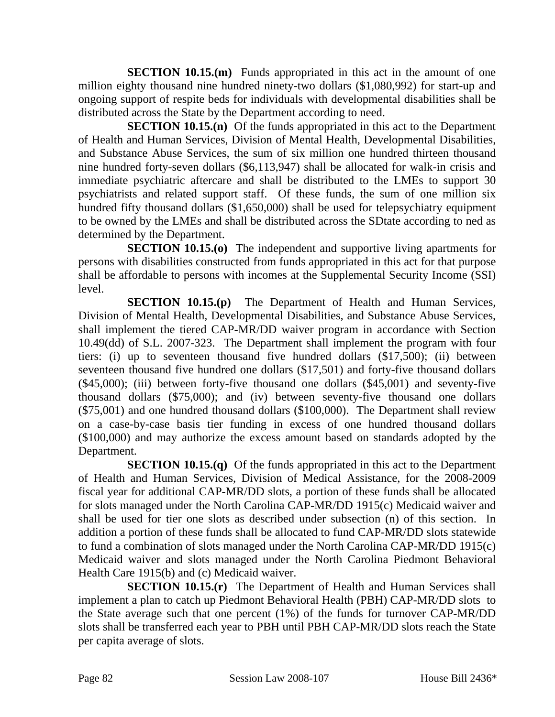**SECTION 10.15.(m)** Funds appropriated in this act in the amount of one million eighty thousand nine hundred ninety-two dollars (\$1,080,992) for start-up and ongoing support of respite beds for individuals with developmental disabilities shall be distributed across the State by the Department according to need.

**SECTION 10.15.(n)** Of the funds appropriated in this act to the Department of Health and Human Services, Division of Mental Health, Developmental Disabilities, and Substance Abuse Services, the sum of six million one hundred thirteen thousand nine hundred forty-seven dollars (\$6,113,947) shall be allocated for walk-in crisis and immediate psychiatric aftercare and shall be distributed to the LMEs to support 30 psychiatrists and related support staff. Of these funds, the sum of one million six hundred fifty thousand dollars (\$1,650,000) shall be used for telepsychiatry equipment to be owned by the LMEs and shall be distributed across the SDtate according to ned as determined by the Department.

**SECTION 10.15.(o)** The independent and supportive living apartments for persons with disabilities constructed from funds appropriated in this act for that purpose shall be affordable to persons with incomes at the Supplemental Security Income (SSI) level.

**SECTION 10.15.(p)** The Department of Health and Human Services, Division of Mental Health, Developmental Disabilities, and Substance Abuse Services, shall implement the tiered CAP-MR/DD waiver program in accordance with Section 10.49(dd) of S.L. 2007-323. The Department shall implement the program with four tiers: (i) up to seventeen thousand five hundred dollars (\$17,500); (ii) between seventeen thousand five hundred one dollars (\$17,501) and forty-five thousand dollars (\$45,000); (iii) between forty-five thousand one dollars (\$45,001) and seventy-five thousand dollars (\$75,000); and (iv) between seventy-five thousand one dollars (\$75,001) and one hundred thousand dollars (\$100,000). The Department shall review on a case-by-case basis tier funding in excess of one hundred thousand dollars (\$100,000) and may authorize the excess amount based on standards adopted by the Department.

**SECTION 10.15.(q)** Of the funds appropriated in this act to the Department of Health and Human Services, Division of Medical Assistance, for the 2008-2009 fiscal year for additional CAP-MR/DD slots, a portion of these funds shall be allocated for slots managed under the North Carolina CAP-MR/DD 1915(c) Medicaid waiver and shall be used for tier one slots as described under subsection (n) of this section. In addition a portion of these funds shall be allocated to fund CAP-MR/DD slots statewide to fund a combination of slots managed under the North Carolina CAP-MR/DD 1915(c) Medicaid waiver and slots managed under the North Carolina Piedmont Behavioral Health Care 1915(b) and (c) Medicaid waiver.

**SECTION 10.15.(r)** The Department of Health and Human Services shall implement a plan to catch up Piedmont Behavioral Health (PBH) CAP-MR/DD slots to the State average such that one percent (1%) of the funds for turnover CAP-MR/DD slots shall be transferred each year to PBH until PBH CAP-MR/DD slots reach the State per capita average of slots.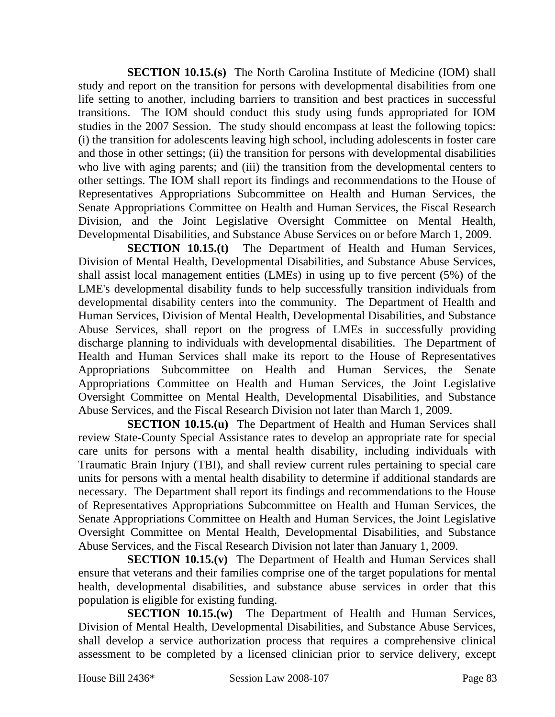**SECTION 10.15.(s)** The North Carolina Institute of Medicine (IOM) shall study and report on the transition for persons with developmental disabilities from one life setting to another, including barriers to transition and best practices in successful transitions. The IOM should conduct this study using funds appropriated for IOM studies in the 2007 Session. The study should encompass at least the following topics: (i) the transition for adolescents leaving high school, including adolescents in foster care and those in other settings; (ii) the transition for persons with developmental disabilities who live with aging parents; and (iii) the transition from the developmental centers to other settings. The IOM shall report its findings and recommendations to the House of Representatives Appropriations Subcommittee on Health and Human Services, the Senate Appropriations Committee on Health and Human Services, the Fiscal Research Division, and the Joint Legislative Oversight Committee on Mental Health, Developmental Disabilities, and Substance Abuse Services on or before March 1, 2009.

**SECTION 10.15.(t)** The Department of Health and Human Services, Division of Mental Health, Developmental Disabilities, and Substance Abuse Services, shall assist local management entities (LMEs) in using up to five percent (5%) of the LME's developmental disability funds to help successfully transition individuals from developmental disability centers into the community. The Department of Health and Human Services, Division of Mental Health, Developmental Disabilities, and Substance Abuse Services, shall report on the progress of LMEs in successfully providing discharge planning to individuals with developmental disabilities. The Department of Health and Human Services shall make its report to the House of Representatives Appropriations Subcommittee on Health and Human Services, the Senate Appropriations Committee on Health and Human Services, the Joint Legislative Oversight Committee on Mental Health, Developmental Disabilities, and Substance Abuse Services, and the Fiscal Research Division not later than March 1, 2009.

**SECTION 10.15.(u)** The Department of Health and Human Services shall review State-County Special Assistance rates to develop an appropriate rate for special care units for persons with a mental health disability, including individuals with Traumatic Brain Injury (TBI), and shall review current rules pertaining to special care units for persons with a mental health disability to determine if additional standards are necessary. The Department shall report its findings and recommendations to the House of Representatives Appropriations Subcommittee on Health and Human Services, the Senate Appropriations Committee on Health and Human Services, the Joint Legislative Oversight Committee on Mental Health, Developmental Disabilities, and Substance Abuse Services, and the Fiscal Research Division not later than January 1, 2009.

**SECTION 10.15.(v)** The Department of Health and Human Services shall ensure that veterans and their families comprise one of the target populations for mental health, developmental disabilities, and substance abuse services in order that this population is eligible for existing funding.

**SECTION 10.15.(w)** The Department of Health and Human Services, Division of Mental Health, Developmental Disabilities, and Substance Abuse Services, shall develop a service authorization process that requires a comprehensive clinical assessment to be completed by a licensed clinician prior to service delivery, except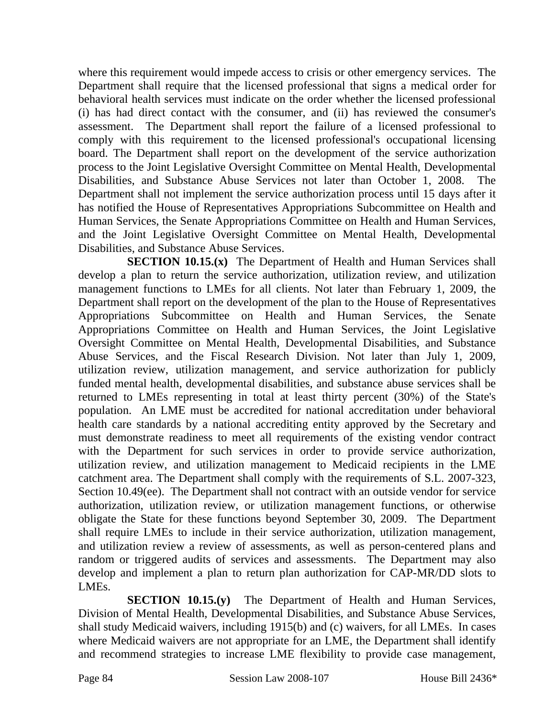where this requirement would impede access to crisis or other emergency services. The Department shall require that the licensed professional that signs a medical order for behavioral health services must indicate on the order whether the licensed professional (i) has had direct contact with the consumer, and (ii) has reviewed the consumer's assessment. The Department shall report the failure of a licensed professional to comply with this requirement to the licensed professional's occupational licensing board. The Department shall report on the development of the service authorization process to the Joint Legislative Oversight Committee on Mental Health, Developmental Disabilities, and Substance Abuse Services not later than October 1, 2008. The Department shall not implement the service authorization process until 15 days after it has notified the House of Representatives Appropriations Subcommittee on Health and Human Services, the Senate Appropriations Committee on Health and Human Services, and the Joint Legislative Oversight Committee on Mental Health, Developmental Disabilities, and Substance Abuse Services.

**SECTION 10.15.(x)** The Department of Health and Human Services shall develop a plan to return the service authorization, utilization review, and utilization management functions to LMEs for all clients. Not later than February 1, 2009, the Department shall report on the development of the plan to the House of Representatives Appropriations Subcommittee on Health and Human Services, the Senate Appropriations Committee on Health and Human Services, the Joint Legislative Oversight Committee on Mental Health, Developmental Disabilities, and Substance Abuse Services, and the Fiscal Research Division. Not later than July 1, 2009, utilization review, utilization management, and service authorization for publicly funded mental health, developmental disabilities, and substance abuse services shall be returned to LMEs representing in total at least thirty percent (30%) of the State's population. An LME must be accredited for national accreditation under behavioral health care standards by a national accrediting entity approved by the Secretary and must demonstrate readiness to meet all requirements of the existing vendor contract with the Department for such services in order to provide service authorization, utilization review, and utilization management to Medicaid recipients in the LME catchment area. The Department shall comply with the requirements of S.L. 2007-323, Section 10.49(ee). The Department shall not contract with an outside vendor for service authorization, utilization review, or utilization management functions, or otherwise obligate the State for these functions beyond September 30, 2009. The Department shall require LMEs to include in their service authorization, utilization management, and utilization review a review of assessments, as well as person-centered plans and random or triggered audits of services and assessments. The Department may also develop and implement a plan to return plan authorization for CAP-MR/DD slots to LMEs.

**SECTION 10.15.(y)** The Department of Health and Human Services, Division of Mental Health, Developmental Disabilities, and Substance Abuse Services, shall study Medicaid waivers, including 1915(b) and (c) waivers, for all LMEs. In cases where Medicaid waivers are not appropriate for an LME, the Department shall identify and recommend strategies to increase LME flexibility to provide case management,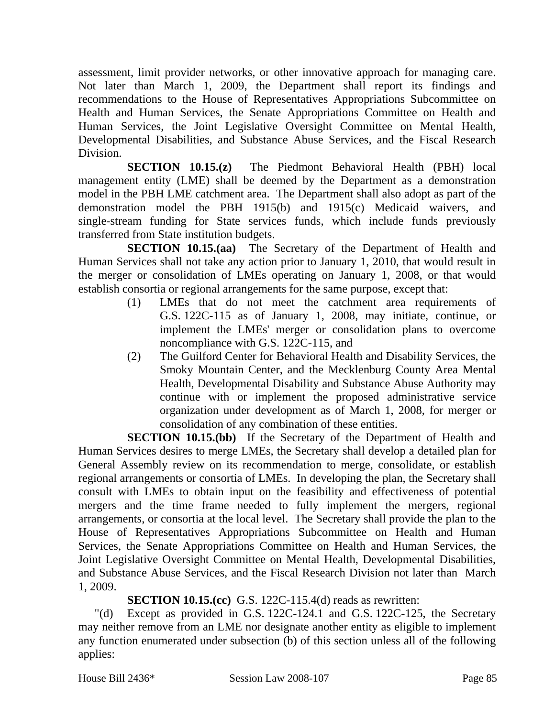assessment, limit provider networks, or other innovative approach for managing care. Not later than March 1, 2009, the Department shall report its findings and recommendations to the House of Representatives Appropriations Subcommittee on Health and Human Services, the Senate Appropriations Committee on Health and Human Services, the Joint Legislative Oversight Committee on Mental Health, Developmental Disabilities, and Substance Abuse Services, and the Fiscal Research Division.

**SECTION 10.15.(z)** The Piedmont Behavioral Health (PBH) local management entity (LME) shall be deemed by the Department as a demonstration model in the PBH LME catchment area. The Department shall also adopt as part of the demonstration model the PBH 1915(b) and 1915(c) Medicaid waivers, and single-stream funding for State services funds, which include funds previously transferred from State institution budgets.

**SECTION 10.15.(aa)** The Secretary of the Department of Health and Human Services shall not take any action prior to January 1, 2010, that would result in the merger or consolidation of LMEs operating on January 1, 2008, or that would establish consortia or regional arrangements for the same purpose, except that:

- (1) LMEs that do not meet the catchment area requirements of G.S. 122C-115 as of January 1, 2008, may initiate, continue, or implement the LMEs' merger or consolidation plans to overcome noncompliance with G.S. 122C-115, and
- (2) The Guilford Center for Behavioral Health and Disability Services, the Smoky Mountain Center, and the Mecklenburg County Area Mental Health, Developmental Disability and Substance Abuse Authority may continue with or implement the proposed administrative service organization under development as of March 1, 2008, for merger or consolidation of any combination of these entities.

**SECTION 10.15.(bb)** If the Secretary of the Department of Health and Human Services desires to merge LMEs, the Secretary shall develop a detailed plan for General Assembly review on its recommendation to merge, consolidate, or establish regional arrangements or consortia of LMEs. In developing the plan, the Secretary shall consult with LMEs to obtain input on the feasibility and effectiveness of potential mergers and the time frame needed to fully implement the mergers, regional arrangements, or consortia at the local level. The Secretary shall provide the plan to the House of Representatives Appropriations Subcommittee on Health and Human Services, the Senate Appropriations Committee on Health and Human Services, the Joint Legislative Oversight Committee on Mental Health, Developmental Disabilities, and Substance Abuse Services, and the Fiscal Research Division not later than March 1, 2009.

**SECTION 10.15.(cc)** G.S. 122C-115.4(d) reads as rewritten:

"(d) Except as provided in G.S. 122C-124.1 and G.S. 122C-125, the Secretary may neither remove from an LME nor designate another entity as eligible to implement any function enumerated under subsection (b) of this section unless all of the following applies: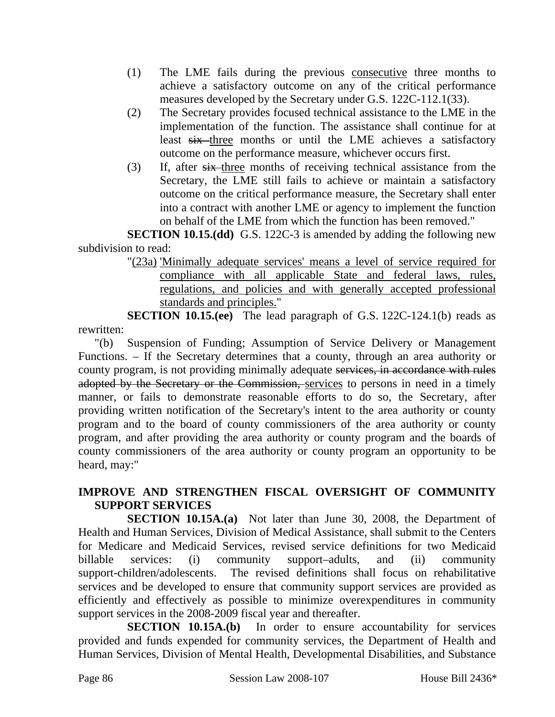- (1) The LME fails during the previous consecutive three months to achieve a satisfactory outcome on any of the critical performance measures developed by the Secretary under G.S. 122C-112.1(33).
- (2) The Secretary provides focused technical assistance to the LME in the implementation of the function. The assistance shall continue for at least six three months or until the LME achieves a satisfactory outcome on the performance measure, whichever occurs first.
- (3) If, after six three months of receiving technical assistance from the Secretary, the LME still fails to achieve or maintain a satisfactory outcome on the critical performance measure, the Secretary shall enter into a contract with another LME or agency to implement the function on behalf of the LME from which the function has been removed."

**SECTION 10.15.(dd)** G.S. 122C-3 is amended by adding the following new subdivision to read:

"(23a) 'Minimally adequate services' means a level of service required for compliance with all applicable State and federal laws, rules, regulations, and policies and with generally accepted professional standards and principles."

**SECTION 10.15.(ee)** The lead paragraph of G.S. 122C-124.1(b) reads as rewritten:

"(b) Suspension of Funding; Assumption of Service Delivery or Management Functions. – If the Secretary determines that a county, through an area authority or county program, is not providing minimally adequate services, in accordance with rules adopted by the Secretary or the Commission, services to persons in need in a timely manner, or fails to demonstrate reasonable efforts to do so, the Secretary, after providing written notification of the Secretary's intent to the area authority or county program and to the board of county commissioners of the area authority or county program, and after providing the area authority or county program and the boards of county commissioners of the area authority or county program an opportunity to be heard, may:"

# **IMPROVE AND STRENGTHEN FISCAL OVERSIGHT OF COMMUNITY SUPPORT SERVICES**

**SECTION 10.15A.(a)** Not later than June 30, 2008, the Department of Health and Human Services, Division of Medical Assistance, shall submit to the Centers for Medicare and Medicaid Services, revised service definitions for two Medicaid billable services: (i) community support–adults, and (ii) community support-children/adolescents. The revised definitions shall focus on rehabilitative services and be developed to ensure that community support services are provided as efficiently and effectively as possible to minimize overexpenditures in community support services in the 2008-2009 fiscal year and thereafter.

**SECTION 10.15A.(b)** In order to ensure accountability for services provided and funds expended for community services, the Department of Health and Human Services, Division of Mental Health, Developmental Disabilities, and Substance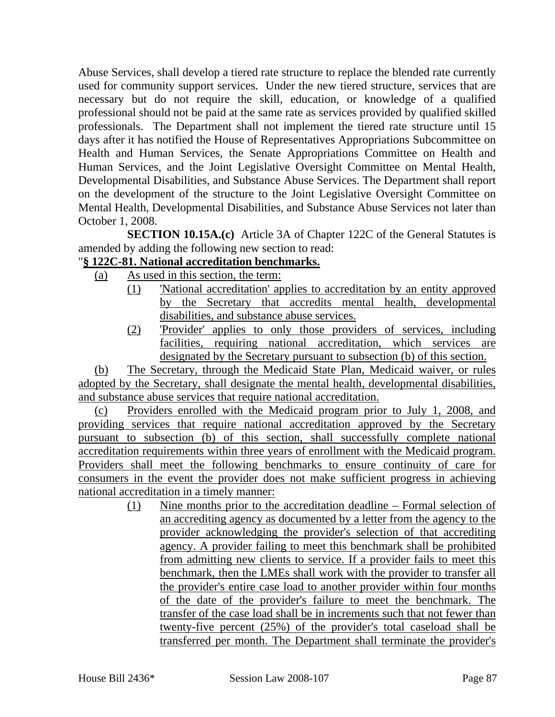Abuse Services, shall develop a tiered rate structure to replace the blended rate currently used for community support services. Under the new tiered structure, services that are necessary but do not require the skill, education, or knowledge of a qualified professional should not be paid at the same rate as services provided by qualified skilled professionals. The Department shall not implement the tiered rate structure until 15 days after it has notified the House of Representatives Appropriations Subcommittee on Health and Human Services, the Senate Appropriations Committee on Health and Human Services, and the Joint Legislative Oversight Committee on Mental Health, Developmental Disabilities, and Substance Abuse Services. The Department shall report on the development of the structure to the Joint Legislative Oversight Committee on Mental Health, Developmental Disabilities, and Substance Abuse Services not later than October 1, 2008.

**SECTION 10.15A.(c)** Article 3A of Chapter 122C of the General Statutes is amended by adding the following new section to read:

## "**§ 122C-81. National accreditation benchmarks.**

- (a) As used in this section, the term:
	- (1) 'National accreditation' applies to accreditation by an entity approved by the Secretary that accredits mental health, developmental disabilities, and substance abuse services.
	- (2) 'Provider' applies to only those providers of services, including facilities, requiring national accreditation, which services are designated by the Secretary pursuant to subsection (b) of this section.

(b) The Secretary, through the Medicaid State Plan, Medicaid waiver, or rules adopted by the Secretary, shall designate the mental health, developmental disabilities, and substance abuse services that require national accreditation.

(c) Providers enrolled with the Medicaid program prior to July 1, 2008, and providing services that require national accreditation approved by the Secretary pursuant to subsection (b) of this section, shall successfully complete national accreditation requirements within three years of enrollment with the Medicaid program. Providers shall meet the following benchmarks to ensure continuity of care for consumers in the event the provider does not make sufficient progress in achieving national accreditation in a timely manner:

(1) Nine months prior to the accreditation deadline – Formal selection of an accrediting agency as documented by a letter from the agency to the provider acknowledging the provider's selection of that accrediting agency. A provider failing to meet this benchmark shall be prohibited from admitting new clients to service. If a provider fails to meet this benchmark, then the LMEs shall work with the provider to transfer all the provider's entire case load to another provider within four months of the date of the provider's failure to meet the benchmark. The transfer of the case load shall be in increments such that not fewer than twenty-five percent (25%) of the provider's total caseload shall be transferred per month. The Department shall terminate the provider's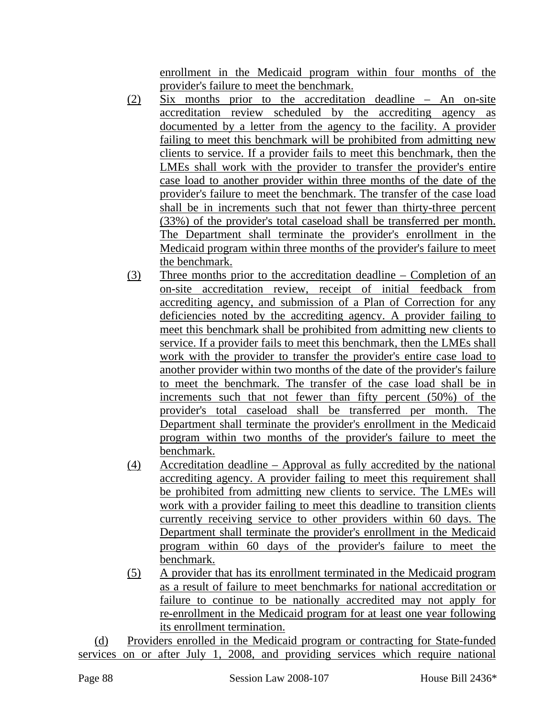enrollment in the Medicaid program within four months of the provider's failure to meet the benchmark.

- (2) Six months prior to the accreditation deadline An on-site accreditation review scheduled by the accrediting agency as documented by a letter from the agency to the facility. A provider failing to meet this benchmark will be prohibited from admitting new clients to service. If a provider fails to meet this benchmark, then the LMEs shall work with the provider to transfer the provider's entire case load to another provider within three months of the date of the provider's failure to meet the benchmark. The transfer of the case load shall be in increments such that not fewer than thirty-three percent (33%) of the provider's total caseload shall be transferred per month. The Department shall terminate the provider's enrollment in the Medicaid program within three months of the provider's failure to meet the benchmark.
- (3) Three months prior to the accreditation deadline Completion of an on-site accreditation review, receipt of initial feedback from accrediting agency, and submission of a Plan of Correction for any deficiencies noted by the accrediting agency. A provider failing to meet this benchmark shall be prohibited from admitting new clients to service. If a provider fails to meet this benchmark, then the LMEs shall work with the provider to transfer the provider's entire case load to another provider within two months of the date of the provider's failure to meet the benchmark. The transfer of the case load shall be in increments such that not fewer than fifty percent (50%) of the provider's total caseload shall be transferred per month. The Department shall terminate the provider's enrollment in the Medicaid program within two months of the provider's failure to meet the benchmark.
- (4) Accreditation deadline Approval as fully accredited by the national accrediting agency. A provider failing to meet this requirement shall be prohibited from admitting new clients to service. The LMEs will work with a provider failing to meet this deadline to transition clients currently receiving service to other providers within 60 days. The Department shall terminate the provider's enrollment in the Medicaid program within 60 days of the provider's failure to meet the benchmark.
- (5) A provider that has its enrollment terminated in the Medicaid program as a result of failure to meet benchmarks for national accreditation or failure to continue to be nationally accredited may not apply for re-enrollment in the Medicaid program for at least one year following its enrollment termination.

(d) Providers enrolled in the Medicaid program or contracting for State-funded services on or after July 1, 2008, and providing services which require national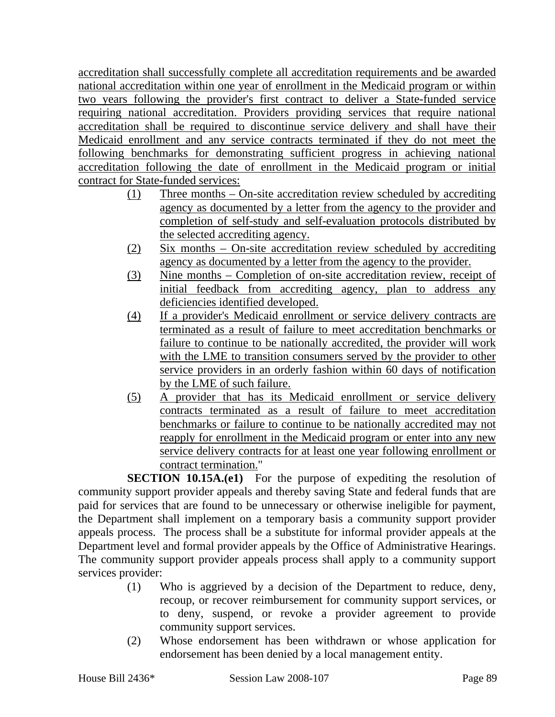accreditation shall successfully complete all accreditation requirements and be awarded national accreditation within one year of enrollment in the Medicaid program or within two years following the provider's first contract to deliver a State-funded service requiring national accreditation. Providers providing services that require national accreditation shall be required to discontinue service delivery and shall have their Medicaid enrollment and any service contracts terminated if they do not meet the following benchmarks for demonstrating sufficient progress in achieving national accreditation following the date of enrollment in the Medicaid program or initial contract for State-funded services:

- (1) Three months On-site accreditation review scheduled by accrediting agency as documented by a letter from the agency to the provider and completion of self-study and self-evaluation protocols distributed by the selected accrediting agency.
- (2) Six months On-site accreditation review scheduled by accrediting agency as documented by a letter from the agency to the provider.
- (3) Nine months Completion of on-site accreditation review, receipt of initial feedback from accrediting agency, plan to address any deficiencies identified developed.
- (4) If a provider's Medicaid enrollment or service delivery contracts are terminated as a result of failure to meet accreditation benchmarks or failure to continue to be nationally accredited, the provider will work with the LME to transition consumers served by the provider to other service providers in an orderly fashion within 60 days of notification by the LME of such failure.
- (5) A provider that has its Medicaid enrollment or service delivery contracts terminated as a result of failure to meet accreditation benchmarks or failure to continue to be nationally accredited may not reapply for enrollment in the Medicaid program or enter into any new service delivery contracts for at least one year following enrollment or contract termination."

**SECTION 10.15A.(e1)** For the purpose of expediting the resolution of community support provider appeals and thereby saving State and federal funds that are paid for services that are found to be unnecessary or otherwise ineligible for payment, the Department shall implement on a temporary basis a community support provider appeals process. The process shall be a substitute for informal provider appeals at the Department level and formal provider appeals by the Office of Administrative Hearings. The community support provider appeals process shall apply to a community support services provider:

- (1) Who is aggrieved by a decision of the Department to reduce, deny, recoup, or recover reimbursement for community support services, or to deny, suspend, or revoke a provider agreement to provide community support services.
- (2) Whose endorsement has been withdrawn or whose application for endorsement has been denied by a local management entity.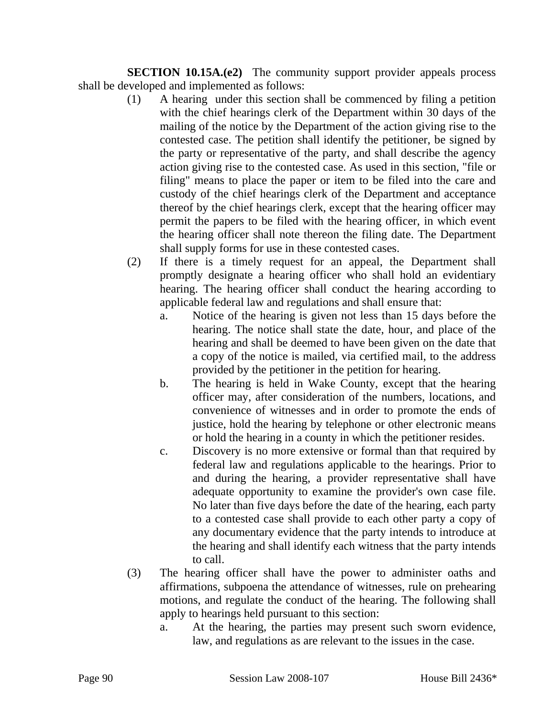**SECTION 10.15A.(e2)** The community support provider appeals process shall be developed and implemented as follows:

- (1) A hearing under this section shall be commenced by filing a petition with the chief hearings clerk of the Department within 30 days of the mailing of the notice by the Department of the action giving rise to the contested case. The petition shall identify the petitioner, be signed by the party or representative of the party, and shall describe the agency action giving rise to the contested case. As used in this section, "file or filing" means to place the paper or item to be filed into the care and custody of the chief hearings clerk of the Department and acceptance thereof by the chief hearings clerk, except that the hearing officer may permit the papers to be filed with the hearing officer, in which event the hearing officer shall note thereon the filing date. The Department shall supply forms for use in these contested cases.
- (2) If there is a timely request for an appeal, the Department shall promptly designate a hearing officer who shall hold an evidentiary hearing. The hearing officer shall conduct the hearing according to applicable federal law and regulations and shall ensure that:
	- a. Notice of the hearing is given not less than 15 days before the hearing. The notice shall state the date, hour, and place of the hearing and shall be deemed to have been given on the date that a copy of the notice is mailed, via certified mail, to the address provided by the petitioner in the petition for hearing.
	- b. The hearing is held in Wake County, except that the hearing officer may, after consideration of the numbers, locations, and convenience of witnesses and in order to promote the ends of justice, hold the hearing by telephone or other electronic means or hold the hearing in a county in which the petitioner resides.
	- c. Discovery is no more extensive or formal than that required by federal law and regulations applicable to the hearings. Prior to and during the hearing, a provider representative shall have adequate opportunity to examine the provider's own case file. No later than five days before the date of the hearing, each party to a contested case shall provide to each other party a copy of any documentary evidence that the party intends to introduce at the hearing and shall identify each witness that the party intends to call.
- (3) The hearing officer shall have the power to administer oaths and affirmations, subpoena the attendance of witnesses, rule on prehearing motions, and regulate the conduct of the hearing. The following shall apply to hearings held pursuant to this section:
	- a. At the hearing, the parties may present such sworn evidence, law, and regulations as are relevant to the issues in the case.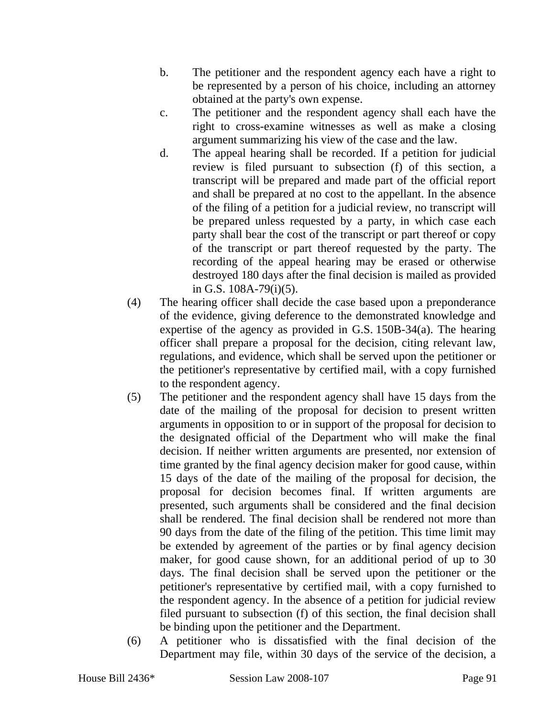- b. The petitioner and the respondent agency each have a right to be represented by a person of his choice, including an attorney obtained at the party's own expense.
- c. The petitioner and the respondent agency shall each have the right to cross-examine witnesses as well as make a closing argument summarizing his view of the case and the law.
- d. The appeal hearing shall be recorded. If a petition for judicial review is filed pursuant to subsection (f) of this section, a transcript will be prepared and made part of the official report and shall be prepared at no cost to the appellant. In the absence of the filing of a petition for a judicial review, no transcript will be prepared unless requested by a party, in which case each party shall bear the cost of the transcript or part thereof or copy of the transcript or part thereof requested by the party. The recording of the appeal hearing may be erased or otherwise destroyed 180 days after the final decision is mailed as provided in G.S. 108A-79(i)(5).
- (4) The hearing officer shall decide the case based upon a preponderance of the evidence, giving deference to the demonstrated knowledge and expertise of the agency as provided in G.S. 150B-34(a). The hearing officer shall prepare a proposal for the decision, citing relevant law, regulations, and evidence, which shall be served upon the petitioner or the petitioner's representative by certified mail, with a copy furnished to the respondent agency.
- (5) The petitioner and the respondent agency shall have 15 days from the date of the mailing of the proposal for decision to present written arguments in opposition to or in support of the proposal for decision to the designated official of the Department who will make the final decision. If neither written arguments are presented, nor extension of time granted by the final agency decision maker for good cause, within 15 days of the date of the mailing of the proposal for decision, the proposal for decision becomes final. If written arguments are presented, such arguments shall be considered and the final decision shall be rendered. The final decision shall be rendered not more than 90 days from the date of the filing of the petition. This time limit may be extended by agreement of the parties or by final agency decision maker, for good cause shown, for an additional period of up to 30 days. The final decision shall be served upon the petitioner or the petitioner's representative by certified mail, with a copy furnished to the respondent agency. In the absence of a petition for judicial review filed pursuant to subsection (f) of this section, the final decision shall be binding upon the petitioner and the Department.
- (6) A petitioner who is dissatisfied with the final decision of the Department may file, within 30 days of the service of the decision, a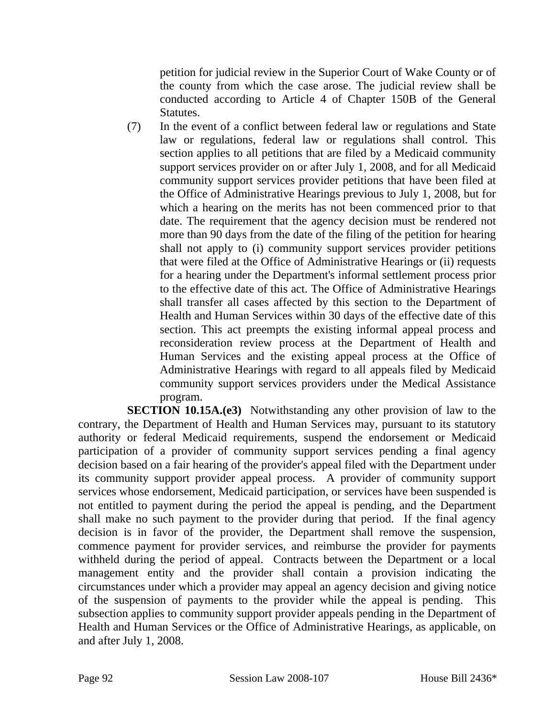petition for judicial review in the Superior Court of Wake County or of the county from which the case arose. The judicial review shall be conducted according to Article 4 of Chapter 150B of the General Statutes.

(7) In the event of a conflict between federal law or regulations and State law or regulations, federal law or regulations shall control. This section applies to all petitions that are filed by a Medicaid community support services provider on or after July 1, 2008, and for all Medicaid community support services provider petitions that have been filed at the Office of Administrative Hearings previous to July 1, 2008, but for which a hearing on the merits has not been commenced prior to that date. The requirement that the agency decision must be rendered not more than 90 days from the date of the filing of the petition for hearing shall not apply to (i) community support services provider petitions that were filed at the Office of Administrative Hearings or (ii) requests for a hearing under the Department's informal settlement process prior to the effective date of this act. The Office of Administrative Hearings shall transfer all cases affected by this section to the Department of Health and Human Services within 30 days of the effective date of this section. This act preempts the existing informal appeal process and reconsideration review process at the Department of Health and Human Services and the existing appeal process at the Office of Administrative Hearings with regard to all appeals filed by Medicaid community support services providers under the Medical Assistance program.

**SECTION 10.15A.(e3)** Notwithstanding any other provision of law to the contrary, the Department of Health and Human Services may, pursuant to its statutory authority or federal Medicaid requirements, suspend the endorsement or Medicaid participation of a provider of community support services pending a final agency decision based on a fair hearing of the provider's appeal filed with the Department under its community support provider appeal process. A provider of community support services whose endorsement, Medicaid participation, or services have been suspended is not entitled to payment during the period the appeal is pending, and the Department shall make no such payment to the provider during that period. If the final agency decision is in favor of the provider, the Department shall remove the suspension, commence payment for provider services, and reimburse the provider for payments withheld during the period of appeal. Contracts between the Department or a local management entity and the provider shall contain a provision indicating the circumstances under which a provider may appeal an agency decision and giving notice of the suspension of payments to the provider while the appeal is pending. This subsection applies to community support provider appeals pending in the Department of Health and Human Services or the Office of Administrative Hearings, as applicable, on and after July 1, 2008.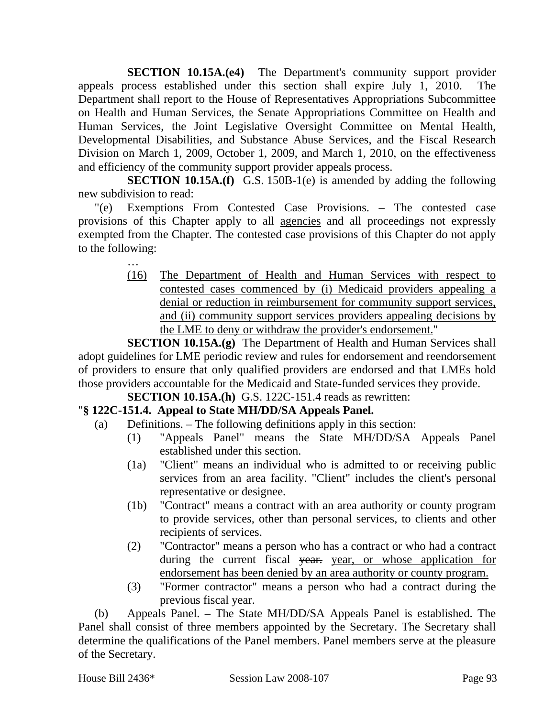**SECTION 10.15A.(e4)** The Department's community support provider appeals process established under this section shall expire July 1, 2010. The Department shall report to the House of Representatives Appropriations Subcommittee on Health and Human Services, the Senate Appropriations Committee on Health and Human Services, the Joint Legislative Oversight Committee on Mental Health, Developmental Disabilities, and Substance Abuse Services, and the Fiscal Research Division on March 1, 2009, October 1, 2009, and March 1, 2010, on the effectiveness and efficiency of the community support provider appeals process.

**SECTION 10.15A.(f)** G.S. 150B-1(e) is amended by adding the following new subdivision to read:

"(e) Exemptions From Contested Case Provisions. – The contested case provisions of this Chapter apply to all agencies and all proceedings not expressly exempted from the Chapter. The contested case provisions of this Chapter do not apply to the following:

> (16) The Department of Health and Human Services with respect to contested cases commenced by (i) Medicaid providers appealing a denial or reduction in reimbursement for community support services, and (ii) community support services providers appealing decisions by the LME to deny or withdraw the provider's endorsement."

**SECTION 10.15A.(g)** The Department of Health and Human Services shall adopt guidelines for LME periodic review and rules for endorsement and reendorsement of providers to ensure that only qualified providers are endorsed and that LMEs hold those providers accountable for the Medicaid and State-funded services they provide.

**SECTION 10.15A.(h)** G.S. 122C-151.4 reads as rewritten:

## "**§ 122C-151.4. Appeal to State MH/DD/SA Appeals Panel.**

- (a) Definitions. The following definitions apply in this section:
	- (1) "Appeals Panel" means the State MH/DD/SA Appeals Panel established under this section.
	- (1a) "Client" means an individual who is admitted to or receiving public services from an area facility. "Client" includes the client's personal representative or designee.
	- (1b) "Contract" means a contract with an area authority or county program to provide services, other than personal services, to clients and other recipients of services.
	- (2) "Contractor" means a person who has a contract or who had a contract during the current fiscal year, year, or whose application for endorsement has been denied by an area authority or county program.
	- (3) "Former contractor" means a person who had a contract during the previous fiscal year.

(b) Appeals Panel. – The State MH/DD/SA Appeals Panel is established. The Panel shall consist of three members appointed by the Secretary. The Secretary shall determine the qualifications of the Panel members. Panel members serve at the pleasure of the Secretary.

…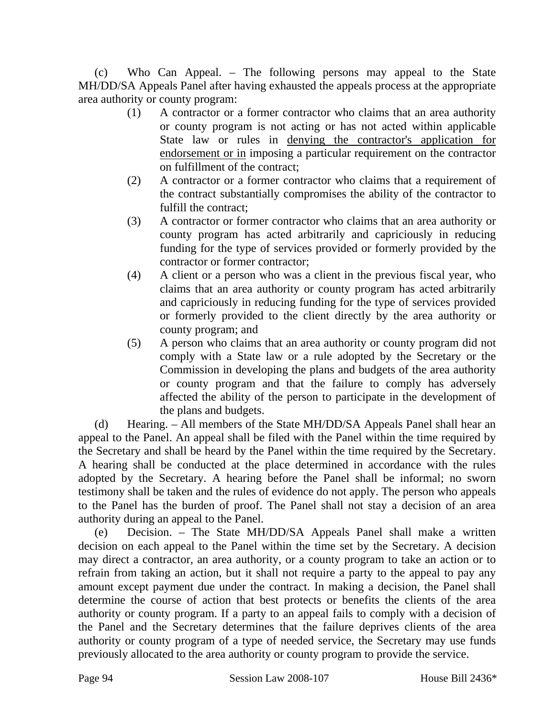(c) Who Can Appeal. – The following persons may appeal to the State MH/DD/SA Appeals Panel after having exhausted the appeals process at the appropriate area authority or county program:

- (1) A contractor or a former contractor who claims that an area authority or county program is not acting or has not acted within applicable State law or rules in denying the contractor's application for endorsement or in imposing a particular requirement on the contractor on fulfillment of the contract;
- (2) A contractor or a former contractor who claims that a requirement of the contract substantially compromises the ability of the contractor to fulfill the contract;
- (3) A contractor or former contractor who claims that an area authority or county program has acted arbitrarily and capriciously in reducing funding for the type of services provided or formerly provided by the contractor or former contractor;
- (4) A client or a person who was a client in the previous fiscal year, who claims that an area authority or county program has acted arbitrarily and capriciously in reducing funding for the type of services provided or formerly provided to the client directly by the area authority or county program; and
- (5) A person who claims that an area authority or county program did not comply with a State law or a rule adopted by the Secretary or the Commission in developing the plans and budgets of the area authority or county program and that the failure to comply has adversely affected the ability of the person to participate in the development of the plans and budgets.

(d) Hearing. – All members of the State MH/DD/SA Appeals Panel shall hear an appeal to the Panel. An appeal shall be filed with the Panel within the time required by the Secretary and shall be heard by the Panel within the time required by the Secretary. A hearing shall be conducted at the place determined in accordance with the rules adopted by the Secretary. A hearing before the Panel shall be informal; no sworn testimony shall be taken and the rules of evidence do not apply. The person who appeals to the Panel has the burden of proof. The Panel shall not stay a decision of an area authority during an appeal to the Panel.

(e) Decision. – The State MH/DD/SA Appeals Panel shall make a written decision on each appeal to the Panel within the time set by the Secretary. A decision may direct a contractor, an area authority, or a county program to take an action or to refrain from taking an action, but it shall not require a party to the appeal to pay any amount except payment due under the contract. In making a decision, the Panel shall determine the course of action that best protects or benefits the clients of the area authority or county program. If a party to an appeal fails to comply with a decision of the Panel and the Secretary determines that the failure deprives clients of the area authority or county program of a type of needed service, the Secretary may use funds previously allocated to the area authority or county program to provide the service.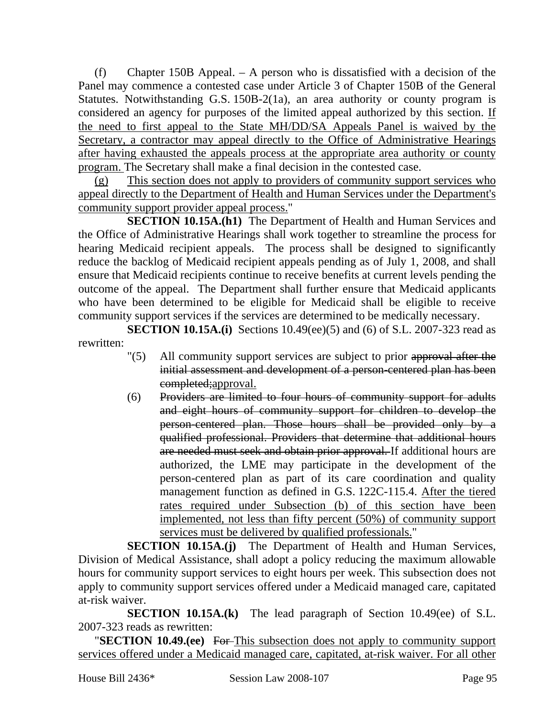(f) Chapter 150B Appeal. – A person who is dissatisfied with a decision of the Panel may commence a contested case under Article 3 of Chapter 150B of the General Statutes. Notwithstanding G.S. 150B-2(1a), an area authority or county program is considered an agency for purposes of the limited appeal authorized by this section. If the need to first appeal to the State MH/DD/SA Appeals Panel is waived by the Secretary, a contractor may appeal directly to the Office of Administrative Hearings after having exhausted the appeals process at the appropriate area authority or county program. The Secretary shall make a final decision in the contested case.

(g) This section does not apply to providers of community support services who appeal directly to the Department of Health and Human Services under the Department's community support provider appeal process."

**SECTION 10.15A.(h1)** The Department of Health and Human Services and the Office of Administrative Hearings shall work together to streamline the process for hearing Medicaid recipient appeals. The process shall be designed to significantly reduce the backlog of Medicaid recipient appeals pending as of July 1, 2008, and shall ensure that Medicaid recipients continue to receive benefits at current levels pending the outcome of the appeal. The Department shall further ensure that Medicaid applicants who have been determined to be eligible for Medicaid shall be eligible to receive community support services if the services are determined to be medically necessary.

**SECTION 10.15A.(i)** Sections 10.49(ee)(5) and (6) of S.L. 2007-323 read as rewritten:

- "(5) All community support services are subject to prior approval after the initial assessment and development of a person-centered plan has been completed;approval.
- (6) Providers are limited to four hours of community support for adults and eight hours of community support for children to develop the person-centered plan. Those hours shall be provided only by a qualified professional. Providers that determine that additional hours are needed must seek and obtain prior approval. If additional hours are authorized, the LME may participate in the development of the person-centered plan as part of its care coordination and quality management function as defined in G.S. 122C-115.4. After the tiered rates required under Subsection (b) of this section have been implemented, not less than fifty percent (50%) of community support services must be delivered by qualified professionals."

**SECTION 10.15A.(j)** The Department of Health and Human Services, Division of Medical Assistance, shall adopt a policy reducing the maximum allowable hours for community support services to eight hours per week. This subsection does not apply to community support services offered under a Medicaid managed care, capitated at-risk waiver.

**SECTION 10.15A.(k)** The lead paragraph of Section 10.49(ee) of S.L. 2007-323 reads as rewritten:

"**SECTION 10.49.(ee)** For This subsection does not apply to community support services offered under a Medicaid managed care, capitated, at-risk waiver. For all other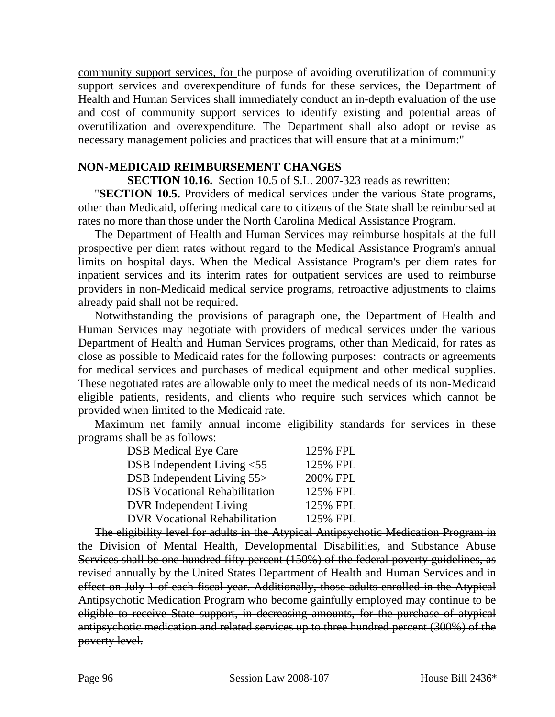community support services, for the purpose of avoiding overutilization of community support services and overexpenditure of funds for these services, the Department of Health and Human Services shall immediately conduct an in-depth evaluation of the use and cost of community support services to identify existing and potential areas of overutilization and overexpenditure. The Department shall also adopt or revise as necessary management policies and practices that will ensure that at a minimum:"

#### **NON-MEDICAID REIMBURSEMENT CHANGES**

**SECTION 10.16.** Section 10.5 of S.L. 2007-323 reads as rewritten:

"**SECTION 10.5.** Providers of medical services under the various State programs, other than Medicaid, offering medical care to citizens of the State shall be reimbursed at rates no more than those under the North Carolina Medical Assistance Program.

The Department of Health and Human Services may reimburse hospitals at the full prospective per diem rates without regard to the Medical Assistance Program's annual limits on hospital days. When the Medical Assistance Program's per diem rates for inpatient services and its interim rates for outpatient services are used to reimburse providers in non-Medicaid medical service programs, retroactive adjustments to claims already paid shall not be required.

Notwithstanding the provisions of paragraph one, the Department of Health and Human Services may negotiate with providers of medical services under the various Department of Health and Human Services programs, other than Medicaid, for rates as close as possible to Medicaid rates for the following purposes: contracts or agreements for medical services and purchases of medical equipment and other medical supplies. These negotiated rates are allowable only to meet the medical needs of its non-Medicaid eligible patients, residents, and clients who require such services which cannot be provided when limited to the Medicaid rate.

Maximum net family annual income eligibility standards for services in these programs shall be as follows:

| <b>DSB</b> Medical Eye Care          | 125% FPL |
|--------------------------------------|----------|
| DSB Independent Living <55           | 125% FPL |
| DSB Independent Living 55>           | 200% FPL |
| <b>DSB Vocational Rehabilitation</b> | 125% FPL |
| <b>DVR</b> Independent Living        | 125% FPL |
| <b>DVR Vocational Rehabilitation</b> | 125% FPL |
|                                      |          |

The eligibility level for adults in the Atypical Antipsychotic Medication Program in the Division of Mental Health, Developmental Disabilities, and Substance Abuse Services shall be one hundred fifty percent (150%) of the federal poverty guidelines, as revised annually by the United States Department of Health and Human Services and in effect on July 1 of each fiscal year. Additionally, those adults enrolled in the Atypical Antipsychotic Medication Program who become gainfully employed may continue to be eligible to receive State support, in decreasing amounts, for the purchase of atypical antipsychotic medication and related services up to three hundred percent (300%) of the poverty level.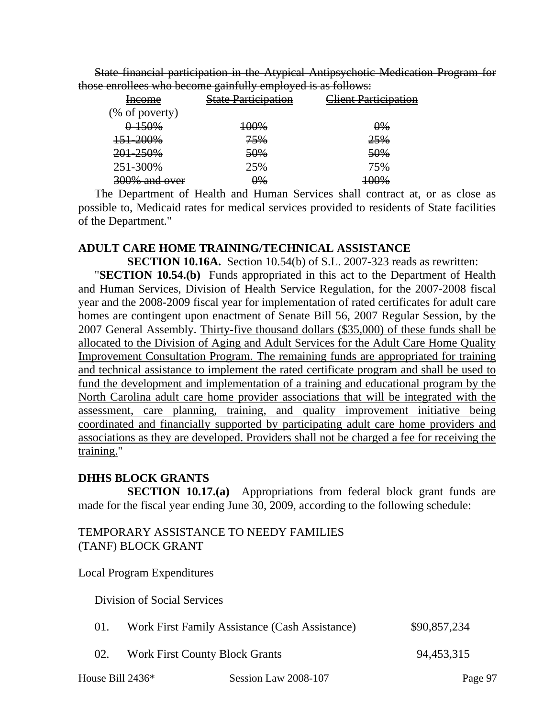State financial participation in the Atypical Antipsychotic Medication Program for those enrollees who become gainfully employed is as follows:

| 01<br>___<br>ر -           |                                |
|----------------------------|--------------------------------|
| <b>State Participation</b> | <del>lient Participation</del> |
|                            |                                |
| 100%                       | $\theta\%$                     |
| 75%                        | 25%                            |
| 50%                        | 50%                            |
| 25%                        | 75%                            |
| $9\%$                      | <del>100%</del>                |
|                            |                                |

The Department of Health and Human Services shall contract at, or as close as possible to, Medicaid rates for medical services provided to residents of State facilities of the Department."

#### **ADULT CARE HOME TRAINING/TECHNICAL ASSISTANCE**

**SECTION 10.16A.** Section 10.54(b) of S.L. 2007-323 reads as rewritten: "**SECTION 10.54.(b)** Funds appropriated in this act to the Department of Health and Human Services, Division of Health Service Regulation, for the 2007-2008 fiscal year and the 2008-2009 fiscal year for implementation of rated certificates for adult care homes are contingent upon enactment of Senate Bill 56, 2007 Regular Session, by the 2007 General Assembly. Thirty-five thousand dollars (\$35,000) of these funds shall be allocated to the Division of Aging and Adult Services for the Adult Care Home Quality Improvement Consultation Program. The remaining funds are appropriated for training and technical assistance to implement the rated certificate program and shall be used to fund the development and implementation of a training and educational program by the North Carolina adult care home provider associations that will be integrated with the assessment, care planning, training, and quality improvement initiative being coordinated and financially supported by participating adult care home providers and associations as they are developed. Providers shall not be charged a fee for receiving the training."

#### **DHHS BLOCK GRANTS**

**SECTION 10.17.(a)** Appropriations from federal block grant funds are made for the fiscal year ending June 30, 2009, according to the following schedule:

#### TEMPORARY ASSISTANCE TO NEEDY FAMILIES (TANF) BLOCK GRANT

Local Program Expenditures

Division of Social Services

| 01. | Work First Family Assistance (Cash Assistance) | \$90,857,234 |
|-----|------------------------------------------------|--------------|
| 02. | <b>Work First County Block Grants</b>          | 94,453,315   |

House Bill 2436\* Session Law 2008-107 Page 97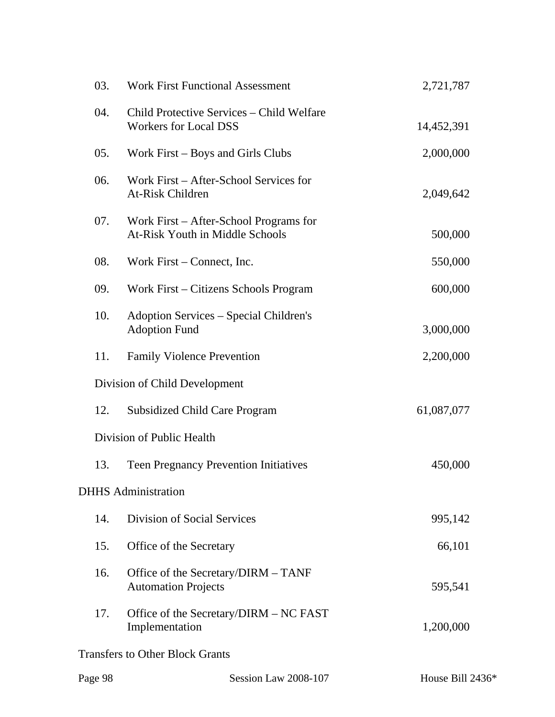| 2,721,787                  |  |  |  |  |  |
|----------------------------|--|--|--|--|--|
| 14,452,391                 |  |  |  |  |  |
| 2,000,000                  |  |  |  |  |  |
| 2,049,642                  |  |  |  |  |  |
| 500,000                    |  |  |  |  |  |
| 550,000                    |  |  |  |  |  |
| 600,000                    |  |  |  |  |  |
| 3,000,000                  |  |  |  |  |  |
| 2,200,000                  |  |  |  |  |  |
|                            |  |  |  |  |  |
| 61,087,077                 |  |  |  |  |  |
|                            |  |  |  |  |  |
| 450,000                    |  |  |  |  |  |
| <b>DHHS</b> Administration |  |  |  |  |  |
| 995,142                    |  |  |  |  |  |
| 66,101                     |  |  |  |  |  |
| 595,541                    |  |  |  |  |  |
| 1,200,000                  |  |  |  |  |  |
|                            |  |  |  |  |  |
|                            |  |  |  |  |  |

| Page 98 | Session Law 2008-107 | House Bill $2436*$ |
|---------|----------------------|--------------------|
|         |                      |                    |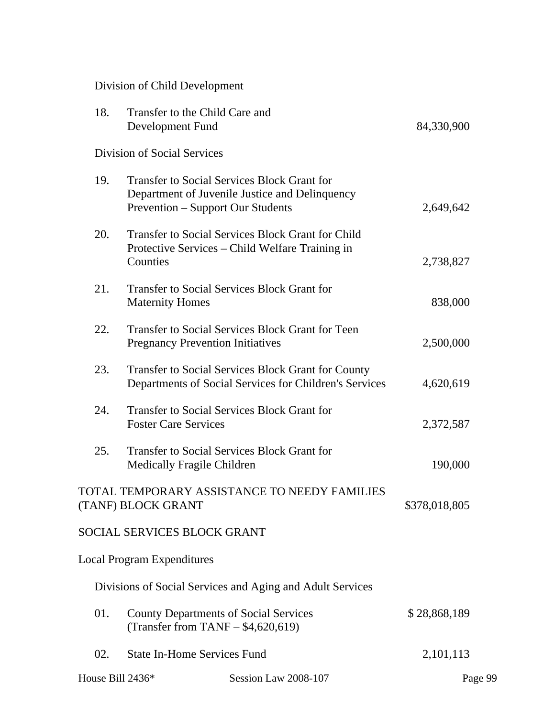Division of Child Development

| 18.              | Transfer to the Child Care and<br>Development Fund                                             |                                                                                                                     | 84,330,900    |  |
|------------------|------------------------------------------------------------------------------------------------|---------------------------------------------------------------------------------------------------------------------|---------------|--|
|                  | Division of Social Services                                                                    |                                                                                                                     |               |  |
| 19.              | <b>Transfer to Social Services Block Grant for</b><br><b>Prevention - Support Our Students</b> | Department of Juvenile Justice and Delinquency                                                                      | 2,649,642     |  |
| 20.              | Protective Services - Child Welfare Training in<br>Counties                                    | <b>Transfer to Social Services Block Grant for Child</b>                                                            | 2,738,827     |  |
| 21.              | <b>Transfer to Social Services Block Grant for</b><br><b>Maternity Homes</b>                   |                                                                                                                     | 838,000       |  |
| 22.              | <b>Pregnancy Prevention Initiatives</b>                                                        | <b>Transfer to Social Services Block Grant for Teen</b>                                                             | 2,500,000     |  |
| 23.              |                                                                                                | <b>Transfer to Social Services Block Grant for County</b><br>Departments of Social Services for Children's Services | 4,620,619     |  |
| 24.              | <b>Transfer to Social Services Block Grant for</b><br><b>Foster Care Services</b>              |                                                                                                                     | 2,372,587     |  |
| 25.              | <b>Transfer to Social Services Block Grant for</b><br>Medically Fragile Children               |                                                                                                                     | 190,000       |  |
|                  | (TANF) BLOCK GRANT                                                                             | TOTAL TEMPORARY ASSISTANCE TO NEEDY FAMILIES                                                                        | \$378,018,805 |  |
|                  | <b>SOCIAL SERVICES BLOCK GRANT</b>                                                             |                                                                                                                     |               |  |
|                  | <b>Local Program Expenditures</b>                                                              |                                                                                                                     |               |  |
|                  |                                                                                                | Divisions of Social Services and Aging and Adult Services                                                           |               |  |
| 01.              | <b>County Departments of Social Services</b><br>(Transfer from TANF $-$ \$4,620,619)           |                                                                                                                     | \$28,868,189  |  |
| 02.              | <b>State In-Home Services Fund</b>                                                             |                                                                                                                     | 2,101,113     |  |
| House Bill 2436* |                                                                                                | Session Law 2008-107                                                                                                | Page 99       |  |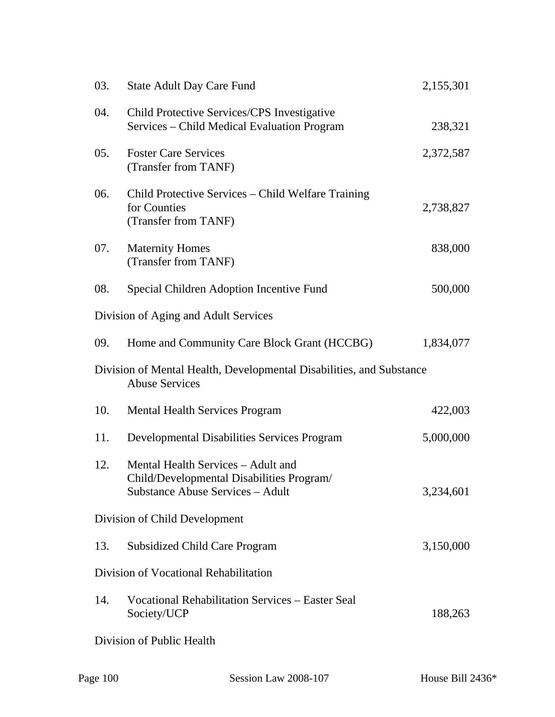| 03. | <b>State Adult Day Care Fund</b>                                                                                           | 2,155,301 |
|-----|----------------------------------------------------------------------------------------------------------------------------|-----------|
| 04. | Child Protective Services/CPS Investigative<br>Services – Child Medical Evaluation Program                                 | 238,321   |
| 05. | <b>Foster Care Services</b><br>(Transfer from TANF)                                                                        | 2,372,587 |
| 06. | Child Protective Services – Child Welfare Training<br>for Counties<br>(Transfer from TANF)                                 | 2,738,827 |
| 07. | <b>Maternity Homes</b><br>(Transfer from TANF)                                                                             | 838,000   |
| 08. | Special Children Adoption Incentive Fund                                                                                   | 500,000   |
|     | Division of Aging and Adult Services                                                                                       |           |
| 09. | Home and Community Care Block Grant (HCCBG)                                                                                | 1,834,077 |
|     | Division of Mental Health, Developmental Disabilities, and Substance<br><b>Abuse Services</b>                              |           |
| 10. | <b>Mental Health Services Program</b>                                                                                      | 422,003   |
| 11. | <b>Developmental Disabilities Services Program</b>                                                                         | 5,000,000 |
| 12. | Mental Health Services – Adult and<br>Child/Developmental Disabilities Program/<br><b>Substance Abuse Services - Adult</b> | 3,234,601 |
|     | Division of Child Development                                                                                              |           |
| 13. | <b>Subsidized Child Care Program</b>                                                                                       | 3,150,000 |
|     | Division of Vocational Rehabilitation                                                                                      |           |
| 14. | <b>Vocational Rehabilitation Services – Easter Seal</b><br>Society/UCP                                                     | 188,263   |
|     | Division of Public Health                                                                                                  |           |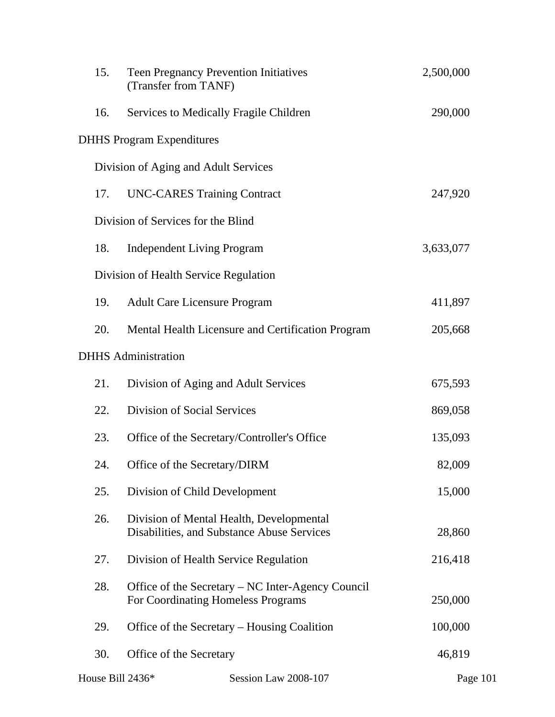| 15.              | <b>Teen Pregnancy Prevention Initiatives</b><br>(Transfer from TANF)                    | 2,500,000 |
|------------------|-----------------------------------------------------------------------------------------|-----------|
| 16.              | Services to Medically Fragile Children                                                  | 290,000   |
|                  | <b>DHHS Program Expenditures</b>                                                        |           |
|                  | Division of Aging and Adult Services                                                    |           |
| 17.              | <b>UNC-CARES Training Contract</b>                                                      | 247,920   |
|                  | Division of Services for the Blind                                                      |           |
| 18.              | <b>Independent Living Program</b>                                                       | 3,633,077 |
|                  | Division of Health Service Regulation                                                   |           |
| 19.              | <b>Adult Care Licensure Program</b>                                                     | 411,897   |
| 20.              | Mental Health Licensure and Certification Program                                       | 205,668   |
|                  | <b>DHHS</b> Administration                                                              |           |
| 21.              | Division of Aging and Adult Services                                                    | 675,593   |
| 22.              | <b>Division of Social Services</b>                                                      | 869,058   |
| 23.              | Office of the Secretary/Controller's Office                                             | 135,093   |
| 24.              | Office of the Secretary/DIRM                                                            | 82,009    |
| 25.              | Division of Child Development                                                           | 15,000    |
| 26.              | Division of Mental Health, Developmental<br>Disabilities, and Substance Abuse Services  | 28,860    |
| 27.              | Division of Health Service Regulation                                                   | 216,418   |
| 28.              | Office of the Secretary - NC Inter-Agency Council<br>For Coordinating Homeless Programs | 250,000   |
| 29.              | Office of the Secretary – Housing Coalition                                             | 100,000   |
| 30.              | Office of the Secretary                                                                 | 46,819    |
| House Bill 2436* | Session Law 2008-107                                                                    | Page 101  |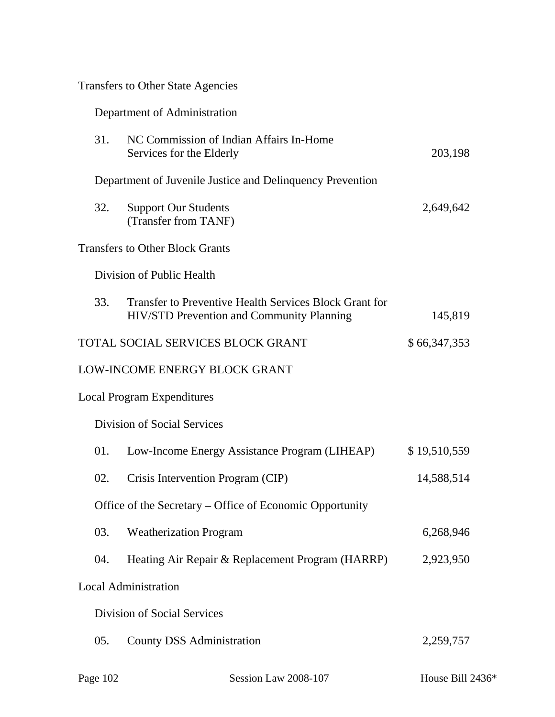|  |  | <b>Transfers to Other State Agencies</b> |  |
|--|--|------------------------------------------|--|
|--|--|------------------------------------------|--|

| Department of Administration |  |  |
|------------------------------|--|--|
|                              |  |  |

| 31. | NC Commission of Indian Affairs In-Home<br>Services for the Elderly                                 | 203,198      |
|-----|-----------------------------------------------------------------------------------------------------|--------------|
|     | Department of Juvenile Justice and Delinquency Prevention                                           |              |
| 32. | <b>Support Our Students</b><br>(Transfer from TANF)                                                 | 2,649,642    |
|     | <b>Transfers to Other Block Grants</b>                                                              |              |
|     | Division of Public Health                                                                           |              |
| 33. | Transfer to Preventive Health Services Block Grant for<br>HIV/STD Prevention and Community Planning | 145,819      |
|     | TOTAL SOCIAL SERVICES BLOCK GRANT                                                                   | \$66,347,353 |
|     | LOW-INCOME ENERGY BLOCK GRANT                                                                       |              |
|     | <b>Local Program Expenditures</b>                                                                   |              |
|     | Division of Social Services                                                                         |              |
| 01. | Low-Income Energy Assistance Program (LIHEAP)                                                       | \$19,510,559 |
| 02. | Crisis Intervention Program (CIP)                                                                   | 14,588,514   |
|     | Office of the Secretary – Office of Economic Opportunity                                            |              |
| 03. | <b>Weatherization Program</b>                                                                       | 6,268,946    |
| 04. | Heating Air Repair & Replacement Program (HARRP)                                                    | 2,923,950    |
|     | <b>Local Administration</b>                                                                         |              |
|     | Division of Social Services                                                                         |              |
| 05. | <b>County DSS Administration</b>                                                                    | 2,259,757    |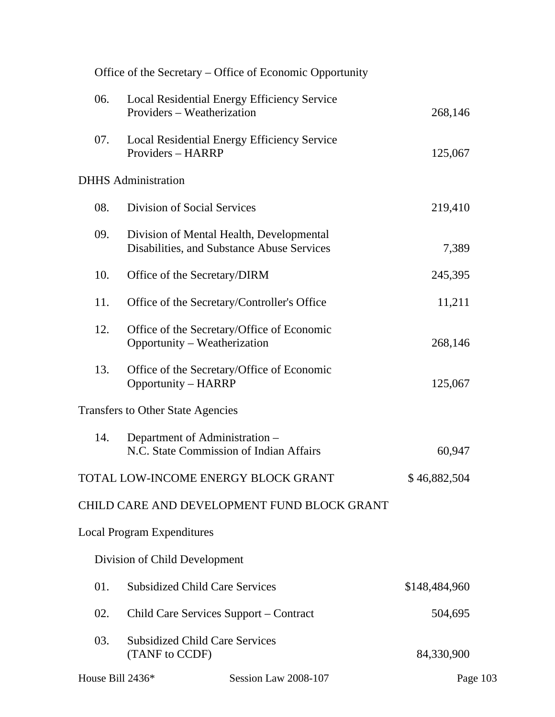|                  |                                                                                        | Office of the Secretary – Office of Economic Opportunity |               |
|------------------|----------------------------------------------------------------------------------------|----------------------------------------------------------|---------------|
| 06.              | Local Residential Energy Efficiency Service<br>Providers – Weatherization              |                                                          | 268,146       |
| 07.              | Local Residential Energy Efficiency Service<br>Providers - HARRP                       |                                                          | 125,067       |
|                  | <b>DHHS</b> Administration                                                             |                                                          |               |
| 08.              | <b>Division of Social Services</b>                                                     |                                                          | 219,410       |
| 09.              | Division of Mental Health, Developmental<br>Disabilities, and Substance Abuse Services |                                                          | 7,389         |
| 10.              | Office of the Secretary/DIRM                                                           |                                                          | 245,395       |
| 11.              | Office of the Secretary/Controller's Office                                            |                                                          | 11,211        |
| 12.              | Office of the Secretary/Office of Economic<br>Opportunity – Weatherization             |                                                          | 268,146       |
| 13.              | Office of the Secretary/Office of Economic<br><b>Opportunity - HARRP</b>               |                                                          | 125,067       |
|                  | <b>Transfers to Other State Agencies</b>                                               |                                                          |               |
| 14.              | Department of Administration -<br>N.C. State Commission of Indian Affairs              |                                                          | 60,947        |
|                  | TOTAL LOW-INCOME ENERGY BLOCK GRANT                                                    |                                                          | \$46,882,504  |
|                  |                                                                                        | CHILD CARE AND DEVELOPMENT FUND BLOCK GRANT              |               |
|                  | <b>Local Program Expenditures</b>                                                      |                                                          |               |
|                  | Division of Child Development                                                          |                                                          |               |
| 01.              | <b>Subsidized Child Care Services</b>                                                  |                                                          | \$148,484,960 |
| 02.              | Child Care Services Support – Contract                                                 |                                                          | 504,695       |
| 03.              | <b>Subsidized Child Care Services</b><br>(TANF to CCDF)                                |                                                          | 84,330,900    |
| House Bill 2436* |                                                                                        | Session Law 2008-107                                     | Page 103      |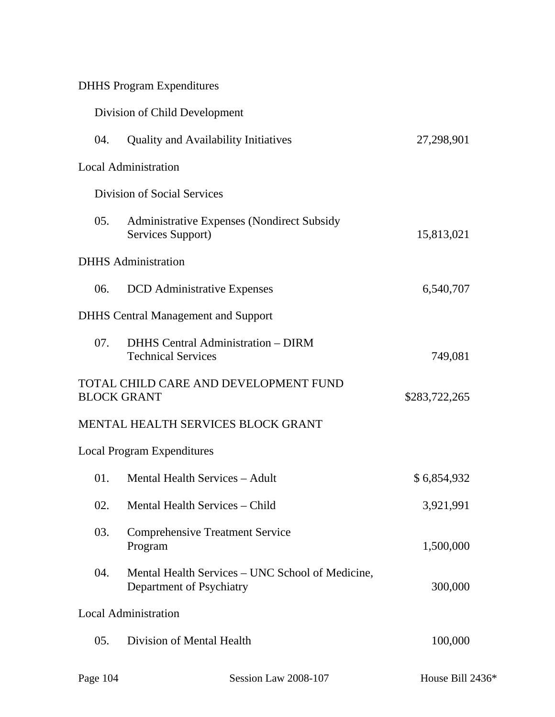| <b>DHHS Program Expenditures</b> |  |
|----------------------------------|--|
|----------------------------------|--|

|     | Division of Child Development                                                |               |
|-----|------------------------------------------------------------------------------|---------------|
| 04. | <b>Quality and Availability Initiatives</b>                                  | 27,298,901    |
|     | <b>Local Administration</b>                                                  |               |
|     | <b>Division of Social Services</b>                                           |               |
| 05. | <b>Administrative Expenses (Nondirect Subsidy</b><br>Services Support)       | 15,813,021    |
|     | <b>DHHS</b> Administration                                                   |               |
| 06. | <b>DCD</b> Administrative Expenses                                           | 6,540,707     |
|     | <b>DHHS</b> Central Management and Support                                   |               |
| 07. | <b>DHHS</b> Central Administration - DIRM<br><b>Technical Services</b>       | 749,081       |
|     | TOTAL CHILD CARE AND DEVELOPMENT FUND<br><b>BLOCK GRANT</b>                  | \$283,722,265 |
|     | MENTAL HEALTH SERVICES BLOCK GRANT                                           |               |
|     | <b>Local Program Expenditures</b>                                            |               |
| 01. | Mental Health Services - Adult                                               | \$6,854,932   |
| 02. | Mental Health Services – Child                                               | 3,921,991     |
| 03. | <b>Comprehensive Treatment Service</b><br>Program                            | 1,500,000     |
| 04. | Mental Health Services – UNC School of Medicine,<br>Department of Psychiatry | 300,000       |
|     | <b>Local Administration</b>                                                  |               |
| 05. | Division of Mental Health                                                    | 100,000       |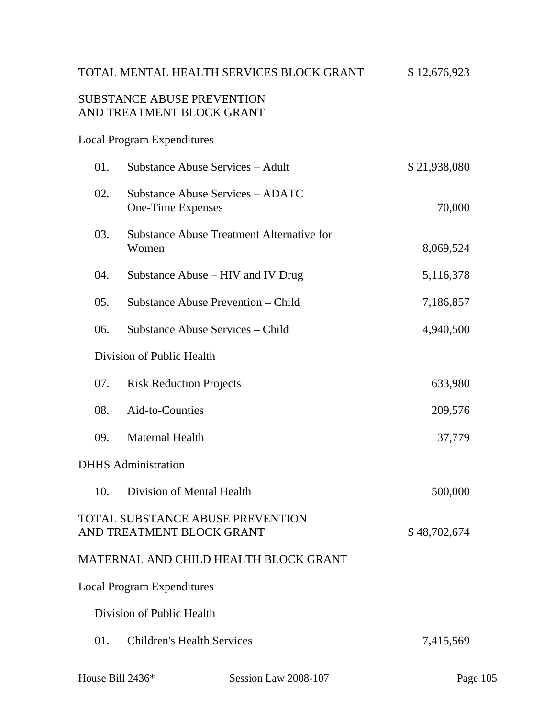# TOTAL MENTAL HEALTH SERVICES BLOCK GRANT  $$ 12,676,923$

## SUBSTANCE ABUSE PREVENTION AND TREATMENT BLOCK GRANT

## Local Program Expenditures

| 01. | <b>Substance Abuse Services - Adult</b>                       | \$21,938,080 |
|-----|---------------------------------------------------------------|--------------|
| 02. | Substance Abuse Services – ADATC<br>One-Time Expenses         | 70,000       |
| 03. | <b>Substance Abuse Treatment Alternative for</b><br>Women     | 8,069,524    |
| 04. | Substance Abuse – HIV and IV Drug                             | 5,116,378    |
| 05. | Substance Abuse Prevention – Child                            | 7,186,857    |
| 06. | Substance Abuse Services – Child                              | 4,940,500    |
|     | Division of Public Health                                     |              |
| 07. | <b>Risk Reduction Projects</b>                                | 633,980      |
| 08. | Aid-to-Counties                                               | 209,576      |
| 09. | <b>Maternal Health</b>                                        | 37,779       |
|     | <b>DHHS</b> Administration                                    |              |
| 10. | Division of Mental Health                                     | 500,000      |
|     | TOTAL SUBSTANCE ABUSE PREVENTION<br>AND TREATMENT BLOCK GRANT | \$48,702,674 |
|     | MATERNAL AND CHILD HEALTH BLOCK GRANT                         |              |
|     | <b>Local Program Expenditures</b>                             |              |
|     | Division of Public Health                                     |              |
| 01. | <b>Children's Health Services</b>                             | 7,415,569    |
|     |                                                               |              |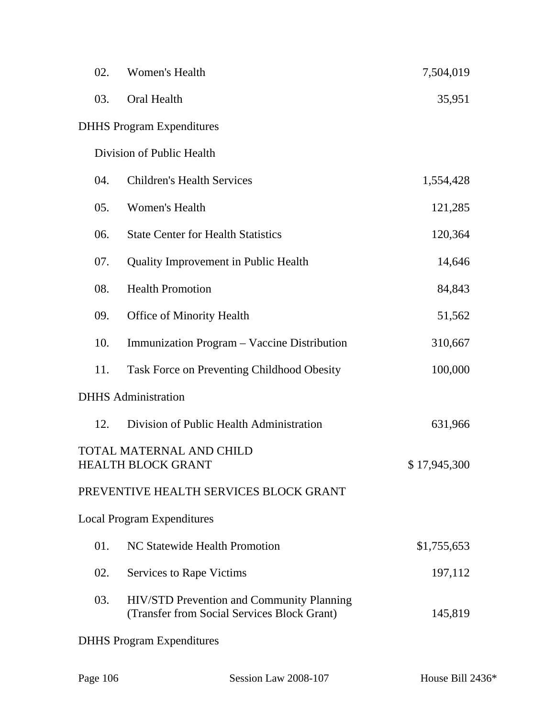| 02. | Women's Health                                                                                  | 7,504,019    |
|-----|-------------------------------------------------------------------------------------------------|--------------|
| 03. | Oral Health                                                                                     | 35,951       |
|     | <b>DHHS</b> Program Expenditures                                                                |              |
|     | Division of Public Health                                                                       |              |
| 04. | <b>Children's Health Services</b>                                                               | 1,554,428    |
| 05. | Women's Health                                                                                  | 121,285      |
| 06. | <b>State Center for Health Statistics</b>                                                       | 120,364      |
| 07. | Quality Improvement in Public Health                                                            | 14,646       |
| 08. | <b>Health Promotion</b>                                                                         | 84,843       |
| 09. | <b>Office of Minority Health</b>                                                                | 51,562       |
| 10. | Immunization Program – Vaccine Distribution                                                     | 310,667      |
| 11. | Task Force on Preventing Childhood Obesity                                                      | 100,000      |
|     | <b>DHHS</b> Administration                                                                      |              |
| 12. | Division of Public Health Administration                                                        | 631,966      |
|     | <b>TOTAL MATERNAL AND CHILD</b><br><b>HEALTH BLOCK GRANT</b>                                    | \$17,945,300 |
|     | PREVENTIVE HEALTH SERVICES BLOCK GRANT                                                          |              |
|     | <b>Local Program Expenditures</b>                                                               |              |
| 01. | NC Statewide Health Promotion                                                                   | \$1,755,653  |
| 02. | <b>Services to Rape Victims</b>                                                                 | 197,112      |
| 03. | <b>HIV/STD Prevention and Community Planning</b><br>(Transfer from Social Services Block Grant) | 145,819      |
|     | <b>DHHS</b> Program Expenditures                                                                |              |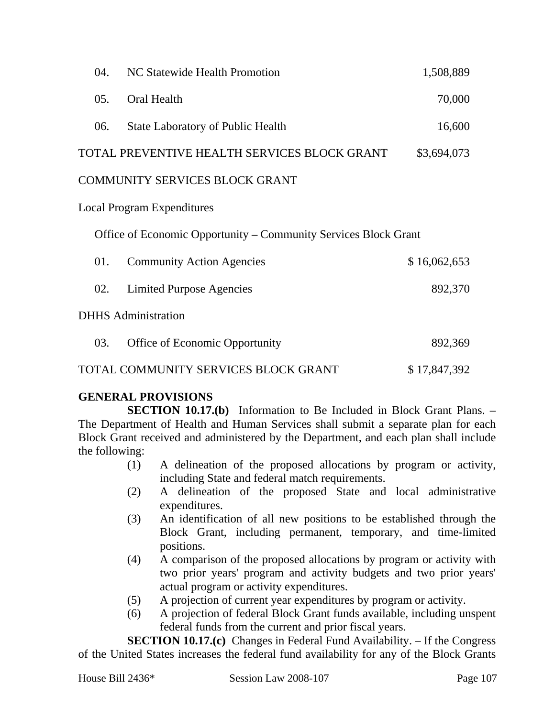| 04. | NC Statewide Health Promotion                                   | 1,508,889    |
|-----|-----------------------------------------------------------------|--------------|
| 05. | Oral Health                                                     | 70,000       |
| 06. | <b>State Laboratory of Public Health</b>                        | 16,600       |
|     | TOTAL PREVENTIVE HEALTH SERVICES BLOCK GRANT                    | \$3,694,073  |
|     | COMMUNITY SERVICES BLOCK GRANT                                  |              |
|     | <b>Local Program Expenditures</b>                               |              |
|     | Office of Economic Opportunity – Community Services Block Grant |              |
| 01. | <b>Community Action Agencies</b>                                | \$16,062,653 |
| 02. | <b>Limited Purpose Agencies</b>                                 | 892,370      |
|     | <b>DHHS</b> Administration                                      |              |
| 03. | Office of Economic Opportunity                                  | 892,369      |

TOTAL COMMUNITY SERVICES BLOCK GRANT \$17,847,392

# **GENERAL PROVISIONS**

**SECTION 10.17.(b)** Information to Be Included in Block Grant Plans. – The Department of Health and Human Services shall submit a separate plan for each Block Grant received and administered by the Department, and each plan shall include the following:

- (1) A delineation of the proposed allocations by program or activity, including State and federal match requirements.
- (2) A delineation of the proposed State and local administrative expenditures.
- (3) An identification of all new positions to be established through the Block Grant, including permanent, temporary, and time-limited positions.
- (4) A comparison of the proposed allocations by program or activity with two prior years' program and activity budgets and two prior years' actual program or activity expenditures.
- (5) A projection of current year expenditures by program or activity.
- (6) A projection of federal Block Grant funds available, including unspent federal funds from the current and prior fiscal years.

**SECTION 10.17.(c)** Changes in Federal Fund Availability. – If the Congress of the United States increases the federal fund availability for any of the Block Grants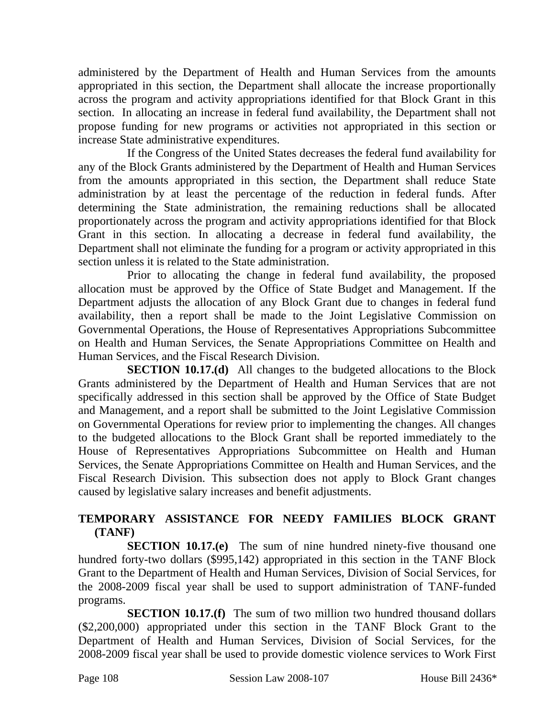administered by the Department of Health and Human Services from the amounts appropriated in this section, the Department shall allocate the increase proportionally across the program and activity appropriations identified for that Block Grant in this section. In allocating an increase in federal fund availability, the Department shall not propose funding for new programs or activities not appropriated in this section or increase State administrative expenditures.

If the Congress of the United States decreases the federal fund availability for any of the Block Grants administered by the Department of Health and Human Services from the amounts appropriated in this section, the Department shall reduce State administration by at least the percentage of the reduction in federal funds. After determining the State administration, the remaining reductions shall be allocated proportionately across the program and activity appropriations identified for that Block Grant in this section. In allocating a decrease in federal fund availability, the Department shall not eliminate the funding for a program or activity appropriated in this section unless it is related to the State administration.

Prior to allocating the change in federal fund availability, the proposed allocation must be approved by the Office of State Budget and Management. If the Department adjusts the allocation of any Block Grant due to changes in federal fund availability, then a report shall be made to the Joint Legislative Commission on Governmental Operations, the House of Representatives Appropriations Subcommittee on Health and Human Services, the Senate Appropriations Committee on Health and Human Services, and the Fiscal Research Division.

**SECTION 10.17.(d)** All changes to the budgeted allocations to the Block Grants administered by the Department of Health and Human Services that are not specifically addressed in this section shall be approved by the Office of State Budget and Management, and a report shall be submitted to the Joint Legislative Commission on Governmental Operations for review prior to implementing the changes. All changes to the budgeted allocations to the Block Grant shall be reported immediately to the House of Representatives Appropriations Subcommittee on Health and Human Services, the Senate Appropriations Committee on Health and Human Services, and the Fiscal Research Division. This subsection does not apply to Block Grant changes caused by legislative salary increases and benefit adjustments.

## **TEMPORARY ASSISTANCE FOR NEEDY FAMILIES BLOCK GRANT (TANF)**

**SECTION 10.17.(e)** The sum of nine hundred ninety-five thousand one hundred forty-two dollars (\$995,142) appropriated in this section in the TANF Block Grant to the Department of Health and Human Services, Division of Social Services, for the 2008-2009 fiscal year shall be used to support administration of TANF-funded programs.

**SECTION 10.17.(f)** The sum of two million two hundred thousand dollars (\$2,200,000) appropriated under this section in the TANF Block Grant to the Department of Health and Human Services, Division of Social Services, for the 2008-2009 fiscal year shall be used to provide domestic violence services to Work First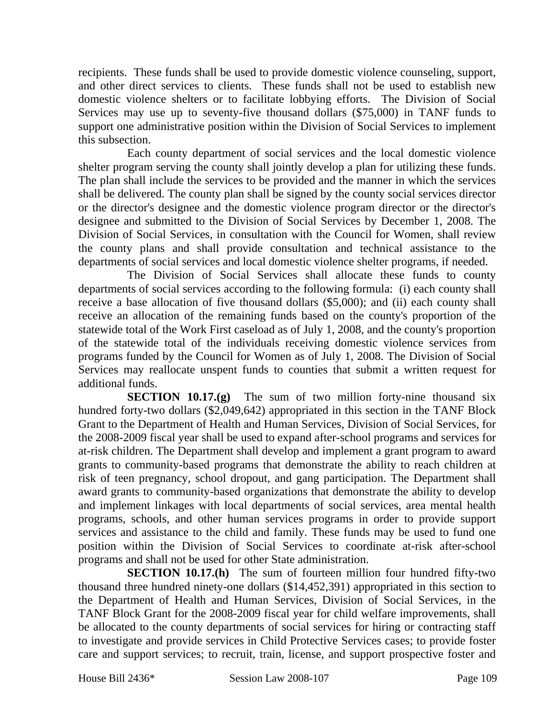recipients. These funds shall be used to provide domestic violence counseling, support, and other direct services to clients. These funds shall not be used to establish new domestic violence shelters or to facilitate lobbying efforts. The Division of Social Services may use up to seventy-five thousand dollars (\$75,000) in TANF funds to support one administrative position within the Division of Social Services to implement this subsection.

Each county department of social services and the local domestic violence shelter program serving the county shall jointly develop a plan for utilizing these funds. The plan shall include the services to be provided and the manner in which the services shall be delivered. The county plan shall be signed by the county social services director or the director's designee and the domestic violence program director or the director's designee and submitted to the Division of Social Services by December 1, 2008. The Division of Social Services, in consultation with the Council for Women, shall review the county plans and shall provide consultation and technical assistance to the departments of social services and local domestic violence shelter programs, if needed.

The Division of Social Services shall allocate these funds to county departments of social services according to the following formula: (i) each county shall receive a base allocation of five thousand dollars (\$5,000); and (ii) each county shall receive an allocation of the remaining funds based on the county's proportion of the statewide total of the Work First caseload as of July 1, 2008, and the county's proportion of the statewide total of the individuals receiving domestic violence services from programs funded by the Council for Women as of July 1, 2008. The Division of Social Services may reallocate unspent funds to counties that submit a written request for additional funds.

**SECTION 10.17.(g)** The sum of two million forty-nine thousand six hundred forty-two dollars (\$2,049,642) appropriated in this section in the TANF Block Grant to the Department of Health and Human Services, Division of Social Services, for the 2008-2009 fiscal year shall be used to expand after-school programs and services for at-risk children. The Department shall develop and implement a grant program to award grants to community-based programs that demonstrate the ability to reach children at risk of teen pregnancy, school dropout, and gang participation. The Department shall award grants to community-based organizations that demonstrate the ability to develop and implement linkages with local departments of social services, area mental health programs, schools, and other human services programs in order to provide support services and assistance to the child and family. These funds may be used to fund one position within the Division of Social Services to coordinate at-risk after-school programs and shall not be used for other State administration.

**SECTION 10.17.(h)** The sum of fourteen million four hundred fifty-two thousand three hundred ninety-one dollars (\$14,452,391) appropriated in this section to the Department of Health and Human Services, Division of Social Services, in the TANF Block Grant for the 2008-2009 fiscal year for child welfare improvements, shall be allocated to the county departments of social services for hiring or contracting staff to investigate and provide services in Child Protective Services cases; to provide foster care and support services; to recruit, train, license, and support prospective foster and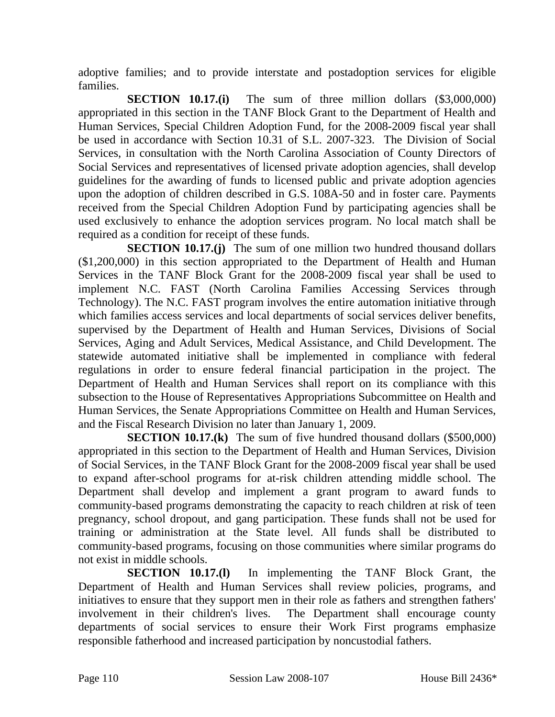adoptive families; and to provide interstate and postadoption services for eligible families.

**SECTION 10.17.(i)** The sum of three million dollars (\$3,000,000) appropriated in this section in the TANF Block Grant to the Department of Health and Human Services, Special Children Adoption Fund, for the 2008-2009 fiscal year shall be used in accordance with Section 10.31 of S.L. 2007-323. The Division of Social Services, in consultation with the North Carolina Association of County Directors of Social Services and representatives of licensed private adoption agencies, shall develop guidelines for the awarding of funds to licensed public and private adoption agencies upon the adoption of children described in G.S. 108A-50 and in foster care. Payments received from the Special Children Adoption Fund by participating agencies shall be used exclusively to enhance the adoption services program. No local match shall be required as a condition for receipt of these funds.

**SECTION 10.17.(j)** The sum of one million two hundred thousand dollars (\$1,200,000) in this section appropriated to the Department of Health and Human Services in the TANF Block Grant for the 2008-2009 fiscal year shall be used to implement N.C. FAST (North Carolina Families Accessing Services through Technology). The N.C. FAST program involves the entire automation initiative through which families access services and local departments of social services deliver benefits, supervised by the Department of Health and Human Services, Divisions of Social Services, Aging and Adult Services, Medical Assistance, and Child Development. The statewide automated initiative shall be implemented in compliance with federal regulations in order to ensure federal financial participation in the project. The Department of Health and Human Services shall report on its compliance with this subsection to the House of Representatives Appropriations Subcommittee on Health and Human Services, the Senate Appropriations Committee on Health and Human Services, and the Fiscal Research Division no later than January 1, 2009.

**SECTION 10.17.(k)** The sum of five hundred thousand dollars (\$500,000) appropriated in this section to the Department of Health and Human Services, Division of Social Services, in the TANF Block Grant for the 2008-2009 fiscal year shall be used to expand after-school programs for at-risk children attending middle school. The Department shall develop and implement a grant program to award funds to community-based programs demonstrating the capacity to reach children at risk of teen pregnancy, school dropout, and gang participation. These funds shall not be used for training or administration at the State level. All funds shall be distributed to community-based programs, focusing on those communities where similar programs do not exist in middle schools.

**SECTION 10.17.(l)** In implementing the TANF Block Grant, the Department of Health and Human Services shall review policies, programs, and initiatives to ensure that they support men in their role as fathers and strengthen fathers' involvement in their children's lives. The Department shall encourage county departments of social services to ensure their Work First programs emphasize responsible fatherhood and increased participation by noncustodial fathers.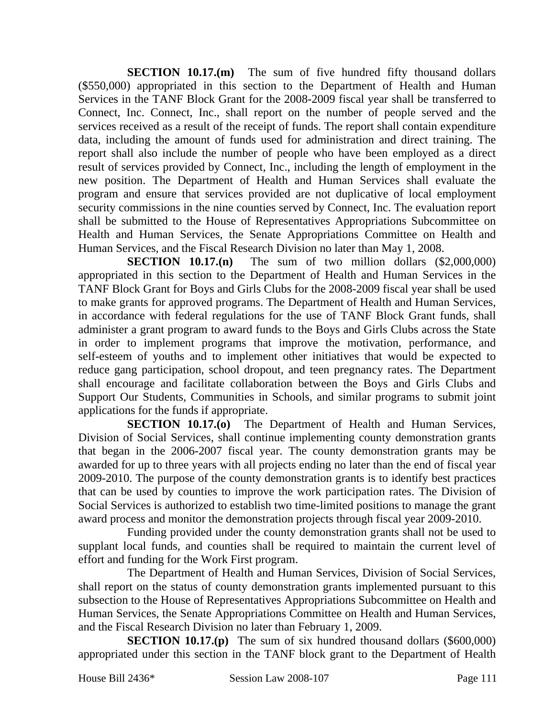**SECTION 10.17.(m)** The sum of five hundred fifty thousand dollars (\$550,000) appropriated in this section to the Department of Health and Human Services in the TANF Block Grant for the 2008-2009 fiscal year shall be transferred to Connect, Inc. Connect, Inc., shall report on the number of people served and the services received as a result of the receipt of funds. The report shall contain expenditure data, including the amount of funds used for administration and direct training. The report shall also include the number of people who have been employed as a direct result of services provided by Connect, Inc., including the length of employment in the new position. The Department of Health and Human Services shall evaluate the program and ensure that services provided are not duplicative of local employment security commissions in the nine counties served by Connect, Inc. The evaluation report shall be submitted to the House of Representatives Appropriations Subcommittee on Health and Human Services, the Senate Appropriations Committee on Health and Human Services, and the Fiscal Research Division no later than May 1, 2008.

**SECTION 10.17.(n)** The sum of two million dollars (\$2,000,000) appropriated in this section to the Department of Health and Human Services in the TANF Block Grant for Boys and Girls Clubs for the 2008-2009 fiscal year shall be used to make grants for approved programs. The Department of Health and Human Services, in accordance with federal regulations for the use of TANF Block Grant funds, shall administer a grant program to award funds to the Boys and Girls Clubs across the State in order to implement programs that improve the motivation, performance, and self-esteem of youths and to implement other initiatives that would be expected to reduce gang participation, school dropout, and teen pregnancy rates. The Department shall encourage and facilitate collaboration between the Boys and Girls Clubs and Support Our Students, Communities in Schools, and similar programs to submit joint applications for the funds if appropriate.

**SECTION 10.17.(o)** The Department of Health and Human Services, Division of Social Services, shall continue implementing county demonstration grants that began in the 2006-2007 fiscal year. The county demonstration grants may be awarded for up to three years with all projects ending no later than the end of fiscal year 2009-2010. The purpose of the county demonstration grants is to identify best practices that can be used by counties to improve the work participation rates. The Division of Social Services is authorized to establish two time-limited positions to manage the grant award process and monitor the demonstration projects through fiscal year 2009-2010.

Funding provided under the county demonstration grants shall not be used to supplant local funds, and counties shall be required to maintain the current level of effort and funding for the Work First program.

The Department of Health and Human Services, Division of Social Services, shall report on the status of county demonstration grants implemented pursuant to this subsection to the House of Representatives Appropriations Subcommittee on Health and Human Services, the Senate Appropriations Committee on Health and Human Services, and the Fiscal Research Division no later than February 1, 2009.

**SECTION 10.17.(p)** The sum of six hundred thousand dollars (\$600,000) appropriated under this section in the TANF block grant to the Department of Health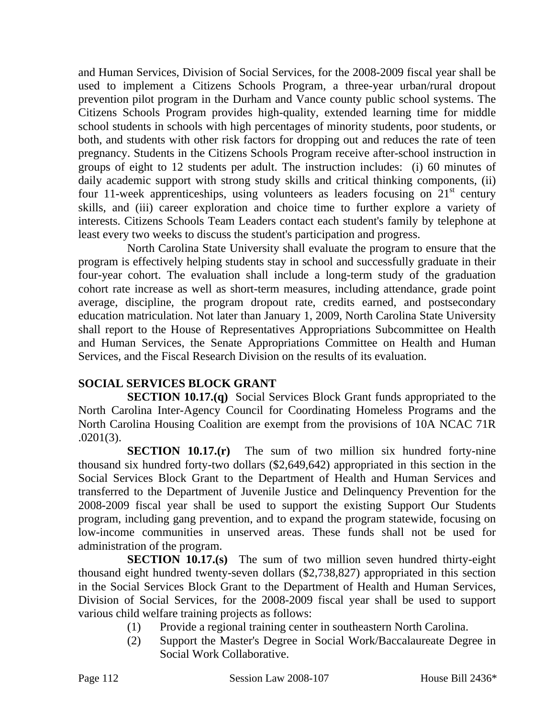and Human Services, Division of Social Services, for the 2008-2009 fiscal year shall be used to implement a Citizens Schools Program, a three-year urban/rural dropout prevention pilot program in the Durham and Vance county public school systems. The Citizens Schools Program provides high-quality, extended learning time for middle school students in schools with high percentages of minority students, poor students, or both, and students with other risk factors for dropping out and reduces the rate of teen pregnancy. Students in the Citizens Schools Program receive after-school instruction in groups of eight to 12 students per adult. The instruction includes: (i) 60 minutes of daily academic support with strong study skills and critical thinking components, (ii) four 11-week apprenticeships, using volunteers as leaders focusing on  $21<sup>st</sup>$  century skills, and (iii) career exploration and choice time to further explore a variety of interests. Citizens Schools Team Leaders contact each student's family by telephone at least every two weeks to discuss the student's participation and progress.

North Carolina State University shall evaluate the program to ensure that the program is effectively helping students stay in school and successfully graduate in their four-year cohort. The evaluation shall include a long-term study of the graduation cohort rate increase as well as short-term measures, including attendance, grade point average, discipline, the program dropout rate, credits earned, and postsecondary education matriculation. Not later than January 1, 2009, North Carolina State University shall report to the House of Representatives Appropriations Subcommittee on Health and Human Services, the Senate Appropriations Committee on Health and Human Services, and the Fiscal Research Division on the results of its evaluation.

## **SOCIAL SERVICES BLOCK GRANT**

**SECTION 10.17.(q)** Social Services Block Grant funds appropriated to the North Carolina Inter-Agency Council for Coordinating Homeless Programs and the North Carolina Housing Coalition are exempt from the provisions of 10A NCAC 71R .0201(3).

**SECTION 10.17.(r)** The sum of two million six hundred forty-nine thousand six hundred forty-two dollars (\$2,649,642) appropriated in this section in the Social Services Block Grant to the Department of Health and Human Services and transferred to the Department of Juvenile Justice and Delinquency Prevention for the 2008-2009 fiscal year shall be used to support the existing Support Our Students program, including gang prevention, and to expand the program statewide, focusing on low-income communities in unserved areas. These funds shall not be used for administration of the program.

**SECTION 10.17.(s)** The sum of two million seven hundred thirty-eight thousand eight hundred twenty-seven dollars (\$2,738,827) appropriated in this section in the Social Services Block Grant to the Department of Health and Human Services, Division of Social Services, for the 2008-2009 fiscal year shall be used to support various child welfare training projects as follows:

- (1) Provide a regional training center in southeastern North Carolina.
- (2) Support the Master's Degree in Social Work/Baccalaureate Degree in Social Work Collaborative.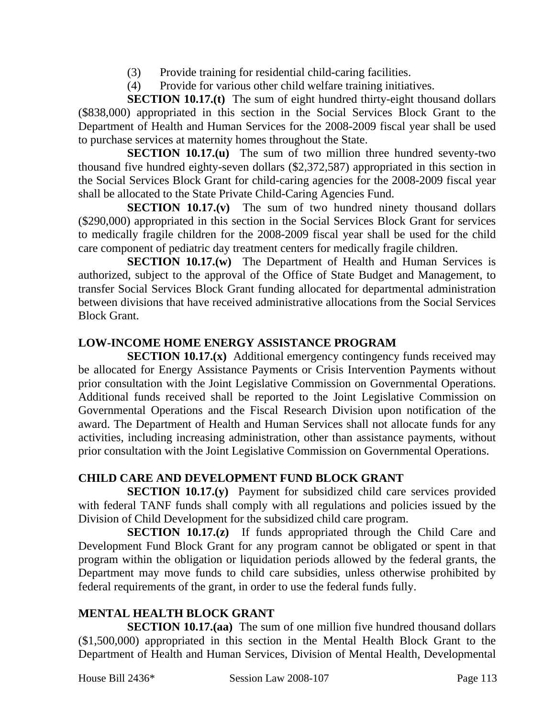- (3) Provide training for residential child-caring facilities.
- (4) Provide for various other child welfare training initiatives.

**SECTION 10.17.(t)** The sum of eight hundred thirty-eight thousand dollars (\$838,000) appropriated in this section in the Social Services Block Grant to the Department of Health and Human Services for the 2008-2009 fiscal year shall be used to purchase services at maternity homes throughout the State.

**SECTION 10.17.(u)** The sum of two million three hundred seventy-two thousand five hundred eighty-seven dollars (\$2,372,587) appropriated in this section in the Social Services Block Grant for child-caring agencies for the 2008-2009 fiscal year shall be allocated to the State Private Child-Caring Agencies Fund.

**SECTION 10.17.(v)** The sum of two hundred ninety thousand dollars (\$290,000) appropriated in this section in the Social Services Block Grant for services to medically fragile children for the 2008-2009 fiscal year shall be used for the child care component of pediatric day treatment centers for medically fragile children.

**SECTION 10.17.(w)** The Department of Health and Human Services is authorized, subject to the approval of the Office of State Budget and Management, to transfer Social Services Block Grant funding allocated for departmental administration between divisions that have received administrative allocations from the Social Services Block Grant.

### **LOW-INCOME HOME ENERGY ASSISTANCE PROGRAM**

**SECTION 10.17.(x)** Additional emergency contingency funds received may be allocated for Energy Assistance Payments or Crisis Intervention Payments without prior consultation with the Joint Legislative Commission on Governmental Operations. Additional funds received shall be reported to the Joint Legislative Commission on Governmental Operations and the Fiscal Research Division upon notification of the award. The Department of Health and Human Services shall not allocate funds for any activities, including increasing administration, other than assistance payments, without prior consultation with the Joint Legislative Commission on Governmental Operations.

## **CHILD CARE AND DEVELOPMENT FUND BLOCK GRANT**

**SECTION 10.17.(y)** Payment for subsidized child care services provided with federal TANF funds shall comply with all regulations and policies issued by the Division of Child Development for the subsidized child care program.

**SECTION 10.17.(z)** If funds appropriated through the Child Care and Development Fund Block Grant for any program cannot be obligated or spent in that program within the obligation or liquidation periods allowed by the federal grants, the Department may move funds to child care subsidies, unless otherwise prohibited by federal requirements of the grant, in order to use the federal funds fully.

## **MENTAL HEALTH BLOCK GRANT**

**SECTION 10.17.(aa)** The sum of one million five hundred thousand dollars (\$1,500,000) appropriated in this section in the Mental Health Block Grant to the Department of Health and Human Services, Division of Mental Health, Developmental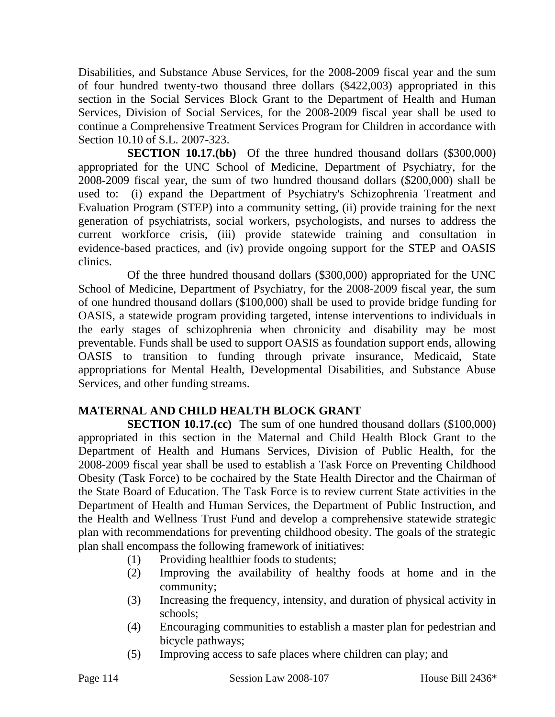Disabilities, and Substance Abuse Services, for the 2008-2009 fiscal year and the sum of four hundred twenty-two thousand three dollars (\$422,003) appropriated in this section in the Social Services Block Grant to the Department of Health and Human Services, Division of Social Services, for the 2008-2009 fiscal year shall be used to continue a Comprehensive Treatment Services Program for Children in accordance with Section 10.10 of S.L. 2007-323.

**SECTION 10.17.(bb)** Of the three hundred thousand dollars (\$300,000) appropriated for the UNC School of Medicine, Department of Psychiatry, for the 2008-2009 fiscal year, the sum of two hundred thousand dollars (\$200,000) shall be used to: (i) expand the Department of Psychiatry's Schizophrenia Treatment and Evaluation Program (STEP) into a community setting, (ii) provide training for the next generation of psychiatrists, social workers, psychologists, and nurses to address the current workforce crisis, (iii) provide statewide training and consultation in evidence-based practices, and (iv) provide ongoing support for the STEP and OASIS clinics.

Of the three hundred thousand dollars (\$300,000) appropriated for the UNC School of Medicine, Department of Psychiatry, for the 2008-2009 fiscal year, the sum of one hundred thousand dollars (\$100,000) shall be used to provide bridge funding for OASIS, a statewide program providing targeted, intense interventions to individuals in the early stages of schizophrenia when chronicity and disability may be most preventable. Funds shall be used to support OASIS as foundation support ends, allowing OASIS to transition to funding through private insurance, Medicaid, State appropriations for Mental Health, Developmental Disabilities, and Substance Abuse Services, and other funding streams.

#### **MATERNAL AND CHILD HEALTH BLOCK GRANT**

**SECTION 10.17.(cc)** The sum of one hundred thousand dollars (\$100,000) appropriated in this section in the Maternal and Child Health Block Grant to the Department of Health and Humans Services, Division of Public Health, for the 2008-2009 fiscal year shall be used to establish a Task Force on Preventing Childhood Obesity (Task Force) to be cochaired by the State Health Director and the Chairman of the State Board of Education. The Task Force is to review current State activities in the Department of Health and Human Services, the Department of Public Instruction, and the Health and Wellness Trust Fund and develop a comprehensive statewide strategic plan with recommendations for preventing childhood obesity. The goals of the strategic plan shall encompass the following framework of initiatives:

- (1) Providing healthier foods to students;
- (2) Improving the availability of healthy foods at home and in the community;
- (3) Increasing the frequency, intensity, and duration of physical activity in schools;
- (4) Encouraging communities to establish a master plan for pedestrian and bicycle pathways;
- (5) Improving access to safe places where children can play; and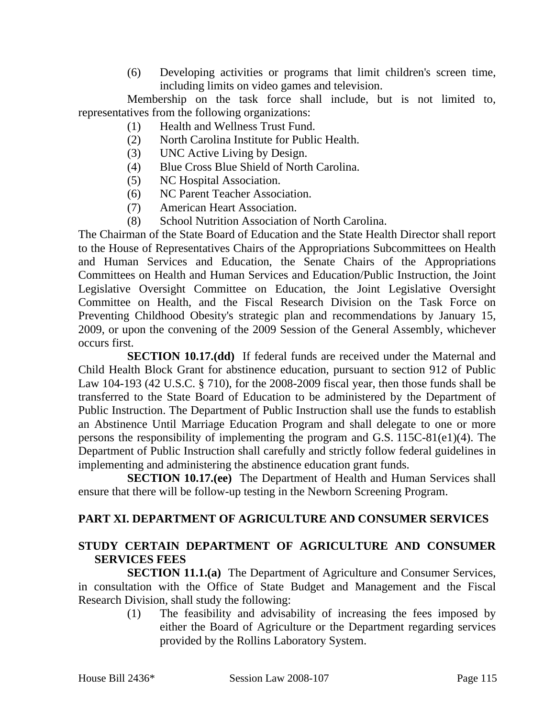(6) Developing activities or programs that limit children's screen time, including limits on video games and television.

Membership on the task force shall include, but is not limited to, representatives from the following organizations:

- (1) Health and Wellness Trust Fund.
- (2) North Carolina Institute for Public Health.
- (3) UNC Active Living by Design.
- (4) Blue Cross Blue Shield of North Carolina.
- (5) NC Hospital Association.
- (6) NC Parent Teacher Association.
- (7) American Heart Association.
- (8) School Nutrition Association of North Carolina.

The Chairman of the State Board of Education and the State Health Director shall report to the House of Representatives Chairs of the Appropriations Subcommittees on Health and Human Services and Education, the Senate Chairs of the Appropriations Committees on Health and Human Services and Education/Public Instruction, the Joint Legislative Oversight Committee on Education, the Joint Legislative Oversight Committee on Health, and the Fiscal Research Division on the Task Force on Preventing Childhood Obesity's strategic plan and recommendations by January 15, 2009, or upon the convening of the 2009 Session of the General Assembly, whichever occurs first.

**SECTION 10.17.(dd)** If federal funds are received under the Maternal and Child Health Block Grant for abstinence education, pursuant to section 912 of Public Law 104-193 (42 U.S.C. § 710), for the 2008-2009 fiscal year, then those funds shall be transferred to the State Board of Education to be administered by the Department of Public Instruction. The Department of Public Instruction shall use the funds to establish an Abstinence Until Marriage Education Program and shall delegate to one or more persons the responsibility of implementing the program and G.S. 115C-81(e1)(4). The Department of Public Instruction shall carefully and strictly follow federal guidelines in implementing and administering the abstinence education grant funds.

**SECTION 10.17.(ee)** The Department of Health and Human Services shall ensure that there will be follow-up testing in the Newborn Screening Program.

#### **PART XI. DEPARTMENT OF AGRICULTURE AND CONSUMER SERVICES**

#### **STUDY CERTAIN DEPARTMENT OF AGRICULTURE AND CONSUMER SERVICES FEES**

**SECTION 11.1.(a)** The Department of Agriculture and Consumer Services, in consultation with the Office of State Budget and Management and the Fiscal Research Division, shall study the following:

> (1) The feasibility and advisability of increasing the fees imposed by either the Board of Agriculture or the Department regarding services provided by the Rollins Laboratory System.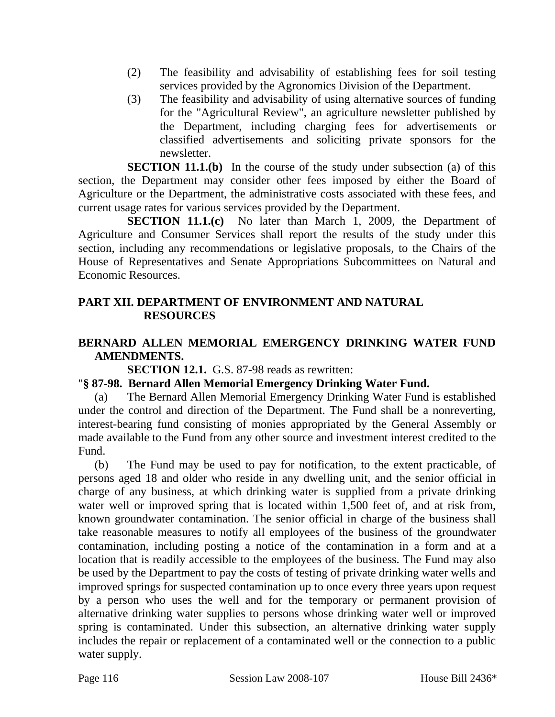- (2) The feasibility and advisability of establishing fees for soil testing services provided by the Agronomics Division of the Department.
- (3) The feasibility and advisability of using alternative sources of funding for the "Agricultural Review", an agriculture newsletter published by the Department, including charging fees for advertisements or classified advertisements and soliciting private sponsors for the newsletter.

**SECTION 11.1.(b)** In the course of the study under subsection (a) of this section, the Department may consider other fees imposed by either the Board of Agriculture or the Department, the administrative costs associated with these fees, and current usage rates for various services provided by the Department.

**SECTION 11.1.(c)** No later than March 1, 2009, the Department of Agriculture and Consumer Services shall report the results of the study under this section, including any recommendations or legislative proposals, to the Chairs of the House of Representatives and Senate Appropriations Subcommittees on Natural and Economic Resources.

## **PART XII. DEPARTMENT OF ENVIRONMENT AND NATURAL RESOURCES**

### **BERNARD ALLEN MEMORIAL EMERGENCY DRINKING WATER FUND AMENDMENTS.**

**SECTION 12.1.** G.S. 87-98 reads as rewritten:

#### "**§ 87-98. Bernard Allen Memorial Emergency Drinking Water Fund.**

(a) The Bernard Allen Memorial Emergency Drinking Water Fund is established under the control and direction of the Department. The Fund shall be a nonreverting, interest-bearing fund consisting of monies appropriated by the General Assembly or made available to the Fund from any other source and investment interest credited to the Fund.

(b) The Fund may be used to pay for notification, to the extent practicable, of persons aged 18 and older who reside in any dwelling unit, and the senior official in charge of any business, at which drinking water is supplied from a private drinking water well or improved spring that is located within 1,500 feet of, and at risk from, known groundwater contamination. The senior official in charge of the business shall take reasonable measures to notify all employees of the business of the groundwater contamination, including posting a notice of the contamination in a form and at a location that is readily accessible to the employees of the business. The Fund may also be used by the Department to pay the costs of testing of private drinking water wells and improved springs for suspected contamination up to once every three years upon request by a person who uses the well and for the temporary or permanent provision of alternative drinking water supplies to persons whose drinking water well or improved spring is contaminated. Under this subsection, an alternative drinking water supply includes the repair or replacement of a contaminated well or the connection to a public water supply.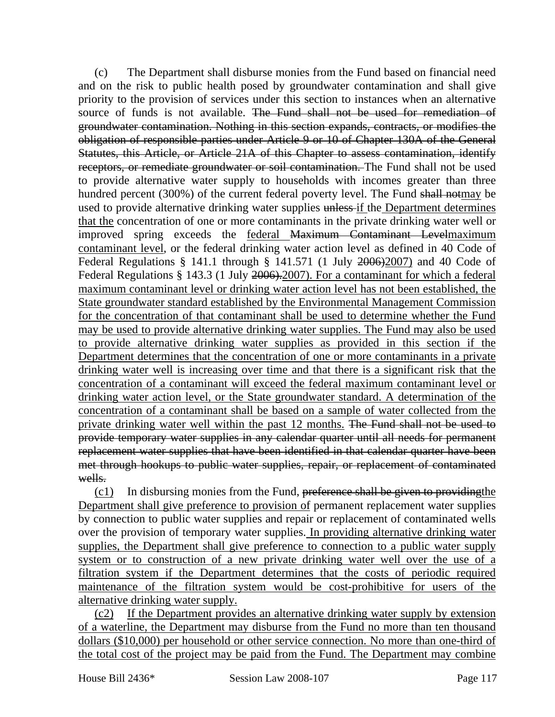(c) The Department shall disburse monies from the Fund based on financial need and on the risk to public health posed by groundwater contamination and shall give priority to the provision of services under this section to instances when an alternative source of funds is not available. The Fund shall not be used for remediation of groundwater contamination. Nothing in this section expands, contracts, or modifies the obligation of responsible parties under Article 9 or 10 of Chapter 130A of the General Statutes, this Article, or Article 21A of this Chapter to assess contamination, identify receptors, or remediate groundwater or soil contamination. The Fund shall not be used to provide alternative water supply to households with incomes greater than three hundred percent (300%) of the current federal poverty level. The Fund shall notmay be used to provide alternative drinking water supplies unless if the Department determines that the concentration of one or more contaminants in the private drinking water well or improved spring exceeds the federal Maximum Contaminant Levelmaximum contaminant level, or the federal drinking water action level as defined in 40 Code of Federal Regulations § 141.1 through § 141.571 (1 July 2006)2007) and 40 Code of Federal Regulations § 143.3 (1 July 2006). 2007). For a contaminant for which a federal maximum contaminant level or drinking water action level has not been established, the State groundwater standard established by the Environmental Management Commission for the concentration of that contaminant shall be used to determine whether the Fund may be used to provide alternative drinking water supplies. The Fund may also be used to provide alternative drinking water supplies as provided in this section if the Department determines that the concentration of one or more contaminants in a private drinking water well is increasing over time and that there is a significant risk that the concentration of a contaminant will exceed the federal maximum contaminant level or drinking water action level, or the State groundwater standard. A determination of the concentration of a contaminant shall be based on a sample of water collected from the private drinking water well within the past 12 months. The Fund shall not be used to provide temporary water supplies in any calendar quarter until all needs for permanent replacement water supplies that have been identified in that calendar quarter have been met through hookups to public water supplies, repair, or replacement of contaminated wells.

 $(c1)$  In disbursing monies from the Fund, preference shall be given to providing the Department shall give preference to provision of permanent replacement water supplies by connection to public water supplies and repair or replacement of contaminated wells over the provision of temporary water supplies. In providing alternative drinking water supplies, the Department shall give preference to connection to a public water supply system or to construction of a new private drinking water well over the use of a filtration system if the Department determines that the costs of periodic required maintenance of the filtration system would be cost-prohibitive for users of the alternative drinking water supply.

(c2) If the Department provides an alternative drinking water supply by extension of a waterline, the Department may disburse from the Fund no more than ten thousand dollars (\$10,000) per household or other service connection. No more than one-third of the total cost of the project may be paid from the Fund. The Department may combine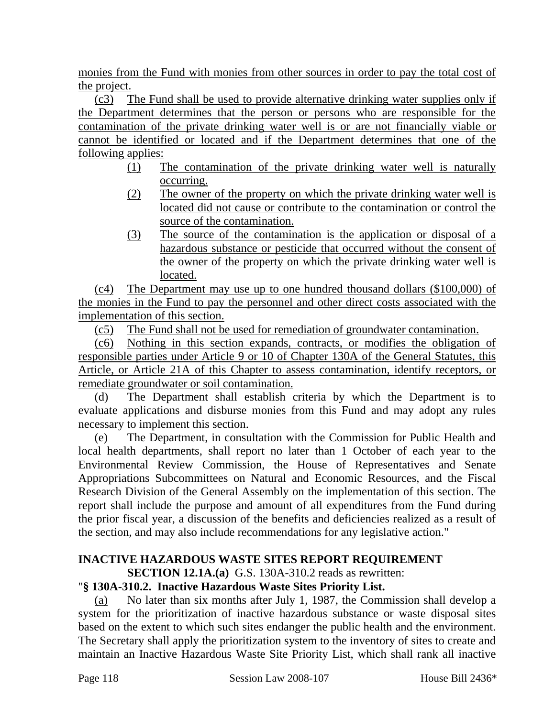monies from the Fund with monies from other sources in order to pay the total cost of the project.

(c3) The Fund shall be used to provide alternative drinking water supplies only if the Department determines that the person or persons who are responsible for the contamination of the private drinking water well is or are not financially viable or cannot be identified or located and if the Department determines that one of the following applies:

- (1) The contamination of the private drinking water well is naturally occurring.
- (2) The owner of the property on which the private drinking water well is located did not cause or contribute to the contamination or control the source of the contamination.
- (3) The source of the contamination is the application or disposal of a hazardous substance or pesticide that occurred without the consent of the owner of the property on which the private drinking water well is located.

(c4) The Department may use up to one hundred thousand dollars (\$100,000) of the monies in the Fund to pay the personnel and other direct costs associated with the implementation of this section.

(c5) The Fund shall not be used for remediation of groundwater contamination.

(c6) Nothing in this section expands, contracts, or modifies the obligation of responsible parties under Article 9 or 10 of Chapter 130A of the General Statutes, this Article, or Article 21A of this Chapter to assess contamination, identify receptors, or remediate groundwater or soil contamination.

(d) The Department shall establish criteria by which the Department is to evaluate applications and disburse monies from this Fund and may adopt any rules necessary to implement this section.

(e) The Department, in consultation with the Commission for Public Health and local health departments, shall report no later than 1 October of each year to the Environmental Review Commission, the House of Representatives and Senate Appropriations Subcommittees on Natural and Economic Resources, and the Fiscal Research Division of the General Assembly on the implementation of this section. The report shall include the purpose and amount of all expenditures from the Fund during the prior fiscal year, a discussion of the benefits and deficiencies realized as a result of the section, and may also include recommendations for any legislative action."

# **INACTIVE HAZARDOUS WASTE SITES REPORT REQUIREMENT**

**SECTION 12.1A.(a)** G.S. 130A-310.2 reads as rewritten:

# "**§ 130A-310.2. Inactive Hazardous Waste Sites Priority List.**

(a) No later than six months after July 1, 1987, the Commission shall develop a system for the prioritization of inactive hazardous substance or waste disposal sites based on the extent to which such sites endanger the public health and the environment. The Secretary shall apply the prioritization system to the inventory of sites to create and maintain an Inactive Hazardous Waste Site Priority List, which shall rank all inactive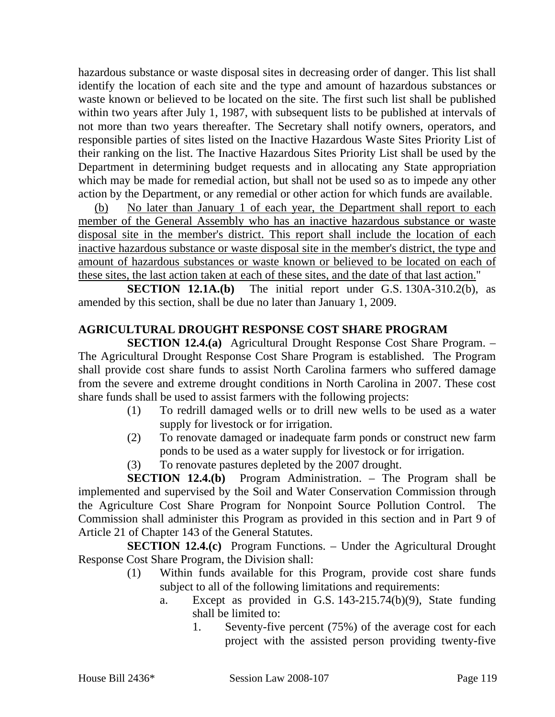hazardous substance or waste disposal sites in decreasing order of danger. This list shall identify the location of each site and the type and amount of hazardous substances or waste known or believed to be located on the site. The first such list shall be published within two years after July 1, 1987, with subsequent lists to be published at intervals of not more than two years thereafter. The Secretary shall notify owners, operators, and responsible parties of sites listed on the Inactive Hazardous Waste Sites Priority List of their ranking on the list. The Inactive Hazardous Sites Priority List shall be used by the Department in determining budget requests and in allocating any State appropriation which may be made for remedial action, but shall not be used so as to impede any other action by the Department, or any remedial or other action for which funds are available.

(b) No later than January 1 of each year, the Department shall report to each member of the General Assembly who has an inactive hazardous substance or waste disposal site in the member's district. This report shall include the location of each inactive hazardous substance or waste disposal site in the member's district, the type and amount of hazardous substances or waste known or believed to be located on each of these sites, the last action taken at each of these sites, and the date of that last action."

**SECTION 12.1A.(b)** The initial report under G.S. 130A-310.2(b), as amended by this section, shall be due no later than January 1, 2009.

# **AGRICULTURAL DROUGHT RESPONSE COST SHARE PROGRAM**

**SECTION 12.4.(a)** Agricultural Drought Response Cost Share Program. – The Agricultural Drought Response Cost Share Program is established. The Program shall provide cost share funds to assist North Carolina farmers who suffered damage from the severe and extreme drought conditions in North Carolina in 2007. These cost share funds shall be used to assist farmers with the following projects:

- (1) To redrill damaged wells or to drill new wells to be used as a water supply for livestock or for irrigation.
- (2) To renovate damaged or inadequate farm ponds or construct new farm ponds to be used as a water supply for livestock or for irrigation.
- (3) To renovate pastures depleted by the 2007 drought.

**SECTION 12.4.(b)** Program Administration. – The Program shall be implemented and supervised by the Soil and Water Conservation Commission through the Agriculture Cost Share Program for Nonpoint Source Pollution Control. The Commission shall administer this Program as provided in this section and in Part 9 of Article 21 of Chapter 143 of the General Statutes.

**SECTION 12.4.(c)** Program Functions. – Under the Agricultural Drought Response Cost Share Program, the Division shall:

- (1) Within funds available for this Program, provide cost share funds subject to all of the following limitations and requirements:
	- a. Except as provided in G.S. 143-215.74(b)(9), State funding shall be limited to:
		- 1. Seventy-five percent (75%) of the average cost for each project with the assisted person providing twenty-five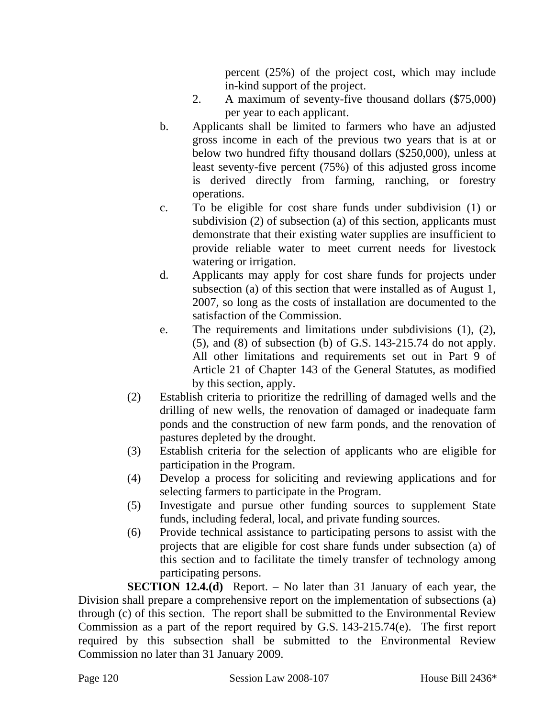percent (25%) of the project cost, which may include in-kind support of the project.

- 2. A maximum of seventy-five thousand dollars (\$75,000) per year to each applicant.
- b. Applicants shall be limited to farmers who have an adjusted gross income in each of the previous two years that is at or below two hundred fifty thousand dollars (\$250,000), unless at least seventy-five percent (75%) of this adjusted gross income is derived directly from farming, ranching, or forestry operations.
- c. To be eligible for cost share funds under subdivision (1) or subdivision (2) of subsection (a) of this section, applicants must demonstrate that their existing water supplies are insufficient to provide reliable water to meet current needs for livestock watering or irrigation.
- d. Applicants may apply for cost share funds for projects under subsection (a) of this section that were installed as of August 1, 2007, so long as the costs of installation are documented to the satisfaction of the Commission.
- e. The requirements and limitations under subdivisions (1), (2), (5), and (8) of subsection (b) of G.S. 143-215.74 do not apply. All other limitations and requirements set out in Part 9 of Article 21 of Chapter 143 of the General Statutes, as modified by this section, apply.
- (2) Establish criteria to prioritize the redrilling of damaged wells and the drilling of new wells, the renovation of damaged or inadequate farm ponds and the construction of new farm ponds, and the renovation of pastures depleted by the drought.
- (3) Establish criteria for the selection of applicants who are eligible for participation in the Program.
- (4) Develop a process for soliciting and reviewing applications and for selecting farmers to participate in the Program.
- (5) Investigate and pursue other funding sources to supplement State funds, including federal, local, and private funding sources.
- (6) Provide technical assistance to participating persons to assist with the projects that are eligible for cost share funds under subsection (a) of this section and to facilitate the timely transfer of technology among participating persons.

**SECTION 12.4.(d)** Report. – No later than 31 January of each year, the Division shall prepare a comprehensive report on the implementation of subsections (a) through (c) of this section. The report shall be submitted to the Environmental Review Commission as a part of the report required by G.S. 143-215.74(e). The first report required by this subsection shall be submitted to the Environmental Review Commission no later than 31 January 2009.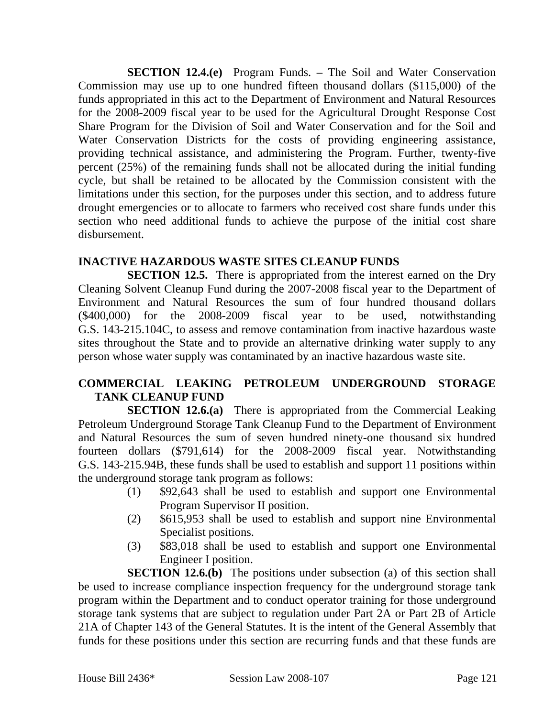**SECTION 12.4.(e)** Program Funds. – The Soil and Water Conservation Commission may use up to one hundred fifteen thousand dollars (\$115,000) of the funds appropriated in this act to the Department of Environment and Natural Resources for the 2008-2009 fiscal year to be used for the Agricultural Drought Response Cost Share Program for the Division of Soil and Water Conservation and for the Soil and Water Conservation Districts for the costs of providing engineering assistance, providing technical assistance, and administering the Program. Further, twenty-five percent (25%) of the remaining funds shall not be allocated during the initial funding cycle, but shall be retained to be allocated by the Commission consistent with the limitations under this section, for the purposes under this section, and to address future drought emergencies or to allocate to farmers who received cost share funds under this section who need additional funds to achieve the purpose of the initial cost share disbursement.

#### **INACTIVE HAZARDOUS WASTE SITES CLEANUP FUNDS**

**SECTION 12.5.** There is appropriated from the interest earned on the Dry Cleaning Solvent Cleanup Fund during the 2007-2008 fiscal year to the Department of Environment and Natural Resources the sum of four hundred thousand dollars (\$400,000) for the 2008-2009 fiscal year to be used, notwithstanding G.S. 143-215.104C, to assess and remove contamination from inactive hazardous waste sites throughout the State and to provide an alternative drinking water supply to any person whose water supply was contaminated by an inactive hazardous waste site.

### **COMMERCIAL LEAKING PETROLEUM UNDERGROUND STORAGE TANK CLEANUP FUND**

**SECTION 12.6.(a)** There is appropriated from the Commercial Leaking Petroleum Underground Storage Tank Cleanup Fund to the Department of Environment and Natural Resources the sum of seven hundred ninety-one thousand six hundred fourteen dollars (\$791,614) for the 2008-2009 fiscal year. Notwithstanding G.S. 143-215.94B, these funds shall be used to establish and support 11 positions within the underground storage tank program as follows:

- (1) \$92,643 shall be used to establish and support one Environmental Program Supervisor II position.
- (2) \$615,953 shall be used to establish and support nine Environmental Specialist positions.
- (3) \$83,018 shall be used to establish and support one Environmental Engineer I position.

**SECTION 12.6.(b)** The positions under subsection (a) of this section shall be used to increase compliance inspection frequency for the underground storage tank program within the Department and to conduct operator training for those underground storage tank systems that are subject to regulation under Part 2A or Part 2B of Article 21A of Chapter 143 of the General Statutes. It is the intent of the General Assembly that funds for these positions under this section are recurring funds and that these funds are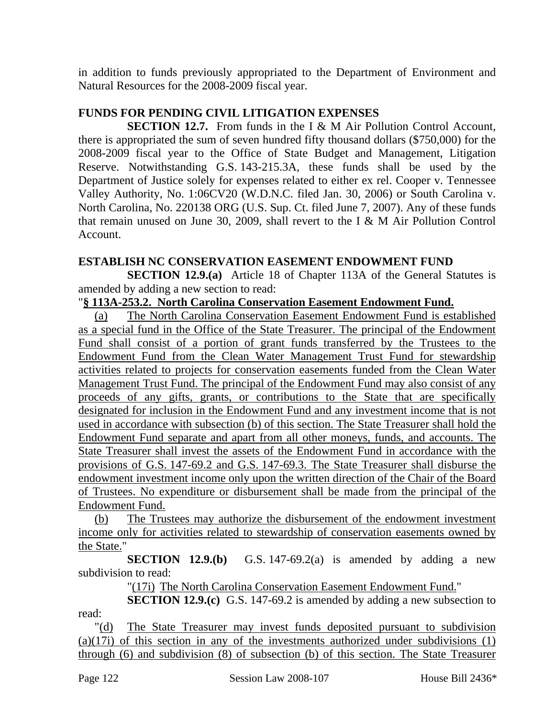in addition to funds previously appropriated to the Department of Environment and Natural Resources for the 2008-2009 fiscal year.

### **FUNDS FOR PENDING CIVIL LITIGATION EXPENSES**

**SECTION 12.7.** From funds in the I & M Air Pollution Control Account, there is appropriated the sum of seven hundred fifty thousand dollars (\$750,000) for the 2008-2009 fiscal year to the Office of State Budget and Management, Litigation Reserve. Notwithstanding G.S. 143-215.3A, these funds shall be used by the Department of Justice solely for expenses related to either ex rel. Cooper v. Tennessee Valley Authority, No. 1:06CV20 (W.D.N.C. filed Jan. 30, 2006) or South Carolina v. North Carolina, No. 220138 ORG (U.S. Sup. Ct. filed June 7, 2007). Any of these funds that remain unused on June 30, 2009, shall revert to the I & M Air Pollution Control Account.

#### **ESTABLISH NC CONSERVATION EASEMENT ENDOWMENT FUND**

**SECTION 12.9.(a)** Article 18 of Chapter 113A of the General Statutes is amended by adding a new section to read:

#### "**§ 113A-253.2. North Carolina Conservation Easement Endowment Fund.**

(a) The North Carolina Conservation Easement Endowment Fund is established as a special fund in the Office of the State Treasurer. The principal of the Endowment Fund shall consist of a portion of grant funds transferred by the Trustees to the Endowment Fund from the Clean Water Management Trust Fund for stewardship activities related to projects for conservation easements funded from the Clean Water Management Trust Fund. The principal of the Endowment Fund may also consist of any proceeds of any gifts, grants, or contributions to the State that are specifically designated for inclusion in the Endowment Fund and any investment income that is not used in accordance with subsection (b) of this section. The State Treasurer shall hold the Endowment Fund separate and apart from all other moneys, funds, and accounts. The State Treasurer shall invest the assets of the Endowment Fund in accordance with the provisions of G.S. 147-69.2 and G.S. 147-69.3. The State Treasurer shall disburse the endowment investment income only upon the written direction of the Chair of the Board of Trustees. No expenditure or disbursement shall be made from the principal of the Endowment Fund.

(b) The Trustees may authorize the disbursement of the endowment investment income only for activities related to stewardship of conservation easements owned by the State."

**SECTION 12.9.(b)** G.S. 147-69.2(a) is amended by adding a new subdivision to read:

"(17i) The North Carolina Conservation Easement Endowment Fund."

**SECTION 12.9.(c)** G.S. 147-69.2 is amended by adding a new subsection to read:

"(d) The State Treasurer may invest funds deposited pursuant to subdivision  $(a)(17i)$  of this section in any of the investments authorized under subdivisions  $(1)$ through (6) and subdivision (8) of subsection (b) of this section. The State Treasurer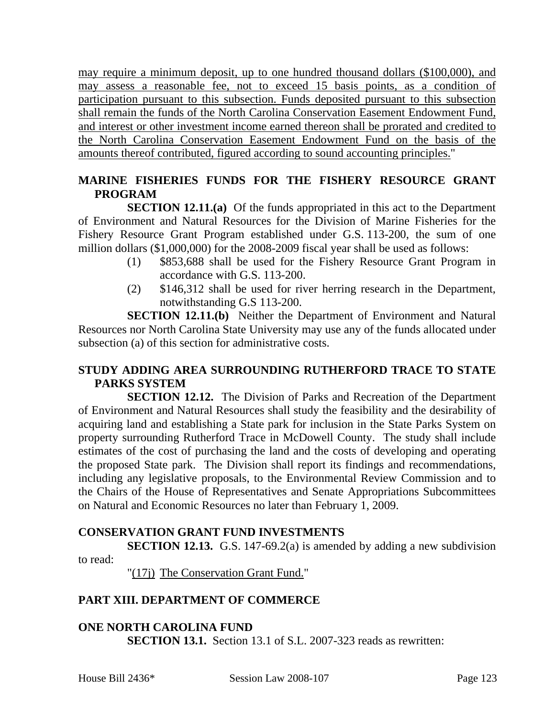may require a minimum deposit, up to one hundred thousand dollars (\$100,000), and may assess a reasonable fee, not to exceed 15 basis points, as a condition of participation pursuant to this subsection. Funds deposited pursuant to this subsection shall remain the funds of the North Carolina Conservation Easement Endowment Fund, and interest or other investment income earned thereon shall be prorated and credited to the North Carolina Conservation Easement Endowment Fund on the basis of the amounts thereof contributed, figured according to sound accounting principles."

## **MARINE FISHERIES FUNDS FOR THE FISHERY RESOURCE GRANT PROGRAM**

**SECTION 12.11.(a)** Of the funds appropriated in this act to the Department of Environment and Natural Resources for the Division of Marine Fisheries for the Fishery Resource Grant Program established under G.S. 113-200, the sum of one million dollars (\$1,000,000) for the 2008-2009 fiscal year shall be used as follows:

- (1) \$853,688 shall be used for the Fishery Resource Grant Program in accordance with G.S. 113-200.
- (2) \$146,312 shall be used for river herring research in the Department, notwithstanding G.S 113-200.

**SECTION 12.11.(b)** Neither the Department of Environment and Natural Resources nor North Carolina State University may use any of the funds allocated under subsection (a) of this section for administrative costs.

### **STUDY ADDING AREA SURROUNDING RUTHERFORD TRACE TO STATE PARKS SYSTEM**

**SECTION 12.12.** The Division of Parks and Recreation of the Department of Environment and Natural Resources shall study the feasibility and the desirability of acquiring land and establishing a State park for inclusion in the State Parks System on property surrounding Rutherford Trace in McDowell County. The study shall include estimates of the cost of purchasing the land and the costs of developing and operating the proposed State park. The Division shall report its findings and recommendations, including any legislative proposals, to the Environmental Review Commission and to the Chairs of the House of Representatives and Senate Appropriations Subcommittees on Natural and Economic Resources no later than February 1, 2009.

#### **CONSERVATION GRANT FUND INVESTMENTS**

**SECTION 12.13.** G.S. 147-69.2(a) is amended by adding a new subdivision to read:

"(17j) The Conservation Grant Fund."

#### **PART XIII. DEPARTMENT OF COMMERCE**

**ONE NORTH CAROLINA FUND SECTION 13.1.** Section 13.1 of S.L. 2007-323 reads as rewritten: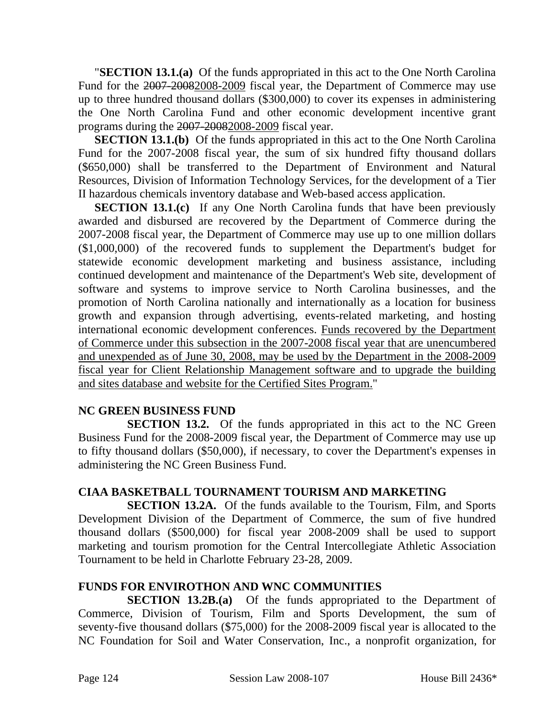"**SECTION 13.1.(a)** Of the funds appropriated in this act to the One North Carolina Fund for the 2007-20082008-2009 fiscal year, the Department of Commerce may use up to three hundred thousand dollars (\$300,000) to cover its expenses in administering the One North Carolina Fund and other economic development incentive grant programs during the 2007-20082008-2009 fiscal year.

**SECTION 13.1.(b)** Of the funds appropriated in this act to the One North Carolina Fund for the 2007-2008 fiscal year, the sum of six hundred fifty thousand dollars (\$650,000) shall be transferred to the Department of Environment and Natural Resources, Division of Information Technology Services, for the development of a Tier II hazardous chemicals inventory database and Web-based access application.

**SECTION 13.1.(c)** If any One North Carolina funds that have been previously awarded and disbursed are recovered by the Department of Commerce during the 2007-2008 fiscal year, the Department of Commerce may use up to one million dollars (\$1,000,000) of the recovered funds to supplement the Department's budget for statewide economic development marketing and business assistance, including continued development and maintenance of the Department's Web site, development of software and systems to improve service to North Carolina businesses, and the promotion of North Carolina nationally and internationally as a location for business growth and expansion through advertising, events-related marketing, and hosting international economic development conferences. Funds recovered by the Department of Commerce under this subsection in the 2007-2008 fiscal year that are unencumbered and unexpended as of June 30, 2008, may be used by the Department in the 2008-2009 fiscal year for Client Relationship Management software and to upgrade the building and sites database and website for the Certified Sites Program."

#### **NC GREEN BUSINESS FUND**

**SECTION 13.2.** Of the funds appropriated in this act to the NC Green Business Fund for the 2008-2009 fiscal year, the Department of Commerce may use up to fifty thousand dollars (\$50,000), if necessary, to cover the Department's expenses in administering the NC Green Business Fund.

# **CIAA BASKETBALL TOURNAMENT TOURISM AND MARKETING**

**SECTION 13.2A.** Of the funds available to the Tourism, Film, and Sports Development Division of the Department of Commerce, the sum of five hundred thousand dollars (\$500,000) for fiscal year 2008-2009 shall be used to support marketing and tourism promotion for the Central Intercollegiate Athletic Association Tournament to be held in Charlotte February 23-28, 2009.

## **FUNDS FOR ENVIROTHON AND WNC COMMUNITIES**

**SECTION 13.2B.(a)** Of the funds appropriated to the Department of Commerce, Division of Tourism, Film and Sports Development, the sum of seventy-five thousand dollars (\$75,000) for the 2008-2009 fiscal year is allocated to the NC Foundation for Soil and Water Conservation, Inc., a nonprofit organization, for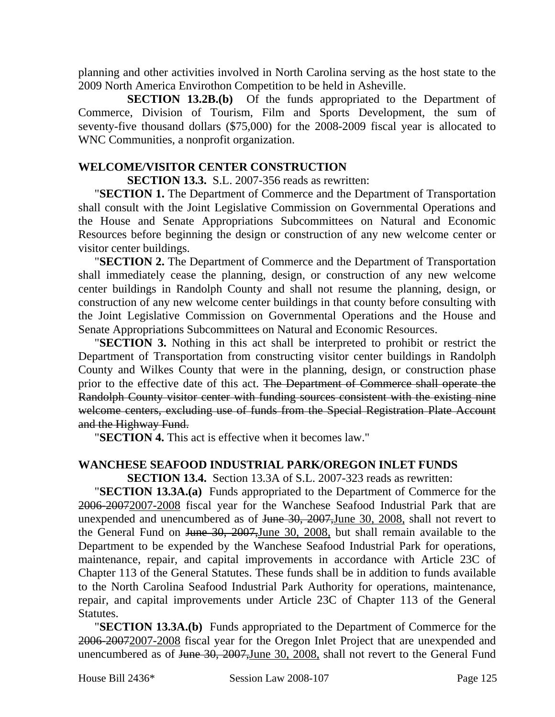planning and other activities involved in North Carolina serving as the host state to the 2009 North America Envirothon Competition to be held in Asheville.

**SECTION 13.2B.(b)** Of the funds appropriated to the Department of Commerce, Division of Tourism, Film and Sports Development, the sum of seventy-five thousand dollars (\$75,000) for the 2008-2009 fiscal year is allocated to WNC Communities, a nonprofit organization.

#### **WELCOME/VISITOR CENTER CONSTRUCTION**

**SECTION 13.3.** S.L. 2007-356 reads as rewritten:

"**SECTION 1.** The Department of Commerce and the Department of Transportation shall consult with the Joint Legislative Commission on Governmental Operations and the House and Senate Appropriations Subcommittees on Natural and Economic Resources before beginning the design or construction of any new welcome center or visitor center buildings.

"**SECTION 2.** The Department of Commerce and the Department of Transportation shall immediately cease the planning, design, or construction of any new welcome center buildings in Randolph County and shall not resume the planning, design, or construction of any new welcome center buildings in that county before consulting with the Joint Legislative Commission on Governmental Operations and the House and Senate Appropriations Subcommittees on Natural and Economic Resources.

"**SECTION 3.** Nothing in this act shall be interpreted to prohibit or restrict the Department of Transportation from constructing visitor center buildings in Randolph County and Wilkes County that were in the planning, design, or construction phase prior to the effective date of this act. The Department of Commerce shall operate the Randolph County visitor center with funding sources consistent with the existing nine welcome centers, excluding use of funds from the Special Registration Plate Account and the Highway Fund.

"**SECTION 4.** This act is effective when it becomes law."

## **WANCHESE SEAFOOD INDUSTRIAL PARK/OREGON INLET FUNDS**

**SECTION 13.4.** Section 13.3A of S.L. 2007-323 reads as rewritten:

"**SECTION 13.3A.(a)** Funds appropriated to the Department of Commerce for the 2006-20072007-2008 fiscal year for the Wanchese Seafood Industrial Park that are unexpended and unencumbered as of June 30, 2007,June 30, 2008, shall not revert to the General Fund on June 30, 2007,June 30, 2008, but shall remain available to the Department to be expended by the Wanchese Seafood Industrial Park for operations, maintenance, repair, and capital improvements in accordance with Article 23C of Chapter 113 of the General Statutes. These funds shall be in addition to funds available to the North Carolina Seafood Industrial Park Authority for operations, maintenance, repair, and capital improvements under Article 23C of Chapter 113 of the General Statutes.

"**SECTION 13.3A.(b)** Funds appropriated to the Department of Commerce for the 2006-20072007-2008 fiscal year for the Oregon Inlet Project that are unexpended and unencumbered as of June 30, 2007,June 30, 2008, shall not revert to the General Fund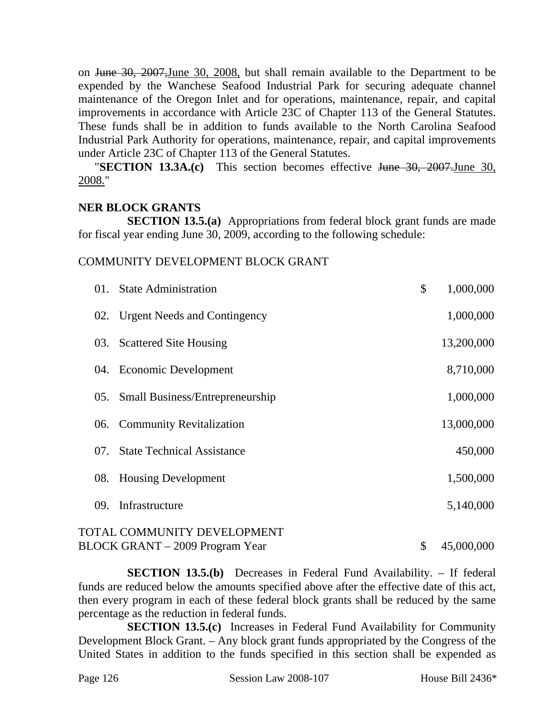on June 30, 2007,June 30, 2008, but shall remain available to the Department to be expended by the Wanchese Seafood Industrial Park for securing adequate channel maintenance of the Oregon Inlet and for operations, maintenance, repair, and capital improvements in accordance with Article 23C of Chapter 113 of the General Statutes. These funds shall be in addition to funds available to the North Carolina Seafood Industrial Park Authority for operations, maintenance, repair, and capital improvements under Article 23C of Chapter 113 of the General Statutes.

"**SECTION 13.3A.(c)** This section becomes effective June 30, 2007.June 30, 2008."

#### **NER BLOCK GRANTS**

**SECTION 13.5.(a)** Appropriations from federal block grant funds are made for fiscal year ending June 30, 2009, according to the following schedule:

#### COMMUNITY DEVELOPMENT BLOCK GRANT

| 01. | <b>State Administration</b>            | \$<br>1,000,000  |
|-----|----------------------------------------|------------------|
|     | 02. Urgent Needs and Contingency       | 1,000,000        |
|     | 03. Scattered Site Housing             | 13,200,000       |
|     | 04. Economic Development               | 8,710,000        |
|     | 05. Small Business/Entrepreneurship    | 1,000,000        |
|     | 06. Community Revitalization           | 13,000,000       |
| 07. | <b>State Technical Assistance</b>      | 450,000          |
| 08. | <b>Housing Development</b>             | 1,500,000        |
| 09. | Infrastructure                         | 5,140,000        |
|     | TOTAL COMMUNITY DEVELOPMENT            |                  |
|     | <b>BLOCK GRANT</b> – 2009 Program Year | \$<br>45,000,000 |

**SECTION 13.5.(b)** Decreases in Federal Fund Availability. – If federal funds are reduced below the amounts specified above after the effective date of this act, then every program in each of these federal block grants shall be reduced by the same percentage as the reduction in federal funds.

**SECTION 13.5.(c)** Increases in Federal Fund Availability for Community Development Block Grant. – Any block grant funds appropriated by the Congress of the United States in addition to the funds specified in this section shall be expended as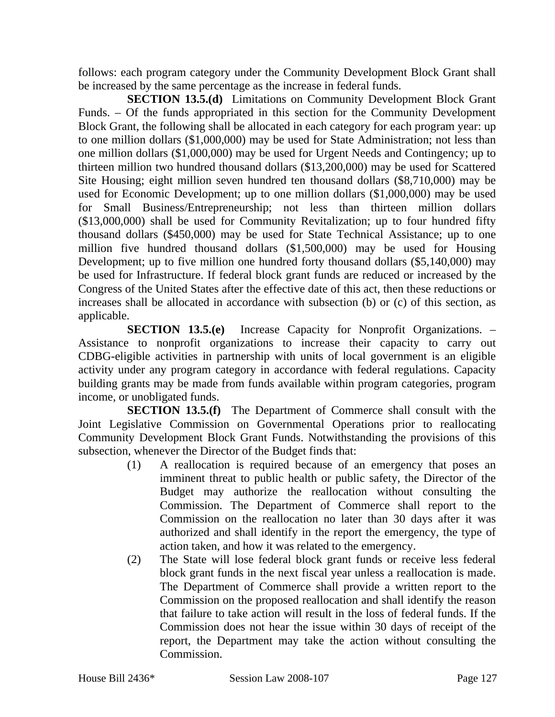follows: each program category under the Community Development Block Grant shall be increased by the same percentage as the increase in federal funds.

**SECTION 13.5.(d)** Limitations on Community Development Block Grant Funds. – Of the funds appropriated in this section for the Community Development Block Grant, the following shall be allocated in each category for each program year: up to one million dollars (\$1,000,000) may be used for State Administration; not less than one million dollars (\$1,000,000) may be used for Urgent Needs and Contingency; up to thirteen million two hundred thousand dollars (\$13,200,000) may be used for Scattered Site Housing; eight million seven hundred ten thousand dollars (\$8,710,000) may be used for Economic Development; up to one million dollars (\$1,000,000) may be used for Small Business/Entrepreneurship; not less than thirteen million dollars (\$13,000,000) shall be used for Community Revitalization; up to four hundred fifty thousand dollars (\$450,000) may be used for State Technical Assistance; up to one million five hundred thousand dollars (\$1,500,000) may be used for Housing Development; up to five million one hundred forty thousand dollars (\$5,140,000) may be used for Infrastructure. If federal block grant funds are reduced or increased by the Congress of the United States after the effective date of this act, then these reductions or increases shall be allocated in accordance with subsection (b) or (c) of this section, as applicable.

**SECTION 13.5.(e)** Increase Capacity for Nonprofit Organizations. – Assistance to nonprofit organizations to increase their capacity to carry out CDBG-eligible activities in partnership with units of local government is an eligible activity under any program category in accordance with federal regulations. Capacity building grants may be made from funds available within program categories, program income, or unobligated funds.

**SECTION 13.5.(f)** The Department of Commerce shall consult with the Joint Legislative Commission on Governmental Operations prior to reallocating Community Development Block Grant Funds. Notwithstanding the provisions of this subsection, whenever the Director of the Budget finds that:

- (1) A reallocation is required because of an emergency that poses an imminent threat to public health or public safety, the Director of the Budget may authorize the reallocation without consulting the Commission. The Department of Commerce shall report to the Commission on the reallocation no later than 30 days after it was authorized and shall identify in the report the emergency, the type of action taken, and how it was related to the emergency.
- (2) The State will lose federal block grant funds or receive less federal block grant funds in the next fiscal year unless a reallocation is made. The Department of Commerce shall provide a written report to the Commission on the proposed reallocation and shall identify the reason that failure to take action will result in the loss of federal funds. If the Commission does not hear the issue within 30 days of receipt of the report, the Department may take the action without consulting the Commission.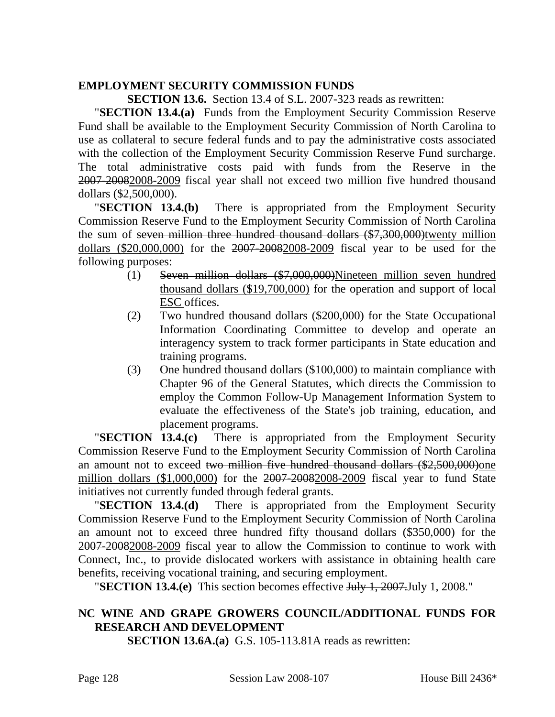#### **EMPLOYMENT SECURITY COMMISSION FUNDS**

**SECTION 13.6.** Section 13.4 of S.L. 2007-323 reads as rewritten:

"**SECTION 13.4.(a)** Funds from the Employment Security Commission Reserve Fund shall be available to the Employment Security Commission of North Carolina to use as collateral to secure federal funds and to pay the administrative costs associated with the collection of the Employment Security Commission Reserve Fund surcharge. The total administrative costs paid with funds from the Reserve in the 2007-20082008-2009 fiscal year shall not exceed two million five hundred thousand dollars (\$2,500,000).

"**SECTION 13.4.(b)** There is appropriated from the Employment Security Commission Reserve Fund to the Employment Security Commission of North Carolina the sum of seven million three hundred thousand dollars (\$7,300,000)twenty million dollars (\$20,000,000) for the 2007-20082008-2009 fiscal year to be used for the following purposes:

- (1) Seven million dollars (\$7,000,000)Nineteen million seven hundred thousand dollars (\$19,700,000) for the operation and support of local ESC offices.
- (2) Two hundred thousand dollars (\$200,000) for the State Occupational Information Coordinating Committee to develop and operate an interagency system to track former participants in State education and training programs.
- (3) One hundred thousand dollars (\$100,000) to maintain compliance with Chapter 96 of the General Statutes, which directs the Commission to employ the Common Follow-Up Management Information System to evaluate the effectiveness of the State's job training, education, and placement programs.

"**SECTION 13.4.(c)** There is appropriated from the Employment Security Commission Reserve Fund to the Employment Security Commission of North Carolina an amount not to exceed two million five hundred thousand dollars (\$2,500,000)one million dollars (\$1,000,000) for the 2007-20082008-2009 fiscal year to fund State initiatives not currently funded through federal grants.

"**SECTION 13.4.(d)** There is appropriated from the Employment Security Commission Reserve Fund to the Employment Security Commission of North Carolina an amount not to exceed three hundred fifty thousand dollars (\$350,000) for the 2007-20082008-2009 fiscal year to allow the Commission to continue to work with Connect, Inc., to provide dislocated workers with assistance in obtaining health care benefits, receiving vocational training, and securing employment.

"**SECTION 13.4.(e)** This section becomes effective July 1, 2007.July 1, 2008."

### **NC WINE AND GRAPE GROWERS COUNCIL/ADDITIONAL FUNDS FOR RESEARCH AND DEVELOPMENT**

**SECTION 13.6A.(a)** G.S. 105-113.81A reads as rewritten: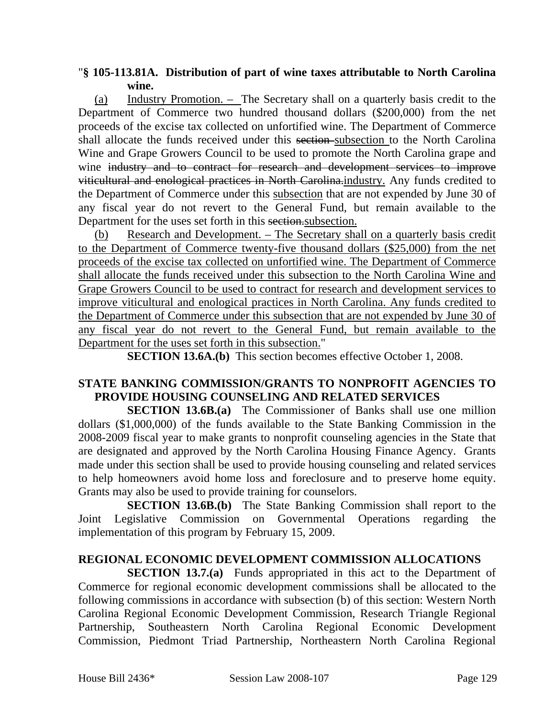#### "**§ 105-113.81A. Distribution of part of wine taxes attributable to North Carolina wine.**

(a) Industry Promotion. – The Secretary shall on a quarterly basis credit to the Department of Commerce two hundred thousand dollars (\$200,000) from the net proceeds of the excise tax collected on unfortified wine. The Department of Commerce shall allocate the funds received under this section subsection to the North Carolina Wine and Grape Growers Council to be used to promote the North Carolina grape and wine industry and to contract for research and development services to improve viticultural and enological practices in North Carolina.industry. Any funds credited to the Department of Commerce under this subsection that are not expended by June 30 of any fiscal year do not revert to the General Fund, but remain available to the Department for the uses set forth in this section. Subsection.

(b) Research and Development. – The Secretary shall on a quarterly basis credit to the Department of Commerce twenty-five thousand dollars (\$25,000) from the net proceeds of the excise tax collected on unfortified wine. The Department of Commerce shall allocate the funds received under this subsection to the North Carolina Wine and Grape Growers Council to be used to contract for research and development services to improve viticultural and enological practices in North Carolina. Any funds credited to the Department of Commerce under this subsection that are not expended by June 30 of any fiscal year do not revert to the General Fund, but remain available to the Department for the uses set forth in this subsection."

**SECTION 13.6A.(b)** This section becomes effective October 1, 2008.

#### **STATE BANKING COMMISSION/GRANTS TO NONPROFIT AGENCIES TO PROVIDE HOUSING COUNSELING AND RELATED SERVICES**

**SECTION 13.6B.(a)** The Commissioner of Banks shall use one million dollars (\$1,000,000) of the funds available to the State Banking Commission in the 2008-2009 fiscal year to make grants to nonprofit counseling agencies in the State that are designated and approved by the North Carolina Housing Finance Agency. Grants made under this section shall be used to provide housing counseling and related services to help homeowners avoid home loss and foreclosure and to preserve home equity. Grants may also be used to provide training for counselors.

**SECTION 13.6B.(b)** The State Banking Commission shall report to the Joint Legislative Commission on Governmental Operations regarding the implementation of this program by February 15, 2009.

#### **REGIONAL ECONOMIC DEVELOPMENT COMMISSION ALLOCATIONS**

**SECTION 13.7.(a)** Funds appropriated in this act to the Department of Commerce for regional economic development commissions shall be allocated to the following commissions in accordance with subsection (b) of this section: Western North Carolina Regional Economic Development Commission, Research Triangle Regional Partnership, Southeastern North Carolina Regional Economic Development Commission, Piedmont Triad Partnership, Northeastern North Carolina Regional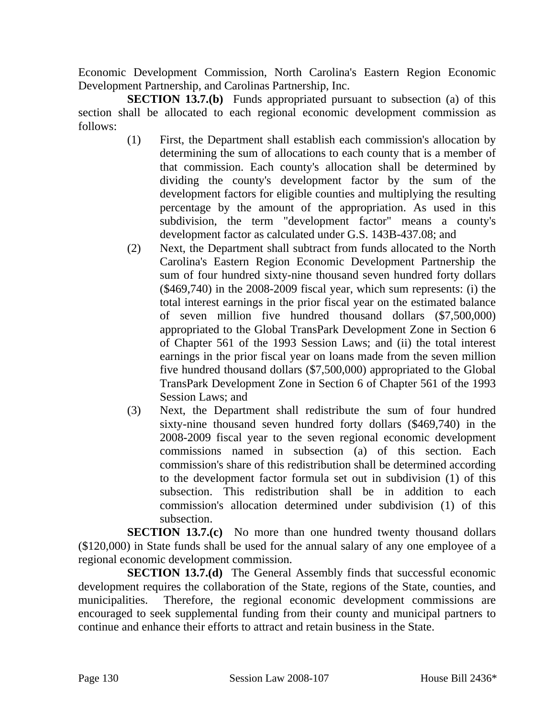Economic Development Commission, North Carolina's Eastern Region Economic Development Partnership, and Carolinas Partnership, Inc.

**SECTION 13.7.(b)** Funds appropriated pursuant to subsection (a) of this section shall be allocated to each regional economic development commission as follows:

- (1) First, the Department shall establish each commission's allocation by determining the sum of allocations to each county that is a member of that commission. Each county's allocation shall be determined by dividing the county's development factor by the sum of the development factors for eligible counties and multiplying the resulting percentage by the amount of the appropriation. As used in this subdivision, the term "development factor" means a county's development factor as calculated under G.S. 143B-437.08; and
- (2) Next, the Department shall subtract from funds allocated to the North Carolina's Eastern Region Economic Development Partnership the sum of four hundred sixty-nine thousand seven hundred forty dollars (\$469,740) in the 2008-2009 fiscal year, which sum represents: (i) the total interest earnings in the prior fiscal year on the estimated balance of seven million five hundred thousand dollars (\$7,500,000) appropriated to the Global TransPark Development Zone in Section 6 of Chapter 561 of the 1993 Session Laws; and (ii) the total interest earnings in the prior fiscal year on loans made from the seven million five hundred thousand dollars (\$7,500,000) appropriated to the Global TransPark Development Zone in Section 6 of Chapter 561 of the 1993 Session Laws; and
- (3) Next, the Department shall redistribute the sum of four hundred sixty-nine thousand seven hundred forty dollars (\$469,740) in the 2008-2009 fiscal year to the seven regional economic development commissions named in subsection (a) of this section. Each commission's share of this redistribution shall be determined according to the development factor formula set out in subdivision (1) of this subsection. This redistribution shall be in addition to each commission's allocation determined under subdivision (1) of this subsection.

**SECTION 13.7.(c)** No more than one hundred twenty thousand dollars (\$120,000) in State funds shall be used for the annual salary of any one employee of a regional economic development commission.

**SECTION 13.7.(d)** The General Assembly finds that successful economic development requires the collaboration of the State, regions of the State, counties, and municipalities. Therefore, the regional economic development commissions are encouraged to seek supplemental funding from their county and municipal partners to continue and enhance their efforts to attract and retain business in the State.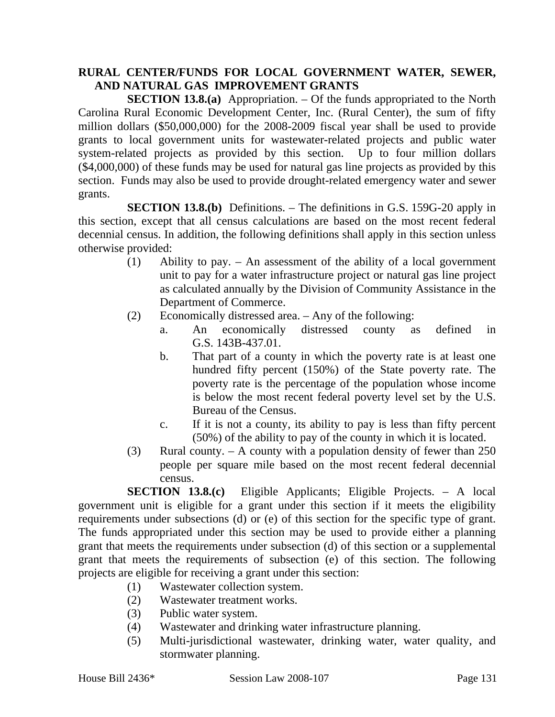### **RURAL CENTER/FUNDS FOR LOCAL GOVERNMENT WATER, SEWER, AND NATURAL GAS IMPROVEMENT GRANTS**

**SECTION 13.8.(a)** Appropriation. – Of the funds appropriated to the North Carolina Rural Economic Development Center, Inc. (Rural Center), the sum of fifty million dollars (\$50,000,000) for the 2008-2009 fiscal year shall be used to provide grants to local government units for wastewater-related projects and public water system-related projects as provided by this section. Up to four million dollars (\$4,000,000) of these funds may be used for natural gas line projects as provided by this section. Funds may also be used to provide drought-related emergency water and sewer grants.

**SECTION 13.8.(b)** Definitions. – The definitions in G.S. 159G-20 apply in this section, except that all census calculations are based on the most recent federal decennial census. In addition, the following definitions shall apply in this section unless otherwise provided:

- (1) Ability to pay. An assessment of the ability of a local government unit to pay for a water infrastructure project or natural gas line project as calculated annually by the Division of Community Assistance in the Department of Commerce.
- (2) Economically distressed area. Any of the following:
	- a. An economically distressed county as defined in G.S. 143B-437.01.
	- b. That part of a county in which the poverty rate is at least one hundred fifty percent (150%) of the State poverty rate. The poverty rate is the percentage of the population whose income is below the most recent federal poverty level set by the U.S. Bureau of the Census.
	- c. If it is not a county, its ability to pay is less than fifty percent (50%) of the ability to pay of the county in which it is located.
- (3) Rural county. A county with a population density of fewer than 250 people per square mile based on the most recent federal decennial census.

**SECTION 13.8.(c)** Eligible Applicants; Eligible Projects. – A local government unit is eligible for a grant under this section if it meets the eligibility requirements under subsections (d) or (e) of this section for the specific type of grant. The funds appropriated under this section may be used to provide either a planning grant that meets the requirements under subsection (d) of this section or a supplemental grant that meets the requirements of subsection (e) of this section. The following projects are eligible for receiving a grant under this section:

- (1) Wastewater collection system.
- (2) Wastewater treatment works.
- (3) Public water system.
- (4) Wastewater and drinking water infrastructure planning.
- (5) Multi-jurisdictional wastewater, drinking water, water quality, and stormwater planning.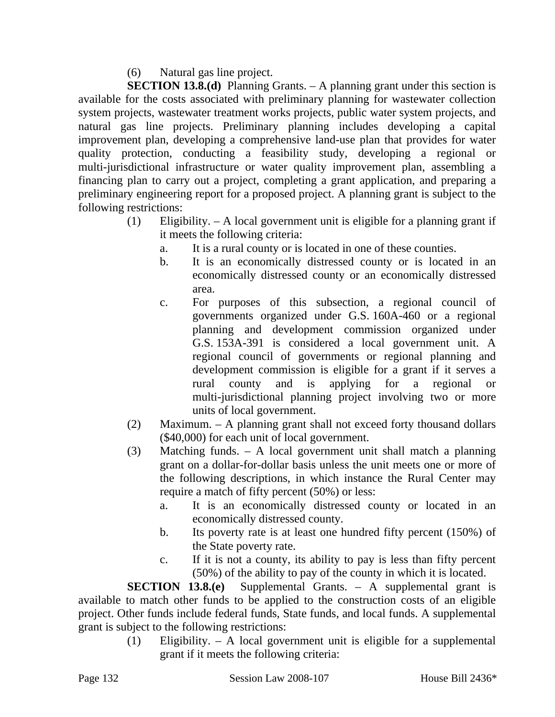(6) Natural gas line project.

**SECTION 13.8.(d)** Planning Grants. – A planning grant under this section is available for the costs associated with preliminary planning for wastewater collection system projects, wastewater treatment works projects, public water system projects, and natural gas line projects. Preliminary planning includes developing a capital improvement plan, developing a comprehensive land-use plan that provides for water quality protection, conducting a feasibility study, developing a regional or multi-jurisdictional infrastructure or water quality improvement plan, assembling a financing plan to carry out a project, completing a grant application, and preparing a preliminary engineering report for a proposed project. A planning grant is subject to the following restrictions:

- (1) Eligibility. A local government unit is eligible for a planning grant if it meets the following criteria:
	- a. It is a rural county or is located in one of these counties.
	- b. It is an economically distressed county or is located in an economically distressed county or an economically distressed area.
	- c. For purposes of this subsection, a regional council of governments organized under G.S. 160A-460 or a regional planning and development commission organized under G.S. 153A-391 is considered a local government unit. A regional council of governments or regional planning and development commission is eligible for a grant if it serves a rural county and is applying for a regional or multi-jurisdictional planning project involving two or more units of local government.
- (2) Maximum. A planning grant shall not exceed forty thousand dollars (\$40,000) for each unit of local government.
- (3) Matching funds. A local government unit shall match a planning grant on a dollar-for-dollar basis unless the unit meets one or more of the following descriptions, in which instance the Rural Center may require a match of fifty percent (50%) or less:
	- a. It is an economically distressed county or located in an economically distressed county.
	- b. Its poverty rate is at least one hundred fifty percent (150%) of the State poverty rate.
	- c. If it is not a county, its ability to pay is less than fifty percent (50%) of the ability to pay of the county in which it is located.

**SECTION 13.8.(e)** Supplemental Grants. – A supplemental grant is available to match other funds to be applied to the construction costs of an eligible project. Other funds include federal funds, State funds, and local funds. A supplemental grant is subject to the following restrictions:

(1) Eligibility. – A local government unit is eligible for a supplemental grant if it meets the following criteria: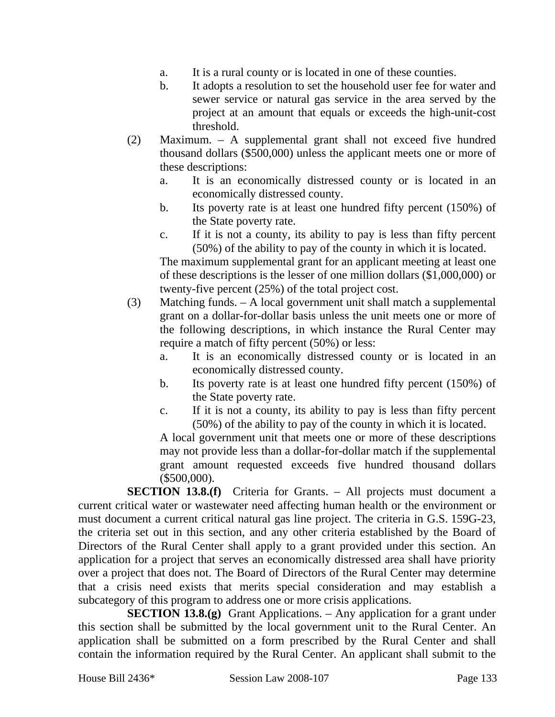- a. It is a rural county or is located in one of these counties.
- b. It adopts a resolution to set the household user fee for water and sewer service or natural gas service in the area served by the project at an amount that equals or exceeds the high-unit-cost threshold.
- (2) Maximum. A supplemental grant shall not exceed five hundred thousand dollars (\$500,000) unless the applicant meets one or more of these descriptions:
	- a. It is an economically distressed county or is located in an economically distressed county.
	- b. Its poverty rate is at least one hundred fifty percent (150%) of the State poverty rate.
	- c. If it is not a county, its ability to pay is less than fifty percent (50%) of the ability to pay of the county in which it is located.

The maximum supplemental grant for an applicant meeting at least one of these descriptions is the lesser of one million dollars (\$1,000,000) or twenty-five percent (25%) of the total project cost.

- (3) Matching funds. A local government unit shall match a supplemental grant on a dollar-for-dollar basis unless the unit meets one or more of the following descriptions, in which instance the Rural Center may require a match of fifty percent (50%) or less:
	- a. It is an economically distressed county or is located in an economically distressed county.
	- b. Its poverty rate is at least one hundred fifty percent (150%) of the State poverty rate.
	- c. If it is not a county, its ability to pay is less than fifty percent (50%) of the ability to pay of the county in which it is located.

A local government unit that meets one or more of these descriptions may not provide less than a dollar-for-dollar match if the supplemental grant amount requested exceeds five hundred thousand dollars (\$500,000).

**SECTION 13.8.(f)** Criteria for Grants. – All projects must document a current critical water or wastewater need affecting human health or the environment or must document a current critical natural gas line project. The criteria in G.S. 159G-23, the criteria set out in this section, and any other criteria established by the Board of Directors of the Rural Center shall apply to a grant provided under this section. An application for a project that serves an economically distressed area shall have priority over a project that does not. The Board of Directors of the Rural Center may determine that a crisis need exists that merits special consideration and may establish a subcategory of this program to address one or more crisis applications.

**SECTION 13.8.(g)** Grant Applications. – Any application for a grant under this section shall be submitted by the local government unit to the Rural Center. An application shall be submitted on a form prescribed by the Rural Center and shall contain the information required by the Rural Center. An applicant shall submit to the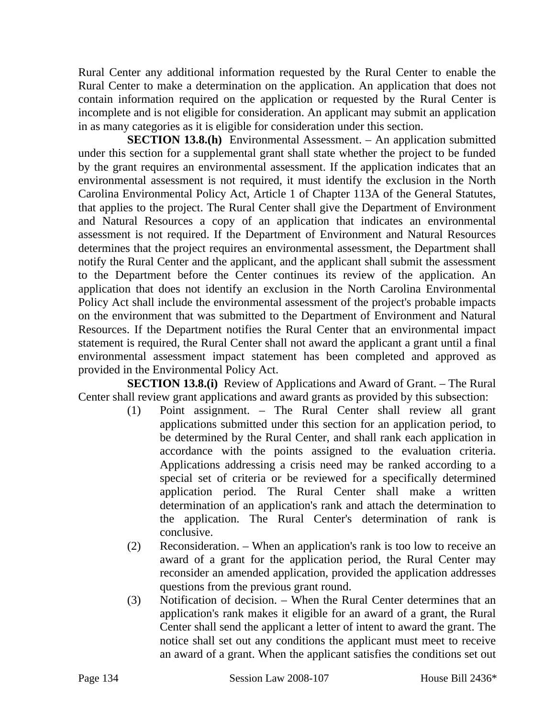Rural Center any additional information requested by the Rural Center to enable the Rural Center to make a determination on the application. An application that does not contain information required on the application or requested by the Rural Center is incomplete and is not eligible for consideration. An applicant may submit an application in as many categories as it is eligible for consideration under this section.

**SECTION 13.8.(h)** Environmental Assessment. – An application submitted under this section for a supplemental grant shall state whether the project to be funded by the grant requires an environmental assessment. If the application indicates that an environmental assessment is not required, it must identify the exclusion in the North Carolina Environmental Policy Act, Article 1 of Chapter 113A of the General Statutes, that applies to the project. The Rural Center shall give the Department of Environment and Natural Resources a copy of an application that indicates an environmental assessment is not required. If the Department of Environment and Natural Resources determines that the project requires an environmental assessment, the Department shall notify the Rural Center and the applicant, and the applicant shall submit the assessment to the Department before the Center continues its review of the application. An application that does not identify an exclusion in the North Carolina Environmental Policy Act shall include the environmental assessment of the project's probable impacts on the environment that was submitted to the Department of Environment and Natural Resources. If the Department notifies the Rural Center that an environmental impact statement is required, the Rural Center shall not award the applicant a grant until a final environmental assessment impact statement has been completed and approved as provided in the Environmental Policy Act.

**SECTION 13.8.(i)** Review of Applications and Award of Grant. – The Rural Center shall review grant applications and award grants as provided by this subsection:

- (1) Point assignment. The Rural Center shall review all grant applications submitted under this section for an application period, to be determined by the Rural Center, and shall rank each application in accordance with the points assigned to the evaluation criteria. Applications addressing a crisis need may be ranked according to a special set of criteria or be reviewed for a specifically determined application period. The Rural Center shall make a written determination of an application's rank and attach the determination to the application. The Rural Center's determination of rank is conclusive.
- (2) Reconsideration. When an application's rank is too low to receive an award of a grant for the application period, the Rural Center may reconsider an amended application, provided the application addresses questions from the previous grant round.
- (3) Notification of decision. When the Rural Center determines that an application's rank makes it eligible for an award of a grant, the Rural Center shall send the applicant a letter of intent to award the grant. The notice shall set out any conditions the applicant must meet to receive an award of a grant. When the applicant satisfies the conditions set out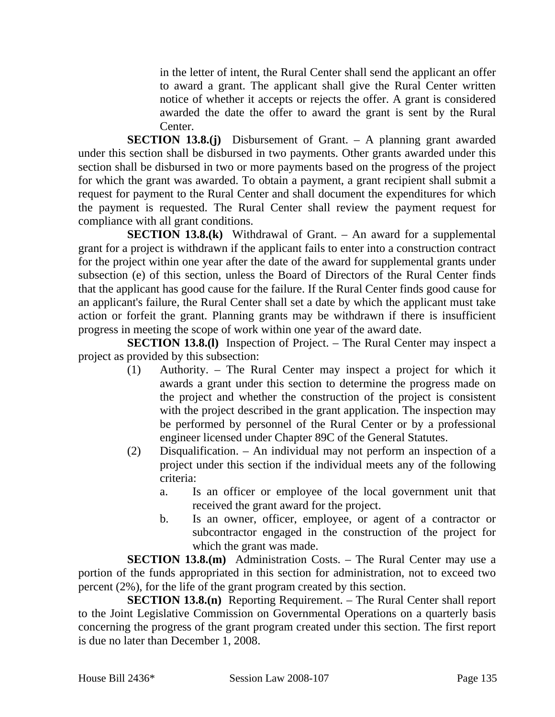in the letter of intent, the Rural Center shall send the applicant an offer to award a grant. The applicant shall give the Rural Center written notice of whether it accepts or rejects the offer. A grant is considered awarded the date the offer to award the grant is sent by the Rural Center.

**SECTION 13.8.(j)** Disbursement of Grant. – A planning grant awarded under this section shall be disbursed in two payments. Other grants awarded under this section shall be disbursed in two or more payments based on the progress of the project for which the grant was awarded. To obtain a payment, a grant recipient shall submit a request for payment to the Rural Center and shall document the expenditures for which the payment is requested. The Rural Center shall review the payment request for compliance with all grant conditions.

**SECTION 13.8.(k)** Withdrawal of Grant. – An award for a supplemental grant for a project is withdrawn if the applicant fails to enter into a construction contract for the project within one year after the date of the award for supplemental grants under subsection (e) of this section, unless the Board of Directors of the Rural Center finds that the applicant has good cause for the failure. If the Rural Center finds good cause for an applicant's failure, the Rural Center shall set a date by which the applicant must take action or forfeit the grant. Planning grants may be withdrawn if there is insufficient progress in meeting the scope of work within one year of the award date.

**SECTION 13.8.(I)** Inspection of Project. – The Rural Center may inspect a project as provided by this subsection:

- (1) Authority. The Rural Center may inspect a project for which it awards a grant under this section to determine the progress made on the project and whether the construction of the project is consistent with the project described in the grant application. The inspection may be performed by personnel of the Rural Center or by a professional engineer licensed under Chapter 89C of the General Statutes.
- (2) Disqualification. An individual may not perform an inspection of a project under this section if the individual meets any of the following criteria:
	- a. Is an officer or employee of the local government unit that received the grant award for the project.
	- b. Is an owner, officer, employee, or agent of a contractor or subcontractor engaged in the construction of the project for which the grant was made.

**SECTION 13.8.(m)** Administration Costs. – The Rural Center may use a portion of the funds appropriated in this section for administration, not to exceed two percent (2%), for the life of the grant program created by this section.

**SECTION 13.8.(n)** Reporting Requirement. – The Rural Center shall report to the Joint Legislative Commission on Governmental Operations on a quarterly basis concerning the progress of the grant program created under this section. The first report is due no later than December 1, 2008.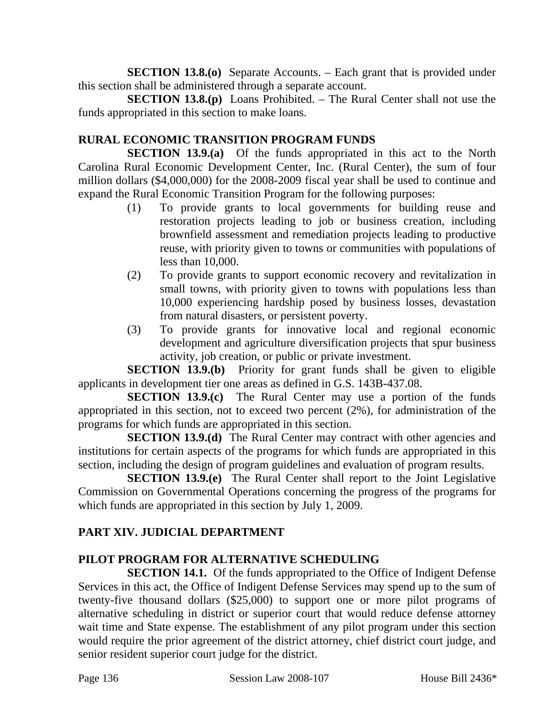**SECTION 13.8.(0)** Separate Accounts. – Each grant that is provided under this section shall be administered through a separate account.

**SECTION 13.8.(p)** Loans Prohibited. – The Rural Center shall not use the funds appropriated in this section to make loans.

# **RURAL ECONOMIC TRANSITION PROGRAM FUNDS**

**SECTION 13.9.(a)** Of the funds appropriated in this act to the North Carolina Rural Economic Development Center, Inc. (Rural Center), the sum of four million dollars (\$4,000,000) for the 2008-2009 fiscal year shall be used to continue and expand the Rural Economic Transition Program for the following purposes:

- (1) To provide grants to local governments for building reuse and restoration projects leading to job or business creation, including brownfield assessment and remediation projects leading to productive reuse, with priority given to towns or communities with populations of less than 10,000.
- (2) To provide grants to support economic recovery and revitalization in small towns, with priority given to towns with populations less than 10,000 experiencing hardship posed by business losses, devastation from natural disasters, or persistent poverty.
- (3) To provide grants for innovative local and regional economic development and agriculture diversification projects that spur business activity, job creation, or public or private investment.

**SECTION 13.9.(b)** Priority for grant funds shall be given to eligible applicants in development tier one areas as defined in G.S. 143B-437.08.

**SECTION 13.9.(c)** The Rural Center may use a portion of the funds appropriated in this section, not to exceed two percent (2%), for administration of the programs for which funds are appropriated in this section.

**SECTION 13.9.(d)** The Rural Center may contract with other agencies and institutions for certain aspects of the programs for which funds are appropriated in this section, including the design of program guidelines and evaluation of program results.

**SECTION 13.9.(e)** The Rural Center shall report to the Joint Legislative Commission on Governmental Operations concerning the progress of the programs for which funds are appropriated in this section by July 1, 2009.

## **PART XIV. JUDICIAL DEPARTMENT**

## **PILOT PROGRAM FOR ALTERNATIVE SCHEDULING**

**SECTION 14.1.** Of the funds appropriated to the Office of Indigent Defense Services in this act, the Office of Indigent Defense Services may spend up to the sum of twenty-five thousand dollars (\$25,000) to support one or more pilot programs of alternative scheduling in district or superior court that would reduce defense attorney wait time and State expense. The establishment of any pilot program under this section would require the prior agreement of the district attorney, chief district court judge, and senior resident superior court judge for the district.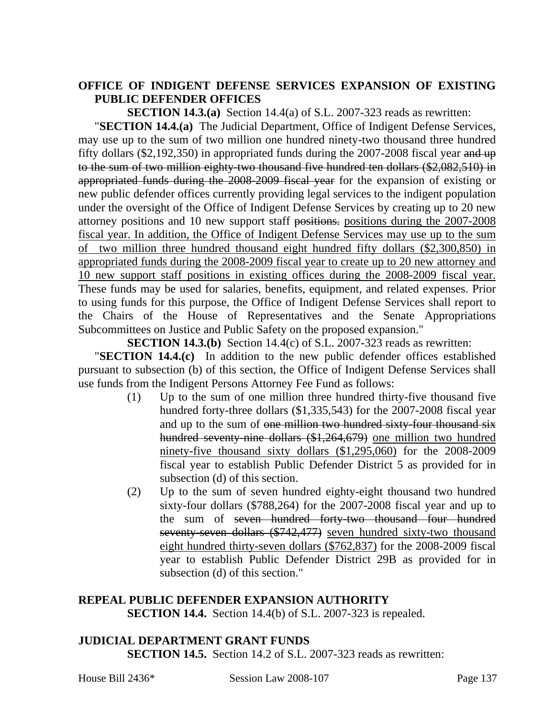#### **OFFICE OF INDIGENT DEFENSE SERVICES EXPANSION OF EXISTING PUBLIC DEFENDER OFFICES**

**SECTION 14.3.(a)** Section 14.4(a) of S.L. 2007-323 reads as rewritten:

"**SECTION 14.4.(a)** The Judicial Department, Office of Indigent Defense Services, may use up to the sum of two million one hundred ninety-two thousand three hundred fifty dollars  $(\$2,192,350)$  in appropriated funds during the 2007-2008 fiscal year and up to the sum of two million eighty-two thousand five hundred ten dollars (\$2,082,510) in appropriated funds during the 2008-2009 fiscal year for the expansion of existing or new public defender offices currently providing legal services to the indigent population under the oversight of the Office of Indigent Defense Services by creating up to 20 new attorney positions and 10 new support staff positions. positions during the 2007-2008 fiscal year. In addition, the Office of Indigent Defense Services may use up to the sum of two million three hundred thousand eight hundred fifty dollars (\$2,300,850) in appropriated funds during the 2008-2009 fiscal year to create up to 20 new attorney and 10 new support staff positions in existing offices during the 2008-2009 fiscal year. These funds may be used for salaries, benefits, equipment, and related expenses. Prior to using funds for this purpose, the Office of Indigent Defense Services shall report to the Chairs of the House of Representatives and the Senate Appropriations Subcommittees on Justice and Public Safety on the proposed expansion."

**SECTION 14.3.(b)** Section 14.4(c) of S.L. 2007-323 reads as rewritten:

"**SECTION 14.4.(c)** In addition to the new public defender offices established pursuant to subsection (b) of this section, the Office of Indigent Defense Services shall use funds from the Indigent Persons Attorney Fee Fund as follows:

- (1) Up to the sum of one million three hundred thirty-five thousand five hundred forty-three dollars (\$1,335,543) for the 2007-2008 fiscal year and up to the sum of one million two hundred sixty-four thousand six hundred seventy-nine dollars (\$1,264,679) one million two hundred ninety-five thousand sixty dollars (\$1,295,060) for the 2008-2009 fiscal year to establish Public Defender District 5 as provided for in subsection (d) of this section.
- (2) Up to the sum of seven hundred eighty-eight thousand two hundred sixty-four dollars (\$788,264) for the 2007-2008 fiscal year and up to the sum of seven hundred forty-two thousand four hundred seventy-seven dollars (\$742,477) seven hundred sixty-two thousand eight hundred thirty-seven dollars (\$762,837) for the 2008-2009 fiscal year to establish Public Defender District 29B as provided for in subsection (d) of this section."

#### **REPEAL PUBLIC DEFENDER EXPANSION AUTHORITY SECTION 14.4.** Section 14.4(b) of S.L. 2007-323 is repealed.

## **JUDICIAL DEPARTMENT GRANT FUNDS**

**SECTION 14.5.** Section 14.2 of S.L. 2007-323 reads as rewritten: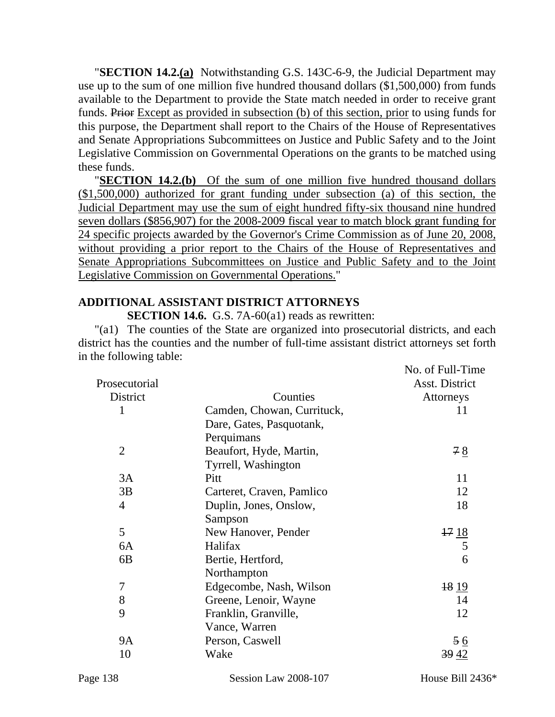"**SECTION 14.2.(a)** Notwithstanding G.S. 143C-6-9, the Judicial Department may use up to the sum of one million five hundred thousand dollars (\$1,500,000) from funds available to the Department to provide the State match needed in order to receive grant funds. Prior Except as provided in subsection (b) of this section, prior to using funds for this purpose, the Department shall report to the Chairs of the House of Representatives and Senate Appropriations Subcommittees on Justice and Public Safety and to the Joint Legislative Commission on Governmental Operations on the grants to be matched using these funds.

**"SECTION 14.2.(b)** Of the sum of one million five hundred thousand dollars (\$1,500,000) authorized for grant funding under subsection (a) of this section, the Judicial Department may use the sum of eight hundred fifty-six thousand nine hundred seven dollars (\$856,907) for the 2008-2009 fiscal year to match block grant funding for 24 specific projects awarded by the Governor's Crime Commission as of June 20, 2008, without providing a prior report to the Chairs of the House of Representatives and Senate Appropriations Subcommittees on Justice and Public Safety and to the Joint Legislative Commission on Governmental Operations."

## **ADDITIONAL ASSISTANT DISTRICT ATTORNEYS**

**SECTION 14.6.** G.S. 7A-60(a1) reads as rewritten:

"(a1) The counties of the State are organized into prosecutorial districts, and each district has the counties and the number of full-time assistant district attorneys set forth in the following table:

|                |                            | No. of Full-Time |
|----------------|----------------------------|------------------|
| Prosecutorial  |                            | Asst. District   |
| District       | Counties                   | Attorneys        |
| 1              | Camden, Chowan, Currituck, | 11               |
|                | Dare, Gates, Pasquotank,   |                  |
|                | Perquimans                 |                  |
| $\overline{2}$ | Beaufort, Hyde, Martin,    | 78               |
|                | Tyrrell, Washington        |                  |
| 3A             | Pitt                       | 11               |
| 3B             | Carteret, Craven, Pamlico  | 12               |
| $\overline{4}$ | Duplin, Jones, Onslow,     | 18               |
|                | Sampson                    |                  |
| 5              | New Hanover, Pender        |                  |
| 6A             | Halifax                    | $\frac{17}{5}$   |
| 6B             | Bertie, Hertford,          | 6                |
|                | Northampton                |                  |
| 7              | Edgecombe, Nash, Wilson    | 18 <sub>19</sub> |
| 8              | Greene, Lenoir, Wayne      | 14               |
| 9              | Franklin, Granville,       | 12               |
|                | Vance, Warren              |                  |
| <b>9A</b>      | Person, Caswell            | $\frac{56}{9}$   |
| 10             | Wake                       | 39 42            |
|                |                            |                  |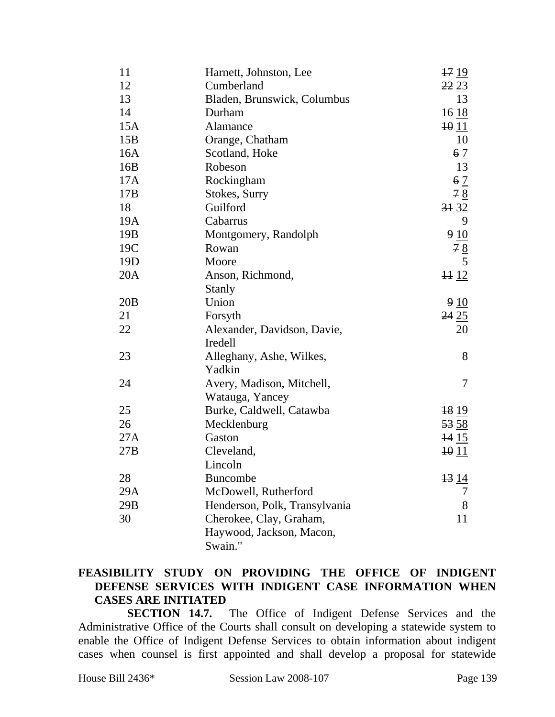| 11              | Harnett, Johnston, Lee        | $\frac{17}{9}$   |
|-----------------|-------------------------------|------------------|
| 12              | Cumberland                    | 2223             |
| 13              | Bladen, Brunswick, Columbus   | 13               |
| 14              | Durham                        | 1618             |
| 15A             | Alamance                      | $\frac{10}{11}$  |
| 15B             | Orange, Chatham               | 10               |
| 16A             | Scotland, Hoke                | 6 <sub>2</sub>   |
| 16B             | Robeson                       | 13               |
| 17A             | Rockingham                    | 6 <sub>2</sub>   |
| 17B             | Stokes, Surry                 | 78               |
| 18              | Guilford                      | 3132             |
| 19A             | Cabarrus                      | 9                |
| 19 <sub>B</sub> | Montgomery, Randolph          | 910              |
| 19C             | Rowan                         |                  |
| 19 <sub>D</sub> | Moore                         | $\frac{78}{5}$   |
| 20A             | Anson, Richmond,              | $\frac{11}{2}$   |
|                 | <b>Stanly</b>                 |                  |
| 20B             | Union                         | 910              |
| 21              | Forsyth                       | 2425             |
| 22              | Alexander, Davidson, Davie,   | 20               |
|                 | Iredell                       |                  |
| 23              | Alleghany, Ashe, Wilkes,      | 8                |
|                 | Yadkin                        |                  |
| 24              | Avery, Madison, Mitchell,     | 7                |
|                 | Watauga, Yancey               |                  |
| 25              | Burke, Caldwell, Catawba      | $\frac{18}{9}$   |
| 26              | Mecklenburg                   | <del>53</del> 58 |
| 27A             | Gaston                        | <del>14</del> 15 |
| 27B             | Cleveland,                    | $\frac{10}{11}$  |
|                 | Lincoln                       |                  |
| 28              | <b>Buncombe</b>               | 13 14            |
| 29A             | McDowell, Rutherford          | 7                |
| 29B             | Henderson, Polk, Transylvania | 8                |
| 30              | Cherokee, Clay, Graham,       | 11               |
|                 | Haywood, Jackson, Macon,      |                  |
|                 | Swain."                       |                  |

### **FEASIBILITY STUDY ON PROVIDING THE OFFICE OF INDIGENT DEFENSE SERVICES WITH INDIGENT CASE INFORMATION WHEN CASES ARE INITIATED**

**SECTION 14.7.** The Office of Indigent Defense Services and the Administrative Office of the Courts shall consult on developing a statewide system to enable the Office of Indigent Defense Services to obtain information about indigent cases when counsel is first appointed and shall develop a proposal for statewide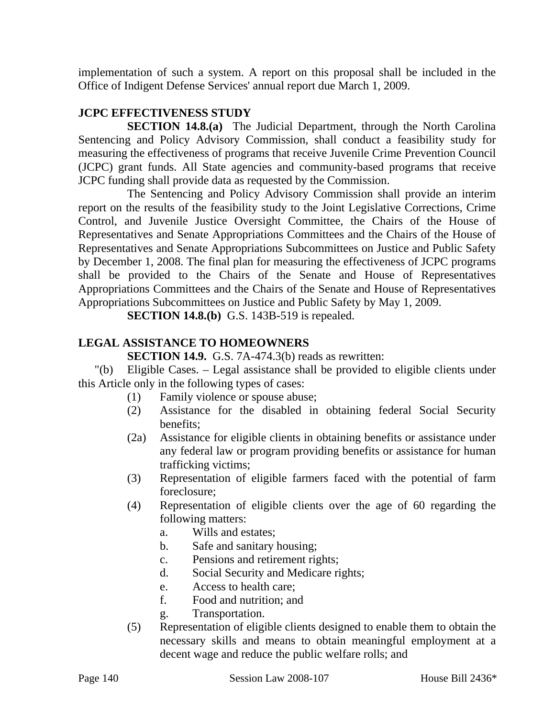implementation of such a system. A report on this proposal shall be included in the Office of Indigent Defense Services' annual report due March 1, 2009.

## **JCPC EFFECTIVENESS STUDY**

**SECTION 14.8.(a)** The Judicial Department, through the North Carolina Sentencing and Policy Advisory Commission, shall conduct a feasibility study for measuring the effectiveness of programs that receive Juvenile Crime Prevention Council (JCPC) grant funds. All State agencies and community-based programs that receive JCPC funding shall provide data as requested by the Commission.

The Sentencing and Policy Advisory Commission shall provide an interim report on the results of the feasibility study to the Joint Legislative Corrections, Crime Control, and Juvenile Justice Oversight Committee, the Chairs of the House of Representatives and Senate Appropriations Committees and the Chairs of the House of Representatives and Senate Appropriations Subcommittees on Justice and Public Safety by December 1, 2008. The final plan for measuring the effectiveness of JCPC programs shall be provided to the Chairs of the Senate and House of Representatives Appropriations Committees and the Chairs of the Senate and House of Representatives Appropriations Subcommittees on Justice and Public Safety by May 1, 2009.

**SECTION 14.8.(b)** G.S. 143B-519 is repealed.

### **LEGAL ASSISTANCE TO HOMEOWNERS**

**SECTION 14.9.** G.S. 7A-474.3(b) reads as rewritten:

"(b) Eligible Cases. – Legal assistance shall be provided to eligible clients under this Article only in the following types of cases:

- (1) Family violence or spouse abuse;
- (2) Assistance for the disabled in obtaining federal Social Security benefits;
- (2a) Assistance for eligible clients in obtaining benefits or assistance under any federal law or program providing benefits or assistance for human trafficking victims;
- (3) Representation of eligible farmers faced with the potential of farm foreclosure;
- (4) Representation of eligible clients over the age of 60 regarding the following matters:
	- a. Wills and estates;
	- b. Safe and sanitary housing;
	- c. Pensions and retirement rights;
	- d. Social Security and Medicare rights;
	- e. Access to health care;
	- f. Food and nutrition; and
	- g. Transportation.
- (5) Representation of eligible clients designed to enable them to obtain the necessary skills and means to obtain meaningful employment at a decent wage and reduce the public welfare rolls; and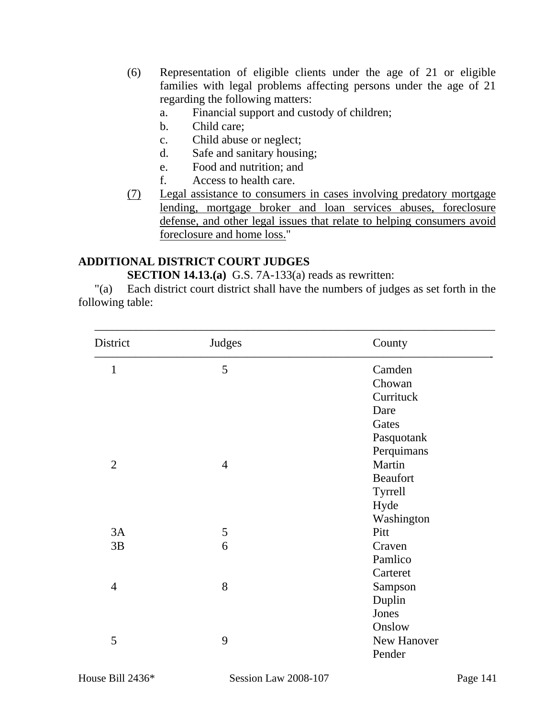- (6) Representation of eligible clients under the age of 21 or eligible families with legal problems affecting persons under the age of 21 regarding the following matters:
	- a. Financial support and custody of children;
	- b. Child care;
	- c. Child abuse or neglect;
	- d. Safe and sanitary housing;
	- e. Food and nutrition; and
	- f. Access to health care.
- (7) Legal assistance to consumers in cases involving predatory mortgage lending, mortgage broker and loan services abuses, foreclosure defense, and other legal issues that relate to helping consumers avoid foreclosure and home loss."

#### **ADDITIONAL DISTRICT COURT JUDGES**

**SECTION 14.13.(a)** G.S. 7A-133(a) reads as rewritten:

"(a) Each district court district shall have the numbers of judges as set forth in the following table:

| District       | Judges         | County          |
|----------------|----------------|-----------------|
| $\mathbf{1}$   | 5              | Camden          |
|                |                | Chowan          |
|                |                | Currituck       |
|                |                | Dare            |
|                |                | Gates           |
|                |                | Pasquotank      |
|                |                | Perquimans      |
| $\overline{2}$ | $\overline{4}$ | Martin          |
|                |                | <b>Beaufort</b> |
|                |                | Tyrrell         |
|                |                | Hyde            |
|                |                | Washington      |
| 3A             | 5              | Pitt            |
| 3B             | 6              | Craven          |
|                |                | Pamlico         |
|                |                | Carteret        |
| $\overline{4}$ | 8              | Sampson         |
|                |                | Duplin          |
|                |                | Jones           |
|                |                | Onslow          |
| 5              | 9              | New Hanover     |
|                |                | Pender          |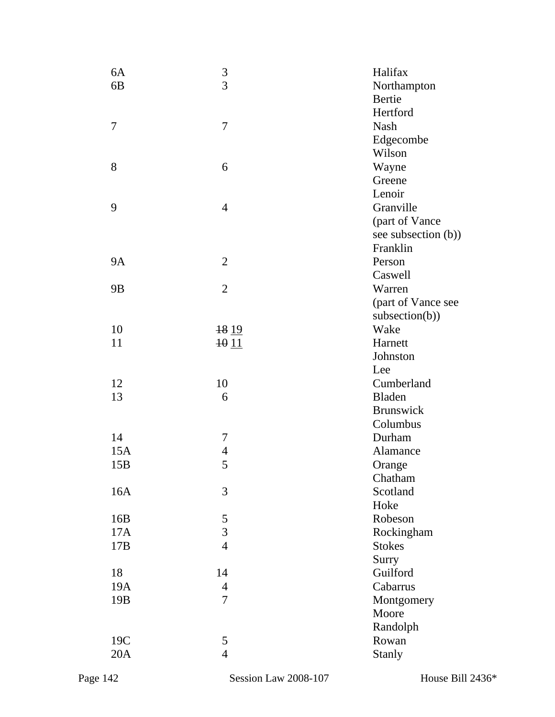| 6A              | $\frac{3}{3}$            | Halifax                         |
|-----------------|--------------------------|---------------------------------|
| 6B              |                          | Northampton                     |
|                 |                          | Bertie                          |
|                 |                          | Hertford                        |
| 7               | 7                        | <b>Nash</b>                     |
|                 |                          | Edgecombe                       |
|                 |                          | Wilson                          |
| 8               | 6                        | Wayne                           |
|                 |                          | Greene                          |
|                 |                          | Lenoir                          |
| 9               | $\overline{4}$           | Granville                       |
|                 |                          |                                 |
|                 |                          | (part of Vance                  |
|                 |                          | see subsection (b))<br>Franklin |
| <b>9A</b>       |                          |                                 |
|                 | $\overline{2}$           | Person                          |
|                 |                          | Caswell                         |
| 9 <sub>B</sub>  | $\overline{2}$           | Warren                          |
|                 |                          | (part of Vance see              |
|                 |                          | subsection(b))                  |
| 10              | 18 19                    | Wake                            |
| 11              | 1011                     | Harnett                         |
|                 |                          | Johnston                        |
|                 |                          | Lee                             |
| 12              | 10                       | Cumberland                      |
| 13              | 6                        | Bladen                          |
|                 |                          | <b>Brunswick</b>                |
|                 |                          | Columbus                        |
| 14              | 7                        | Durham                          |
| 15A             | $\overline{\mathcal{L}}$ | Alamance                        |
| 15B             | 5                        | Orange                          |
|                 |                          | Chatham                         |
| 16A             | 3                        | Scotland                        |
|                 |                          | Hoke                            |
| 16B             | $\frac{5}{3}$            | Robeson                         |
| 17A             |                          | Rockingham                      |
| 17B             | $\overline{4}$           | <b>Stokes</b>                   |
|                 |                          | Surry                           |
| 18              | 14                       | Guilford                        |
| 19A             | $\overline{4}$           | Cabarrus                        |
| 19 <sub>B</sub> | 7                        | Montgomery                      |
|                 |                          | Moore                           |
|                 |                          | Randolph                        |
| 19C             | 5                        | Rowan                           |
| 20A             | $\overline{4}$           | <b>Stanly</b>                   |
|                 |                          |                                 |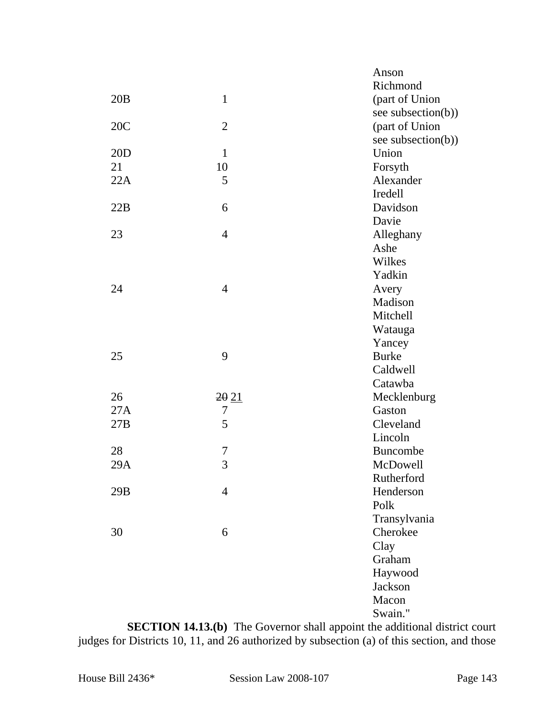|     |                | Anson              |
|-----|----------------|--------------------|
|     |                | Richmond           |
| 20B | $\mathbf{1}$   | (part of Union     |
|     |                | see subsection(b)) |
| 20C | $\overline{2}$ | (part of Union     |
|     |                | see subsection(b)) |
| 20D | $\mathbf{1}$   | Union              |
| 21  | 10             | Forsyth            |
| 22A | 5              | Alexander          |
|     |                | Iredell            |
| 22B | 6              | Davidson           |
|     |                | Davie              |
| 23  | $\overline{4}$ | Alleghany          |
|     |                | Ashe               |
|     |                | Wilkes             |
|     |                | Yadkin             |
| 24  | $\overline{4}$ | Avery              |
|     |                | Madison            |
|     |                | Mitchell           |
|     |                | Watauga            |
|     |                | Yancey             |
| 25  | 9              | <b>Burke</b>       |
|     |                | Caldwell           |
|     |                | Catawba            |
| 26  | 2021           | Mecklenburg        |
| 27A | 7              | Gaston             |
| 27B | 5              | Cleveland          |
|     |                | Lincoln            |
| 28  | 7              | <b>Buncombe</b>    |
| 29A | 3              | <b>McDowell</b>    |
|     |                | Rutherford         |
| 29B | $\overline{4}$ | Henderson          |
|     |                | Polk               |
|     |                | Transylvania       |
| 30  | 6              | Cherokee           |
|     |                | Clay               |
|     |                | Graham             |
|     |                | Haywood            |
|     |                | Jackson            |
|     |                | Macon              |
|     |                | Swain."            |

**SECTION 14.13.(b)** The Governor shall appoint the additional district court judges for Districts 10, 11, and 26 authorized by subsection (a) of this section, and those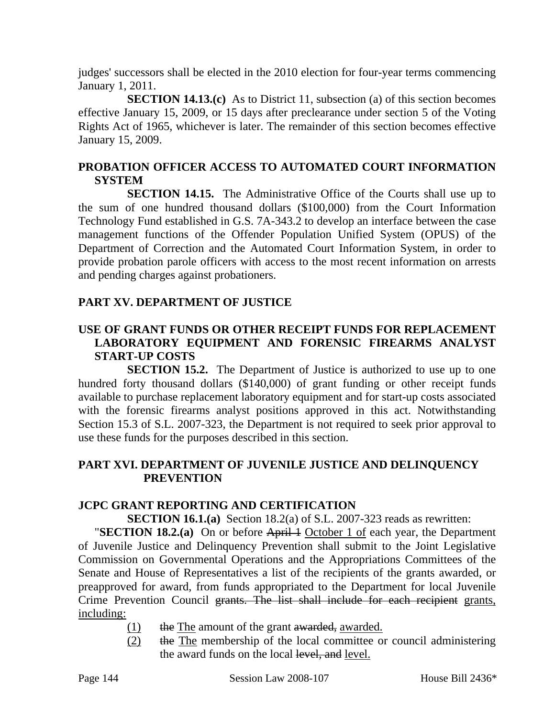judges' successors shall be elected in the 2010 election for four-year terms commencing January 1, 2011.

**SECTION 14.13.(c)** As to District 11, subsection (a) of this section becomes effective January 15, 2009, or 15 days after preclearance under section 5 of the Voting Rights Act of 1965, whichever is later. The remainder of this section becomes effective January 15, 2009.

## **PROBATION OFFICER ACCESS TO AUTOMATED COURT INFORMATION SYSTEM**

**SECTION 14.15.** The Administrative Office of the Courts shall use up to the sum of one hundred thousand dollars (\$100,000) from the Court Information Technology Fund established in G.S. 7A-343.2 to develop an interface between the case management functions of the Offender Population Unified System (OPUS) of the Department of Correction and the Automated Court Information System, in order to provide probation parole officers with access to the most recent information on arrests and pending charges against probationers.

## **PART XV. DEPARTMENT OF JUSTICE**

# **USE OF GRANT FUNDS OR OTHER RECEIPT FUNDS FOR REPLACEMENT LABORATORY EQUIPMENT AND FORENSIC FIREARMS ANALYST START-UP COSTS**

**SECTION 15.2.** The Department of Justice is authorized to use up to one hundred forty thousand dollars (\$140,000) of grant funding or other receipt funds available to purchase replacement laboratory equipment and for start-up costs associated with the forensic firearms analyst positions approved in this act. Notwithstanding Section 15.3 of S.L. 2007-323, the Department is not required to seek prior approval to use these funds for the purposes described in this section.

### **PART XVI. DEPARTMENT OF JUVENILE JUSTICE AND DELINQUENCY PREVENTION**

#### **JCPC GRANT REPORTING AND CERTIFICATION**

**SECTION 16.1.(a)** Section 18.2(a) of S.L. 2007-323 reads as rewritten:

**"SECTION 18.2.(a)** On or before April 1 October 1 of each year, the Department of Juvenile Justice and Delinquency Prevention shall submit to the Joint Legislative Commission on Governmental Operations and the Appropriations Committees of the Senate and House of Representatives a list of the recipients of the grants awarded, or preapproved for award, from funds appropriated to the Department for local Juvenile Crime Prevention Council grants. The list shall include for each recipient grants, including:

- $(1)$  the The amount of the grant awarded, awarded.
- (2) the The membership of the local committee or council administering the award funds on the local level, and level.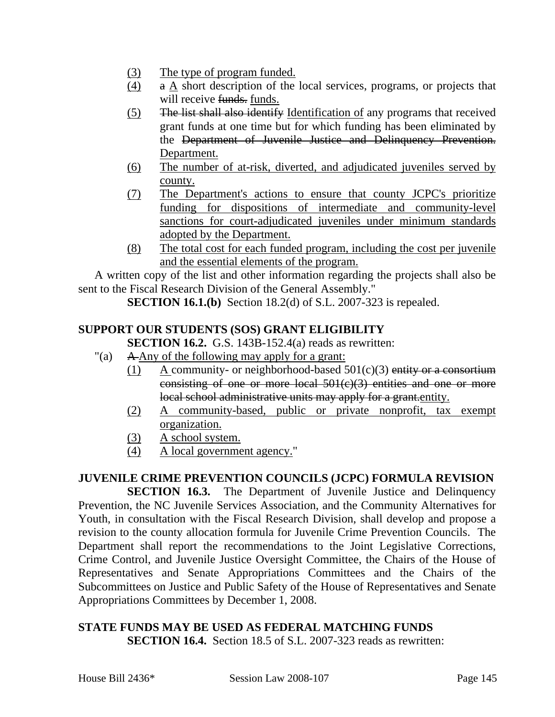- (3) The type of program funded.
- (4) a A short description of the local services, programs, or projects that will receive funds. funds.
- (5) The list shall also identify Identification of any programs that received grant funds at one time but for which funding has been eliminated by the Department of Juvenile Justice and Delinquency Prevention. Department.
- (6) The number of at-risk, diverted, and adjudicated juveniles served by county.
- (7) The Department's actions to ensure that county JCPC's prioritize funding for dispositions of intermediate and community-level sanctions for court-adjudicated juveniles under minimum standards adopted by the Department.
- (8) The total cost for each funded program, including the cost per juvenile and the essential elements of the program.

A written copy of the list and other information regarding the projects shall also be sent to the Fiscal Research Division of the General Assembly."

**SECTION 16.1.(b)** Section 18.2(d) of S.L. 2007-323 is repealed.

# **SUPPORT OUR STUDENTS (SOS) GRANT ELIGIBILITY**

**SECTION 16.2.** G.S. 143B-152.4(a) reads as rewritten:

- "(a) A Any of the following may apply for a grant:
	- (1) A community- or neighborhood-based  $501(c)(3)$  entity or a consortium consisting of one or more local 501(c)(3) entities and one or more local school administrative units may apply for a grant.entity.
	- (2) A community-based, public or private nonprofit, tax exempt organization.
	- (3) A school system.
	- (4) A local government agency."

#### **JUVENILE CRIME PREVENTION COUNCILS (JCPC) FORMULA REVISION**

**SECTION 16.3.** The Department of Juvenile Justice and Delinquency Prevention, the NC Juvenile Services Association, and the Community Alternatives for Youth, in consultation with the Fiscal Research Division, shall develop and propose a revision to the county allocation formula for Juvenile Crime Prevention Councils. The Department shall report the recommendations to the Joint Legislative Corrections, Crime Control, and Juvenile Justice Oversight Committee, the Chairs of the House of Representatives and Senate Appropriations Committees and the Chairs of the Subcommittees on Justice and Public Safety of the House of Representatives and Senate Appropriations Committees by December 1, 2008.

#### **STATE FUNDS MAY BE USED AS FEDERAL MATCHING FUNDS SECTION 16.4.** Section 18.5 of S.L. 2007-323 reads as rewritten: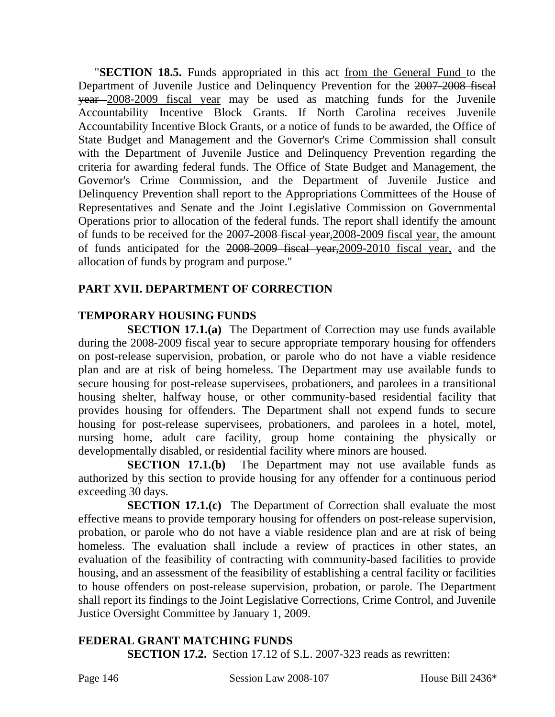"**SECTION 18.5.** Funds appropriated in this act from the General Fund to the Department of Juvenile Justice and Delinquency Prevention for the 2007-2008 fiscal year 2008-2009 fiscal year may be used as matching funds for the Juvenile Accountability Incentive Block Grants. If North Carolina receives Juvenile Accountability Incentive Block Grants, or a notice of funds to be awarded, the Office of State Budget and Management and the Governor's Crime Commission shall consult with the Department of Juvenile Justice and Delinquency Prevention regarding the criteria for awarding federal funds. The Office of State Budget and Management, the Governor's Crime Commission, and the Department of Juvenile Justice and Delinquency Prevention shall report to the Appropriations Committees of the House of Representatives and Senate and the Joint Legislative Commission on Governmental Operations prior to allocation of the federal funds. The report shall identify the amount of funds to be received for the 2007-2008 fiscal year,2008-2009 fiscal year, the amount of funds anticipated for the 2008-2009 fiscal year,2009-2010 fiscal year, and the allocation of funds by program and purpose."

## **PART XVII. DEPARTMENT OF CORRECTION**

# **TEMPORARY HOUSING FUNDS**

**SECTION 17.1.(a)** The Department of Correction may use funds available during the 2008-2009 fiscal year to secure appropriate temporary housing for offenders on post-release supervision, probation, or parole who do not have a viable residence plan and are at risk of being homeless. The Department may use available funds to secure housing for post-release supervisees, probationers, and parolees in a transitional housing shelter, halfway house, or other community-based residential facility that provides housing for offenders. The Department shall not expend funds to secure housing for post-release supervisees, probationers, and parolees in a hotel, motel, nursing home, adult care facility, group home containing the physically or developmentally disabled, or residential facility where minors are housed.

**SECTION 17.1.(b)** The Department may not use available funds as authorized by this section to provide housing for any offender for a continuous period exceeding 30 days.

**SECTION 17.1.(c)** The Department of Correction shall evaluate the most effective means to provide temporary housing for offenders on post-release supervision, probation, or parole who do not have a viable residence plan and are at risk of being homeless. The evaluation shall include a review of practices in other states, an evaluation of the feasibility of contracting with community-based facilities to provide housing, and an assessment of the feasibility of establishing a central facility or facilities to house offenders on post-release supervision, probation, or parole. The Department shall report its findings to the Joint Legislative Corrections, Crime Control, and Juvenile Justice Oversight Committee by January 1, 2009.

# **FEDERAL GRANT MATCHING FUNDS**

**SECTION 17.2.** Section 17.12 of S.L. 2007-323 reads as rewritten: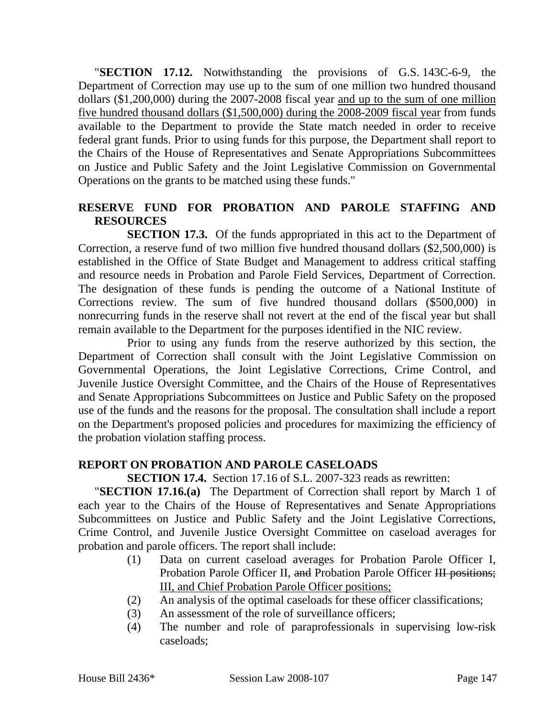"**SECTION 17.12.** Notwithstanding the provisions of G.S. 143C-6-9, the Department of Correction may use up to the sum of one million two hundred thousand dollars (\$1,200,000) during the 2007-2008 fiscal year and up to the sum of one million five hundred thousand dollars (\$1,500,000) during the 2008-2009 fiscal year from funds available to the Department to provide the State match needed in order to receive federal grant funds. Prior to using funds for this purpose, the Department shall report to the Chairs of the House of Representatives and Senate Appropriations Subcommittees on Justice and Public Safety and the Joint Legislative Commission on Governmental Operations on the grants to be matched using these funds."

#### **RESERVE FUND FOR PROBATION AND PAROLE STAFFING AND RESOURCES**

**SECTION 17.3.** Of the funds appropriated in this act to the Department of Correction, a reserve fund of two million five hundred thousand dollars (\$2,500,000) is established in the Office of State Budget and Management to address critical staffing and resource needs in Probation and Parole Field Services, Department of Correction. The designation of these funds is pending the outcome of a National Institute of Corrections review. The sum of five hundred thousand dollars (\$500,000) in nonrecurring funds in the reserve shall not revert at the end of the fiscal year but shall remain available to the Department for the purposes identified in the NIC review.

Prior to using any funds from the reserve authorized by this section, the Department of Correction shall consult with the Joint Legislative Commission on Governmental Operations, the Joint Legislative Corrections, Crime Control, and Juvenile Justice Oversight Committee, and the Chairs of the House of Representatives and Senate Appropriations Subcommittees on Justice and Public Safety on the proposed use of the funds and the reasons for the proposal. The consultation shall include a report on the Department's proposed policies and procedures for maximizing the efficiency of the probation violation staffing process.

#### **REPORT ON PROBATION AND PAROLE CASELOADS**

**SECTION 17.4.** Section 17.16 of S.L. 2007-323 reads as rewritten:

"**SECTION 17.16.(a)** The Department of Correction shall report by March 1 of each year to the Chairs of the House of Representatives and Senate Appropriations Subcommittees on Justice and Public Safety and the Joint Legislative Corrections, Crime Control, and Juvenile Justice Oversight Committee on caseload averages for probation and parole officers. The report shall include:

- (1) Data on current caseload averages for Probation Parole Officer I, Probation Parole Officer II, and Probation Parole Officer III positions; III, and Chief Probation Parole Officer positions;
- (2) An analysis of the optimal caseloads for these officer classifications;
- (3) An assessment of the role of surveillance officers;
- (4) The number and role of paraprofessionals in supervising low-risk caseloads;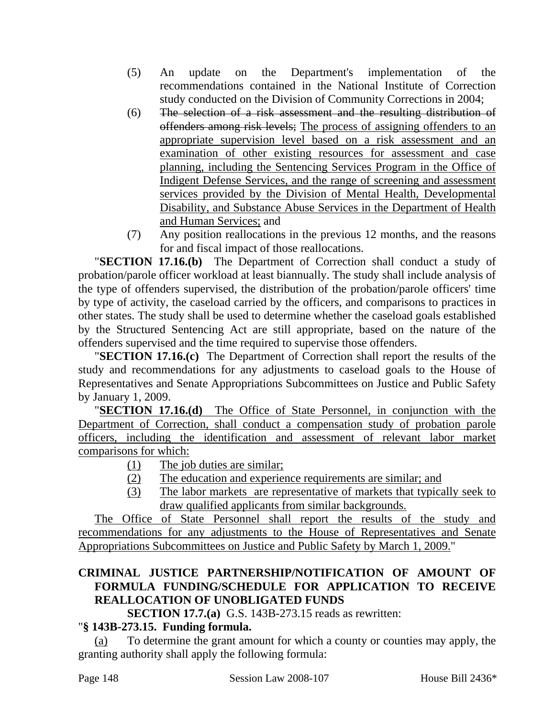- (5) An update on the Department's implementation of the recommendations contained in the National Institute of Correction study conducted on the Division of Community Corrections in 2004;
- (6) The selection of a risk assessment and the resulting distribution of offenders among risk levels; The process of assigning offenders to an appropriate supervision level based on a risk assessment and an examination of other existing resources for assessment and case planning, including the Sentencing Services Program in the Office of Indigent Defense Services, and the range of screening and assessment services provided by the Division of Mental Health, Developmental Disability, and Substance Abuse Services in the Department of Health and Human Services; and
- (7) Any position reallocations in the previous 12 months, and the reasons for and fiscal impact of those reallocations.

"**SECTION 17.16.(b)** The Department of Correction shall conduct a study of probation/parole officer workload at least biannually. The study shall include analysis of the type of offenders supervised, the distribution of the probation/parole officers' time by type of activity, the caseload carried by the officers, and comparisons to practices in other states. The study shall be used to determine whether the caseload goals established by the Structured Sentencing Act are still appropriate, based on the nature of the offenders supervised and the time required to supervise those offenders.

"**SECTION 17.16.(c)** The Department of Correction shall report the results of the study and recommendations for any adjustments to caseload goals to the House of Representatives and Senate Appropriations Subcommittees on Justice and Public Safety by January 1, 2009.

"**SECTION 17.16.(d)** The Office of State Personnel, in conjunction with the Department of Correction, shall conduct a compensation study of probation parole officers, including the identification and assessment of relevant labor market comparisons for which:

- (1) The job duties are similar;
- (2) The education and experience requirements are similar; and
- (3) The labor markets are representative of markets that typically seek to draw qualified applicants from similar backgrounds.

The Office of State Personnel shall report the results of the study and recommendations for any adjustments to the House of Representatives and Senate Appropriations Subcommittees on Justice and Public Safety by March 1, 2009."

## **CRIMINAL JUSTICE PARTNERSHIP/NOTIFICATION OF AMOUNT OF FORMULA FUNDING/SCHEDULE FOR APPLICATION TO RECEIVE REALLOCATION OF UNOBLIGATED FUNDS**

**SECTION 17.7.(a)** G.S. 143B-273.15 reads as rewritten:

## "**§ 143B-273.15. Funding formula.**

(a) To determine the grant amount for which a county or counties may apply, the granting authority shall apply the following formula: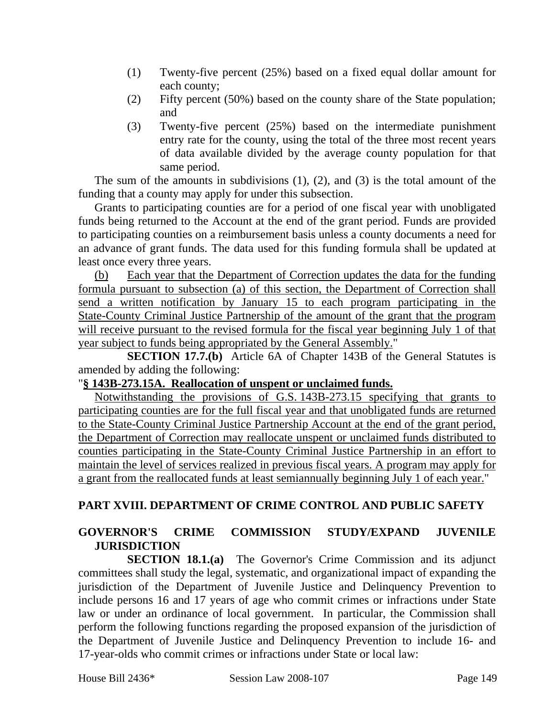- (1) Twenty-five percent (25%) based on a fixed equal dollar amount for each county;
- (2) Fifty percent (50%) based on the county share of the State population; and
- (3) Twenty-five percent (25%) based on the intermediate punishment entry rate for the county, using the total of the three most recent years of data available divided by the average county population for that same period.

The sum of the amounts in subdivisions (1), (2), and (3) is the total amount of the funding that a county may apply for under this subsection.

Grants to participating counties are for a period of one fiscal year with unobligated funds being returned to the Account at the end of the grant period. Funds are provided to participating counties on a reimbursement basis unless a county documents a need for an advance of grant funds. The data used for this funding formula shall be updated at least once every three years.

(b) Each year that the Department of Correction updates the data for the funding formula pursuant to subsection (a) of this section, the Department of Correction shall send a written notification by January 15 to each program participating in the State-County Criminal Justice Partnership of the amount of the grant that the program will receive pursuant to the revised formula for the fiscal year beginning July 1 of that year subject to funds being appropriated by the General Assembly."

**SECTION 17.7.(b)** Article 6A of Chapter 143B of the General Statutes is amended by adding the following:

#### "**§ 143B-273.15A. Reallocation of unspent or unclaimed funds.**

Notwithstanding the provisions of G.S. 143B-273.15 specifying that grants to participating counties are for the full fiscal year and that unobligated funds are returned to the State-County Criminal Justice Partnership Account at the end of the grant period, the Department of Correction may reallocate unspent or unclaimed funds distributed to counties participating in the State-County Criminal Justice Partnership in an effort to maintain the level of services realized in previous fiscal years. A program may apply for a grant from the reallocated funds at least semiannually beginning July 1 of each year."

#### **PART XVIII. DEPARTMENT OF CRIME CONTROL AND PUBLIC SAFETY**

#### **GOVERNOR'S CRIME COMMISSION STUDY/EXPAND JUVENILE JURISDICTION**

**SECTION 18.1.(a)** The Governor's Crime Commission and its adjunct committees shall study the legal, systematic, and organizational impact of expanding the jurisdiction of the Department of Juvenile Justice and Delinquency Prevention to include persons 16 and 17 years of age who commit crimes or infractions under State law or under an ordinance of local government. In particular, the Commission shall perform the following functions regarding the proposed expansion of the jurisdiction of the Department of Juvenile Justice and Delinquency Prevention to include 16- and 17-year-olds who commit crimes or infractions under State or local law: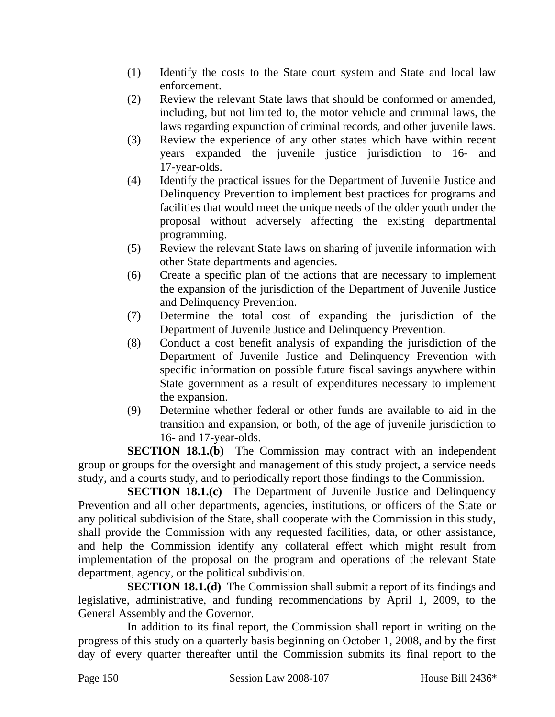- (1) Identify the costs to the State court system and State and local law enforcement.
- (2) Review the relevant State laws that should be conformed or amended, including, but not limited to, the motor vehicle and criminal laws, the laws regarding expunction of criminal records, and other juvenile laws.
- (3) Review the experience of any other states which have within recent years expanded the juvenile justice jurisdiction to 16- and 17-year-olds.
- (4) Identify the practical issues for the Department of Juvenile Justice and Delinquency Prevention to implement best practices for programs and facilities that would meet the unique needs of the older youth under the proposal without adversely affecting the existing departmental programming.
- (5) Review the relevant State laws on sharing of juvenile information with other State departments and agencies.
- (6) Create a specific plan of the actions that are necessary to implement the expansion of the jurisdiction of the Department of Juvenile Justice and Delinquency Prevention.
- (7) Determine the total cost of expanding the jurisdiction of the Department of Juvenile Justice and Delinquency Prevention.
- (8) Conduct a cost benefit analysis of expanding the jurisdiction of the Department of Juvenile Justice and Delinquency Prevention with specific information on possible future fiscal savings anywhere within State government as a result of expenditures necessary to implement the expansion.
- (9) Determine whether federal or other funds are available to aid in the transition and expansion, or both, of the age of juvenile jurisdiction to 16- and 17-year-olds.

**SECTION 18.1.(b)** The Commission may contract with an independent group or groups for the oversight and management of this study project, a service needs study, and a courts study, and to periodically report those findings to the Commission.

**SECTION 18.1.(c)** The Department of Juvenile Justice and Delinquency Prevention and all other departments, agencies, institutions, or officers of the State or any political subdivision of the State, shall cooperate with the Commission in this study, shall provide the Commission with any requested facilities, data, or other assistance, and help the Commission identify any collateral effect which might result from implementation of the proposal on the program and operations of the relevant State department, agency, or the political subdivision.

**SECTION 18.1.(d)** The Commission shall submit a report of its findings and legislative, administrative, and funding recommendations by April 1, 2009, to the General Assembly and the Governor.

In addition to its final report, the Commission shall report in writing on the progress of this study on a quarterly basis beginning on October 1, 2008, and by the first day of every quarter thereafter until the Commission submits its final report to the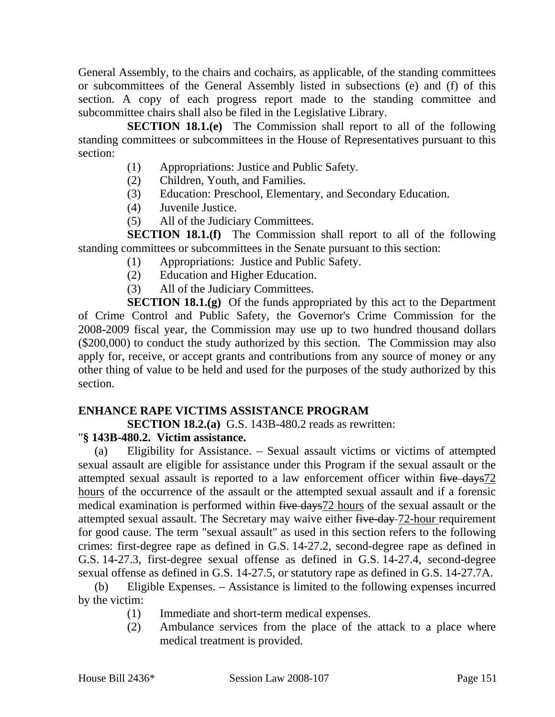General Assembly, to the chairs and cochairs, as applicable, of the standing committees or subcommittees of the General Assembly listed in subsections (e) and (f) of this section. A copy of each progress report made to the standing committee and subcommittee chairs shall also be filed in the Legislative Library.

**SECTION 18.1.(e)** The Commission shall report to all of the following standing committees or subcommittees in the House of Representatives pursuant to this section:

- (1) Appropriations: Justice and Public Safety.
- (2) Children, Youth, and Families.
- (3) Education: Preschool, Elementary, and Secondary Education.
- (4) Juvenile Justice.
- (5) All of the Judiciary Committees.

**SECTION 18.1.(f)** The Commission shall report to all of the following standing committees or subcommittees in the Senate pursuant to this section:

- (1) Appropriations: Justice and Public Safety.
- (2) Education and Higher Education.
- (3) All of the Judiciary Committees.

**SECTION 18.1.(g)** Of the funds appropriated by this act to the Department of Crime Control and Public Safety, the Governor's Crime Commission for the 2008-2009 fiscal year, the Commission may use up to two hundred thousand dollars (\$200,000) to conduct the study authorized by this section. The Commission may also apply for, receive, or accept grants and contributions from any source of money or any other thing of value to be held and used for the purposes of the study authorized by this section.

#### **ENHANCE RAPE VICTIMS ASSISTANCE PROGRAM**

**SECTION 18.2.(a)** G.S. 143B-480.2 reads as rewritten:

#### "**§ 143B-480.2. Victim assistance.**

(a) Eligibility for Assistance. – Sexual assault victims or victims of attempted sexual assault are eligible for assistance under this Program if the sexual assault or the attempted sexual assault is reported to a law enforcement officer within five days72 hours of the occurrence of the assault or the attempted sexual assault and if a forensic medical examination is performed within five days72 hours of the sexual assault or the attempted sexual assault. The Secretary may waive either five-day 72-hour requirement for good cause. The term "sexual assault" as used in this section refers to the following crimes: first-degree rape as defined in G.S. 14-27.2, second-degree rape as defined in G.S. 14-27.3, first-degree sexual offense as defined in G.S. 14-27.4, second-degree sexual offense as defined in G.S. 14-27.5, or statutory rape as defined in G.S. 14-27.7A.

(b) Eligible Expenses. – Assistance is limited to the following expenses incurred by the victim:

- (1) Immediate and short-term medical expenses.
- (2) Ambulance services from the place of the attack to a place where medical treatment is provided.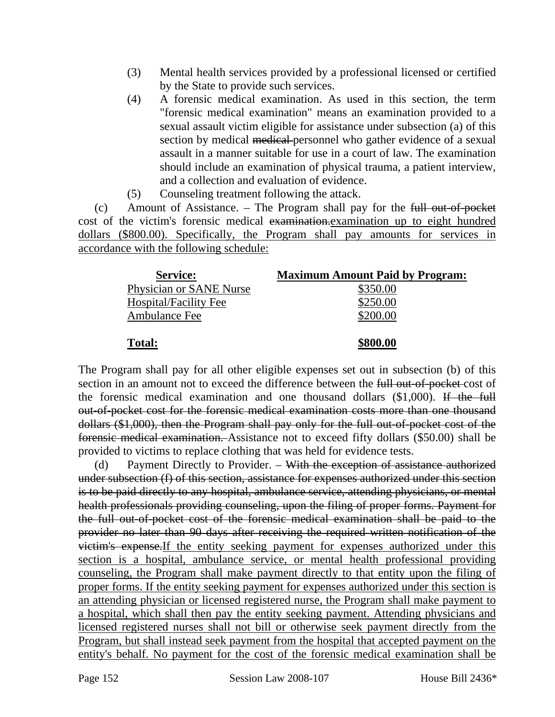- (3) Mental health services provided by a professional licensed or certified by the State to provide such services.
- (4) A forensic medical examination. As used in this section, the term "forensic medical examination" means an examination provided to a sexual assault victim eligible for assistance under subsection (a) of this section by medical medical personnel who gather evidence of a sexual assault in a manner suitable for use in a court of law. The examination should include an examination of physical trauma, a patient interview, and a collection and evaluation of evidence.
- (5) Counseling treatment following the attack.

(c) Amount of Assistance. – The Program shall pay for the  $f$ ull out-of-pocket cost of the victim's forensic medical examination.examination up to eight hundred dollars (\$800.00). Specifically, the Program shall pay amounts for services in accordance with the following schedule:

| <b>Service:</b>                | <b>Maximum Amount Paid by Program:</b> |
|--------------------------------|----------------------------------------|
| <b>Physician or SANE Nurse</b> | \$350.00                               |
| <b>Hospital/Facility Fee</b>   | \$250.00                               |
| <b>Ambulance Fee</b>           | \$200.00                               |
|                                |                                        |
| <b>Total:</b>                  | \$800.00                               |

The Program shall pay for all other eligible expenses set out in subsection (b) of this section in an amount not to exceed the difference between the full out-of-pocket cost of the forensic medical examination and one thousand dollars (\$1,000). If the full out-of-pocket cost for the forensic medical examination costs more than one thousand dollars (\$1,000), then the Program shall pay only for the full out-of-pocket cost of the forensic medical examination. Assistance not to exceed fifty dollars (\$50.00) shall be provided to victims to replace clothing that was held for evidence tests.

(d) Payment Directly to Provider. – With the exception of assistance authorized under subsection (f) of this section, assistance for expenses authorized under this section is to be paid directly to any hospital, ambulance service, attending physicians, or mental health professionals providing counseling, upon the filing of proper forms. Payment for the full out-of-pocket cost of the forensic medical examination shall be paid to the provider no later than 90 days after receiving the required written notification of the victim's expense.If the entity seeking payment for expenses authorized under this section is a hospital, ambulance service, or mental health professional providing counseling, the Program shall make payment directly to that entity upon the filing of proper forms. If the entity seeking payment for expenses authorized under this section is an attending physician or licensed registered nurse, the Program shall make payment to a hospital, which shall then pay the entity seeking payment. Attending physicians and licensed registered nurses shall not bill or otherwise seek payment directly from the Program, but shall instead seek payment from the hospital that accepted payment on the entity's behalf. No payment for the cost of the forensic medical examination shall be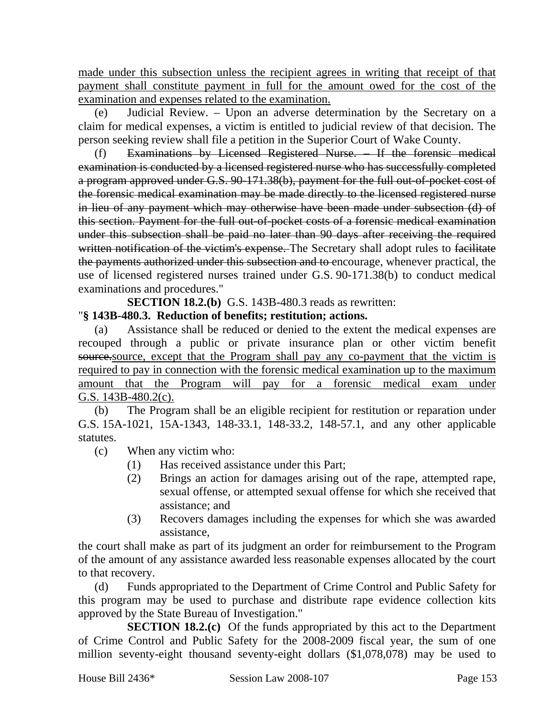made under this subsection unless the recipient agrees in writing that receipt of that payment shall constitute payment in full for the amount owed for the cost of the examination and expenses related to the examination.

(e) Judicial Review. – Upon an adverse determination by the Secretary on a claim for medical expenses, a victim is entitled to judicial review of that decision. The person seeking review shall file a petition in the Superior Court of Wake County.

(f) Examinations by Licensed Registered Nurse. – If the forensic medical examination is conducted by a licensed registered nurse who has successfully completed a program approved under G.S. 90-171.38(b), payment for the full out-of-pocket cost of the forensic medical examination may be made directly to the licensed registered nurse in lieu of any payment which may otherwise have been made under subsection (d) of this section. Payment for the full out-of-pocket costs of a forensic medical examination under this subsection shall be paid no later than 90 days after receiving the required written notification of the victim's expense. The Secretary shall adopt rules to facilitate the payments authorized under this subsection and to encourage, whenever practical, the use of licensed registered nurses trained under G.S. 90-171.38(b) to conduct medical examinations and procedures."

**SECTION 18.2.(b)** G.S. 143B-480.3 reads as rewritten:

"**§ 143B-480.3. Reduction of benefits; restitution; actions.** 

(a) Assistance shall be reduced or denied to the extent the medical expenses are recouped through a public or private insurance plan or other victim benefit source. Source, except that the Program shall pay any co-payment that the victim is required to pay in connection with the forensic medical examination up to the maximum amount that the Program will pay for a forensic medical exam under G.S. 143B-480.2(c).

(b) The Program shall be an eligible recipient for restitution or reparation under G.S. 15A-1021, 15A-1343, 148-33.1, 148-33.2, 148-57.1, and any other applicable statutes.

(c) When any victim who:

- (1) Has received assistance under this Part;
- (2) Brings an action for damages arising out of the rape, attempted rape, sexual offense, or attempted sexual offense for which she received that assistance; and
- (3) Recovers damages including the expenses for which she was awarded assistance,

the court shall make as part of its judgment an order for reimbursement to the Program of the amount of any assistance awarded less reasonable expenses allocated by the court to that recovery.

(d) Funds appropriated to the Department of Crime Control and Public Safety for this program may be used to purchase and distribute rape evidence collection kits approved by the State Bureau of Investigation."

**SECTION 18.2.(c)** Of the funds appropriated by this act to the Department of Crime Control and Public Safety for the 2008-2009 fiscal year, the sum of one million seventy-eight thousand seventy-eight dollars (\$1,078,078) may be used to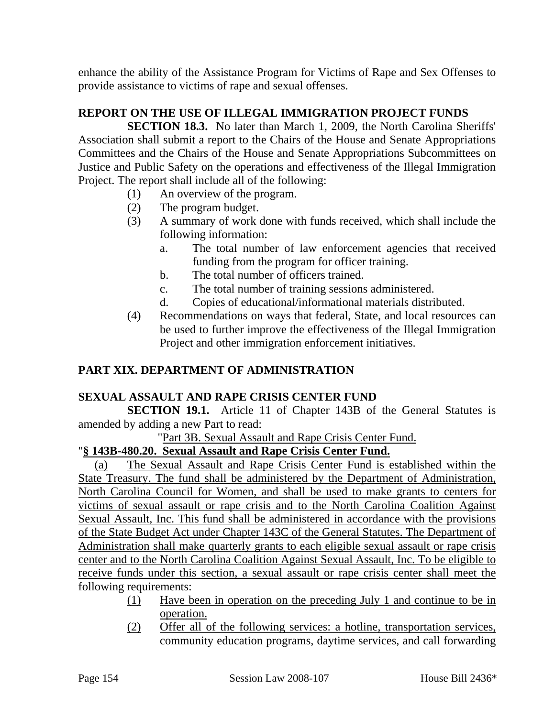enhance the ability of the Assistance Program for Victims of Rape and Sex Offenses to provide assistance to victims of rape and sexual offenses.

# **REPORT ON THE USE OF ILLEGAL IMMIGRATION PROJECT FUNDS**

**SECTION 18.3.** No later than March 1, 2009, the North Carolina Sheriffs' Association shall submit a report to the Chairs of the House and Senate Appropriations Committees and the Chairs of the House and Senate Appropriations Subcommittees on Justice and Public Safety on the operations and effectiveness of the Illegal Immigration Project. The report shall include all of the following:

- (1) An overview of the program.
- (2) The program budget.
- (3) A summary of work done with funds received, which shall include the following information:
	- a. The total number of law enforcement agencies that received funding from the program for officer training.
	- b. The total number of officers trained.
	- c. The total number of training sessions administered.
	- d. Copies of educational/informational materials distributed.
- (4) Recommendations on ways that federal, State, and local resources can be used to further improve the effectiveness of the Illegal Immigration Project and other immigration enforcement initiatives.

## **PART XIX. DEPARTMENT OF ADMINISTRATION**

#### **SEXUAL ASSAULT AND RAPE CRISIS CENTER FUND**

**SECTION 19.1.** Article 11 of Chapter 143B of the General Statutes is amended by adding a new Part to read:

"Part 3B. Sexual Assault and Rape Crisis Center Fund.

# "**§ 143B-480.20. Sexual Assault and Rape Crisis Center Fund.**

(a) The Sexual Assault and Rape Crisis Center Fund is established within the State Treasury. The fund shall be administered by the Department of Administration, North Carolina Council for Women, and shall be used to make grants to centers for victims of sexual assault or rape crisis and to the North Carolina Coalition Against Sexual Assault, Inc. This fund shall be administered in accordance with the provisions of the State Budget Act under Chapter 143C of the General Statutes. The Department of Administration shall make quarterly grants to each eligible sexual assault or rape crisis center and to the North Carolina Coalition Against Sexual Assault, Inc. To be eligible to receive funds under this section, a sexual assault or rape crisis center shall meet the following requirements:

- (1) Have been in operation on the preceding July 1 and continue to be in operation.
- (2) Offer all of the following services: a hotline, transportation services, community education programs, daytime services, and call forwarding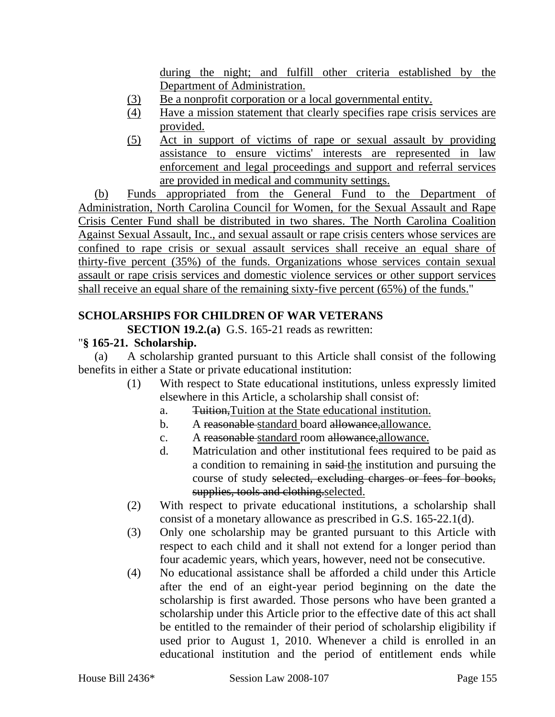during the night; and fulfill other criteria established by the Department of Administration.

- (3) Be a nonprofit corporation or a local governmental entity.
- (4) Have a mission statement that clearly specifies rape crisis services are provided.
- (5) Act in support of victims of rape or sexual assault by providing assistance to ensure victims' interests are represented in law enforcement and legal proceedings and support and referral services are provided in medical and community settings.

(b) Funds appropriated from the General Fund to the Department of Administration, North Carolina Council for Women, for the Sexual Assault and Rape Crisis Center Fund shall be distributed in two shares. The North Carolina Coalition Against Sexual Assault, Inc., and sexual assault or rape crisis centers whose services are confined to rape crisis or sexual assault services shall receive an equal share of thirty-five percent (35%) of the funds. Organizations whose services contain sexual assault or rape crisis services and domestic violence services or other support services shall receive an equal share of the remaining sixty-five percent (65%) of the funds."

# **SCHOLARSHIPS FOR CHILDREN OF WAR VETERANS**

**SECTION 19.2.(a)** G.S. 165-21 reads as rewritten:

#### "**§ 165-21. Scholarship.**

(a) A scholarship granted pursuant to this Article shall consist of the following benefits in either a State or private educational institution:

- (1) With respect to State educational institutions, unless expressly limited elsewhere in this Article, a scholarship shall consist of:
	- a. Tuition,Tuition at the State educational institution.
	- b. A reasonable-standard board allowance, allowance.
	- c. A reasonable standard room allowance, allowance.
	- d. Matriculation and other institutional fees required to be paid as a condition to remaining in said the institution and pursuing the course of study selected, excluding charges or fees for books, supplies, tools and clothing selected.
- (2) With respect to private educational institutions, a scholarship shall consist of a monetary allowance as prescribed in G.S. 165-22.1(d).
- (3) Only one scholarship may be granted pursuant to this Article with respect to each child and it shall not extend for a longer period than four academic years, which years, however, need not be consecutive.
- (4) No educational assistance shall be afforded a child under this Article after the end of an eight-year period beginning on the date the scholarship is first awarded. Those persons who have been granted a scholarship under this Article prior to the effective date of this act shall be entitled to the remainder of their period of scholarship eligibility if used prior to August 1, 2010. Whenever a child is enrolled in an educational institution and the period of entitlement ends while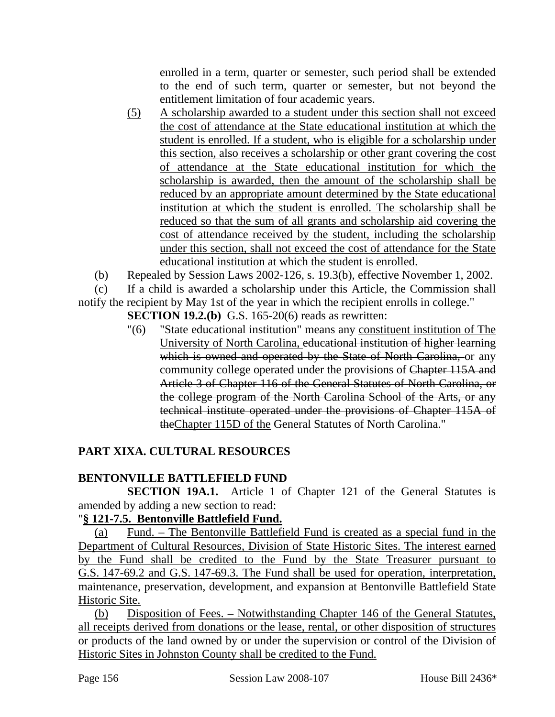enrolled in a term, quarter or semester, such period shall be extended to the end of such term, quarter or semester, but not beyond the entitlement limitation of four academic years.

- (5) A scholarship awarded to a student under this section shall not exceed the cost of attendance at the State educational institution at which the student is enrolled. If a student, who is eligible for a scholarship under this section, also receives a scholarship or other grant covering the cost of attendance at the State educational institution for which the scholarship is awarded, then the amount of the scholarship shall be reduced by an appropriate amount determined by the State educational institution at which the student is enrolled. The scholarship shall be reduced so that the sum of all grants and scholarship aid covering the cost of attendance received by the student, including the scholarship under this section, shall not exceed the cost of attendance for the State educational institution at which the student is enrolled.
- (b) Repealed by Session Laws 2002-126, s. 19.3(b), effective November 1, 2002.
- (c) If a child is awarded a scholarship under this Article, the Commission shall

notify the recipient by May 1st of the year in which the recipient enrolls in college."

**SECTION 19.2.(b)** G.S. 165-20(6) reads as rewritten:

"(6) "State educational institution" means any constituent institution of The University of North Carolina, educational institution of higher learning which is owned and operated by the State of North Carolina, or any community college operated under the provisions of Chapter 115A and Article 3 of Chapter 116 of the General Statutes of North Carolina, or the college program of the North Carolina School of the Arts, or any technical institute operated under the provisions of Chapter 115A of theChapter 115D of the General Statutes of North Carolina."

# **PART XIXA. CULTURAL RESOURCES**

## **BENTONVILLE BATTLEFIELD FUND**

**SECTION 19A.1.** Article 1 of Chapter 121 of the General Statutes is amended by adding a new section to read:

## "**§ 121-7.5. Bentonville Battlefield Fund.**

(a) Fund. – The Bentonville Battlefield Fund is created as a special fund in the Department of Cultural Resources, Division of State Historic Sites. The interest earned by the Fund shall be credited to the Fund by the State Treasurer pursuant to G.S. 147-69.2 and G.S. 147-69.3. The Fund shall be used for operation, interpretation, maintenance, preservation, development, and expansion at Bentonville Battlefield State Historic Site.

(b) Disposition of Fees. – Notwithstanding Chapter 146 of the General Statutes, all receipts derived from donations or the lease, rental, or other disposition of structures or products of the land owned by or under the supervision or control of the Division of Historic Sites in Johnston County shall be credited to the Fund.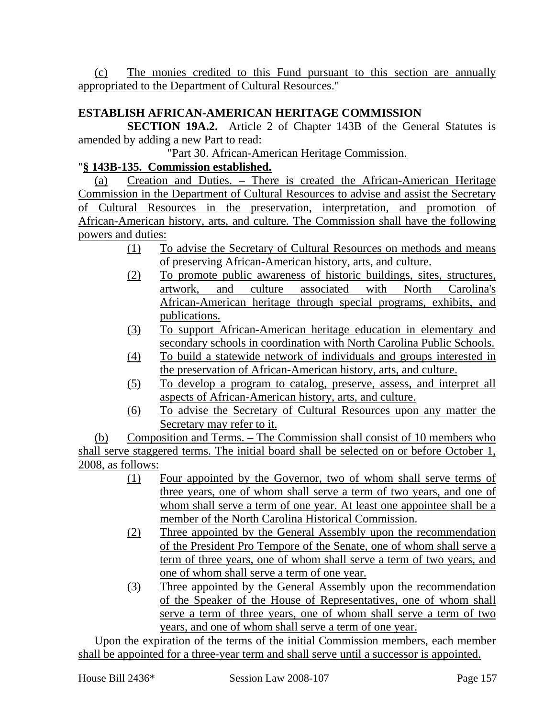(c) The monies credited to this Fund pursuant to this section are annually appropriated to the Department of Cultural Resources."

# **ESTABLISH AFRICAN-AMERICAN HERITAGE COMMISSION**

**SECTION 19A.2.** Article 2 of Chapter 143B of the General Statutes is amended by adding a new Part to read:

"Part 30. African-American Heritage Commission.

#### "**§ 143B-135. Commission established.**

(a) Creation and Duties. – There is created the African-American Heritage Commission in the Department of Cultural Resources to advise and assist the Secretary of Cultural Resources in the preservation, interpretation, and promotion of African-American history, arts, and culture. The Commission shall have the following powers and duties:

- (1) To advise the Secretary of Cultural Resources on methods and means of preserving African-American history, arts, and culture.
- (2) To promote public awareness of historic buildings, sites, structures, artwork, and culture associated with North Carolina's African-American heritage through special programs, exhibits, and publications.
- (3) To support African-American heritage education in elementary and secondary schools in coordination with North Carolina Public Schools.
- (4) To build a statewide network of individuals and groups interested in the preservation of African-American history, arts, and culture.
- (5) To develop a program to catalog, preserve, assess, and interpret all aspects of African-American history, arts, and culture.
- (6) To advise the Secretary of Cultural Resources upon any matter the Secretary may refer to it.

(b) Composition and Terms. – The Commission shall consist of 10 members who shall serve staggered terms. The initial board shall be selected on or before October 1, 2008, as follows:

- (1) Four appointed by the Governor, two of whom shall serve terms of three years, one of whom shall serve a term of two years, and one of whom shall serve a term of one year. At least one appointee shall be a member of the North Carolina Historical Commission.
- (2) Three appointed by the General Assembly upon the recommendation of the President Pro Tempore of the Senate, one of whom shall serve a term of three years, one of whom shall serve a term of two years, and one of whom shall serve a term of one year.
- (3) Three appointed by the General Assembly upon the recommendation of the Speaker of the House of Representatives, one of whom shall serve a term of three years, one of whom shall serve a term of two years, and one of whom shall serve a term of one year.

Upon the expiration of the terms of the initial Commission members, each member shall be appointed for a three-year term and shall serve until a successor is appointed.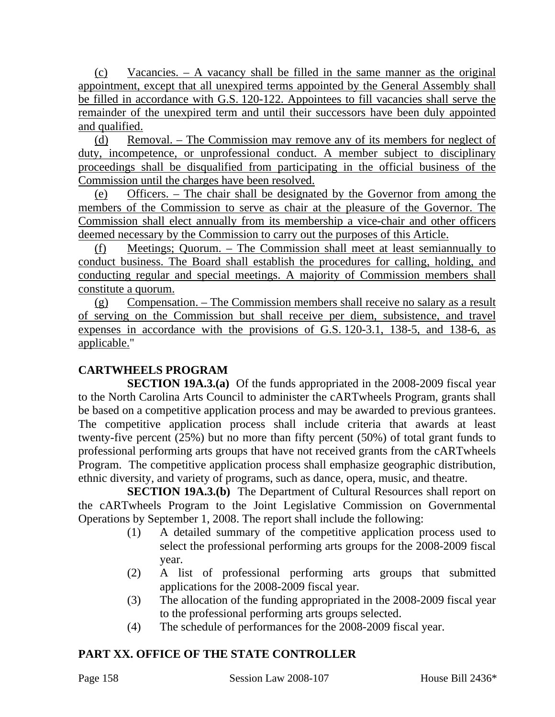(c) Vacancies. – A vacancy shall be filled in the same manner as the original appointment, except that all unexpired terms appointed by the General Assembly shall be filled in accordance with G.S. 120-122. Appointees to fill vacancies shall serve the remainder of the unexpired term and until their successors have been duly appointed and qualified.

(d) Removal. – The Commission may remove any of its members for neglect of duty, incompetence, or unprofessional conduct. A member subject to disciplinary proceedings shall be disqualified from participating in the official business of the Commission until the charges have been resolved.

(e) Officers. – The chair shall be designated by the Governor from among the members of the Commission to serve as chair at the pleasure of the Governor. The Commission shall elect annually from its membership a vice-chair and other officers deemed necessary by the Commission to carry out the purposes of this Article.

(f) Meetings; Quorum. – The Commission shall meet at least semiannually to conduct business. The Board shall establish the procedures for calling, holding, and conducting regular and special meetings. A majority of Commission members shall constitute a quorum.

(g) Compensation. – The Commission members shall receive no salary as a result of serving on the Commission but shall receive per diem, subsistence, and travel expenses in accordance with the provisions of G.S. 120-3.1, 138-5, and 138-6, as applicable."

# **CARTWHEELS PROGRAM**

**SECTION 19A.3.(a)** Of the funds appropriated in the 2008-2009 fiscal year to the North Carolina Arts Council to administer the cARTwheels Program, grants shall be based on a competitive application process and may be awarded to previous grantees. The competitive application process shall include criteria that awards at least twenty-five percent (25%) but no more than fifty percent (50%) of total grant funds to professional performing arts groups that have not received grants from the cARTwheels Program. The competitive application process shall emphasize geographic distribution, ethnic diversity, and variety of programs, such as dance, opera, music, and theatre.

**SECTION 19A.3.(b)** The Department of Cultural Resources shall report on the cARTwheels Program to the Joint Legislative Commission on Governmental Operations by September 1, 2008. The report shall include the following:

- (1) A detailed summary of the competitive application process used to select the professional performing arts groups for the 2008-2009 fiscal year.
- (2) A list of professional performing arts groups that submitted applications for the 2008-2009 fiscal year.
- (3) The allocation of the funding appropriated in the 2008-2009 fiscal year to the professional performing arts groups selected.
- (4) The schedule of performances for the 2008-2009 fiscal year.

# **PART XX. OFFICE OF THE STATE CONTROLLER**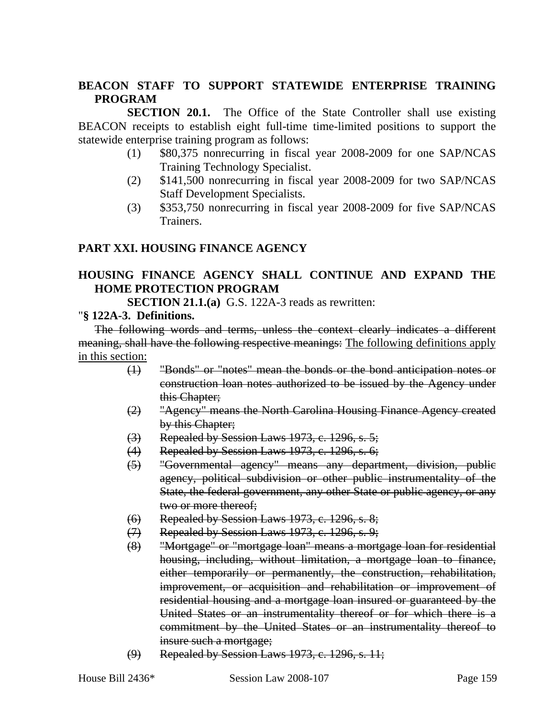## **BEACON STAFF TO SUPPORT STATEWIDE ENTERPRISE TRAINING PROGRAM**

**SECTION 20.1.** The Office of the State Controller shall use existing BEACON receipts to establish eight full-time time-limited positions to support the statewide enterprise training program as follows:

- (1) \$80,375 nonrecurring in fiscal year 2008-2009 for one SAP/NCAS Training Technology Specialist.
- (2) \$141,500 nonrecurring in fiscal year 2008-2009 for two SAP/NCAS Staff Development Specialists.
- (3) \$353,750 nonrecurring in fiscal year 2008-2009 for five SAP/NCAS Trainers.

#### **PART XXI. HOUSING FINANCE AGENCY**

#### **HOUSING FINANCE AGENCY SHALL CONTINUE AND EXPAND THE HOME PROTECTION PROGRAM**

**SECTION 21.1.(a)** G.S. 122A-3 reads as rewritten:

#### "**§ 122A-3. Definitions.**

The following words and terms, unless the context clearly indicates a different meaning, shall have the following respective meanings: The following definitions apply in this section:

- (1) "Bonds" or "notes" mean the bonds or the bond anticipation notes or construction loan notes authorized to be issued by the Agency under this Chapter;
- (2) "Agency" means the North Carolina Housing Finance Agency created by this Chapter;
- $\langle 3 \rangle$  Repealed by Session Laws 1973, c. 1296, s. 5;
- (4) Repealed by Session Laws 1973, c. 1296, s. 6;
- (5) "Governmental agency" means any department, division, public agency, political subdivision or other public instrumentality of the State, the federal government, any other State or public agency, or any two or more thereof;
- $(6)$  Repealed by Session Laws 1973, c. 1296, s. 8;
- $(7)$  Repealed by Session Laws 1973, c. 1296, s. 9;
- (8) "Mortgage" or "mortgage loan" means a mortgage loan for residential housing, including, without limitation, a mortgage loan to finance, either temporarily or permanently, the construction, rehabilitation, improvement, or acquisition and rehabilitation or improvement of residential housing and a mortgage loan insured or guaranteed by the United States or an instrumentality thereof or for which there is a commitment by the United States or an instrumentality thereof to insure such a mortgage;
- (9) Repealed by Session Laws 1973, c. 1296, s. 11;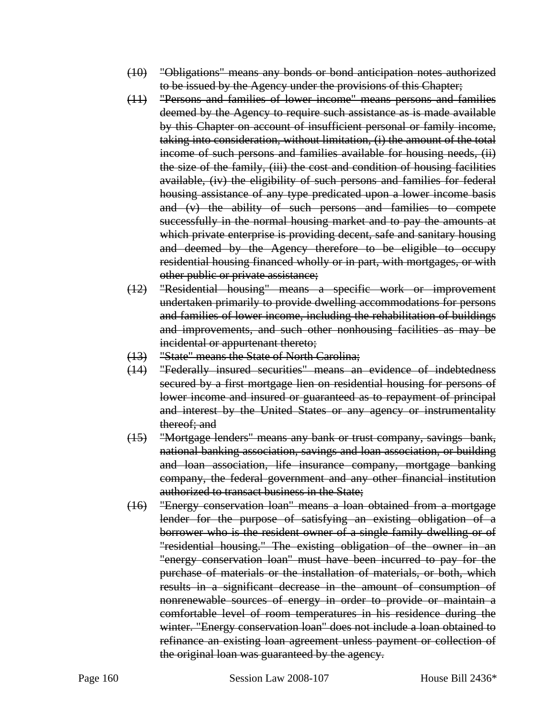- (10) "Obligations" means any bonds or bond anticipation notes authorized to be issued by the Agency under the provisions of this Chapter;
- (11) "Persons and families of lower income" means persons and families deemed by the Agency to require such assistance as is made available by this Chapter on account of insufficient personal or family income, taking into consideration, without limitation, (i) the amount of the total income of such persons and families available for housing needs, (ii) the size of the family, (iii) the cost and condition of housing facilities available, (iv) the eligibility of such persons and families for federal housing assistance of any type predicated upon a lower income basis and (v) the ability of such persons and families to compete successfully in the normal housing market and to pay the amounts at which private enterprise is providing decent, safe and sanitary housing and deemed by the Agency therefore to be eligible to occupy residential housing financed wholly or in part, with mortgages, or with other public or private assistance;
- (12) "Residential housing" means a specific work or improvement undertaken primarily to provide dwelling accommodations for persons and families of lower income, including the rehabilitation of buildings and improvements, and such other nonhousing facilities as may be incidental or appurtenant thereto;
- (13) "State" means the State of North Carolina;
- (14) "Federally insured securities" means an evidence of indebtedness secured by a first mortgage lien on residential housing for persons of lower income and insured or guaranteed as to repayment of principal and interest by the United States or any agency or instrumentality thereof; and
- (15) "Mortgage lenders" means any bank or trust company, savings bank, national banking association, savings and loan association, or building and loan association, life insurance company, mortgage banking company, the federal government and any other financial institution authorized to transact business in the State;
- (16) "Energy conservation loan" means a loan obtained from a mortgage lender for the purpose of satisfying an existing obligation of a borrower who is the resident owner of a single family dwelling or of "residential housing." The existing obligation of the owner in an "energy conservation loan" must have been incurred to pay for the purchase of materials or the installation of materials, or both, which results in a significant decrease in the amount of consumption of nonrenewable sources of energy in order to provide or maintain a comfortable level of room temperatures in his residence during the winter. "Energy conservation loan" does not include a loan obtained to refinance an existing loan agreement unless payment or collection of the original loan was guaranteed by the agency.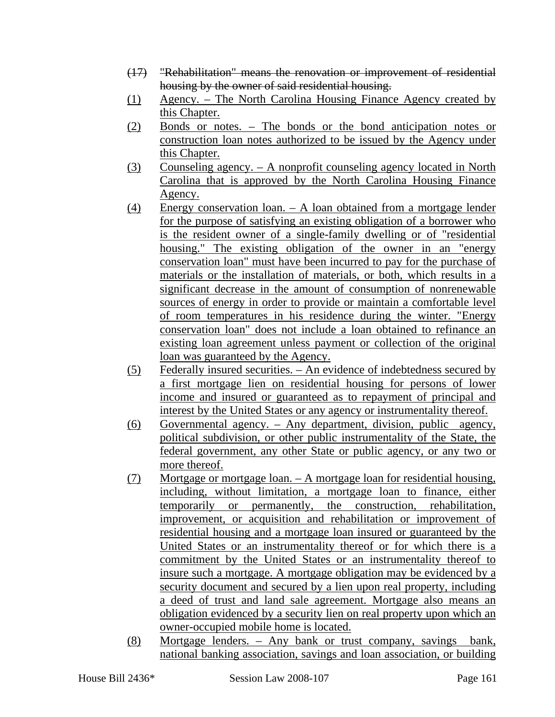- (17) "Rehabilitation" means the renovation or improvement of residential housing by the owner of said residential housing.
- (1) Agency. The North Carolina Housing Finance Agency created by this Chapter.
- (2) Bonds or notes. The bonds or the bond anticipation notes or construction loan notes authorized to be issued by the Agency under this Chapter.
- (3) Counseling agency. A nonprofit counseling agency located in North Carolina that is approved by the North Carolina Housing Finance Agency.
- (4) Energy conservation loan. A loan obtained from a mortgage lender for the purpose of satisfying an existing obligation of a borrower who is the resident owner of a single-family dwelling or of "residential housing." The existing obligation of the owner in an "energy conservation loan" must have been incurred to pay for the purchase of materials or the installation of materials, or both, which results in a significant decrease in the amount of consumption of nonrenewable sources of energy in order to provide or maintain a comfortable level of room temperatures in his residence during the winter. "Energy conservation loan" does not include a loan obtained to refinance an existing loan agreement unless payment or collection of the original loan was guaranteed by the Agency.
- (5) Federally insured securities. An evidence of indebtedness secured by a first mortgage lien on residential housing for persons of lower income and insured or guaranteed as to repayment of principal and interest by the United States or any agency or instrumentality thereof.
- (6) Governmental agency. Any department, division, public agency, political subdivision, or other public instrumentality of the State, the federal government, any other State or public agency, or any two or more thereof.
- (7) Mortgage or mortgage loan. A mortgage loan for residential housing, including, without limitation, a mortgage loan to finance, either temporarily or permanently, the construction, rehabilitation, improvement, or acquisition and rehabilitation or improvement of residential housing and a mortgage loan insured or guaranteed by the United States or an instrumentality thereof or for which there is a commitment by the United States or an instrumentality thereof to insure such a mortgage. A mortgage obligation may be evidenced by a security document and secured by a lien upon real property, including a deed of trust and land sale agreement. Mortgage also means an obligation evidenced by a security lien on real property upon which an owner-occupied mobile home is located.
- (8) Mortgage lenders. Any bank or trust company, savings bank, national banking association, savings and loan association, or building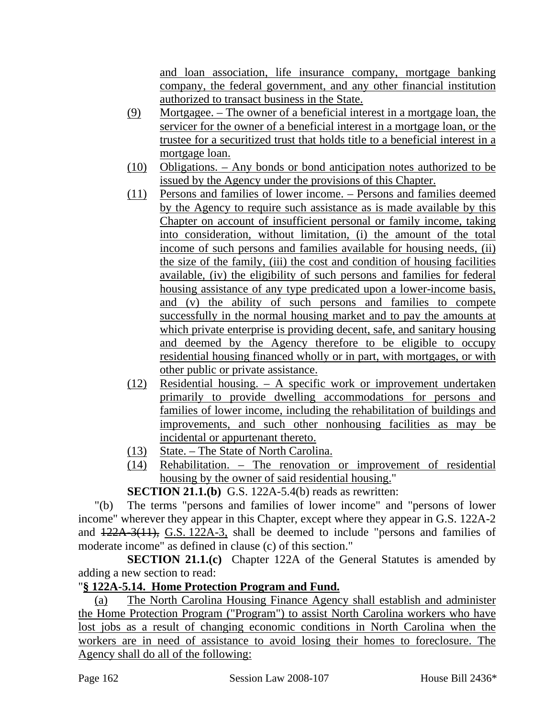and loan association, life insurance company, mortgage banking company, the federal government, and any other financial institution authorized to transact business in the State.

- (9) Mortgagee. The owner of a beneficial interest in a mortgage loan, the servicer for the owner of a beneficial interest in a mortgage loan, or the trustee for a securitized trust that holds title to a beneficial interest in a mortgage loan.
- (10) Obligations. Any bonds or bond anticipation notes authorized to be issued by the Agency under the provisions of this Chapter.
- (11) Persons and families of lower income. Persons and families deemed by the Agency to require such assistance as is made available by this Chapter on account of insufficient personal or family income, taking into consideration, without limitation, (i) the amount of the total income of such persons and families available for housing needs, (ii) the size of the family, (iii) the cost and condition of housing facilities available, (iv) the eligibility of such persons and families for federal housing assistance of any type predicated upon a lower-income basis, and (v) the ability of such persons and families to compete successfully in the normal housing market and to pay the amounts at which private enterprise is providing decent, safe, and sanitary housing and deemed by the Agency therefore to be eligible to occupy residential housing financed wholly or in part, with mortgages, or with other public or private assistance.
- (12) Residential housing. A specific work or improvement undertaken primarily to provide dwelling accommodations for persons and families of lower income, including the rehabilitation of buildings and improvements, and such other nonhousing facilities as may be incidental or appurtenant thereto.
- (13) State. The State of North Carolina.
- (14) Rehabilitation. The renovation or improvement of residential housing by the owner of said residential housing."

**SECTION 21.1.(b)** G.S. 122A-5.4(b) reads as rewritten:

"(b) The terms "persons and families of lower income" and "persons of lower income" wherever they appear in this Chapter, except where they appear in G.S. 122A-2 and  $122A-3(11)$ , G.S. 122A-3, shall be deemed to include "persons and families of moderate income" as defined in clause (c) of this section."

**SECTION 21.1.(c)** Chapter 122A of the General Statutes is amended by adding a new section to read:

# "**§ 122A-5.14. Home Protection Program and Fund.**

(a) The North Carolina Housing Finance Agency shall establish and administer the Home Protection Program ("Program") to assist North Carolina workers who have lost jobs as a result of changing economic conditions in North Carolina when the workers are in need of assistance to avoid losing their homes to foreclosure. The Agency shall do all of the following: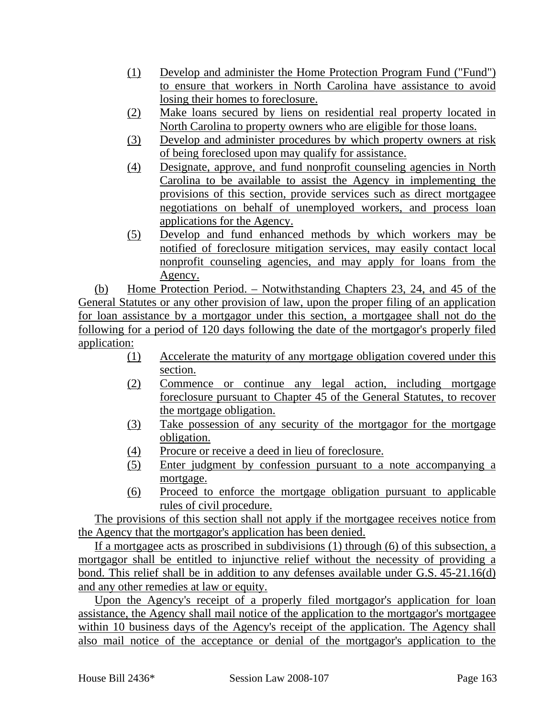- (1) Develop and administer the Home Protection Program Fund ("Fund") to ensure that workers in North Carolina have assistance to avoid losing their homes to foreclosure.
- (2) Make loans secured by liens on residential real property located in North Carolina to property owners who are eligible for those loans.
- (3) Develop and administer procedures by which property owners at risk of being foreclosed upon may qualify for assistance.
- (4) Designate, approve, and fund nonprofit counseling agencies in North Carolina to be available to assist the Agency in implementing the provisions of this section, provide services such as direct mortgagee negotiations on behalf of unemployed workers, and process loan applications for the Agency.
- (5) Develop and fund enhanced methods by which workers may be notified of foreclosure mitigation services, may easily contact local nonprofit counseling agencies, and may apply for loans from the Agency.

(b) Home Protection Period. – Notwithstanding Chapters 23, 24, and 45 of the General Statutes or any other provision of law, upon the proper filing of an application for loan assistance by a mortgagor under this section, a mortgagee shall not do the following for a period of 120 days following the date of the mortgagor's properly filed application:

- (1) Accelerate the maturity of any mortgage obligation covered under this section.
- (2) Commence or continue any legal action, including mortgage foreclosure pursuant to Chapter 45 of the General Statutes, to recover the mortgage obligation.
- (3) Take possession of any security of the mortgagor for the mortgage obligation.
- (4) Procure or receive a deed in lieu of foreclosure.
- (5) Enter judgment by confession pursuant to a note accompanying a mortgage.
- (6) Proceed to enforce the mortgage obligation pursuant to applicable rules of civil procedure.

The provisions of this section shall not apply if the mortgagee receives notice from the Agency that the mortgagor's application has been denied.

If a mortgagee acts as proscribed in subdivisions (1) through (6) of this subsection, a mortgagor shall be entitled to injunctive relief without the necessity of providing a bond. This relief shall be in addition to any defenses available under G.S. 45-21.16(d) and any other remedies at law or equity.

Upon the Agency's receipt of a properly filed mortgagor's application for loan assistance, the Agency shall mail notice of the application to the mortgagor's mortgagee within 10 business days of the Agency's receipt of the application. The Agency shall also mail notice of the acceptance or denial of the mortgagor's application to the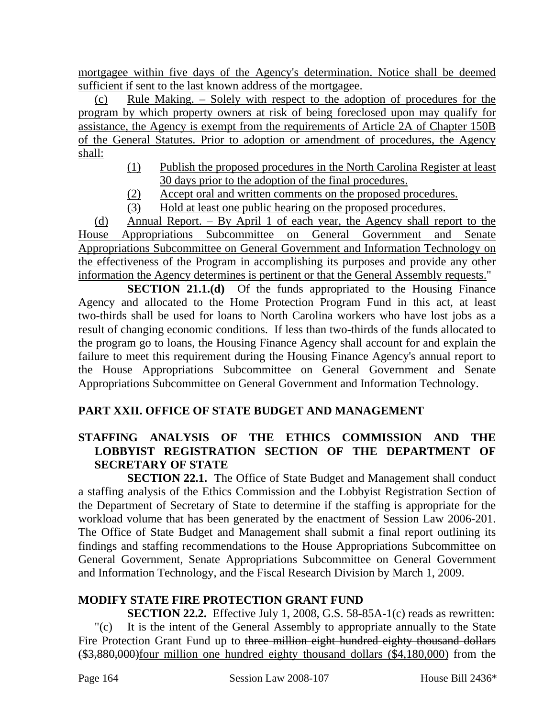mortgagee within five days of the Agency's determination. Notice shall be deemed sufficient if sent to the last known address of the mortgagee.

(c) Rule Making. – Solely with respect to the adoption of procedures for the program by which property owners at risk of being foreclosed upon may qualify for assistance, the Agency is exempt from the requirements of Article 2A of Chapter 150B of the General Statutes. Prior to adoption or amendment of procedures, the Agency shall:

- (1) Publish the proposed procedures in the North Carolina Register at least 30 days prior to the adoption of the final procedures.
- (2) Accept oral and written comments on the proposed procedures.
- (3) Hold at least one public hearing on the proposed procedures.

(d) Annual Report. – By April 1 of each year, the Agency shall report to the House Appropriations Subcommittee on General Government and Senate Appropriations Subcommittee on General Government and Information Technology on the effectiveness of the Program in accomplishing its purposes and provide any other information the Agency determines is pertinent or that the General Assembly requests."

**SECTION 21.1.(d)** Of the funds appropriated to the Housing Finance Agency and allocated to the Home Protection Program Fund in this act, at least two-thirds shall be used for loans to North Carolina workers who have lost jobs as a result of changing economic conditions. If less than two-thirds of the funds allocated to the program go to loans, the Housing Finance Agency shall account for and explain the failure to meet this requirement during the Housing Finance Agency's annual report to the House Appropriations Subcommittee on General Government and Senate Appropriations Subcommittee on General Government and Information Technology.

# **PART XXII. OFFICE OF STATE BUDGET AND MANAGEMENT**

# **STAFFING ANALYSIS OF THE ETHICS COMMISSION AND THE LOBBYIST REGISTRATION SECTION OF THE DEPARTMENT OF SECRETARY OF STATE**

**SECTION 22.1.** The Office of State Budget and Management shall conduct a staffing analysis of the Ethics Commission and the Lobbyist Registration Section of the Department of Secretary of State to determine if the staffing is appropriate for the workload volume that has been generated by the enactment of Session Law 2006-201. The Office of State Budget and Management shall submit a final report outlining its findings and staffing recommendations to the House Appropriations Subcommittee on General Government, Senate Appropriations Subcommittee on General Government and Information Technology, and the Fiscal Research Division by March 1, 2009.

# **MODIFY STATE FIRE PROTECTION GRANT FUND**

**SECTION 22.2.** Effective July 1, 2008, G.S. 58-85A-1(c) reads as rewritten: "(c) It is the intent of the General Assembly to appropriate annually to the State Fire Protection Grant Fund up to three million eight hundred eighty thousand dollars (\$3,880,000)four million one hundred eighty thousand dollars (\$4,180,000) from the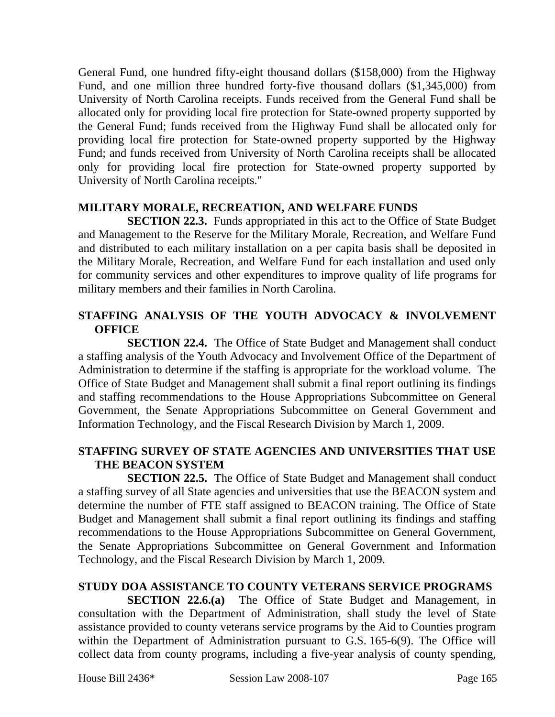General Fund, one hundred fifty-eight thousand dollars (\$158,000) from the Highway Fund, and one million three hundred forty-five thousand dollars (\$1,345,000) from University of North Carolina receipts. Funds received from the General Fund shall be allocated only for providing local fire protection for State-owned property supported by the General Fund; funds received from the Highway Fund shall be allocated only for providing local fire protection for State-owned property supported by the Highway Fund; and funds received from University of North Carolina receipts shall be allocated only for providing local fire protection for State-owned property supported by University of North Carolina receipts."

## **MILITARY MORALE, RECREATION, AND WELFARE FUNDS**

**SECTION 22.3.** Funds appropriated in this act to the Office of State Budget and Management to the Reserve for the Military Morale, Recreation, and Welfare Fund and distributed to each military installation on a per capita basis shall be deposited in the Military Morale, Recreation, and Welfare Fund for each installation and used only for community services and other expenditures to improve quality of life programs for military members and their families in North Carolina.

## **STAFFING ANALYSIS OF THE YOUTH ADVOCACY & INVOLVEMENT OFFICE**

**SECTION 22.4.** The Office of State Budget and Management shall conduct a staffing analysis of the Youth Advocacy and Involvement Office of the Department of Administration to determine if the staffing is appropriate for the workload volume. The Office of State Budget and Management shall submit a final report outlining its findings and staffing recommendations to the House Appropriations Subcommittee on General Government, the Senate Appropriations Subcommittee on General Government and Information Technology, and the Fiscal Research Division by March 1, 2009.

## **STAFFING SURVEY OF STATE AGENCIES AND UNIVERSITIES THAT USE THE BEACON SYSTEM**

**SECTION 22.5.** The Office of State Budget and Management shall conduct a staffing survey of all State agencies and universities that use the BEACON system and determine the number of FTE staff assigned to BEACON training. The Office of State Budget and Management shall submit a final report outlining its findings and staffing recommendations to the House Appropriations Subcommittee on General Government, the Senate Appropriations Subcommittee on General Government and Information Technology, and the Fiscal Research Division by March 1, 2009.

## **STUDY DOA ASSISTANCE TO COUNTY VETERANS SERVICE PROGRAMS**

**SECTION 22.6.(a)** The Office of State Budget and Management, in consultation with the Department of Administration, shall study the level of State assistance provided to county veterans service programs by the Aid to Counties program within the Department of Administration pursuant to G.S. 165-6(9). The Office will collect data from county programs, including a five-year analysis of county spending,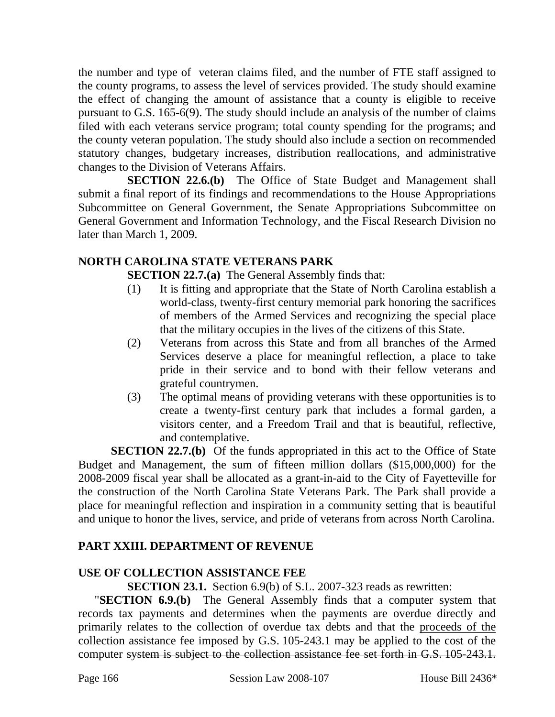the number and type of veteran claims filed, and the number of FTE staff assigned to the county programs, to assess the level of services provided. The study should examine the effect of changing the amount of assistance that a county is eligible to receive pursuant to G.S. 165-6(9). The study should include an analysis of the number of claims filed with each veterans service program; total county spending for the programs; and the county veteran population. The study should also include a section on recommended statutory changes, budgetary increases, distribution reallocations, and administrative changes to the Division of Veterans Affairs.

**SECTION 22.6.(b)** The Office of State Budget and Management shall submit a final report of its findings and recommendations to the House Appropriations Subcommittee on General Government, the Senate Appropriations Subcommittee on General Government and Information Technology, and the Fiscal Research Division no later than March 1, 2009.

#### **NORTH CAROLINA STATE VETERANS PARK**

**SECTION 22.7.(a)** The General Assembly finds that:

- (1) It is fitting and appropriate that the State of North Carolina establish a world-class, twenty-first century memorial park honoring the sacrifices of members of the Armed Services and recognizing the special place that the military occupies in the lives of the citizens of this State.
- (2) Veterans from across this State and from all branches of the Armed Services deserve a place for meaningful reflection, a place to take pride in their service and to bond with their fellow veterans and grateful countrymen.
- (3) The optimal means of providing veterans with these opportunities is to create a twenty-first century park that includes a formal garden, a visitors center, and a Freedom Trail and that is beautiful, reflective, and contemplative.

**SECTION 22.7.(b)** Of the funds appropriated in this act to the Office of State Budget and Management, the sum of fifteen million dollars (\$15,000,000) for the 2008-2009 fiscal year shall be allocated as a grant-in-aid to the City of Fayetteville for the construction of the North Carolina State Veterans Park. The Park shall provide a place for meaningful reflection and inspiration in a community setting that is beautiful and unique to honor the lives, service, and pride of veterans from across North Carolina.

## **PART XXIII. DEPARTMENT OF REVENUE**

## **USE OF COLLECTION ASSISTANCE FEE**

**SECTION 23.1.** Section 6.9(b) of S.L. 2007-323 reads as rewritten:

"**SECTION 6.9.(b)** The General Assembly finds that a computer system that records tax payments and determines when the payments are overdue directly and primarily relates to the collection of overdue tax debts and that the proceeds of the collection assistance fee imposed by G.S. 105-243.1 may be applied to the cost of the computer system is subject to the collection assistance fee set forth in G.S. 105-243.1.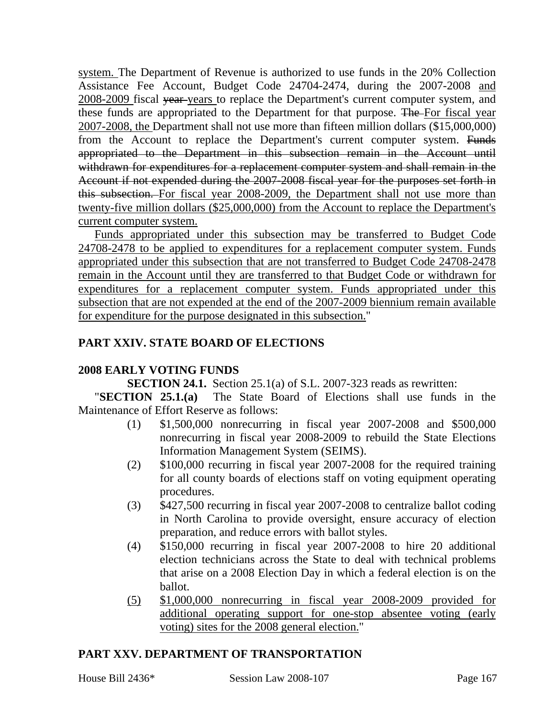system. The Department of Revenue is authorized to use funds in the 20% Collection Assistance Fee Account, Budget Code 24704-2474, during the 2007-2008 and 2008-2009 fiscal year years to replace the Department's current computer system, and these funds are appropriated to the Department for that purpose. The For fiscal year 2007-2008, the Department shall not use more than fifteen million dollars (\$15,000,000) from the Account to replace the Department's current computer system. Funds appropriated to the Department in this subsection remain in the Account until withdrawn for expenditures for a replacement computer system and shall remain in the Account if not expended during the 2007-2008 fiscal year for the purposes set forth in this subsection. For fiscal year 2008-2009, the Department shall not use more than twenty-five million dollars (\$25,000,000) from the Account to replace the Department's current computer system.

Funds appropriated under this subsection may be transferred to Budget Code 24708-2478 to be applied to expenditures for a replacement computer system. Funds appropriated under this subsection that are not transferred to Budget Code 24708-2478 remain in the Account until they are transferred to that Budget Code or withdrawn for expenditures for a replacement computer system. Funds appropriated under this subsection that are not expended at the end of the 2007-2009 biennium remain available for expenditure for the purpose designated in this subsection."

## **PART XXIV. STATE BOARD OF ELECTIONS**

#### **2008 EARLY VOTING FUNDS**

**SECTION 24.1.** Section 25.1(a) of S.L. 2007-323 reads as rewritten:

"**SECTION 25.1.(a)** The State Board of Elections shall use funds in the Maintenance of Effort Reserve as follows:

- (1) \$1,500,000 nonrecurring in fiscal year 2007-2008 and \$500,000 nonrecurring in fiscal year 2008-2009 to rebuild the State Elections Information Management System (SEIMS).
- (2) \$100,000 recurring in fiscal year 2007-2008 for the required training for all county boards of elections staff on voting equipment operating procedures.
- (3) \$427,500 recurring in fiscal year 2007-2008 to centralize ballot coding in North Carolina to provide oversight, ensure accuracy of election preparation, and reduce errors with ballot styles.
- (4) \$150,000 recurring in fiscal year 2007-2008 to hire 20 additional election technicians across the State to deal with technical problems that arise on a 2008 Election Day in which a federal election is on the ballot.
- (5) \$1,000,000 nonrecurring in fiscal year 2008-2009 provided for additional operating support for one-stop absentee voting (early voting) sites for the 2008 general election."

## **PART XXV. DEPARTMENT OF TRANSPORTATION**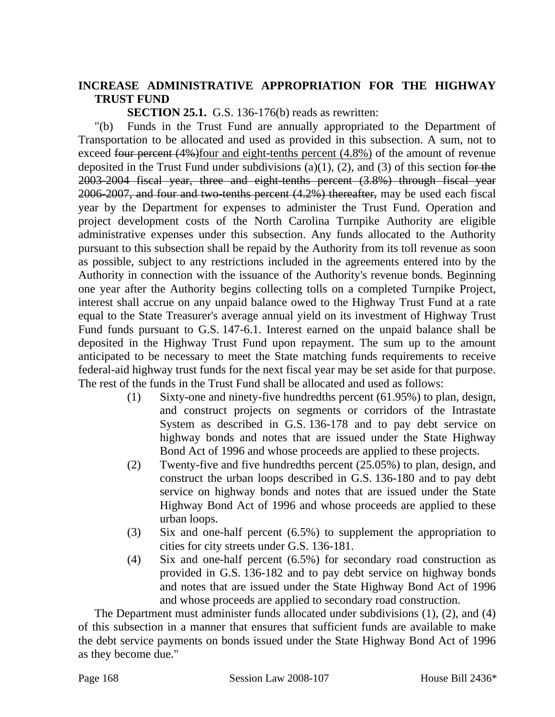#### **INCREASE ADMINISTRATIVE APPROPRIATION FOR THE HIGHWAY TRUST FUND**

**SECTION 25.1.** G.S. 136-176(b) reads as rewritten:

"(b) Funds in the Trust Fund are annually appropriated to the Department of Transportation to be allocated and used as provided in this subsection. A sum, not to exceed four percent  $(4\%)$  four and eight-tenths percent  $(4.8\%)$  of the amount of revenue deposited in the Trust Fund under subdivisions  $(a)(1)$ ,  $(2)$ , and  $(3)$  of this section for the 2003-2004 fiscal year, three and eight-tenths percent (3.8%) through fiscal year 2006-2007, and four and two-tenths percent (4.2%) thereafter, may be used each fiscal year by the Department for expenses to administer the Trust Fund. Operation and project development costs of the North Carolina Turnpike Authority are eligible administrative expenses under this subsection. Any funds allocated to the Authority pursuant to this subsection shall be repaid by the Authority from its toll revenue as soon as possible, subject to any restrictions included in the agreements entered into by the Authority in connection with the issuance of the Authority's revenue bonds. Beginning one year after the Authority begins collecting tolls on a completed Turnpike Project, interest shall accrue on any unpaid balance owed to the Highway Trust Fund at a rate equal to the State Treasurer's average annual yield on its investment of Highway Trust Fund funds pursuant to G.S. 147-6.1. Interest earned on the unpaid balance shall be deposited in the Highway Trust Fund upon repayment. The sum up to the amount anticipated to be necessary to meet the State matching funds requirements to receive federal-aid highway trust funds for the next fiscal year may be set aside for that purpose. The rest of the funds in the Trust Fund shall be allocated and used as follows:

- (1) Sixty-one and ninety-five hundredths percent (61.95%) to plan, design, and construct projects on segments or corridors of the Intrastate System as described in G.S. 136-178 and to pay debt service on highway bonds and notes that are issued under the State Highway Bond Act of 1996 and whose proceeds are applied to these projects.
- (2) Twenty-five and five hundredths percent (25.05%) to plan, design, and construct the urban loops described in G.S. 136-180 and to pay debt service on highway bonds and notes that are issued under the State Highway Bond Act of 1996 and whose proceeds are applied to these urban loops.
- (3) Six and one-half percent (6.5%) to supplement the appropriation to cities for city streets under G.S. 136-181.
- (4) Six and one-half percent (6.5%) for secondary road construction as provided in G.S. 136-182 and to pay debt service on highway bonds and notes that are issued under the State Highway Bond Act of 1996 and whose proceeds are applied to secondary road construction.

The Department must administer funds allocated under subdivisions (1), (2), and (4) of this subsection in a manner that ensures that sufficient funds are available to make the debt service payments on bonds issued under the State Highway Bond Act of 1996 as they become due."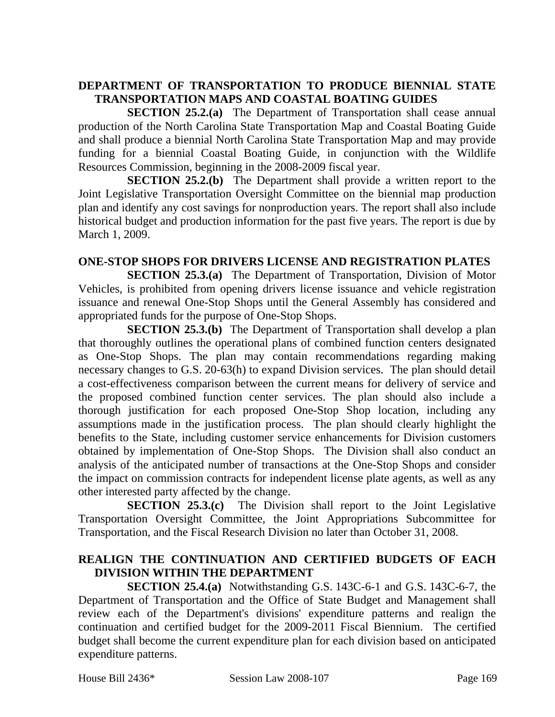# **DEPARTMENT OF TRANSPORTATION TO PRODUCE BIENNIAL STATE TRANSPORTATION MAPS AND COASTAL BOATING GUIDES**

**SECTION 25.2.(a)** The Department of Transportation shall cease annual production of the North Carolina State Transportation Map and Coastal Boating Guide and shall produce a biennial North Carolina State Transportation Map and may provide funding for a biennial Coastal Boating Guide, in conjunction with the Wildlife Resources Commission, beginning in the 2008-2009 fiscal year.

**SECTION 25.2.(b)** The Department shall provide a written report to the Joint Legislative Transportation Oversight Committee on the biennial map production plan and identify any cost savings for nonproduction years. The report shall also include historical budget and production information for the past five years. The report is due by March 1, 2009.

#### **ONE-STOP SHOPS FOR DRIVERS LICENSE AND REGISTRATION PLATES**

**SECTION 25.3.(a)** The Department of Transportation, Division of Motor Vehicles, is prohibited from opening drivers license issuance and vehicle registration issuance and renewal One-Stop Shops until the General Assembly has considered and appropriated funds for the purpose of One-Stop Shops.

**SECTION 25.3.(b)** The Department of Transportation shall develop a plan that thoroughly outlines the operational plans of combined function centers designated as One-Stop Shops. The plan may contain recommendations regarding making necessary changes to G.S. 20-63(h) to expand Division services. The plan should detail a cost-effectiveness comparison between the current means for delivery of service and the proposed combined function center services. The plan should also include a thorough justification for each proposed One-Stop Shop location, including any assumptions made in the justification process. The plan should clearly highlight the benefits to the State, including customer service enhancements for Division customers obtained by implementation of One-Stop Shops. The Division shall also conduct an analysis of the anticipated number of transactions at the One-Stop Shops and consider the impact on commission contracts for independent license plate agents, as well as any other interested party affected by the change.

**SECTION 25.3.(c)** The Division shall report to the Joint Legislative Transportation Oversight Committee, the Joint Appropriations Subcommittee for Transportation, and the Fiscal Research Division no later than October 31, 2008.

#### **REALIGN THE CONTINUATION AND CERTIFIED BUDGETS OF EACH DIVISION WITHIN THE DEPARTMENT**

**SECTION 25.4.(a)** Notwithstanding G.S. 143C-6-1 and G.S. 143C-6-7, the Department of Transportation and the Office of State Budget and Management shall review each of the Department's divisions' expenditure patterns and realign the continuation and certified budget for the 2009-2011 Fiscal Biennium. The certified budget shall become the current expenditure plan for each division based on anticipated expenditure patterns.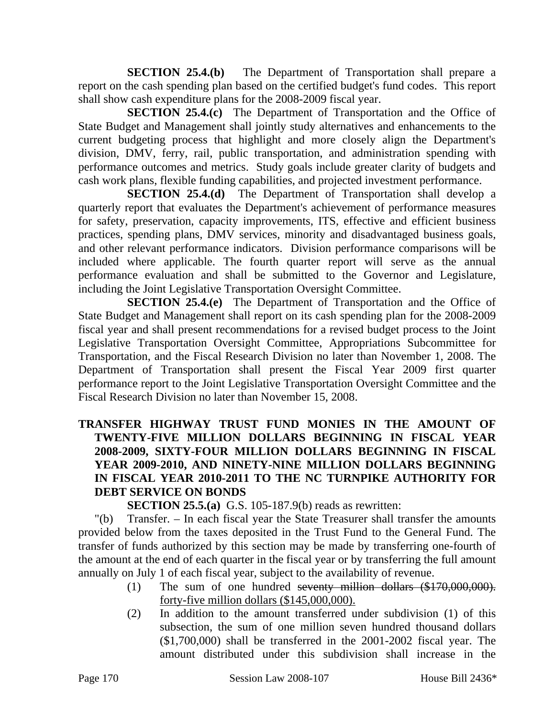**SECTION 25.4.(b)** The Department of Transportation shall prepare a report on the cash spending plan based on the certified budget's fund codes. This report shall show cash expenditure plans for the 2008-2009 fiscal year.

**SECTION 25.4.(c)** The Department of Transportation and the Office of State Budget and Management shall jointly study alternatives and enhancements to the current budgeting process that highlight and more closely align the Department's division, DMV, ferry, rail, public transportation, and administration spending with performance outcomes and metrics. Study goals include greater clarity of budgets and cash work plans, flexible funding capabilities, and projected investment performance.

**SECTION 25.4.(d)** The Department of Transportation shall develop a quarterly report that evaluates the Department's achievement of performance measures for safety, preservation, capacity improvements, ITS, effective and efficient business practices, spending plans, DMV services, minority and disadvantaged business goals, and other relevant performance indicators. Division performance comparisons will be included where applicable. The fourth quarter report will serve as the annual performance evaluation and shall be submitted to the Governor and Legislature, including the Joint Legislative Transportation Oversight Committee.

**SECTION 25.4.(e)** The Department of Transportation and the Office of State Budget and Management shall report on its cash spending plan for the 2008-2009 fiscal year and shall present recommendations for a revised budget process to the Joint Legislative Transportation Oversight Committee, Appropriations Subcommittee for Transportation, and the Fiscal Research Division no later than November 1, 2008. The Department of Transportation shall present the Fiscal Year 2009 first quarter performance report to the Joint Legislative Transportation Oversight Committee and the Fiscal Research Division no later than November 15, 2008.

## **TRANSFER HIGHWAY TRUST FUND MONIES IN THE AMOUNT OF TWENTY-FIVE MILLION DOLLARS BEGINNING IN FISCAL YEAR 2008-2009, SIXTY-FOUR MILLION DOLLARS BEGINNING IN FISCAL YEAR 2009-2010, AND NINETY-NINE MILLION DOLLARS BEGINNING IN FISCAL YEAR 2010-2011 TO THE NC TURNPIKE AUTHORITY FOR DEBT SERVICE ON BONDS**

**SECTION 25.5.(a)** G.S. 105-187.9(b) reads as rewritten:

"(b) Transfer. – In each fiscal year the State Treasurer shall transfer the amounts provided below from the taxes deposited in the Trust Fund to the General Fund. The transfer of funds authorized by this section may be made by transferring one-fourth of the amount at the end of each quarter in the fiscal year or by transferring the full amount annually on July 1 of each fiscal year, subject to the availability of revenue.

- (1) The sum of one hundred seventy million dollars (\$170,000,000). forty-five million dollars (\$145,000,000).
- (2) In addition to the amount transferred under subdivision (1) of this subsection, the sum of one million seven hundred thousand dollars (\$1,700,000) shall be transferred in the 2001-2002 fiscal year. The amount distributed under this subdivision shall increase in the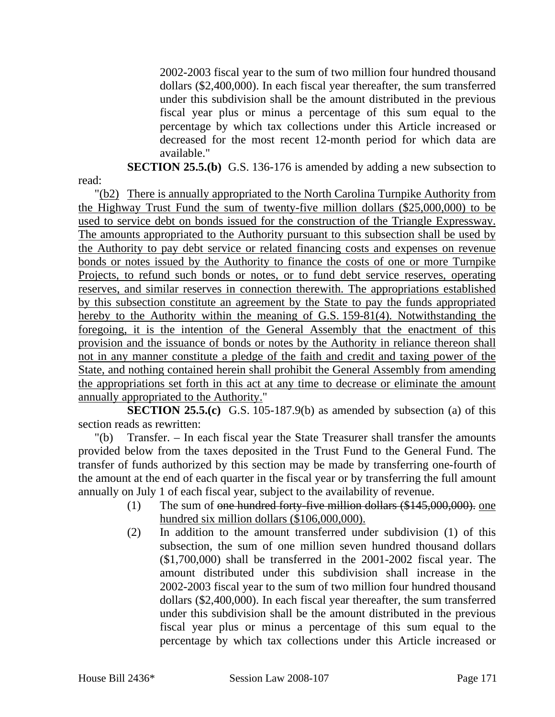2002-2003 fiscal year to the sum of two million four hundred thousand dollars (\$2,400,000). In each fiscal year thereafter, the sum transferred under this subdivision shall be the amount distributed in the previous fiscal year plus or minus a percentage of this sum equal to the percentage by which tax collections under this Article increased or decreased for the most recent 12-month period for which data are available."

**SECTION 25.5.(b)** G.S. 136-176 is amended by adding a new subsection to

"(b2) There is annually appropriated to the North Carolina Turnpike Authority from the Highway Trust Fund the sum of twenty-five million dollars (\$25,000,000) to be used to service debt on bonds issued for the construction of the Triangle Expressway. The amounts appropriated to the Authority pursuant to this subsection shall be used by the Authority to pay debt service or related financing costs and expenses on revenue bonds or notes issued by the Authority to finance the costs of one or more Turnpike Projects, to refund such bonds or notes, or to fund debt service reserves, operating reserves, and similar reserves in connection therewith. The appropriations established by this subsection constitute an agreement by the State to pay the funds appropriated hereby to the Authority within the meaning of G.S. 159-81(4). Notwithstanding the foregoing, it is the intention of the General Assembly that the enactment of this provision and the issuance of bonds or notes by the Authority in reliance thereon shall not in any manner constitute a pledge of the faith and credit and taxing power of the State, and nothing contained herein shall prohibit the General Assembly from amending the appropriations set forth in this act at any time to decrease or eliminate the amount annually appropriated to the Authority."

**SECTION 25.5.(c)** G.S. 105-187.9(b) as amended by subsection (a) of this section reads as rewritten:

"(b) Transfer. – In each fiscal year the State Treasurer shall transfer the amounts provided below from the taxes deposited in the Trust Fund to the General Fund. The transfer of funds authorized by this section may be made by transferring one-fourth of the amount at the end of each quarter in the fiscal year or by transferring the full amount annually on July 1 of each fiscal year, subject to the availability of revenue.

- (1) The sum of one hundred forty-five million dollars (\$145,000,000). one hundred six million dollars (\$106,000,000).
- (2) In addition to the amount transferred under subdivision (1) of this subsection, the sum of one million seven hundred thousand dollars (\$1,700,000) shall be transferred in the 2001-2002 fiscal year. The amount distributed under this subdivision shall increase in the 2002-2003 fiscal year to the sum of two million four hundred thousand dollars (\$2,400,000). In each fiscal year thereafter, the sum transferred under this subdivision shall be the amount distributed in the previous fiscal year plus or minus a percentage of this sum equal to the percentage by which tax collections under this Article increased or

read: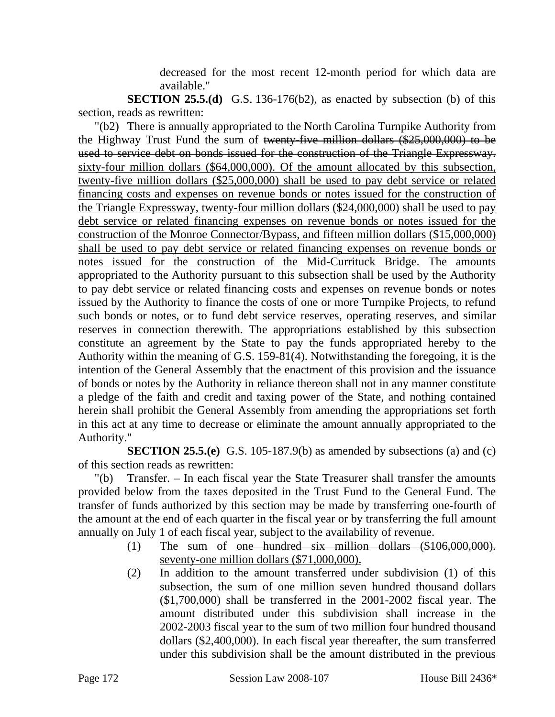decreased for the most recent 12-month period for which data are available."

**SECTION 25.5.(d)** G.S. 136-176(b2), as enacted by subsection (b) of this section, reads as rewritten:

"(b2) There is annually appropriated to the North Carolina Turnpike Authority from the Highway Trust Fund the sum of twenty-five million dollars (\$25,000,000) to be used to service debt on bonds issued for the construction of the Triangle Expressway. sixty-four million dollars (\$64,000,000). Of the amount allocated by this subsection, twenty-five million dollars (\$25,000,000) shall be used to pay debt service or related financing costs and expenses on revenue bonds or notes issued for the construction of the Triangle Expressway, twenty-four million dollars (\$24,000,000) shall be used to pay debt service or related financing expenses on revenue bonds or notes issued for the construction of the Monroe Connector/Bypass, and fifteen million dollars (\$15,000,000) shall be used to pay debt service or related financing expenses on revenue bonds or notes issued for the construction of the Mid-Currituck Bridge. The amounts appropriated to the Authority pursuant to this subsection shall be used by the Authority to pay debt service or related financing costs and expenses on revenue bonds or notes issued by the Authority to finance the costs of one or more Turnpike Projects, to refund such bonds or notes, or to fund debt service reserves, operating reserves, and similar reserves in connection therewith. The appropriations established by this subsection constitute an agreement by the State to pay the funds appropriated hereby to the Authority within the meaning of G.S. 159-81(4). Notwithstanding the foregoing, it is the intention of the General Assembly that the enactment of this provision and the issuance of bonds or notes by the Authority in reliance thereon shall not in any manner constitute a pledge of the faith and credit and taxing power of the State, and nothing contained herein shall prohibit the General Assembly from amending the appropriations set forth in this act at any time to decrease or eliminate the amount annually appropriated to the Authority."

**SECTION 25.5.(e)** G.S. 105-187.9(b) as amended by subsections (a) and (c) of this section reads as rewritten:

"(b) Transfer. – In each fiscal year the State Treasurer shall transfer the amounts provided below from the taxes deposited in the Trust Fund to the General Fund. The transfer of funds authorized by this section may be made by transferring one-fourth of the amount at the end of each quarter in the fiscal year or by transferring the full amount annually on July 1 of each fiscal year, subject to the availability of revenue.

- (1) The sum of one hundred six million dollars (\$106,000,000). seventy-one million dollars (\$71,000,000).
- (2) In addition to the amount transferred under subdivision (1) of this subsection, the sum of one million seven hundred thousand dollars (\$1,700,000) shall be transferred in the 2001-2002 fiscal year. The amount distributed under this subdivision shall increase in the 2002-2003 fiscal year to the sum of two million four hundred thousand dollars (\$2,400,000). In each fiscal year thereafter, the sum transferred under this subdivision shall be the amount distributed in the previous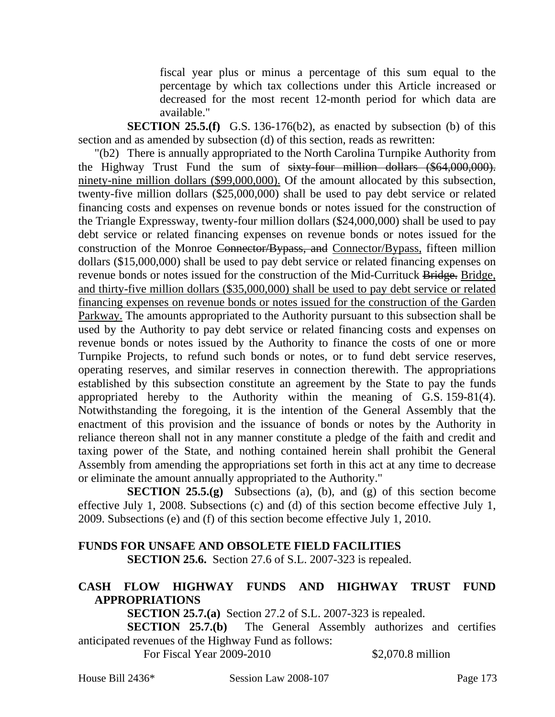fiscal year plus or minus a percentage of this sum equal to the percentage by which tax collections under this Article increased or decreased for the most recent 12-month period for which data are available."

**SECTION 25.5.(f)** G.S. 136-176(b2), as enacted by subsection (b) of this section and as amended by subsection (d) of this section, reads as rewritten:

"(b2) There is annually appropriated to the North Carolina Turnpike Authority from the Highway Trust Fund the sum of sixty-four million dollars (\$64,000,000). ninety-nine million dollars (\$99,000,000). Of the amount allocated by this subsection, twenty-five million dollars (\$25,000,000) shall be used to pay debt service or related financing costs and expenses on revenue bonds or notes issued for the construction of the Triangle Expressway, twenty-four million dollars (\$24,000,000) shall be used to pay debt service or related financing expenses on revenue bonds or notes issued for the construction of the Monroe Connector/Bypass, and Connector/Bypass, fifteen million dollars (\$15,000,000) shall be used to pay debt service or related financing expenses on revenue bonds or notes issued for the construction of the Mid-Currituck Bridge. Bridge, and thirty-five million dollars (\$35,000,000) shall be used to pay debt service or related financing expenses on revenue bonds or notes issued for the construction of the Garden Parkway. The amounts appropriated to the Authority pursuant to this subsection shall be used by the Authority to pay debt service or related financing costs and expenses on revenue bonds or notes issued by the Authority to finance the costs of one or more Turnpike Projects, to refund such bonds or notes, or to fund debt service reserves, operating reserves, and similar reserves in connection therewith. The appropriations established by this subsection constitute an agreement by the State to pay the funds appropriated hereby to the Authority within the meaning of G.S. 159-81(4). Notwithstanding the foregoing, it is the intention of the General Assembly that the enactment of this provision and the issuance of bonds or notes by the Authority in reliance thereon shall not in any manner constitute a pledge of the faith and credit and taxing power of the State, and nothing contained herein shall prohibit the General Assembly from amending the appropriations set forth in this act at any time to decrease or eliminate the amount annually appropriated to the Authority."

**SECTION 25.5.(g)** Subsections (a), (b), and (g) of this section become effective July 1, 2008. Subsections (c) and (d) of this section become effective July 1, 2009. Subsections (e) and (f) of this section become effective July 1, 2010.

# **FUNDS FOR UNSAFE AND OBSOLETE FIELD FACILITIES**

**SECTION 25.6.** Section 27.6 of S.L. 2007-323 is repealed.

## **CASH FLOW HIGHWAY FUNDS AND HIGHWAY TRUST FUND APPROPRIATIONS**

**SECTION 25.7.(a)** Section 27.2 of S.L. 2007-323 is repealed.

**SECTION 25.7.(b)** The General Assembly authorizes and certifies anticipated revenues of the Highway Fund as follows:

For Fiscal Year 2009-2010 \$2,070.8 million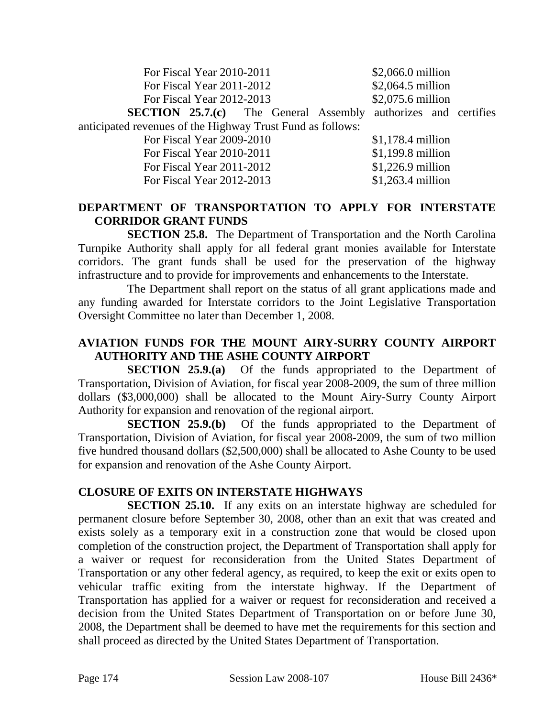| For Fiscal Year 2010-2011                                             |  | $$2,066.0$ million |                   |                    |  |  |
|-----------------------------------------------------------------------|--|--------------------|-------------------|--------------------|--|--|
| For Fiscal Year 2011-2012                                             |  |                    | \$2,064.5 million |                    |  |  |
| For Fiscal Year 2012-2013                                             |  |                    | \$2,075.6 million |                    |  |  |
| <b>SECTION 25.7.(c)</b> The General Assembly authorizes and certifies |  |                    |                   |                    |  |  |
| anticipated revenues of the Highway Trust Fund as follows:            |  |                    |                   |                    |  |  |
| For Fiscal Year 2009-2010                                             |  | $$1,178.4$ million |                   |                    |  |  |
| For Fiscal Year 2010-2011                                             |  |                    |                   | $$1,199.8$ million |  |  |
| For Fiscal Year 2011-2012                                             |  |                    |                   | $$1,226.9$ million |  |  |
| For Fiscal Year 2012-2013                                             |  |                    |                   | $$1,263.4$ million |  |  |

#### **DEPARTMENT OF TRANSPORTATION TO APPLY FOR INTERSTATE CORRIDOR GRANT FUNDS**

**SECTION 25.8.** The Department of Transportation and the North Carolina Turnpike Authority shall apply for all federal grant monies available for Interstate corridors. The grant funds shall be used for the preservation of the highway infrastructure and to provide for improvements and enhancements to the Interstate.

The Department shall report on the status of all grant applications made and any funding awarded for Interstate corridors to the Joint Legislative Transportation Oversight Committee no later than December 1, 2008.

## **AVIATION FUNDS FOR THE MOUNT AIRY-SURRY COUNTY AIRPORT AUTHORITY AND THE ASHE COUNTY AIRPORT**

**SECTION 25.9.(a)** Of the funds appropriated to the Department of Transportation, Division of Aviation, for fiscal year 2008-2009, the sum of three million dollars (\$3,000,000) shall be allocated to the Mount Airy-Surry County Airport Authority for expansion and renovation of the regional airport.

**SECTION 25.9.(b)** Of the funds appropriated to the Department of Transportation, Division of Aviation, for fiscal year 2008-2009, the sum of two million five hundred thousand dollars (\$2,500,000) shall be allocated to Ashe County to be used for expansion and renovation of the Ashe County Airport.

## **CLOSURE OF EXITS ON INTERSTATE HIGHWAYS**

**SECTION 25.10.** If any exits on an interstate highway are scheduled for permanent closure before September 30, 2008, other than an exit that was created and exists solely as a temporary exit in a construction zone that would be closed upon completion of the construction project, the Department of Transportation shall apply for a waiver or request for reconsideration from the United States Department of Transportation or any other federal agency, as required, to keep the exit or exits open to vehicular traffic exiting from the interstate highway. If the Department of Transportation has applied for a waiver or request for reconsideration and received a decision from the United States Department of Transportation on or before June 30, 2008, the Department shall be deemed to have met the requirements for this section and shall proceed as directed by the United States Department of Transportation.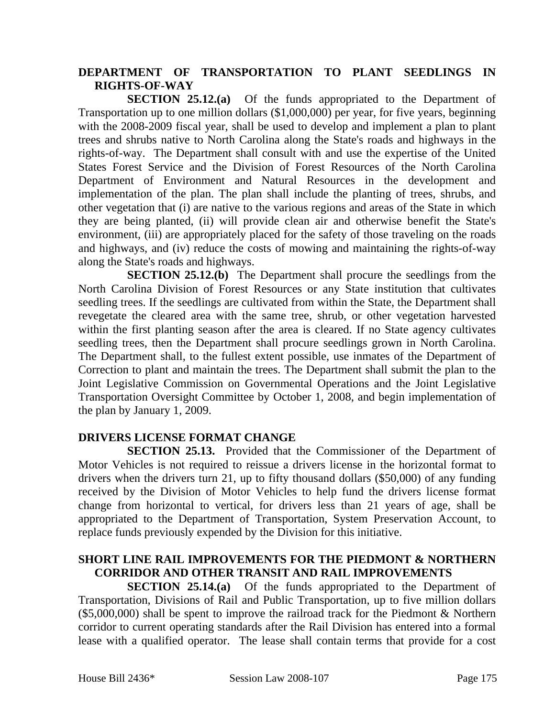#### **DEPARTMENT OF TRANSPORTATION TO PLANT SEEDLINGS IN RIGHTS-OF-WAY**

**SECTION 25.12.(a)** Of the funds appropriated to the Department of Transportation up to one million dollars (\$1,000,000) per year, for five years, beginning with the 2008-2009 fiscal year, shall be used to develop and implement a plan to plant trees and shrubs native to North Carolina along the State's roads and highways in the rights-of-way. The Department shall consult with and use the expertise of the United States Forest Service and the Division of Forest Resources of the North Carolina Department of Environment and Natural Resources in the development and implementation of the plan. The plan shall include the planting of trees, shrubs, and other vegetation that (i) are native to the various regions and areas of the State in which they are being planted, (ii) will provide clean air and otherwise benefit the State's environment, (iii) are appropriately placed for the safety of those traveling on the roads and highways, and (iv) reduce the costs of mowing and maintaining the rights-of-way along the State's roads and highways.

**SECTION 25.12.(b)** The Department shall procure the seedlings from the North Carolina Division of Forest Resources or any State institution that cultivates seedling trees. If the seedlings are cultivated from within the State, the Department shall revegetate the cleared area with the same tree, shrub, or other vegetation harvested within the first planting season after the area is cleared. If no State agency cultivates seedling trees, then the Department shall procure seedlings grown in North Carolina. The Department shall, to the fullest extent possible, use inmates of the Department of Correction to plant and maintain the trees. The Department shall submit the plan to the Joint Legislative Commission on Governmental Operations and the Joint Legislative Transportation Oversight Committee by October 1, 2008, and begin implementation of the plan by January 1, 2009.

#### **DRIVERS LICENSE FORMAT CHANGE**

**SECTION 25.13.** Provided that the Commissioner of the Department of Motor Vehicles is not required to reissue a drivers license in the horizontal format to drivers when the drivers turn 21, up to fifty thousand dollars (\$50,000) of any funding received by the Division of Motor Vehicles to help fund the drivers license format change from horizontal to vertical, for drivers less than 21 years of age, shall be appropriated to the Department of Transportation, System Preservation Account, to replace funds previously expended by the Division for this initiative.

#### **SHORT LINE RAIL IMPROVEMENTS FOR THE PIEDMONT & NORTHERN CORRIDOR AND OTHER TRANSIT AND RAIL IMPROVEMENTS**

**SECTION 25.14.(a)** Of the funds appropriated to the Department of Transportation, Divisions of Rail and Public Transportation, up to five million dollars (\$5,000,000) shall be spent to improve the railroad track for the Piedmont & Northern corridor to current operating standards after the Rail Division has entered into a formal lease with a qualified operator. The lease shall contain terms that provide for a cost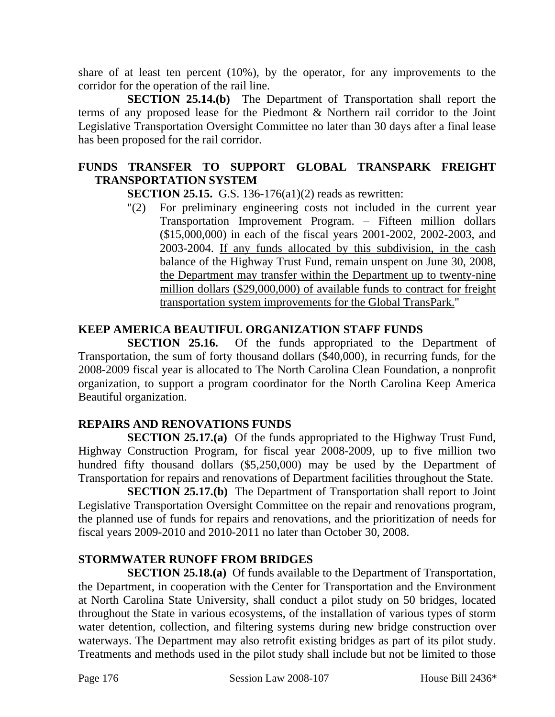share of at least ten percent (10%), by the operator, for any improvements to the corridor for the operation of the rail line.

**SECTION 25.14.(b)** The Department of Transportation shall report the terms of any proposed lease for the Piedmont & Northern rail corridor to the Joint Legislative Transportation Oversight Committee no later than 30 days after a final lease has been proposed for the rail corridor.

# **FUNDS TRANSFER TO SUPPORT GLOBAL TRANSPARK FREIGHT TRANSPORTATION SYSTEM**

**SECTION 25.15.** G.S. 136-176(a1)(2) reads as rewritten:

"(2) For preliminary engineering costs not included in the current year Transportation Improvement Program. – Fifteen million dollars (\$15,000,000) in each of the fiscal years 2001-2002, 2002-2003, and 2003-2004. If any funds allocated by this subdivision, in the cash balance of the Highway Trust Fund, remain unspent on June 30, 2008, the Department may transfer within the Department up to twenty-nine million dollars (\$29,000,000) of available funds to contract for freight transportation system improvements for the Global TransPark."

# **KEEP AMERICA BEAUTIFUL ORGANIZATION STAFF FUNDS**

**SECTION 25.16.** Of the funds appropriated to the Department of Transportation, the sum of forty thousand dollars (\$40,000), in recurring funds, for the 2008-2009 fiscal year is allocated to The North Carolina Clean Foundation, a nonprofit organization, to support a program coordinator for the North Carolina Keep America Beautiful organization.

## **REPAIRS AND RENOVATIONS FUNDS**

**SECTION 25.17.(a)** Of the funds appropriated to the Highway Trust Fund, Highway Construction Program, for fiscal year 2008-2009, up to five million two hundred fifty thousand dollars (\$5,250,000) may be used by the Department of Transportation for repairs and renovations of Department facilities throughout the State.

**SECTION 25.17.(b)** The Department of Transportation shall report to Joint Legislative Transportation Oversight Committee on the repair and renovations program, the planned use of funds for repairs and renovations, and the prioritization of needs for fiscal years 2009-2010 and 2010-2011 no later than October 30, 2008.

## **STORMWATER RUNOFF FROM BRIDGES**

**SECTION 25.18.(a)** Of funds available to the Department of Transportation, the Department, in cooperation with the Center for Transportation and the Environment at North Carolina State University, shall conduct a pilot study on 50 bridges, located throughout the State in various ecosystems, of the installation of various types of storm water detention, collection, and filtering systems during new bridge construction over waterways. The Department may also retrofit existing bridges as part of its pilot study. Treatments and methods used in the pilot study shall include but not be limited to those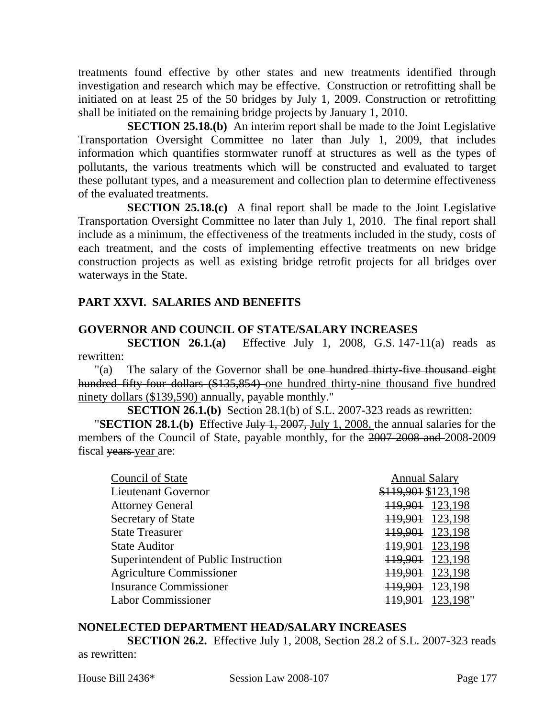treatments found effective by other states and new treatments identified through investigation and research which may be effective. Construction or retrofitting shall be initiated on at least 25 of the 50 bridges by July 1, 2009. Construction or retrofitting shall be initiated on the remaining bridge projects by January 1, 2010.

**SECTION 25.18.(b)** An interim report shall be made to the Joint Legislative Transportation Oversight Committee no later than July 1, 2009, that includes information which quantifies stormwater runoff at structures as well as the types of pollutants, the various treatments which will be constructed and evaluated to target these pollutant types, and a measurement and collection plan to determine effectiveness of the evaluated treatments.

**SECTION 25.18.(c)** A final report shall be made to the Joint Legislative Transportation Oversight Committee no later than July 1, 2010. The final report shall include as a minimum, the effectiveness of the treatments included in the study, costs of each treatment, and the costs of implementing effective treatments on new bridge construction projects as well as existing bridge retrofit projects for all bridges over waterways in the State.

#### **PART XXVI. SALARIES AND BENEFITS**

#### **GOVERNOR AND COUNCIL OF STATE/SALARY INCREASES**

**SECTION 26.1.(a)** Effective July 1, 2008, G.S. 147-11(a) reads as rewritten:

"(a) The salary of the Governor shall be one hundred thirty-five thousand eight hundred fifty-four dollars (\$135,854) one hundred thirty-nine thousand five hundred ninety dollars (\$139,590) annually, payable monthly."

**SECTION 26.1.(b)** Section 28.1(b) of S.L. 2007-323 reads as rewritten:

**"SECTION 28.1.(b)** Effective July 1, 2007, July 1, 2008, the annual salaries for the members of the Council of State, payable monthly, for the 2007-2008 and 2008-2009 fiscal years year are:

| Council of State                     | <b>Annual Salary</b> |
|--------------------------------------|----------------------|
| <b>Lieutenant Governor</b>           | \$119,901 \$123,198  |
| <b>Attorney General</b>              | 123,198<br>119,901   |
| Secretary of State                   | 119,901<br>123,198   |
| <b>State Treasurer</b>               | 123,198<br>119,901   |
| <b>State Auditor</b>                 | 123,198<br>119,901   |
| Superintendent of Public Instruction | 123,198<br>119,901   |
| <b>Agriculture Commissioner</b>      | 123,198<br>119,901   |
| <b>Insurance Commissioner</b>        | 123,198<br>119,901   |
| <b>Labor Commissioner</b>            | 123,198"             |

#### **NONELECTED DEPARTMENT HEAD/SALARY INCREASES**

**SECTION 26.2.** Effective July 1, 2008, Section 28.2 of S.L. 2007-323 reads as rewritten: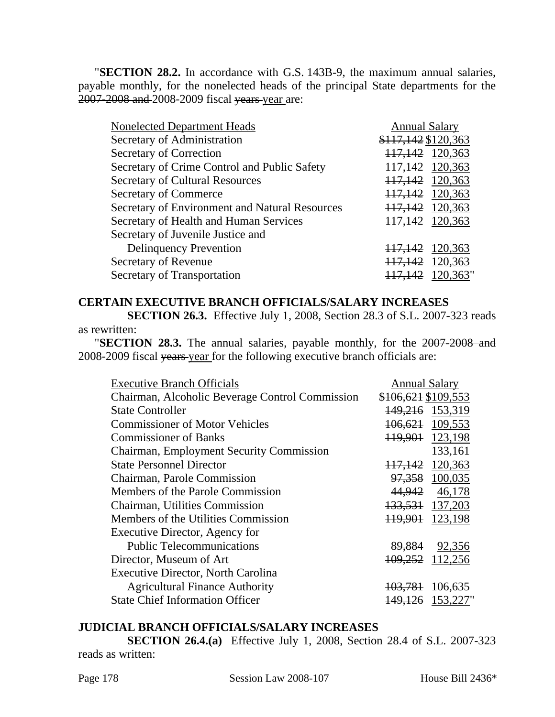"**SECTION 28.2.** In accordance with G.S. 143B-9, the maximum annual salaries, payable monthly, for the nonelected heads of the principal State departments for the 2007-2008 and 2008-2009 fiscal years year are:

| <b>Nonelected Department Heads</b>             | <b>Annual Salary</b> |          |
|------------------------------------------------|----------------------|----------|
| Secretary of Administration                    | \$117,142 \$120,363  |          |
| Secretary of Correction                        | 117,142 120,363      |          |
| Secretary of Crime Control and Public Safety   | 117,142 120,363      |          |
| <b>Secretary of Cultural Resources</b>         | 117,142 120,363      |          |
| <b>Secretary of Commerce</b>                   | 117,142 120,363      |          |
| Secretary of Environment and Natural Resources | 117,142 120,363      |          |
| Secretary of Health and Human Services         | 117,142 120,363      |          |
| Secretary of Juvenile Justice and              |                      |          |
| <b>Delinquency Prevention</b>                  | 117,142 120,363      |          |
| Secretary of Revenue                           | 117,142 120,363      |          |
| Secretary of Transportation                    | 117,142              | 120,363" |
|                                                |                      |          |

#### **CERTAIN EXECUTIVE BRANCH OFFICIALS/SALARY INCREASES**

**SECTION 26.3.** Effective July 1, 2008, Section 28.3 of S.L. 2007-323 reads as rewritten:

"**SECTION 28.3.** The annual salaries, payable monthly, for the 2007-2008 and 2008-2009 fiscal years year for the following executive branch officials are:

| <b>Executive Branch Officials</b>               | <b>Annual Salary</b>           |
|-------------------------------------------------|--------------------------------|
| Chairman, Alcoholic Beverage Control Commission | \$106,621 \$109,553            |
| <b>State Controller</b>                         | 149,216 153,319                |
| <b>Commissioner of Motor Vehicles</b>           | 109,553<br>106,621             |
| <b>Commissioner of Banks</b>                    | 119,901 123,198                |
| <b>Chairman, Employment Security Commission</b> | 133,161                        |
| <b>State Personnel Director</b>                 | 120,363<br><del>117.142</del>  |
| Chairman, Parole Commission                     | 100,035<br>97,358              |
| Members of the Parole Commission                | 46,178<br>44,942               |
| Chairman, Utilities Commission                  | 133, 531 137, 203              |
| Members of the Utilities Commission             | 119,901 123,198                |
| Executive Director, Agency for                  |                                |
| <b>Public Telecommunications</b>                | 89,884<br>92,356               |
| Director, Museum of Art                         | 109,252<br>112,256             |
| <b>Executive Director, North Carolina</b>       |                                |
| <b>Agricultural Finance Authority</b>           | 106,635<br><del>103.781</del>  |
| <b>State Chief Information Officer</b>          | 153,227"<br><del>149.126</del> |

#### **JUDICIAL BRANCH OFFICIALS/SALARY INCREASES**

**SECTION 26.4.(a)** Effective July 1, 2008, Section 28.4 of S.L. 2007-323 reads as written: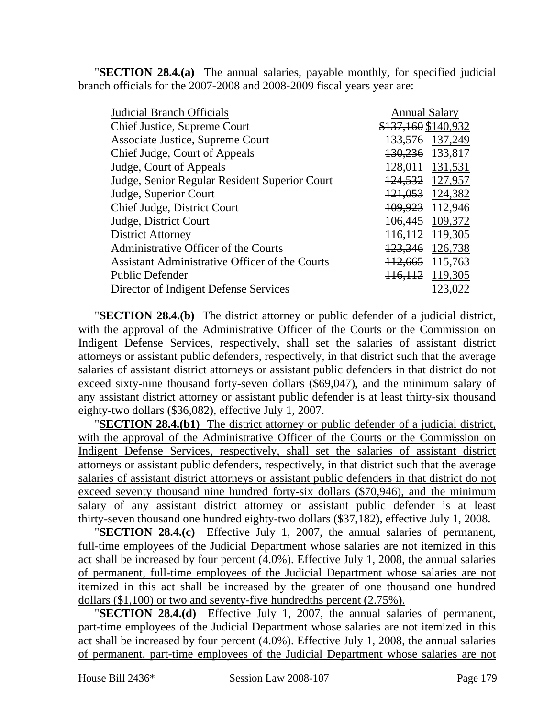"**SECTION 28.4.(a)** The annual salaries, payable monthly, for specified judicial branch officials for the 2007-2008 and 2008-2009 fiscal years year are:

| <b>Judicial Branch Officials</b>               | <b>Annual Salary</b> |                 |
|------------------------------------------------|----------------------|-----------------|
| Chief Justice, Supreme Court                   | \$137,160 \$140,932  |                 |
| <b>Associate Justice, Supreme Court</b>        | 133,576 137,249      |                 |
| Chief Judge, Court of Appeals                  | 130,236 133,817      |                 |
| Judge, Court of Appeals                        | 128,011 131,531      |                 |
| Judge, Senior Regular Resident Superior Court  | 124,532 127,957      |                 |
| Judge, Superior Court                          |                      | 121,053 124,382 |
| Chief Judge, District Court                    | 109,923 112,946      |                 |
| Judge, District Court                          | 106,445 109,372      |                 |
| <b>District Attorney</b>                       | 116, 112 119, 305    |                 |
| Administrative Officer of the Courts           | 123,346 126,738      |                 |
| Assistant Administrative Officer of the Courts | 112,665 115,763      |                 |
| Public Defender                                | 116, 112 119, 305    |                 |
| Director of Indigent Defense Services          |                      | 123,022         |
|                                                |                      |                 |

"**SECTION 28.4.(b)** The district attorney or public defender of a judicial district, with the approval of the Administrative Officer of the Courts or the Commission on Indigent Defense Services, respectively, shall set the salaries of assistant district attorneys or assistant public defenders, respectively, in that district such that the average salaries of assistant district attorneys or assistant public defenders in that district do not exceed sixty-nine thousand forty-seven dollars (\$69,047), and the minimum salary of any assistant district attorney or assistant public defender is at least thirty-six thousand eighty-two dollars (\$36,082), effective July 1, 2007.

"**SECTION 28.4.(b1)** The district attorney or public defender of a judicial district, with the approval of the Administrative Officer of the Courts or the Commission on Indigent Defense Services, respectively, shall set the salaries of assistant district attorneys or assistant public defenders, respectively, in that district such that the average salaries of assistant district attorneys or assistant public defenders in that district do not exceed seventy thousand nine hundred forty-six dollars (\$70,946), and the minimum salary of any assistant district attorney or assistant public defender is at least thirty-seven thousand one hundred eighty-two dollars (\$37,182), effective July 1, 2008.

"**SECTION 28.4.(c)** Effective July 1, 2007, the annual salaries of permanent, full-time employees of the Judicial Department whose salaries are not itemized in this act shall be increased by four percent (4.0%). Effective July 1, 2008, the annual salaries of permanent, full-time employees of the Judicial Department whose salaries are not itemized in this act shall be increased by the greater of one thousand one hundred dollars (\$1,100) or two and seventy-five hundredths percent (2.75%).

"**SECTION 28.4.(d)** Effective July 1, 2007, the annual salaries of permanent, part-time employees of the Judicial Department whose salaries are not itemized in this act shall be increased by four percent (4.0%). Effective July 1, 2008, the annual salaries of permanent, part-time employees of the Judicial Department whose salaries are not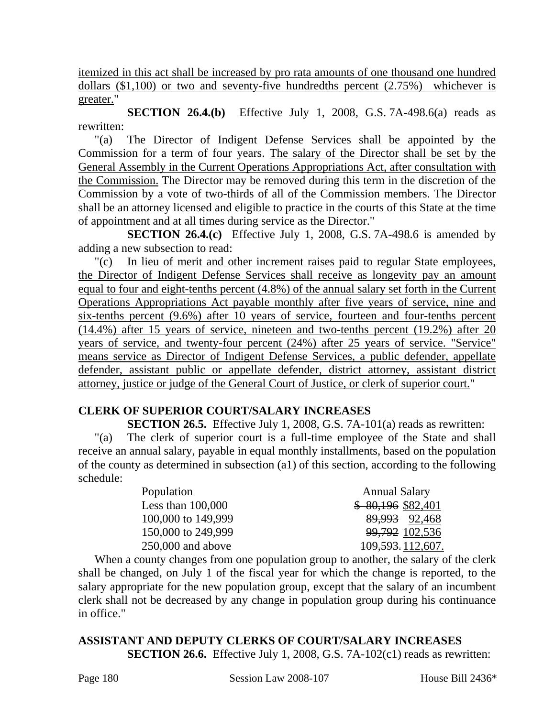itemized in this act shall be increased by pro rata amounts of one thousand one hundred dollars (\$1,100) or two and seventy-five hundredths percent (2.75%) whichever is greater."

**SECTION 26.4.(b)** Effective July 1, 2008, G.S. 7A-498.6(a) reads as rewritten:

"(a) The Director of Indigent Defense Services shall be appointed by the Commission for a term of four years. The salary of the Director shall be set by the General Assembly in the Current Operations Appropriations Act, after consultation with the Commission. The Director may be removed during this term in the discretion of the Commission by a vote of two-thirds of all of the Commission members. The Director shall be an attorney licensed and eligible to practice in the courts of this State at the time of appointment and at all times during service as the Director."

**SECTION 26.4.(c)** Effective July 1, 2008, G.S. 7A-498.6 is amended by adding a new subsection to read:

"(c) In lieu of merit and other increment raises paid to regular State employees, the Director of Indigent Defense Services shall receive as longevity pay an amount equal to four and eight-tenths percent (4.8%) of the annual salary set forth in the Current Operations Appropriations Act payable monthly after five years of service, nine and six-tenths percent (9.6%) after 10 years of service, fourteen and four-tenths percent (14.4%) after 15 years of service, nineteen and two-tenths percent (19.2%) after 20 years of service, and twenty-four percent (24%) after 25 years of service. "Service" means service as Director of Indigent Defense Services, a public defender, appellate defender, assistant public or appellate defender, district attorney, assistant district attorney, justice or judge of the General Court of Justice, or clerk of superior court."

## **CLERK OF SUPERIOR COURT/SALARY INCREASES**

**SECTION 26.5.** Effective July 1, 2008, G.S. 7A-101(a) reads as rewritten:

"(a) The clerk of superior court is a full-time employee of the State and shall receive an annual salary, payable in equal monthly installments, based on the population of the county as determined in subsection (a1) of this section, according to the following schedule:

| Population          | <b>Annual Salary</b> |
|---------------------|----------------------|
| Less than $100,000$ | $$80,196$ \$82,401   |
| 100,000 to 149,999  | 89,993 92,468        |
| 150,000 to 249,999  | 99,792 102,536       |
| $250,000$ and above | 109, 593. 112, 607.  |

When a county changes from one population group to another, the salary of the clerk shall be changed, on July 1 of the fiscal year for which the change is reported, to the salary appropriate for the new population group, except that the salary of an incumbent clerk shall not be decreased by any change in population group during his continuance in office."

**ASSISTANT AND DEPUTY CLERKS OF COURT/SALARY INCREASES SECTION 26.6.** Effective July 1, 2008, G.S. 7A-102(c1) reads as rewritten: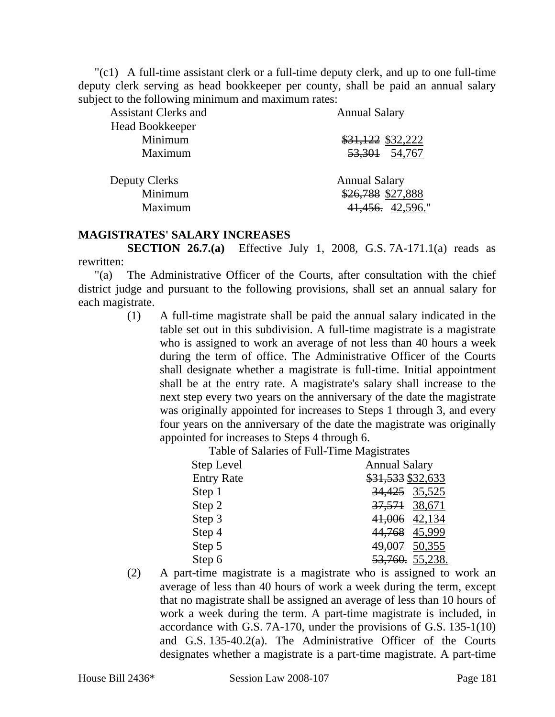"(c1) A full-time assistant clerk or a full-time deputy clerk, and up to one full-time deputy clerk serving as head bookkeeper per county, shall be paid an annual salary subject to the following minimum and maximum rates:

| <b>Assistant Clerks and</b> | <b>Annual Salary</b> |  |  |
|-----------------------------|----------------------|--|--|
| <b>Head Bookkeeper</b>      |                      |  |  |
| Minimum                     | \$31,122 \$32,222    |  |  |
| Maximum                     | 53, 301 54, 767      |  |  |
| <b>Deputy Clerks</b>        | <b>Annual Salary</b> |  |  |
| Minimum                     | \$26,788 \$27,888    |  |  |
| Maximum                     | 41,456. 42,596."     |  |  |

#### **MAGISTRATES' SALARY INCREASES**

**SECTION 26.7.(a)** Effective July 1, 2008, G.S. 7A-171.1(a) reads as rewritten:

"(a) The Administrative Officer of the Courts, after consultation with the chief district judge and pursuant to the following provisions, shall set an annual salary for each magistrate.

> (1) A full-time magistrate shall be paid the annual salary indicated in the table set out in this subdivision. A full-time magistrate is a magistrate who is assigned to work an average of not less than 40 hours a week during the term of office. The Administrative Officer of the Courts shall designate whether a magistrate is full-time. Initial appointment shall be at the entry rate. A magistrate's salary shall increase to the next step every two years on the anniversary of the date the magistrate was originally appointed for increases to Steps 1 through 3, and every four years on the anniversary of the date the magistrate was originally appointed for increases to Steps 4 through 6.

> > Table of Salaries of Full-Time Magistrates

| Step Level        | <b>Annual Salary</b> |  |  |
|-------------------|----------------------|--|--|
| <b>Entry Rate</b> | \$31,533 \$32,633    |  |  |
| Step 1            | 34,425 35,525        |  |  |
| Step 2            | 37, 571 38, 671      |  |  |
| Step 3            | 41,006 42,134        |  |  |
| Step 4            | 44,768 45,999        |  |  |
| Step 5            | 49,007 50,355        |  |  |
| Step 6            | 53,760. 55,238.      |  |  |

(2) A part-time magistrate is a magistrate who is assigned to work an average of less than 40 hours of work a week during the term, except that no magistrate shall be assigned an average of less than 10 hours of work a week during the term. A part-time magistrate is included, in accordance with G.S. 7A-170, under the provisions of G.S. 135-1(10) and G.S. 135-40.2(a). The Administrative Officer of the Courts designates whether a magistrate is a part-time magistrate. A part-time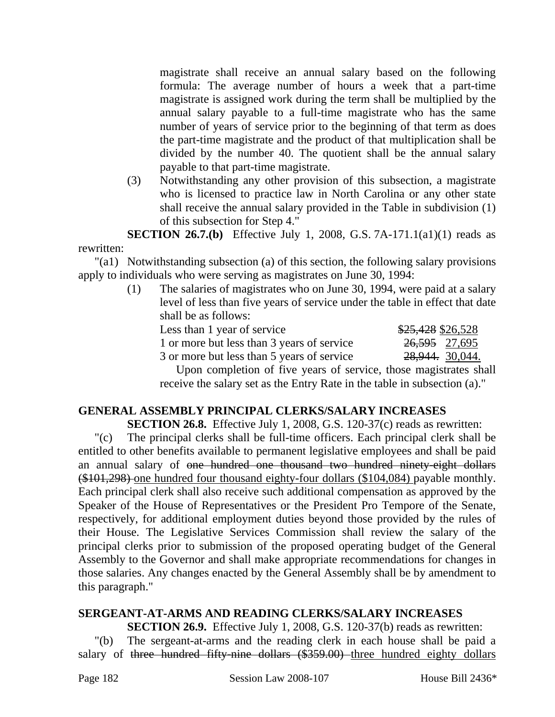magistrate shall receive an annual salary based on the following formula: The average number of hours a week that a part-time magistrate is assigned work during the term shall be multiplied by the annual salary payable to a full-time magistrate who has the same number of years of service prior to the beginning of that term as does the part-time magistrate and the product of that multiplication shall be divided by the number 40. The quotient shall be the annual salary payable to that part-time magistrate.

(3) Notwithstanding any other provision of this subsection, a magistrate who is licensed to practice law in North Carolina or any other state shall receive the annual salary provided in the Table in subdivision (1) of this subsection for Step 4."

**SECTION 26.7.(b)** Effective July 1, 2008, G.S. 7A-171.1(a1)(1) reads as rewritten:

"(a1) Notwithstanding subsection (a) of this section, the following salary provisions apply to individuals who were serving as magistrates on June 30, 1994:

> (1) The salaries of magistrates who on June 30, 1994, were paid at a salary level of less than five years of service under the table in effect that date shall be as follows:

| Less than 1 year of service                |  |  |  | \$25,428 \$26,528          |  |
|--------------------------------------------|--|--|--|----------------------------|--|
| 1 or more but less than 3 years of service |  |  |  | 26,595 27,695              |  |
| 3 or more but less than 5 years of service |  |  |  | <del>28,944.</del> 30,044. |  |
| $\blacksquare$                             |  |  |  |                            |  |

Upon completion of five years of service, those magistrates shall receive the salary set as the Entry Rate in the table in subsection (a)."

# **GENERAL ASSEMBLY PRINCIPAL CLERKS/SALARY INCREASES**

**SECTION 26.8.** Effective July 1, 2008, G.S. 120-37(c) reads as rewritten:

"(c) The principal clerks shall be full-time officers. Each principal clerk shall be entitled to other benefits available to permanent legislative employees and shall be paid an annual salary of one hundred one thousand two hundred ninety-eight dollars (\$101,298) one hundred four thousand eighty-four dollars (\$104,084) payable monthly. Each principal clerk shall also receive such additional compensation as approved by the Speaker of the House of Representatives or the President Pro Tempore of the Senate, respectively, for additional employment duties beyond those provided by the rules of their House. The Legislative Services Commission shall review the salary of the principal clerks prior to submission of the proposed operating budget of the General Assembly to the Governor and shall make appropriate recommendations for changes in those salaries. Any changes enacted by the General Assembly shall be by amendment to this paragraph."

# **SERGEANT-AT-ARMS AND READING CLERKS/SALARY INCREASES**

**SECTION 26.9.** Effective July 1, 2008, G.S. 120-37(b) reads as rewritten: "(b) The sergeant-at-arms and the reading clerk in each house shall be paid a salary of three hundred fifty-nine dollars (\$359.00) three hundred eighty dollars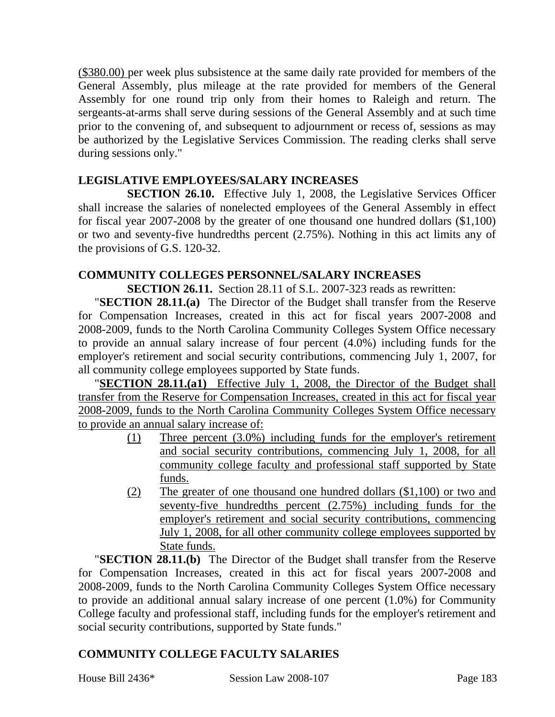(\$380.00) per week plus subsistence at the same daily rate provided for members of the General Assembly, plus mileage at the rate provided for members of the General Assembly for one round trip only from their homes to Raleigh and return. The sergeants-at-arms shall serve during sessions of the General Assembly and at such time prior to the convening of, and subsequent to adjournment or recess of, sessions as may be authorized by the Legislative Services Commission. The reading clerks shall serve during sessions only."

## **LEGISLATIVE EMPLOYEES/SALARY INCREASES**

**SECTION 26.10.** Effective July 1, 2008, the Legislative Services Officer shall increase the salaries of nonelected employees of the General Assembly in effect for fiscal year 2007-2008 by the greater of one thousand one hundred dollars (\$1,100) or two and seventy-five hundredths percent (2.75%). Nothing in this act limits any of the provisions of G.S. 120-32.

#### **COMMUNITY COLLEGES PERSONNEL/SALARY INCREASES**

**SECTION 26.11.** Section 28.11 of S.L. 2007-323 reads as rewritten:

"**SECTION 28.11.(a)** The Director of the Budget shall transfer from the Reserve for Compensation Increases, created in this act for fiscal years 2007-2008 and 2008-2009, funds to the North Carolina Community Colleges System Office necessary to provide an annual salary increase of four percent (4.0%) including funds for the employer's retirement and social security contributions, commencing July 1, 2007, for all community college employees supported by State funds.

"**SECTION 28.11.(a1)** Effective July 1, 2008, the Director of the Budget shall transfer from the Reserve for Compensation Increases, created in this act for fiscal year 2008-2009, funds to the North Carolina Community Colleges System Office necessary to provide an annual salary increase of:

- (1) Three percent (3.0%) including funds for the employer's retirement and social security contributions, commencing July 1, 2008, for all community college faculty and professional staff supported by State funds.
- (2) The greater of one thousand one hundred dollars (\$1,100) or two and seventy-five hundredths percent (2.75%) including funds for the employer's retirement and social security contributions, commencing July 1, 2008, for all other community college employees supported by State funds.

"**SECTION 28.11.(b)** The Director of the Budget shall transfer from the Reserve for Compensation Increases, created in this act for fiscal years 2007-2008 and 2008-2009, funds to the North Carolina Community Colleges System Office necessary to provide an additional annual salary increase of one percent (1.0%) for Community College faculty and professional staff, including funds for the employer's retirement and social security contributions, supported by State funds."

# **COMMUNITY COLLEGE FACULTY SALARIES**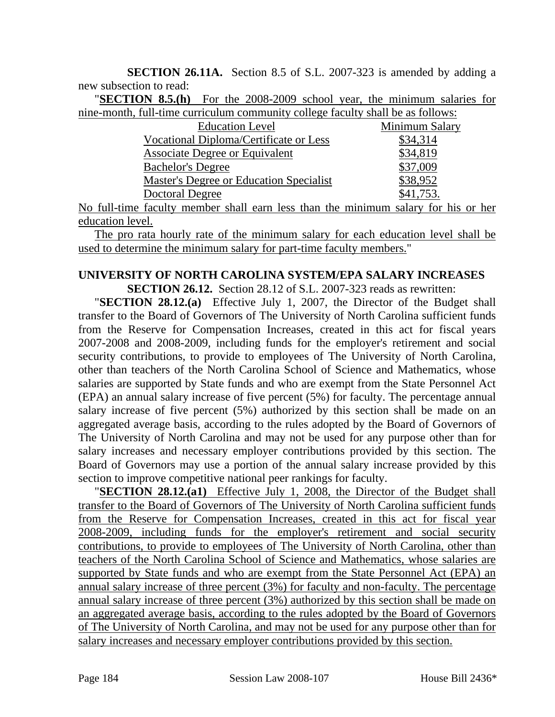**SECTION 26.11A.** Section 8.5 of S.L. 2007-323 is amended by adding a new subsection to read:

"**SECTION 8.5.(h)** For the 2008-2009 school year, the minimum salaries for nine-month, full-time curriculum community college faculty shall be as follows:

| <b>Education Level</b>                  | Minimum Salary |
|-----------------------------------------|----------------|
| Vocational Diploma/Certificate or Less  | \$34,314       |
| Associate Degree or Equivalent          | \$34,819       |
| <b>Bachelor's Degree</b>                | \$37,009       |
| Master's Degree or Education Specialist | \$38,952       |
| Doctoral Degree                         | \$41,753.      |

No full-time faculty member shall earn less than the minimum salary for his or her education level.

The pro rata hourly rate of the minimum salary for each education level shall be used to determine the minimum salary for part-time faculty members."

# **UNIVERSITY OF NORTH CAROLINA SYSTEM/EPA SALARY INCREASES**

**SECTION 26.12.** Section 28.12 of S.L. 2007-323 reads as rewritten:

"**SECTION 28.12.(a)** Effective July 1, 2007, the Director of the Budget shall transfer to the Board of Governors of The University of North Carolina sufficient funds from the Reserve for Compensation Increases, created in this act for fiscal years 2007-2008 and 2008-2009, including funds for the employer's retirement and social security contributions, to provide to employees of The University of North Carolina, other than teachers of the North Carolina School of Science and Mathematics, whose salaries are supported by State funds and who are exempt from the State Personnel Act (EPA) an annual salary increase of five percent (5%) for faculty. The percentage annual salary increase of five percent (5%) authorized by this section shall be made on an aggregated average basis, according to the rules adopted by the Board of Governors of The University of North Carolina and may not be used for any purpose other than for salary increases and necessary employer contributions provided by this section. The Board of Governors may use a portion of the annual salary increase provided by this section to improve competitive national peer rankings for faculty.

"**SECTION 28.12.(a1)** Effective July 1, 2008, the Director of the Budget shall transfer to the Board of Governors of The University of North Carolina sufficient funds from the Reserve for Compensation Increases, created in this act for fiscal year 2008-2009, including funds for the employer's retirement and social security contributions, to provide to employees of The University of North Carolina, other than teachers of the North Carolina School of Science and Mathematics, whose salaries are supported by State funds and who are exempt from the State Personnel Act (EPA) an annual salary increase of three percent (3%) for faculty and non-faculty. The percentage annual salary increase of three percent (3%) authorized by this section shall be made on an aggregated average basis, according to the rules adopted by the Board of Governors of The University of North Carolina, and may not be used for any purpose other than for salary increases and necessary employer contributions provided by this section.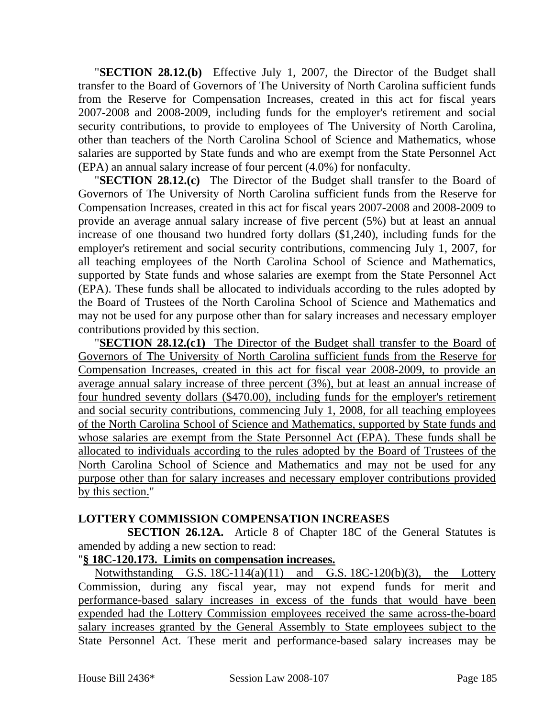"**SECTION 28.12.(b)** Effective July 1, 2007, the Director of the Budget shall transfer to the Board of Governors of The University of North Carolina sufficient funds from the Reserve for Compensation Increases, created in this act for fiscal years 2007-2008 and 2008-2009, including funds for the employer's retirement and social security contributions, to provide to employees of The University of North Carolina, other than teachers of the North Carolina School of Science and Mathematics, whose salaries are supported by State funds and who are exempt from the State Personnel Act (EPA) an annual salary increase of four percent (4.0%) for nonfaculty.

"**SECTION 28.12.(c)** The Director of the Budget shall transfer to the Board of Governors of The University of North Carolina sufficient funds from the Reserve for Compensation Increases, created in this act for fiscal years 2007-2008 and 2008-2009 to provide an average annual salary increase of five percent (5%) but at least an annual increase of one thousand two hundred forty dollars (\$1,240), including funds for the employer's retirement and social security contributions, commencing July 1, 2007, for all teaching employees of the North Carolina School of Science and Mathematics, supported by State funds and whose salaries are exempt from the State Personnel Act (EPA). These funds shall be allocated to individuals according to the rules adopted by the Board of Trustees of the North Carolina School of Science and Mathematics and may not be used for any purpose other than for salary increases and necessary employer contributions provided by this section.

"**SECTION 28.12.(c1)** The Director of the Budget shall transfer to the Board of Governors of The University of North Carolina sufficient funds from the Reserve for Compensation Increases, created in this act for fiscal year 2008-2009, to provide an average annual salary increase of three percent (3%), but at least an annual increase of four hundred seventy dollars (\$470.00), including funds for the employer's retirement and social security contributions, commencing July 1, 2008, for all teaching employees of the North Carolina School of Science and Mathematics, supported by State funds and whose salaries are exempt from the State Personnel Act (EPA). These funds shall be allocated to individuals according to the rules adopted by the Board of Trustees of the North Carolina School of Science and Mathematics and may not be used for any purpose other than for salary increases and necessary employer contributions provided by this section."

#### **LOTTERY COMMISSION COMPENSATION INCREASES**

**SECTION 26.12A.** Article 8 of Chapter 18C of the General Statutes is amended by adding a new section to read:

#### "**§ 18C-120.173. Limits on compensation increases.**

Notwithstanding G.S.  $18C-114(a)(11)$  and G.S.  $18C-120(b)(3)$ , the Lottery Commission, during any fiscal year, may not expend funds for merit and performance-based salary increases in excess of the funds that would have been expended had the Lottery Commission employees received the same across-the-board salary increases granted by the General Assembly to State employees subject to the State Personnel Act. These merit and performance-based salary increases may be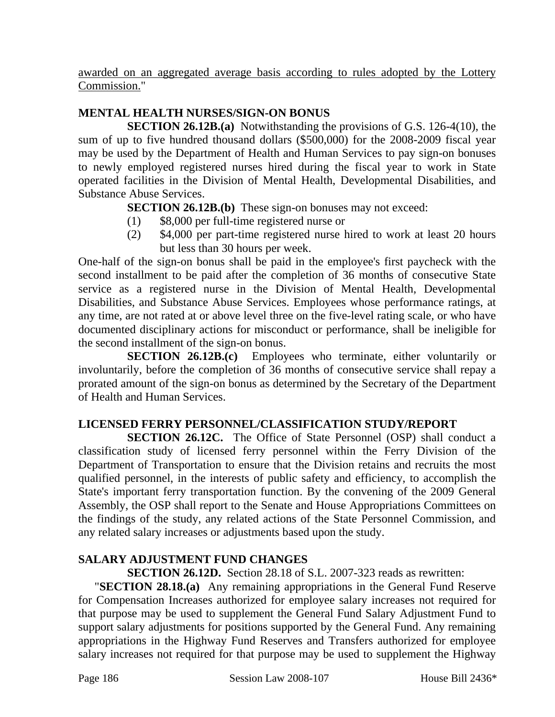awarded on an aggregated average basis according to rules adopted by the Lottery Commission."

# **MENTAL HEALTH NURSES/SIGN-ON BONUS**

**SECTION 26.12B.(a)** Notwithstanding the provisions of G.S. 126-4(10), the sum of up to five hundred thousand dollars (\$500,000) for the 2008-2009 fiscal year may be used by the Department of Health and Human Services to pay sign-on bonuses to newly employed registered nurses hired during the fiscal year to work in State operated facilities in the Division of Mental Health, Developmental Disabilities, and Substance Abuse Services.

**SECTION 26.12B.(b)** These sign-on bonuses may not exceed:

- (1) \$8,000 per full-time registered nurse or
- (2) \$4,000 per part-time registered nurse hired to work at least 20 hours but less than 30 hours per week.

One-half of the sign-on bonus shall be paid in the employee's first paycheck with the second installment to be paid after the completion of 36 months of consecutive State service as a registered nurse in the Division of Mental Health, Developmental Disabilities, and Substance Abuse Services. Employees whose performance ratings, at any time, are not rated at or above level three on the five-level rating scale, or who have documented disciplinary actions for misconduct or performance, shall be ineligible for the second installment of the sign-on bonus.

**SECTION 26.12B.(c)** Employees who terminate, either voluntarily or involuntarily, before the completion of 36 months of consecutive service shall repay a prorated amount of the sign-on bonus as determined by the Secretary of the Department of Health and Human Services.

# **LICENSED FERRY PERSONNEL/CLASSIFICATION STUDY/REPORT**

**SECTION 26.12C.** The Office of State Personnel (OSP) shall conduct a classification study of licensed ferry personnel within the Ferry Division of the Department of Transportation to ensure that the Division retains and recruits the most qualified personnel, in the interests of public safety and efficiency, to accomplish the State's important ferry transportation function. By the convening of the 2009 General Assembly, the OSP shall report to the Senate and House Appropriations Committees on the findings of the study, any related actions of the State Personnel Commission, and any related salary increases or adjustments based upon the study.

# **SALARY ADJUSTMENT FUND CHANGES**

**SECTION 26.12D.** Section 28.18 of S.L. 2007-323 reads as rewritten:

"**SECTION 28.18.(a)** Any remaining appropriations in the General Fund Reserve for Compensation Increases authorized for employee salary increases not required for that purpose may be used to supplement the General Fund Salary Adjustment Fund to support salary adjustments for positions supported by the General Fund. Any remaining appropriations in the Highway Fund Reserves and Transfers authorized for employee salary increases not required for that purpose may be used to supplement the Highway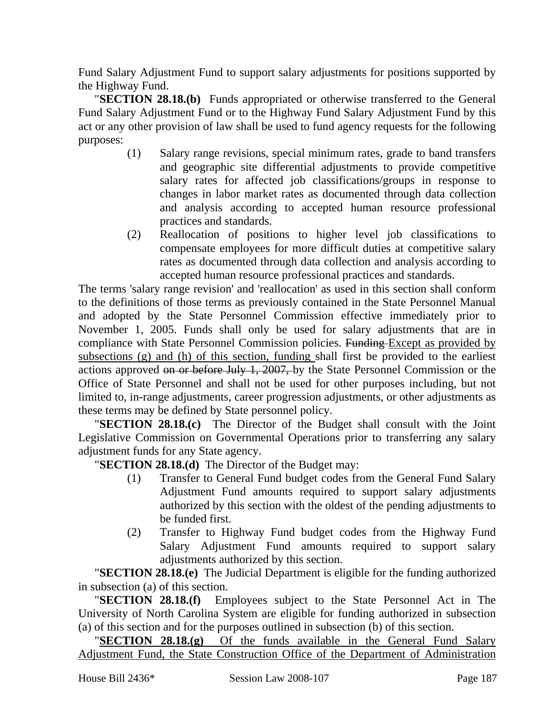Fund Salary Adjustment Fund to support salary adjustments for positions supported by the Highway Fund.

"**SECTION 28.18.(b)** Funds appropriated or otherwise transferred to the General Fund Salary Adjustment Fund or to the Highway Fund Salary Adjustment Fund by this act or any other provision of law shall be used to fund agency requests for the following purposes:

- (1) Salary range revisions, special minimum rates, grade to band transfers and geographic site differential adjustments to provide competitive salary rates for affected job classifications/groups in response to changes in labor market rates as documented through data collection and analysis according to accepted human resource professional practices and standards.
- (2) Reallocation of positions to higher level job classifications to compensate employees for more difficult duties at competitive salary rates as documented through data collection and analysis according to accepted human resource professional practices and standards.

The terms 'salary range revision' and 'reallocation' as used in this section shall conform to the definitions of those terms as previously contained in the State Personnel Manual and adopted by the State Personnel Commission effective immediately prior to November 1, 2005. Funds shall only be used for salary adjustments that are in compliance with State Personnel Commission policies. Funding Except as provided by subsections (g) and (h) of this section, funding shall first be provided to the earliest actions approved on or before July 1, 2007, by the State Personnel Commission or the Office of State Personnel and shall not be used for other purposes including, but not limited to, in-range adjustments, career progression adjustments, or other adjustments as these terms may be defined by State personnel policy.

"**SECTION 28.18.(c)** The Director of the Budget shall consult with the Joint Legislative Commission on Governmental Operations prior to transferring any salary adjustment funds for any State agency.

"**SECTION 28.18.(d)** The Director of the Budget may:

- (1) Transfer to General Fund budget codes from the General Fund Salary Adjustment Fund amounts required to support salary adjustments authorized by this section with the oldest of the pending adjustments to be funded first.
- (2) Transfer to Highway Fund budget codes from the Highway Fund Salary Adjustment Fund amounts required to support salary adjustments authorized by this section.

"**SECTION 28.18.(e)** The Judicial Department is eligible for the funding authorized in subsection (a) of this section.

"**SECTION 28.18.(f)** Employees subject to the State Personnel Act in The University of North Carolina System are eligible for funding authorized in subsection (a) of this section and for the purposes outlined in subsection (b) of this section.

"**SECTION 28.18.(g)** Of the funds available in the General Fund Salary Adjustment Fund, the State Construction Office of the Department of Administration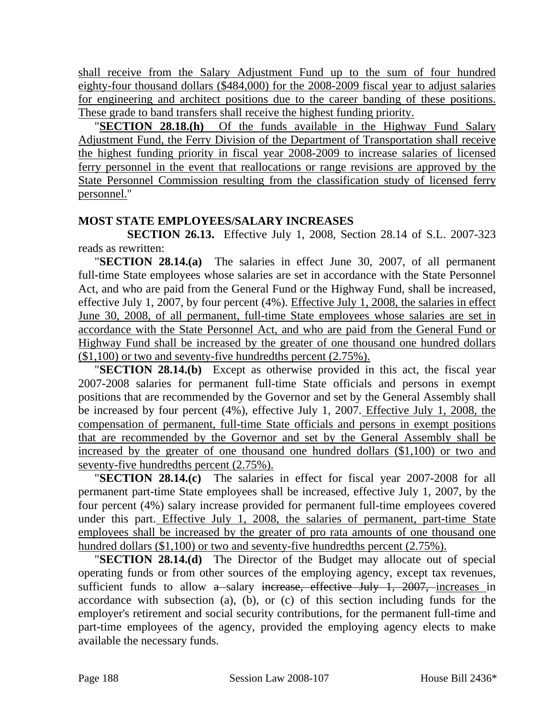shall receive from the Salary Adjustment Fund up to the sum of four hundred eighty-four thousand dollars (\$484,000) for the 2008-2009 fiscal year to adjust salaries for engineering and architect positions due to the career banding of these positions. These grade to band transfers shall receive the highest funding priority.

"**SECTION 28.18.(h)** Of the funds available in the Highway Fund Salary Adjustment Fund, the Ferry Division of the Department of Transportation shall receive the highest funding priority in fiscal year 2008-2009 to increase salaries of licensed ferry personnel in the event that reallocations or range revisions are approved by the State Personnel Commission resulting from the classification study of licensed ferry personnel."

#### **MOST STATE EMPLOYEES/SALARY INCREASES**

**SECTION 26.13.** Effective July 1, 2008, Section 28.14 of S.L. 2007-323 reads as rewritten:

"**SECTION 28.14.(a)** The salaries in effect June 30, 2007, of all permanent full-time State employees whose salaries are set in accordance with the State Personnel Act, and who are paid from the General Fund or the Highway Fund, shall be increased, effective July 1, 2007, by four percent (4%). Effective July 1, 2008, the salaries in effect June 30, 2008, of all permanent, full-time State employees whose salaries are set in accordance with the State Personnel Act, and who are paid from the General Fund or Highway Fund shall be increased by the greater of one thousand one hundred dollars (\$1,100) or two and seventy-five hundredths percent (2.75%).

"**SECTION 28.14.(b)** Except as otherwise provided in this act, the fiscal year 2007-2008 salaries for permanent full-time State officials and persons in exempt positions that are recommended by the Governor and set by the General Assembly shall be increased by four percent (4%), effective July 1, 2007. Effective July 1, 2008, the compensation of permanent, full-time State officials and persons in exempt positions that are recommended by the Governor and set by the General Assembly shall be increased by the greater of one thousand one hundred dollars (\$1,100) or two and seventy-five hundredths percent (2.75%).

"**SECTION 28.14.(c)** The salaries in effect for fiscal year 2007-2008 for all permanent part-time State employees shall be increased, effective July 1, 2007, by the four percent (4%) salary increase provided for permanent full-time employees covered under this part. Effective July 1, 2008, the salaries of permanent, part-time State employees shall be increased by the greater of pro rata amounts of one thousand one hundred dollars (\$1,100) or two and seventy-five hundredths percent (2.75%).

"**SECTION 28.14.(d)** The Director of the Budget may allocate out of special operating funds or from other sources of the employing agency, except tax revenues, sufficient funds to allow  $a$ -salary increase, effective July 1, 2007, increases in accordance with subsection (a), (b), or (c) of this section including funds for the employer's retirement and social security contributions, for the permanent full-time and part-time employees of the agency, provided the employing agency elects to make available the necessary funds.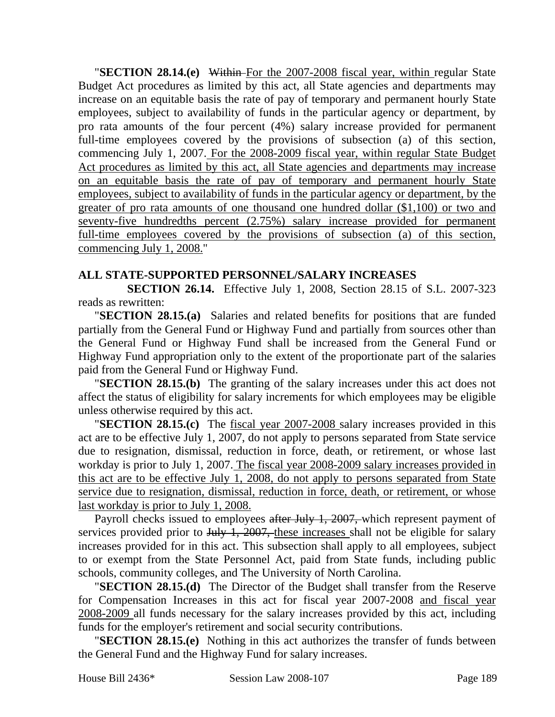"**SECTION 28.14.(e)** Within For the 2007-2008 fiscal year, within regular State Budget Act procedures as limited by this act, all State agencies and departments may increase on an equitable basis the rate of pay of temporary and permanent hourly State employees, subject to availability of funds in the particular agency or department, by pro rata amounts of the four percent (4%) salary increase provided for permanent full-time employees covered by the provisions of subsection (a) of this section, commencing July 1, 2007. For the 2008-2009 fiscal year, within regular State Budget Act procedures as limited by this act, all State agencies and departments may increase on an equitable basis the rate of pay of temporary and permanent hourly State employees, subject to availability of funds in the particular agency or department, by the greater of pro rata amounts of one thousand one hundred dollar (\$1,100) or two and seventy-five hundredths percent (2.75%) salary increase provided for permanent full-time employees covered by the provisions of subsection (a) of this section, commencing July 1, 2008."

#### **ALL STATE-SUPPORTED PERSONNEL/SALARY INCREASES**

**SECTION 26.14.** Effective July 1, 2008, Section 28.15 of S.L. 2007-323 reads as rewritten:

"**SECTION 28.15.(a)** Salaries and related benefits for positions that are funded partially from the General Fund or Highway Fund and partially from sources other than the General Fund or Highway Fund shall be increased from the General Fund or Highway Fund appropriation only to the extent of the proportionate part of the salaries paid from the General Fund or Highway Fund.

"**SECTION 28.15.(b)** The granting of the salary increases under this act does not affect the status of eligibility for salary increments for which employees may be eligible unless otherwise required by this act.

"**SECTION 28.15.(c)** The fiscal year 2007-2008 salary increases provided in this act are to be effective July 1, 2007, do not apply to persons separated from State service due to resignation, dismissal, reduction in force, death, or retirement, or whose last workday is prior to July 1, 2007. The fiscal year 2008-2009 salary increases provided in this act are to be effective July 1, 2008, do not apply to persons separated from State service due to resignation, dismissal, reduction in force, death, or retirement, or whose last workday is prior to July 1, 2008.

Payroll checks issued to employees after July 1, 2007, which represent payment of services provided prior to July 1, 2007, these increases shall not be eligible for salary increases provided for in this act. This subsection shall apply to all employees, subject to or exempt from the State Personnel Act, paid from State funds, including public schools, community colleges, and The University of North Carolina.

"**SECTION 28.15.(d)** The Director of the Budget shall transfer from the Reserve for Compensation Increases in this act for fiscal year 2007-2008 and fiscal year 2008-2009 all funds necessary for the salary increases provided by this act, including funds for the employer's retirement and social security contributions.

"**SECTION 28.15.(e)** Nothing in this act authorizes the transfer of funds between the General Fund and the Highway Fund for salary increases.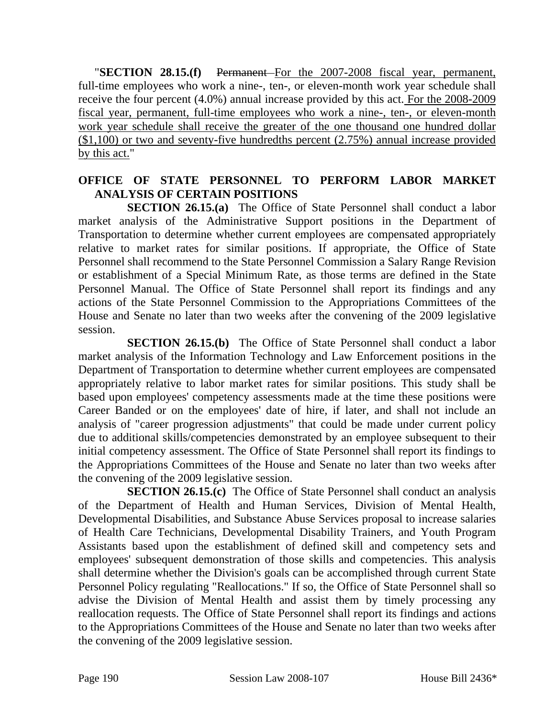"**SECTION 28.15.(f)** Permanent For the 2007-2008 fiscal year, permanent, full-time employees who work a nine-, ten-, or eleven-month work year schedule shall receive the four percent (4.0%) annual increase provided by this act. For the 2008-2009 fiscal year, permanent, full-time employees who work a nine-, ten-, or eleven-month work year schedule shall receive the greater of the one thousand one hundred dollar (\$1,100) or two and seventy-five hundredths percent (2.75%) annual increase provided by this act."

## **OFFICE OF STATE PERSONNEL TO PERFORM LABOR MARKET ANALYSIS OF CERTAIN POSITIONS**

**SECTION 26.15.(a)** The Office of State Personnel shall conduct a labor market analysis of the Administrative Support positions in the Department of Transportation to determine whether current employees are compensated appropriately relative to market rates for similar positions. If appropriate, the Office of State Personnel shall recommend to the State Personnel Commission a Salary Range Revision or establishment of a Special Minimum Rate, as those terms are defined in the State Personnel Manual. The Office of State Personnel shall report its findings and any actions of the State Personnel Commission to the Appropriations Committees of the House and Senate no later than two weeks after the convening of the 2009 legislative session.

**SECTION 26.15.(b)** The Office of State Personnel shall conduct a labor market analysis of the Information Technology and Law Enforcement positions in the Department of Transportation to determine whether current employees are compensated appropriately relative to labor market rates for similar positions. This study shall be based upon employees' competency assessments made at the time these positions were Career Banded or on the employees' date of hire, if later, and shall not include an analysis of "career progression adjustments" that could be made under current policy due to additional skills/competencies demonstrated by an employee subsequent to their initial competency assessment. The Office of State Personnel shall report its findings to the Appropriations Committees of the House and Senate no later than two weeks after the convening of the 2009 legislative session.

**SECTION 26.15.(c)** The Office of State Personnel shall conduct an analysis of the Department of Health and Human Services, Division of Mental Health, Developmental Disabilities, and Substance Abuse Services proposal to increase salaries of Health Care Technicians, Developmental Disability Trainers, and Youth Program Assistants based upon the establishment of defined skill and competency sets and employees' subsequent demonstration of those skills and competencies. This analysis shall determine whether the Division's goals can be accomplished through current State Personnel Policy regulating "Reallocations." If so, the Office of State Personnel shall so advise the Division of Mental Health and assist them by timely processing any reallocation requests. The Office of State Personnel shall report its findings and actions to the Appropriations Committees of the House and Senate no later than two weeks after the convening of the 2009 legislative session.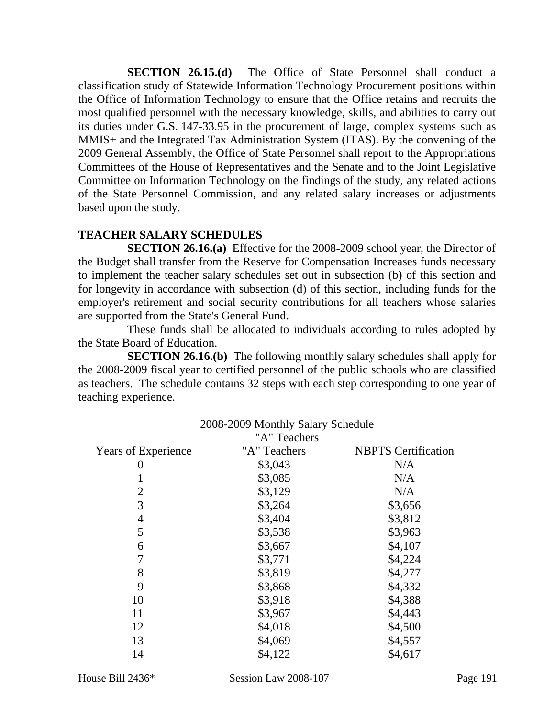**SECTION 26.15.(d)** The Office of State Personnel shall conduct a classification study of Statewide Information Technology Procurement positions within the Office of Information Technology to ensure that the Office retains and recruits the most qualified personnel with the necessary knowledge, skills, and abilities to carry out its duties under G.S. 147-33.95 in the procurement of large, complex systems such as MMIS+ and the Integrated Tax Administration System (ITAS). By the convening of the 2009 General Assembly, the Office of State Personnel shall report to the Appropriations Committees of the House of Representatives and the Senate and to the Joint Legislative Committee on Information Technology on the findings of the study, any related actions of the State Personnel Commission, and any related salary increases or adjustments based upon the study.

# **TEACHER SALARY SCHEDULES**

**SECTION 26.16.(a)** Effective for the 2008-2009 school year, the Director of the Budget shall transfer from the Reserve for Compensation Increases funds necessary to implement the teacher salary schedules set out in subsection (b) of this section and for longevity in accordance with subsection (d) of this section, including funds for the employer's retirement and social security contributions for all teachers whose salaries are supported from the State's General Fund.

These funds shall be allocated to individuals according to rules adopted by the State Board of Education.

**SECTION 26.16.(b)** The following monthly salary schedules shall apply for the 2008-2009 fiscal year to certified personnel of the public schools who are classified as teachers. The schedule contains 32 steps with each step corresponding to one year of teaching experience.

2008-2009 Monthly Salary Schedule

|                            | $2008 - 2009$ Monthly Salary Schedule<br>"A" Teachers |                            |
|----------------------------|-------------------------------------------------------|----------------------------|
| <b>Years of Experience</b> | "A" Teachers                                          | <b>NBPTS</b> Certification |
| 0                          | \$3,043                                               | N/A                        |
| 1                          | \$3,085                                               | N/A                        |
| $\overline{2}$             | \$3,129                                               | N/A                        |
| 3                          | \$3,264                                               | \$3,656                    |
| 4                          | \$3,404                                               | \$3,812                    |
| 5                          | \$3,538                                               | \$3,963                    |
| 6                          | \$3,667                                               | \$4,107                    |
| 7                          | \$3,771                                               | \$4,224                    |
| 8                          | \$3,819                                               | \$4,277                    |
| 9                          | \$3,868                                               | \$4,332                    |
| 10                         | \$3,918                                               | \$4,388                    |
| 11                         | \$3,967                                               | \$4,443                    |
| 12                         | \$4,018                                               | \$4,500                    |
| 13                         | \$4,069                                               | \$4,557                    |
| 14                         | \$4,122                                               | \$4,617                    |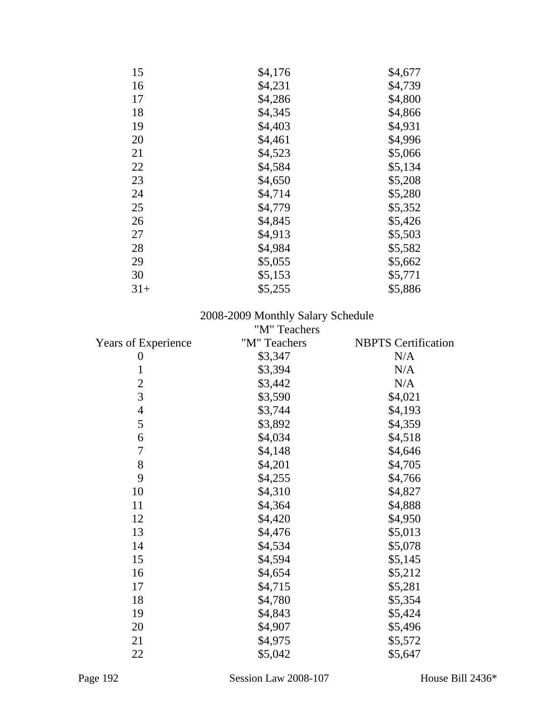| 15    | \$4,176 | \$4,677 |
|-------|---------|---------|
| 16    | \$4,231 | \$4,739 |
| 17    | \$4,286 | \$4,800 |
| 18    | \$4,345 | \$4,866 |
| 19    | \$4,403 | \$4,931 |
| 20    | \$4,461 | \$4,996 |
| 21    | \$4,523 | \$5,066 |
| 22    | \$4,584 | \$5,134 |
| 23    | \$4,650 | \$5,208 |
| 24    | \$4,714 | \$5,280 |
| 25    | \$4,779 | \$5,352 |
| 26    | \$4,845 | \$5,426 |
| 27    | \$4,913 | \$5,503 |
| 28    | \$4,984 | \$5,582 |
| 29    | \$5,055 | \$5,662 |
| 30    | \$5,153 | \$5,771 |
| $31+$ | \$5,255 | \$5,886 |

#### 2008-2009 Monthly Salary Schedule

|                            | "M" Teachers |                            |
|----------------------------|--------------|----------------------------|
| <b>Years of Experience</b> | "M" Teachers | <b>NBPTS</b> Certification |
| 0                          | \$3,347      | N/A                        |
| $\mathbf{1}$               | \$3,394      | N/A                        |
| $\overline{2}$             | \$3,442      | N/A                        |
| 3                          | \$3,590      | \$4,021                    |
| $\overline{4}$             | \$3,744      | \$4,193                    |
| 5                          | \$3,892      | \$4,359                    |
| 6                          | \$4,034      | \$4,518                    |
| 7                          | \$4,148      | \$4,646                    |
| 8                          | \$4,201      | \$4,705                    |
| 9                          | \$4,255      | \$4,766                    |
| 10                         | \$4,310      | \$4,827                    |
| 11                         | \$4,364      | \$4,888                    |
| 12                         | \$4,420      | \$4,950                    |
| 13                         | \$4,476      | \$5,013                    |
| 14                         | \$4,534      | \$5,078                    |
| 15                         | \$4,594      | \$5,145                    |
| 16                         | \$4,654      | \$5,212                    |
| 17                         | \$4,715      | \$5,281                    |
| 18                         | \$4,780      | \$5,354                    |
| 19                         | \$4,843      | \$5,424                    |
| 20                         | \$4,907      | \$5,496                    |
| 21                         | \$4,975      | \$5,572                    |
| 22                         | \$5,042      | \$5,647                    |
|                            |              |                            |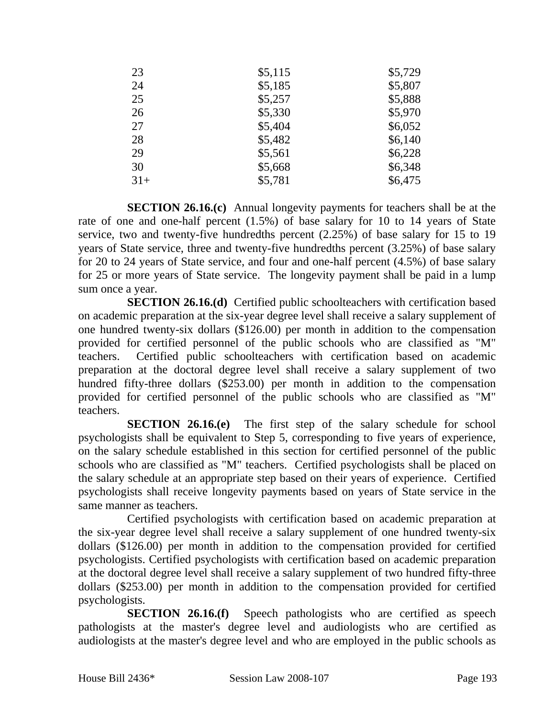| 23    | \$5,115 | \$5,729 |
|-------|---------|---------|
| 24    | \$5,185 | \$5,807 |
| 25    | \$5,257 | \$5,888 |
| 26    | \$5,330 | \$5,970 |
| 27    | \$5,404 | \$6,052 |
| 28    | \$5,482 | \$6,140 |
| 29    | \$5,561 | \$6,228 |
| 30    | \$5,668 | \$6,348 |
| $31+$ | \$5,781 | \$6,475 |

**SECTION 26.16.(c)** Annual longevity payments for teachers shall be at the rate of one and one-half percent (1.5%) of base salary for 10 to 14 years of State service, two and twenty-five hundredths percent (2.25%) of base salary for 15 to 19 years of State service, three and twenty-five hundredths percent (3.25%) of base salary for 20 to 24 years of State service, and four and one-half percent (4.5%) of base salary for 25 or more years of State service. The longevity payment shall be paid in a lump sum once a year.

**SECTION 26.16.(d)** Certified public schoolteachers with certification based on academic preparation at the six-year degree level shall receive a salary supplement of one hundred twenty-six dollars (\$126.00) per month in addition to the compensation provided for certified personnel of the public schools who are classified as "M" teachers. Certified public schoolteachers with certification based on academic preparation at the doctoral degree level shall receive a salary supplement of two hundred fifty-three dollars (\$253.00) per month in addition to the compensation provided for certified personnel of the public schools who are classified as "M" teachers.

**SECTION 26.16.(e)** The first step of the salary schedule for school psychologists shall be equivalent to Step 5, corresponding to five years of experience, on the salary schedule established in this section for certified personnel of the public schools who are classified as "M" teachers. Certified psychologists shall be placed on the salary schedule at an appropriate step based on their years of experience. Certified psychologists shall receive longevity payments based on years of State service in the same manner as teachers.

Certified psychologists with certification based on academic preparation at the six-year degree level shall receive a salary supplement of one hundred twenty-six dollars (\$126.00) per month in addition to the compensation provided for certified psychologists. Certified psychologists with certification based on academic preparation at the doctoral degree level shall receive a salary supplement of two hundred fifty-three dollars (\$253.00) per month in addition to the compensation provided for certified psychologists.

**SECTION 26.16.(f)** Speech pathologists who are certified as speech pathologists at the master's degree level and audiologists who are certified as audiologists at the master's degree level and who are employed in the public schools as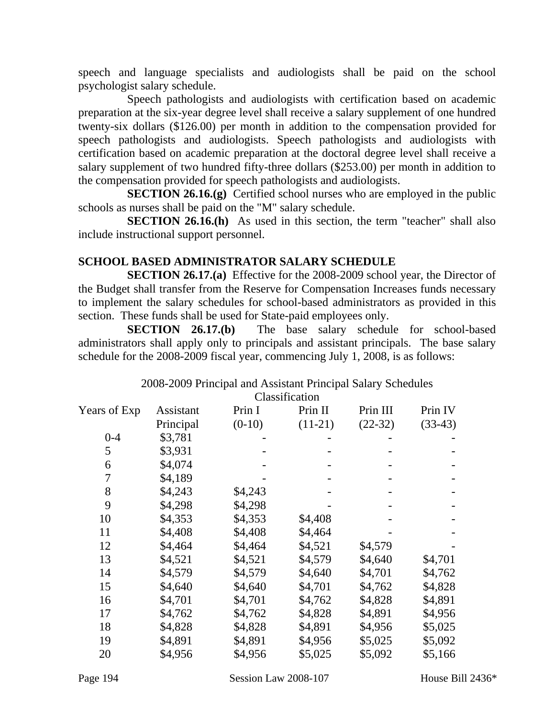speech and language specialists and audiologists shall be paid on the school psychologist salary schedule.

Speech pathologists and audiologists with certification based on academic preparation at the six-year degree level shall receive a salary supplement of one hundred twenty-six dollars (\$126.00) per month in addition to the compensation provided for speech pathologists and audiologists. Speech pathologists and audiologists with certification based on academic preparation at the doctoral degree level shall receive a salary supplement of two hundred fifty-three dollars (\$253.00) per month in addition to the compensation provided for speech pathologists and audiologists.

**SECTION 26.16.(g)** Certified school nurses who are employed in the public schools as nurses shall be paid on the "M" salary schedule.

**SECTION 26.16.(h)** As used in this section, the term "teacher" shall also include instructional support personnel.

## **SCHOOL BASED ADMINISTRATOR SALARY SCHEDULE**

**SECTION 26.17.(a)** Effective for the 2008-2009 school year, the Director of the Budget shall transfer from the Reserve for Compensation Increases funds necessary to implement the salary schedules for school-based administrators as provided in this section. These funds shall be used for State-paid employees only.

**SECTION 26.17.(b)** The base salary schedule for school-based administrators shall apply only to principals and assistant principals. The base salary schedule for the 2008-2009 fiscal year, commencing July 1, 2008, is as follows:

#### 2008-2009 Principal and Assistant Principal Salary Schedules

| Classification |
|----------------|
|                |

|              |           |          | Ciassification |           |           |
|--------------|-----------|----------|----------------|-----------|-----------|
| Years of Exp | Assistant | Prin I   | Prin II        | Prin III  | Prin IV   |
|              | Principal | $(0-10)$ | $(11-21)$      | $(22-32)$ | $(33-43)$ |
| $0 - 4$      | \$3,781   |          |                |           |           |
| 5            | \$3,931   |          |                |           |           |
| 6            | \$4,074   |          |                |           |           |
| 7            | \$4,189   |          |                |           |           |
| 8            | \$4,243   | \$4,243  |                |           |           |
| 9            | \$4,298   | \$4,298  |                |           |           |
| 10           | \$4,353   | \$4,353  | \$4,408        |           |           |
| 11           | \$4,408   | \$4,408  | \$4,464        |           |           |
| 12           | \$4,464   | \$4,464  | \$4,521        | \$4,579   |           |
| 13           | \$4,521   | \$4,521  | \$4,579        | \$4,640   | \$4,701   |
| 14           | \$4,579   | \$4,579  | \$4,640        | \$4,701   | \$4,762   |
| 15           | \$4,640   | \$4,640  | \$4,701        | \$4,762   | \$4,828   |
| 16           | \$4,701   | \$4,701  | \$4,762        | \$4,828   | \$4,891   |
| 17           | \$4,762   | \$4,762  | \$4,828        | \$4,891   | \$4,956   |
| 18           | \$4,828   | \$4,828  | \$4,891        | \$4,956   | \$5,025   |
| 19           | \$4,891   | \$4,891  | \$4,956        | \$5,025   | \$5,092   |
| 20           | \$4,956   | \$4,956  | \$5,025        | \$5,092   | \$5,166   |
|              |           |          |                |           |           |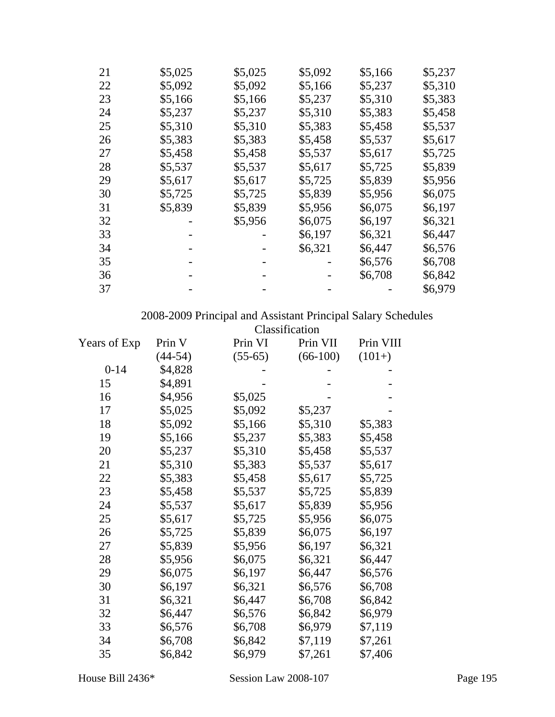| 21 | \$5,025 | \$5,025 | \$5,092 | \$5,166 | \$5,237 |
|----|---------|---------|---------|---------|---------|
| 22 | \$5,092 | \$5,092 | \$5,166 | \$5,237 | \$5,310 |
| 23 | \$5,166 | \$5,166 | \$5,237 | \$5,310 | \$5,383 |
| 24 | \$5,237 | \$5,237 | \$5,310 | \$5,383 | \$5,458 |
| 25 | \$5,310 | \$5,310 | \$5,383 | \$5,458 | \$5,537 |
| 26 | \$5,383 | \$5,383 | \$5,458 | \$5,537 | \$5,617 |
| 27 | \$5,458 | \$5,458 | \$5,537 | \$5,617 | \$5,725 |
| 28 | \$5,537 | \$5,537 | \$5,617 | \$5,725 | \$5,839 |
| 29 | \$5,617 | \$5,617 | \$5,725 | \$5,839 | \$5,956 |
| 30 | \$5,725 | \$5,725 | \$5,839 | \$5,956 | \$6,075 |
| 31 | \$5,839 | \$5,839 | \$5,956 | \$6,075 | \$6,197 |
| 32 |         | \$5,956 | \$6,075 | \$6,197 | \$6,321 |
| 33 |         |         | \$6,197 | \$6,321 | \$6,447 |
| 34 |         |         | \$6,321 | \$6,447 | \$6,576 |
| 35 |         |         |         | \$6,576 | \$6,708 |
| 36 |         |         |         | \$6,708 | \$6,842 |
| 37 |         |         |         |         | \$6,979 |

2008-2009 Principal and Assistant Principal Salary Schedules

|              |           |           | Classification |           |
|--------------|-----------|-----------|----------------|-----------|
| Years of Exp | Prin V    | Prin VI   | Prin VII       | Prin VIII |
|              | $(44-54)$ | $(55-65)$ | $(66-100)$     | $(101+)$  |
| $0 - 14$     | \$4,828   |           |                |           |
| 15           | \$4,891   |           |                |           |
| 16           | \$4,956   | \$5,025   |                |           |
| 17           | \$5,025   | \$5,092   | \$5,237        |           |
| 18           | \$5,092   | \$5,166   | \$5,310        | \$5,383   |
| 19           | \$5,166   | \$5,237   | \$5,383        | \$5,458   |
| 20           | \$5,237   | \$5,310   | \$5,458        | \$5,537   |
| 21           | \$5,310   | \$5,383   | \$5,537        | \$5,617   |
| 22           | \$5,383   | \$5,458   | \$5,617        | \$5,725   |
| 23           | \$5,458   | \$5,537   | \$5,725        | \$5,839   |
| 24           | \$5,537   | \$5,617   | \$5,839        | \$5,956   |
| 25           | \$5,617   | \$5,725   | \$5,956        | \$6,075   |
| 26           | \$5,725   | \$5,839   | \$6,075        | \$6,197   |
| 27           | \$5,839   | \$5,956   | \$6,197        | \$6,321   |
| 28           | \$5,956   | \$6,075   | \$6,321        | \$6,447   |
| 29           | \$6,075   | \$6,197   | \$6,447        | \$6,576   |
| 30           | \$6,197   | \$6,321   | \$6,576        | \$6,708   |
| 31           | \$6,321   | \$6,447   | \$6,708        | \$6,842   |
| 32           | \$6,447   | \$6,576   | \$6,842        | \$6,979   |
| 33           | \$6,576   | \$6,708   | \$6,979        | \$7,119   |
| 34           | \$6,708   | \$6,842   | \$7,119        | \$7,261   |
| 35           | \$6,842   | \$6,979   | \$7,261        | \$7,406   |
|              |           |           |                |           |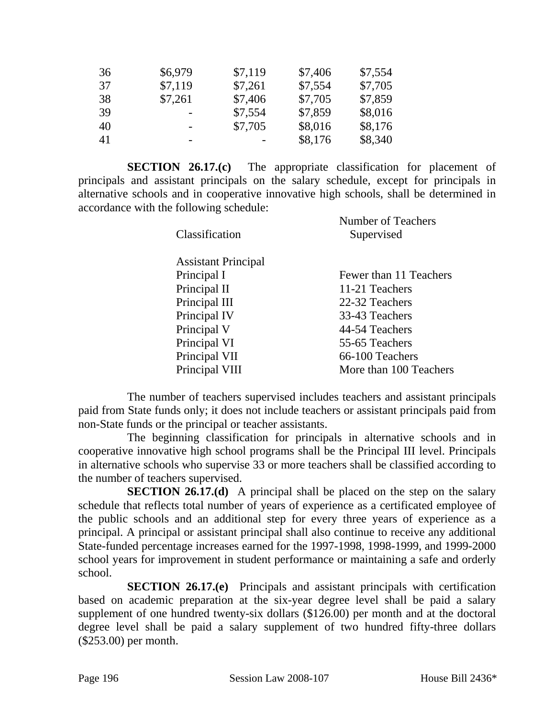| 36 | \$6,979                  | \$7,119 | \$7,406 | \$7,554 |
|----|--------------------------|---------|---------|---------|
| 37 | \$7,119                  | \$7,261 | \$7,554 | \$7,705 |
| 38 | \$7,261                  | \$7,406 | \$7,705 | \$7,859 |
| 39 |                          | \$7,554 | \$7,859 | \$8,016 |
| 40 | $\overline{\phantom{0}}$ | \$7,705 | \$8,016 | \$8,176 |
| 41 | -                        |         | \$8,176 | \$8,340 |

**SECTION 26.17.(c)** The appropriate classification for placement of principals and assistant principals on the salary schedule, except for principals in alternative schools and in cooperative innovative high schools, shall be determined in accordance with the following schedule: Number of Teachers

| Classification             | NUMBER OF TRACHERS<br>Supervised |  |
|----------------------------|----------------------------------|--|
| <b>Assistant Principal</b> |                                  |  |
| Principal I                | Fewer than 11 Teachers           |  |
| Principal II               | 11-21 Teachers                   |  |
| Principal III              | 22-32 Teachers                   |  |
| Principal IV               | 33-43 Teachers                   |  |
| Principal V                | 44-54 Teachers                   |  |
| Principal VI               | 55-65 Teachers                   |  |
| Principal VII              | 66-100 Teachers                  |  |
| Principal VIII             | More than 100 Teachers           |  |

The number of teachers supervised includes teachers and assistant principals paid from State funds only; it does not include teachers or assistant principals paid from non-State funds or the principal or teacher assistants.

The beginning classification for principals in alternative schools and in cooperative innovative high school programs shall be the Principal III level. Principals in alternative schools who supervise 33 or more teachers shall be classified according to the number of teachers supervised.

**SECTION 26.17.(d)** A principal shall be placed on the step on the salary schedule that reflects total number of years of experience as a certificated employee of the public schools and an additional step for every three years of experience as a principal. A principal or assistant principal shall also continue to receive any additional State-funded percentage increases earned for the 1997-1998, 1998-1999, and 1999-2000 school years for improvement in student performance or maintaining a safe and orderly school.

**SECTION 26.17.(e)** Principals and assistant principals with certification based on academic preparation at the six-year degree level shall be paid a salary supplement of one hundred twenty-six dollars (\$126.00) per month and at the doctoral degree level shall be paid a salary supplement of two hundred fifty-three dollars (\$253.00) per month.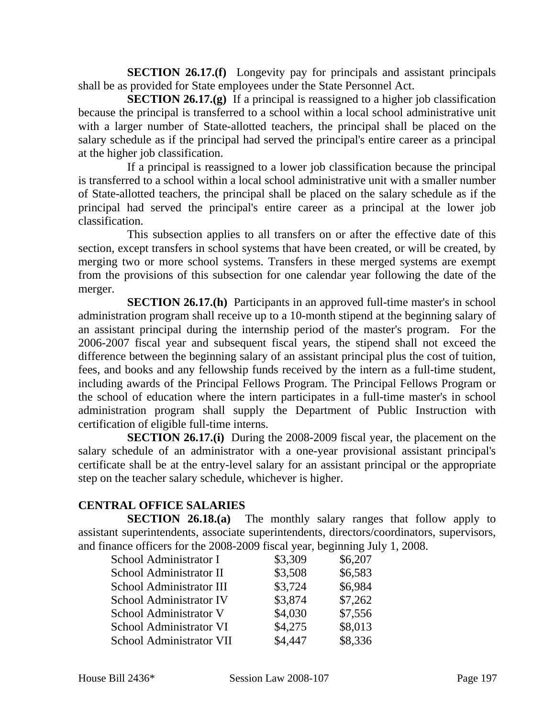**SECTION 26.17.(f)** Longevity pay for principals and assistant principals shall be as provided for State employees under the State Personnel Act.

**SECTION 26.17.(g)** If a principal is reassigned to a higher job classification because the principal is transferred to a school within a local school administrative unit with a larger number of State-allotted teachers, the principal shall be placed on the salary schedule as if the principal had served the principal's entire career as a principal at the higher job classification.

If a principal is reassigned to a lower job classification because the principal is transferred to a school within a local school administrative unit with a smaller number of State-allotted teachers, the principal shall be placed on the salary schedule as if the principal had served the principal's entire career as a principal at the lower job classification.

This subsection applies to all transfers on or after the effective date of this section, except transfers in school systems that have been created, or will be created, by merging two or more school systems. Transfers in these merged systems are exempt from the provisions of this subsection for one calendar year following the date of the merger.

**SECTION 26.17.(h)** Participants in an approved full-time master's in school administration program shall receive up to a 10-month stipend at the beginning salary of an assistant principal during the internship period of the master's program. For the 2006-2007 fiscal year and subsequent fiscal years, the stipend shall not exceed the difference between the beginning salary of an assistant principal plus the cost of tuition, fees, and books and any fellowship funds received by the intern as a full-time student, including awards of the Principal Fellows Program. The Principal Fellows Program or the school of education where the intern participates in a full-time master's in school administration program shall supply the Department of Public Instruction with certification of eligible full-time interns.

**SECTION 26.17.(i)** During the 2008-2009 fiscal year, the placement on the salary schedule of an administrator with a one-year provisional assistant principal's certificate shall be at the entry-level salary for an assistant principal or the appropriate step on the teacher salary schedule, whichever is higher.

#### **CENTRAL OFFICE SALARIES**

**SECTION 26.18.(a)** The monthly salary ranges that follow apply to assistant superintendents, associate superintendents, directors/coordinators, supervisors, and finance officers for the 2008-2009 fiscal year, beginning July 1, 2008.

| School Administrator I   | \$3,309 | \$6,207 |
|--------------------------|---------|---------|
| School Administrator II  | \$3,508 | \$6,583 |
| School Administrator III | \$3,724 | \$6,984 |
| School Administrator IV  | \$3,874 | \$7,262 |
| School Administrator V   | \$4,030 | \$7,556 |
| School Administrator VI  | \$4,275 | \$8,013 |
| School Administrator VII | \$4,447 | \$8,336 |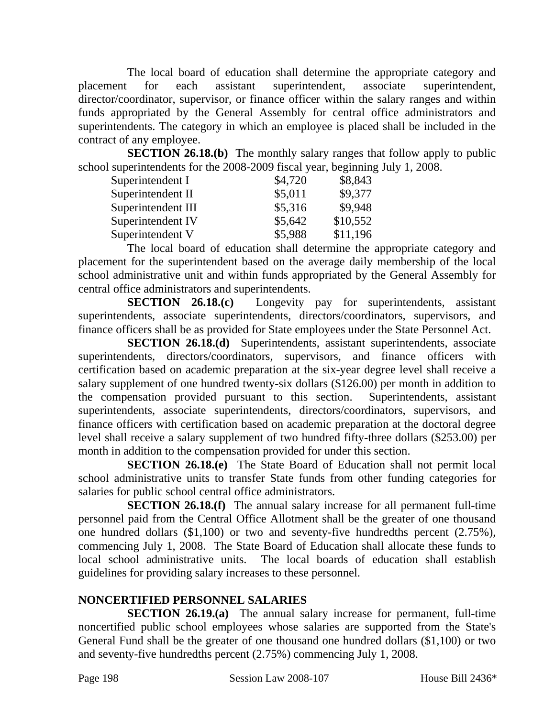The local board of education shall determine the appropriate category and placement for each assistant superintendent, associate superintendent, director/coordinator, supervisor, or finance officer within the salary ranges and within funds appropriated by the General Assembly for central office administrators and superintendents. The category in which an employee is placed shall be included in the contract of any employee.

**SECTION 26.18.(b)** The monthly salary ranges that follow apply to public school superintendents for the 2008-2009 fiscal year, beginning July 1, 2008.

| Superintendent I   | \$4,720 | \$8,843  |
|--------------------|---------|----------|
| Superintendent II  | \$5,011 | \$9,377  |
| Superintendent III | \$5,316 | \$9,948  |
| Superintendent IV  | \$5,642 | \$10,552 |
| Superintendent V   | \$5,988 | \$11,196 |

The local board of education shall determine the appropriate category and placement for the superintendent based on the average daily membership of the local school administrative unit and within funds appropriated by the General Assembly for central office administrators and superintendents.

**SECTION 26.18.(c)** Longevity pay for superintendents, assistant superintendents, associate superintendents, directors/coordinators, supervisors, and finance officers shall be as provided for State employees under the State Personnel Act.

**SECTION 26.18.(d)** Superintendents, assistant superintendents, associate superintendents, directors/coordinators, supervisors, and finance officers with certification based on academic preparation at the six-year degree level shall receive a salary supplement of one hundred twenty-six dollars (\$126.00) per month in addition to the compensation provided pursuant to this section. Superintendents, assistant superintendents, associate superintendents, directors/coordinators, supervisors, and finance officers with certification based on academic preparation at the doctoral degree level shall receive a salary supplement of two hundred fifty-three dollars (\$253.00) per month in addition to the compensation provided for under this section.

**SECTION 26.18.(e)** The State Board of Education shall not permit local school administrative units to transfer State funds from other funding categories for salaries for public school central office administrators.

**SECTION 26.18.(f)** The annual salary increase for all permanent full-time personnel paid from the Central Office Allotment shall be the greater of one thousand one hundred dollars (\$1,100) or two and seventy-five hundredths percent (2.75%), commencing July 1, 2008. The State Board of Education shall allocate these funds to local school administrative units. The local boards of education shall establish guidelines for providing salary increases to these personnel.

# **NONCERTIFIED PERSONNEL SALARIES**

**SECTION 26.19.(a)** The annual salary increase for permanent, full-time noncertified public school employees whose salaries are supported from the State's General Fund shall be the greater of one thousand one hundred dollars (\$1,100) or two and seventy-five hundredths percent (2.75%) commencing July 1, 2008.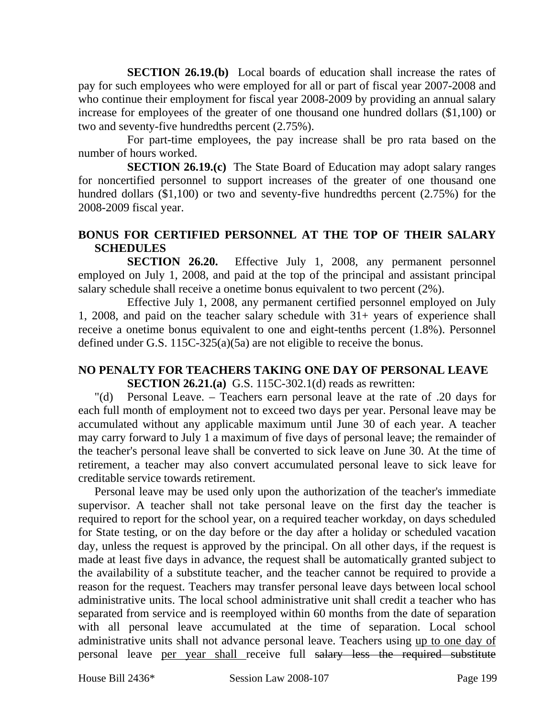**SECTION 26.19.(b)** Local boards of education shall increase the rates of pay for such employees who were employed for all or part of fiscal year 2007-2008 and who continue their employment for fiscal year 2008-2009 by providing an annual salary increase for employees of the greater of one thousand one hundred dollars (\$1,100) or two and seventy-five hundredths percent (2.75%).

For part-time employees, the pay increase shall be pro rata based on the number of hours worked.

**SECTION 26.19.(c)** The State Board of Education may adopt salary ranges for noncertified personnel to support increases of the greater of one thousand one hundred dollars (\$1,100) or two and seventy-five hundredths percent (2.75%) for the 2008-2009 fiscal year.

## **BONUS FOR CERTIFIED PERSONNEL AT THE TOP OF THEIR SALARY SCHEDULES**

**SECTION 26.20.** Effective July 1, 2008, any permanent personnel employed on July 1, 2008, and paid at the top of the principal and assistant principal salary schedule shall receive a onetime bonus equivalent to two percent (2%).

Effective July 1, 2008, any permanent certified personnel employed on July 1, 2008, and paid on the teacher salary schedule with 31+ years of experience shall receive a onetime bonus equivalent to one and eight-tenths percent (1.8%). Personnel defined under G.S. 115C-325(a)(5a) are not eligible to receive the bonus.

#### **NO PENALTY FOR TEACHERS TAKING ONE DAY OF PERSONAL LEAVE SECTION 26.21.(a)** G.S. 115C-302.1(d) reads as rewritten:

"(d) Personal Leave. – Teachers earn personal leave at the rate of .20 days for each full month of employment not to exceed two days per year. Personal leave may be accumulated without any applicable maximum until June 30 of each year. A teacher may carry forward to July 1 a maximum of five days of personal leave; the remainder of the teacher's personal leave shall be converted to sick leave on June 30. At the time of retirement, a teacher may also convert accumulated personal leave to sick leave for creditable service towards retirement.

Personal leave may be used only upon the authorization of the teacher's immediate supervisor. A teacher shall not take personal leave on the first day the teacher is required to report for the school year, on a required teacher workday, on days scheduled for State testing, or on the day before or the day after a holiday or scheduled vacation day, unless the request is approved by the principal. On all other days, if the request is made at least five days in advance, the request shall be automatically granted subject to the availability of a substitute teacher, and the teacher cannot be required to provide a reason for the request. Teachers may transfer personal leave days between local school administrative units. The local school administrative unit shall credit a teacher who has separated from service and is reemployed within 60 months from the date of separation with all personal leave accumulated at the time of separation. Local school administrative units shall not advance personal leave. Teachers using up to one day of personal leave per year shall receive full salary less the required substitute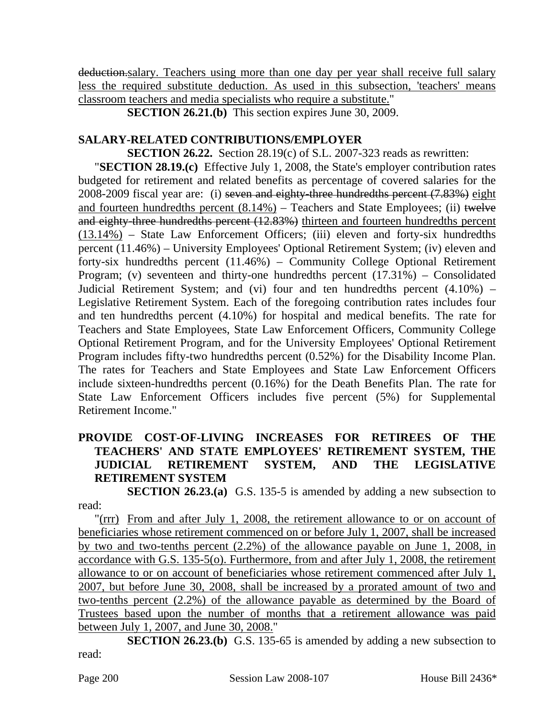deduction.salary. Teachers using more than one day per year shall receive full salary less the required substitute deduction. As used in this subsection, 'teachers' means classroom teachers and media specialists who require a substitute."

**SECTION 26.21.(b)** This section expires June 30, 2009.

## **SALARY-RELATED CONTRIBUTIONS/EMPLOYER**

**SECTION 26.22.** Section 28.19(c) of S.L. 2007-323 reads as rewritten:

"**SECTION 28.19.(c)** Effective July 1, 2008, the State's employer contribution rates budgeted for retirement and related benefits as percentage of covered salaries for the 2008-2009 fiscal year are: (i) seven and eighty-three hundredths percent (7.83%) eight and fourteen hundredths percent  $(8.14\%)$  – Teachers and State Employees; (ii) twelve and eighty-three hundredths percent (12.83%) thirteen and fourteen hundredths percent  $(13.14%)$  – State Law Enforcement Officers; (iii) eleven and forty-six hundredths percent (11.46%) – University Employees' Optional Retirement System; (iv) eleven and forty-six hundredths percent (11.46%) – Community College Optional Retirement Program; (v) seventeen and thirty-one hundredths percent  $(17.31\%)$  – Consolidated Judicial Retirement System; and (vi) four and ten hundredths percent (4.10%) – Legislative Retirement System. Each of the foregoing contribution rates includes four and ten hundredths percent (4.10%) for hospital and medical benefits. The rate for Teachers and State Employees, State Law Enforcement Officers, Community College Optional Retirement Program, and for the University Employees' Optional Retirement Program includes fifty-two hundredths percent (0.52%) for the Disability Income Plan. The rates for Teachers and State Employees and State Law Enforcement Officers include sixteen-hundredths percent (0.16%) for the Death Benefits Plan. The rate for State Law Enforcement Officers includes five percent (5%) for Supplemental Retirement Income."

## **PROVIDE COST-OF-LIVING INCREASES FOR RETIREES OF THE TEACHERS' AND STATE EMPLOYEES' RETIREMENT SYSTEM, THE JUDICIAL RETIREMENT SYSTEM, AND THE LEGISLATIVE RETIREMENT SYSTEM**

**SECTION 26.23.(a)** G.S. 135-5 is amended by adding a new subsection to read:

"(rrr) From and after July 1, 2008, the retirement allowance to or on account of beneficiaries whose retirement commenced on or before July 1, 2007, shall be increased by two and two-tenths percent (2.2%) of the allowance payable on June 1, 2008, in accordance with G.S. 135-5(o). Furthermore, from and after July 1, 2008, the retirement allowance to or on account of beneficiaries whose retirement commenced after July 1, 2007, but before June 30, 2008, shall be increased by a prorated amount of two and two-tenths percent (2.2%) of the allowance payable as determined by the Board of Trustees based upon the number of months that a retirement allowance was paid between July 1, 2007, and June 30, 2008."

**SECTION 26.23.(b)** G.S. 135-65 is amended by adding a new subsection to read: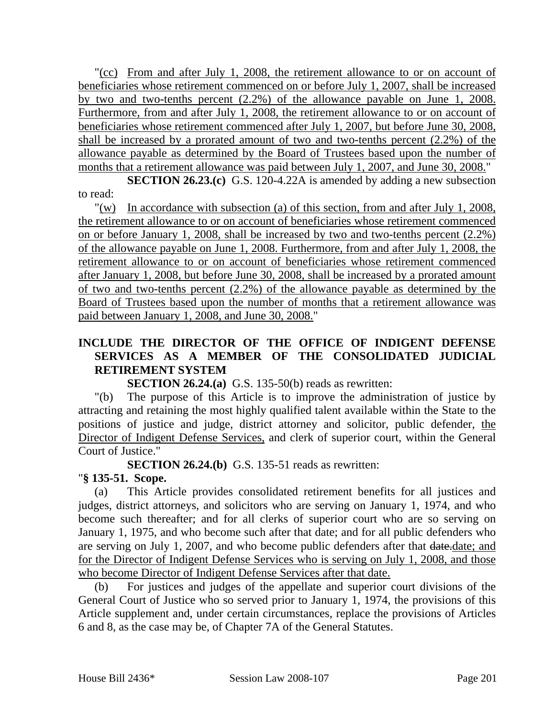"(cc) From and after July 1, 2008, the retirement allowance to or on account of beneficiaries whose retirement commenced on or before July 1, 2007, shall be increased by two and two-tenths percent (2.2%) of the allowance payable on June 1, 2008. Furthermore, from and after July 1, 2008, the retirement allowance to or on account of beneficiaries whose retirement commenced after July 1, 2007, but before June 30, 2008, shall be increased by a prorated amount of two and two-tenths percent (2.2%) of the allowance payable as determined by the Board of Trustees based upon the number of months that a retirement allowance was paid between July 1, 2007, and June 30, 2008."

**SECTION 26.23.(c)** G.S. 120-4.22A is amended by adding a new subsection to read:

"(w) In accordance with subsection (a) of this section, from and after July 1, 2008, the retirement allowance to or on account of beneficiaries whose retirement commenced on or before January 1, 2008, shall be increased by two and two-tenths percent (2.2%) of the allowance payable on June 1, 2008. Furthermore, from and after July 1, 2008, the retirement allowance to or on account of beneficiaries whose retirement commenced after January 1, 2008, but before June 30, 2008, shall be increased by a prorated amount of two and two-tenths percent (2.2%) of the allowance payable as determined by the Board of Trustees based upon the number of months that a retirement allowance was paid between January 1, 2008, and June 30, 2008."

#### **INCLUDE THE DIRECTOR OF THE OFFICE OF INDIGENT DEFENSE SERVICES AS A MEMBER OF THE CONSOLIDATED JUDICIAL RETIREMENT SYSTEM**

**SECTION 26.24.(a)** G.S. 135-50(b) reads as rewritten:

"(b) The purpose of this Article is to improve the administration of justice by attracting and retaining the most highly qualified talent available within the State to the positions of justice and judge, district attorney and solicitor, public defender, the Director of Indigent Defense Services, and clerk of superior court, within the General Court of Justice."

**SECTION 26.24.(b)** G.S. 135-51 reads as rewritten:

#### "**§ 135-51. Scope.**

(a) This Article provides consolidated retirement benefits for all justices and judges, district attorneys, and solicitors who are serving on January 1, 1974, and who become such thereafter; and for all clerks of superior court who are so serving on January 1, 1975, and who become such after that date; and for all public defenders who are serving on July 1, 2007, and who become public defenders after that date.date; and for the Director of Indigent Defense Services who is serving on July 1, 2008, and those who become Director of Indigent Defense Services after that date.

(b) For justices and judges of the appellate and superior court divisions of the General Court of Justice who so served prior to January 1, 1974, the provisions of this Article supplement and, under certain circumstances, replace the provisions of Articles 6 and 8, as the case may be, of Chapter 7A of the General Statutes.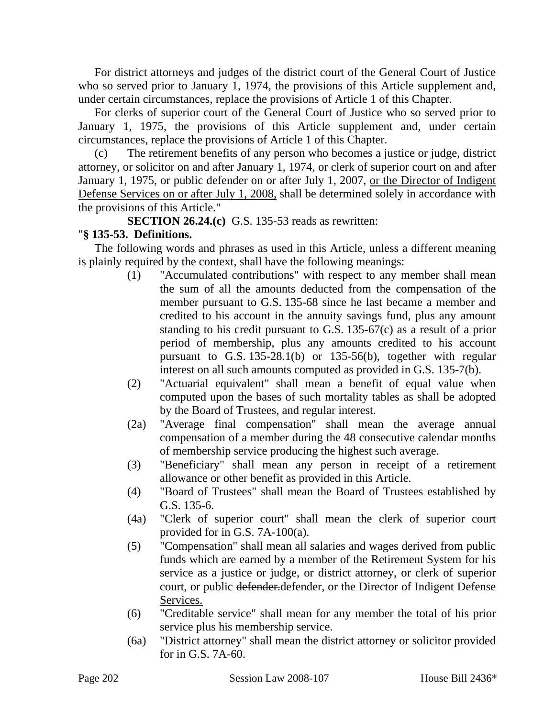For district attorneys and judges of the district court of the General Court of Justice who so served prior to January 1, 1974, the provisions of this Article supplement and, under certain circumstances, replace the provisions of Article 1 of this Chapter.

For clerks of superior court of the General Court of Justice who so served prior to January 1, 1975, the provisions of this Article supplement and, under certain circumstances, replace the provisions of Article 1 of this Chapter.

(c) The retirement benefits of any person who becomes a justice or judge, district attorney, or solicitor on and after January 1, 1974, or clerk of superior court on and after January 1, 1975, or public defender on or after July 1, 2007, or the Director of Indigent Defense Services on or after July 1, 2008, shall be determined solely in accordance with the provisions of this Article."

**SECTION 26.24.(c)** G.S. 135-53 reads as rewritten:

# "**§ 135-53. Definitions.**

The following words and phrases as used in this Article, unless a different meaning is plainly required by the context, shall have the following meanings:

- (1) "Accumulated contributions" with respect to any member shall mean the sum of all the amounts deducted from the compensation of the member pursuant to G.S. 135-68 since he last became a member and credited to his account in the annuity savings fund, plus any amount standing to his credit pursuant to G.S. 135-67(c) as a result of a prior period of membership, plus any amounts credited to his account pursuant to G.S. 135-28.1(b) or 135-56(b), together with regular interest on all such amounts computed as provided in G.S. 135-7(b).
- (2) "Actuarial equivalent" shall mean a benefit of equal value when computed upon the bases of such mortality tables as shall be adopted by the Board of Trustees, and regular interest.
- (2a) "Average final compensation" shall mean the average annual compensation of a member during the 48 consecutive calendar months of membership service producing the highest such average.
- (3) "Beneficiary" shall mean any person in receipt of a retirement allowance or other benefit as provided in this Article.
- (4) "Board of Trustees" shall mean the Board of Trustees established by G.S. 135-6.
- (4a) "Clerk of superior court" shall mean the clerk of superior court provided for in G.S. 7A-100(a).
- (5) "Compensation" shall mean all salaries and wages derived from public funds which are earned by a member of the Retirement System for his service as a justice or judge, or district attorney, or clerk of superior court, or public defender.defender, or the Director of Indigent Defense Services.
- (6) "Creditable service" shall mean for any member the total of his prior service plus his membership service.
- (6a) "District attorney" shall mean the district attorney or solicitor provided for in G.S. 7A-60.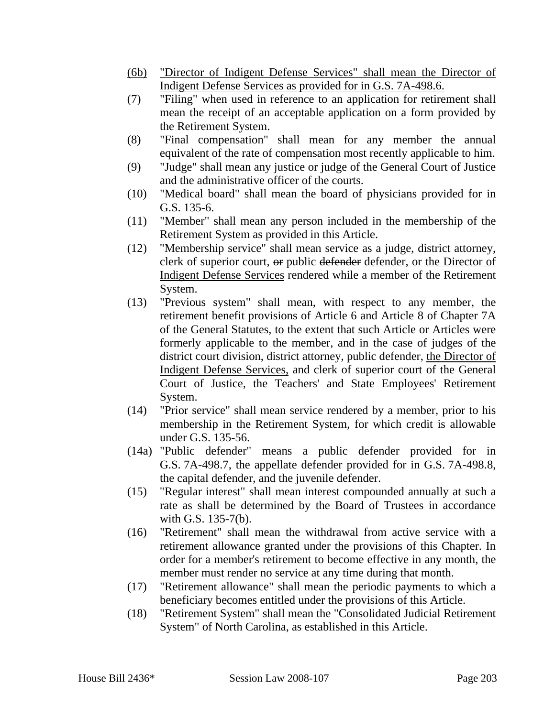- (6b) "Director of Indigent Defense Services" shall mean the Director of Indigent Defense Services as provided for in G.S. 7A-498.6.
- (7) "Filing" when used in reference to an application for retirement shall mean the receipt of an acceptable application on a form provided by the Retirement System.
- (8) "Final compensation" shall mean for any member the annual equivalent of the rate of compensation most recently applicable to him.
- (9) "Judge" shall mean any justice or judge of the General Court of Justice and the administrative officer of the courts.
- (10) "Medical board" shall mean the board of physicians provided for in G.S. 135-6.
- (11) "Member" shall mean any person included in the membership of the Retirement System as provided in this Article.
- (12) "Membership service" shall mean service as a judge, district attorney, clerk of superior court, or public defender defender, or the Director of Indigent Defense Services rendered while a member of the Retirement System.
- (13) "Previous system" shall mean, with respect to any member, the retirement benefit provisions of Article 6 and Article 8 of Chapter 7A of the General Statutes, to the extent that such Article or Articles were formerly applicable to the member, and in the case of judges of the district court division, district attorney, public defender, the Director of Indigent Defense Services, and clerk of superior court of the General Court of Justice, the Teachers' and State Employees' Retirement System.
- (14) "Prior service" shall mean service rendered by a member, prior to his membership in the Retirement System, for which credit is allowable under G.S. 135-56.
- (14a) "Public defender" means a public defender provided for in G.S. 7A-498.7, the appellate defender provided for in G.S. 7A-498.8, the capital defender, and the juvenile defender.
- (15) "Regular interest" shall mean interest compounded annually at such a rate as shall be determined by the Board of Trustees in accordance with G.S. 135-7(b).
- (16) "Retirement" shall mean the withdrawal from active service with a retirement allowance granted under the provisions of this Chapter. In order for a member's retirement to become effective in any month, the member must render no service at any time during that month.
- (17) "Retirement allowance" shall mean the periodic payments to which a beneficiary becomes entitled under the provisions of this Article.
- (18) "Retirement System" shall mean the "Consolidated Judicial Retirement System" of North Carolina, as established in this Article.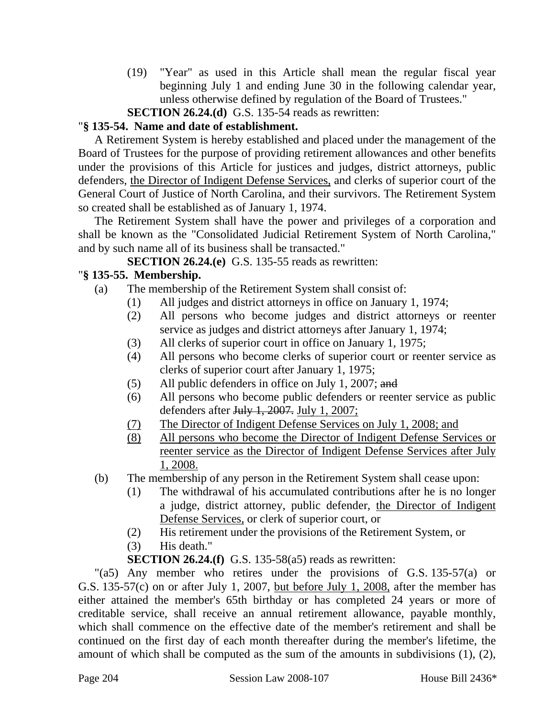(19) "Year" as used in this Article shall mean the regular fiscal year beginning July 1 and ending June 30 in the following calendar year, unless otherwise defined by regulation of the Board of Trustees."

**SECTION 26.24.(d)** G.S. 135-54 reads as rewritten:

## "**§ 135-54. Name and date of establishment.**

A Retirement System is hereby established and placed under the management of the Board of Trustees for the purpose of providing retirement allowances and other benefits under the provisions of this Article for justices and judges, district attorneys, public defenders, the Director of Indigent Defense Services, and clerks of superior court of the General Court of Justice of North Carolina, and their survivors. The Retirement System so created shall be established as of January 1, 1974.

The Retirement System shall have the power and privileges of a corporation and shall be known as the "Consolidated Judicial Retirement System of North Carolina," and by such name all of its business shall be transacted."

## **SECTION 26.24.(e)** G.S. 135-55 reads as rewritten:

# "**§ 135-55. Membership.**

- (a) The membership of the Retirement System shall consist of:
	- (1) All judges and district attorneys in office on January 1, 1974;
	- (2) All persons who become judges and district attorneys or reenter service as judges and district attorneys after January 1, 1974;
	- (3) All clerks of superior court in office on January 1, 1975;
	- (4) All persons who become clerks of superior court or reenter service as clerks of superior court after January 1, 1975;
	- (5) All public defenders in office on July 1, 2007; and
	- (6) All persons who become public defenders or reenter service as public defenders after July 1, 2007. July 1, 2007;
	- (7) The Director of Indigent Defense Services on July 1, 2008; and
	- (8) All persons who become the Director of Indigent Defense Services or reenter service as the Director of Indigent Defense Services after July 1, 2008.
- (b) The membership of any person in the Retirement System shall cease upon:
	- (1) The withdrawal of his accumulated contributions after he is no longer a judge, district attorney, public defender, the Director of Indigent Defense Services, or clerk of superior court, or
	- (2) His retirement under the provisions of the Retirement System, or
	- (3) His death."

**SECTION 26.24.(f)** G.S. 135-58(a5) reads as rewritten:

"(a5) Any member who retires under the provisions of G.S. 135-57(a) or G.S. 135-57(c) on or after July 1, 2007, but before July 1, 2008, after the member has either attained the member's 65th birthday or has completed 24 years or more of creditable service, shall receive an annual retirement allowance, payable monthly, which shall commence on the effective date of the member's retirement and shall be continued on the first day of each month thereafter during the member's lifetime, the amount of which shall be computed as the sum of the amounts in subdivisions (1), (2),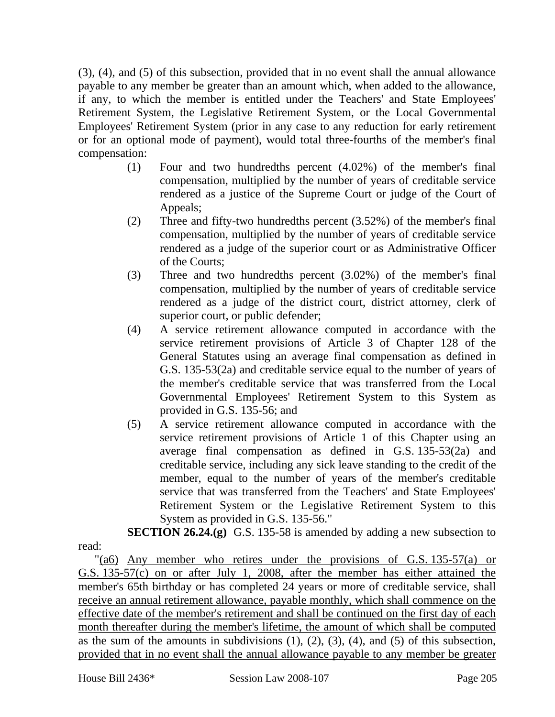(3), (4), and (5) of this subsection, provided that in no event shall the annual allowance payable to any member be greater than an amount which, when added to the allowance, if any, to which the member is entitled under the Teachers' and State Employees' Retirement System, the Legislative Retirement System, or the Local Governmental Employees' Retirement System (prior in any case to any reduction for early retirement or for an optional mode of payment), would total three-fourths of the member's final compensation:

- (1) Four and two hundredths percent (4.02%) of the member's final compensation, multiplied by the number of years of creditable service rendered as a justice of the Supreme Court or judge of the Court of Appeals;
- (2) Three and fifty-two hundredths percent (3.52%) of the member's final compensation, multiplied by the number of years of creditable service rendered as a judge of the superior court or as Administrative Officer of the Courts;
- (3) Three and two hundredths percent (3.02%) of the member's final compensation, multiplied by the number of years of creditable service rendered as a judge of the district court, district attorney, clerk of superior court, or public defender;
- (4) A service retirement allowance computed in accordance with the service retirement provisions of Article 3 of Chapter 128 of the General Statutes using an average final compensation as defined in G.S. 135-53(2a) and creditable service equal to the number of years of the member's creditable service that was transferred from the Local Governmental Employees' Retirement System to this System as provided in G.S. 135-56; and
- (5) A service retirement allowance computed in accordance with the service retirement provisions of Article 1 of this Chapter using an average final compensation as defined in G.S. 135-53(2a) and creditable service, including any sick leave standing to the credit of the member, equal to the number of years of the member's creditable service that was transferred from the Teachers' and State Employees' Retirement System or the Legislative Retirement System to this System as provided in G.S. 135-56."

**SECTION 26.24.(g)** G.S. 135-58 is amended by adding a new subsection to

"(a6) Any member who retires under the provisions of G.S. 135-57(a) or G.S. 135-57(c) on or after July 1, 2008, after the member has either attained the member's 65th birthday or has completed 24 years or more of creditable service, shall receive an annual retirement allowance, payable monthly, which shall commence on the effective date of the member's retirement and shall be continued on the first day of each month thereafter during the member's lifetime, the amount of which shall be computed as the sum of the amounts in subdivisions  $(1)$ ,  $(2)$ ,  $(3)$ ,  $(4)$ , and  $(5)$  of this subsection, provided that in no event shall the annual allowance payable to any member be greater

read: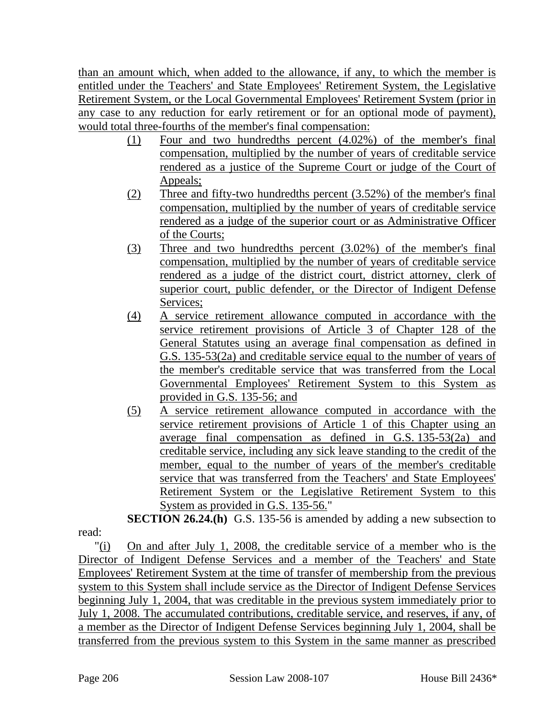than an amount which, when added to the allowance, if any, to which the member is entitled under the Teachers' and State Employees' Retirement System, the Legislative Retirement System, or the Local Governmental Employees' Retirement System (prior in any case to any reduction for early retirement or for an optional mode of payment), would total three-fourths of the member's final compensation:

- (1) Four and two hundredths percent (4.02%) of the member's final compensation, multiplied by the number of years of creditable service rendered as a justice of the Supreme Court or judge of the Court of Appeals;
- (2) Three and fifty-two hundredths percent (3.52%) of the member's final compensation, multiplied by the number of years of creditable service rendered as a judge of the superior court or as Administrative Officer of the Courts;
- (3) Three and two hundredths percent (3.02%) of the member's final compensation, multiplied by the number of years of creditable service rendered as a judge of the district court, district attorney, clerk of superior court, public defender, or the Director of Indigent Defense Services;
- (4) A service retirement allowance computed in accordance with the service retirement provisions of Article 3 of Chapter 128 of the General Statutes using an average final compensation as defined in G.S. 135-53(2a) and creditable service equal to the number of years of the member's creditable service that was transferred from the Local Governmental Employees' Retirement System to this System as provided in G.S. 135-56; and
- (5) A service retirement allowance computed in accordance with the service retirement provisions of Article 1 of this Chapter using an average final compensation as defined in G.S. 135-53(2a) and creditable service, including any sick leave standing to the credit of the member, equal to the number of years of the member's creditable service that was transferred from the Teachers' and State Employees' Retirement System or the Legislative Retirement System to this System as provided in G.S. 135-56."

**SECTION 26.24.(h)** G.S. 135-56 is amended by adding a new subsection to read:

"(i) On and after July 1, 2008, the creditable service of a member who is the Director of Indigent Defense Services and a member of the Teachers' and State Employees' Retirement System at the time of transfer of membership from the previous system to this System shall include service as the Director of Indigent Defense Services beginning July 1, 2004, that was creditable in the previous system immediately prior to July 1, 2008. The accumulated contributions, creditable service, and reserves, if any, of a member as the Director of Indigent Defense Services beginning July 1, 2004, shall be transferred from the previous system to this System in the same manner as prescribed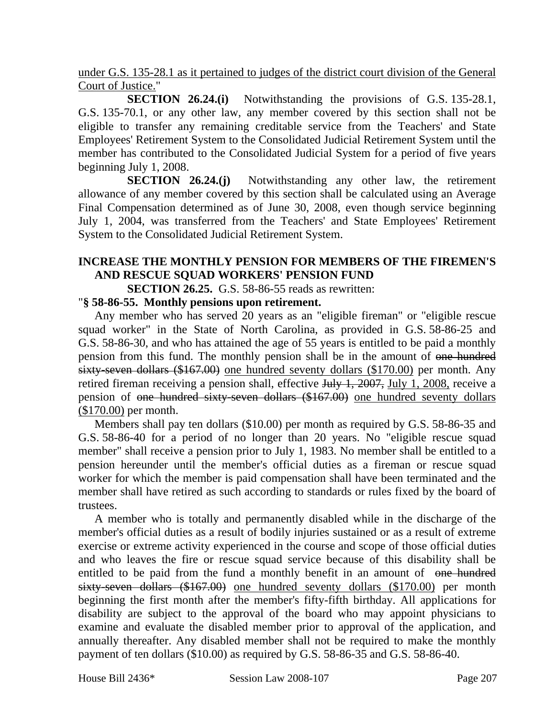under G.S. 135-28.1 as it pertained to judges of the district court division of the General Court of Justice."

**SECTION 26.24.(i)** Notwithstanding the provisions of G.S. 135-28.1, G.S. 135-70.1, or any other law, any member covered by this section shall not be eligible to transfer any remaining creditable service from the Teachers' and State Employees' Retirement System to the Consolidated Judicial Retirement System until the member has contributed to the Consolidated Judicial System for a period of five years beginning July 1, 2008.

**SECTION 26.24.(j)** Notwithstanding any other law, the retirement allowance of any member covered by this section shall be calculated using an Average Final Compensation determined as of June 30, 2008, even though service beginning July 1, 2004, was transferred from the Teachers' and State Employees' Retirement System to the Consolidated Judicial Retirement System.

## **INCREASE THE MONTHLY PENSION FOR MEMBERS OF THE FIREMEN'S AND RESCUE SQUAD WORKERS' PENSION FUND**

**SECTION 26.25.** G.S. 58-86-55 reads as rewritten:

#### "**§ 58-86-55. Monthly pensions upon retirement.**

Any member who has served 20 years as an "eligible fireman" or "eligible rescue squad worker" in the State of North Carolina, as provided in G.S. 58-86-25 and G.S. 58-86-30, and who has attained the age of 55 years is entitled to be paid a monthly pension from this fund. The monthly pension shall be in the amount of one hundred sixty-seven dollars (\$167.00) one hundred seventy dollars (\$170.00) per month. Any retired fireman receiving a pension shall, effective July 1, 2007, July 1, 2008, receive a pension of one hundred sixty-seven dollars (\$167.00) one hundred seventy dollars (\$170.00) per month.

Members shall pay ten dollars (\$10.00) per month as required by G.S. 58-86-35 and G.S. 58-86-40 for a period of no longer than 20 years. No "eligible rescue squad member" shall receive a pension prior to July 1, 1983. No member shall be entitled to a pension hereunder until the member's official duties as a fireman or rescue squad worker for which the member is paid compensation shall have been terminated and the member shall have retired as such according to standards or rules fixed by the board of trustees.

A member who is totally and permanently disabled while in the discharge of the member's official duties as a result of bodily injuries sustained or as a result of extreme exercise or extreme activity experienced in the course and scope of those official duties and who leaves the fire or rescue squad service because of this disability shall be entitled to be paid from the fund a monthly benefit in an amount of one hundred sixty-seven dollars (\$167.00) one hundred seventy dollars (\$170.00) per month beginning the first month after the member's fifty-fifth birthday. All applications for disability are subject to the approval of the board who may appoint physicians to examine and evaluate the disabled member prior to approval of the application, and annually thereafter. Any disabled member shall not be required to make the monthly payment of ten dollars (\$10.00) as required by G.S. 58-86-35 and G.S. 58-86-40.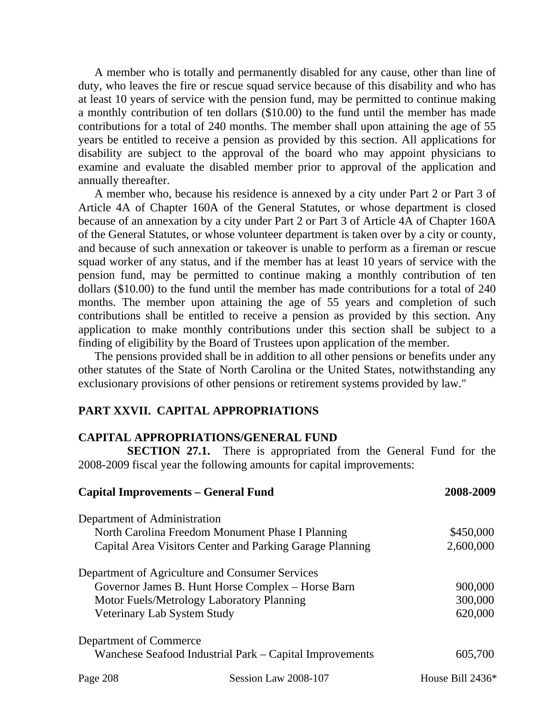A member who is totally and permanently disabled for any cause, other than line of duty, who leaves the fire or rescue squad service because of this disability and who has at least 10 years of service with the pension fund, may be permitted to continue making a monthly contribution of ten dollars (\$10.00) to the fund until the member has made contributions for a total of 240 months. The member shall upon attaining the age of 55 years be entitled to receive a pension as provided by this section. All applications for disability are subject to the approval of the board who may appoint physicians to examine and evaluate the disabled member prior to approval of the application and annually thereafter.

A member who, because his residence is annexed by a city under Part 2 or Part 3 of Article 4A of Chapter 160A of the General Statutes, or whose department is closed because of an annexation by a city under Part 2 or Part 3 of Article 4A of Chapter 160A of the General Statutes, or whose volunteer department is taken over by a city or county, and because of such annexation or takeover is unable to perform as a fireman or rescue squad worker of any status, and if the member has at least 10 years of service with the pension fund, may be permitted to continue making a monthly contribution of ten dollars (\$10.00) to the fund until the member has made contributions for a total of 240 months. The member upon attaining the age of 55 years and completion of such contributions shall be entitled to receive a pension as provided by this section. Any application to make monthly contributions under this section shall be subject to a finding of eligibility by the Board of Trustees upon application of the member.

The pensions provided shall be in addition to all other pensions or benefits under any other statutes of the State of North Carolina or the United States, notwithstanding any exclusionary provisions of other pensions or retirement systems provided by law."

#### **PART XXVII. CAPITAL APPROPRIATIONS**

#### **CAPITAL APPROPRIATIONS/GENERAL FUND**

**SECTION 27.1.** There is appropriated from the General Fund for the 2008-2009 fiscal year the following amounts for capital improvements:

| <b>Capital Improvements - General Fund</b> |                                                          | 2008-2009        |
|--------------------------------------------|----------------------------------------------------------|------------------|
| Department of Administration               |                                                          |                  |
|                                            | North Carolina Freedom Monument Phase I Planning         | \$450,000        |
|                                            | Capital Area Visitors Center and Parking Garage Planning | 2,600,000        |
|                                            | Department of Agriculture and Consumer Services          |                  |
|                                            | Governor James B. Hunt Horse Complex - Horse Barn        | 900,000          |
|                                            | Motor Fuels/Metrology Laboratory Planning                | 300,000          |
| Veterinary Lab System Study                |                                                          | 620,000          |
| Department of Commerce                     |                                                          |                  |
|                                            | Wanchese Seafood Industrial Park – Capital Improvements  | 605,700          |
| Page 208                                   | Session Law 2008-107                                     | House Bill 2436* |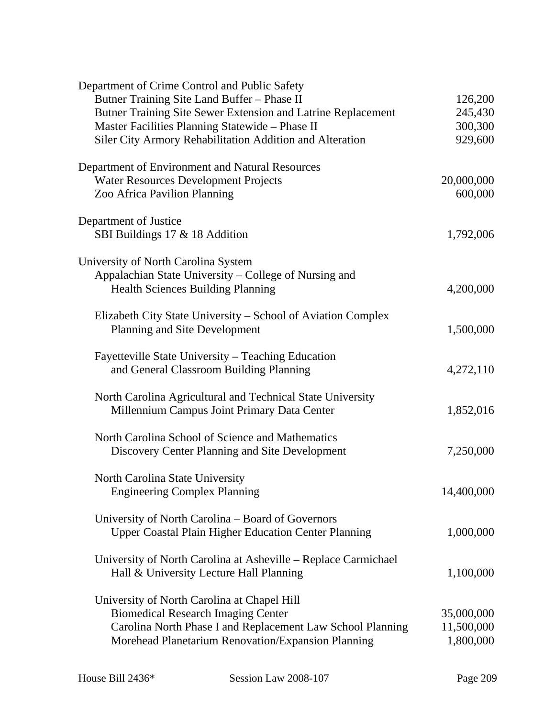| Department of Crime Control and Public Safety                  |            |
|----------------------------------------------------------------|------------|
| Butner Training Site Land Buffer - Phase II                    | 126,200    |
| Butner Training Site Sewer Extension and Latrine Replacement   | 245,430    |
| Master Facilities Planning Statewide - Phase II                | 300,300    |
| Siler City Armory Rehabilitation Addition and Alteration       | 929,600    |
| Department of Environment and Natural Resources                |            |
| <b>Water Resources Development Projects</b>                    | 20,000,000 |
| Zoo Africa Pavilion Planning                                   | 600,000    |
| Department of Justice                                          |            |
| SBI Buildings 17 & 18 Addition                                 | 1,792,006  |
| University of North Carolina System                            |            |
| Appalachian State University - College of Nursing and          |            |
| <b>Health Sciences Building Planning</b>                       | 4,200,000  |
| Elizabeth City State University – School of Aviation Complex   |            |
| Planning and Site Development                                  | 1,500,000  |
| Fayetteville State University – Teaching Education             |            |
| and General Classroom Building Planning                        | 4,272,110  |
| North Carolina Agricultural and Technical State University     |            |
| Millennium Campus Joint Primary Data Center                    | 1,852,016  |
| North Carolina School of Science and Mathematics               |            |
| Discovery Center Planning and Site Development                 | 7,250,000  |
| North Carolina State University                                |            |
| <b>Engineering Complex Planning</b>                            | 14,400,000 |
| University of North Carolina – Board of Governors              |            |
| <b>Upper Coastal Plain Higher Education Center Planning</b>    | 1,000,000  |
| University of North Carolina at Asheville – Replace Carmichael |            |
| Hall & University Lecture Hall Planning                        | 1,100,000  |
| University of North Carolina at Chapel Hill                    |            |
| <b>Biomedical Research Imaging Center</b>                      | 35,000,000 |
| Carolina North Phase I and Replacement Law School Planning     | 11,500,000 |
| Morehead Planetarium Renovation/Expansion Planning             | 1,800,000  |
|                                                                |            |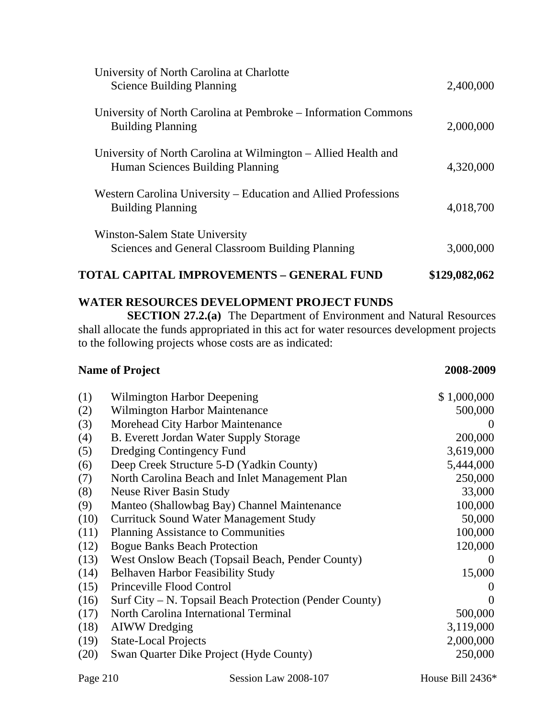| <b>TOTAL CAPITAL IMPROVEMENTS - GENERAL FUND</b>                                                   | \$129,082,062 |
|----------------------------------------------------------------------------------------------------|---------------|
| Winston-Salem State University<br>Sciences and General Classroom Building Planning                 | 3,000,000     |
| Western Carolina University – Education and Allied Professions<br><b>Building Planning</b>         | 4,018,700     |
| University of North Carolina at Wilmington – Allied Health and<br>Human Sciences Building Planning | 4,320,000     |
| University of North Carolina at Pembroke – Information Commons<br><b>Building Planning</b>         | 2,000,000     |
| University of North Carolina at Charlotte<br><b>Science Building Planning</b>                      | 2,400,000     |

## **WATER RESOURCES DEVELOPMENT PROJECT FUNDS**

**SECTION 27.2.(a)** The Department of Environment and Natural Resources shall allocate the funds appropriated in this act for water resources development projects to the following projects whose costs are as indicated:

#### **Name of Project** 2008-2009

| (1)  | Wilmington Harbor Deepening                             | \$1,000,000 |
|------|---------------------------------------------------------|-------------|
| (2)  | <b>Wilmington Harbor Maintenance</b>                    | 500,000     |
| (3)  | Morehead City Harbor Maintenance                        | $\theta$    |
| (4)  | B. Everett Jordan Water Supply Storage                  | 200,000     |
| (5)  | Dredging Contingency Fund                               | 3,619,000   |
| (6)  | Deep Creek Structure 5-D (Yadkin County)                | 5,444,000   |
| (7)  | North Carolina Beach and Inlet Management Plan          | 250,000     |
| (8)  | <b>Neuse River Basin Study</b>                          | 33,000      |
| (9)  | Manteo (Shallowbag Bay) Channel Maintenance             | 100,000     |
| (10) | <b>Currituck Sound Water Management Study</b>           | 50,000      |
| (11) | <b>Planning Assistance to Communities</b>               | 100,000     |
| (12) | <b>Bogue Banks Beach Protection</b>                     | 120,000     |
| (13) | West Onslow Beach (Topsail Beach, Pender County)        | $\theta$    |
| (14) | <b>Belhaven Harbor Feasibility Study</b>                | 15,000      |
| (15) | Princeville Flood Control                               | $\theta$    |
| (16) | Surf City - N. Topsail Beach Protection (Pender County) | $\Omega$    |
| (17) | North Carolina International Terminal                   | 500,000     |
| (18) | <b>AIWW</b> Dredging                                    | 3,119,000   |
| (19) | <b>State-Local Projects</b>                             | 2,000,000   |
| (20) | Swan Quarter Dike Project (Hyde County)                 | 250,000     |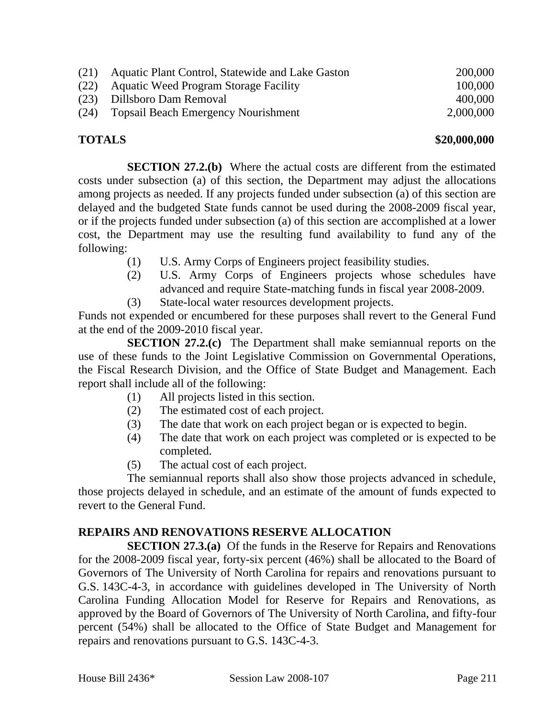| (21) | Aquatic Plant Control, Statewide and Lake Gaston | 200,000   |
|------|--------------------------------------------------|-----------|
|      | (22) Aquatic Weed Program Storage Facility       | 100,000   |
|      | (23) Dillsboro Dam Removal                       | 400,000   |
| (24) | <b>Topsail Beach Emergency Nourishment</b>       | 2,000,000 |

#### **TOTALS \$20,000,000**

**SECTION 27.2.(b)** Where the actual costs are different from the estimated costs under subsection (a) of this section, the Department may adjust the allocations among projects as needed. If any projects funded under subsection (a) of this section are delayed and the budgeted State funds cannot be used during the 2008-2009 fiscal year, or if the projects funded under subsection (a) of this section are accomplished at a lower cost, the Department may use the resulting fund availability to fund any of the following:

- (1) U.S. Army Corps of Engineers project feasibility studies.
- (2) U.S. Army Corps of Engineers projects whose schedules have advanced and require State-matching funds in fiscal year 2008-2009.
- (3) State-local water resources development projects.

Funds not expended or encumbered for these purposes shall revert to the General Fund at the end of the 2009-2010 fiscal year.

**SECTION 27.2.(c)** The Department shall make semiannual reports on the use of these funds to the Joint Legislative Commission on Governmental Operations, the Fiscal Research Division, and the Office of State Budget and Management. Each report shall include all of the following:

- (1) All projects listed in this section.
- (2) The estimated cost of each project.
- (3) The date that work on each project began or is expected to begin.
- (4) The date that work on each project was completed or is expected to be completed.
- (5) The actual cost of each project.

The semiannual reports shall also show those projects advanced in schedule, those projects delayed in schedule, and an estimate of the amount of funds expected to revert to the General Fund.

#### **REPAIRS AND RENOVATIONS RESERVE ALLOCATION**

**SECTION 27.3.(a)** Of the funds in the Reserve for Repairs and Renovations for the 2008-2009 fiscal year, forty-six percent (46%) shall be allocated to the Board of Governors of The University of North Carolina for repairs and renovations pursuant to G.S. 143C-4-3, in accordance with guidelines developed in The University of North Carolina Funding Allocation Model for Reserve for Repairs and Renovations, as approved by the Board of Governors of The University of North Carolina, and fifty-four percent (54%) shall be allocated to the Office of State Budget and Management for repairs and renovations pursuant to G.S. 143C-4-3.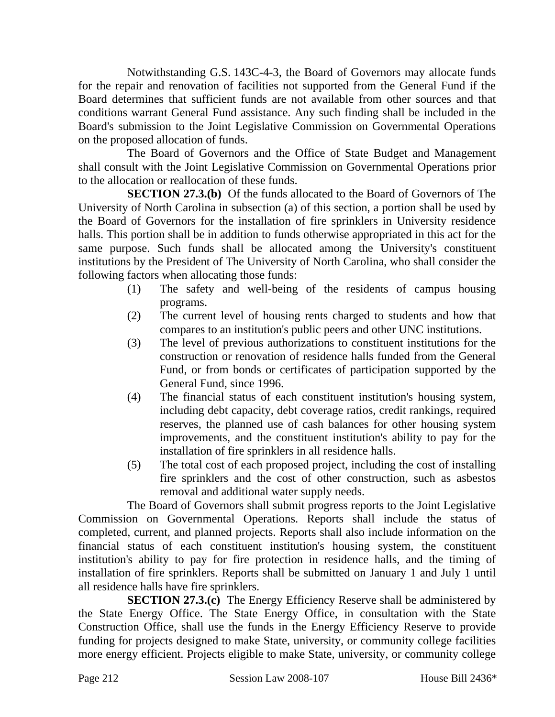Notwithstanding G.S. 143C-4-3, the Board of Governors may allocate funds for the repair and renovation of facilities not supported from the General Fund if the Board determines that sufficient funds are not available from other sources and that conditions warrant General Fund assistance. Any such finding shall be included in the Board's submission to the Joint Legislative Commission on Governmental Operations on the proposed allocation of funds.

The Board of Governors and the Office of State Budget and Management shall consult with the Joint Legislative Commission on Governmental Operations prior to the allocation or reallocation of these funds.

**SECTION 27.3.(b)** Of the funds allocated to the Board of Governors of The University of North Carolina in subsection (a) of this section, a portion shall be used by the Board of Governors for the installation of fire sprinklers in University residence halls. This portion shall be in addition to funds otherwise appropriated in this act for the same purpose. Such funds shall be allocated among the University's constituent institutions by the President of The University of North Carolina, who shall consider the following factors when allocating those funds:

- (1) The safety and well-being of the residents of campus housing programs.
- (2) The current level of housing rents charged to students and how that compares to an institution's public peers and other UNC institutions.
- (3) The level of previous authorizations to constituent institutions for the construction or renovation of residence halls funded from the General Fund, or from bonds or certificates of participation supported by the General Fund, since 1996.
- (4) The financial status of each constituent institution's housing system, including debt capacity, debt coverage ratios, credit rankings, required reserves, the planned use of cash balances for other housing system improvements, and the constituent institution's ability to pay for the installation of fire sprinklers in all residence halls.
- (5) The total cost of each proposed project, including the cost of installing fire sprinklers and the cost of other construction, such as asbestos removal and additional water supply needs.

The Board of Governors shall submit progress reports to the Joint Legislative Commission on Governmental Operations. Reports shall include the status of completed, current, and planned projects. Reports shall also include information on the financial status of each constituent institution's housing system, the constituent institution's ability to pay for fire protection in residence halls, and the timing of installation of fire sprinklers. Reports shall be submitted on January 1 and July 1 until all residence halls have fire sprinklers.

**SECTION 27.3.(c)** The Energy Efficiency Reserve shall be administered by the State Energy Office. The State Energy Office, in consultation with the State Construction Office, shall use the funds in the Energy Efficiency Reserve to provide funding for projects designed to make State, university, or community college facilities more energy efficient. Projects eligible to make State, university, or community college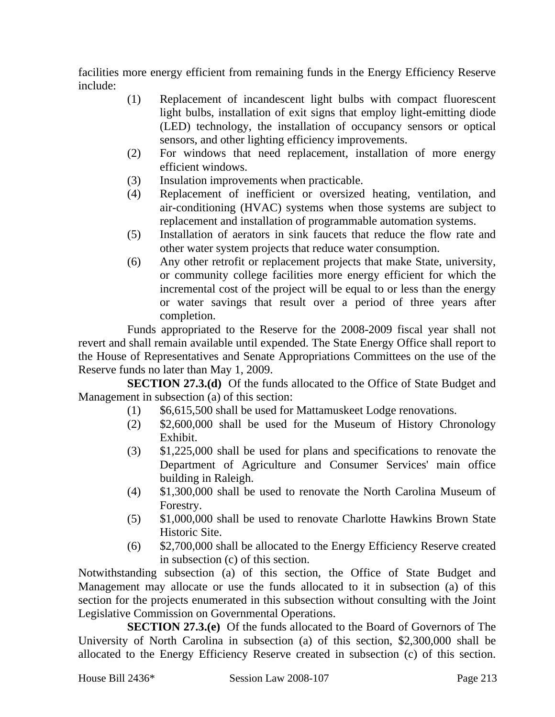facilities more energy efficient from remaining funds in the Energy Efficiency Reserve include:

- (1) Replacement of incandescent light bulbs with compact fluorescent light bulbs, installation of exit signs that employ light-emitting diode (LED) technology, the installation of occupancy sensors or optical sensors, and other lighting efficiency improvements.
- (2) For windows that need replacement, installation of more energy efficient windows.
- (3) Insulation improvements when practicable.
- (4) Replacement of inefficient or oversized heating, ventilation, and air-conditioning (HVAC) systems when those systems are subject to replacement and installation of programmable automation systems.
- (5) Installation of aerators in sink faucets that reduce the flow rate and other water system projects that reduce water consumption.
- (6) Any other retrofit or replacement projects that make State, university, or community college facilities more energy efficient for which the incremental cost of the project will be equal to or less than the energy or water savings that result over a period of three years after completion.

Funds appropriated to the Reserve for the 2008-2009 fiscal year shall not revert and shall remain available until expended. The State Energy Office shall report to the House of Representatives and Senate Appropriations Committees on the use of the Reserve funds no later than May 1, 2009.

**SECTION 27.3.(d)** Of the funds allocated to the Office of State Budget and Management in subsection (a) of this section:

- (1) \$6,615,500 shall be used for Mattamuskeet Lodge renovations.
- (2) \$2,600,000 shall be used for the Museum of History Chronology Exhibit.
- (3) \$1,225,000 shall be used for plans and specifications to renovate the Department of Agriculture and Consumer Services' main office building in Raleigh.
- (4) \$1,300,000 shall be used to renovate the North Carolina Museum of Forestry.
- (5) \$1,000,000 shall be used to renovate Charlotte Hawkins Brown State Historic Site.
- (6) \$2,700,000 shall be allocated to the Energy Efficiency Reserve created in subsection (c) of this section.

Notwithstanding subsection (a) of this section, the Office of State Budget and Management may allocate or use the funds allocated to it in subsection (a) of this section for the projects enumerated in this subsection without consulting with the Joint Legislative Commission on Governmental Operations.

**SECTION 27.3.(e)** Of the funds allocated to the Board of Governors of The University of North Carolina in subsection (a) of this section, \$2,300,000 shall be allocated to the Energy Efficiency Reserve created in subsection (c) of this section.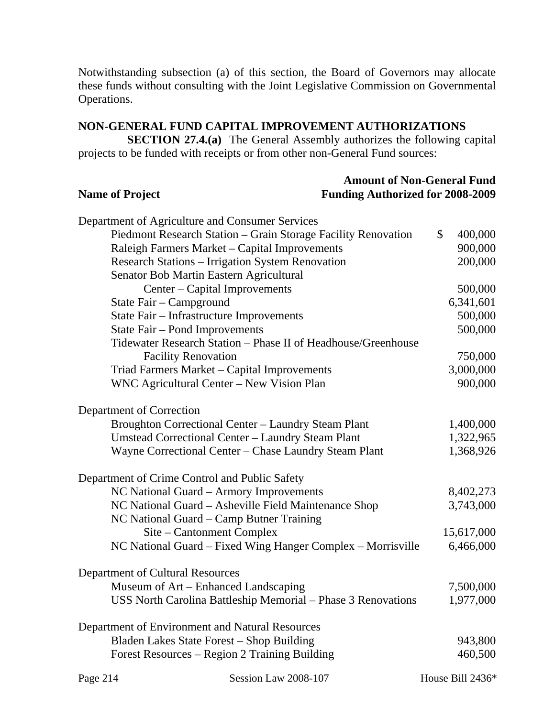Notwithstanding subsection (a) of this section, the Board of Governors may allocate these funds without consulting with the Joint Legislative Commission on Governmental Operations.

# **NON-GENERAL FUND CAPITAL IMPROVEMENT AUTHORIZATIONS**

**SECTION 27.4.(a)** The General Assembly authorizes the following capital projects to be funded with receipts or from other non-General Fund sources:

| <b>Name of Project</b>                                                                           | <b>Amount of Non-General Fund</b><br><b>Funding Authorized for 2008-2009</b> |  |
|--------------------------------------------------------------------------------------------------|------------------------------------------------------------------------------|--|
| Department of Agriculture and Consumer Services                                                  |                                                                              |  |
| Piedmont Research Station - Grain Storage Facility Renovation                                    | \$<br>400,000                                                                |  |
| Raleigh Farmers Market - Capital Improvements                                                    | 900,000                                                                      |  |
| <b>Research Stations - Irrigation System Renovation</b>                                          | 200,000                                                                      |  |
| Senator Bob Martin Eastern Agricultural                                                          |                                                                              |  |
| Center - Capital Improvements                                                                    | 500,000                                                                      |  |
| State Fair - Campground                                                                          | 6,341,601                                                                    |  |
| State Fair - Infrastructure Improvements                                                         | 500,000                                                                      |  |
| State Fair - Pond Improvements                                                                   | 500,000                                                                      |  |
| Tidewater Research Station - Phase II of Headhouse/Greenhouse                                    |                                                                              |  |
| <b>Facility Renovation</b>                                                                       | 750,000                                                                      |  |
| Triad Farmers Market - Capital Improvements                                                      | 3,000,000                                                                    |  |
| WNC Agricultural Center - New Vision Plan                                                        | 900,000                                                                      |  |
| Department of Correction                                                                         |                                                                              |  |
| Broughton Correctional Center - Laundry Steam Plant                                              | 1,400,000                                                                    |  |
| Umstead Correctional Center - Laundry Steam Plant                                                | 1,322,965                                                                    |  |
| Wayne Correctional Center - Chase Laundry Steam Plant                                            | 1,368,926                                                                    |  |
| Department of Crime Control and Public Safety                                                    |                                                                              |  |
| NC National Guard - Armory Improvements                                                          | 8,402,273                                                                    |  |
| NC National Guard - Asheville Field Maintenance Shop<br>NC National Guard – Camp Butner Training | 3,743,000                                                                    |  |
| Site – Cantonment Complex                                                                        | 15,617,000                                                                   |  |
| NC National Guard – Fixed Wing Hanger Complex – Morrisville                                      | 6,466,000                                                                    |  |
| Department of Cultural Resources                                                                 |                                                                              |  |
| Museum of Art – Enhanced Landscaping                                                             | 7,500,000                                                                    |  |
| USS North Carolina Battleship Memorial – Phase 3 Renovations                                     | 1,977,000                                                                    |  |
| Department of Environment and Natural Resources                                                  |                                                                              |  |
| Bladen Lakes State Forest - Shop Building                                                        | 943,800                                                                      |  |
| Forest Resources – Region 2 Training Building                                                    | 460,500                                                                      |  |
| Session Law 2008-107<br>Page 214                                                                 | House Bill 2436*                                                             |  |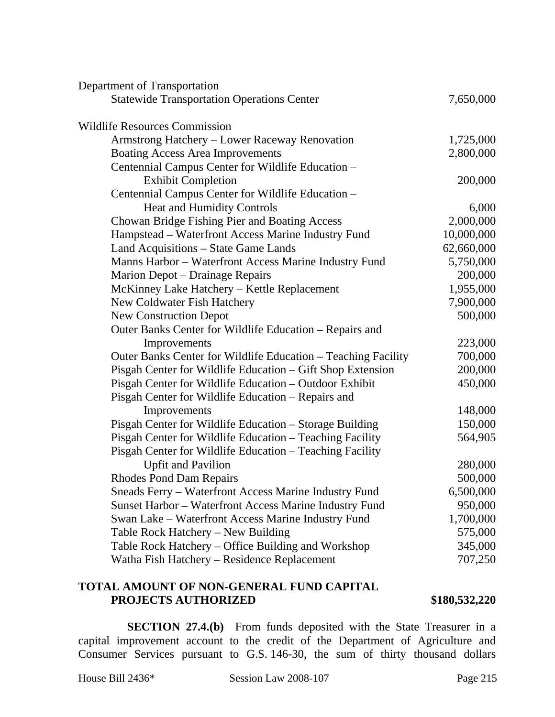| Department of Transportation                                  |            |
|---------------------------------------------------------------|------------|
| <b>Statewide Transportation Operations Center</b>             | 7,650,000  |
| <b>Wildlife Resources Commission</b>                          |            |
| Armstrong Hatchery - Lower Raceway Renovation                 | 1,725,000  |
| <b>Boating Access Area Improvements</b>                       | 2,800,000  |
| Centennial Campus Center for Wildlife Education -             |            |
| <b>Exhibit Completion</b>                                     | 200,000    |
| Centennial Campus Center for Wildlife Education -             |            |
| Heat and Humidity Controls                                    | 6,000      |
| Chowan Bridge Fishing Pier and Boating Access                 | 2,000,000  |
| Hampstead - Waterfront Access Marine Industry Fund            | 10,000,000 |
| Land Acquisitions - State Game Lands                          | 62,660,000 |
| Manns Harbor - Waterfront Access Marine Industry Fund         | 5,750,000  |
| Marion Depot – Drainage Repairs                               | 200,000    |
| McKinney Lake Hatchery - Kettle Replacement                   | 1,955,000  |
| New Coldwater Fish Hatchery                                   | 7,900,000  |
| <b>New Construction Depot</b>                                 | 500,000    |
| Outer Banks Center for Wildlife Education - Repairs and       |            |
| Improvements                                                  | 223,000    |
| Outer Banks Center for Wildlife Education - Teaching Facility | 700,000    |
| Pisgah Center for Wildlife Education - Gift Shop Extension    | 200,000    |
| Pisgah Center for Wildlife Education - Outdoor Exhibit        | 450,000    |
| Pisgah Center for Wildlife Education - Repairs and            |            |
| Improvements                                                  | 148,000    |
| Pisgah Center for Wildlife Education – Storage Building       | 150,000    |
| Pisgah Center for Wildlife Education - Teaching Facility      | 564,905    |
| Pisgah Center for Wildlife Education - Teaching Facility      |            |
| <b>Upfit and Pavilion</b>                                     | 280,000    |
| <b>Rhodes Pond Dam Repairs</b>                                | 500,000    |
| Sneads Ferry – Waterfront Access Marine Industry Fund         | 6,500,000  |
| Sunset Harbor - Waterfront Access Marine Industry Fund        | 950,000    |
| Swan Lake - Waterfront Access Marine Industry Fund            | 1,700,000  |
| Table Rock Hatchery – New Building                            | 575,000    |
| Table Rock Hatchery – Office Building and Workshop            | 345,000    |
| Watha Fish Hatchery - Residence Replacement                   | 707,250    |
|                                                               |            |

# **TOTAL AMOUNT OF NON-GENERAL FUND CAPITAL PROJECTS AUTHORIZED** \$180,532,220

**SECTION 27.4.(b)** From funds deposited with the State Treasurer in a capital improvement account to the credit of the Department of Agriculture and Consumer Services pursuant to G.S. 146-30, the sum of thirty thousand dollars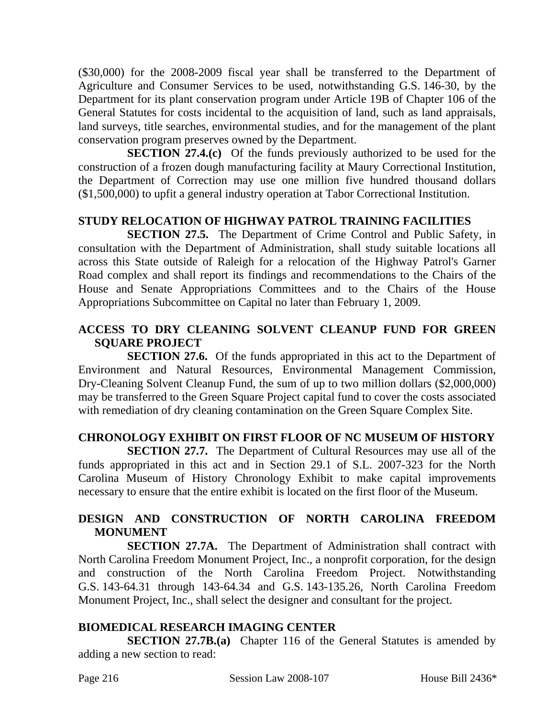(\$30,000) for the 2008-2009 fiscal year shall be transferred to the Department of Agriculture and Consumer Services to be used, notwithstanding G.S. 146-30, by the Department for its plant conservation program under Article 19B of Chapter 106 of the General Statutes for costs incidental to the acquisition of land, such as land appraisals, land surveys, title searches, environmental studies, and for the management of the plant conservation program preserves owned by the Department.

**SECTION 27.4.(c)** Of the funds previously authorized to be used for the construction of a frozen dough manufacturing facility at Maury Correctional Institution, the Department of Correction may use one million five hundred thousand dollars (\$1,500,000) to upfit a general industry operation at Tabor Correctional Institution.

# **STUDY RELOCATION OF HIGHWAY PATROL TRAINING FACILITIES**

**SECTION 27.5.** The Department of Crime Control and Public Safety, in consultation with the Department of Administration, shall study suitable locations all across this State outside of Raleigh for a relocation of the Highway Patrol's Garner Road complex and shall report its findings and recommendations to the Chairs of the House and Senate Appropriations Committees and to the Chairs of the House Appropriations Subcommittee on Capital no later than February 1, 2009.

## **ACCESS TO DRY CLEANING SOLVENT CLEANUP FUND FOR GREEN SQUARE PROJECT**

**SECTION 27.6.** Of the funds appropriated in this act to the Department of Environment and Natural Resources, Environmental Management Commission, Dry-Cleaning Solvent Cleanup Fund, the sum of up to two million dollars (\$2,000,000) may be transferred to the Green Square Project capital fund to cover the costs associated with remediation of dry cleaning contamination on the Green Square Complex Site.

# **CHRONOLOGY EXHIBIT ON FIRST FLOOR OF NC MUSEUM OF HISTORY**

**SECTION 27.7.** The Department of Cultural Resources may use all of the funds appropriated in this act and in Section 29.1 of S.L. 2007-323 for the North Carolina Museum of History Chronology Exhibit to make capital improvements necessary to ensure that the entire exhibit is located on the first floor of the Museum.

## **DESIGN AND CONSTRUCTION OF NORTH CAROLINA FREEDOM MONUMENT**

**SECTION 27.7A.** The Department of Administration shall contract with North Carolina Freedom Monument Project, Inc., a nonprofit corporation, for the design and construction of the North Carolina Freedom Project. Notwithstanding G.S. 143-64.31 through 143-64.34 and G.S. 143-135.26, North Carolina Freedom Monument Project, Inc., shall select the designer and consultant for the project.

#### **BIOMEDICAL RESEARCH IMAGING CENTER**

**SECTION 27.7B.(a)** Chapter 116 of the General Statutes is amended by adding a new section to read: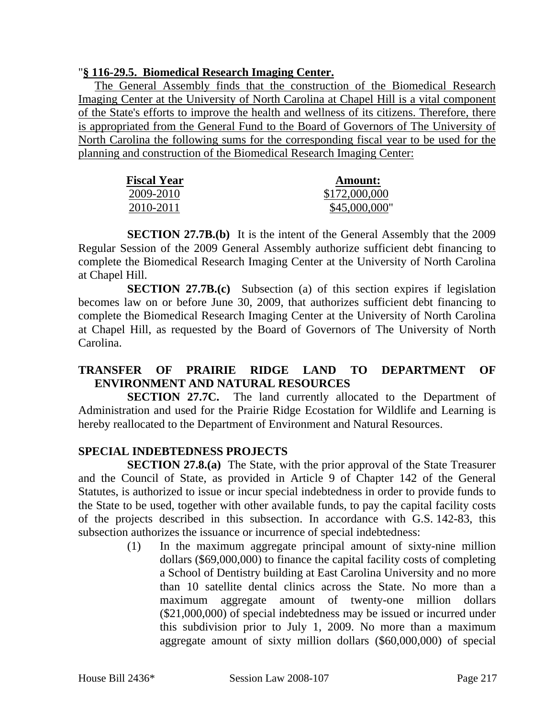#### "**§ 116-29.5. Biomedical Research Imaging Center.**

The General Assembly finds that the construction of the Biomedical Research Imaging Center at the University of North Carolina at Chapel Hill is a vital component of the State's efforts to improve the health and wellness of its citizens. Therefore, there is appropriated from the General Fund to the Board of Governors of The University of North Carolina the following sums for the corresponding fiscal year to be used for the planning and construction of the Biomedical Research Imaging Center:

| <b>Fiscal Year</b> | <b>Amount:</b> |
|--------------------|----------------|
| 2009-2010          | \$172,000,000  |
| 2010-2011          | \$45,000,000"  |

**SECTION 27.7B.(b)** It is the intent of the General Assembly that the 2009 Regular Session of the 2009 General Assembly authorize sufficient debt financing to complete the Biomedical Research Imaging Center at the University of North Carolina at Chapel Hill.

**SECTION 27.7B.(c)** Subsection (a) of this section expires if legislation becomes law on or before June 30, 2009, that authorizes sufficient debt financing to complete the Biomedical Research Imaging Center at the University of North Carolina at Chapel Hill, as requested by the Board of Governors of The University of North Carolina.

# **TRANSFER OF PRAIRIE RIDGE LAND TO DEPARTMENT OF ENVIRONMENT AND NATURAL RESOURCES**

**SECTION 27.7C.** The land currently allocated to the Department of Administration and used for the Prairie Ridge Ecostation for Wildlife and Learning is hereby reallocated to the Department of Environment and Natural Resources.

## **SPECIAL INDEBTEDNESS PROJECTS**

**SECTION 27.8.(a)** The State, with the prior approval of the State Treasurer and the Council of State, as provided in Article 9 of Chapter 142 of the General Statutes, is authorized to issue or incur special indebtedness in order to provide funds to the State to be used, together with other available funds, to pay the capital facility costs of the projects described in this subsection. In accordance with G.S. 142-83, this subsection authorizes the issuance or incurrence of special indebtedness:

> (1) In the maximum aggregate principal amount of sixty-nine million dollars (\$69,000,000) to finance the capital facility costs of completing a School of Dentistry building at East Carolina University and no more than 10 satellite dental clinics across the State. No more than a maximum aggregate amount of twenty-one million dollars (\$21,000,000) of special indebtedness may be issued or incurred under this subdivision prior to July 1, 2009. No more than a maximum aggregate amount of sixty million dollars (\$60,000,000) of special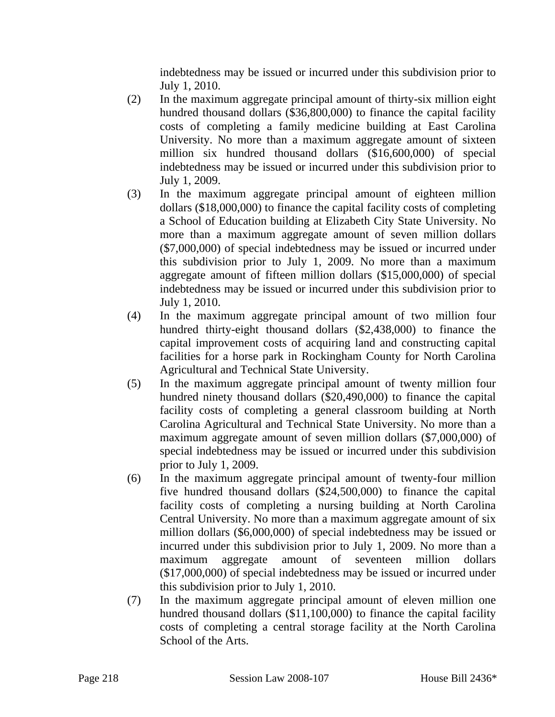indebtedness may be issued or incurred under this subdivision prior to July 1, 2010.

- (2) In the maximum aggregate principal amount of thirty-six million eight hundred thousand dollars (\$36,800,000) to finance the capital facility costs of completing a family medicine building at East Carolina University. No more than a maximum aggregate amount of sixteen million six hundred thousand dollars (\$16,600,000) of special indebtedness may be issued or incurred under this subdivision prior to July 1, 2009.
- (3) In the maximum aggregate principal amount of eighteen million dollars (\$18,000,000) to finance the capital facility costs of completing a School of Education building at Elizabeth City State University. No more than a maximum aggregate amount of seven million dollars (\$7,000,000) of special indebtedness may be issued or incurred under this subdivision prior to July 1, 2009. No more than a maximum aggregate amount of fifteen million dollars (\$15,000,000) of special indebtedness may be issued or incurred under this subdivision prior to July 1, 2010.
- (4) In the maximum aggregate principal amount of two million four hundred thirty-eight thousand dollars (\$2,438,000) to finance the capital improvement costs of acquiring land and constructing capital facilities for a horse park in Rockingham County for North Carolina Agricultural and Technical State University.
- (5) In the maximum aggregate principal amount of twenty million four hundred ninety thousand dollars (\$20,490,000) to finance the capital facility costs of completing a general classroom building at North Carolina Agricultural and Technical State University. No more than a maximum aggregate amount of seven million dollars (\$7,000,000) of special indebtedness may be issued or incurred under this subdivision prior to July 1, 2009.
- (6) In the maximum aggregate principal amount of twenty-four million five hundred thousand dollars (\$24,500,000) to finance the capital facility costs of completing a nursing building at North Carolina Central University. No more than a maximum aggregate amount of six million dollars (\$6,000,000) of special indebtedness may be issued or incurred under this subdivision prior to July 1, 2009. No more than a maximum aggregate amount of seventeen million dollars (\$17,000,000) of special indebtedness may be issued or incurred under this subdivision prior to July 1, 2010.
- (7) In the maximum aggregate principal amount of eleven million one hundred thousand dollars (\$11,100,000) to finance the capital facility costs of completing a central storage facility at the North Carolina School of the Arts.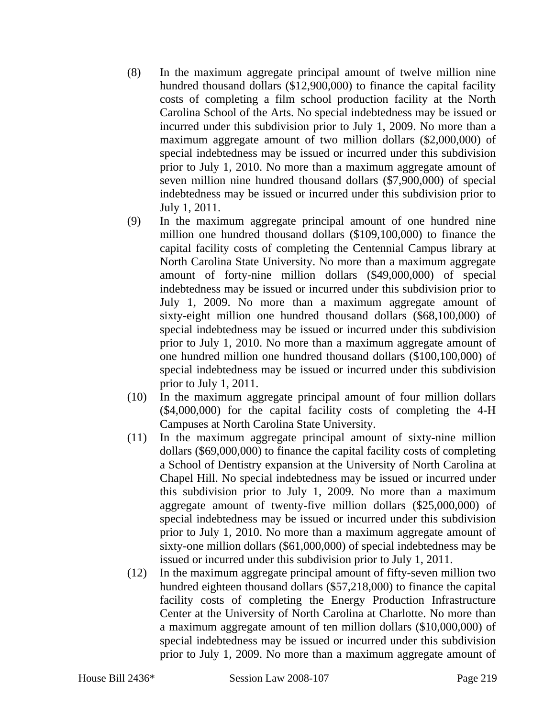- (8) In the maximum aggregate principal amount of twelve million nine hundred thousand dollars (\$12,900,000) to finance the capital facility costs of completing a film school production facility at the North Carolina School of the Arts. No special indebtedness may be issued or incurred under this subdivision prior to July 1, 2009. No more than a maximum aggregate amount of two million dollars (\$2,000,000) of special indebtedness may be issued or incurred under this subdivision prior to July 1, 2010. No more than a maximum aggregate amount of seven million nine hundred thousand dollars (\$7,900,000) of special indebtedness may be issued or incurred under this subdivision prior to July 1, 2011.
- (9) In the maximum aggregate principal amount of one hundred nine million one hundred thousand dollars (\$109,100,000) to finance the capital facility costs of completing the Centennial Campus library at North Carolina State University. No more than a maximum aggregate amount of forty-nine million dollars (\$49,000,000) of special indebtedness may be issued or incurred under this subdivision prior to July 1, 2009. No more than a maximum aggregate amount of sixty-eight million one hundred thousand dollars (\$68,100,000) of special indebtedness may be issued or incurred under this subdivision prior to July 1, 2010. No more than a maximum aggregate amount of one hundred million one hundred thousand dollars (\$100,100,000) of special indebtedness may be issued or incurred under this subdivision prior to July 1, 2011.
- (10) In the maximum aggregate principal amount of four million dollars (\$4,000,000) for the capital facility costs of completing the 4-H Campuses at North Carolina State University.
- (11) In the maximum aggregate principal amount of sixty-nine million dollars (\$69,000,000) to finance the capital facility costs of completing a School of Dentistry expansion at the University of North Carolina at Chapel Hill. No special indebtedness may be issued or incurred under this subdivision prior to July 1, 2009. No more than a maximum aggregate amount of twenty-five million dollars (\$25,000,000) of special indebtedness may be issued or incurred under this subdivision prior to July 1, 2010. No more than a maximum aggregate amount of sixty-one million dollars (\$61,000,000) of special indebtedness may be issued or incurred under this subdivision prior to July 1, 2011.
- (12) In the maximum aggregate principal amount of fifty-seven million two hundred eighteen thousand dollars (\$57,218,000) to finance the capital facility costs of completing the Energy Production Infrastructure Center at the University of North Carolina at Charlotte. No more than a maximum aggregate amount of ten million dollars (\$10,000,000) of special indebtedness may be issued or incurred under this subdivision prior to July 1, 2009. No more than a maximum aggregate amount of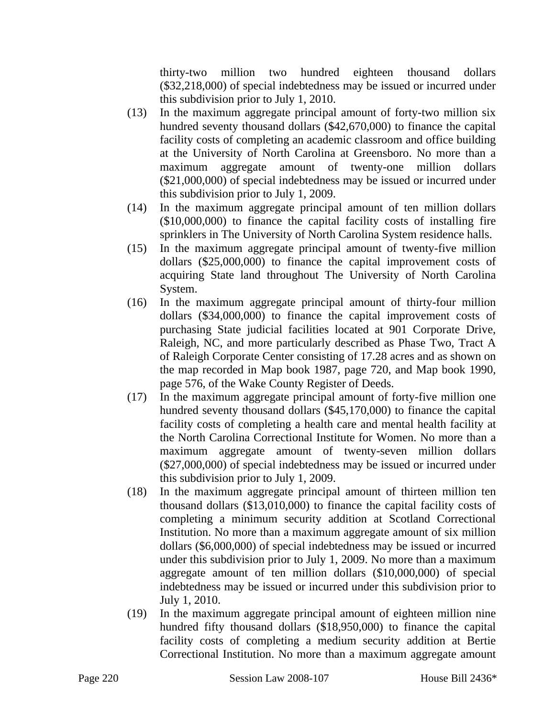thirty-two million two hundred eighteen thousand dollars (\$32,218,000) of special indebtedness may be issued or incurred under this subdivision prior to July 1, 2010.

- (13) In the maximum aggregate principal amount of forty-two million six hundred seventy thousand dollars (\$42,670,000) to finance the capital facility costs of completing an academic classroom and office building at the University of North Carolina at Greensboro. No more than a maximum aggregate amount of twenty-one million dollars (\$21,000,000) of special indebtedness may be issued or incurred under this subdivision prior to July 1, 2009.
- (14) In the maximum aggregate principal amount of ten million dollars (\$10,000,000) to finance the capital facility costs of installing fire sprinklers in The University of North Carolina System residence halls.
- (15) In the maximum aggregate principal amount of twenty-five million dollars (\$25,000,000) to finance the capital improvement costs of acquiring State land throughout The University of North Carolina System.
- (16) In the maximum aggregate principal amount of thirty-four million dollars (\$34,000,000) to finance the capital improvement costs of purchasing State judicial facilities located at 901 Corporate Drive, Raleigh, NC, and more particularly described as Phase Two, Tract A of Raleigh Corporate Center consisting of 17.28 acres and as shown on the map recorded in Map book 1987, page 720, and Map book 1990, page 576, of the Wake County Register of Deeds.
- (17) In the maximum aggregate principal amount of forty-five million one hundred seventy thousand dollars (\$45,170,000) to finance the capital facility costs of completing a health care and mental health facility at the North Carolina Correctional Institute for Women. No more than a maximum aggregate amount of twenty-seven million dollars (\$27,000,000) of special indebtedness may be issued or incurred under this subdivision prior to July 1, 2009.
- (18) In the maximum aggregate principal amount of thirteen million ten thousand dollars (\$13,010,000) to finance the capital facility costs of completing a minimum security addition at Scotland Correctional Institution. No more than a maximum aggregate amount of six million dollars (\$6,000,000) of special indebtedness may be issued or incurred under this subdivision prior to July 1, 2009. No more than a maximum aggregate amount of ten million dollars (\$10,000,000) of special indebtedness may be issued or incurred under this subdivision prior to July 1, 2010.
- (19) In the maximum aggregate principal amount of eighteen million nine hundred fifty thousand dollars (\$18,950,000) to finance the capital facility costs of completing a medium security addition at Bertie Correctional Institution. No more than a maximum aggregate amount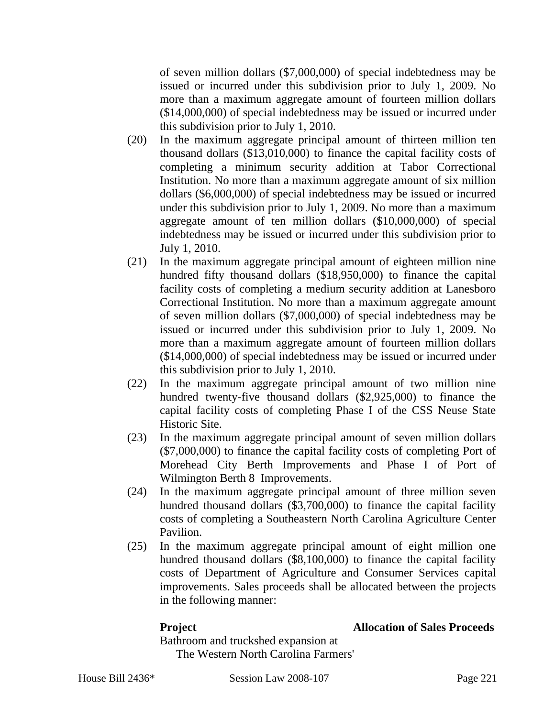of seven million dollars (\$7,000,000) of special indebtedness may be issued or incurred under this subdivision prior to July 1, 2009. No more than a maximum aggregate amount of fourteen million dollars (\$14,000,000) of special indebtedness may be issued or incurred under this subdivision prior to July 1, 2010.

- (20) In the maximum aggregate principal amount of thirteen million ten thousand dollars (\$13,010,000) to finance the capital facility costs of completing a minimum security addition at Tabor Correctional Institution. No more than a maximum aggregate amount of six million dollars (\$6,000,000) of special indebtedness may be issued or incurred under this subdivision prior to July 1, 2009. No more than a maximum aggregate amount of ten million dollars (\$10,000,000) of special indebtedness may be issued or incurred under this subdivision prior to July 1, 2010.
- (21) In the maximum aggregate principal amount of eighteen million nine hundred fifty thousand dollars (\$18,950,000) to finance the capital facility costs of completing a medium security addition at Lanesboro Correctional Institution. No more than a maximum aggregate amount of seven million dollars (\$7,000,000) of special indebtedness may be issued or incurred under this subdivision prior to July 1, 2009. No more than a maximum aggregate amount of fourteen million dollars (\$14,000,000) of special indebtedness may be issued or incurred under this subdivision prior to July 1, 2010.
- (22) In the maximum aggregate principal amount of two million nine hundred twenty-five thousand dollars (\$2,925,000) to finance the capital facility costs of completing Phase I of the CSS Neuse State Historic Site.
- (23) In the maximum aggregate principal amount of seven million dollars (\$7,000,000) to finance the capital facility costs of completing Port of Morehead City Berth Improvements and Phase I of Port of Wilmington Berth 8 Improvements.
- (24) In the maximum aggregate principal amount of three million seven hundred thousand dollars (\$3,700,000) to finance the capital facility costs of completing a Southeastern North Carolina Agriculture Center Pavilion.
- (25) In the maximum aggregate principal amount of eight million one hundred thousand dollars (\$8,100,000) to finance the capital facility costs of Department of Agriculture and Consumer Services capital improvements. Sales proceeds shall be allocated between the projects in the following manner:

## **Project Allocation of Sales Proceeds**

Bathroom and truckshed expansion at The Western North Carolina Farmers'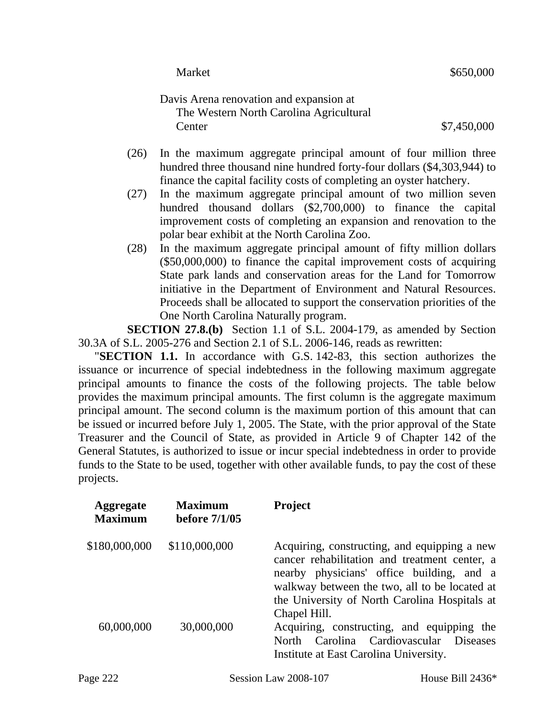|      | <b>Market</b>                                                                      | \$650,000   |
|------|------------------------------------------------------------------------------------|-------------|
|      | Davis Arena renovation and expansion at<br>The Western North Carolina Agricultural |             |
|      | Center                                                                             | \$7,450,000 |
| (26) | In the maximum aggregate principal amount of four million three                    |             |

- hundred three thousand nine hundred forty-four dollars (\$4,303,944) to finance the capital facility costs of completing an oyster hatchery.
- (27) In the maximum aggregate principal amount of two million seven hundred thousand dollars (\$2,700,000) to finance the capital improvement costs of completing an expansion and renovation to the polar bear exhibit at the North Carolina Zoo.
- (28) In the maximum aggregate principal amount of fifty million dollars (\$50,000,000) to finance the capital improvement costs of acquiring State park lands and conservation areas for the Land for Tomorrow initiative in the Department of Environment and Natural Resources. Proceeds shall be allocated to support the conservation priorities of the One North Carolina Naturally program.

**SECTION 27.8.(b)** Section 1.1 of S.L. 2004-179, as amended by Section 30.3A of S.L. 2005-276 and Section 2.1 of S.L. 2006-146, reads as rewritten:

"**SECTION 1.1.** In accordance with G.S. 142-83, this section authorizes the issuance or incurrence of special indebtedness in the following maximum aggregate principal amounts to finance the costs of the following projects. The table below provides the maximum principal amounts. The first column is the aggregate maximum principal amount. The second column is the maximum portion of this amount that can be issued or incurred before July 1, 2005. The State, with the prior approval of the State Treasurer and the Council of State, as provided in Article 9 of Chapter 142 of the General Statutes, is authorized to issue or incur special indebtedness in order to provide funds to the State to be used, together with other available funds, to pay the cost of these projects.

| <b>Aggregate</b><br><b>Maximum</b> | <b>Maximum</b><br><b>before 7/1/05</b> | <b>Project</b>                                                                                                                                                                                                                                               |
|------------------------------------|----------------------------------------|--------------------------------------------------------------------------------------------------------------------------------------------------------------------------------------------------------------------------------------------------------------|
| \$180,000,000                      | \$110,000,000                          | Acquiring, constructing, and equipping a new<br>cancer rehabilitation and treatment center, a<br>nearby physicians' office building, and a<br>walkway between the two, all to be located at<br>the University of North Carolina Hospitals at<br>Chapel Hill. |
| 60,000,000                         | 30,000,000                             | Acquiring, constructing, and equipping the<br>Carolina Cardiovascular Diseases<br>North<br>Institute at East Carolina University.                                                                                                                            |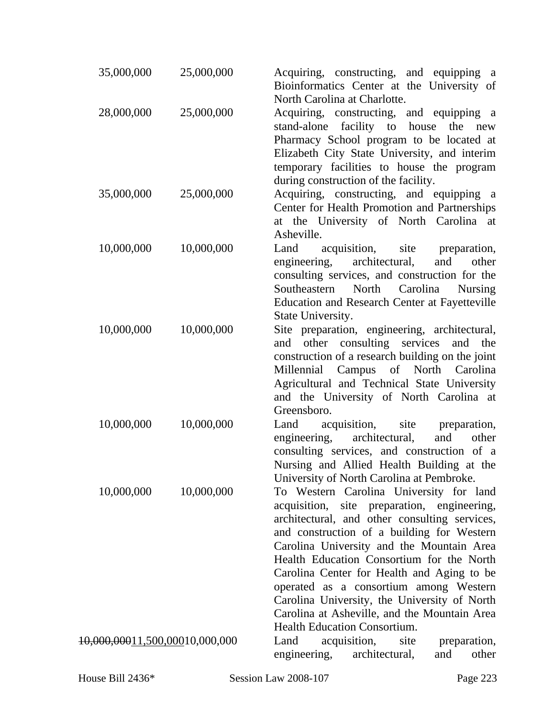| 35,000,000                     | 25,000,000 | Acquiring, constructing, and equipping a<br>Bioinformatics Center at the University of<br>North Carolina at Charlotte.                                                                                                                                                                                                                                                                                                                                                                                  |
|--------------------------------|------------|---------------------------------------------------------------------------------------------------------------------------------------------------------------------------------------------------------------------------------------------------------------------------------------------------------------------------------------------------------------------------------------------------------------------------------------------------------------------------------------------------------|
| 28,000,000                     | 25,000,000 | Acquiring, constructing, and equipping a<br>stand-alone facility to house<br>the<br>new<br>Pharmacy School program to be located at<br>Elizabeth City State University, and interim<br>temporary facilities to house the program<br>during construction of the facility.                                                                                                                                                                                                                                |
| 35,000,000                     | 25,000,000 | Acquiring, constructing, and equipping a<br>Center for Health Promotion and Partnerships<br>at the University of North Carolina at<br>Asheville.                                                                                                                                                                                                                                                                                                                                                        |
| 10,000,000                     | 10,000,000 | Land<br>acquisition, site<br>preparation,<br>architectural,<br>and<br>engineering,<br>other<br>consulting services, and construction for the<br>Carolina<br>Southeastern North<br><b>Nursing</b><br><b>Education and Research Center at Fayetteville</b><br>State University.                                                                                                                                                                                                                           |
| 10,000,000                     | 10,000,000 | Site preparation, engineering, architectural,<br>other consulting services<br>and<br>the<br>and<br>construction of a research building on the joint<br>Millennial Campus of North Carolina<br>Agricultural and Technical State University<br>and the University of North Carolina at<br>Greensboro.                                                                                                                                                                                                     |
| 10,000,000                     | 10,000,000 | acquisition,<br>Land<br>site<br>preparation,<br>architectural,<br>engineering,<br>and<br>other<br>consulting services, and construction of a<br>Nursing and Allied Health Building at the<br>University of North Carolina at Pembroke.                                                                                                                                                                                                                                                                  |
| 10,000,000                     | 10,000,000 | To Western Carolina University for land<br>acquisition, site preparation, engineering,<br>architectural, and other consulting services,<br>and construction of a building for Western<br>Carolina University and the Mountain Area<br>Health Education Consortium for the North<br>Carolina Center for Health and Aging to be<br>operated as a consortium among Western<br>Carolina University, the University of North<br>Carolina at Asheville, and the Mountain Area<br>Health Education Consortium. |
| 10,000,00011,500,00010,000,000 |            | acquisition,<br>site<br>Land<br>preparation,<br>engineering,<br>architectural,<br>and<br>other                                                                                                                                                                                                                                                                                                                                                                                                          |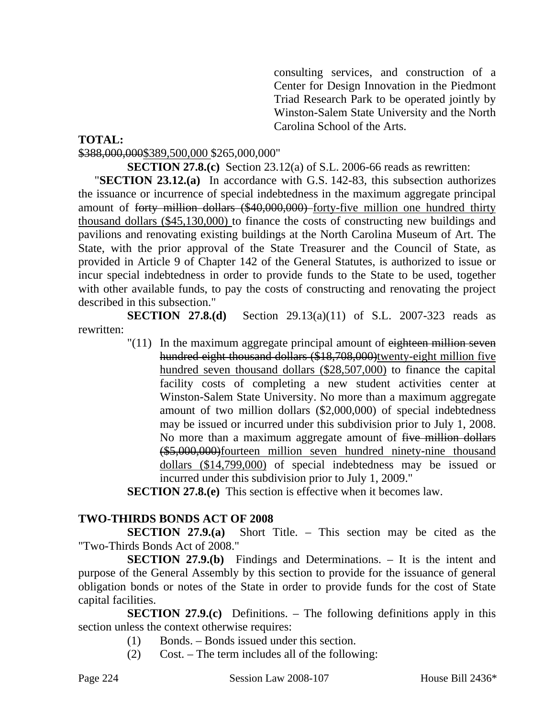consulting services, and construction of a Center for Design Innovation in the Piedmont Triad Research Park to be operated jointly by Winston-Salem State University and the North Carolina School of the Arts.

#### **TOTAL:**

#### \$388,000,000\$389,500,000 \$265,000,000"

#### **SECTION 27.8.(c)** Section 23.12(a) of S.L. 2006-66 reads as rewritten:

"**SECTION 23.12.(a)** In accordance with G.S. 142-83, this subsection authorizes the issuance or incurrence of special indebtedness in the maximum aggregate principal amount of forty million dollars (\$40,000,000) forty-five million one hundred thirty thousand dollars (\$45,130,000) to finance the costs of constructing new buildings and pavilions and renovating existing buildings at the North Carolina Museum of Art. The State, with the prior approval of the State Treasurer and the Council of State, as provided in Article 9 of Chapter 142 of the General Statutes, is authorized to issue or incur special indebtedness in order to provide funds to the State to be used, together with other available funds, to pay the costs of constructing and renovating the project described in this subsection."

**SECTION 27.8.(d)** Section 29.13(a)(11) of S.L. 2007-323 reads as rewritten:

> $\sqrt{(11)}$  In the maximum aggregate principal amount of eighteen million seven hundred eight thousand dollars (\$18,708,000)twenty-eight million five hundred seven thousand dollars (\$28,507,000) to finance the capital facility costs of completing a new student activities center at Winston-Salem State University. No more than a maximum aggregate amount of two million dollars (\$2,000,000) of special indebtedness may be issued or incurred under this subdivision prior to July 1, 2008. No more than a maximum aggregate amount of five million dollars (\$5,000,000)fourteen million seven hundred ninety-nine thousand dollars (\$14,799,000) of special indebtedness may be issued or incurred under this subdivision prior to July 1, 2009."

**SECTION 27.8.(e)** This section is effective when it becomes law.

## **TWO-THIRDS BONDS ACT OF 2008**

**SECTION 27.9.(a)** Short Title. – This section may be cited as the "Two-Thirds Bonds Act of 2008."

**SECTION 27.9.(b)** Findings and Determinations. – It is the intent and purpose of the General Assembly by this section to provide for the issuance of general obligation bonds or notes of the State in order to provide funds for the cost of State capital facilities.

**SECTION 27.9.(c)** Definitions. – The following definitions apply in this section unless the context otherwise requires:

- (1) Bonds. Bonds issued under this section.
- (2) Cost. The term includes all of the following: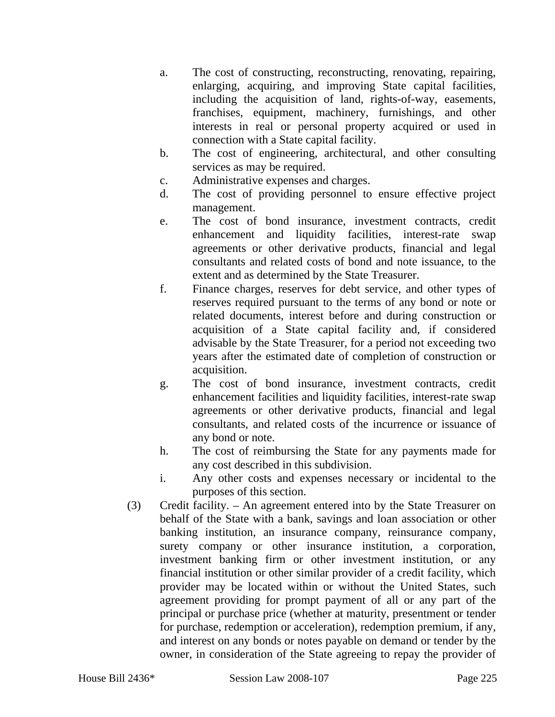- a. The cost of constructing, reconstructing, renovating, repairing, enlarging, acquiring, and improving State capital facilities, including the acquisition of land, rights-of-way, easements, franchises, equipment, machinery, furnishings, and other interests in real or personal property acquired or used in connection with a State capital facility.
- b. The cost of engineering, architectural, and other consulting services as may be required.
- c. Administrative expenses and charges.
- d. The cost of providing personnel to ensure effective project management.
- e. The cost of bond insurance, investment contracts, credit enhancement and liquidity facilities, interest-rate swap agreements or other derivative products, financial and legal consultants and related costs of bond and note issuance, to the extent and as determined by the State Treasurer.
- f. Finance charges, reserves for debt service, and other types of reserves required pursuant to the terms of any bond or note or related documents, interest before and during construction or acquisition of a State capital facility and, if considered advisable by the State Treasurer, for a period not exceeding two years after the estimated date of completion of construction or acquisition.
- g. The cost of bond insurance, investment contracts, credit enhancement facilities and liquidity facilities, interest-rate swap agreements or other derivative products, financial and legal consultants, and related costs of the incurrence or issuance of any bond or note.
- h. The cost of reimbursing the State for any payments made for any cost described in this subdivision.
- i. Any other costs and expenses necessary or incidental to the purposes of this section.
- (3) Credit facility. An agreement entered into by the State Treasurer on behalf of the State with a bank, savings and loan association or other banking institution, an insurance company, reinsurance company, surety company or other insurance institution, a corporation, investment banking firm or other investment institution, or any financial institution or other similar provider of a credit facility, which provider may be located within or without the United States, such agreement providing for prompt payment of all or any part of the principal or purchase price (whether at maturity, presentment or tender for purchase, redemption or acceleration), redemption premium, if any, and interest on any bonds or notes payable on demand or tender by the owner, in consideration of the State agreeing to repay the provider of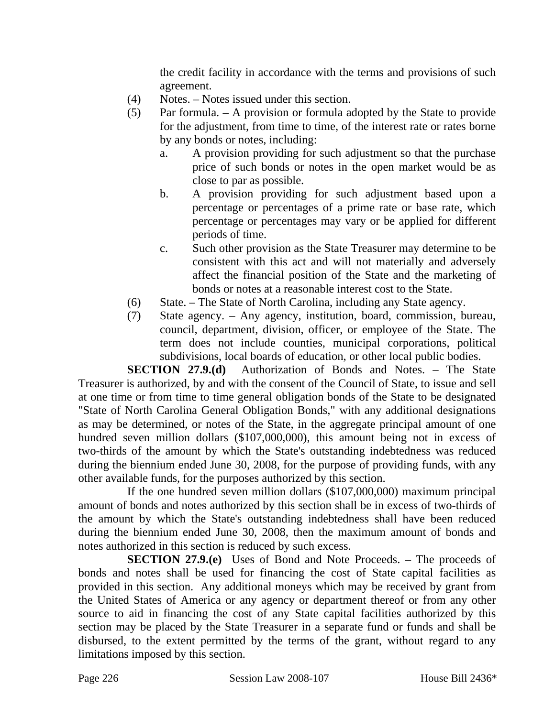the credit facility in accordance with the terms and provisions of such agreement.

- (4) Notes. Notes issued under this section.
- (5) Par formula. A provision or formula adopted by the State to provide for the adjustment, from time to time, of the interest rate or rates borne by any bonds or notes, including:
	- a. A provision providing for such adjustment so that the purchase price of such bonds or notes in the open market would be as close to par as possible.
	- b. A provision providing for such adjustment based upon a percentage or percentages of a prime rate or base rate, which percentage or percentages may vary or be applied for different periods of time.
	- c. Such other provision as the State Treasurer may determine to be consistent with this act and will not materially and adversely affect the financial position of the State and the marketing of bonds or notes at a reasonable interest cost to the State.
- (6) State. The State of North Carolina, including any State agency.
- (7) State agency. Any agency, institution, board, commission, bureau, council, department, division, officer, or employee of the State. The term does not include counties, municipal corporations, political subdivisions, local boards of education, or other local public bodies.

**SECTION 27.9.(d)** Authorization of Bonds and Notes. – The State Treasurer is authorized, by and with the consent of the Council of State, to issue and sell at one time or from time to time general obligation bonds of the State to be designated "State of North Carolina General Obligation Bonds," with any additional designations as may be determined, or notes of the State, in the aggregate principal amount of one hundred seven million dollars (\$107,000,000), this amount being not in excess of two-thirds of the amount by which the State's outstanding indebtedness was reduced during the biennium ended June 30, 2008, for the purpose of providing funds, with any other available funds, for the purposes authorized by this section.

If the one hundred seven million dollars (\$107,000,000) maximum principal amount of bonds and notes authorized by this section shall be in excess of two-thirds of the amount by which the State's outstanding indebtedness shall have been reduced during the biennium ended June 30, 2008, then the maximum amount of bonds and notes authorized in this section is reduced by such excess.

**SECTION 27.9.(e)** Uses of Bond and Note Proceeds. – The proceeds of bonds and notes shall be used for financing the cost of State capital facilities as provided in this section. Any additional moneys which may be received by grant from the United States of America or any agency or department thereof or from any other source to aid in financing the cost of any State capital facilities authorized by this section may be placed by the State Treasurer in a separate fund or funds and shall be disbursed, to the extent permitted by the terms of the grant, without regard to any limitations imposed by this section.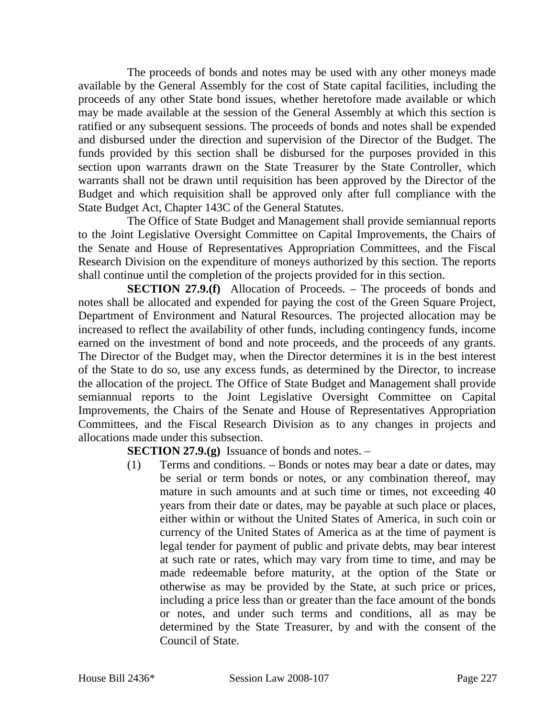The proceeds of bonds and notes may be used with any other moneys made available by the General Assembly for the cost of State capital facilities, including the proceeds of any other State bond issues, whether heretofore made available or which may be made available at the session of the General Assembly at which this section is ratified or any subsequent sessions. The proceeds of bonds and notes shall be expended and disbursed under the direction and supervision of the Director of the Budget. The funds provided by this section shall be disbursed for the purposes provided in this section upon warrants drawn on the State Treasurer by the State Controller, which warrants shall not be drawn until requisition has been approved by the Director of the Budget and which requisition shall be approved only after full compliance with the State Budget Act, Chapter 143C of the General Statutes.

The Office of State Budget and Management shall provide semiannual reports to the Joint Legislative Oversight Committee on Capital Improvements, the Chairs of the Senate and House of Representatives Appropriation Committees, and the Fiscal Research Division on the expenditure of moneys authorized by this section. The reports shall continue until the completion of the projects provided for in this section.

**SECTION 27.9.(f)** Allocation of Proceeds. – The proceeds of bonds and notes shall be allocated and expended for paying the cost of the Green Square Project, Department of Environment and Natural Resources. The projected allocation may be increased to reflect the availability of other funds, including contingency funds, income earned on the investment of bond and note proceeds, and the proceeds of any grants. The Director of the Budget may, when the Director determines it is in the best interest of the State to do so, use any excess funds, as determined by the Director, to increase the allocation of the project. The Office of State Budget and Management shall provide semiannual reports to the Joint Legislative Oversight Committee on Capital Improvements, the Chairs of the Senate and House of Representatives Appropriation Committees, and the Fiscal Research Division as to any changes in projects and allocations made under this subsection.

**SECTION 27.9.(g)** Issuance of bonds and notes. –

(1) Terms and conditions. – Bonds or notes may bear a date or dates, may be serial or term bonds or notes, or any combination thereof, may mature in such amounts and at such time or times, not exceeding 40 years from their date or dates, may be payable at such place or places, either within or without the United States of America, in such coin or currency of the United States of America as at the time of payment is legal tender for payment of public and private debts, may bear interest at such rate or rates, which may vary from time to time, and may be made redeemable before maturity, at the option of the State or otherwise as may be provided by the State, at such price or prices, including a price less than or greater than the face amount of the bonds or notes, and under such terms and conditions, all as may be determined by the State Treasurer, by and with the consent of the Council of State.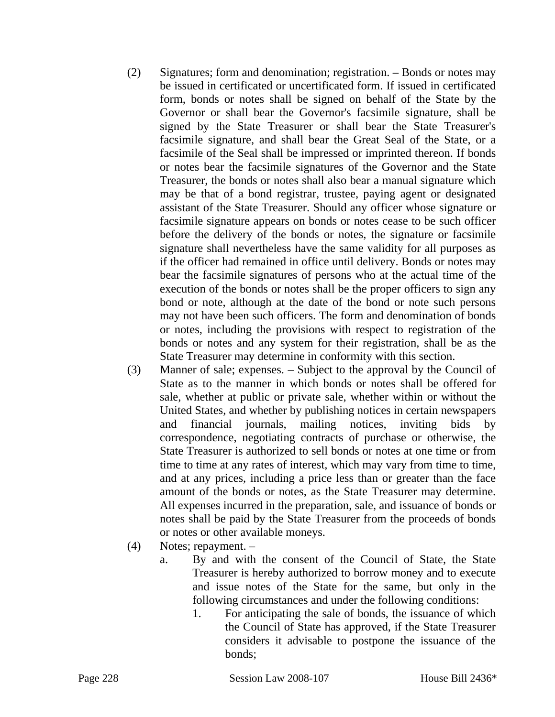- (2) Signatures; form and denomination; registration. Bonds or notes may be issued in certificated or uncertificated form. If issued in certificated form, bonds or notes shall be signed on behalf of the State by the Governor or shall bear the Governor's facsimile signature, shall be signed by the State Treasurer or shall bear the State Treasurer's facsimile signature, and shall bear the Great Seal of the State, or a facsimile of the Seal shall be impressed or imprinted thereon. If bonds or notes bear the facsimile signatures of the Governor and the State Treasurer, the bonds or notes shall also bear a manual signature which may be that of a bond registrar, trustee, paying agent or designated assistant of the State Treasurer. Should any officer whose signature or facsimile signature appears on bonds or notes cease to be such officer before the delivery of the bonds or notes, the signature or facsimile signature shall nevertheless have the same validity for all purposes as if the officer had remained in office until delivery. Bonds or notes may bear the facsimile signatures of persons who at the actual time of the execution of the bonds or notes shall be the proper officers to sign any bond or note, although at the date of the bond or note such persons may not have been such officers. The form and denomination of bonds or notes, including the provisions with respect to registration of the bonds or notes and any system for their registration, shall be as the State Treasurer may determine in conformity with this section.
- (3) Manner of sale; expenses. Subject to the approval by the Council of State as to the manner in which bonds or notes shall be offered for sale, whether at public or private sale, whether within or without the United States, and whether by publishing notices in certain newspapers and financial journals, mailing notices, inviting bids by correspondence, negotiating contracts of purchase or otherwise, the State Treasurer is authorized to sell bonds or notes at one time or from time to time at any rates of interest, which may vary from time to time, and at any prices, including a price less than or greater than the face amount of the bonds or notes, as the State Treasurer may determine. All expenses incurred in the preparation, sale, and issuance of bonds or notes shall be paid by the State Treasurer from the proceeds of bonds or notes or other available moneys.
- (4) Notes; repayment.
	- a. By and with the consent of the Council of State, the State Treasurer is hereby authorized to borrow money and to execute and issue notes of the State for the same, but only in the following circumstances and under the following conditions:
		- 1. For anticipating the sale of bonds, the issuance of which the Council of State has approved, if the State Treasurer considers it advisable to postpone the issuance of the bonds;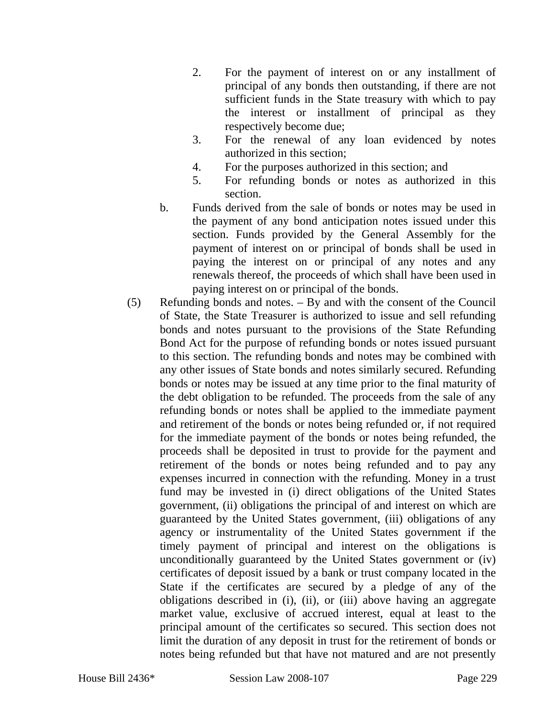- 2. For the payment of interest on or any installment of principal of any bonds then outstanding, if there are not sufficient funds in the State treasury with which to pay the interest or installment of principal as they respectively become due;
- 3. For the renewal of any loan evidenced by notes authorized in this section;
- 4. For the purposes authorized in this section; and
- 5. For refunding bonds or notes as authorized in this section.
- b. Funds derived from the sale of bonds or notes may be used in the payment of any bond anticipation notes issued under this section. Funds provided by the General Assembly for the payment of interest on or principal of bonds shall be used in paying the interest on or principal of any notes and any renewals thereof, the proceeds of which shall have been used in paying interest on or principal of the bonds.
- (5) Refunding bonds and notes. By and with the consent of the Council of State, the State Treasurer is authorized to issue and sell refunding bonds and notes pursuant to the provisions of the State Refunding Bond Act for the purpose of refunding bonds or notes issued pursuant to this section. The refunding bonds and notes may be combined with any other issues of State bonds and notes similarly secured. Refunding bonds or notes may be issued at any time prior to the final maturity of the debt obligation to be refunded. The proceeds from the sale of any refunding bonds or notes shall be applied to the immediate payment and retirement of the bonds or notes being refunded or, if not required for the immediate payment of the bonds or notes being refunded, the proceeds shall be deposited in trust to provide for the payment and retirement of the bonds or notes being refunded and to pay any expenses incurred in connection with the refunding. Money in a trust fund may be invested in (i) direct obligations of the United States government, (ii) obligations the principal of and interest on which are guaranteed by the United States government, (iii) obligations of any agency or instrumentality of the United States government if the timely payment of principal and interest on the obligations is unconditionally guaranteed by the United States government or (iv) certificates of deposit issued by a bank or trust company located in the State if the certificates are secured by a pledge of any of the obligations described in (i), (ii), or (iii) above having an aggregate market value, exclusive of accrued interest, equal at least to the principal amount of the certificates so secured. This section does not limit the duration of any deposit in trust for the retirement of bonds or notes being refunded but that have not matured and are not presently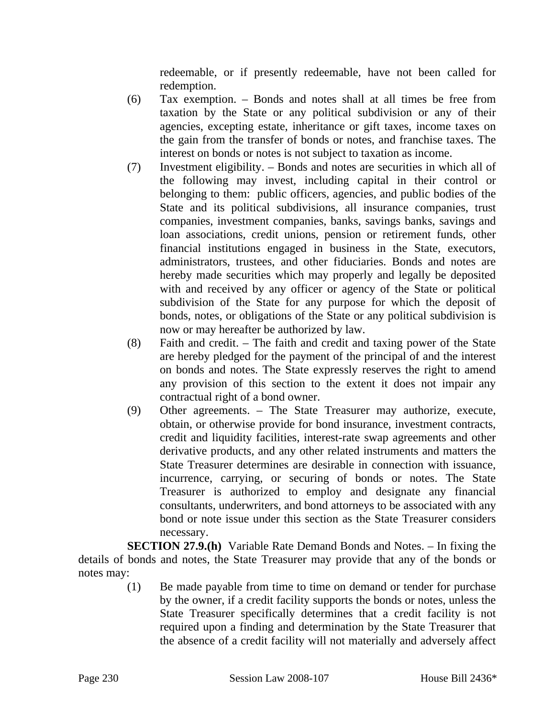redeemable, or if presently redeemable, have not been called for redemption.

- (6) Tax exemption. Bonds and notes shall at all times be free from taxation by the State or any political subdivision or any of their agencies, excepting estate, inheritance or gift taxes, income taxes on the gain from the transfer of bonds or notes, and franchise taxes. The interest on bonds or notes is not subject to taxation as income.
- (7) Investment eligibility. Bonds and notes are securities in which all of the following may invest, including capital in their control or belonging to them: public officers, agencies, and public bodies of the State and its political subdivisions, all insurance companies, trust companies, investment companies, banks, savings banks, savings and loan associations, credit unions, pension or retirement funds, other financial institutions engaged in business in the State, executors, administrators, trustees, and other fiduciaries. Bonds and notes are hereby made securities which may properly and legally be deposited with and received by any officer or agency of the State or political subdivision of the State for any purpose for which the deposit of bonds, notes, or obligations of the State or any political subdivision is now or may hereafter be authorized by law.
- (8) Faith and credit. The faith and credit and taxing power of the State are hereby pledged for the payment of the principal of and the interest on bonds and notes. The State expressly reserves the right to amend any provision of this section to the extent it does not impair any contractual right of a bond owner.
- (9) Other agreements. The State Treasurer may authorize, execute, obtain, or otherwise provide for bond insurance, investment contracts, credit and liquidity facilities, interest-rate swap agreements and other derivative products, and any other related instruments and matters the State Treasurer determines are desirable in connection with issuance, incurrence, carrying, or securing of bonds or notes. The State Treasurer is authorized to employ and designate any financial consultants, underwriters, and bond attorneys to be associated with any bond or note issue under this section as the State Treasurer considers necessary.

**SECTION 27.9.(h)** Variable Rate Demand Bonds and Notes. – In fixing the details of bonds and notes, the State Treasurer may provide that any of the bonds or notes may:

(1) Be made payable from time to time on demand or tender for purchase by the owner, if a credit facility supports the bonds or notes, unless the State Treasurer specifically determines that a credit facility is not required upon a finding and determination by the State Treasurer that the absence of a credit facility will not materially and adversely affect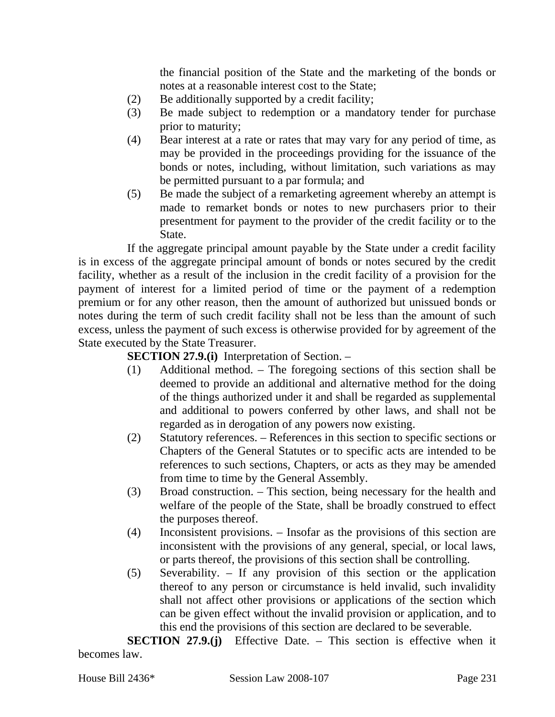the financial position of the State and the marketing of the bonds or notes at a reasonable interest cost to the State;

- (2) Be additionally supported by a credit facility;
- (3) Be made subject to redemption or a mandatory tender for purchase prior to maturity;
- (4) Bear interest at a rate or rates that may vary for any period of time, as may be provided in the proceedings providing for the issuance of the bonds or notes, including, without limitation, such variations as may be permitted pursuant to a par formula; and
- (5) Be made the subject of a remarketing agreement whereby an attempt is made to remarket bonds or notes to new purchasers prior to their presentment for payment to the provider of the credit facility or to the State.

If the aggregate principal amount payable by the State under a credit facility is in excess of the aggregate principal amount of bonds or notes secured by the credit facility, whether as a result of the inclusion in the credit facility of a provision for the payment of interest for a limited period of time or the payment of a redemption premium or for any other reason, then the amount of authorized but unissued bonds or notes during the term of such credit facility shall not be less than the amount of such excess, unless the payment of such excess is otherwise provided for by agreement of the State executed by the State Treasurer.

**SECTION 27.9.(i)** Interpretation of Section. –

- (1) Additional method. The foregoing sections of this section shall be deemed to provide an additional and alternative method for the doing of the things authorized under it and shall be regarded as supplemental and additional to powers conferred by other laws, and shall not be regarded as in derogation of any powers now existing.
- (2) Statutory references. References in this section to specific sections or Chapters of the General Statutes or to specific acts are intended to be references to such sections, Chapters, or acts as they may be amended from time to time by the General Assembly.
- (3) Broad construction. This section, being necessary for the health and welfare of the people of the State, shall be broadly construed to effect the purposes thereof.
- (4) Inconsistent provisions. Insofar as the provisions of this section are inconsistent with the provisions of any general, special, or local laws, or parts thereof, the provisions of this section shall be controlling.
- (5) Severability. If any provision of this section or the application thereof to any person or circumstance is held invalid, such invalidity shall not affect other provisions or applications of the section which can be given effect without the invalid provision or application, and to this end the provisions of this section are declared to be severable.

**SECTION 27.9.(j)** Effective Date. – This section is effective when it becomes law.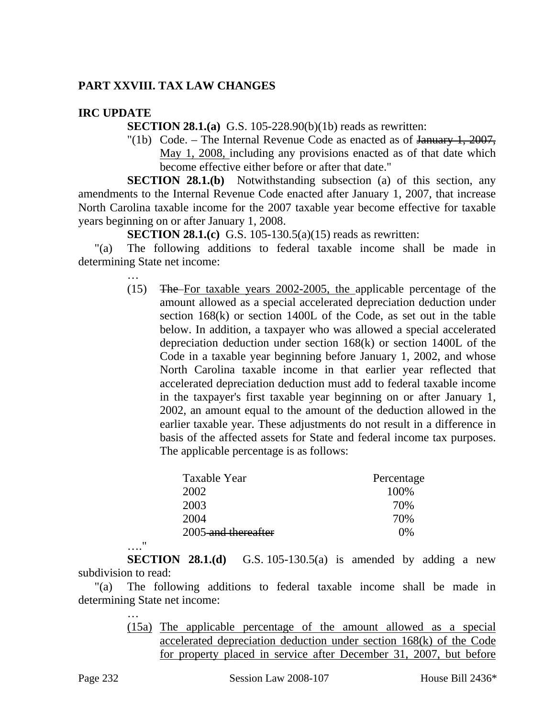# **PART XXVIII. TAX LAW CHANGES**

## **IRC UPDATE**

**SECTION 28.1.(a)** G.S. 105-228.90(b)(1b) reads as rewritten:

"(1b) Code. – The Internal Revenue Code as enacted as of  $\frac{1}{2007}$ , May 1, 2008, including any provisions enacted as of that date which become effective either before or after that date."

**SECTION 28.1.(b)** Notwithstanding subsection (a) of this section, any amendments to the Internal Revenue Code enacted after January 1, 2007, that increase North Carolina taxable income for the 2007 taxable year become effective for taxable years beginning on or after January 1, 2008.

**SECTION 28.1.(c)** G.S. 105-130.5(a)(15) reads as rewritten:

"(a) The following additions to federal taxable income shall be made in determining State net income:

> … (15) The For taxable years 2002-2005, the applicable percentage of the amount allowed as a special accelerated depreciation deduction under section 168(k) or section 1400L of the Code, as set out in the table below. In addition, a taxpayer who was allowed a special accelerated depreciation deduction under section 168(k) or section 1400L of the Code in a taxable year beginning before January 1, 2002, and whose North Carolina taxable income in that earlier year reflected that accelerated depreciation deduction must add to federal taxable income in the taxpayer's first taxable year beginning on or after January 1, 2002, an amount equal to the amount of the deduction allowed in the earlier taxable year. These adjustments do not result in a difference in basis of the affected assets for State and federal income tax purposes. The applicable percentage is as follows:

| Taxable Year        | Percentage |
|---------------------|------------|
| 2002                | 100%       |
| 2003                | 70%        |
| 2004                | 70%        |
| 2005-and thereafter | $0\%$      |

**SECTION 28.1.(d)** G.S. 105-130.5(a) is amended by adding a new subdivision to read:

"(a) The following additions to federal taxable income shall be made in determining State net income:

> … (15a) The applicable percentage of the amount allowed as a special accelerated depreciation deduction under section 168(k) of the Code for property placed in service after December 31, 2007, but before

…."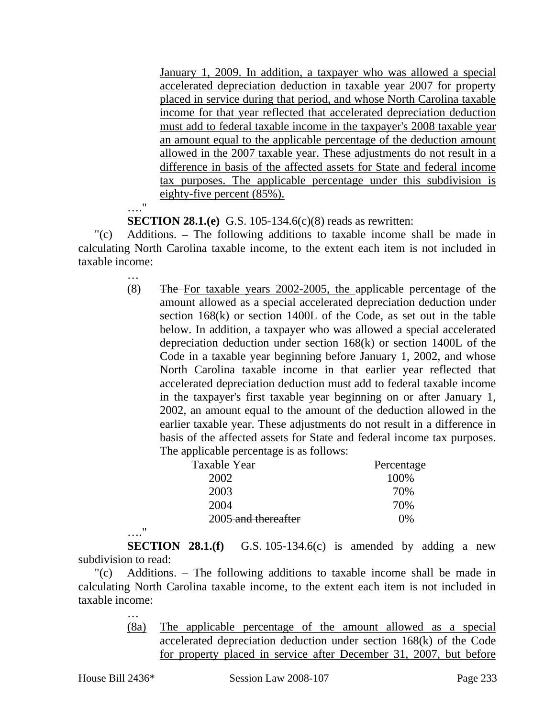January 1, 2009. In addition, a taxpayer who was allowed a special accelerated depreciation deduction in taxable year 2007 for property placed in service during that period, and whose North Carolina taxable income for that year reflected that accelerated depreciation deduction must add to federal taxable income in the taxpayer's 2008 taxable year an amount equal to the applicable percentage of the deduction amount allowed in the 2007 taxable year. These adjustments do not result in a difference in basis of the affected assets for State and federal income tax purposes. The applicable percentage under this subdivision is eighty-five percent (85%).

…."

…

**SECTION 28.1.(e)** G.S. 105-134.6(c)(8) reads as rewritten:

"(c) Additions. – The following additions to taxable income shall be made in calculating North Carolina taxable income, to the extent each item is not included in taxable income:

> (8) The For taxable years 2002-2005, the applicable percentage of the amount allowed as a special accelerated depreciation deduction under section 168(k) or section 1400L of the Code, as set out in the table below. In addition, a taxpayer who was allowed a special accelerated depreciation deduction under section 168(k) or section 1400L of the Code in a taxable year beginning before January 1, 2002, and whose North Carolina taxable income in that earlier year reflected that accelerated depreciation deduction must add to federal taxable income in the taxpayer's first taxable year beginning on or after January 1, 2002, an amount equal to the amount of the deduction allowed in the earlier taxable year. These adjustments do not result in a difference in basis of the affected assets for State and federal income tax purposes. The applicable percentage is as follows:

| Taxable Year        | Percentage |
|---------------------|------------|
| 2002                | 100%       |
| 2003                | 70%        |
| 2004                | 70%        |
| 2005 and thereafter | $0\%$      |

…." **SECTION 28.1.(f)** G.S. 105-134.6(c) is amended by adding a new subdivision to read:

"(c) Additions. – The following additions to taxable income shall be made in calculating North Carolina taxable income, to the extent each item is not included in taxable income:

- …
- (8a) The applicable percentage of the amount allowed as a special accelerated depreciation deduction under section 168(k) of the Code for property placed in service after December 31, 2007, but before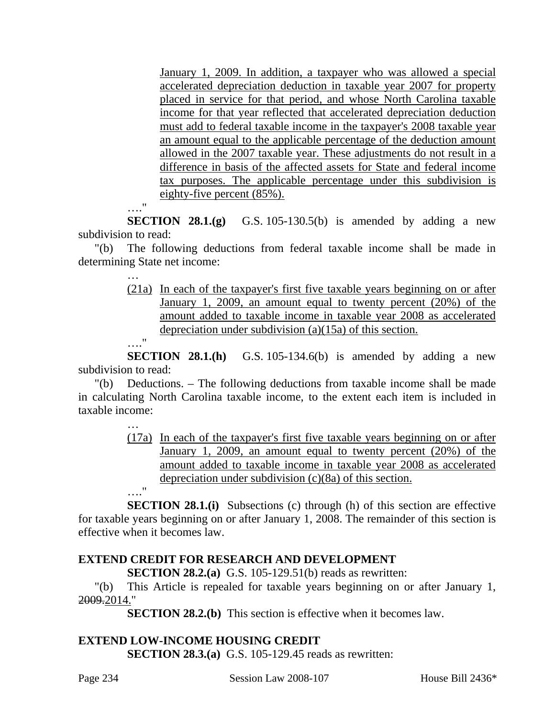January 1, 2009. In addition, a taxpayer who was allowed a special accelerated depreciation deduction in taxable year 2007 for property placed in service for that period, and whose North Carolina taxable income for that year reflected that accelerated depreciation deduction must add to federal taxable income in the taxpayer's 2008 taxable year an amount equal to the applicable percentage of the deduction amount allowed in the 2007 taxable year. These adjustments do not result in a difference in basis of the affected assets for State and federal income tax purposes. The applicable percentage under this subdivision is eighty-five percent (85%).

…."

**SECTION 28.1.(g)** G.S. 105-130.5(b) is amended by adding a new subdivision to read:

"(b) The following deductions from federal taxable income shall be made in determining State net income:

> (21a) In each of the taxpayer's first five taxable years beginning on or after January 1, 2009, an amount equal to twenty percent (20%) of the amount added to taxable income in taxable year 2008 as accelerated depreciation under subdivision (a)(15a) of this section.

…."

**SECTION 28.1.(h)** G.S. 105-134.6(b) is amended by adding a new subdivision to read:

"(b) Deductions. – The following deductions from taxable income shall be made in calculating North Carolina taxable income, to the extent each item is included in taxable income:

> (17a) In each of the taxpayer's first five taxable years beginning on or after January 1, 2009, an amount equal to twenty percent (20%) of the amount added to taxable income in taxable year 2008 as accelerated depreciation under subdivision (c)(8a) of this section.

…."

…

**SECTION 28.1.(i)** Subsections (c) through (h) of this section are effective for taxable years beginning on or after January 1, 2008. The remainder of this section is effective when it becomes law.

# **EXTEND CREDIT FOR RESEARCH AND DEVELOPMENT**

**SECTION 28.2.(a)** G.S. 105-129.51(b) reads as rewritten:

"(b) This Article is repealed for taxable years beginning on or after January 1, 2009.2014."

**SECTION 28.2.(b)** This section is effective when it becomes law.

# **EXTEND LOW-INCOME HOUSING CREDIT**

**SECTION 28.3.(a)** G.S. 105-129.45 reads as rewritten: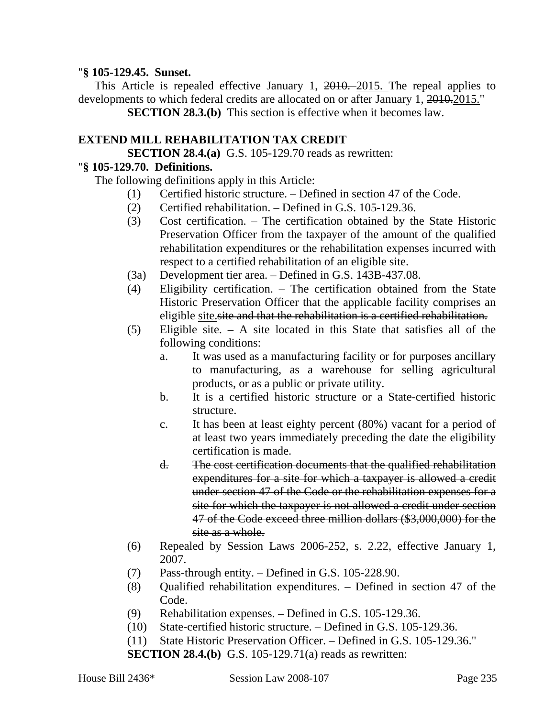#### "**§ 105-129.45. Sunset.**

This Article is repealed effective January 1, 2010. 2015. The repeal applies to developments to which federal credits are allocated on or after January 1, 2010.2015."

**SECTION 28.3.(b)** This section is effective when it becomes law.

### **EXTEND MILL REHABILITATION TAX CREDIT**

**SECTION 28.4.(a)** G.S. 105-129.70 reads as rewritten:

#### "**§ 105-129.70. Definitions.**

The following definitions apply in this Article:

- (1) Certified historic structure. Defined in section 47 of the Code.
- (2) Certified rehabilitation. Defined in G.S. 105-129.36.
- (3) Cost certification. The certification obtained by the State Historic Preservation Officer from the taxpayer of the amount of the qualified rehabilitation expenditures or the rehabilitation expenses incurred with respect to a certified rehabilitation of an eligible site.
- (3a) Development tier area. Defined in G.S. 143B-437.08.
- (4) Eligibility certification. The certification obtained from the State Historic Preservation Officer that the applicable facility comprises an eligible site.site and that the rehabilitation is a certified rehabilitation.
- (5) Eligible site. A site located in this State that satisfies all of the following conditions:
	- a. It was used as a manufacturing facility or for purposes ancillary to manufacturing, as a warehouse for selling agricultural products, or as a public or private utility.
	- b. It is a certified historic structure or a State-certified historic structure.
	- c. It has been at least eighty percent (80%) vacant for a period of at least two years immediately preceding the date the eligibility certification is made.
	- d. The cost certification documents that the qualified rehabilitation expenditures for a site for which a taxpayer is allowed a credit under section 47 of the Code or the rehabilitation expenses for a site for which the taxpayer is not allowed a credit under section 47 of the Code exceed three million dollars (\$3,000,000) for the site as a whole.
- (6) Repealed by Session Laws 2006-252, s. 2.22, effective January 1, 2007.
- (7) Pass-through entity. Defined in G.S. 105-228.90.
- (8) Qualified rehabilitation expenditures. Defined in section 47 of the Code.
- (9) Rehabilitation expenses. Defined in G.S. 105-129.36.
- (10) State-certified historic structure. Defined in G.S. 105-129.36.

(11) State Historic Preservation Officer. – Defined in G.S. 105-129.36."

**SECTION 28.4.(b)** G.S. 105-129.71(a) reads as rewritten: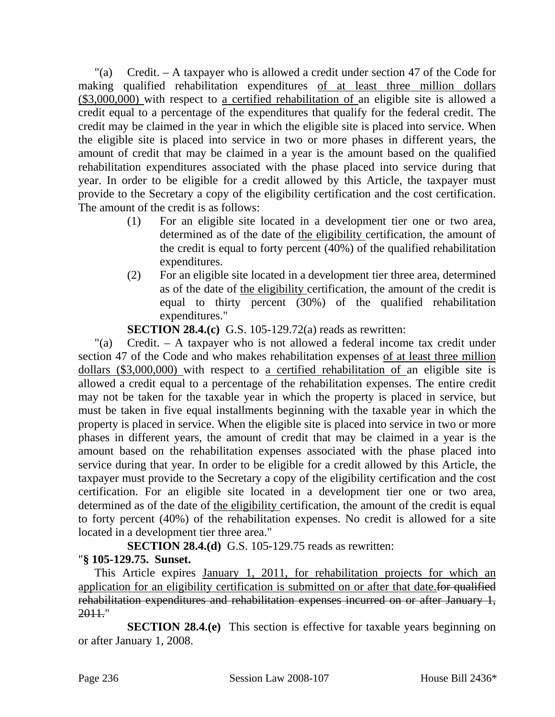"(a) Credit. – A taxpayer who is allowed a credit under section 47 of the Code for making qualified rehabilitation expenditures of at least three million dollars (\$3,000,000) with respect to a certified rehabilitation of an eligible site is allowed a credit equal to a percentage of the expenditures that qualify for the federal credit. The credit may be claimed in the year in which the eligible site is placed into service. When the eligible site is placed into service in two or more phases in different years, the amount of credit that may be claimed in a year is the amount based on the qualified rehabilitation expenditures associated with the phase placed into service during that year. In order to be eligible for a credit allowed by this Article, the taxpayer must provide to the Secretary a copy of the eligibility certification and the cost certification. The amount of the credit is as follows:

- (1) For an eligible site located in a development tier one or two area, determined as of the date of the eligibility certification, the amount of the credit is equal to forty percent (40%) of the qualified rehabilitation expenditures.
- (2) For an eligible site located in a development tier three area, determined as of the date of the eligibility certification, the amount of the credit is equal to thirty percent (30%) of the qualified rehabilitation expenditures."

**SECTION 28.4.(c)** G.S. 105-129.72(a) reads as rewritten:

"(a) Credit. – A taxpayer who is not allowed a federal income tax credit under section 47 of the Code and who makes rehabilitation expenses of at least three million dollars (\$3,000,000) with respect to a certified rehabilitation of an eligible site is allowed a credit equal to a percentage of the rehabilitation expenses. The entire credit may not be taken for the taxable year in which the property is placed in service, but must be taken in five equal installments beginning with the taxable year in which the property is placed in service. When the eligible site is placed into service in two or more phases in different years, the amount of credit that may be claimed in a year is the amount based on the rehabilitation expenses associated with the phase placed into service during that year. In order to be eligible for a credit allowed by this Article, the taxpayer must provide to the Secretary a copy of the eligibility certification and the cost certification. For an eligible site located in a development tier one or two area, determined as of the date of the eligibility certification, the amount of the credit is equal to forty percent (40%) of the rehabilitation expenses. No credit is allowed for a site located in a development tier three area."

**SECTION 28.4.(d)** G.S. 105-129.75 reads as rewritten:

# "**§ 105-129.75. Sunset.**

This Article expires January 1, 2011, for rehabilitation projects for which an application for an eligibility certification is submitted on or after that date.for qualified rehabilitation expenditures and rehabilitation expenses incurred on or after January 1, 2011."

**SECTION 28.4.(e)** This section is effective for taxable years beginning on or after January 1, 2008.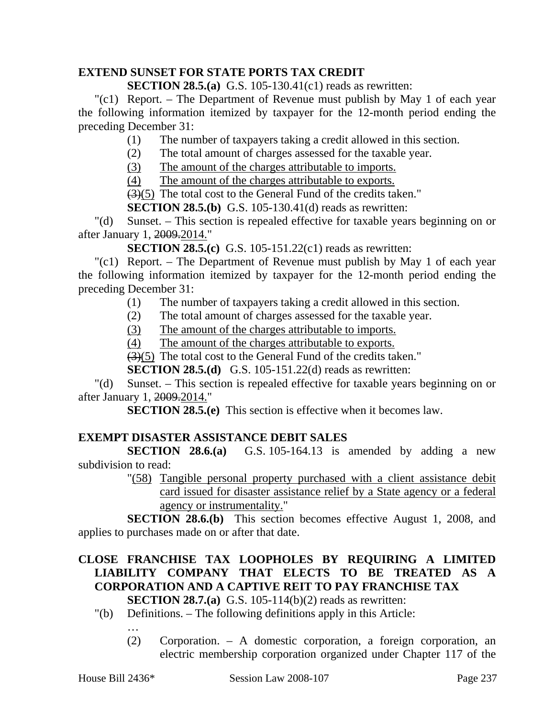## **EXTEND SUNSET FOR STATE PORTS TAX CREDIT**

**SECTION 28.5.(a)** G.S. 105-130.41(c1) reads as rewritten:

"(c1) Report. – The Department of Revenue must publish by May 1 of each year the following information itemized by taxpayer for the 12-month period ending the preceding December 31:

(1) The number of taxpayers taking a credit allowed in this section.

(2) The total amount of charges assessed for the taxable year.

(3) The amount of the charges attributable to imports.

(4) The amount of the charges attributable to exports.

(3)(5) The total cost to the General Fund of the credits taken."

**SECTION 28.5.(b)** G.S. 105-130.41(d) reads as rewritten:

"(d) Sunset. – This section is repealed effective for taxable years beginning on or after January 1, 2009.2014."

**SECTION 28.5.(c)** G.S. 105-151.22(c1) reads as rewritten:

"(c1) Report. – The Department of Revenue must publish by May 1 of each year the following information itemized by taxpayer for the 12-month period ending the preceding December 31:

(1) The number of taxpayers taking a credit allowed in this section.

- (2) The total amount of charges assessed for the taxable year.
- (3) The amount of the charges attributable to imports.

(4) The amount of the charges attributable to exports.

(3)(5) The total cost to the General Fund of the credits taken."

**SECTION 28.5.(d)** G.S. 105-151.22(d) reads as rewritten:

"(d) Sunset. – This section is repealed effective for taxable years beginning on or after January 1, 2009.2014."

**SECTION 28.5.(e)** This section is effective when it becomes law.

# **EXEMPT DISASTER ASSISTANCE DEBIT SALES**

**SECTION 28.6.(a)** G.S. 105-164.13 is amended by adding a new subdivision to read:

"(58) Tangible personal property purchased with a client assistance debit card issued for disaster assistance relief by a State agency or a federal agency or instrumentality."

**SECTION 28.6.(b)** This section becomes effective August 1, 2008, and applies to purchases made on or after that date.

# **CLOSE FRANCHISE TAX LOOPHOLES BY REQUIRING A LIMITED LIABILITY COMPANY THAT ELECTS TO BE TREATED AS A CORPORATION AND A CAPTIVE REIT TO PAY FRANCHISE TAX**

**SECTION 28.7.(a)** G.S. 105-114(b)(2) reads as rewritten:

"(b) Definitions. – The following definitions apply in this Article:

…

(2) Corporation. – A domestic corporation, a foreign corporation, an electric membership corporation organized under Chapter 117 of the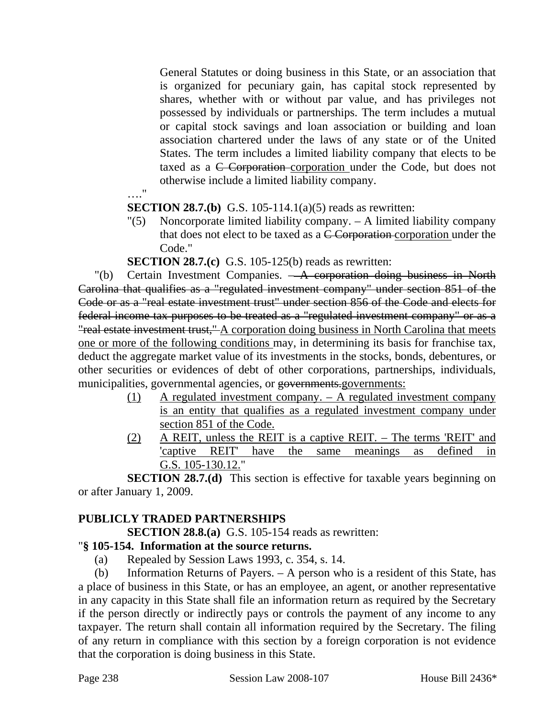General Statutes or doing business in this State, or an association that is organized for pecuniary gain, has capital stock represented by shares, whether with or without par value, and has privileges not possessed by individuals or partnerships. The term includes a mutual or capital stock savings and loan association or building and loan association chartered under the laws of any state or of the United States. The term includes a limited liability company that elects to be taxed as a C Corporation corporation under the Code, but does not otherwise include a limited liability company.

…."

**SECTION 28.7.(b)** G.S. 105-114.1(a)(5) reads as rewritten:

"(5) Noncorporate limited liability company. – A limited liability company that does not elect to be taxed as a  $\overline{C}$  Corporation corporation under the Code."

**SECTION 28.7.(c)** G.S. 105-125(b) reads as rewritten:

"(b) Certain Investment Companies. – A corporation doing business in North Carolina that qualifies as a "regulated investment company" under section 851 of the Code or as a "real estate investment trust" under section 856 of the Code and elects for federal income tax purposes to be treated as a "regulated investment company" or as a "real estate investment trust," A corporation doing business in North Carolina that meets one or more of the following conditions may, in determining its basis for franchise tax, deduct the aggregate market value of its investments in the stocks, bonds, debentures, or other securities or evidences of debt of other corporations, partnerships, individuals, municipalities, governmental agencies, or governments.governments:

- (1) A regulated investment company. A regulated investment company is an entity that qualifies as a regulated investment company under section 851 of the Code.
- (2) A REIT, unless the REIT is a captive REIT. The terms 'REIT' and 'captive REIT' have the same meanings as defined in G.S. 105-130.12."

**SECTION 28.7.(d)** This section is effective for taxable years beginning on or after January 1, 2009.

# **PUBLICLY TRADED PARTNERSHIPS**

**SECTION 28.8.(a)** G.S. 105-154 reads as rewritten:

## "**§ 105-154. Information at the source returns.**

(a) Repealed by Session Laws 1993, c. 354, s. 14.

(b) Information Returns of Payers. – A person who is a resident of this State, has a place of business in this State, or has an employee, an agent, or another representative in any capacity in this State shall file an information return as required by the Secretary if the person directly or indirectly pays or controls the payment of any income to any taxpayer. The return shall contain all information required by the Secretary. The filing of any return in compliance with this section by a foreign corporation is not evidence that the corporation is doing business in this State.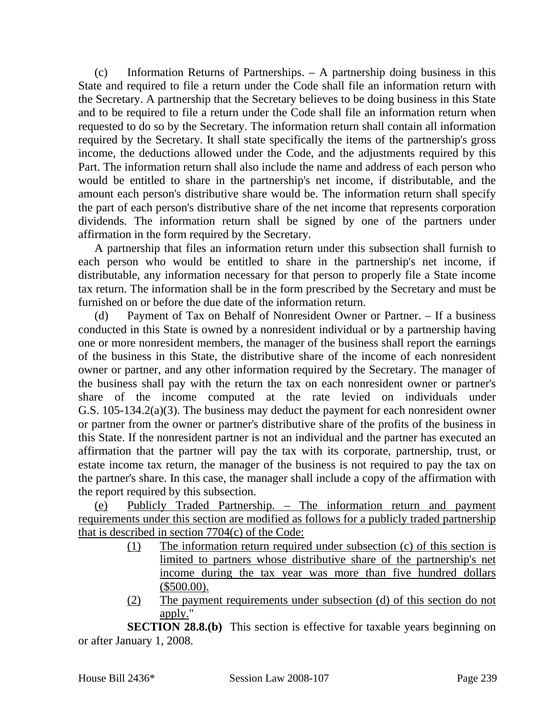(c) Information Returns of Partnerships. – A partnership doing business in this State and required to file a return under the Code shall file an information return with the Secretary. A partnership that the Secretary believes to be doing business in this State and to be required to file a return under the Code shall file an information return when requested to do so by the Secretary. The information return shall contain all information required by the Secretary. It shall state specifically the items of the partnership's gross income, the deductions allowed under the Code, and the adjustments required by this Part. The information return shall also include the name and address of each person who would be entitled to share in the partnership's net income, if distributable, and the amount each person's distributive share would be. The information return shall specify the part of each person's distributive share of the net income that represents corporation dividends. The information return shall be signed by one of the partners under affirmation in the form required by the Secretary.

A partnership that files an information return under this subsection shall furnish to each person who would be entitled to share in the partnership's net income, if distributable, any information necessary for that person to properly file a State income tax return. The information shall be in the form prescribed by the Secretary and must be furnished on or before the due date of the information return.

(d) Payment of Tax on Behalf of Nonresident Owner or Partner. – If a business conducted in this State is owned by a nonresident individual or by a partnership having one or more nonresident members, the manager of the business shall report the earnings of the business in this State, the distributive share of the income of each nonresident owner or partner, and any other information required by the Secretary. The manager of the business shall pay with the return the tax on each nonresident owner or partner's share of the income computed at the rate levied on individuals under G.S. 105-134.2(a)(3). The business may deduct the payment for each nonresident owner or partner from the owner or partner's distributive share of the profits of the business in this State. If the nonresident partner is not an individual and the partner has executed an affirmation that the partner will pay the tax with its corporate, partnership, trust, or estate income tax return, the manager of the business is not required to pay the tax on the partner's share. In this case, the manager shall include a copy of the affirmation with the report required by this subsection.

(e) Publicly Traded Partnership. – The information return and payment requirements under this section are modified as follows for a publicly traded partnership that is described in section 7704(c) of the Code:

- (1) The information return required under subsection (c) of this section is limited to partners whose distributive share of the partnership's net income during the tax year was more than five hundred dollars (\$500.00).
- (2) The payment requirements under subsection (d) of this section do not apply."

**SECTION 28.8.(b)** This section is effective for taxable years beginning on or after January 1, 2008.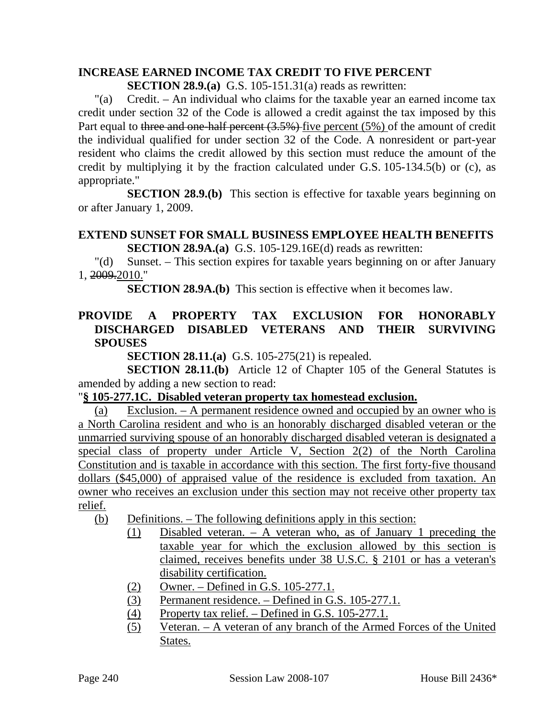# **INCREASE EARNED INCOME TAX CREDIT TO FIVE PERCENT**

**SECTION 28.9.(a)** G.S. 105-151.31(a) reads as rewritten:

"(a) Credit. – An individual who claims for the taxable year an earned income tax credit under section 32 of the Code is allowed a credit against the tax imposed by this Part equal to three and one-half percent (3.5%) five percent (5%) of the amount of credit the individual qualified for under section 32 of the Code. A nonresident or part-year resident who claims the credit allowed by this section must reduce the amount of the credit by multiplying it by the fraction calculated under G.S. 105-134.5(b) or (c), as appropriate."

**SECTION 28.9.(b)** This section is effective for taxable years beginning on or after January 1, 2009.

#### **EXTEND SUNSET FOR SMALL BUSINESS EMPLOYEE HEALTH BENEFITS SECTION 28.9A.(a)** G.S. 105-129.16E(d) reads as rewritten:

"(d) Sunset. – This section expires for taxable years beginning on or after January 1, 2009.2010."

**SECTION 28.9A.(b)** This section is effective when it becomes law.

# **PROVIDE A PROPERTY TAX EXCLUSION FOR HONORABLY DISCHARGED DISABLED VETERANS AND THEIR SURVIVING SPOUSES**

**SECTION 28.11.(a)** G.S. 105-275(21) is repealed.

**SECTION 28.11.(b)** Article 12 of Chapter 105 of the General Statutes is amended by adding a new section to read:

## "**§ 105-277.1C. Disabled veteran property tax homestead exclusion.**

(a) Exclusion. – A permanent residence owned and occupied by an owner who is a North Carolina resident and who is an honorably discharged disabled veteran or the unmarried surviving spouse of an honorably discharged disabled veteran is designated a special class of property under Article V, Section 2(2) of the North Carolina Constitution and is taxable in accordance with this section. The first forty-five thousand dollars (\$45,000) of appraised value of the residence is excluded from taxation. An owner who receives an exclusion under this section may not receive other property tax relief.

- (b) Definitions. The following definitions apply in this section:
	- (1) Disabled veteran. A veteran who, as of January 1 preceding the taxable year for which the exclusion allowed by this section is claimed, receives benefits under 38 U.S.C. § 2101 or has a veteran's disability certification.
	- (2) Owner. Defined in G.S. 105-277.1.
	- (3) Permanent residence. Defined in G.S. 105-277.1.
	- (4) Property tax relief. Defined in G.S. 105-277.1.
	- (5) Veteran. A veteran of any branch of the Armed Forces of the United States.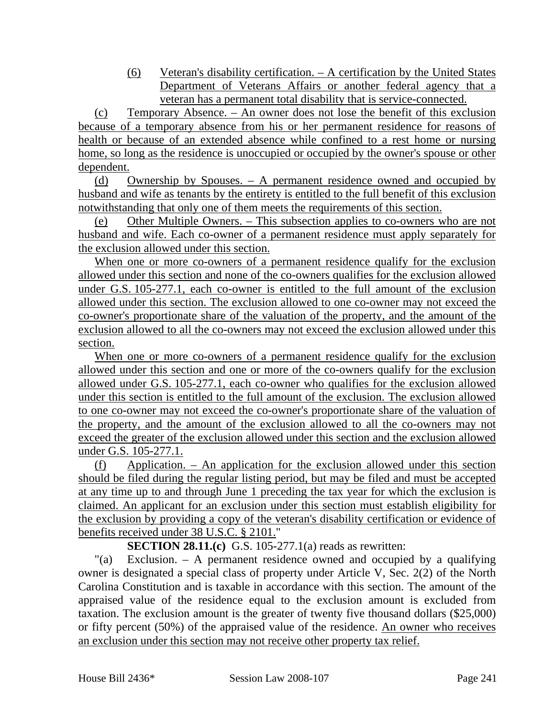(6) Veteran's disability certification. – A certification by the United States Department of Veterans Affairs or another federal agency that a veteran has a permanent total disability that is service-connected.

(c) Temporary Absence. – An owner does not lose the benefit of this exclusion because of a temporary absence from his or her permanent residence for reasons of health or because of an extended absence while confined to a rest home or nursing home, so long as the residence is unoccupied or occupied by the owner's spouse or other dependent.

(d) Ownership by Spouses. – A permanent residence owned and occupied by husband and wife as tenants by the entirety is entitled to the full benefit of this exclusion notwithstanding that only one of them meets the requirements of this section.

(e) Other Multiple Owners. – This subsection applies to co-owners who are not husband and wife. Each co-owner of a permanent residence must apply separately for the exclusion allowed under this section.

When one or more co-owners of a permanent residence qualify for the exclusion allowed under this section and none of the co-owners qualifies for the exclusion allowed under G.S. 105-277.1, each co-owner is entitled to the full amount of the exclusion allowed under this section. The exclusion allowed to one co-owner may not exceed the co-owner's proportionate share of the valuation of the property, and the amount of the exclusion allowed to all the co-owners may not exceed the exclusion allowed under this section.

When one or more co-owners of a permanent residence qualify for the exclusion allowed under this section and one or more of the co-owners qualify for the exclusion allowed under G.S. 105-277.1, each co-owner who qualifies for the exclusion allowed under this section is entitled to the full amount of the exclusion. The exclusion allowed to one co-owner may not exceed the co-owner's proportionate share of the valuation of the property, and the amount of the exclusion allowed to all the co-owners may not exceed the greater of the exclusion allowed under this section and the exclusion allowed under G.S. 105-277.1.

(f) Application. – An application for the exclusion allowed under this section should be filed during the regular listing period, but may be filed and must be accepted at any time up to and through June 1 preceding the tax year for which the exclusion is claimed. An applicant for an exclusion under this section must establish eligibility for the exclusion by providing a copy of the veteran's disability certification or evidence of benefits received under 38 U.S.C. § 2101."

**SECTION 28.11.(c)** G.S. 105-277.1(a) reads as rewritten:

"(a) Exclusion. – A permanent residence owned and occupied by a qualifying owner is designated a special class of property under Article V, Sec. 2(2) of the North Carolina Constitution and is taxable in accordance with this section. The amount of the appraised value of the residence equal to the exclusion amount is excluded from taxation. The exclusion amount is the greater of twenty five thousand dollars (\$25,000) or fifty percent (50%) of the appraised value of the residence. An owner who receives an exclusion under this section may not receive other property tax relief.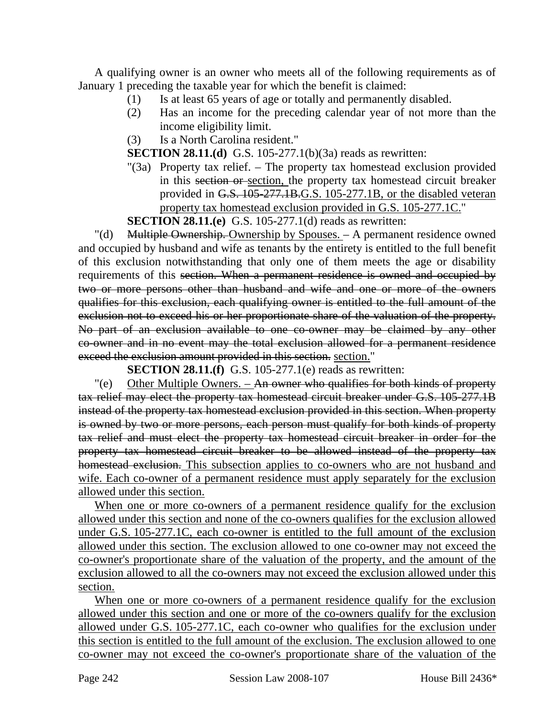A qualifying owner is an owner who meets all of the following requirements as of January 1 preceding the taxable year for which the benefit is claimed:

- (1) Is at least 65 years of age or totally and permanently disabled.
- (2) Has an income for the preceding calendar year of not more than the income eligibility limit.
- (3) Is a North Carolina resident."

**SECTION 28.11.(d)** G.S. 105-277.1(b)(3a) reads as rewritten:

"(3a) Property tax relief. – The property tax homestead exclusion provided in this section or section, the property tax homestead circuit breaker provided in G.S. 105-277.1B.G.S. 105-277.1B, or the disabled veteran property tax homestead exclusion provided in G.S. 105-277.1C."

**SECTION 28.11.(e)** G.S. 105-277.1(d) reads as rewritten:

"(d) Multiple Ownership. Ownership by Spouses. – A permanent residence owned and occupied by husband and wife as tenants by the entirety is entitled to the full benefit of this exclusion notwithstanding that only one of them meets the age or disability requirements of this section. When a permanent residence is owned and occupied by two or more persons other than husband and wife and one or more of the owners qualifies for this exclusion, each qualifying owner is entitled to the full amount of the exclusion not to exceed his or her proportionate share of the valuation of the property. No part of an exclusion available to one co-owner may be claimed by any other co-owner and in no event may the total exclusion allowed for a permanent residence exceed the exclusion amount provided in this section. section."

**SECTION 28.11.(f)** G.S. 105-277.1(e) reads as rewritten:

 $\degree$  (e) Other Multiple Owners. – An owner who qualifies for both kinds of property tax relief may elect the property tax homestead circuit breaker under G.S. 105-277.1B instead of the property tax homestead exclusion provided in this section. When property is owned by two or more persons, each person must qualify for both kinds of property tax relief and must elect the property tax homestead circuit breaker in order for the property tax homestead circuit breaker to be allowed instead of the property tax homestead exclusion. This subsection applies to co-owners who are not husband and wife. Each co-owner of a permanent residence must apply separately for the exclusion allowed under this section.

When one or more co-owners of a permanent residence qualify for the exclusion allowed under this section and none of the co-owners qualifies for the exclusion allowed under G.S. 105-277.1C, each co-owner is entitled to the full amount of the exclusion allowed under this section. The exclusion allowed to one co-owner may not exceed the co-owner's proportionate share of the valuation of the property, and the amount of the exclusion allowed to all the co-owners may not exceed the exclusion allowed under this section.

When one or more co-owners of a permanent residence qualify for the exclusion allowed under this section and one or more of the co-owners qualify for the exclusion allowed under G.S. 105-277.1C, each co-owner who qualifies for the exclusion under this section is entitled to the full amount of the exclusion. The exclusion allowed to one co-owner may not exceed the co-owner's proportionate share of the valuation of the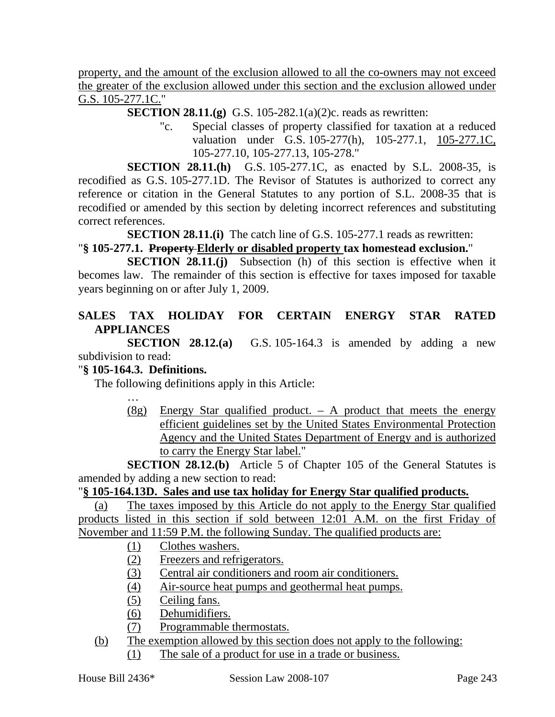property, and the amount of the exclusion allowed to all the co-owners may not exceed the greater of the exclusion allowed under this section and the exclusion allowed under G.S. 105-277.1C."

**SECTION 28.11.(g)** G.S. 105-282.1(a)(2)c. reads as rewritten:

"c. Special classes of property classified for taxation at a reduced valuation under G.S. 105-277(h), 105-277.1, 105-277.1C, 105-277.10, 105-277.13, 105-278."

**SECTION 28.11.(h)** G.S. 105-277.1C, as enacted by S.L. 2008-35, is recodified as G.S. 105-277.1D. The Revisor of Statutes is authorized to correct any reference or citation in the General Statutes to any portion of S.L. 2008-35 that is recodified or amended by this section by deleting incorrect references and substituting correct references.

**SECTION 28.11.(i)** The catch line of G.S. 105-277.1 reads as rewritten:

## "**§ 105-277.1. Property Elderly or disabled property tax homestead exclusion.**"

**SECTION 28.11.(j)** Subsection (h) of this section is effective when it becomes law. The remainder of this section is effective for taxes imposed for taxable years beginning on or after July 1, 2009.

# **SALES TAX HOLIDAY FOR CERTAIN ENERGY STAR RATED APPLIANCES**

**SECTION 28.12.(a)** G.S. 105-164.3 is amended by adding a new subdivision to read:

## "**§ 105-164.3. Definitions.**

The following definitions apply in this Article:

- 
- $(8g)$  Energy Star qualified product. A product that meets the energy efficient guidelines set by the United States Environmental Protection Agency and the United States Department of Energy and is authorized to carry the Energy Star label."

**SECTION 28.12.(b)** Article 5 of Chapter 105 of the General Statutes is amended by adding a new section to read:

## "**§ 105-164.13D. Sales and use tax holiday for Energy Star qualified products.**

(a) The taxes imposed by this Article do not apply to the Energy Star qualified products listed in this section if sold between 12:01 A.M. on the first Friday of November and 11:59 P.M. the following Sunday. The qualified products are:

- (1) Clothes washers.
- (2) Freezers and refrigerators.
- (3) Central air conditioners and room air conditioners.
- (4) Air-source heat pumps and geothermal heat pumps.
- (5) Ceiling fans.
- (6) Dehumidifiers.
- (7) Programmable thermostats.
- (b) The exemption allowed by this section does not apply to the following:
	- (1) The sale of a product for use in a trade or business.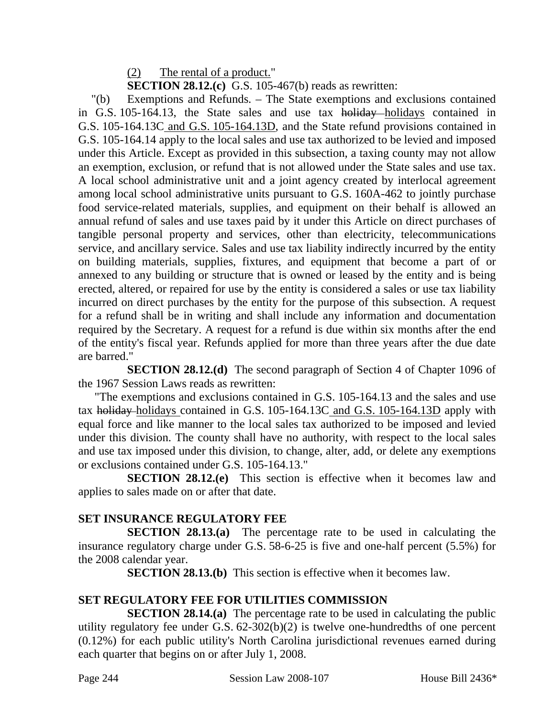(2) The rental of a product."

**SECTION 28.12.(c)** G.S. 105-467(b) reads as rewritten:

"(b) Exemptions and Refunds. – The State exemptions and exclusions contained in G.S. 105-164.13, the State sales and use tax holiday—holidays contained in G.S. 105-164.13C and G.S. 105-164.13D, and the State refund provisions contained in G.S. 105-164.14 apply to the local sales and use tax authorized to be levied and imposed under this Article. Except as provided in this subsection, a taxing county may not allow an exemption, exclusion, or refund that is not allowed under the State sales and use tax. A local school administrative unit and a joint agency created by interlocal agreement among local school administrative units pursuant to G.S. 160A-462 to jointly purchase food service-related materials, supplies, and equipment on their behalf is allowed an annual refund of sales and use taxes paid by it under this Article on direct purchases of tangible personal property and services, other than electricity, telecommunications service, and ancillary service. Sales and use tax liability indirectly incurred by the entity on building materials, supplies, fixtures, and equipment that become a part of or annexed to any building or structure that is owned or leased by the entity and is being erected, altered, or repaired for use by the entity is considered a sales or use tax liability incurred on direct purchases by the entity for the purpose of this subsection. A request for a refund shall be in writing and shall include any information and documentation required by the Secretary. A request for a refund is due within six months after the end of the entity's fiscal year. Refunds applied for more than three years after the due date are barred."

**SECTION 28.12.(d)** The second paragraph of Section 4 of Chapter 1096 of the 1967 Session Laws reads as rewritten:

"The exemptions and exclusions contained in G.S. 105-164.13 and the sales and use tax holiday holidays contained in G.S. 105-164.13C and G.S. 105-164.13D apply with equal force and like manner to the local sales tax authorized to be imposed and levied under this division. The county shall have no authority, with respect to the local sales and use tax imposed under this division, to change, alter, add, or delete any exemptions or exclusions contained under G.S. 105-164.13."

**SECTION 28.12.(e)** This section is effective when it becomes law and applies to sales made on or after that date.

# **SET INSURANCE REGULATORY FEE**

**SECTION 28.13.(a)** The percentage rate to be used in calculating the insurance regulatory charge under G.S. 58-6-25 is five and one-half percent (5.5%) for the 2008 calendar year.

**SECTION 28.13.(b)** This section is effective when it becomes law.

# **SET REGULATORY FEE FOR UTILITIES COMMISSION**

**SECTION 28.14.(a)** The percentage rate to be used in calculating the public utility regulatory fee under G.S. 62-302(b)(2) is twelve one-hundredths of one percent (0.12%) for each public utility's North Carolina jurisdictional revenues earned during each quarter that begins on or after July 1, 2008.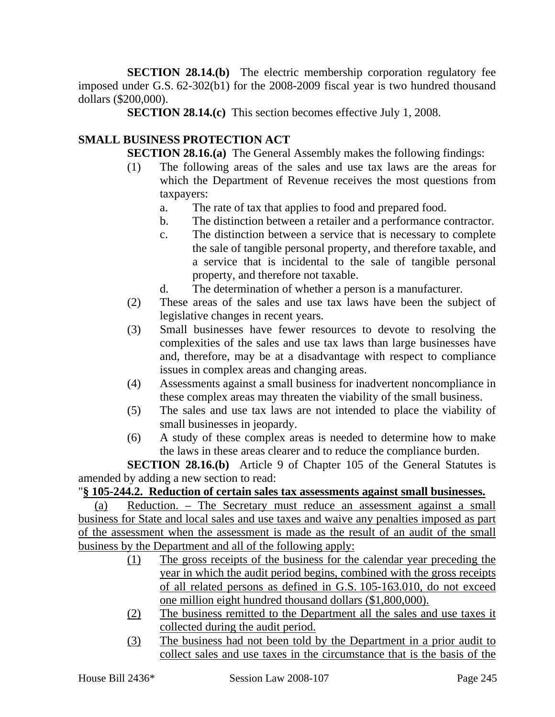**SECTION 28.14.(b)** The electric membership corporation regulatory fee imposed under G.S. 62-302(b1) for the 2008-2009 fiscal year is two hundred thousand dollars (\$200,000).

**SECTION 28.14.(c)** This section becomes effective July 1, 2008.

# **SMALL BUSINESS PROTECTION ACT**

**SECTION 28.16.(a)** The General Assembly makes the following findings:

- (1) The following areas of the sales and use tax laws are the areas for which the Department of Revenue receives the most questions from taxpayers:
	- a. The rate of tax that applies to food and prepared food.
	- b. The distinction between a retailer and a performance contractor.
	- c. The distinction between a service that is necessary to complete the sale of tangible personal property, and therefore taxable, and a service that is incidental to the sale of tangible personal property, and therefore not taxable.
	- d. The determination of whether a person is a manufacturer.
- (2) These areas of the sales and use tax laws have been the subject of legislative changes in recent years.
- (3) Small businesses have fewer resources to devote to resolving the complexities of the sales and use tax laws than large businesses have and, therefore, may be at a disadvantage with respect to compliance issues in complex areas and changing areas.
- (4) Assessments against a small business for inadvertent noncompliance in these complex areas may threaten the viability of the small business.
- (5) The sales and use tax laws are not intended to place the viability of small businesses in jeopardy.
- (6) A study of these complex areas is needed to determine how to make the laws in these areas clearer and to reduce the compliance burden.

**SECTION 28.16.(b)** Article 9 of Chapter 105 of the General Statutes is amended by adding a new section to read:

# "**§ 105-244.2. Reduction of certain sales tax assessments against small businesses.**

(a) Reduction. – The Secretary must reduce an assessment against a small business for State and local sales and use taxes and waive any penalties imposed as part of the assessment when the assessment is made as the result of an audit of the small business by the Department and all of the following apply:

- (1) The gross receipts of the business for the calendar year preceding the year in which the audit period begins, combined with the gross receipts of all related persons as defined in G.S. 105-163.010, do not exceed one million eight hundred thousand dollars (\$1,800,000).
- (2) The business remitted to the Department all the sales and use taxes it collected during the audit period.
- (3) The business had not been told by the Department in a prior audit to collect sales and use taxes in the circumstance that is the basis of the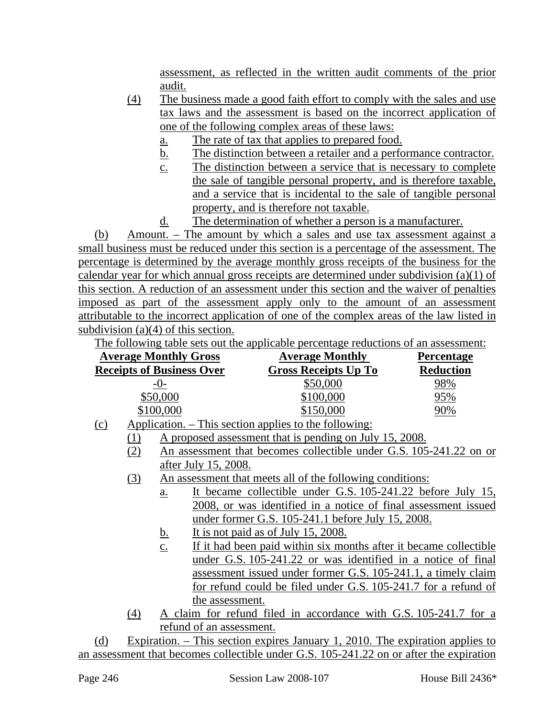assessment, as reflected in the written audit comments of the prior audit.

- (4) The business made a good faith effort to comply with the sales and use tax laws and the assessment is based on the incorrect application of one of the following complex areas of these laws:
	- a. The rate of tax that applies to prepared food.
	- b. The distinction between a retailer and a performance contractor.
	- c. The distinction between a service that is necessary to complete the sale of tangible personal property, and is therefore taxable, and a service that is incidental to the sale of tangible personal property, and is therefore not taxable.
	- d. The determination of whether a person is a manufacturer.

(b) Amount. – The amount by which a sales and use tax assessment against a small business must be reduced under this section is a percentage of the assessment. The percentage is determined by the average monthly gross receipts of the business for the calendar year for which annual gross receipts are determined under subdivision (a)(1) of this section. A reduction of an assessment under this section and the waiver of penalties imposed as part of the assessment apply only to the amount of an assessment attributable to the incorrect application of one of the complex areas of the law listed in subdivision (a)(4) of this section.

The following table sets out the applicable percentage reductions of an assessment:

| <b>Average Monthly Gross</b>     | <b>Average Monthly</b>                                     | <b>Percentage</b> |
|----------------------------------|------------------------------------------------------------|-------------------|
| <b>Receipts of Business Over</b> | <b>Gross Receipts Up To</b>                                | <b>Reduction</b>  |
| $-0-$                            | \$50,000                                                   | 98%               |
| \$50,000                         | \$100,000                                                  | 95%               |
| \$100,000                        | \$150,000                                                  | 90%               |
| .<br>$\lambda$ are the set       | $\mathbf{11}$ . $\mathbf{1}$ . $\mathbf{1}$ . $\mathbf{1}$ |                   |

- (c) Application. This section applies to the following:
	- (1) A proposed assessment that is pending on July 15, 2008.
		- (2) An assessment that becomes collectible under G.S. 105-241.22 on or after July 15, 2008.
		- (3) An assessment that meets all of the following conditions:
			- a. It became collectible under G.S. 105-241.22 before July 15, 2008, or was identified in a notice of final assessment issued under former G.S. 105-241.1 before July 15, 2008.
			- b. It is not paid as of July 15, 2008.
			- c. If it had been paid within six months after it became collectible under G.S. 105-241.22 or was identified in a notice of final assessment issued under former G.S. 105-241.1, a timely claim for refund could be filed under G.S. 105-241.7 for a refund of the assessment.
		- (4) A claim for refund filed in accordance with G.S. 105-241.7 for a refund of an assessment.

(d) Expiration. – This section expires January 1, 2010. The expiration applies to an assessment that becomes collectible under G.S. 105-241.22 on or after the expiration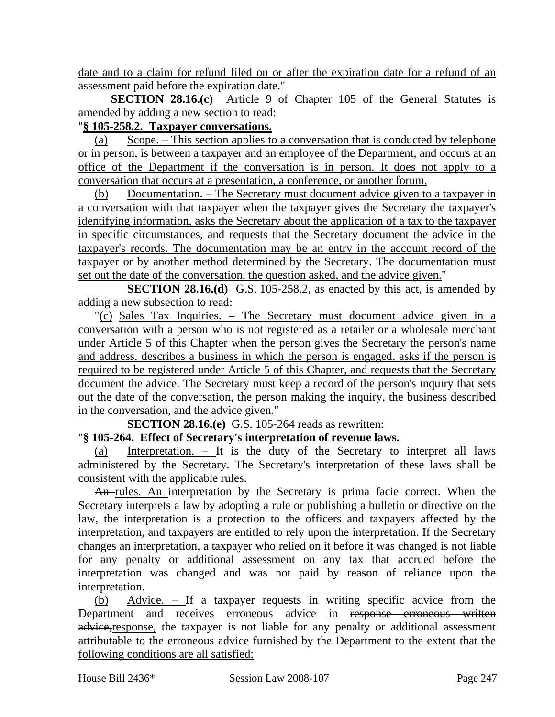date and to a claim for refund filed on or after the expiration date for a refund of an assessment paid before the expiration date."

**SECTION 28.16.(c)** Article 9 of Chapter 105 of the General Statutes is amended by adding a new section to read:

# "**§ 105-258.2. Taxpayer conversations.**

(a) Scope. – This section applies to a conversation that is conducted by telephone or in person, is between a taxpayer and an employee of the Department, and occurs at an office of the Department if the conversation is in person. It does not apply to a conversation that occurs at a presentation, a conference, or another forum.

(b) Documentation. – The Secretary must document advice given to a taxpayer in a conversation with that taxpayer when the taxpayer gives the Secretary the taxpayer's identifying information, asks the Secretary about the application of a tax to the taxpayer in specific circumstances, and requests that the Secretary document the advice in the taxpayer's records. The documentation may be an entry in the account record of the taxpayer or by another method determined by the Secretary. The documentation must set out the date of the conversation, the question asked, and the advice given."

**SECTION 28.16.(d)** G.S. 105-258.2, as enacted by this act, is amended by adding a new subsection to read:

"(c) Sales Tax Inquiries. – The Secretary must document advice given in a conversation with a person who is not registered as a retailer or a wholesale merchant under Article 5 of this Chapter when the person gives the Secretary the person's name and address, describes a business in which the person is engaged, asks if the person is required to be registered under Article 5 of this Chapter, and requests that the Secretary document the advice. The Secretary must keep a record of the person's inquiry that sets out the date of the conversation, the person making the inquiry, the business described in the conversation, and the advice given."

**SECTION 28.16.(e)** G.S. 105-264 reads as rewritten:

# "**§ 105-264. Effect of Secretary's interpretation of revenue laws.**

Interpretation.  $-$  It is the duty of the Secretary to interpret all laws administered by the Secretary. The Secretary's interpretation of these laws shall be consistent with the applicable rules.

An rules. An interpretation by the Secretary is prima facie correct. When the Secretary interprets a law by adopting a rule or publishing a bulletin or directive on the law, the interpretation is a protection to the officers and taxpayers affected by the interpretation, and taxpayers are entitled to rely upon the interpretation. If the Secretary changes an interpretation, a taxpayer who relied on it before it was changed is not liable for any penalty or additional assessment on any tax that accrued before the interpretation was changed and was not paid by reason of reliance upon the interpretation.

(b) Advice. – If a taxpayer requests in writing specific advice from the Department and receives erroneous advice in response erroneous written advice, response, the taxpayer is not liable for any penalty or additional assessment attributable to the erroneous advice furnished by the Department to the extent that the following conditions are all satisfied: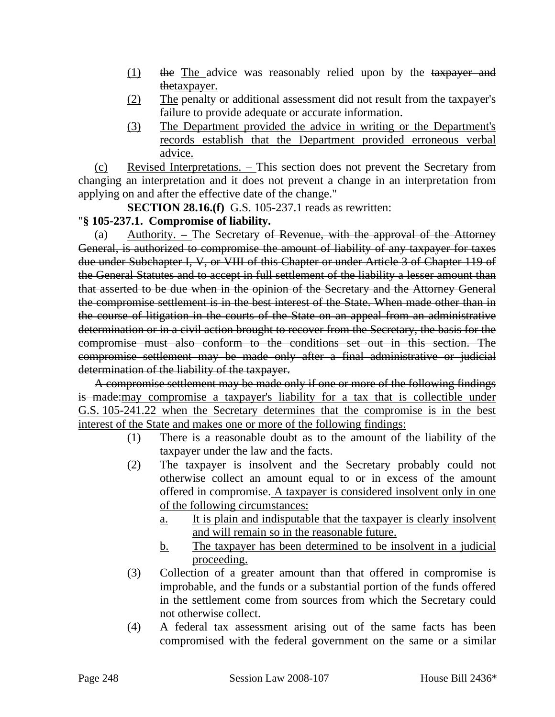- (1) the The advice was reasonably relied upon by the taxpayer and thetaxpayer.
- (2) The penalty or additional assessment did not result from the taxpayer's failure to provide adequate or accurate information.
- (3) The Department provided the advice in writing or the Department's records establish that the Department provided erroneous verbal advice.

(c) Revised Interpretations. – This section does not prevent the Secretary from changing an interpretation and it does not prevent a change in an interpretation from applying on and after the effective date of the change."

**SECTION 28.16.(f)** G.S. 105-237.1 reads as rewritten:

### "**§ 105-237.1. Compromise of liability.**

(a) Authority. – The Secretary of Revenue, with the approval of the Attorney General, is authorized to compromise the amount of liability of any taxpayer for taxes due under Subchapter I, V, or VIII of this Chapter or under Article 3 of Chapter 119 of the General Statutes and to accept in full settlement of the liability a lesser amount than that asserted to be due when in the opinion of the Secretary and the Attorney General the compromise settlement is in the best interest of the State. When made other than in the course of litigation in the courts of the State on an appeal from an administrative determination or in a civil action brought to recover from the Secretary, the basis for the compromise must also conform to the conditions set out in this section. The compromise settlement may be made only after a final administrative or judicial determination of the liability of the taxpayer.

A compromise settlement may be made only if one or more of the following findings is made:may compromise a taxpayer's liability for a tax that is collectible under G.S. 105-241.22 when the Secretary determines that the compromise is in the best interest of the State and makes one or more of the following findings:

- (1) There is a reasonable doubt as to the amount of the liability of the taxpayer under the law and the facts.
- (2) The taxpayer is insolvent and the Secretary probably could not otherwise collect an amount equal to or in excess of the amount offered in compromise. A taxpayer is considered insolvent only in one of the following circumstances:
	- a. It is plain and indisputable that the taxpayer is clearly insolvent and will remain so in the reasonable future.
	- b. The taxpayer has been determined to be insolvent in a judicial proceeding.
- (3) Collection of a greater amount than that offered in compromise is improbable, and the funds or a substantial portion of the funds offered in the settlement come from sources from which the Secretary could not otherwise collect.
- (4) A federal tax assessment arising out of the same facts has been compromised with the federal government on the same or a similar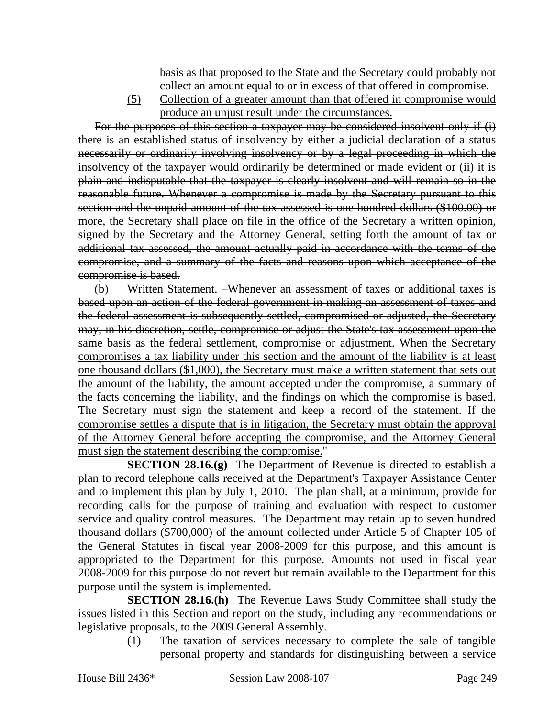basis as that proposed to the State and the Secretary could probably not collect an amount equal to or in excess of that offered in compromise.

(5) Collection of a greater amount than that offered in compromise would produce an unjust result under the circumstances.

For the purposes of this section a taxpayer may be considered insolvent only if (i) there is an established status of insolvency by either a judicial declaration of a status necessarily or ordinarily involving insolvency or by a legal proceeding in which the insolvency of the taxpayer would ordinarily be determined or made evident or (ii) it is plain and indisputable that the taxpayer is clearly insolvent and will remain so in the reasonable future. Whenever a compromise is made by the Secretary pursuant to this section and the unpaid amount of the tax assessed is one hundred dollars (\$100.00) or more, the Secretary shall place on file in the office of the Secretary a written opinion, signed by the Secretary and the Attorney General, setting forth the amount of tax or additional tax assessed, the amount actually paid in accordance with the terms of the compromise, and a summary of the facts and reasons upon which acceptance of the compromise is based.

(b) Written Statement. –Whenever an assessment of taxes or additional taxes is based upon an action of the federal government in making an assessment of taxes and the federal assessment is subsequently settled, compromised or adjusted, the Secretary may, in his discretion, settle, compromise or adjust the State's tax assessment upon the same basis as the federal settlement, compromise or adjustment. When the Secretary compromises a tax liability under this section and the amount of the liability is at least one thousand dollars (\$1,000), the Secretary must make a written statement that sets out the amount of the liability, the amount accepted under the compromise, a summary of the facts concerning the liability, and the findings on which the compromise is based. The Secretary must sign the statement and keep a record of the statement. If the compromise settles a dispute that is in litigation, the Secretary must obtain the approval of the Attorney General before accepting the compromise, and the Attorney General must sign the statement describing the compromise."

**SECTION 28.16.(g)** The Department of Revenue is directed to establish a plan to record telephone calls received at the Department's Taxpayer Assistance Center and to implement this plan by July 1, 2010. The plan shall, at a minimum, provide for recording calls for the purpose of training and evaluation with respect to customer service and quality control measures. The Department may retain up to seven hundred thousand dollars (\$700,000) of the amount collected under Article 5 of Chapter 105 of the General Statutes in fiscal year 2008-2009 for this purpose, and this amount is appropriated to the Department for this purpose. Amounts not used in fiscal year 2008-2009 for this purpose do not revert but remain available to the Department for this purpose until the system is implemented.

**SECTION 28.16.(h)** The Revenue Laws Study Committee shall study the issues listed in this Section and report on the study, including any recommendations or legislative proposals, to the 2009 General Assembly.

(1) The taxation of services necessary to complete the sale of tangible personal property and standards for distinguishing between a service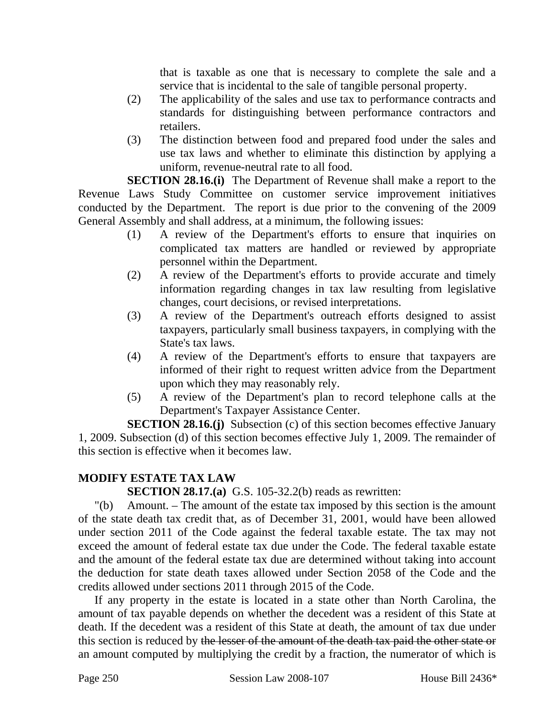that is taxable as one that is necessary to complete the sale and a service that is incidental to the sale of tangible personal property.

- (2) The applicability of the sales and use tax to performance contracts and standards for distinguishing between performance contractors and retailers.
- (3) The distinction between food and prepared food under the sales and use tax laws and whether to eliminate this distinction by applying a uniform, revenue-neutral rate to all food.

**SECTION 28.16.(i)** The Department of Revenue shall make a report to the Revenue Laws Study Committee on customer service improvement initiatives conducted by the Department. The report is due prior to the convening of the 2009 General Assembly and shall address, at a minimum, the following issues:

- (1) A review of the Department's efforts to ensure that inquiries on complicated tax matters are handled or reviewed by appropriate personnel within the Department.
- (2) A review of the Department's efforts to provide accurate and timely information regarding changes in tax law resulting from legislative changes, court decisions, or revised interpretations.
- (3) A review of the Department's outreach efforts designed to assist taxpayers, particularly small business taxpayers, in complying with the State's tax laws.
- (4) A review of the Department's efforts to ensure that taxpayers are informed of their right to request written advice from the Department upon which they may reasonably rely.
- (5) A review of the Department's plan to record telephone calls at the Department's Taxpayer Assistance Center.

**SECTION 28.16.(j)** Subsection (c) of this section becomes effective January 1, 2009. Subsection (d) of this section becomes effective July 1, 2009. The remainder of this section is effective when it becomes law.

# **MODIFY ESTATE TAX LAW**

# **SECTION 28.17.(a)** G.S. 105-32.2(b) reads as rewritten:

"(b) Amount. – The amount of the estate tax imposed by this section is the amount of the state death tax credit that, as of December 31, 2001, would have been allowed under section 2011 of the Code against the federal taxable estate. The tax may not exceed the amount of federal estate tax due under the Code. The federal taxable estate and the amount of the federal estate tax due are determined without taking into account the deduction for state death taxes allowed under Section 2058 of the Code and the credits allowed under sections 2011 through 2015 of the Code.

If any property in the estate is located in a state other than North Carolina, the amount of tax payable depends on whether the decedent was a resident of this State at death. If the decedent was a resident of this State at death, the amount of tax due under this section is reduced by the lesser of the amount of the death tax paid the other state or an amount computed by multiplying the credit by a fraction, the numerator of which is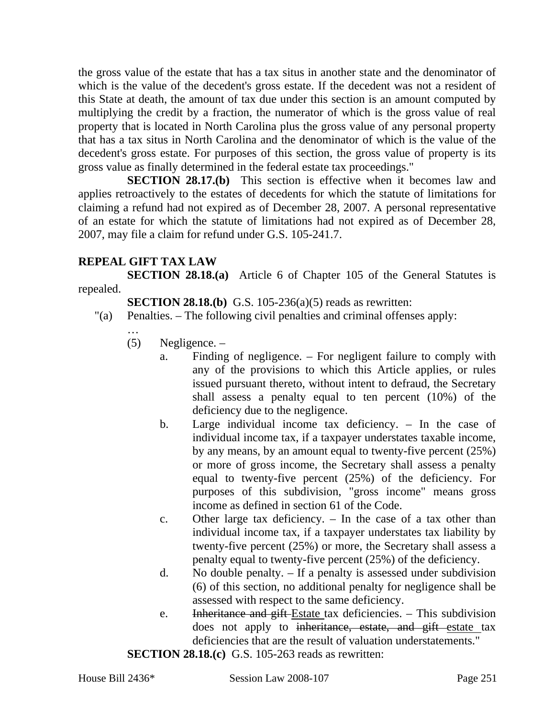the gross value of the estate that has a tax situs in another state and the denominator of which is the value of the decedent's gross estate. If the decedent was not a resident of this State at death, the amount of tax due under this section is an amount computed by multiplying the credit by a fraction, the numerator of which is the gross value of real property that is located in North Carolina plus the gross value of any personal property that has a tax situs in North Carolina and the denominator of which is the value of the decedent's gross estate. For purposes of this section, the gross value of property is its gross value as finally determined in the federal estate tax proceedings."

**SECTION 28.17.(b)** This section is effective when it becomes law and applies retroactively to the estates of decedents for which the statute of limitations for claiming a refund had not expired as of December 28, 2007. A personal representative of an estate for which the statute of limitations had not expired as of December 28, 2007, may file a claim for refund under G.S. 105-241.7.

## **REPEAL GIFT TAX LAW**

**SECTION 28.18.(a)** Article 6 of Chapter 105 of the General Statutes is repealed.

**SECTION 28.18.(b)** G.S. 105-236(a)(5) reads as rewritten:

- "(a) Penalties. The following civil penalties and criminal offenses apply:
	- …
	- (5) Negligence.
		- a. Finding of negligence. For negligent failure to comply with any of the provisions to which this Article applies, or rules issued pursuant thereto, without intent to defraud, the Secretary shall assess a penalty equal to ten percent (10%) of the deficiency due to the negligence.
		- b. Large individual income tax deficiency. In the case of individual income tax, if a taxpayer understates taxable income, by any means, by an amount equal to twenty-five percent (25%) or more of gross income, the Secretary shall assess a penalty equal to twenty-five percent (25%) of the deficiency. For purposes of this subdivision, "gross income" means gross income as defined in section 61 of the Code.
		- c. Other large tax deficiency. In the case of a tax other than individual income tax, if a taxpayer understates tax liability by twenty-five percent (25%) or more, the Secretary shall assess a penalty equal to twenty-five percent (25%) of the deficiency.
		- d. No double penalty. If a penalty is assessed under subdivision (6) of this section, no additional penalty for negligence shall be assessed with respect to the same deficiency.
		- e. Inheritance and gift Estate tax deficiencies. This subdivision does not apply to inheritance, estate, and gift estate tax deficiencies that are the result of valuation understatements."

**SECTION 28.18.(c)** G.S. 105-263 reads as rewritten: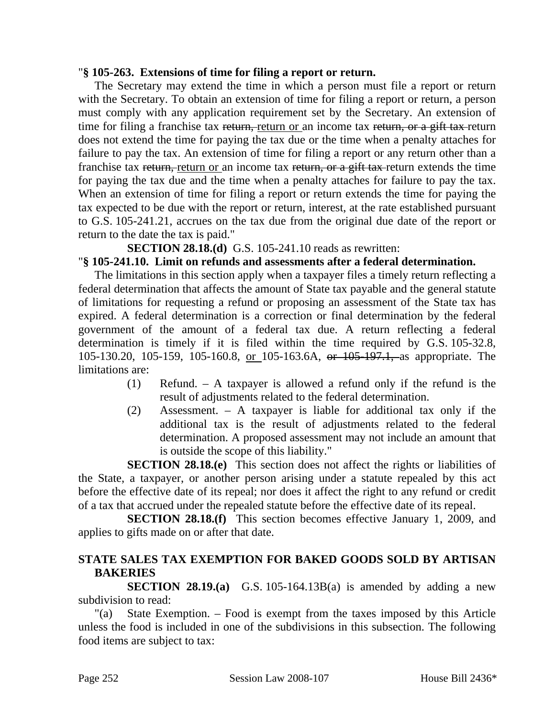#### "**§ 105-263. Extensions of time for filing a report or return.**

The Secretary may extend the time in which a person must file a report or return with the Secretary. To obtain an extension of time for filing a report or return, a person must comply with any application requirement set by the Secretary. An extension of time for filing a franchise tax return, return or an income tax return, or a gift tax-return does not extend the time for paying the tax due or the time when a penalty attaches for failure to pay the tax. An extension of time for filing a report or any return other than a franchise tax return, return or an income tax return, or a gift tax return extends the time for paying the tax due and the time when a penalty attaches for failure to pay the tax. When an extension of time for filing a report or return extends the time for paying the tax expected to be due with the report or return, interest, at the rate established pursuant to G.S. 105-241.21, accrues on the tax due from the original due date of the report or return to the date the tax is paid."

**SECTION 28.18.(d)** G.S. 105-241.10 reads as rewritten:

## "**§ 105-241.10. Limit on refunds and assessments after a federal determination.**

The limitations in this section apply when a taxpayer files a timely return reflecting a federal determination that affects the amount of State tax payable and the general statute of limitations for requesting a refund or proposing an assessment of the State tax has expired. A federal determination is a correction or final determination by the federal government of the amount of a federal tax due. A return reflecting a federal determination is timely if it is filed within the time required by G.S. 105-32.8, 105-130.20, 105-159, 105-160.8, or 105-163.6A, or 105-197.1, as appropriate. The limitations are:

- (1) Refund. A taxpayer is allowed a refund only if the refund is the result of adjustments related to the federal determination.
- (2) Assessment. A taxpayer is liable for additional tax only if the additional tax is the result of adjustments related to the federal determination. A proposed assessment may not include an amount that is outside the scope of this liability."

**SECTION 28.18.(e)** This section does not affect the rights or liabilities of the State, a taxpayer, or another person arising under a statute repealed by this act before the effective date of its repeal; nor does it affect the right to any refund or credit of a tax that accrued under the repealed statute before the effective date of its repeal.

**SECTION 28.18.(f)** This section becomes effective January 1, 2009, and applies to gifts made on or after that date.

# **STATE SALES TAX EXEMPTION FOR BAKED GOODS SOLD BY ARTISAN BAKERIES**

**SECTION 28.19.(a)** G.S. 105-164.13B(a) is amended by adding a new subdivision to read:

"(a) State Exemption. – Food is exempt from the taxes imposed by this Article unless the food is included in one of the subdivisions in this subsection. The following food items are subject to tax: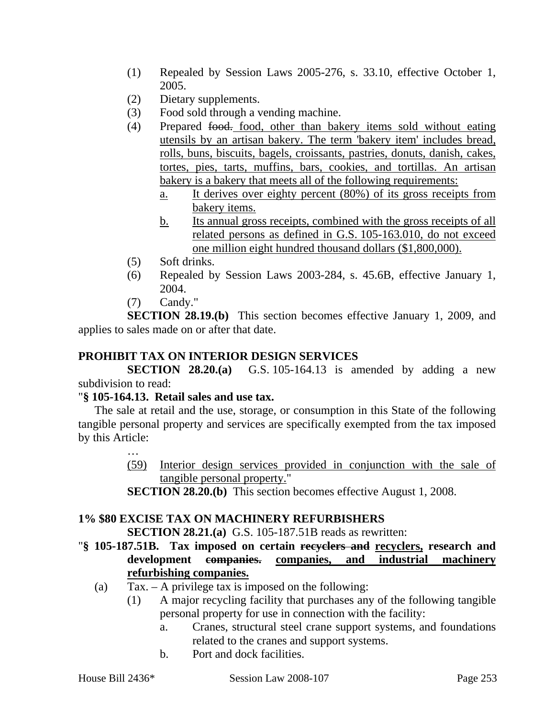- (1) Repealed by Session Laws 2005-276, s. 33.10, effective October 1, 2005.
- (2) Dietary supplements.
- (3) Food sold through a vending machine.
- (4) Prepared food. food, other than bakery items sold without eating utensils by an artisan bakery. The term 'bakery item' includes bread, rolls, buns, biscuits, bagels, croissants, pastries, donuts, danish, cakes, tortes, pies, tarts, muffins, bars, cookies, and tortillas. An artisan bakery is a bakery that meets all of the following requirements:
	- a. It derives over eighty percent (80%) of its gross receipts from bakery items.
	- b. Its annual gross receipts, combined with the gross receipts of all related persons as defined in G.S. 105-163.010, do not exceed one million eight hundred thousand dollars (\$1,800,000).
- (5) Soft drinks.
- (6) Repealed by Session Laws 2003-284, s. 45.6B, effective January 1, 2004.
- (7) Candy."

**SECTION 28.19.(b)** This section becomes effective January 1, 2009, and applies to sales made on or after that date.

# **PROHIBIT TAX ON INTERIOR DESIGN SERVICES**

**SECTION 28.20.(a)** G.S. 105-164.13 is amended by adding a new subdivision to read:

### "**§ 105-164.13. Retail sales and use tax.**

The sale at retail and the use, storage, or consumption in this State of the following tangible personal property and services are specifically exempted from the tax imposed by this Article:

- …
- (59) Interior design services provided in conjunction with the sale of tangible personal property."
- **SECTION 28.20.(b)** This section becomes effective August 1, 2008.

# **1% \$80 EXCISE TAX ON MACHINERY REFURBISHERS**

**SECTION 28.21.(a)** G.S. 105-187.51B reads as rewritten:

- "**§ 105-187.51B. Tax imposed on certain recyclers and recyclers, research and development companies. companies, and industrial machinery refurbishing companies.**
	- (a)  $\text{Tax.} \text{A}$  privilege tax is imposed on the following:
		- (1) A major recycling facility that purchases any of the following tangible personal property for use in connection with the facility:
			- a. Cranes, structural steel crane support systems, and foundations related to the cranes and support systems.
			- b. Port and dock facilities.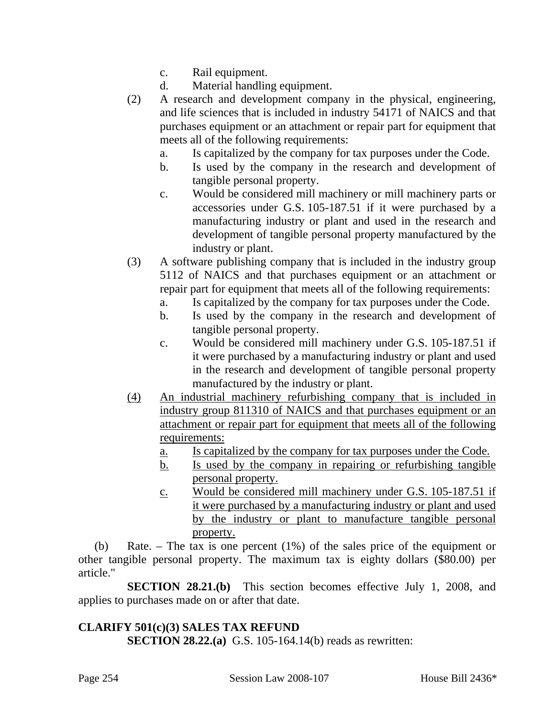- c. Rail equipment.
- d. Material handling equipment.
- (2) A research and development company in the physical, engineering, and life sciences that is included in industry 54171 of NAICS and that purchases equipment or an attachment or repair part for equipment that meets all of the following requirements:
	- a. Is capitalized by the company for tax purposes under the Code.
	- b. Is used by the company in the research and development of tangible personal property.
	- c. Would be considered mill machinery or mill machinery parts or accessories under G.S. 105-187.51 if it were purchased by a manufacturing industry or plant and used in the research and development of tangible personal property manufactured by the industry or plant.
- (3) A software publishing company that is included in the industry group 5112 of NAICS and that purchases equipment or an attachment or repair part for equipment that meets all of the following requirements:
	- a. Is capitalized by the company for tax purposes under the Code.
	- b. Is used by the company in the research and development of tangible personal property.
	- c. Would be considered mill machinery under G.S. 105-187.51 if it were purchased by a manufacturing industry or plant and used in the research and development of tangible personal property manufactured by the industry or plant.
- (4) An industrial machinery refurbishing company that is included in industry group 811310 of NAICS and that purchases equipment or an attachment or repair part for equipment that meets all of the following requirements:
	- a. Is capitalized by the company for tax purposes under the Code.
	- b. Is used by the company in repairing or refurbishing tangible personal property.
	- c. Would be considered mill machinery under G.S. 105-187.51 if it were purchased by a manufacturing industry or plant and used by the industry or plant to manufacture tangible personal property.

(b) Rate. – The tax is one percent (1%) of the sales price of the equipment or other tangible personal property. The maximum tax is eighty dollars (\$80.00) per article."

**SECTION 28.21.(b)** This section becomes effective July 1, 2008, and applies to purchases made on or after that date.

# **CLARIFY 501(c)(3) SALES TAX REFUND**

**SECTION 28.22.(a)** G.S. 105-164.14(b) reads as rewritten: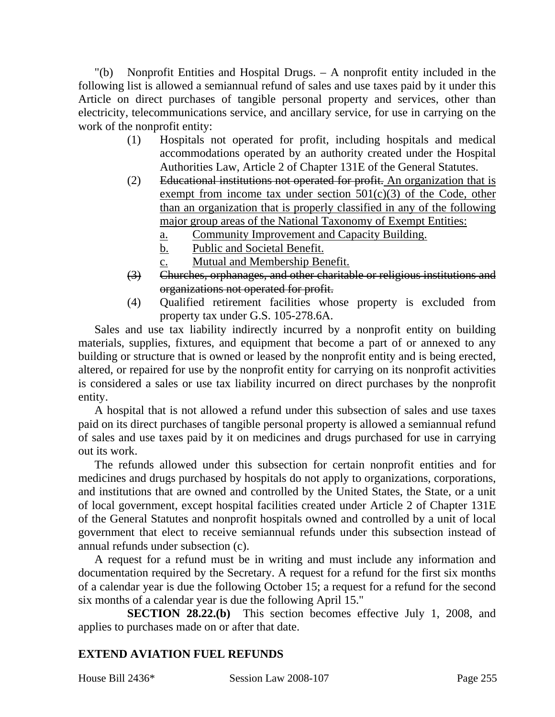"(b) Nonprofit Entities and Hospital Drugs. – A nonprofit entity included in the following list is allowed a semiannual refund of sales and use taxes paid by it under this Article on direct purchases of tangible personal property and services, other than electricity, telecommunications service, and ancillary service, for use in carrying on the work of the nonprofit entity:

- (1) Hospitals not operated for profit, including hospitals and medical accommodations operated by an authority created under the Hospital Authorities Law, Article 2 of Chapter 131E of the General Statutes.
- (2) Educational institutions not operated for profit. An organization that is exempt from income tax under section  $501(c)(3)$  of the Code, other than an organization that is properly classified in any of the following major group areas of the National Taxonomy of Exempt Entities:
	- a. Community Improvement and Capacity Building.
	- b. Public and Societal Benefit.
	- c. Mutual and Membership Benefit.
- (3) Churches, orphanages, and other charitable or religious institutions and organizations not operated for profit.
- (4) Qualified retirement facilities whose property is excluded from property tax under G.S. 105-278.6A.

Sales and use tax liability indirectly incurred by a nonprofit entity on building materials, supplies, fixtures, and equipment that become a part of or annexed to any building or structure that is owned or leased by the nonprofit entity and is being erected, altered, or repaired for use by the nonprofit entity for carrying on its nonprofit activities is considered a sales or use tax liability incurred on direct purchases by the nonprofit entity.

A hospital that is not allowed a refund under this subsection of sales and use taxes paid on its direct purchases of tangible personal property is allowed a semiannual refund of sales and use taxes paid by it on medicines and drugs purchased for use in carrying out its work.

The refunds allowed under this subsection for certain nonprofit entities and for medicines and drugs purchased by hospitals do not apply to organizations, corporations, and institutions that are owned and controlled by the United States, the State, or a unit of local government, except hospital facilities created under Article 2 of Chapter 131E of the General Statutes and nonprofit hospitals owned and controlled by a unit of local government that elect to receive semiannual refunds under this subsection instead of annual refunds under subsection (c).

A request for a refund must be in writing and must include any information and documentation required by the Secretary. A request for a refund for the first six months of a calendar year is due the following October 15; a request for a refund for the second six months of a calendar year is due the following April 15."

**SECTION 28.22.(b)** This section becomes effective July 1, 2008, and applies to purchases made on or after that date.

# **EXTEND AVIATION FUEL REFUNDS**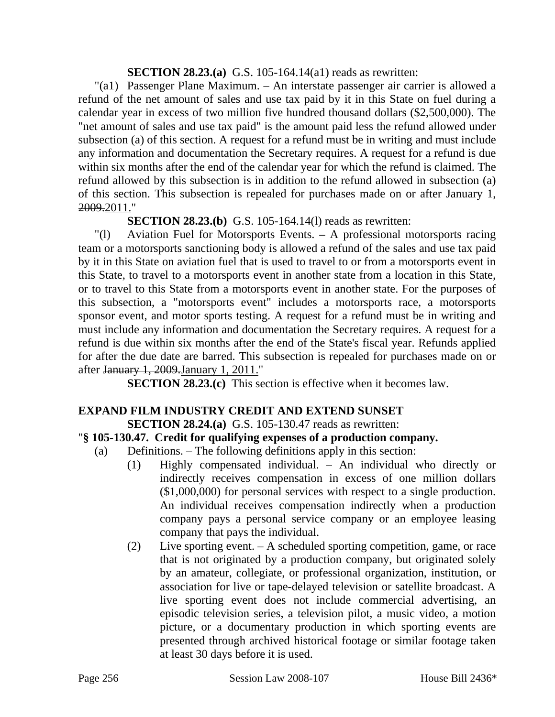## **SECTION 28.23.(a)** G.S. 105-164.14(a1) reads as rewritten:

"(a1) Passenger Plane Maximum. – An interstate passenger air carrier is allowed a refund of the net amount of sales and use tax paid by it in this State on fuel during a calendar year in excess of two million five hundred thousand dollars (\$2,500,000). The "net amount of sales and use tax paid" is the amount paid less the refund allowed under subsection (a) of this section. A request for a refund must be in writing and must include any information and documentation the Secretary requires. A request for a refund is due within six months after the end of the calendar year for which the refund is claimed. The refund allowed by this subsection is in addition to the refund allowed in subsection (a) of this section. This subsection is repealed for purchases made on or after January 1, 2009.2011."

**SECTION 28.23.(b)** G.S. 105-164.14(1) reads as rewritten:

"(l) Aviation Fuel for Motorsports Events. – A professional motorsports racing team or a motorsports sanctioning body is allowed a refund of the sales and use tax paid by it in this State on aviation fuel that is used to travel to or from a motorsports event in this State, to travel to a motorsports event in another state from a location in this State, or to travel to this State from a motorsports event in another state. For the purposes of this subsection, a "motorsports event" includes a motorsports race, a motorsports sponsor event, and motor sports testing. A request for a refund must be in writing and must include any information and documentation the Secretary requires. A request for a refund is due within six months after the end of the State's fiscal year. Refunds applied for after the due date are barred. This subsection is repealed for purchases made on or after January 1, 2009.January 1, 2011."

**SECTION 28.23.(c)** This section is effective when it becomes law.

# **EXPAND FILM INDUSTRY CREDIT AND EXTEND SUNSET**

# **SECTION 28.24.(a)** G.S. 105-130.47 reads as rewritten:

# "**§ 105-130.47. Credit for qualifying expenses of a production company.**

- (a) Definitions. The following definitions apply in this section:
	- (1) Highly compensated individual. An individual who directly or indirectly receives compensation in excess of one million dollars (\$1,000,000) for personal services with respect to a single production. An individual receives compensation indirectly when a production company pays a personal service company or an employee leasing company that pays the individual.
	- (2) Live sporting event. A scheduled sporting competition, game, or race that is not originated by a production company, but originated solely by an amateur, collegiate, or professional organization, institution, or association for live or tape-delayed television or satellite broadcast. A live sporting event does not include commercial advertising, an episodic television series, a television pilot, a music video, a motion picture, or a documentary production in which sporting events are presented through archived historical footage or similar footage taken at least 30 days before it is used.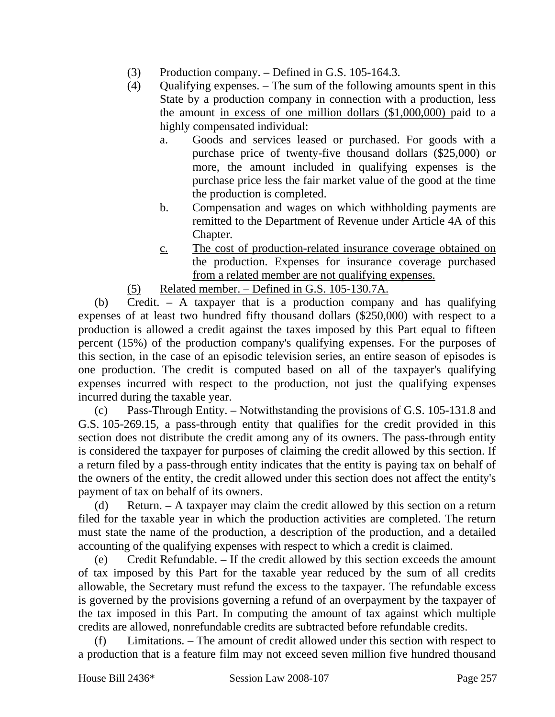- (3) Production company. Defined in G.S. 105-164.3.
- (4) Qualifying expenses. The sum of the following amounts spent in this State by a production company in connection with a production, less the amount in excess of one million dollars (\$1,000,000) paid to a highly compensated individual:
	- a. Goods and services leased or purchased. For goods with a purchase price of twenty-five thousand dollars (\$25,000) or more, the amount included in qualifying expenses is the purchase price less the fair market value of the good at the time the production is completed.
	- b. Compensation and wages on which withholding payments are remitted to the Department of Revenue under Article 4A of this Chapter.
	- c. The cost of production-related insurance coverage obtained on the production. Expenses for insurance coverage purchased from a related member are not qualifying expenses.
- (5) Related member. Defined in G.S. 105-130.7A.

(b) Credit. – A taxpayer that is a production company and has qualifying expenses of at least two hundred fifty thousand dollars (\$250,000) with respect to a production is allowed a credit against the taxes imposed by this Part equal to fifteen percent (15%) of the production company's qualifying expenses. For the purposes of this section, in the case of an episodic television series, an entire season of episodes is one production. The credit is computed based on all of the taxpayer's qualifying expenses incurred with respect to the production, not just the qualifying expenses incurred during the taxable year.

(c) Pass-Through Entity. – Notwithstanding the provisions of G.S. 105-131.8 and G.S. 105-269.15, a pass-through entity that qualifies for the credit provided in this section does not distribute the credit among any of its owners. The pass-through entity is considered the taxpayer for purposes of claiming the credit allowed by this section. If a return filed by a pass-through entity indicates that the entity is paying tax on behalf of the owners of the entity, the credit allowed under this section does not affect the entity's payment of tax on behalf of its owners.

(d) Return. – A taxpayer may claim the credit allowed by this section on a return filed for the taxable year in which the production activities are completed. The return must state the name of the production, a description of the production, and a detailed accounting of the qualifying expenses with respect to which a credit is claimed.

(e) Credit Refundable. – If the credit allowed by this section exceeds the amount of tax imposed by this Part for the taxable year reduced by the sum of all credits allowable, the Secretary must refund the excess to the taxpayer. The refundable excess is governed by the provisions governing a refund of an overpayment by the taxpayer of the tax imposed in this Part. In computing the amount of tax against which multiple credits are allowed, nonrefundable credits are subtracted before refundable credits.

Limitations. – The amount of credit allowed under this section with respect to a production that is a feature film may not exceed seven million five hundred thousand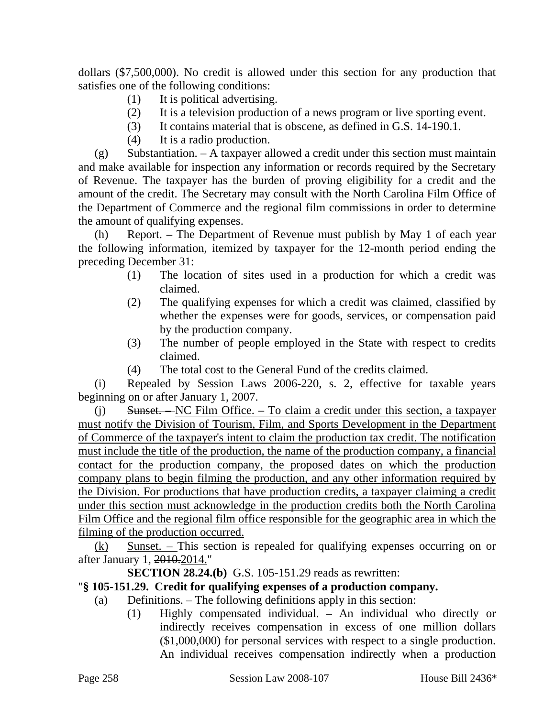dollars (\$7,500,000). No credit is allowed under this section for any production that satisfies one of the following conditions:

- (1) It is political advertising.
- (2) It is a television production of a news program or live sporting event.
- (3) It contains material that is obscene, as defined in G.S. 14-190.1.
- (4) It is a radio production.

(g) Substantiation. – A taxpayer allowed a credit under this section must maintain and make available for inspection any information or records required by the Secretary of Revenue. The taxpayer has the burden of proving eligibility for a credit and the amount of the credit. The Secretary may consult with the North Carolina Film Office of the Department of Commerce and the regional film commissions in order to determine the amount of qualifying expenses.

(h) Report. – The Department of Revenue must publish by May 1 of each year the following information, itemized by taxpayer for the 12-month period ending the preceding December 31:

- (1) The location of sites used in a production for which a credit was claimed.
- (2) The qualifying expenses for which a credit was claimed, classified by whether the expenses were for goods, services, or compensation paid by the production company.
- (3) The number of people employed in the State with respect to credits claimed.
- (4) The total cost to the General Fund of the credits claimed.

(i) Repealed by Session Laws 2006-220, s. 2, effective for taxable years beginning on or after January 1, 2007.

(j) Sunset. – NC Film Office. – To claim a credit under this section, a taxpayer must notify the Division of Tourism, Film, and Sports Development in the Department of Commerce of the taxpayer's intent to claim the production tax credit. The notification must include the title of the production, the name of the production company, a financial contact for the production company, the proposed dates on which the production company plans to begin filming the production, and any other information required by the Division. For productions that have production credits, a taxpayer claiming a credit under this section must acknowledge in the production credits both the North Carolina Film Office and the regional film office responsible for the geographic area in which the filming of the production occurred.

 $(k)$  Sunset. – This section is repealed for qualifying expenses occurring on or after January 1, 2010.2014."

**SECTION 28.24.(b)** G.S. 105-151.29 reads as rewritten:

# "**§ 105-151.29. Credit for qualifying expenses of a production company.**

- (a) Definitions. The following definitions apply in this section:
	- (1) Highly compensated individual. An individual who directly or indirectly receives compensation in excess of one million dollars (\$1,000,000) for personal services with respect to a single production. An individual receives compensation indirectly when a production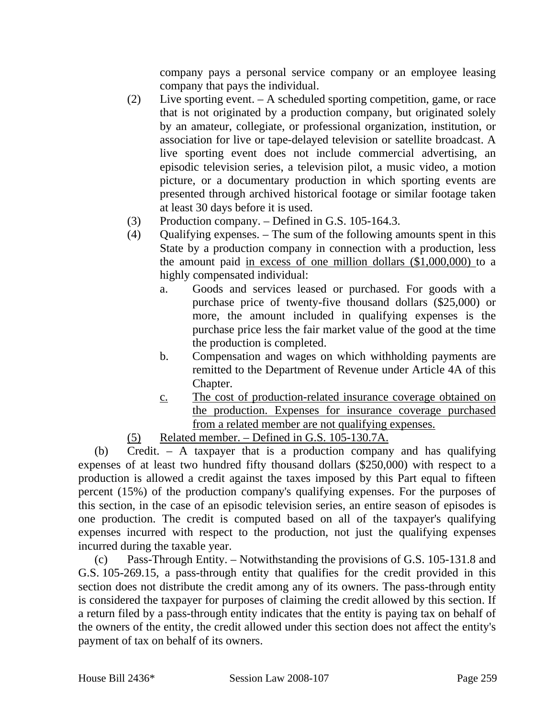company pays a personal service company or an employee leasing company that pays the individual.

- (2) Live sporting event. A scheduled sporting competition, game, or race that is not originated by a production company, but originated solely by an amateur, collegiate, or professional organization, institution, or association for live or tape-delayed television or satellite broadcast. A live sporting event does not include commercial advertising, an episodic television series, a television pilot, a music video, a motion picture, or a documentary production in which sporting events are presented through archived historical footage or similar footage taken at least 30 days before it is used.
- (3) Production company. Defined in G.S. 105-164.3.
- (4) Qualifying expenses. The sum of the following amounts spent in this State by a production company in connection with a production, less the amount paid in excess of one million dollars (\$1,000,000) to a highly compensated individual:
	- a. Goods and services leased or purchased. For goods with a purchase price of twenty-five thousand dollars (\$25,000) or more, the amount included in qualifying expenses is the purchase price less the fair market value of the good at the time the production is completed.
	- b. Compensation and wages on which withholding payments are remitted to the Department of Revenue under Article 4A of this Chapter.
	- c. The cost of production-related insurance coverage obtained on the production. Expenses for insurance coverage purchased from a related member are not qualifying expenses.
- (5) Related member. Defined in G.S. 105-130.7A.

(b) Credit. – A taxpayer that is a production company and has qualifying expenses of at least two hundred fifty thousand dollars (\$250,000) with respect to a production is allowed a credit against the taxes imposed by this Part equal to fifteen percent (15%) of the production company's qualifying expenses. For the purposes of this section, in the case of an episodic television series, an entire season of episodes is one production. The credit is computed based on all of the taxpayer's qualifying expenses incurred with respect to the production, not just the qualifying expenses incurred during the taxable year.

(c) Pass-Through Entity. – Notwithstanding the provisions of G.S. 105-131.8 and G.S. 105-269.15, a pass-through entity that qualifies for the credit provided in this section does not distribute the credit among any of its owners. The pass-through entity is considered the taxpayer for purposes of claiming the credit allowed by this section. If a return filed by a pass-through entity indicates that the entity is paying tax on behalf of the owners of the entity, the credit allowed under this section does not affect the entity's payment of tax on behalf of its owners.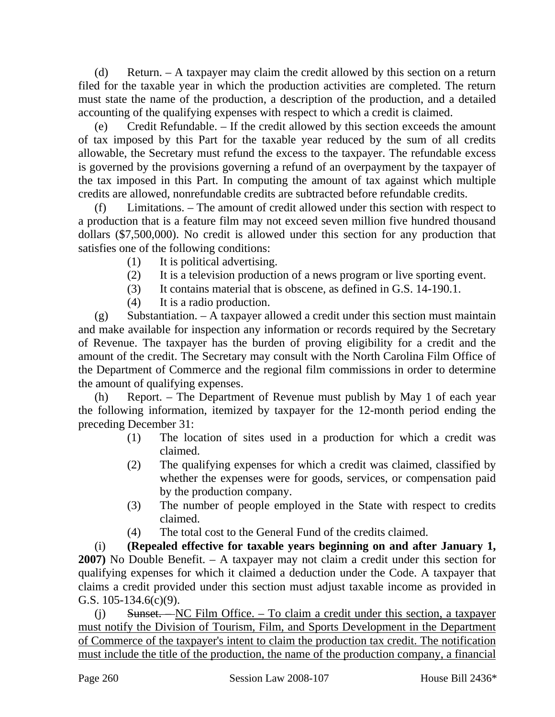(d) Return. – A taxpayer may claim the credit allowed by this section on a return filed for the taxable year in which the production activities are completed. The return must state the name of the production, a description of the production, and a detailed accounting of the qualifying expenses with respect to which a credit is claimed.

(e) Credit Refundable. – If the credit allowed by this section exceeds the amount of tax imposed by this Part for the taxable year reduced by the sum of all credits allowable, the Secretary must refund the excess to the taxpayer. The refundable excess is governed by the provisions governing a refund of an overpayment by the taxpayer of the tax imposed in this Part. In computing the amount of tax against which multiple credits are allowed, nonrefundable credits are subtracted before refundable credits.

(f) Limitations. – The amount of credit allowed under this section with respect to a production that is a feature film may not exceed seven million five hundred thousand dollars (\$7,500,000). No credit is allowed under this section for any production that satisfies one of the following conditions:

- (1) It is political advertising.
- (2) It is a television production of a news program or live sporting event.
- (3) It contains material that is obscene, as defined in G.S. 14-190.1.
- (4) It is a radio production.

 $(g)$  Substantiation. – A taxpayer allowed a credit under this section must maintain and make available for inspection any information or records required by the Secretary of Revenue. The taxpayer has the burden of proving eligibility for a credit and the amount of the credit. The Secretary may consult with the North Carolina Film Office of the Department of Commerce and the regional film commissions in order to determine the amount of qualifying expenses.

(h) Report. – The Department of Revenue must publish by May 1 of each year the following information, itemized by taxpayer for the 12-month period ending the preceding December 31:

- (1) The location of sites used in a production for which a credit was claimed.
- (2) The qualifying expenses for which a credit was claimed, classified by whether the expenses were for goods, services, or compensation paid by the production company.
- (3) The number of people employed in the State with respect to credits claimed.
- (4) The total cost to the General Fund of the credits claimed.

(i) **(Repealed effective for taxable years beginning on and after January 1, 2007)** No Double Benefit. – A taxpayer may not claim a credit under this section for qualifying expenses for which it claimed a deduction under the Code. A taxpayer that claims a credit provided under this section must adjust taxable income as provided in G.S. 105-134.6(c)(9).

(j) Sunset. – NC Film Office. – To claim a credit under this section, a taxpayer must notify the Division of Tourism, Film, and Sports Development in the Department of Commerce of the taxpayer's intent to claim the production tax credit. The notification must include the title of the production, the name of the production company, a financial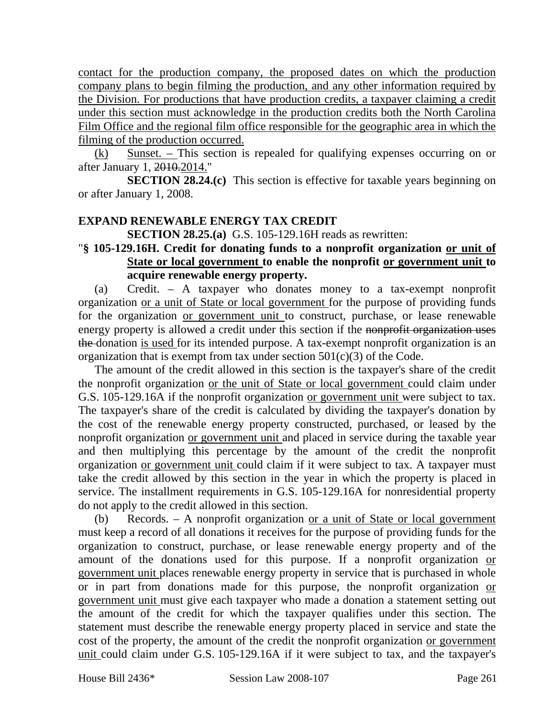contact for the production company, the proposed dates on which the production company plans to begin filming the production, and any other information required by the Division. For productions that have production credits, a taxpayer claiming a credit under this section must acknowledge in the production credits both the North Carolina Film Office and the regional film office responsible for the geographic area in which the filming of the production occurred.

 $(k)$  Sunset. – This section is repealed for qualifying expenses occurring on or after January 1, 2010.2014."

**SECTION 28.24.(c)** This section is effective for taxable years beginning on or after January 1, 2008.

## **EXPAND RENEWABLE ENERGY TAX CREDIT**

**SECTION 28.25.(a)** G.S. 105-129.16H reads as rewritten:

# "**§ 105-129.16H. Credit for donating funds to a nonprofit organization or unit of State or local government to enable the nonprofit or government unit to acquire renewable energy property.**

(a) Credit. – A taxpayer who donates money to a tax-exempt nonprofit organization or a unit of State or local government for the purpose of providing funds for the organization or government unit to construct, purchase, or lease renewable energy property is allowed a credit under this section if the nonprofit organization uses the donation is used for its intended purpose. A tax-exempt nonprofit organization is an organization that is exempt from tax under section  $501(c)(3)$  of the Code.

The amount of the credit allowed in this section is the taxpayer's share of the credit the nonprofit organization or the unit of State or local government could claim under G.S. 105-129.16A if the nonprofit organization or government unit were subject to tax. The taxpayer's share of the credit is calculated by dividing the taxpayer's donation by the cost of the renewable energy property constructed, purchased, or leased by the nonprofit organization or government unit and placed in service during the taxable year and then multiplying this percentage by the amount of the credit the nonprofit organization or government unit could claim if it were subject to tax. A taxpayer must take the credit allowed by this section in the year in which the property is placed in service. The installment requirements in G.S. 105-129.16A for nonresidential property do not apply to the credit allowed in this section.

(b) Records. – A nonprofit organization <u>or a unit of State or local government</u> must keep a record of all donations it receives for the purpose of providing funds for the organization to construct, purchase, or lease renewable energy property and of the amount of the donations used for this purpose. If a nonprofit organization or government unit places renewable energy property in service that is purchased in whole or in part from donations made for this purpose, the nonprofit organization or government unit must give each taxpayer who made a donation a statement setting out the amount of the credit for which the taxpayer qualifies under this section. The statement must describe the renewable energy property placed in service and state the cost of the property, the amount of the credit the nonprofit organization or government unit could claim under G.S. 105-129.16A if it were subject to tax, and the taxpayer's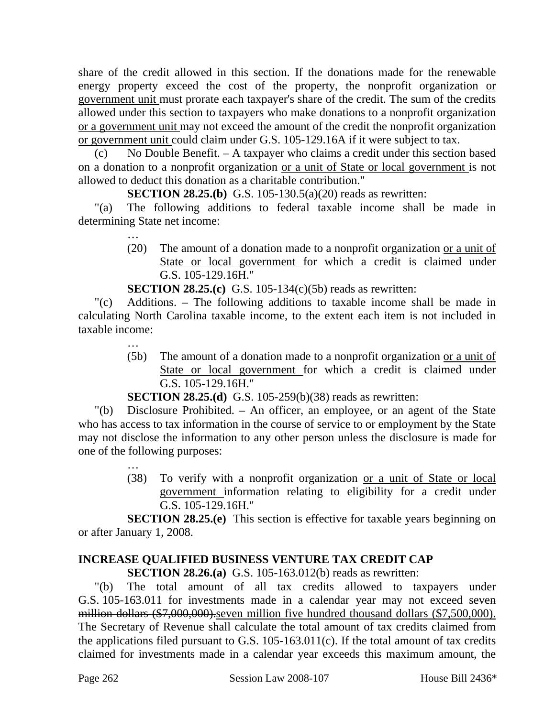share of the credit allowed in this section. If the donations made for the renewable energy property exceed the cost of the property, the nonprofit organization or government unit must prorate each taxpayer's share of the credit. The sum of the credits allowed under this section to taxpayers who make donations to a nonprofit organization or a government unit may not exceed the amount of the credit the nonprofit organization or government unit could claim under G.S. 105-129.16A if it were subject to tax.

(c) No Double Benefit. – A taxpayer who claims a credit under this section based on a donation to a nonprofit organization or a unit of State or local government is not allowed to deduct this donation as a charitable contribution."

**SECTION 28.25.(b)** G.S. 105-130.5(a)(20) reads as rewritten:

"(a) The following additions to federal taxable income shall be made in determining State net income:

> … (20) The amount of a donation made to a nonprofit organization or a unit of State or local government for which a credit is claimed under G.S. 105-129.16H."

**SECTION 28.25.(c)** G.S. 105-134(c)(5b) reads as rewritten:

"(c) Additions. – The following additions to taxable income shall be made in calculating North Carolina taxable income, to the extent each item is not included in taxable income:

> … (5b) The amount of a donation made to a nonprofit organization or a unit of State or local government for which a credit is claimed under G.S. 105-129.16H."

**SECTION 28.25.(d)** G.S. 105-259(b)(38) reads as rewritten:

"(b) Disclosure Prohibited. – An officer, an employee, or an agent of the State who has access to tax information in the course of service to or employment by the State may not disclose the information to any other person unless the disclosure is made for one of the following purposes:

> … (38) To verify with a nonprofit organization or a unit of State or local government information relating to eligibility for a credit under G.S. 105-129.16H."

**SECTION 28.25.(e)** This section is effective for taxable years beginning on or after January 1, 2008.

# **INCREASE QUALIFIED BUSINESS VENTURE TAX CREDIT CAP**

**SECTION 28.26.(a)** G.S. 105-163.012(b) reads as rewritten:

"(b) The total amount of all tax credits allowed to taxpayers under G.S. 105-163.011 for investments made in a calendar year may not exceed seven million dollars (\$7,000,000).seven million five hundred thousand dollars (\$7,500,000). The Secretary of Revenue shall calculate the total amount of tax credits claimed from the applications filed pursuant to G.S. 105-163.011(c). If the total amount of tax credits claimed for investments made in a calendar year exceeds this maximum amount, the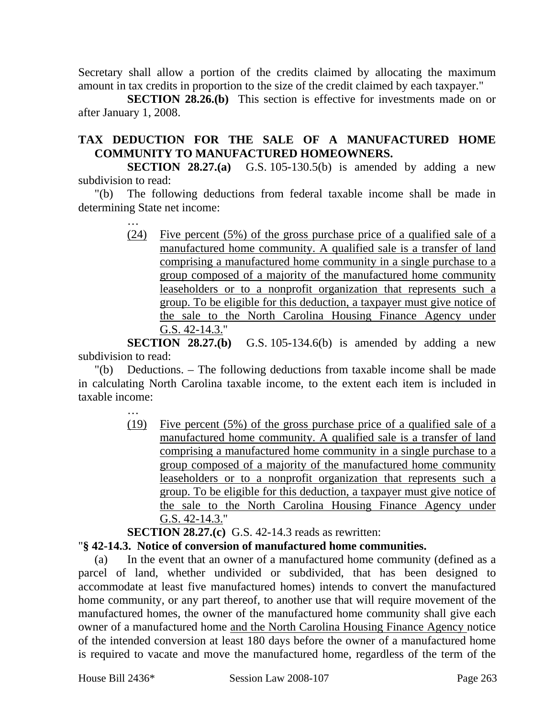Secretary shall allow a portion of the credits claimed by allocating the maximum amount in tax credits in proportion to the size of the credit claimed by each taxpayer."

**SECTION 28.26.(b)** This section is effective for investments made on or after January 1, 2008.

# **TAX DEDUCTION FOR THE SALE OF A MANUFACTURED HOME COMMUNITY TO MANUFACTURED HOMEOWNERS.**

**SECTION 28.27.(a)** G.S. 105-130.5(b) is amended by adding a new subdivision to read:

"(b) The following deductions from federal taxable income shall be made in determining State net income:

> … (24) Five percent (5%) of the gross purchase price of a qualified sale of a manufactured home community. A qualified sale is a transfer of land comprising a manufactured home community in a single purchase to a group composed of a majority of the manufactured home community leaseholders or to a nonprofit organization that represents such a group. To be eligible for this deduction, a taxpayer must give notice of the sale to the North Carolina Housing Finance Agency under G.S. 42-14.3."

**SECTION 28.27.(b)** G.S. 105-134.6(b) is amended by adding a new subdivision to read:

"(b) Deductions. – The following deductions from taxable income shall be made in calculating North Carolina taxable income, to the extent each item is included in taxable income:

> … (19) Five percent (5%) of the gross purchase price of a qualified sale of a manufactured home community. A qualified sale is a transfer of land comprising a manufactured home community in a single purchase to a group composed of a majority of the manufactured home community leaseholders or to a nonprofit organization that represents such a group. To be eligible for this deduction, a taxpayer must give notice of the sale to the North Carolina Housing Finance Agency under G.S. 42-14.3."

**SECTION 28.27.(c)** G.S. 42-14.3 reads as rewritten:

# "**§ 42-14.3. Notice of conversion of manufactured home communities.**

(a) In the event that an owner of a manufactured home community (defined as a parcel of land, whether undivided or subdivided, that has been designed to accommodate at least five manufactured homes) intends to convert the manufactured home community, or any part thereof, to another use that will require movement of the manufactured homes, the owner of the manufactured home community shall give each owner of a manufactured home and the North Carolina Housing Finance Agency notice of the intended conversion at least 180 days before the owner of a manufactured home is required to vacate and move the manufactured home, regardless of the term of the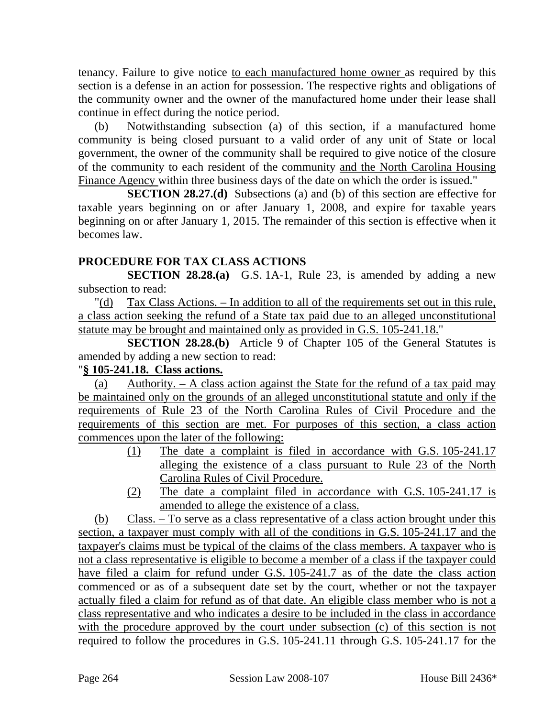tenancy. Failure to give notice to each manufactured home owner as required by this section is a defense in an action for possession. The respective rights and obligations of the community owner and the owner of the manufactured home under their lease shall continue in effect during the notice period.

(b) Notwithstanding subsection (a) of this section, if a manufactured home community is being closed pursuant to a valid order of any unit of State or local government, the owner of the community shall be required to give notice of the closure of the community to each resident of the community and the North Carolina Housing Finance Agency within three business days of the date on which the order is issued."

**SECTION 28.27.(d)** Subsections (a) and (b) of this section are effective for taxable years beginning on or after January 1, 2008, and expire for taxable years beginning on or after January 1, 2015. The remainder of this section is effective when it becomes law.

# **PROCEDURE FOR TAX CLASS ACTIONS**

**SECTION 28.28.(a)** G.S. 1A-1, Rule 23, is amended by adding a new subsection to read:

"(d) Tax Class Actions. – In addition to all of the requirements set out in this rule, a class action seeking the refund of a State tax paid due to an alleged unconstitutional statute may be brought and maintained only as provided in G.S. 105-241.18."

**SECTION 28.28.(b)** Article 9 of Chapter 105 of the General Statutes is amended by adding a new section to read:

# "**§ 105-241.18. Class actions.**

(a) Authority. – A class action against the State for the refund of a tax paid may be maintained only on the grounds of an alleged unconstitutional statute and only if the requirements of Rule 23 of the North Carolina Rules of Civil Procedure and the requirements of this section are met. For purposes of this section, a class action commences upon the later of the following:

- (1) The date a complaint is filed in accordance with G.S. 105-241.17 alleging the existence of a class pursuant to Rule 23 of the North Carolina Rules of Civil Procedure.
- (2) The date a complaint filed in accordance with G.S. 105-241.17 is amended to allege the existence of a class.

(b) Class. – To serve as a class representative of a class action brought under this section, a taxpayer must comply with all of the conditions in G.S. 105-241.17 and the taxpayer's claims must be typical of the claims of the class members. A taxpayer who is not a class representative is eligible to become a member of a class if the taxpayer could have filed a claim for refund under G.S. 105-241.7 as of the date the class action commenced or as of a subsequent date set by the court, whether or not the taxpayer actually filed a claim for refund as of that date. An eligible class member who is not a class representative and who indicates a desire to be included in the class in accordance with the procedure approved by the court under subsection (c) of this section is not required to follow the procedures in G.S. 105-241.11 through G.S. 105-241.17 for the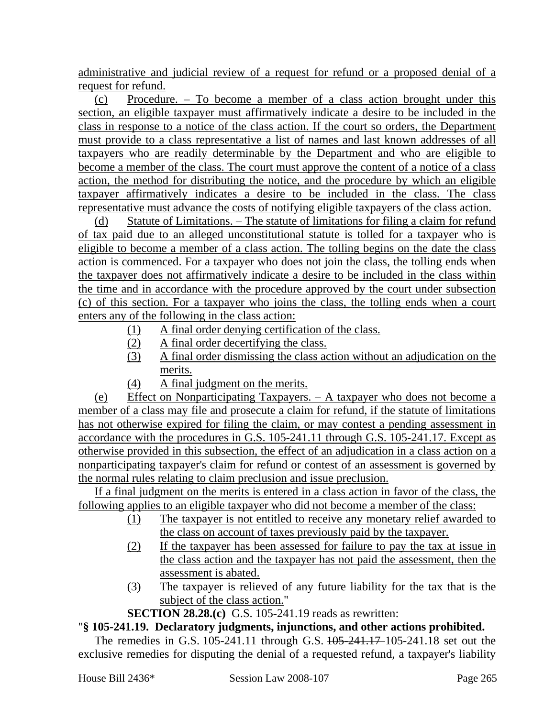administrative and judicial review of a request for refund or a proposed denial of a request for refund.

(c) Procedure. – To become a member of a class action brought under this section, an eligible taxpayer must affirmatively indicate a desire to be included in the class in response to a notice of the class action. If the court so orders, the Department must provide to a class representative a list of names and last known addresses of all taxpayers who are readily determinable by the Department and who are eligible to become a member of the class. The court must approve the content of a notice of a class action, the method for distributing the notice, and the procedure by which an eligible taxpayer affirmatively indicates a desire to be included in the class. The class representative must advance the costs of notifying eligible taxpayers of the class action.

(d) Statute of Limitations. – The statute of limitations for filing a claim for refund of tax paid due to an alleged unconstitutional statute is tolled for a taxpayer who is eligible to become a member of a class action. The tolling begins on the date the class action is commenced. For a taxpayer who does not join the class, the tolling ends when the taxpayer does not affirmatively indicate a desire to be included in the class within the time and in accordance with the procedure approved by the court under subsection (c) of this section. For a taxpayer who joins the class, the tolling ends when a court enters any of the following in the class action:

- (1) A final order denying certification of the class.
- (2) A final order decertifying the class.
- (3) A final order dismissing the class action without an adjudication on the merits.
- (4) A final judgment on the merits.

(e) Effect on Nonparticipating Taxpayers. – A taxpayer who does not become a member of a class may file and prosecute a claim for refund, if the statute of limitations has not otherwise expired for filing the claim, or may contest a pending assessment in accordance with the procedures in G.S. 105-241.11 through G.S. 105-241.17. Except as otherwise provided in this subsection, the effect of an adjudication in a class action on a nonparticipating taxpayer's claim for refund or contest of an assessment is governed by the normal rules relating to claim preclusion and issue preclusion.

If a final judgment on the merits is entered in a class action in favor of the class, the following applies to an eligible taxpayer who did not become a member of the class:

- (1) The taxpayer is not entitled to receive any monetary relief awarded to the class on account of taxes previously paid by the taxpayer.
- (2) If the taxpayer has been assessed for failure to pay the tax at issue in the class action and the taxpayer has not paid the assessment, then the assessment is abated.
- (3) The taxpayer is relieved of any future liability for the tax that is the subject of the class action."
- **SECTION 28.28.(c)** G.S. 105-241.19 reads as rewritten:

# "**§ 105-241.19. Declaratory judgments, injunctions, and other actions prohibited.**

The remedies in G.S. 105-241.11 through G.S. 105-241.17 105-241.18 set out the exclusive remedies for disputing the denial of a requested refund, a taxpayer's liability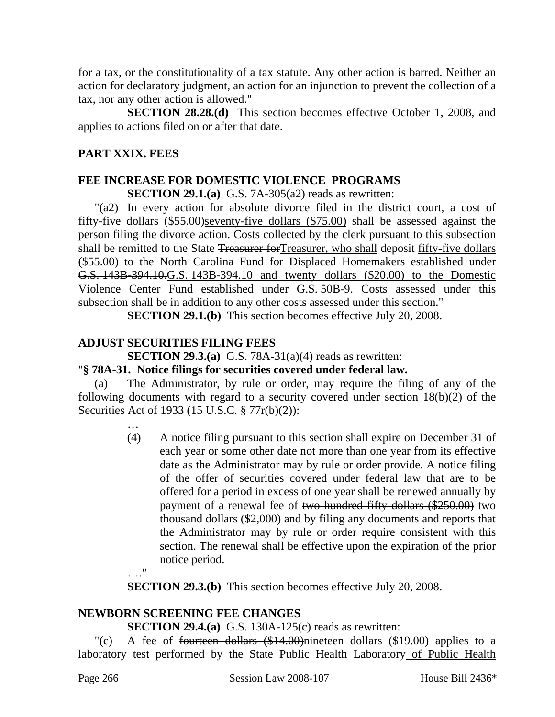for a tax, or the constitutionality of a tax statute. Any other action is barred. Neither an action for declaratory judgment, an action for an injunction to prevent the collection of a tax, nor any other action is allowed."

**SECTION 28.28.(d)** This section becomes effective October 1, 2008, and applies to actions filed on or after that date.

# **PART XXIX. FEES**

# **FEE INCREASE FOR DOMESTIC VIOLENCE PROGRAMS**

**SECTION 29.1.(a)** G.S. 7A-305(a2) reads as rewritten:

"(a2) In every action for absolute divorce filed in the district court, a cost of fifty-five dollars (\$55.00)seventy-five dollars (\$75.00) shall be assessed against the person filing the divorce action. Costs collected by the clerk pursuant to this subsection shall be remitted to the State Treasurer for Treasurer, who shall deposit fifty-five dollars (\$55.00) to the North Carolina Fund for Displaced Homemakers established under G.S. 143B-394.10.G.S. 143B-394.10 and twenty dollars (\$20.00) to the Domestic Violence Center Fund established under G.S. 50B-9. Costs assessed under this subsection shall be in addition to any other costs assessed under this section."

**SECTION 29.1.(b)** This section becomes effective July 20, 2008.

# **ADJUST SECURITIES FILING FEES**

**SECTION 29.3.(a)** G.S. 78A-31(a)(4) reads as rewritten:

# "**§ 78A-31. Notice filings for securities covered under federal law.**

(a) The Administrator, by rule or order, may require the filing of any of the following documents with regard to a security covered under section 18(b)(2) of the Securities Act of 1933 (15 U.S.C. § 77r(b)(2)):

> … (4) A notice filing pursuant to this section shall expire on December 31 of each year or some other date not more than one year from its effective date as the Administrator may by rule or order provide. A notice filing of the offer of securities covered under federal law that are to be offered for a period in excess of one year shall be renewed annually by payment of a renewal fee of two hundred fifty dollars (\$250.00) two thousand dollars (\$2,000) and by filing any documents and reports that the Administrator may by rule or order require consistent with this section. The renewal shall be effective upon the expiration of the prior notice period.

…."

**SECTION 29.3.(b)** This section becomes effective July 20, 2008.

# **NEWBORN SCREENING FEE CHANGES**

# **SECTION 29.4.(a)** G.S. 130A-125(c) reads as rewritten:

"(c) A fee of fourteen dollars  $(\$14.00)$ nineteen dollars  $(\$19.00)$  applies to a laboratory test performed by the State Public Health Laboratory of Public Health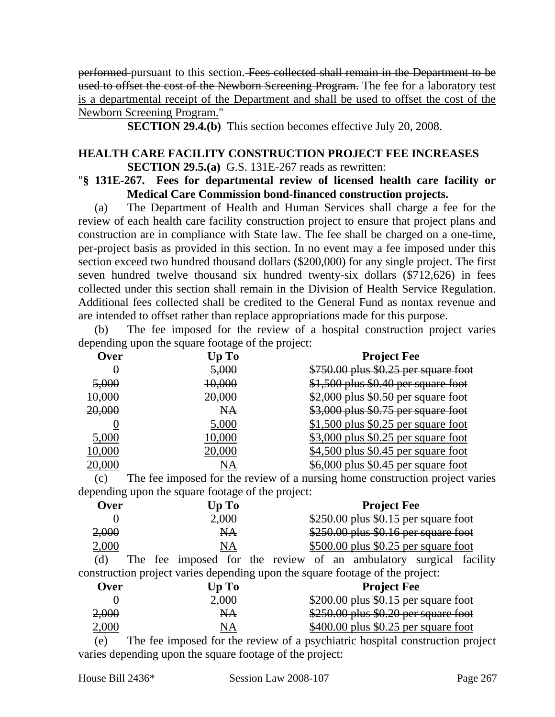performed pursuant to this section. Fees collected shall remain in the Department to be used to offset the cost of the Newborn Screening Program. The fee for a laboratory test is a departmental receipt of the Department and shall be used to offset the cost of the Newborn Screening Program."

**SECTION 29.4.(b)** This section becomes effective July 20, 2008.

### **HEALTH CARE FACILITY CONSTRUCTION PROJECT FEE INCREASES SECTION 29.5.(a)** G.S. 131E-267 reads as rewritten:

"**§ 131E-267. Fees for departmental review of licensed health care facility or Medical Care Commission bond-financed construction projects.** 

(a) The Department of Health and Human Services shall charge a fee for the review of each health care facility construction project to ensure that project plans and construction are in compliance with State law. The fee shall be charged on a one-time, per-project basis as provided in this section. In no event may a fee imposed under this section exceed two hundred thousand dollars (\$200,000) for any single project. The first seven hundred twelve thousand six hundred twenty-six dollars (\$712,626) in fees collected under this section shall remain in the Division of Health Service Regulation. Additional fees collected shall be credited to the General Fund as nontax revenue and are intended to offset rather than replace appropriations made for this purpose.

(b) The fee imposed for the review of a hospital construction project varies depending upon the square footage of the project:

| Over   | Up To             | <b>Project Fee</b>                    |
|--------|-------------------|---------------------------------------|
| 0      | 5,000             | \$750.00 plus \$0.25 per square foot  |
| 5,000  | <del>10,000</del> | \$1,500 plus \$0.40 per square foot   |
| 10,000 | 20,000            | \$2,000 plus \$0.50 per square foot   |
| 20,000 | NA                | \$3,000 plus \$0.75 per square foot   |
|        | 5,000             | $$1,500$ plus $$0.25$ per square foot |
| 5,000  | 10,000            | $$3,000$ plus $$0.25$ per square foot |
| 10,000 | 20,000            | $$4,500$ plus \$0.45 per square foot  |
| 20,000 | NA                | $$6,000$ plus \$0.45 per square foot  |

(c) The fee imposed for the review of a nursing home construction project varies depending upon the square footage of the project:

| <b>Over</b> | Up To | <b>Project Fee</b>                                                                                              |
|-------------|-------|-----------------------------------------------------------------------------------------------------------------|
|             | 2,000 | $$250.00$ plus \$0.15 per square foot                                                                           |
| 2,000       | NА    | \$250.00 plus \$0.16 per square foot                                                                            |
| 2,000       | NA    | $$500.00$ plus \$0.25 per square foot                                                                           |
|             |       | TT1 ( 1 ( 1 ( 1 ) ( 1 ) ( 1 ) ( 1 ) ( 1 ) ( 1 ) ( 1 ) ( 1 ) ( 1 ) ( 1 ) ( 1 ) ( 1 ) ( 1 ) ( 1 ) ( 1 ) ( 1 ) ( 1 |

(d) The fee imposed for the review of an ambulatory surgical facility construction project varies depending upon the square footage of the project:

| <b>Over</b> | Up To         | <b>Project Fee</b>                     |
|-------------|---------------|----------------------------------------|
|             | 2,000         | $$200.00$ plus \$0.15 per square foot  |
| 2,000       | <del>NA</del> | $$250.00$ plus $$0.20$ per square foot |
| 2,000       | NА            | $$400.00$ plus $$0.25$ per square foot |

(e) The fee imposed for the review of a psychiatric hospital construction project varies depending upon the square footage of the project: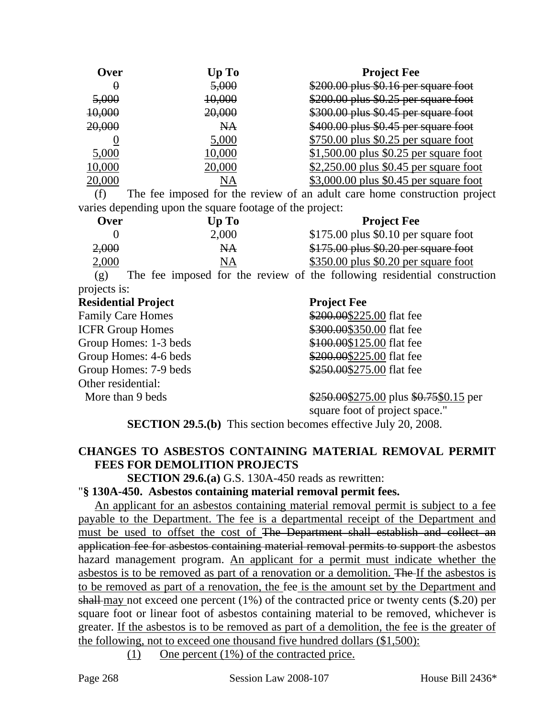| Over)  | Up To             | <b>Project Fee</b>                       |
|--------|-------------------|------------------------------------------|
| O      | 5,000             | $$200.00$ plus $$0.16$ per square foot   |
| 5,000  | <del>10,000</del> | \$200.00 plus \$0.25 per square foot     |
| 10,000 | 20,000            | \$300.00 plus \$0.45 per square foot     |
| 20,000 | NA                | \$400.00 plus \$0.45 per square foot     |
|        | 5,000             | $$750.00$ plus \$0.25 per square foot    |
| 5,000  | 10,000            | $$1,500.00$ plus $$0.25$ per square foot |
| 10,000 | 20,000            | $$2,250.00$ plus $$0.45$ per square foot |
|        | NA                | \$3,000.00 plus \$0.45 per square foot   |

(f) The fee imposed for the review of an adult care home construction project varies depending upon the square footage of the project:

| <b>Over</b> | Up To | <b>Project Fee</b>                     |
|-------------|-------|----------------------------------------|
|             | 2,000 | $$175.00$ plus \$0.10 per square foot  |
| 2,000       | NA.   | $$175.00$ plus $$0.20$ per square foot |
| 2,000       |       | $$350.00$ plus \$0.20 per square foot  |

(g) The fee imposed for the review of the following residential construction projects is:

#### **Residential Project Project Fee**

Family Care Homes ICFR Group Homes  $\frac{9}{3}$ Group Homes: 1-3 beds Group Homes:  $4-6$  beds  $\frac{6}{3}$ Group Homes: 7-9 beds Other residential:

| \$200.00\$225.00 flat fee |  |
|---------------------------|--|
| \$300.00\$350.00 flat fee |  |
| \$100.00\$125.00 flat fee |  |
| \$200.00\$225.00 flat fee |  |
| \$250.00\$275.00 flat fee |  |

More than 9 beds \$250.00\$275.00 plus \$0.75\$0.15 per

square foot of project space."

**SECTION 29.5.(b)** This section becomes effective July 20, 2008.

# **CHANGES TO ASBESTOS CONTAINING MATERIAL REMOVAL PERMIT FEES FOR DEMOLITION PROJECTS**

**SECTION 29.6.(a)** G.S. 130A-450 reads as rewritten:

# "**§ 130A-450. Asbestos containing material removal permit fees.**

An applicant for an asbestos containing material removal permit is subject to a fee payable to the Department. The fee is a departmental receipt of the Department and must be used to offset the cost of The Department shall establish and collect an application fee for asbestos containing material removal permits to support the asbestos hazard management program. An applicant for a permit must indicate whether the asbestos is to be removed as part of a renovation or a demolition. The If the asbestos is to be removed as part of a renovation, the fee is the amount set by the Department and shall-may not exceed one percent  $(1\%)$  of the contracted price or twenty cents  $(\$.20)$  per square foot or linear foot of asbestos containing material to be removed, whichever is greater. If the asbestos is to be removed as part of a demolition, the fee is the greater of the following, not to exceed one thousand five hundred dollars (\$1,500):

(1) One percent (1%) of the contracted price.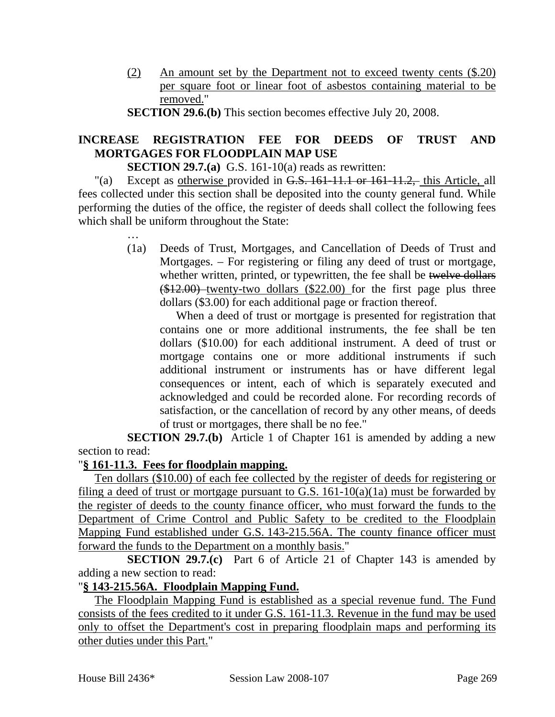(2) An amount set by the Department not to exceed twenty cents (\$.20) per square foot or linear foot of asbestos containing material to be removed."

**SECTION 29.6.(b)** This section becomes effective July 20, 2008.

# **INCREASE REGISTRATION FEE FOR DEEDS OF TRUST AND MORTGAGES FOR FLOODPLAIN MAP USE**

**SECTION 29.7.(a)** G.S. 161-10(a) reads as rewritten:

"(a) Except as otherwise provided in G.S. 161-11.1 or 161-11.2, this Article, all fees collected under this section shall be deposited into the county general fund. While performing the duties of the office, the register of deeds shall collect the following fees which shall be uniform throughout the State:

> (1a) Deeds of Trust, Mortgages, and Cancellation of Deeds of Trust and Mortgages. – For registering or filing any deed of trust or mortgage, whether written, printed, or typewritten, the fee shall be twelve dollars  $($12.00)$ -twenty-two dollars  $($22.00)$  for the first page plus three dollars (\$3.00) for each additional page or fraction thereof.

When a deed of trust or mortgage is presented for registration that contains one or more additional instruments, the fee shall be ten dollars (\$10.00) for each additional instrument. A deed of trust or mortgage contains one or more additional instruments if such additional instrument or instruments has or have different legal consequences or intent, each of which is separately executed and acknowledged and could be recorded alone. For recording records of satisfaction, or the cancellation of record by any other means, of deeds of trust or mortgages, there shall be no fee."

**SECTION 29.7.(b)** Article 1 of Chapter 161 is amended by adding a new section to read:

# "**§ 161-11.3. Fees for floodplain mapping.**

…

Ten dollars (\$10.00) of each fee collected by the register of deeds for registering or filing a deed of trust or mortgage pursuant to G.S.  $161-10(a)(1a)$  must be forwarded by the register of deeds to the county finance officer, who must forward the funds to the Department of Crime Control and Public Safety to be credited to the Floodplain Mapping Fund established under G.S. 143-215.56A. The county finance officer must forward the funds to the Department on a monthly basis."

**SECTION 29.7.(c)** Part 6 of Article 21 of Chapter 143 is amended by adding a new section to read:

# "**§ 143-215.56A. Floodplain Mapping Fund.**

The Floodplain Mapping Fund is established as a special revenue fund. The Fund consists of the fees credited to it under G.S. 161-11.3. Revenue in the fund may be used only to offset the Department's cost in preparing floodplain maps and performing its other duties under this Part."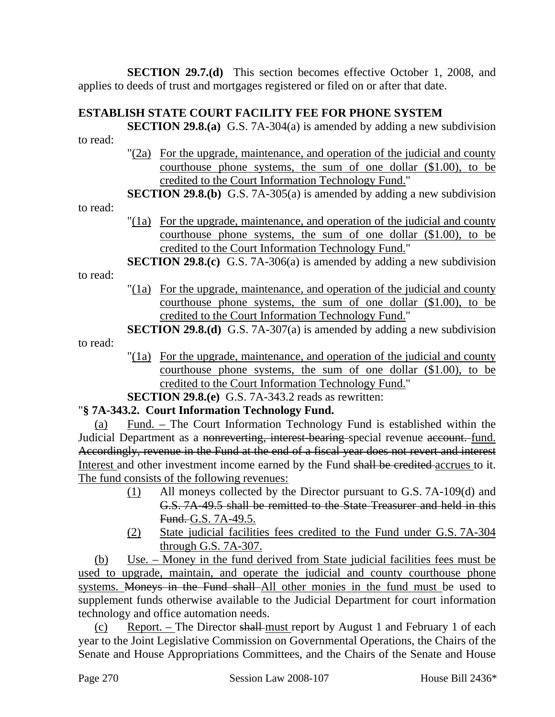**SECTION 29.7.(d)** This section becomes effective October 1, 2008, and applies to deeds of trust and mortgages registered or filed on or after that date.

# **ESTABLISH STATE COURT FACILITY FEE FOR PHONE SYSTEM**

**SECTION 29.8.(a)** G.S. 7A-304(a) is amended by adding a new subdivision

to read:

to read:

- "(2a) For the upgrade, maintenance, and operation of the judicial and county courthouse phone systems, the sum of one dollar (\$1.00), to be credited to the Court Information Technology Fund."
- **SECTION 29.8.(b)** G.S. 7A-305(a) is amended by adding a new subdivision
- "(1a) For the upgrade, maintenance, and operation of the judicial and county courthouse phone systems, the sum of one dollar (\$1.00), to be credited to the Court Information Technology Fund."
- **SECTION 29.8.(c)** G.S. 7A-306(a) is amended by adding a new subdivision

to read:

to read:

- "(1a) For the upgrade, maintenance, and operation of the judicial and county courthouse phone systems, the sum of one dollar (\$1.00), to be credited to the Court Information Technology Fund."
- **SECTION 29.8.(d)** G.S. 7A-307(a) is amended by adding a new subdivision
	- "(1a) For the upgrade, maintenance, and operation of the judicial and county courthouse phone systems, the sum of one dollar (\$1.00), to be credited to the Court Information Technology Fund."

**SECTION 29.8.(e)** G.S. 7A-343.2 reads as rewritten:

# "**§ 7A-343.2. Court Information Technology Fund.**

(a) Fund. – The Court Information Technology Fund is established within the Judicial Department as a nonreverting, interest bearing special revenue account. fund. Accordingly, revenue in the Fund at the end of a fiscal year does not revert and interest Interest and other investment income earned by the Fund shall be credited accrues to it. The fund consists of the following revenues:

- (1) All moneys collected by the Director pursuant to G.S. 7A-109(d) and G.S. 7A-49.5 shall be remitted to the State Treasurer and held in this Fund. G.S. 7A-49.5.
- (2) State judicial facilities fees credited to the Fund under G.S. 7A-304 through G.S. 7A-307.

(b) Use.  $-$  Money in the fund derived from State judicial facilities fees must be used to upgrade, maintain, and operate the judicial and county courthouse phone systems. Moneys in the Fund shall All other monies in the fund must be used to supplement funds otherwise available to the Judicial Department for court information technology and office automation needs.

(c) Report. – The Director shall must report by August 1 and February 1 of each year to the Joint Legislative Commission on Governmental Operations, the Chairs of the Senate and House Appropriations Committees, and the Chairs of the Senate and House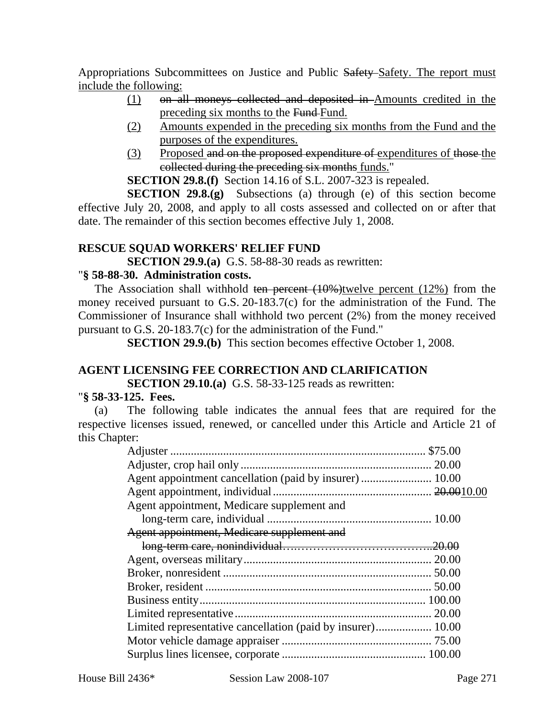Appropriations Subcommittees on Justice and Public Safety Safety. The report must include the following:

- (1) on all moneys collected and deposited in Amounts credited in the preceding six months to the Fund-Fund.
- (2) Amounts expended in the preceding six months from the Fund and the purposes of the expenditures.
- (3) Proposed and on the proposed expenditure of expenditures of those the collected during the preceding six months funds."

**SECTION 29.8.(f)** Section 14.16 of S.L. 2007-323 is repealed.

**SECTION 29.8.(g)** Subsections (a) through (e) of this section become effective July 20, 2008, and apply to all costs assessed and collected on or after that date. The remainder of this section becomes effective July 1, 2008.

# **RESCUE SQUAD WORKERS' RELIEF FUND**

**SECTION 29.9.(a)** G.S. 58-88-30 reads as rewritten:

# "**§ 58-88-30. Administration costs.**

The Association shall withhold ten percent  $(10\%)$ twelve percent  $(12\%)$  from the money received pursuant to G.S. 20-183.7(c) for the administration of the Fund. The Commissioner of Insurance shall withhold two percent (2%) from the money received pursuant to G.S. 20-183.7(c) for the administration of the Fund."

**SECTION 29.9.(b)** This section becomes effective October 1, 2008.

# **AGENT LICENSING FEE CORRECTION AND CLARIFICATION**

**SECTION 29.10.(a)** G.S. 58-33-125 reads as rewritten:

#### "**§ 58-33-125. Fees.**

(a) The following table indicates the annual fees that are required for the respective licenses issued, renewed, or cancelled under this Article and Article 21 of this Chapter:

| Agent appointment, Medicare supplement and                  |  |
|-------------------------------------------------------------|--|
|                                                             |  |
| Agent appointment, Medicare supplement and                  |  |
|                                                             |  |
|                                                             |  |
|                                                             |  |
|                                                             |  |
|                                                             |  |
| 20.00                                                       |  |
| Limited representative cancellation (paid by insurer) 10.00 |  |
|                                                             |  |
|                                                             |  |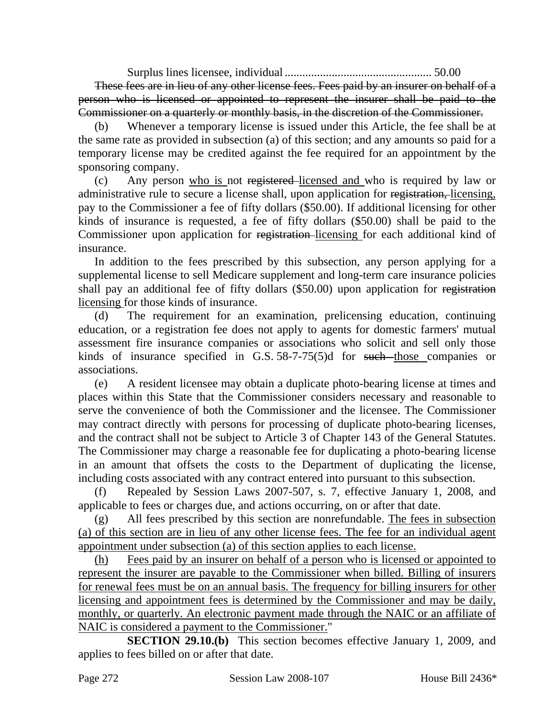Surplus lines licensee, individual .................................................. 50.00 These fees are in lieu of any other license fees. Fees paid by an insurer on behalf of a person who is licensed or appointed to represent the insurer shall be paid to the Commissioner on a quarterly or monthly basis, in the discretion of the Commissioner.

Whenever a temporary license is issued under this Article, the fee shall be at the same rate as provided in subsection (a) of this section; and any amounts so paid for a temporary license may be credited against the fee required for an appointment by the sponsoring company.

(c) Any person who is not registered licensed and who is required by law or administrative rule to secure a license shall, upon application for registration, licensing, pay to the Commissioner a fee of fifty dollars (\$50.00). If additional licensing for other kinds of insurance is requested, a fee of fifty dollars (\$50.00) shall be paid to the Commissioner upon application for registration licensing for each additional kind of insurance.

In addition to the fees prescribed by this subsection, any person applying for a supplemental license to sell Medicare supplement and long-term care insurance policies shall pay an additional fee of fifty dollars (\$50.00) upon application for registration licensing for those kinds of insurance.

(d) The requirement for an examination, prelicensing education, continuing education, or a registration fee does not apply to agents for domestic farmers' mutual assessment fire insurance companies or associations who solicit and sell only those kinds of insurance specified in G.S.  $58-7-75(5)$ d for such those companies or associations.

(e) A resident licensee may obtain a duplicate photo-bearing license at times and places within this State that the Commissioner considers necessary and reasonable to serve the convenience of both the Commissioner and the licensee. The Commissioner may contract directly with persons for processing of duplicate photo-bearing licenses, and the contract shall not be subject to Article 3 of Chapter 143 of the General Statutes. The Commissioner may charge a reasonable fee for duplicating a photo-bearing license in an amount that offsets the costs to the Department of duplicating the license, including costs associated with any contract entered into pursuant to this subsection.

(f) Repealed by Session Laws 2007-507, s. 7, effective January 1, 2008, and applicable to fees or charges due, and actions occurring, on or after that date.

(g) All fees prescribed by this section are nonrefundable. The fees in subsection (a) of this section are in lieu of any other license fees. The fee for an individual agent appointment under subsection (a) of this section applies to each license.

(h) Fees paid by an insurer on behalf of a person who is licensed or appointed to represent the insurer are payable to the Commissioner when billed. Billing of insurers for renewal fees must be on an annual basis. The frequency for billing insurers for other licensing and appointment fees is determined by the Commissioner and may be daily, monthly, or quarterly. An electronic payment made through the NAIC or an affiliate of NAIC is considered a payment to the Commissioner."

**SECTION 29.10.(b)** This section becomes effective January 1, 2009, and applies to fees billed on or after that date.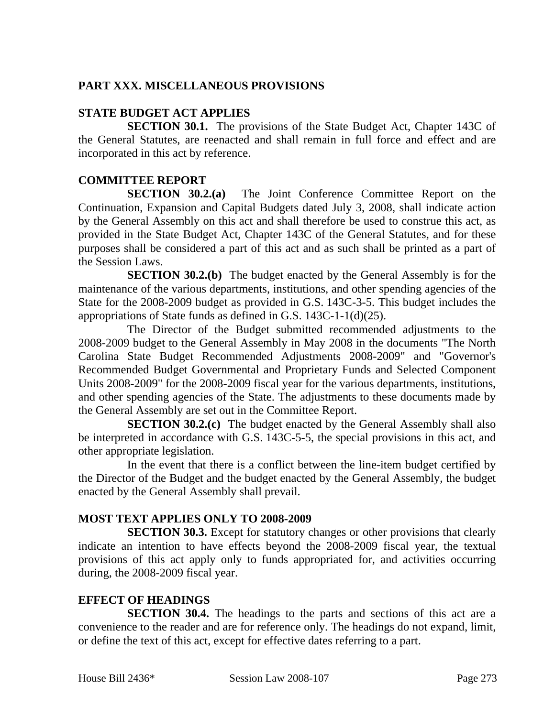# **PART XXX. MISCELLANEOUS PROVISIONS**

# **STATE BUDGET ACT APPLIES**

**SECTION 30.1.** The provisions of the State Budget Act, Chapter 143C of the General Statutes, are reenacted and shall remain in full force and effect and are incorporated in this act by reference.

# **COMMITTEE REPORT**

**SECTION 30.2.(a)** The Joint Conference Committee Report on the Continuation, Expansion and Capital Budgets dated July 3, 2008, shall indicate action by the General Assembly on this act and shall therefore be used to construe this act, as provided in the State Budget Act, Chapter 143C of the General Statutes, and for these purposes shall be considered a part of this act and as such shall be printed as a part of the Session Laws.

**SECTION 30.2.(b)** The budget enacted by the General Assembly is for the maintenance of the various departments, institutions, and other spending agencies of the State for the 2008-2009 budget as provided in G.S. 143C-3-5. This budget includes the appropriations of State funds as defined in G.S. 143C-1-1(d)(25).

The Director of the Budget submitted recommended adjustments to the 2008-2009 budget to the General Assembly in May 2008 in the documents "The North Carolina State Budget Recommended Adjustments 2008-2009" and "Governor's Recommended Budget Governmental and Proprietary Funds and Selected Component Units 2008-2009" for the 2008-2009 fiscal year for the various departments, institutions, and other spending agencies of the State. The adjustments to these documents made by the General Assembly are set out in the Committee Report.

**SECTION 30.2.(c)** The budget enacted by the General Assembly shall also be interpreted in accordance with G.S. 143C-5-5, the special provisions in this act, and other appropriate legislation.

In the event that there is a conflict between the line-item budget certified by the Director of the Budget and the budget enacted by the General Assembly, the budget enacted by the General Assembly shall prevail.

# **MOST TEXT APPLIES ONLY TO 2008-2009**

**SECTION 30.3.** Except for statutory changes or other provisions that clearly indicate an intention to have effects beyond the 2008-2009 fiscal year, the textual provisions of this act apply only to funds appropriated for, and activities occurring during, the 2008-2009 fiscal year.

# **EFFECT OF HEADINGS**

**SECTION 30.4.** The headings to the parts and sections of this act are a convenience to the reader and are for reference only. The headings do not expand, limit, or define the text of this act, except for effective dates referring to a part.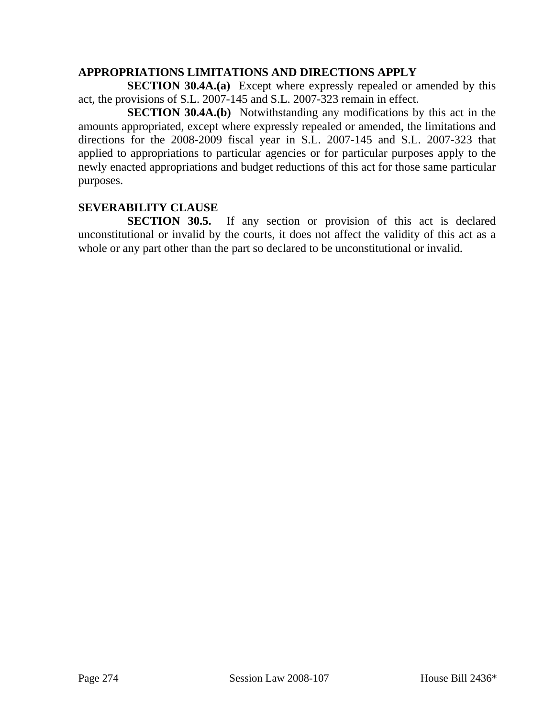# **APPROPRIATIONS LIMITATIONS AND DIRECTIONS APPLY**

**SECTION 30.4A.(a)** Except where expressly repealed or amended by this act, the provisions of S.L. 2007-145 and S.L. 2007-323 remain in effect.

**SECTION 30.4A.(b)** Notwithstanding any modifications by this act in the amounts appropriated, except where expressly repealed or amended, the limitations and directions for the 2008-2009 fiscal year in S.L. 2007-145 and S.L. 2007-323 that applied to appropriations to particular agencies or for particular purposes apply to the newly enacted appropriations and budget reductions of this act for those same particular purposes.

# **SEVERABILITY CLAUSE**

**SECTION 30.5.** If any section or provision of this act is declared unconstitutional or invalid by the courts, it does not affect the validity of this act as a whole or any part other than the part so declared to be unconstitutional or invalid.